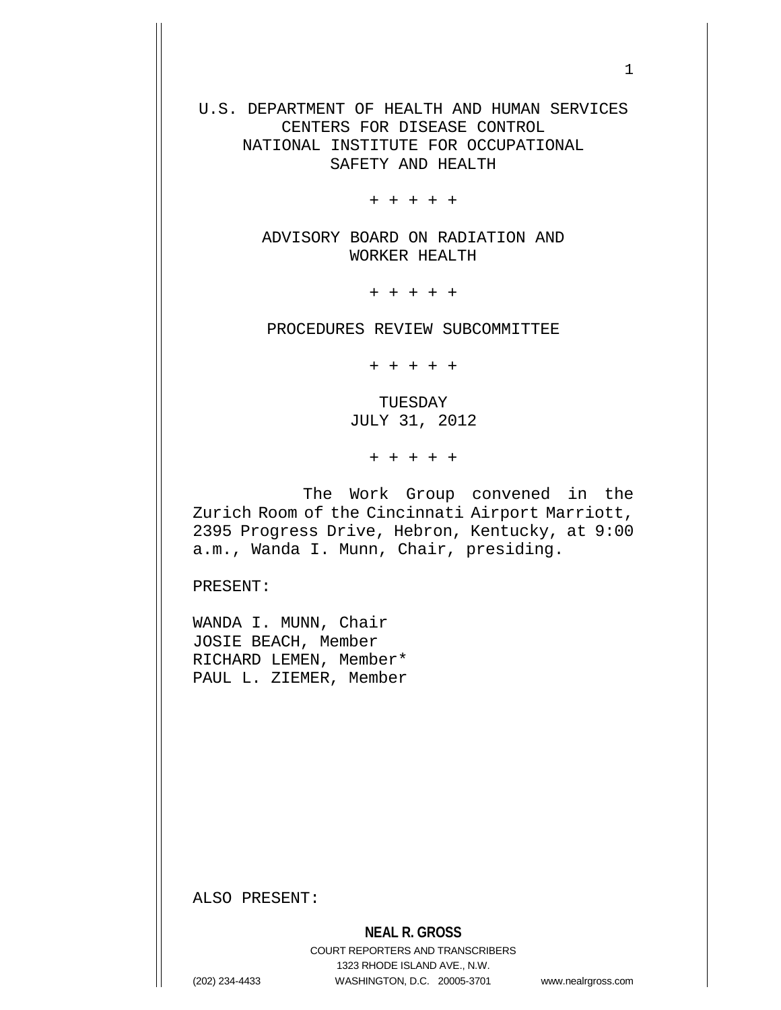U.S. DEPARTMENT OF HEALTH AND HUMAN SERVICES CENTERS FOR DISEASE CONTROL NATIONAL INSTITUTE FOR OCCUPATIONAL SAFETY AND HEALTH

+ + + + +

ADVISORY BOARD ON RADIATION AND WORKER HEALTH

+ + + + +

PROCEDURES REVIEW SUBCOMMITTEE

+ + + + +

TUESDAY JULY 31, 2012

+ + + + +

 The Work Group convened in the Zurich Room of the Cincinnati Airport Marriott, 2395 Progress Drive, Hebron, Kentucky, at 9:00 a.m., Wanda I. Munn, Chair, presiding.

PRESENT:

WANDA I. MUNN, Chair JOSIE BEACH, Member RICHARD LEMEN, Member\* PAUL L. ZIEMER, Member

ALSO PRESENT:

COURT REPORTERS AND TRANSCRIBERS 1323 RHODE ISLAND AVE., N.W. (202) 234-4433 WASHINGTON, D.C. 20005-3701 www.nealrgross.com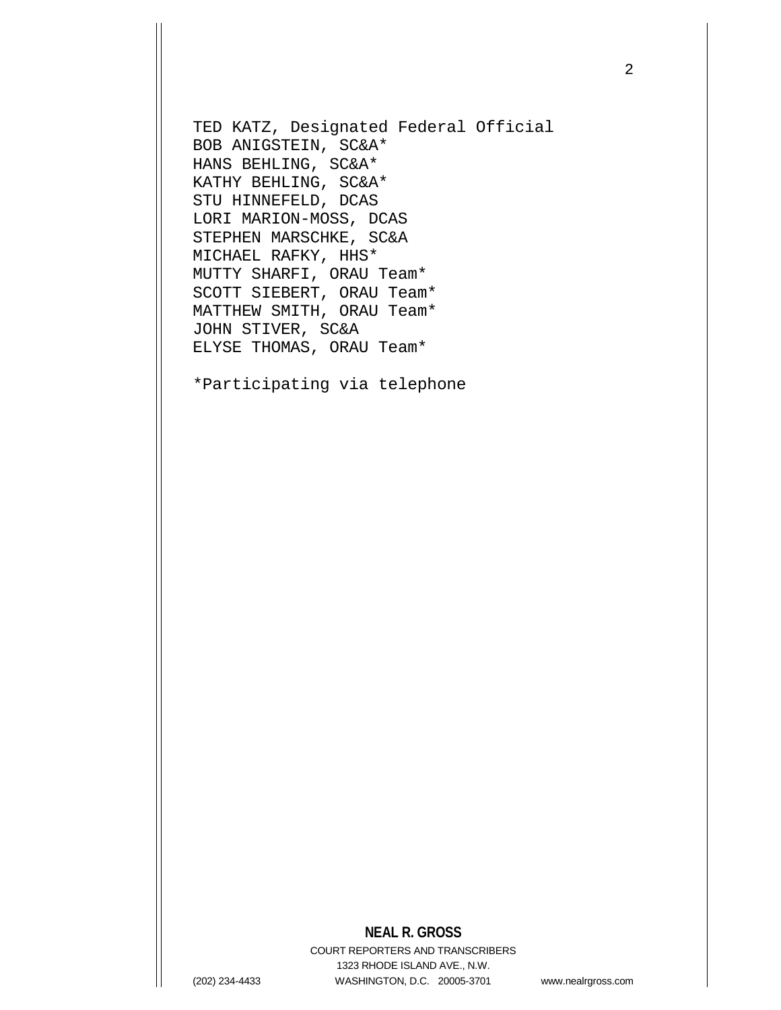TED KATZ, Designated Federal Official BOB ANIGSTEIN, SC&A\* HANS BEHLING, SC&A\* KATHY BEHLING, SC&A\* STU HINNEFELD, DCAS LORI MARION-MOSS, DCAS STEPHEN MARSCHKE, SC&A MICHAEL RAFKY, HHS\* MUTTY SHARFI, ORAU Team\* SCOTT SIEBERT, ORAU Team\* MATTHEW SMITH, ORAU Team\* JOHN STIVER, SC&A ELYSE THOMAS, ORAU Team\*

\*Participating via telephone

## **NEAL R. GROSS**

COURT REPORTERS AND TRANSCRIBERS 1323 RHODE ISLAND AVE., N.W. (202) 234-4433 WASHINGTON, D.C. 20005-3701 www.nealrgross.com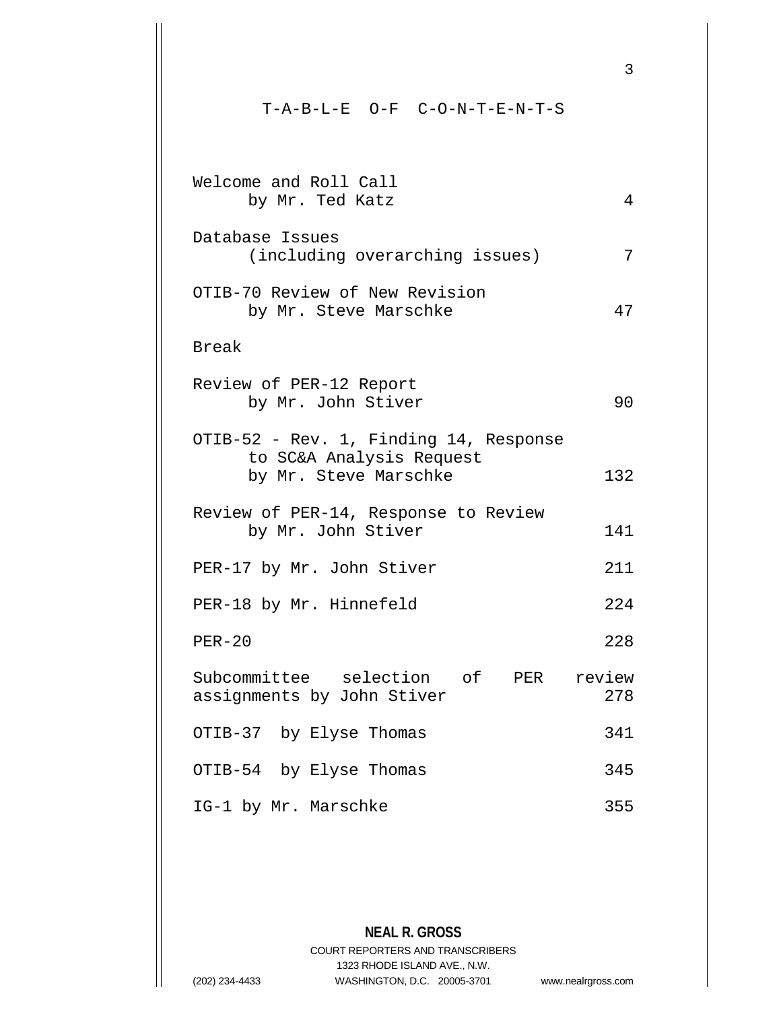T-A-B-L-E O-F C-O-N-T-E-N-T-S Welcome and Roll Call by Mr. Ted Katz 4 Database Issues (including overarching issues) 7 OTIB-70 Review of New Revision by Mr. Steve Marschke 47 Break Review of PER-12 Report by Mr. John Stiver 90 OTIB-52 - Rev. 1, Finding 14, Response to SC&A Analysis Request by Mr. Steve Marschke 132 Review of PER-14, Response to Review by Mr. John Stiver 141 PER-17 by Mr. John Stiver 211 PER-18 by Mr. Hinnefeld 224 PER-20 228 Subcommittee selection of PER review<br>assignments by John Stiver 278 assignments by John Stiver OTIB-37 by Elyse Thomas 341 OTIB-54 by Elyse Thomas 345 IG-1 by Mr. Marschke 355

**NEAL R. GROSS** COURT REPORTERS AND TRANSCRIBERS 1323 RHODE ISLAND AVE., N.W. (202) 234-4433 WASHINGTON, D.C. 20005-3701 www.nealrgross.com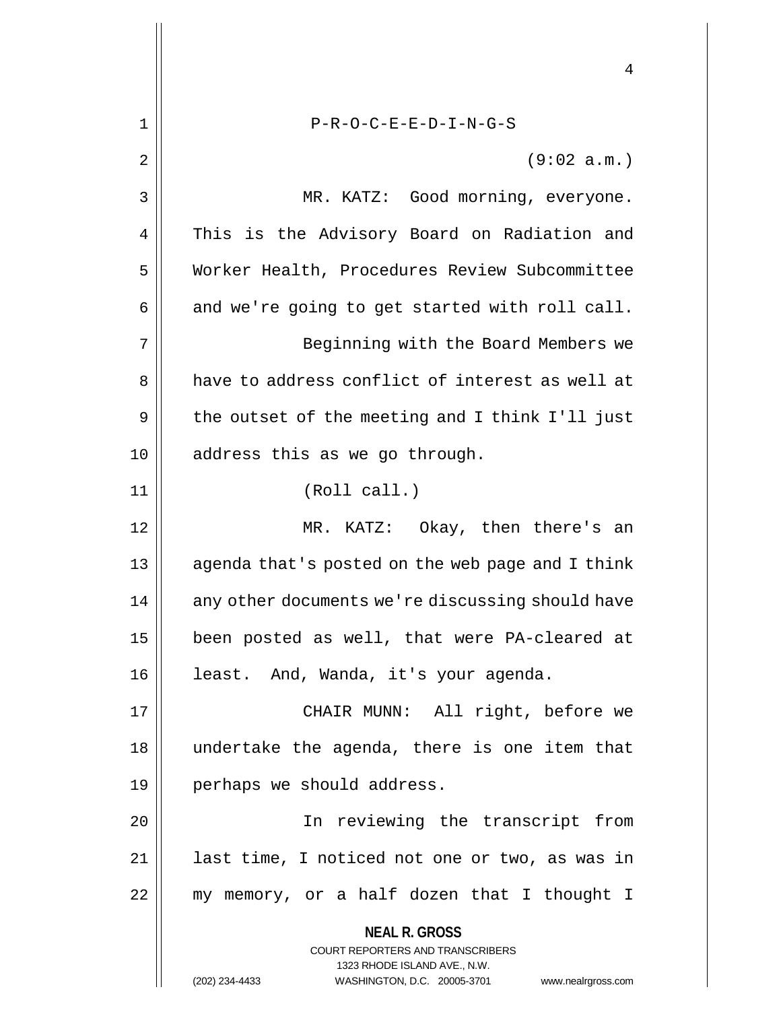**NEAL R. GROSS** COURT REPORTERS AND TRANSCRIBERS 1323 RHODE ISLAND AVE., N.W. (202) 234-4433 WASHINGTON, D.C. 20005-3701 www.nealrgross.com 4 1 || P-R-O-C-E-E-D-I-N-G-S  $2 \parallel$  (9:02 a.m.) 3 MR. KATZ: Good morning, everyone. 4 || This is the Advisory Board on Radiation and 5 Worker Health, Procedures Review Subcommittee  $6 \parallel$  and we're going to get started with roll call. 7 || Beginning with the Board Members we 8 a have to address conflict of interest as well at  $9 \parallel$  the outset of the meeting and I think I'll just 10 || address this as we go through. 11 || (Roll call.) 12 MR. KATZ: Okay, then there's an 13 || agenda that's posted on the web page and I think 14 | any other documents we're discussing should have 15 been posted as well, that were PA-cleared at 16 | least. And, Wanda, it's your agenda. 17 CHAIR MUNN: All right, before we 18 undertake the agenda, there is one item that 19 || perhaps we should address. 20 || The reviewing the transcript from 21 || last time, I noticed not one or two, as was in  $22$  || my memory, or a half dozen that I thought I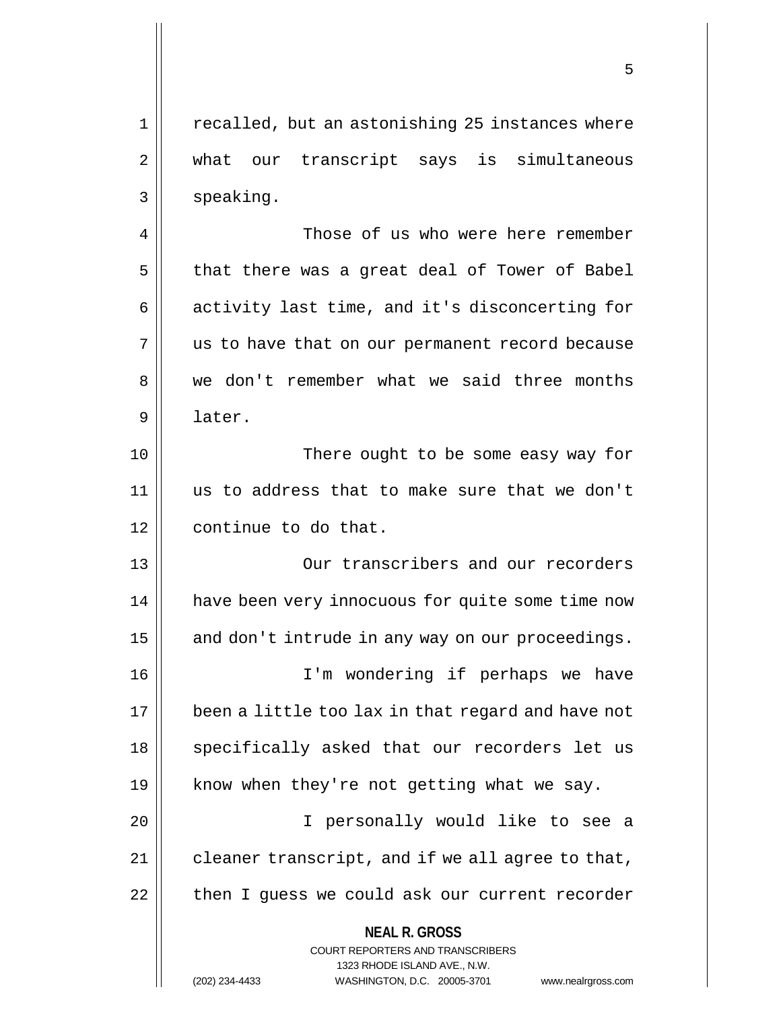1 || recalled, but an astonishing 25 instances where 2 || what our transcript says is simultaneous 3 | speaking.

4 Those of us who were here remember  $5$  | that there was a great deal of Tower of Babel 6 || activity last time, and it's disconcerting for  $7 \parallel$  us to have that on our permanent record because 8 we don't remember what we said three months 9 later.

10 There ought to be some easy way for 11 us to address that to make sure that we don't 12 | continue to do that.

13 Our transcribers and our recorders 14 || have been very innocuous for quite some time now  $15$  and don't intrude in any way on our proceedings.

16 I'm wondering if perhaps we have 17 been a little too lax in that regard and have not 18 || specifically asked that our recorders let us 19  $\parallel$  know when they're not getting what we say.

20 I personally would like to see a  $21$  | cleaner transcript, and if we all agree to that, 22 | then I guess we could ask our current recorder

> **NEAL R. GROSS** COURT REPORTERS AND TRANSCRIBERS 1323 RHODE ISLAND AVE., N.W. (202) 234-4433 WASHINGTON, D.C. 20005-3701 www.nealrgross.com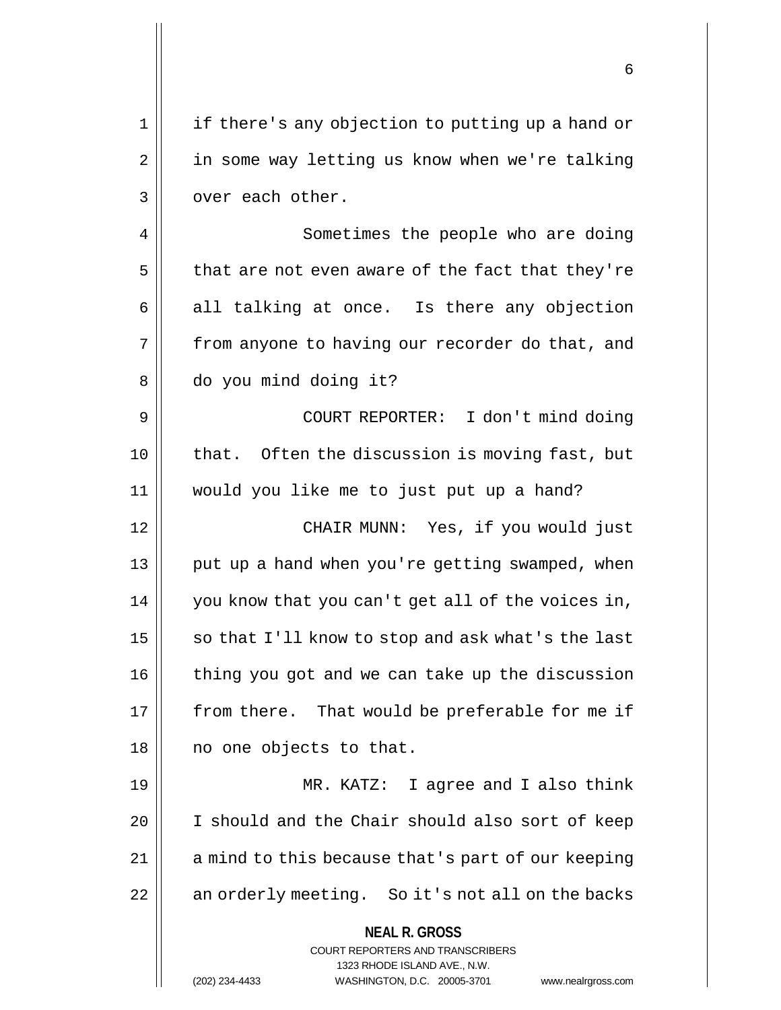1 || if there's any objection to putting up a hand or 2 | in some way letting us know when we're talking 3 | over each other.

4 | Sometimes the people who are doing  $5 \parallel$  that are not even aware of the fact that they're  $6 \parallel$  all talking at once. Is there any objection  $7 \parallel$  from anyone to having our recorder do that, and 8 do you mind doing it?

9 COURT REPORTER: I don't mind doing 10 || that. Often the discussion is moving fast, but 11 would you like me to just put up a hand?

12 CHAIR MUNN: Yes, if you would just 13 || put up a hand when you're getting swamped, when 14 || you know that you can't get all of the voices in, 15  $\parallel$  so that I'll know to stop and ask what's the last 16 | thing you got and we can take up the discussion  $17$  | from there. That would be preferable for me if 18 || no one objects to that.

19 MR. KATZ: I agree and I also think 20 | I should and the Chair should also sort of keep 21 || a mind to this because that's part of our keeping 22 || an orderly meeting. So it's not all on the backs

> **NEAL R. GROSS** COURT REPORTERS AND TRANSCRIBERS

> > 1323 RHODE ISLAND AVE., N.W.

(202) 234-4433 WASHINGTON, D.C. 20005-3701 www.nealrgross.com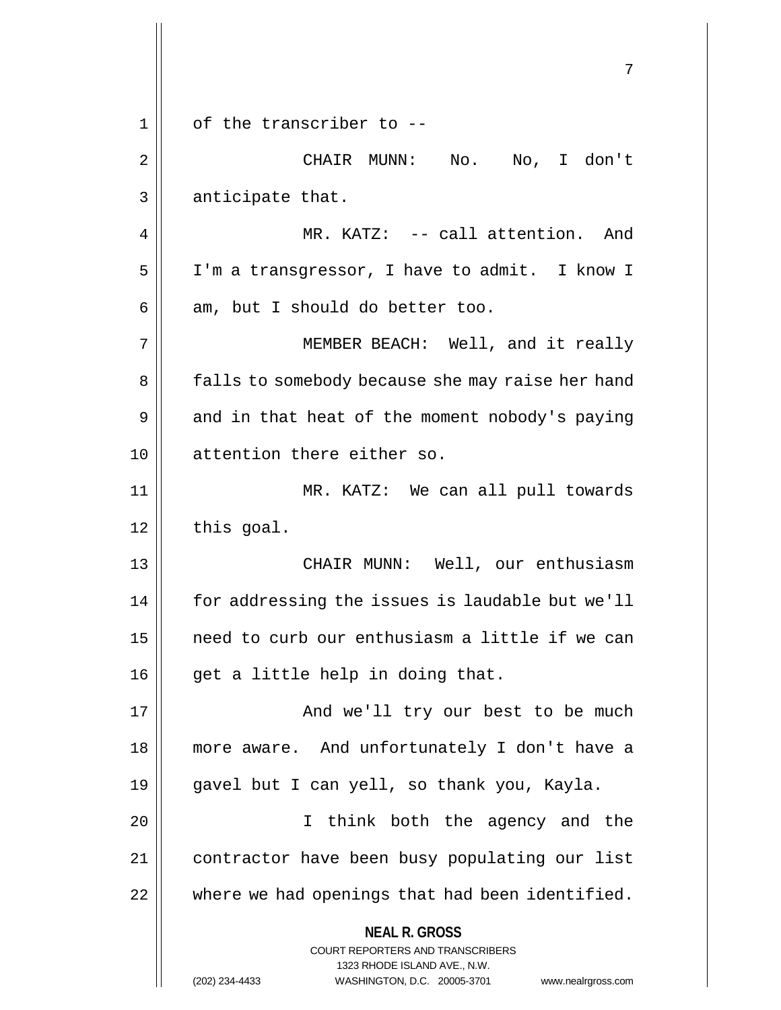**NEAL R. GROSS** COURT REPORTERS AND TRANSCRIBERS 1323 RHODE ISLAND AVE., N.W. (202) 234-4433 WASHINGTON, D.C. 20005-3701 www.nealrgross.com 7  $1 \parallel$  of the transcriber to --2 CHAIR MUNN: No. No, I don't  $3 \parallel$  anticipate that. 4 MR. KATZ: -- call attention. And 5 | I'm a transgressor, I have to admit. I know I  $6 \parallel$  am, but I should do better too. 7 || MEMBER BEACH: Well, and it really 8 | falls to somebody because she may raise her hand  $9 \parallel$  and in that heat of the moment nobody's paying 10 || attention there either so. 11 MR. KATZ: We can all pull towards  $12$  | this goal. 13 CHAIR MUNN: Well, our enthusiasm 14 | for addressing the issues is laudable but we'll 15 need to curb our enthusiasm a little if we can 16 || get a little help in doing that. 17 || And we'll try our best to be much 18 more aware. And unfortunately I don't have a 19 gavel but I can yell, so thank you, Kayla. 20 || Think both the agency and the 21 contractor have been busy populating our list  $22$   $\parallel$  where we had openings that had been identified.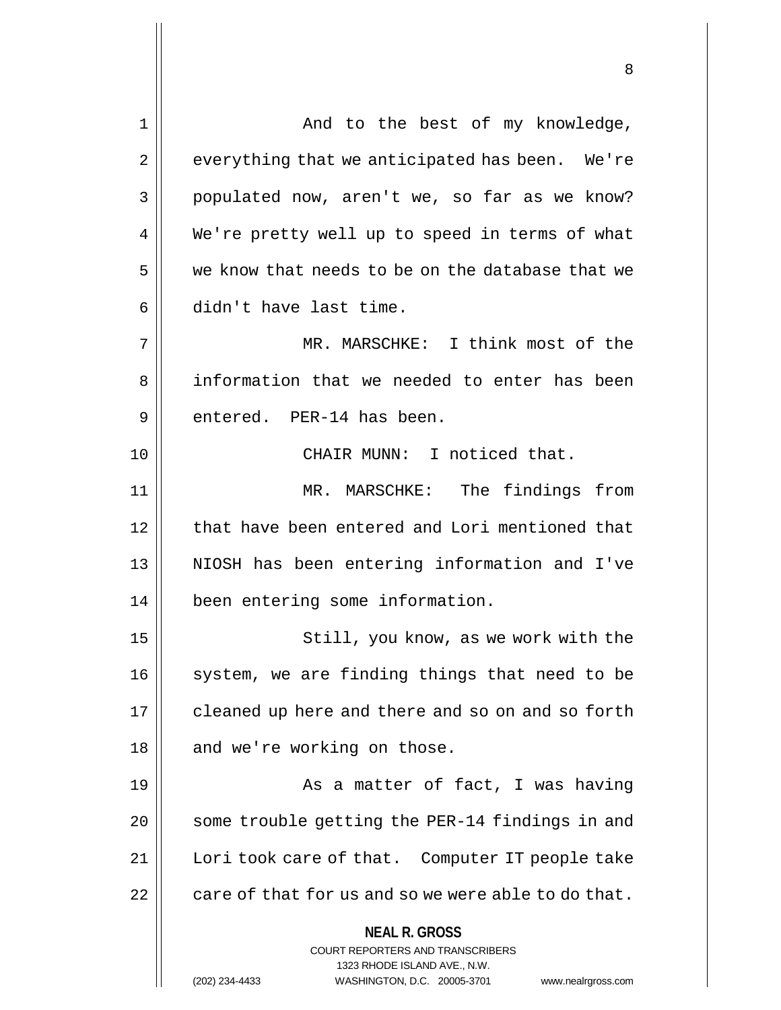**NEAL R. GROSS** COURT REPORTERS AND TRANSCRIBERS 1323 RHODE ISLAND AVE., N.W. (202) 234-4433 WASHINGTON, D.C. 20005-3701 www.nealrgross.com 1 And to the best of my knowledge,  $2 \parallel$  everything that we anticipated has been. We're 3 populated now, aren't we, so far as we know? 4 We're pretty well up to speed in terms of what  $5 \parallel$  we know that needs to be on the database that we  $6 \parallel$  didn't have last time. 7 MR. MARSCHKE: I think most of the 8 || information that we needed to enter has been 9 || entered. PER-14 has been. 10 || CHAIR MUNN: I noticed that. 11 MR. MARSCHKE: The findings from 12 that have been entered and Lori mentioned that 13 || NIOSH has been entering information and I've 14 | been entering some information. 15 || Still, you know, as we work with the  $16$  system, we are finding things that need to be 17 | cleaned up here and there and so on and so forth  $18$  || and we're working on those. 19 || As a matter of fact, I was having 20 || some trouble getting the PER-14 findings in and 21 | Lori took care of that. Computer IT people take  $22$  | care of that for us and so we were able to do that.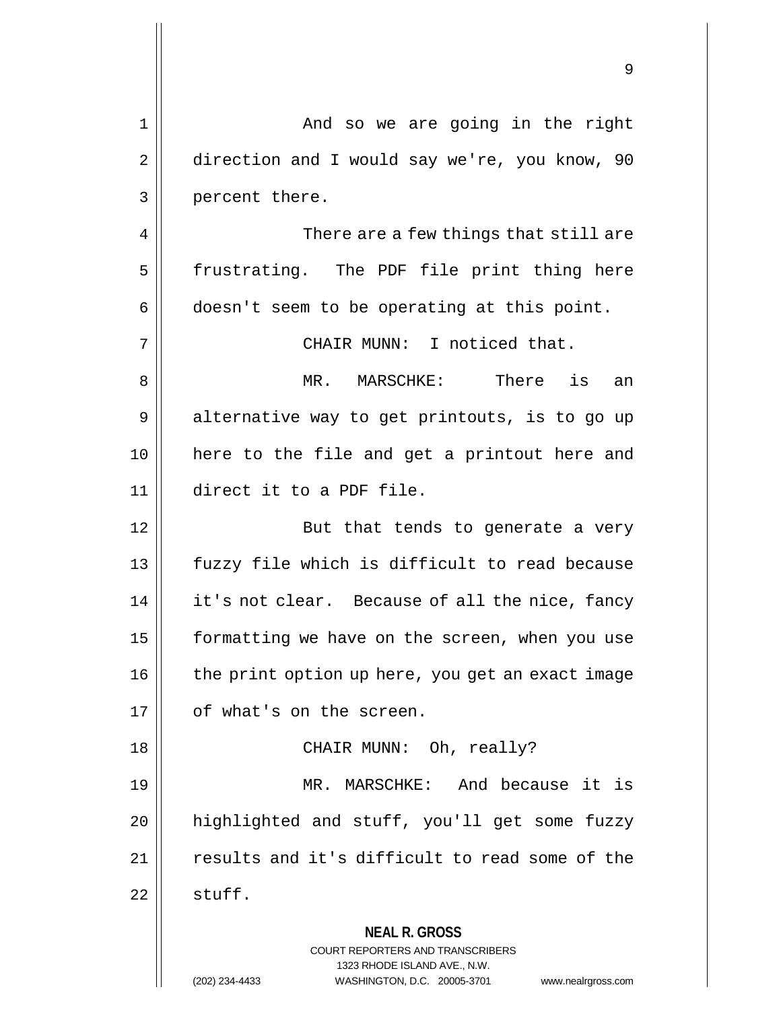|    | 9                                                                                                                                                                      |
|----|------------------------------------------------------------------------------------------------------------------------------------------------------------------------|
| 1  | And so we are going in the right                                                                                                                                       |
| 2  | direction and I would say we're, you know, 90                                                                                                                          |
| 3  | percent there.                                                                                                                                                         |
| 4  | There are a few things that still are                                                                                                                                  |
| 5  | frustrating. The PDF file print thing here                                                                                                                             |
| 6  | doesn't seem to be operating at this point.                                                                                                                            |
| 7  | CHAIR MUNN: I noticed that.                                                                                                                                            |
| 8  | There is<br>MR. MARSCHKE:<br>an                                                                                                                                        |
| 9  | alternative way to get printouts, is to go up                                                                                                                          |
| 10 | here to the file and get a printout here and                                                                                                                           |
| 11 | direct it to a PDF file.                                                                                                                                               |
| 12 | But that tends to generate a very                                                                                                                                      |
| 13 | fuzzy file which is difficult to read because                                                                                                                          |
| 14 | it's not clear. Because of all the nice, fancy                                                                                                                         |
| 15 | formatting we have on the screen, when you use                                                                                                                         |
| 16 | the print option up here, you get an exact image                                                                                                                       |
| 17 | of what's on the screen.                                                                                                                                               |
| 18 | CHAIR MUNN: Oh, really?                                                                                                                                                |
| 19 | MARSCHKE:<br>And because it is<br>MR.                                                                                                                                  |
| 20 | highlighted and stuff, you'll get some fuzzy                                                                                                                           |
| 21 | results and it's difficult to read some of the                                                                                                                         |
| 22 | stuff.                                                                                                                                                                 |
|    | <b>NEAL R. GROSS</b><br><b>COURT REPORTERS AND TRANSCRIBERS</b><br>1323 RHODE ISLAND AVE., N.W.<br>(202) 234-4433<br>WASHINGTON, D.C. 20005-3701<br>www.nealrgross.com |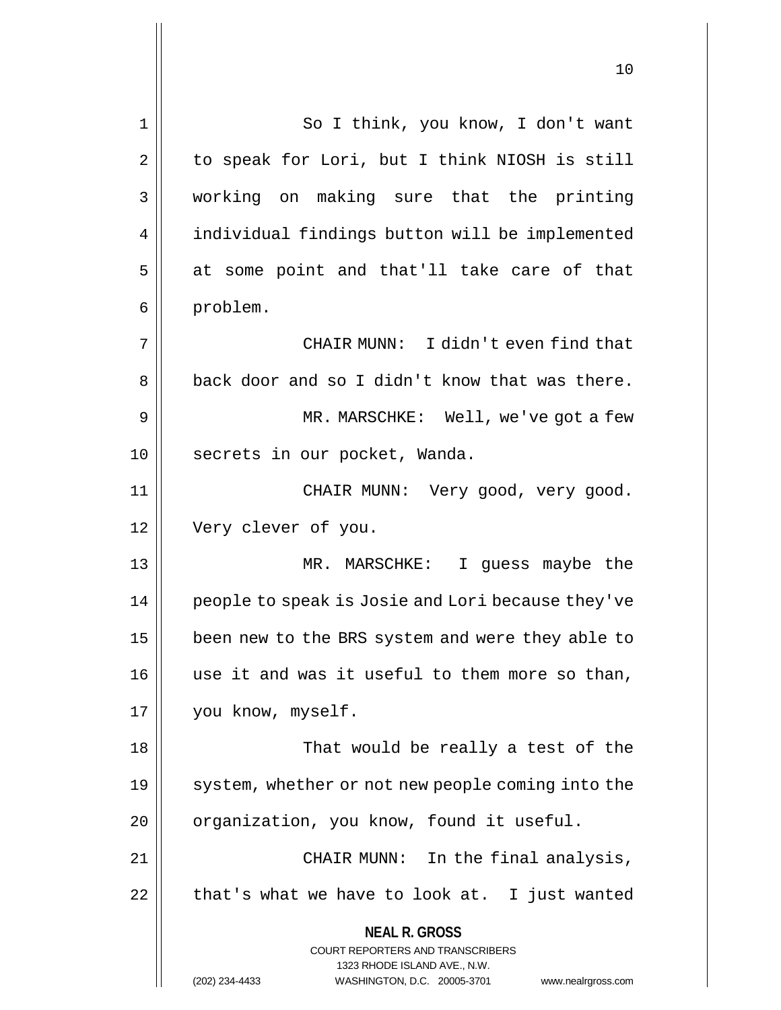**NEAL R. GROSS** COURT REPORTERS AND TRANSCRIBERS 1323 RHODE ISLAND AVE., N.W. (202) 234-4433 WASHINGTON, D.C. 20005-3701 www.nealrgross.com 1 || So I think, you know, I don't want  $2 \parallel$  to speak for Lori, but I think NIOSH is still 3 working on making sure that the printing 4 | individual findings button will be implemented  $5 \parallel$  at some point and that'll take care of that 6 | problem. 7 CHAIR MUNN: I didn't even find that 8 || back door and so I didn't know that was there. 9 MR. MARSCHKE: Well, we've got a few 10 || secrets in our pocket, Wanda. 11 CHAIR MUNN: Very good, very good. 12 | Very clever of you. 13 MR. MARSCHKE: I guess maybe the 14 || people to speak is Josie and Lori because they've 15 | been new to the BRS system and were they able to 16 || use it and was it useful to them more so than, 17 | you know, myself. 18 That would be really a test of the 19 || system, whether or not new people coming into the  $20$  | organization, you know, found it useful. 21 || CHAIR MUNN: In the final analysis,  $22$  | that's what we have to look at. I just wanted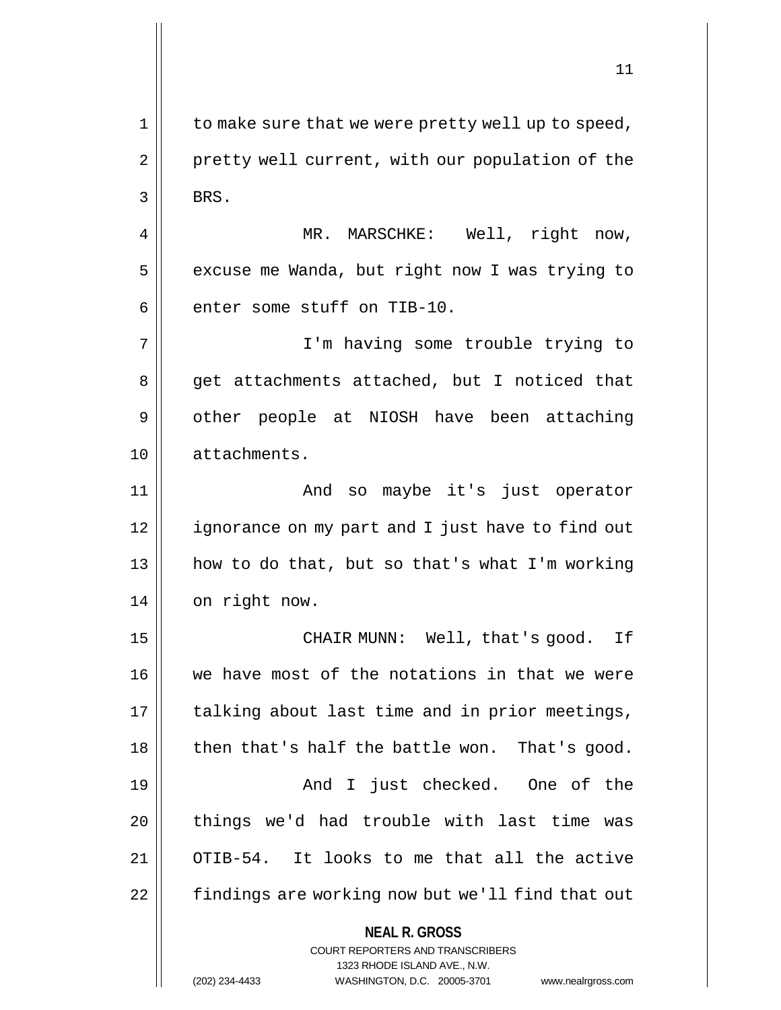$1 \parallel$  to make sure that we were pretty well up to speed, 2 | pretty well current, with our population of the  $3 \parallel$  BRS.

4 MR. MARSCHKE: Well, right now,  $5$  | excuse me Wanda, but right now I was trying to  $6$  | enter some stuff on TIB-10.

7 I'm having some trouble trying to 8 || get attachments attached, but I noticed that 9 | other people at NIOSH have been attaching 10 attachments.

11 And so maybe it's just operator 12 | ignorance on my part and I just have to find out  $13$  || how to do that, but so that's what I'm working 14 | on right now.

15 CHAIR MUNN: Well, that's good. If 16 we have most of the notations in that we were  $17$  | talking about last time and in prior meetings,  $18$  || then that's half the battle won. That's good. 19 And I just checked. One of the 20 things we'd had trouble with last time was 21 OTIB-54. It looks to me that all the active 22 | findings are working now but we'll find that out

**NEAL R. GROSS**

COURT REPORTERS AND TRANSCRIBERS 1323 RHODE ISLAND AVE., N.W. (202) 234-4433 WASHINGTON, D.C. 20005-3701 www.nealrgross.com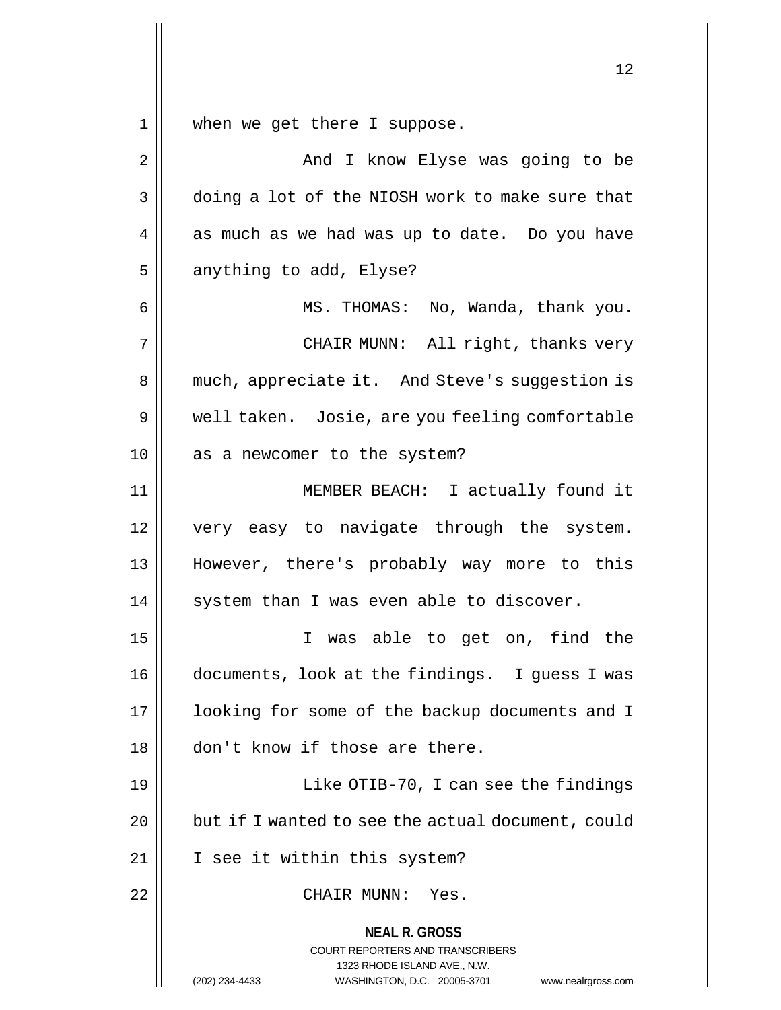$1$  when we get there I suppose.

| $\sqrt{2}$     | And I know Elyse was going to be                                                                                                                                |
|----------------|-----------------------------------------------------------------------------------------------------------------------------------------------------------------|
| 3              | doing a lot of the NIOSH work to make sure that                                                                                                                 |
| $\overline{4}$ | as much as we had was up to date. Do you have                                                                                                                   |
| 5              | anything to add, Elyse?                                                                                                                                         |
| 6              | MS. THOMAS: No, Wanda, thank you.                                                                                                                               |
| 7              | CHAIR MUNN: All right, thanks very                                                                                                                              |
| 8              | much, appreciate it. And Steve's suggestion is                                                                                                                  |
| 9              | well taken. Josie, are you feeling comfortable                                                                                                                  |
| 10             | as a newcomer to the system?                                                                                                                                    |
| 11             | MEMBER BEACH: I actually found it                                                                                                                               |
| 12             | very easy to navigate through the system.                                                                                                                       |
| 13             | However, there's probably way more to this                                                                                                                      |
| 14             | system than I was even able to discover.                                                                                                                        |
| 15             | was able to get on, find the<br>I.                                                                                                                              |
| 16             | documents, look at the findings. I guess I was                                                                                                                  |
| 17             | looking for some of the backup documents and I                                                                                                                  |
| 18             | don't know if those are there.                                                                                                                                  |
| 19             | Like OTIB-70, I can see the findings                                                                                                                            |
| 20             | but if I wanted to see the actual document, could                                                                                                               |
| 21             | I see it within this system?                                                                                                                                    |
| 22             | CHAIR MUNN:<br>Yes.                                                                                                                                             |
|                | <b>NEAL R. GROSS</b><br>COURT REPORTERS AND TRANSCRIBERS<br>1323 RHODE ISLAND AVE., N.W.<br>(202) 234-4433<br>WASHINGTON, D.C. 20005-3701<br>www.nealrgross.com |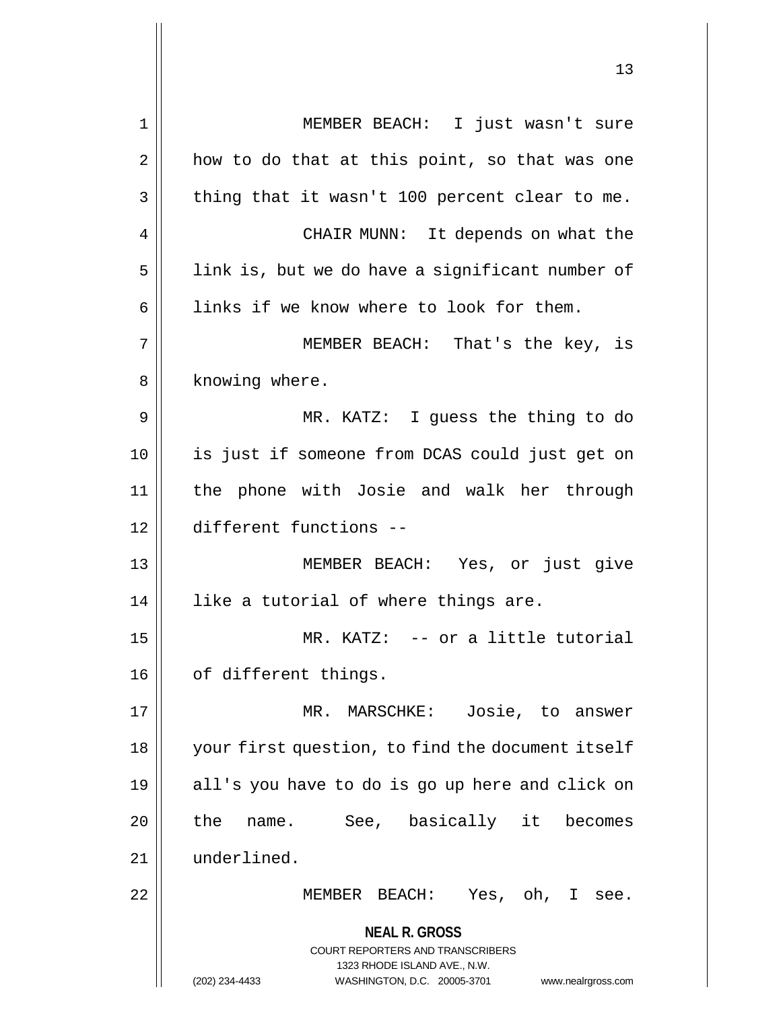**NEAL R. GROSS** COURT REPORTERS AND TRANSCRIBERS 1323 RHODE ISLAND AVE., N.W. (202) 234-4433 WASHINGTON, D.C. 20005-3701 www.nealrgross.com 1 MEMBER BEACH: I just wasn't sure  $2 \parallel$  how to do that at this point, so that was one  $3 \parallel$  thing that it wasn't 100 percent clear to me. 4 CHAIR MUNN: It depends on what the  $5$  | link is, but we do have a significant number of  $6 \parallel$  links if we know where to look for them. 7 MEMBER BEACH: That's the key, is 8 || knowing where. 9 MR. KATZ: I guess the thing to do 10 is just if someone from DCAS could just get on 11 the phone with Josie and walk her through 12 different functions -- 13 MEMBER BEACH: Yes, or just give 14 || like a tutorial of where things are. 15 MR. KATZ: -- or a little tutorial 16 | of different things. 17 MR. MARSCHKE: Josie, to answer 18 your first question, to find the document itself 19 all's you have to do is go up here and click on 20 || the name. See, basically it becomes 21 underlined. 22 MEMBER BEACH: Yes, oh, I see.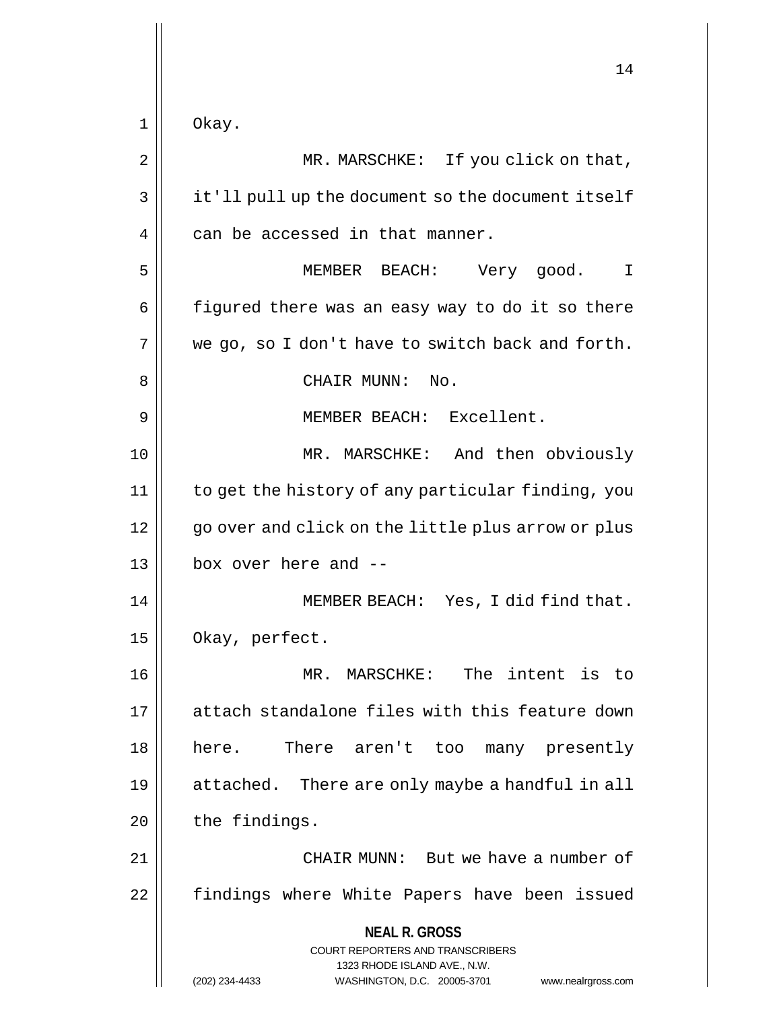|    | 14                                                                                                  |
|----|-----------------------------------------------------------------------------------------------------|
|    |                                                                                                     |
| 1  | Okay.                                                                                               |
| 2  | MR. MARSCHKE: If you click on that,                                                                 |
| 3  | it'll pull up the document so the document itself                                                   |
| 4  | can be accessed in that manner.                                                                     |
| 5  | MEMBER BEACH:<br>Very good.<br>I                                                                    |
| 6  | figured there was an easy way to do it so there                                                     |
| 7  | we go, so I don't have to switch back and forth.                                                    |
| 8  | CHAIR MUNN:<br>No.                                                                                  |
| 9  | MEMBER BEACH: Excellent.                                                                            |
| 10 | MR. MARSCHKE: And then obviously                                                                    |
| 11 | to get the history of any particular finding, you                                                   |
| 12 | go over and click on the little plus arrow or plus                                                  |
| 13 | box over here and --                                                                                |
| 14 | MEMBER BEACH: Yes, I did find that.                                                                 |
| 15 | Okay, perfect.                                                                                      |
| 16 | MR. MARSCHKE: The intent is to                                                                      |
| 17 | attach standalone files with this feature down                                                      |
| 18 | here. There aren't too many presently                                                               |
| 19 | attached. There are only maybe a handful in all                                                     |
| 20 | the findings.                                                                                       |
| 21 | CHAIR MUNN: But we have a number of                                                                 |
| 22 | findings where White Papers have been issued                                                        |
|    | <b>NEAL R. GROSS</b>                                                                                |
|    | <b>COURT REPORTERS AND TRANSCRIBERS</b>                                                             |
|    | 1323 RHODE ISLAND AVE., N.W.<br>(202) 234-4433<br>WASHINGTON, D.C. 20005-3701<br>www.nealrgross.com |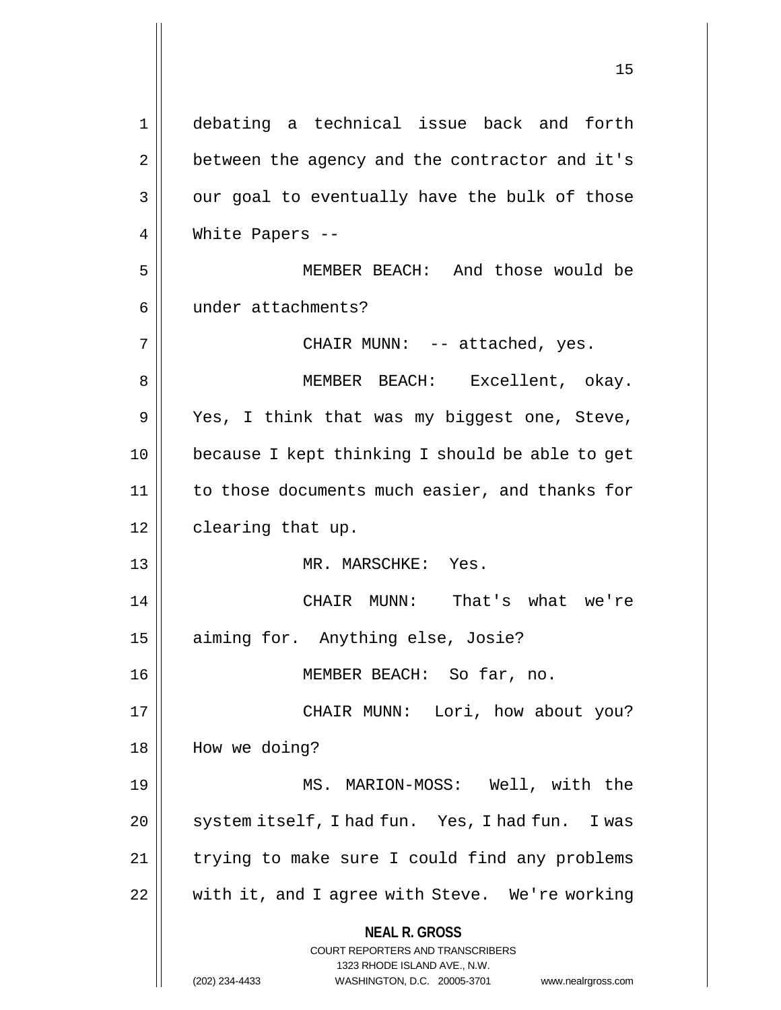**NEAL R. GROSS** COURT REPORTERS AND TRANSCRIBERS 1323 RHODE ISLAND AVE., N.W. (202) 234-4433 WASHINGTON, D.C. 20005-3701 www.nealrgross.com 1 debating a technical issue back and forth 2 | between the agency and the contractor and it's  $3 \parallel$  our goal to eventually have the bulk of those 4 || White Papers --5 MEMBER BEACH: And those would be 6 | under attachments? 7 CHAIR MUNN: -- attached, yes. 8 || MEMBER BEACH: Excellent, okay. 9 Yes, I think that was my biggest one, Steve, 10 because I kept thinking I should be able to get 11 | to those documents much easier, and thanks for 12 | clearing that up. 13 MR. MARSCHKE: Yes. 14 CHAIR MUNN: That's what we're 15 aiming for. Anything else, Josie? 16 MEMBER BEACH: So far, no. 17 CHAIR MUNN: Lori, how about you? 18 || How we doing? 19 MS. MARION-MOSS: Well, with the 20 | system itself, I had fun. Yes, I had fun. I was 21 | trying to make sure I could find any problems 22 || with it, and I agree with Steve. We're working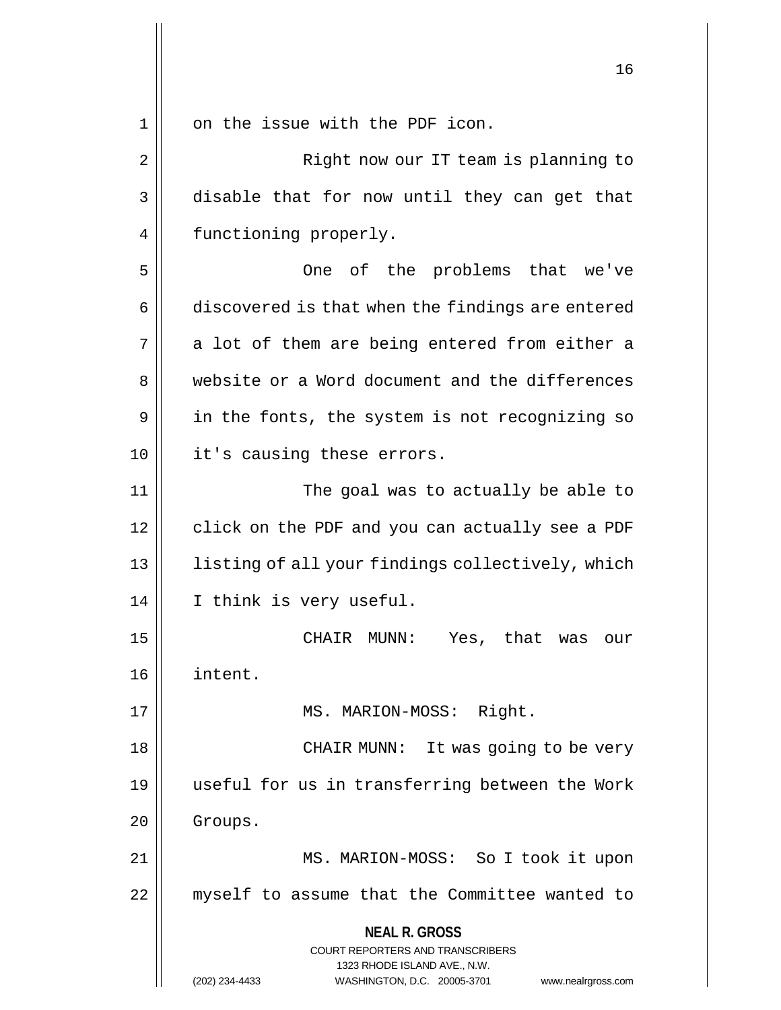1 || on the issue with the PDF icon.

**NEAL R. GROSS** COURT REPORTERS AND TRANSCRIBERS 1323 RHODE ISLAND AVE., N.W. (202) 234-4433 WASHINGTON, D.C. 20005-3701 www.nealrgross.com 2 || Right now our IT team is planning to 3 disable that for now until they can get that 4 | functioning properly. 5 One of the problems that we've 6 discovered is that when the findings are entered  $7 \parallel$  a lot of them are being entered from either a 8 Website or a Word document and the differences  $9 \parallel$  in the fonts, the system is not recognizing so 10 || it's causing these errors. 11 The goal was to actually be able to 12 || click on the PDF and you can actually see a PDF 13 || listing of all your findings collectively, which 14 | I think is very useful. 15 CHAIR MUNN: Yes, that was our 16 intent. 17 || MS. MARION-MOSS: Right. 18 || CHAIR MUNN: It was going to be very 19 useful for us in transferring between the Work 20 Groups. 21 || MS. MARION-MOSS: So I took it upon 22 myself to assume that the Committee wanted to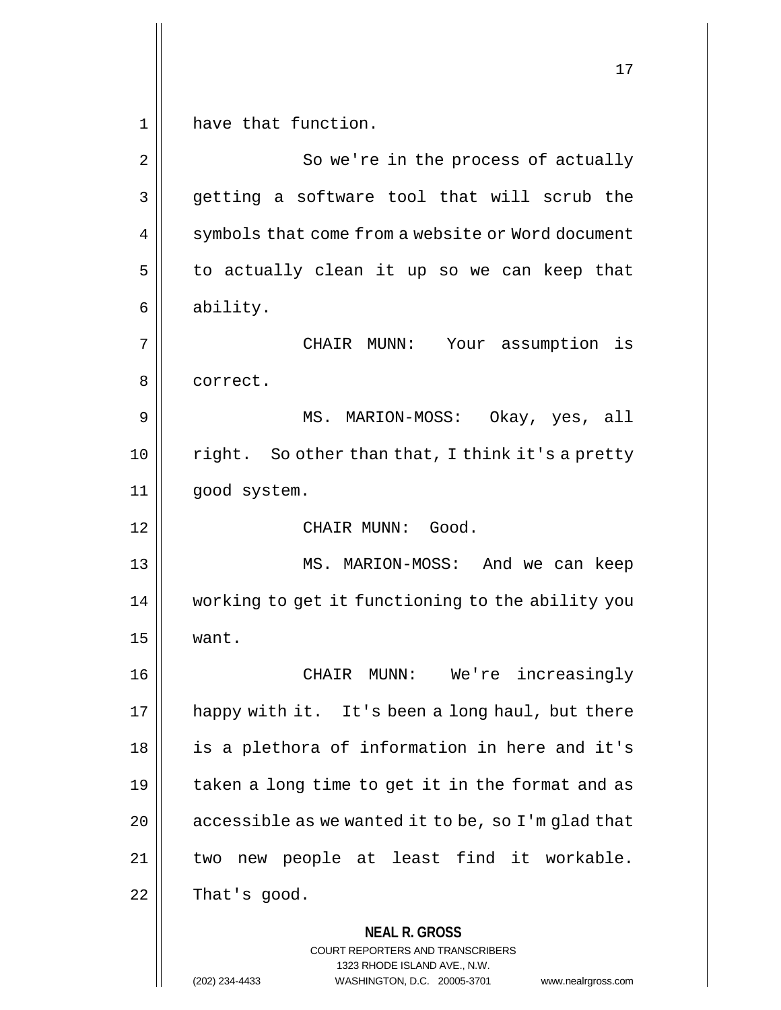**NEAL R. GROSS** COURT REPORTERS AND TRANSCRIBERS 1323 RHODE ISLAND AVE., N.W. 17 1 || have that function. 2 || So we're in the process of actually 3 getting a software tool that will scrub the 4 | symbols that come from a website or Word document  $5 \parallel$  to actually clean it up so we can keep that 6 ability. 7 CHAIR MUNN: Your assumption is 8 | correct. 9 MS. MARION-MOSS: Okay, yes, all  $10$  | right. So other than that, I think it's a pretty 11 good system. 12 CHAIR MUNN: Good. 13 MS. MARION-MOSS: And we can keep 14 working to get it functioning to the ability you  $15$  | want. 16 || CHAIR MUNN: We're increasingly 17 || happy with it. It's been a long haul, but there 18 || is a plethora of information in here and it's 19  $\parallel$  taken a long time to get it in the format and as 20  $\parallel$  accessible as we wanted it to be, so I'm glad that 21 || two new people at least find it workable.  $22 \parallel$  That's good.

(202) 234-4433 WASHINGTON, D.C. 20005-3701 www.nealrgross.com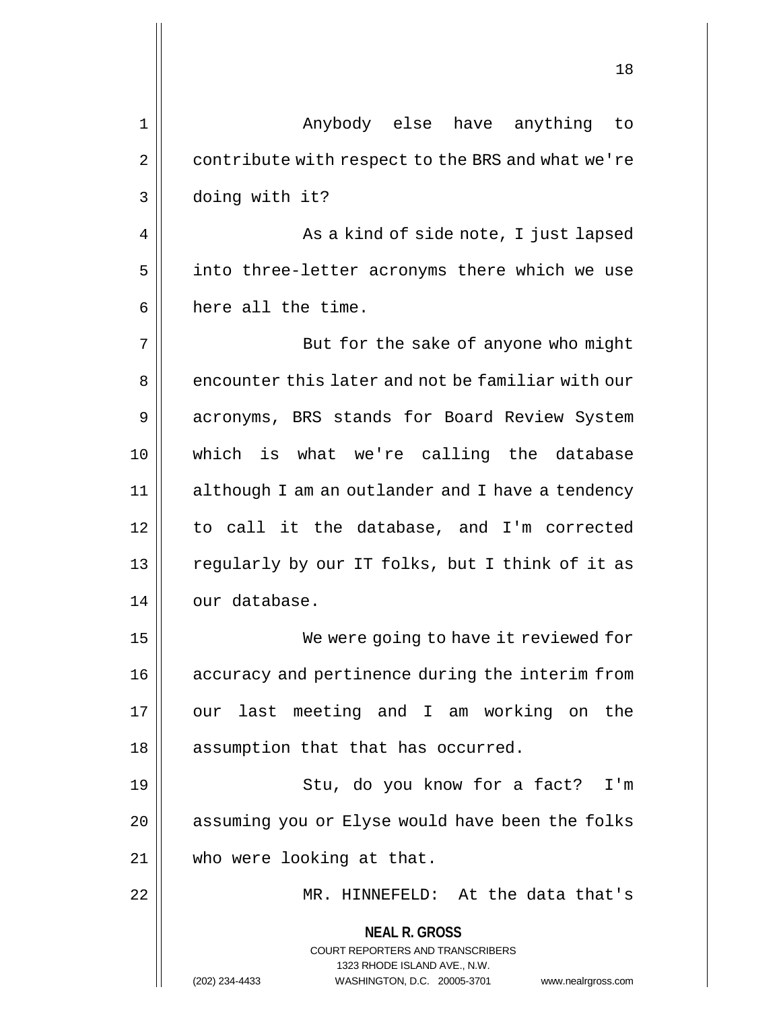|                | ⊥∪                                                                                                                                                                     |
|----------------|------------------------------------------------------------------------------------------------------------------------------------------------------------------------|
| $\mathbf 1$    | Anybody else have anything to                                                                                                                                          |
| $\overline{2}$ | contribute with respect to the BRS and what we're                                                                                                                      |
| 3              | doing with it?                                                                                                                                                         |
| 4              | As a kind of side note, I just lapsed                                                                                                                                  |
| 5              | into three-letter acronyms there which we use                                                                                                                          |
| 6              | here all the time.                                                                                                                                                     |
| 7              | But for the sake of anyone who might                                                                                                                                   |
| 8              | encounter this later and not be familiar with our                                                                                                                      |
| 9              | acronyms, BRS stands for Board Review System                                                                                                                           |
| 10             | which is what we're calling the database                                                                                                                               |
| 11             | although I am an outlander and I have a tendency                                                                                                                       |
| 12             | to call it the database, and I'm corrected                                                                                                                             |
| 13             | regularly by our IT folks, but I think of it as                                                                                                                        |
| 14             | our database.                                                                                                                                                          |
| 15             | We were going to have it reviewed for                                                                                                                                  |
| 16             | accuracy and pertinence during the interim from                                                                                                                        |
| 17             | our last meeting and I am working on the                                                                                                                               |
| 18             | assumption that that has occurred.                                                                                                                                     |
| 19             | Stu, do you know for a fact?<br>I'm                                                                                                                                    |
| 20             | assuming you or Elyse would have been the folks                                                                                                                        |
| 21             | who were looking at that.                                                                                                                                              |
| 22             | MR. HINNEFELD: At the data that's                                                                                                                                      |
|                | <b>NEAL R. GROSS</b><br><b>COURT REPORTERS AND TRANSCRIBERS</b><br>1323 RHODE ISLAND AVE., N.W.<br>(202) 234-4433<br>WASHINGTON, D.C. 20005-3701<br>www.nealrgross.com |

 $\mathsf{I}$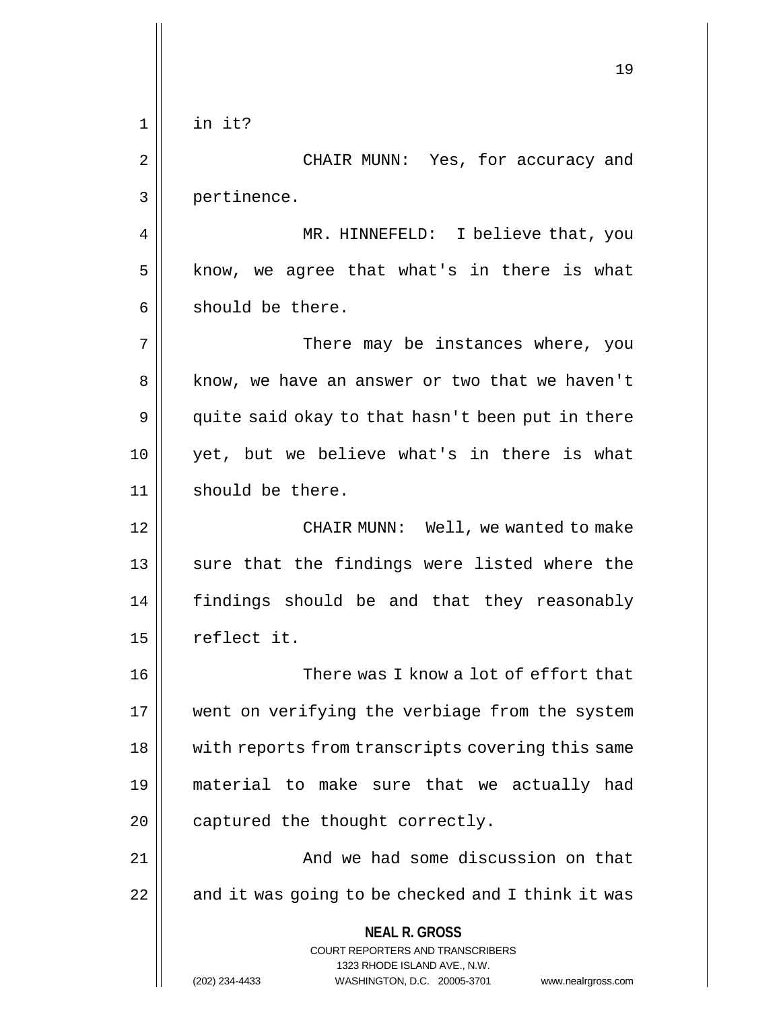| $\mathbf 1$<br>in it?<br>2<br>CHAIR MUNN: Yes, for accuracy and<br>3<br>pertinence.<br>MR. HINNEFELD: I believe that, you<br>4<br>know, we agree that what's in there is what<br>5<br>should be there.<br>6<br>7<br>There may be instances where, you<br>8<br>know, we have an answer or two that we haven't<br>quite said okay to that hasn't been put in there<br>9<br>yet, but we believe what's in there is what<br>10 |    |
|----------------------------------------------------------------------------------------------------------------------------------------------------------------------------------------------------------------------------------------------------------------------------------------------------------------------------------------------------------------------------------------------------------------------------|----|
|                                                                                                                                                                                                                                                                                                                                                                                                                            | 19 |
|                                                                                                                                                                                                                                                                                                                                                                                                                            |    |
|                                                                                                                                                                                                                                                                                                                                                                                                                            |    |
|                                                                                                                                                                                                                                                                                                                                                                                                                            |    |
|                                                                                                                                                                                                                                                                                                                                                                                                                            |    |
|                                                                                                                                                                                                                                                                                                                                                                                                                            |    |
|                                                                                                                                                                                                                                                                                                                                                                                                                            |    |
|                                                                                                                                                                                                                                                                                                                                                                                                                            |    |
|                                                                                                                                                                                                                                                                                                                                                                                                                            |    |
|                                                                                                                                                                                                                                                                                                                                                                                                                            |    |
|                                                                                                                                                                                                                                                                                                                                                                                                                            |    |
| 11<br>should be there.                                                                                                                                                                                                                                                                                                                                                                                                     |    |
| CHAIR MUNN: Well, we wanted to make<br>12                                                                                                                                                                                                                                                                                                                                                                                  |    |
| sure that the findings were listed where the<br>13                                                                                                                                                                                                                                                                                                                                                                         |    |
| findings should be and that they reasonably<br>14                                                                                                                                                                                                                                                                                                                                                                          |    |
| reflect it.<br>15                                                                                                                                                                                                                                                                                                                                                                                                          |    |
| There was I know a lot of effort that<br>16                                                                                                                                                                                                                                                                                                                                                                                |    |
| went on verifying the verbiage from the system<br>17                                                                                                                                                                                                                                                                                                                                                                       |    |
| with reports from transcripts covering this same<br>18                                                                                                                                                                                                                                                                                                                                                                     |    |
| material to make sure that we actually had<br>19                                                                                                                                                                                                                                                                                                                                                                           |    |
| captured the thought correctly.<br>20                                                                                                                                                                                                                                                                                                                                                                                      |    |
| And we had some discussion on that<br>21                                                                                                                                                                                                                                                                                                                                                                                   |    |
| 22<br>and it was going to be checked and I think it was                                                                                                                                                                                                                                                                                                                                                                    |    |
| <b>NEAL R. GROSS</b><br>COURT REPORTERS AND TRANSCRIBERS<br>1323 RHODE ISLAND AVE., N.W.<br>WASHINGTON, D.C. 20005-3701<br>(202) 234-4433<br>www.nealrgross.com                                                                                                                                                                                                                                                            |    |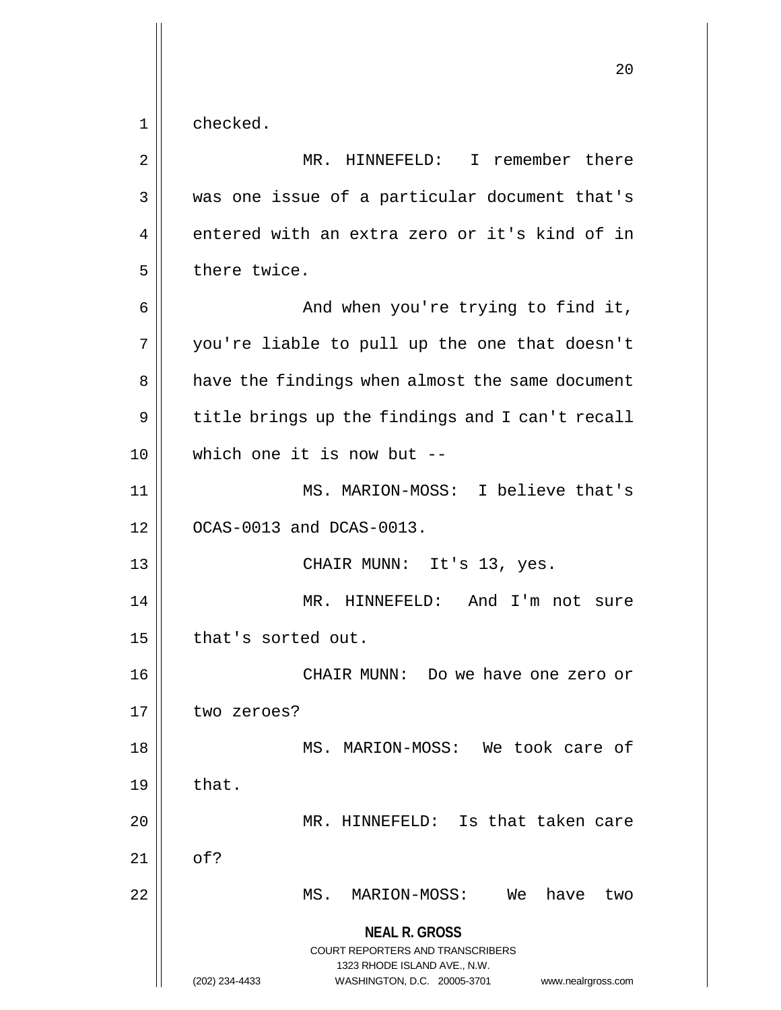**NEAL R. GROSS** COURT REPORTERS AND TRANSCRIBERS 1323 RHODE ISLAND AVE., N.W. (202) 234-4433 WASHINGTON, D.C. 20005-3701 www.nealrgross.com 1 checked. 2 MR. HINNEFELD: I remember there 3 || was one issue of a particular document that's  $4 \parallel$  entered with an extra zero or it's kind of in  $5$  | there twice.  $6 \parallel$  and when you're trying to find it, 7 you're liable to pull up the one that doesn't 8 | have the findings when almost the same document  $9 \parallel$  title brings up the findings and I can't recall 10 which one it is now but -- 11 || MS. MARION-MOSS: I believe that's  $12$  |  $OCAS-0013$  and  $DCAS-0013$ . 13 CHAIR MUNN: It's 13, yes. 14 MR. HINNEFELD: And I'm not sure 15 | that's sorted out. 16 CHAIR MUNN: Do we have one zero or 17 | two zeroes? 18 || MS. MARION-MOSS: We took care of  $19 \parallel$  that. 20 MR. HINNEFELD: Is that taken care  $21 \parallel$  of? 22 MS. MARION-MOSS: We have two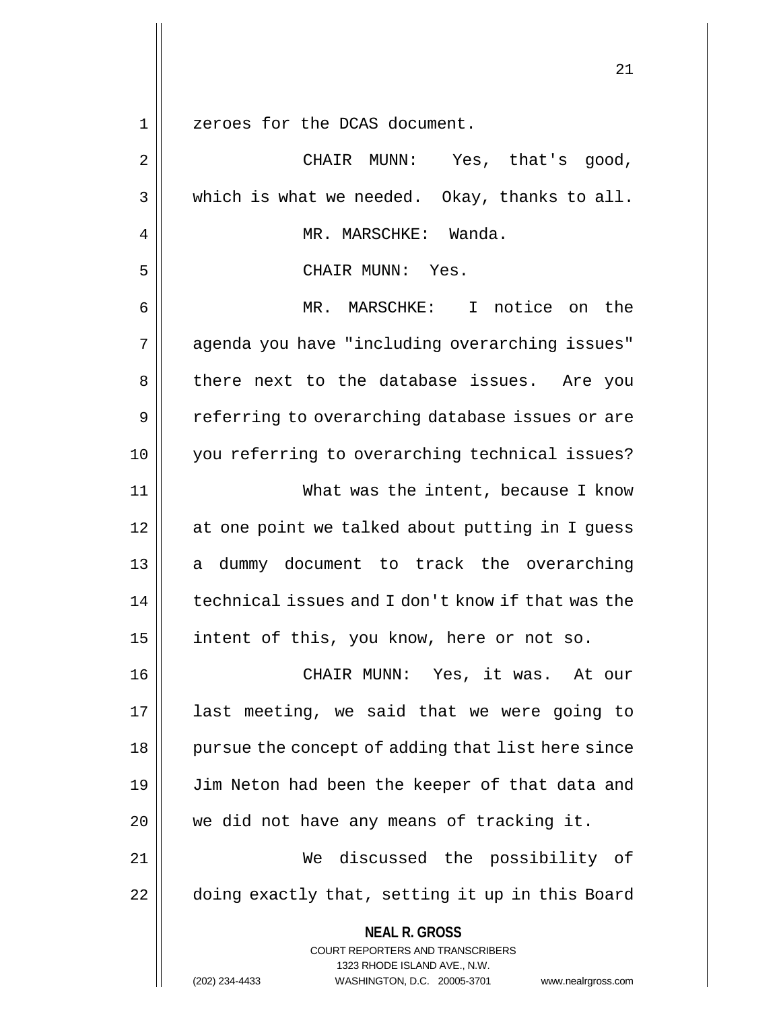1 zeroes for the DCAS document.

**NEAL R. GROSS** COURT REPORTERS AND TRANSCRIBERS 1323 RHODE ISLAND AVE., N.W. (202) 234-4433 WASHINGTON, D.C. 20005-3701 www.nealrgross.com 2 CHAIR MUNN: Yes, that's good,  $3 \parallel$  which is what we needed. Okay, thanks to all. 4 MR. MARSCHKE: Wanda. 5 CHAIR MUNN: Yes. 6 MR. MARSCHKE: I notice on the 7 || agenda you have "including overarching issues" 8 there next to the database issues. Are you 9 || referring to overarching database issues or are 10 you referring to overarching technical issues? 11 What was the intent, because I know 12 at one point we talked about putting in I guess 13 || a dummy document to track the overarching 14 technical issues and I don't know if that was the 15 || intent of this, you know, here or not so. 16 CHAIR MUNN: Yes, it was. At our 17 last meeting, we said that we were going to 18 || pursue the concept of adding that list here since 19 || Jim Neton had been the keeper of that data and 20 || we did not have any means of tracking it. 21 We discussed the possibility of 22 | doing exactly that, setting it up in this Board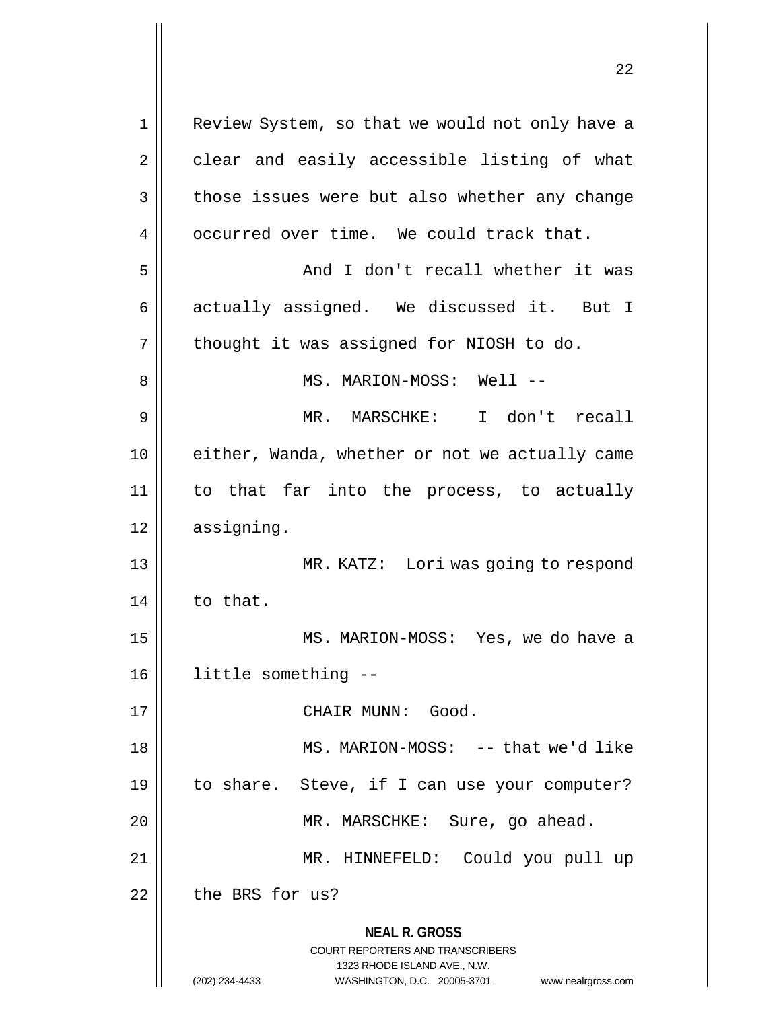**NEAL R. GROSS** COURT REPORTERS AND TRANSCRIBERS 1323 RHODE ISLAND AVE., N.W. (202) 234-4433 WASHINGTON, D.C. 20005-3701 www.nealrgross.com 1 || Review System, so that we would not only have a 2 | clear and easily accessible listing of what 3 | those issues were but also whether any change 4 | occurred over time. We could track that. 5 And I don't recall whether it was 6 || actually assigned. We discussed it. But I  $7 \parallel$  thought it was assigned for NIOSH to do. 8 MS. MARION-MOSS: Well -- 9 MR. MARSCHKE: I don't recall 10 || either, Wanda, whether or not we actually came 11 to that far into the process, to actually 12 | assigning. 13 || MR. KATZ: Lori was going to respond  $14$  to that. 15 MS. MARION-MOSS: Yes, we do have a 16 little something -- 17 CHAIR MUNN: Good. 18 || MS. MARION-MOSS: -- that we'd like 19 to share. Steve, if I can use your computer? 20 | MR. MARSCHKE: Sure, go ahead. 21 MR. HINNEFELD: Could you pull up  $22$   $\parallel$  the BRS for us?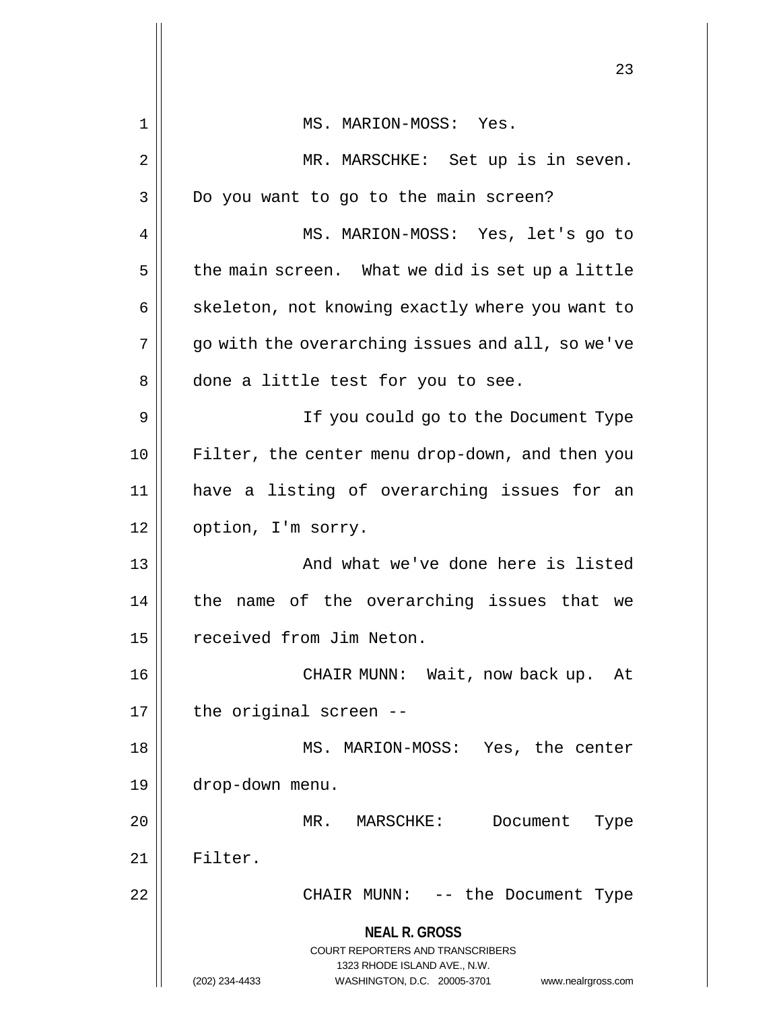|    | 23                                                                  |
|----|---------------------------------------------------------------------|
| 1  | MS. MARION-MOSS: Yes.                                               |
| 2  | MR. MARSCHKE: Set up is in seven.                                   |
| 3  | Do you want to go to the main screen?                               |
| 4  | MS. MARION-MOSS: Yes, let's go to                                   |
| 5  | the main screen. What we did is set up a little                     |
| 6  | skeleton, not knowing exactly where you want to                     |
| 7  | go with the overarching issues and all, so we've                    |
| 8  | done a little test for you to see.                                  |
| 9  | If you could go to the Document Type                                |
| 10 | Filter, the center menu drop-down, and then you                     |
| 11 | have a listing of overarching issues for an                         |
| 12 | option, I'm sorry.                                                  |
| 13 | And what we've done here is listed                                  |
| 14 | the name of the overarching issues that we                          |
| 15 | received from Jim Neton.                                            |
| 16 | CHAIR MUNN: Wait, now back up.<br>At                                |
| 17 | the original screen --                                              |
| 18 | MS. MARION-MOSS: Yes, the center                                    |
| 19 | drop-down menu.                                                     |
| 20 | MR.<br>MARSCHKE:<br>Document<br>Type                                |
| 21 | Filter.                                                             |
| 22 | CHAIR MUNN: -- the Document Type                                    |
|    | <b>NEAL R. GROSS</b>                                                |
|    | COURT REPORTERS AND TRANSCRIBERS<br>1323 RHODE ISLAND AVE., N.W.    |
|    | WASHINGTON, D.C. 20005-3701<br>(202) 234-4433<br>www.nealrgross.com |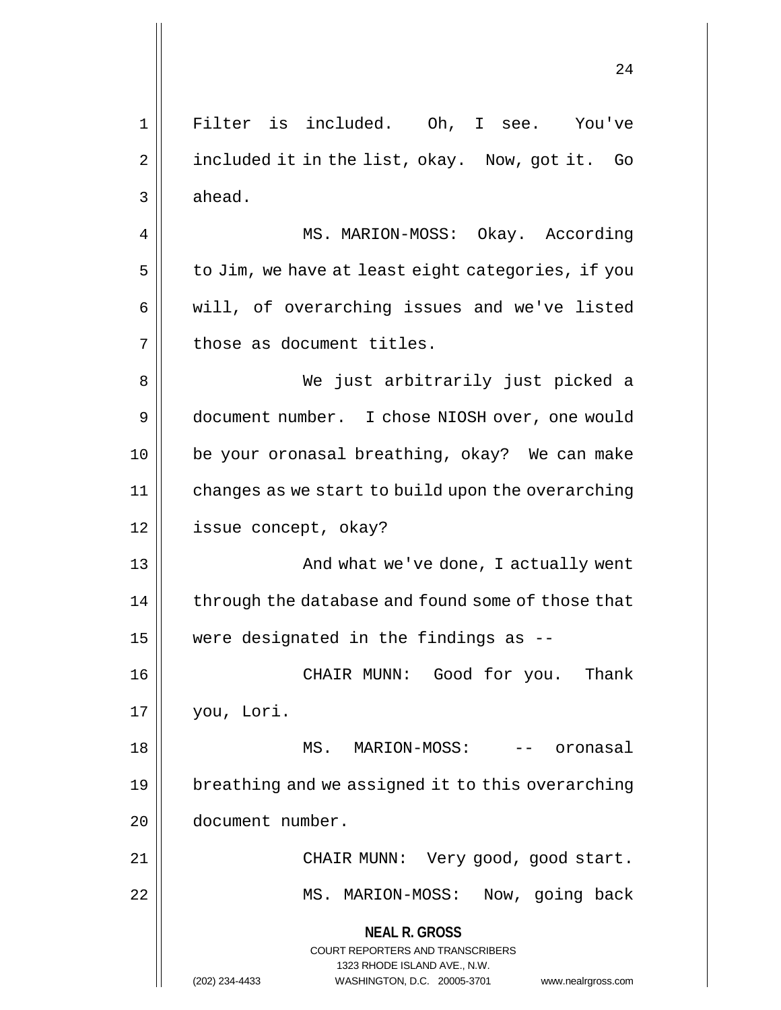**NEAL R. GROSS** COURT REPORTERS AND TRANSCRIBERS 1323 RHODE ISLAND AVE., N.W. (202) 234-4433 WASHINGTON, D.C. 20005-3701 www.nealrgross.com 24 1 Filter is included. Oh, I see. You've 2 | included it in the list, okay. Now, got it. Go  $3 \parallel$  ahead. 4 | MS. MARION-MOSS: Okay. According  $5 \parallel$  to Jim, we have at least eight categories, if you  $6 \parallel$  will, of overarching issues and we've listed  $7$  | those as document titles. 8 We just arbitrarily just picked a 9 document number. I chose NIOSH over, one would 10 be your oronasal breathing, okay? We can make 11 | changes as we start to build upon the overarching 12 | issue concept, okay? 13 || And what we've done, I actually went  $14$  | through the database and found some of those that 15 were designated in the findings as -- 16 CHAIR MUNN: Good for you. Thank 17 you, Lori. 18 MS. MARION-MOSS: -- oronasal 19 | breathing and we assigned it to this overarching 20 document number. 21 CHAIR MUNN: Very good, good start. 22 || MS. MARION-MOSS: Now, going back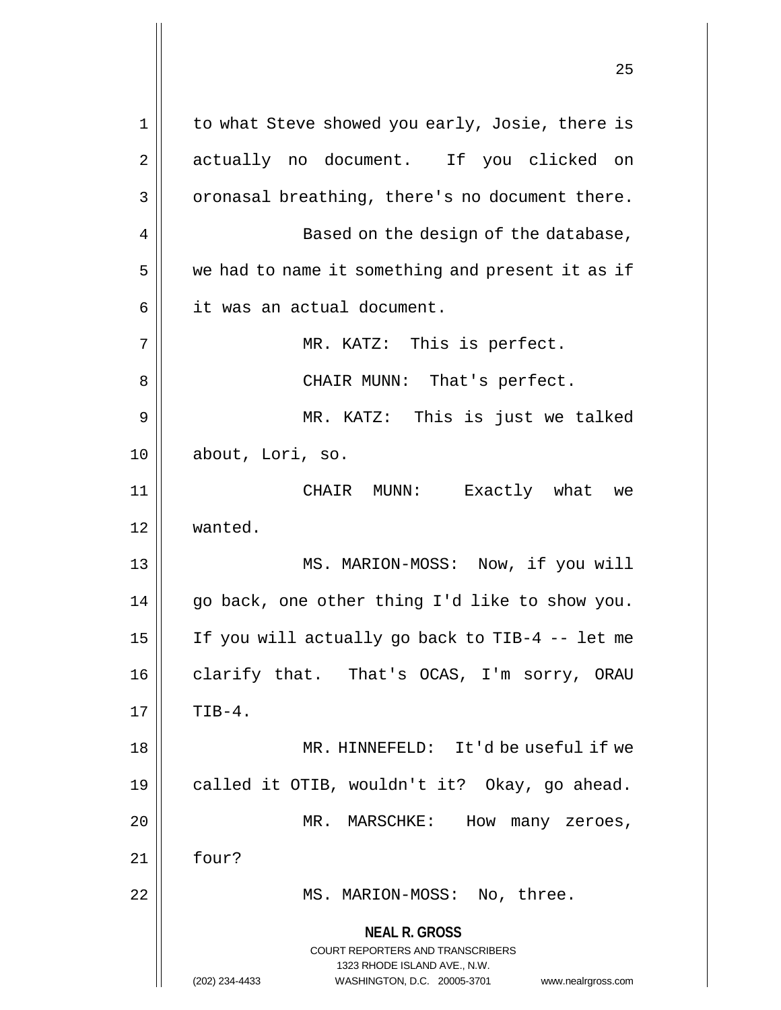**NEAL R. GROSS** COURT REPORTERS AND TRANSCRIBERS 1323 RHODE ISLAND AVE., N.W. (202) 234-4433 WASHINGTON, D.C. 20005-3701 www.nealrgross.com 1 || to what Steve showed you early, Josie, there is 2 || actually no document. If you clicked on  $3 \parallel$  oronasal breathing, there's no document there. 4 || Based on the design of the database, 5 | we had to name it something and present it as if 6 | it was an actual document. 7 || MR. KATZ: This is perfect. 8 CHAIR MUNN: That's perfect. 9 MR. KATZ: This is just we talked 10 about, Lori, so. 11 CHAIR MUNN: Exactly what we 12 wanted. 13 || MS. MARION-MOSS: Now, if you will 14 go back, one other thing I'd like to show you. 15 If you will actually go back to TIB-4 -- let me 16 || clarify that. That's OCAS, I'm sorry, ORAU  $17 \parallel$  TIB-4. 18 MR. HINNEFELD: It'd be useful if we 19 called it OTIB, wouldn't it? Okay, go ahead. 20 || MR. MARSCHKE: How many zeroes,  $21$  | four? 22 || MS. MARION-MOSS: No, three.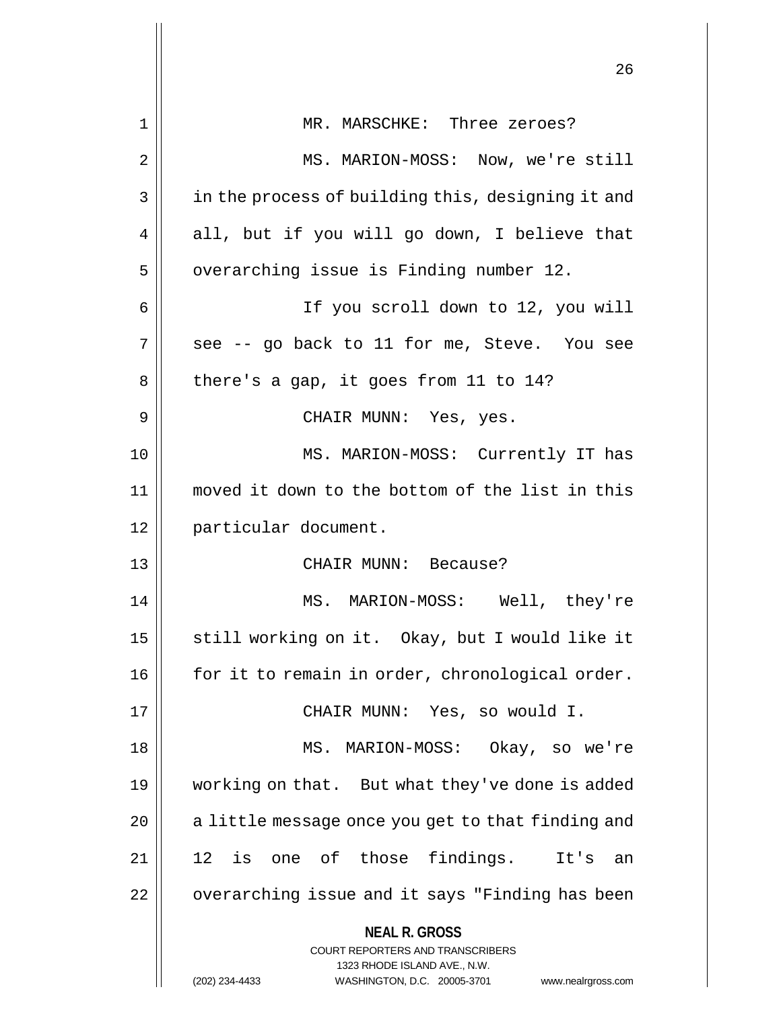|    | 26                                                                                                                                                                  |
|----|---------------------------------------------------------------------------------------------------------------------------------------------------------------------|
|    |                                                                                                                                                                     |
| 1  | MR. MARSCHKE: Three zeroes?                                                                                                                                         |
| 2  | MS. MARION-MOSS: Now, we're still                                                                                                                                   |
| 3  | in the process of building this, designing it and                                                                                                                   |
| 4  | all, but if you will go down, I believe that                                                                                                                        |
| 5  | overarching issue is Finding number 12.                                                                                                                             |
| 6  | If you scroll down to 12, you will                                                                                                                                  |
| 7  | see -- go back to 11 for me, Steve. You see                                                                                                                         |
| 8  | there's a gap, it goes from 11 to 14?                                                                                                                               |
| 9  | CHAIR MUNN: Yes, yes.                                                                                                                                               |
| 10 | MS. MARION-MOSS: Currently IT has                                                                                                                                   |
| 11 | moved it down to the bottom of the list in this                                                                                                                     |
| 12 | particular document.                                                                                                                                                |
| 13 | CHAIR MUNN: Because?                                                                                                                                                |
| 14 | MS. MARION-MOSS: Well, they're                                                                                                                                      |
| 15 | still working on it. Okay, but I would like it                                                                                                                      |
| 16 | for it to remain in order, chronological order.                                                                                                                     |
| 17 | CHAIR MUNN: Yes, so would I.                                                                                                                                        |
| 18 | MS. MARION-MOSS: Okay, so we're                                                                                                                                     |
| 19 | working on that. But what they've done is added                                                                                                                     |
| 20 | a little message once you get to that finding and                                                                                                                   |
| 21 | 12 is one of those findings. It's<br>an                                                                                                                             |
| 22 | overarching issue and it says "Finding has been                                                                                                                     |
|    | <b>NEAL R. GROSS</b><br><b>COURT REPORTERS AND TRANSCRIBERS</b><br>1323 RHODE ISLAND AVE., N.W.<br>(202) 234-4433<br>WASHINGTON, D.C. 20005-3701 www.nealrgross.com |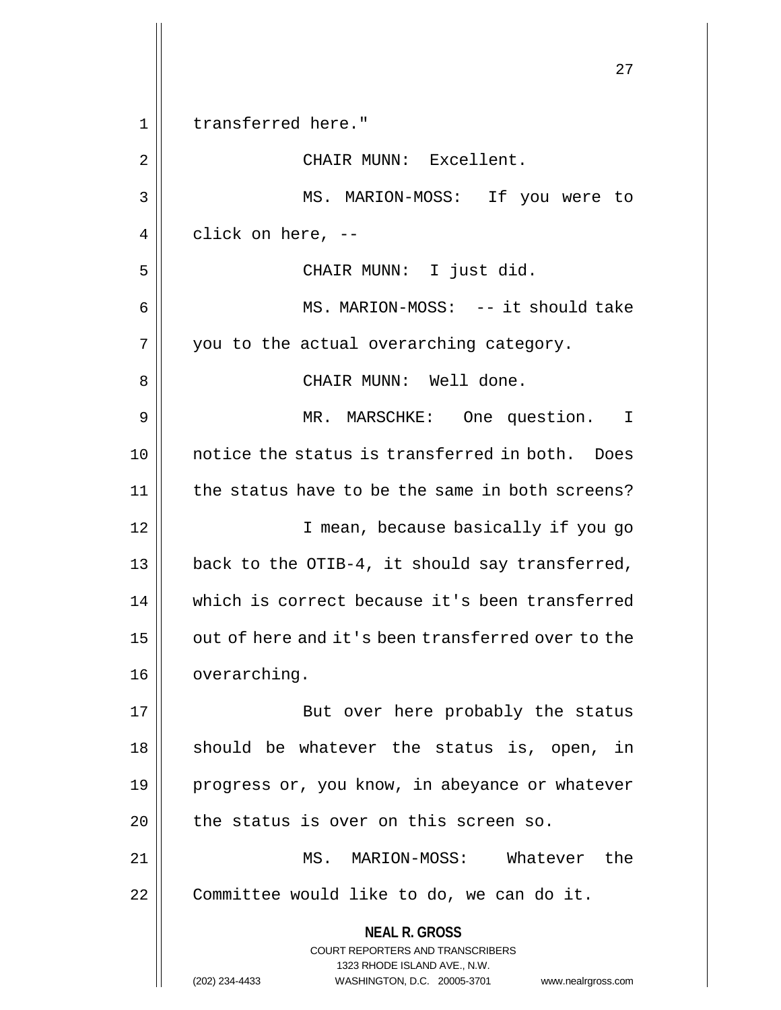**NEAL R. GROSS** COURT REPORTERS AND TRANSCRIBERS 1323 RHODE ISLAND AVE., N.W. (202) 234-4433 WASHINGTON, D.C. 20005-3701 www.nealrgross.com 27 1 || transferred here." 2 | CHAIR MUNN: Excellent. 3 MS. MARION-MOSS: If you were to  $4 \parallel$  click on here, --5 CHAIR MUNN: I just did. 6 || MS. MARION-MOSS: -- it should take  $7 \parallel$  you to the actual overarching category. 8 CHAIR MUNN: Well done. 9 MR. MARSCHKE: One question. I 10 notice the status is transferred in both. Does 11 || the status have to be the same in both screens? 12 || I mean, because basically if you go 13  $\vert$  back to the OTIB-4, it should say transferred, 14 which is correct because it's been transferred  $15$  | out of here and it's been transferred over to the 16 | overarching. 17 || But over here probably the status  $18$  should be whatever the status is, open, in 19 || progress or, you know, in abeyance or whatever  $20$  || the status is over on this screen so. 21 MS. MARION-MOSS: Whatever the  $22$  | Committee would like to do, we can do it.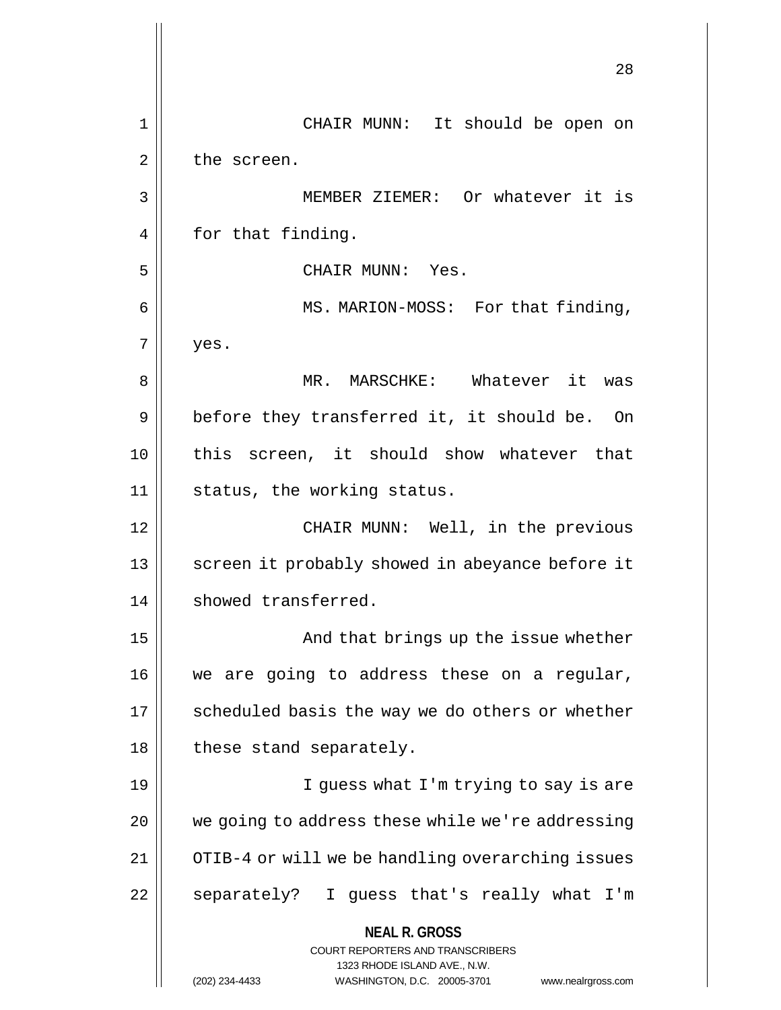**NEAL R. GROSS** COURT REPORTERS AND TRANSCRIBERS 1323 RHODE ISLAND AVE., N.W. (202) 234-4433 WASHINGTON, D.C. 20005-3701 www.nealrgross.com 28 1 CHAIR MUNN: It should be open on  $2 \parallel$  the screen. 3 MEMBER ZIEMER: Or whatever it is 4 | for that finding. 5 CHAIR MUNN: Yes. 6 || MS. MARION-MOSS: For that finding,  $7 \parallel$  yes. 8 MR. MARSCHKE: Whatever it was  $9 \parallel$  before they transferred it, it should be. On 10 || this screen, it should show whatever that 11 || status, the working status. 12 CHAIR MUNN: Well, in the previous 13 || screen it probably showed in abeyance before it 14 showed transferred. 15 And that brings up the issue whether 16 || we are going to address these on a regular, 17 || scheduled basis the way we do others or whether 18 | these stand separately. 19 || I guess what I'm trying to say is are  $20$  | we going to address these while we're addressing 21 | OTIB-4 or will we be handling overarching issues 22 || separately? I guess that's really what I'm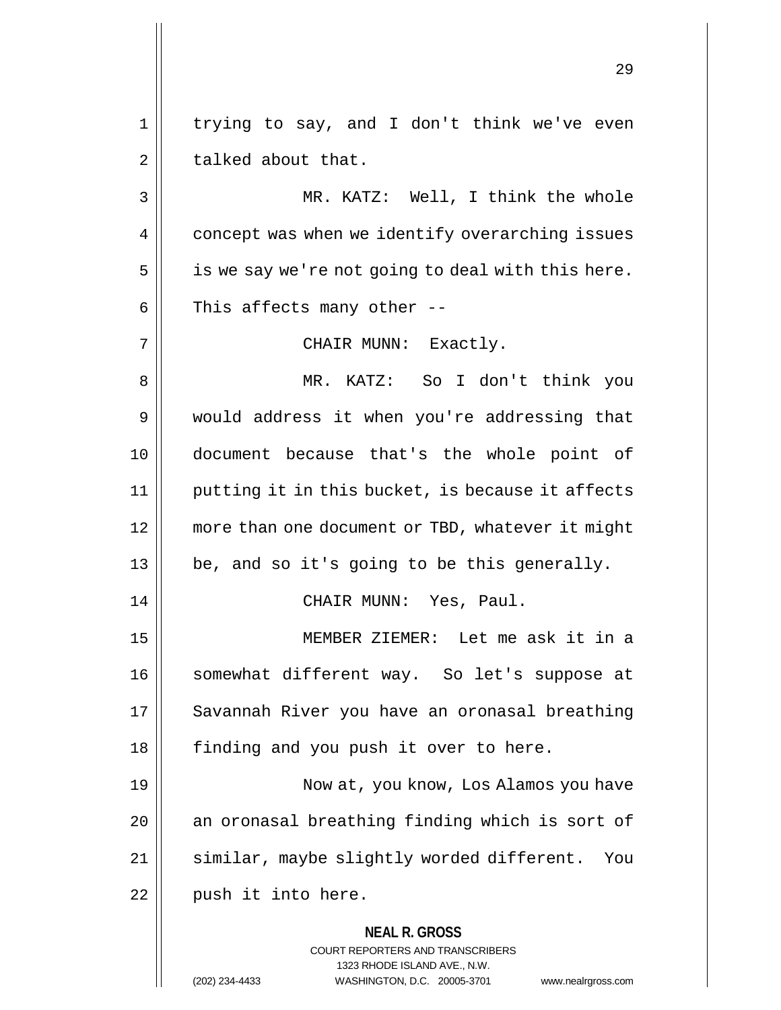1 || trying to say, and I don't think we've even  $2 \parallel$  talked about that.

3 MR. KATZ: Well, I think the whole 4 | concept was when we identify overarching issues  $5 \parallel$  is we say we're not going to deal with this here.  $6 \parallel$  This affects many other --

7 || CHAIR MUNN: Exactly.

**NEAL R. GROSS** 8 MR. KATZ: So I don't think you 9 would address it when you're addressing that 10 document because that's the whole point of 11 putting it in this bucket, is because it affects 12 more than one document or TBD, whatever it might 13 be, and so it's going to be this generally. 14 CHAIR MUNN: Yes, Paul. 15 MEMBER ZIEMER: Let me ask it in a 16 || somewhat different way. So let's suppose at 17 || Savannah River you have an oronasal breathing 18 || finding and you push it over to here. 19 Now at, you know, Los Alamos you have  $20$  | an oronasal breathing finding which is sort of 21 | similar, maybe slightly worded different. You  $22$  | push it into here.

> COURT REPORTERS AND TRANSCRIBERS 1323 RHODE ISLAND AVE., N.W.

(202) 234-4433 WASHINGTON, D.C. 20005-3701 www.nealrgross.com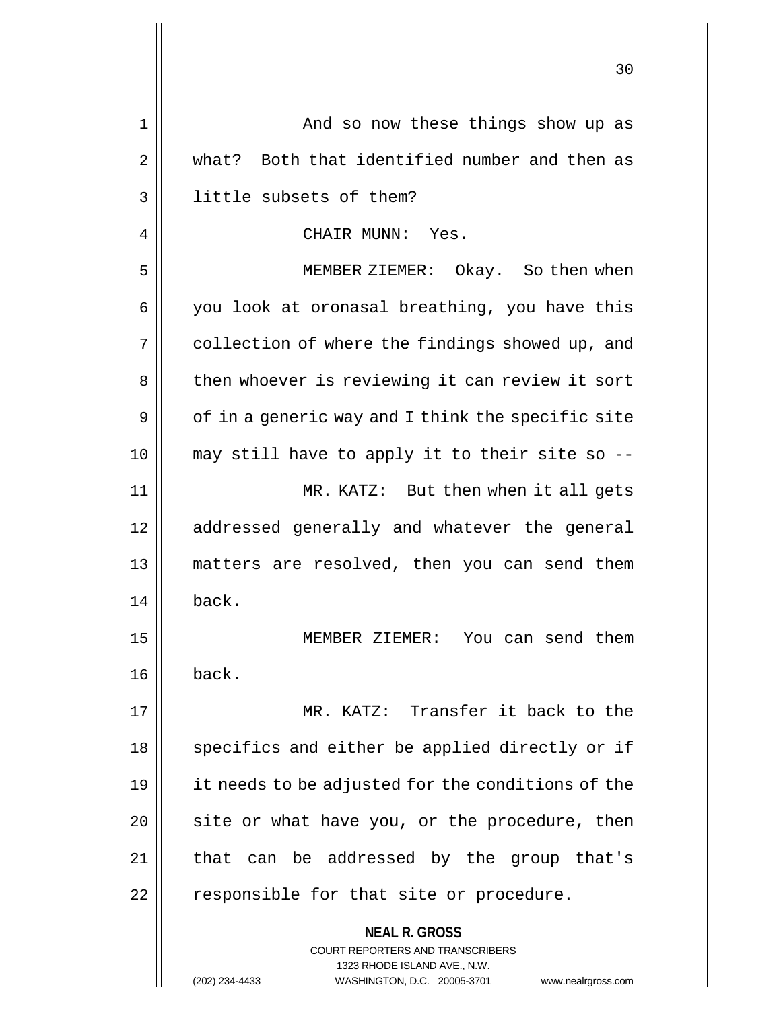|    | 30                                                                                                  |
|----|-----------------------------------------------------------------------------------------------------|
| 1  | And so now these things show up as                                                                  |
| 2  | what? Both that identified number and then as                                                       |
| 3  | little subsets of them?                                                                             |
| 4  | CHAIR MUNN: Yes.                                                                                    |
| 5  | MEMBER ZIEMER: Okay. So then when                                                                   |
| 6  | you look at oronasal breathing, you have this                                                       |
| 7  | collection of where the findings showed up, and                                                     |
| 8  | then whoever is reviewing it can review it sort                                                     |
| 9  | of in a generic way and I think the specific site                                                   |
| 10 | may still have to apply it to their site so --                                                      |
| 11 | MR. KATZ: But then when it all gets                                                                 |
| 12 | addressed generally and whatever the general                                                        |
| 13 | matters are resolved, then you can send them                                                        |
| 14 | back.                                                                                               |
| 15 | You can send them<br>MEMBER ZIEMER:                                                                 |
| 16 | back.                                                                                               |
| 17 | MR. KATZ: Transfer it back to the                                                                   |
| 18 | specifics and either be applied directly or if                                                      |
| 19 | it needs to be adjusted for the conditions of the                                                   |
| 20 | site or what have you, or the procedure, then                                                       |
| 21 | can be addressed by the group that's<br>that                                                        |
| 22 | responsible for that site or procedure.                                                             |
|    | <b>NEAL R. GROSS</b><br><b>COURT REPORTERS AND TRANSCRIBERS</b>                                     |
|    | 1323 RHODE ISLAND AVE., N.W.<br>(202) 234-4433<br>WASHINGTON, D.C. 20005-3701<br>www.nealrgross.com |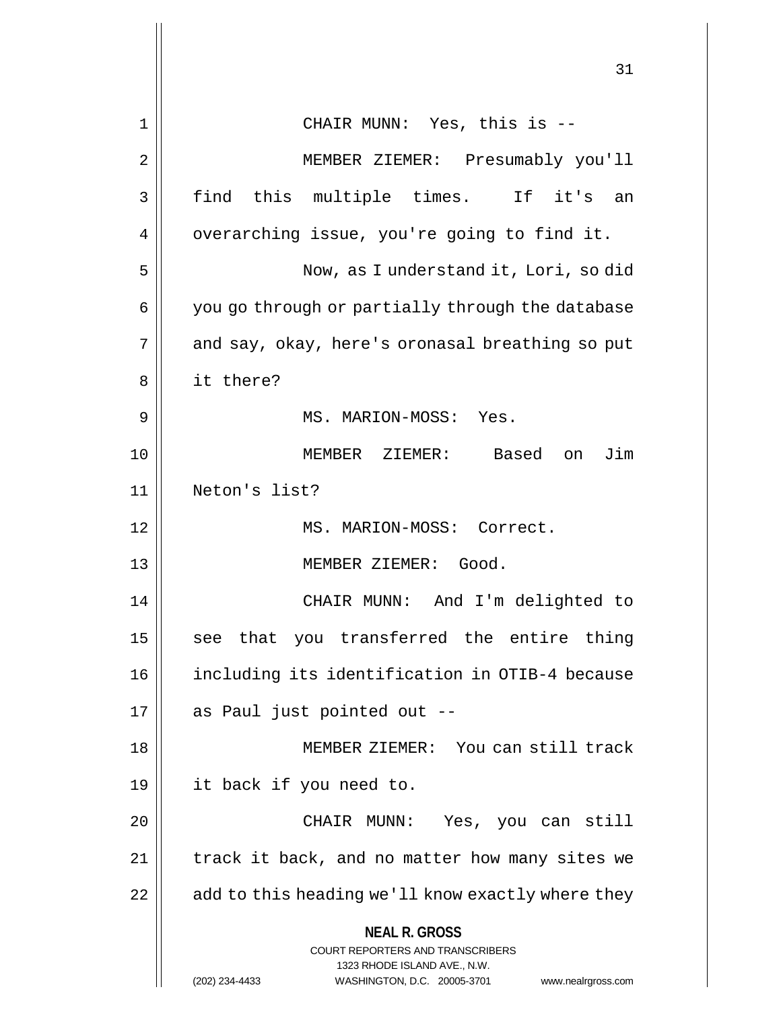|    | 31                                                                                                                                                                     |
|----|------------------------------------------------------------------------------------------------------------------------------------------------------------------------|
| 1  | CHAIR MUNN: Yes, this is --                                                                                                                                            |
| 2  | MEMBER ZIEMER: Presumably you'll                                                                                                                                       |
| 3  | find this multiple times. If it's an                                                                                                                                   |
| 4  | overarching issue, you're going to find it.                                                                                                                            |
| 5  | Now, as I understand it, Lori, so did                                                                                                                                  |
| 6  | you go through or partially through the database                                                                                                                       |
| 7  | and say, okay, here's oronasal breathing so put                                                                                                                        |
| 8  | it there?                                                                                                                                                              |
| 9  | MS. MARION-MOSS: Yes.                                                                                                                                                  |
| 10 | Based on Jim<br>MEMBER ZIEMER:                                                                                                                                         |
| 11 | Neton's list?                                                                                                                                                          |
| 12 | MS. MARION-MOSS: Correct.                                                                                                                                              |
| 13 | MEMBER ZIEMER: Good.                                                                                                                                                   |
| 14 | CHAIR MUNN: And I'm delighted to                                                                                                                                       |
| 15 | see that you transferred the entire thing                                                                                                                              |
| 16 | including its identification in OTIB-4 because                                                                                                                         |
| 17 | as Paul just pointed out --                                                                                                                                            |
| 18 | MEMBER ZIEMER: You can still track                                                                                                                                     |
| 19 | it back if you need to.                                                                                                                                                |
| 20 | CHAIR MUNN:<br>Yes, you can still                                                                                                                                      |
| 21 | track it back, and no matter how many sites we                                                                                                                         |
| 22 | add to this heading we'll know exactly where they                                                                                                                      |
|    | <b>NEAL R. GROSS</b><br><b>COURT REPORTERS AND TRANSCRIBERS</b><br>1323 RHODE ISLAND AVE., N.W.<br>(202) 234-4433<br>WASHINGTON, D.C. 20005-3701<br>www.nealrgross.com |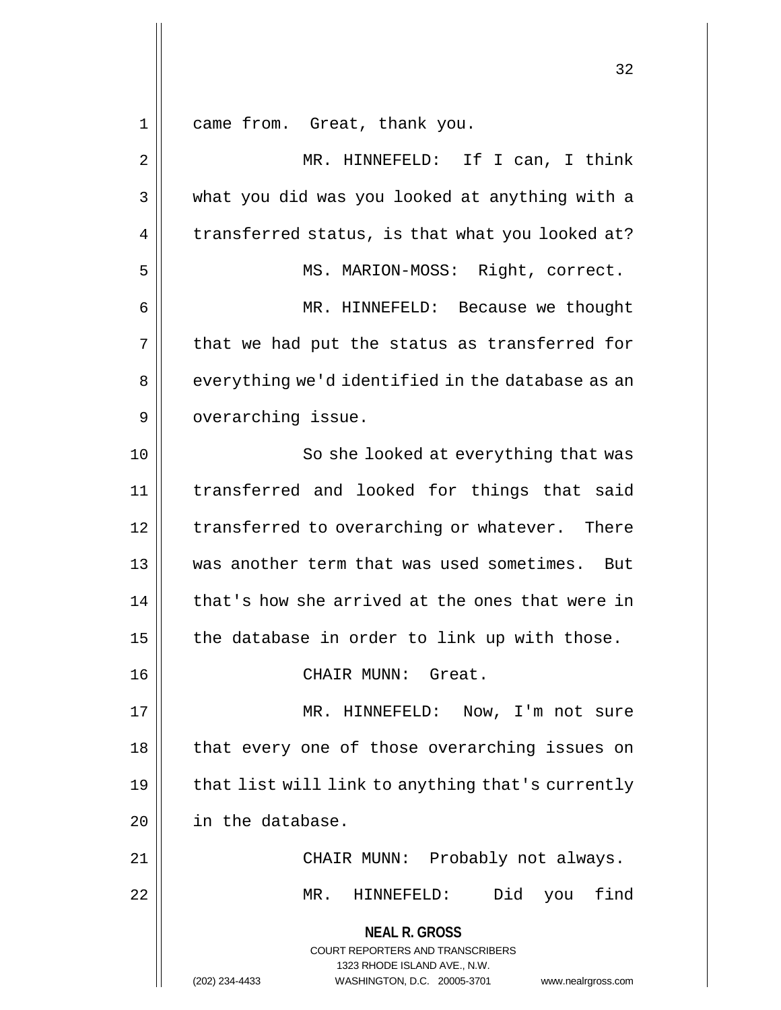1 came from. Great, thank you.

**NEAL R. GROSS** COURT REPORTERS AND TRANSCRIBERS 1323 RHODE ISLAND AVE., N.W. (202) 234-4433 WASHINGTON, D.C. 20005-3701 www.nealrgross.com 2 MR. HINNEFELD: If I can, I think  $3 \parallel$  what you did was you looked at anything with a  $4 \parallel$  transferred status, is that what you looked at? 5 || MS. MARION-MOSS: Right, correct. 6 MR. HINNEFELD: Because we thought  $7 \parallel$  that we had put the status as transferred for 8 || everything we'd identified in the database as an 9 | overarching issue. 10 || So she looked at everything that was 11 transferred and looked for things that said 12 | transferred to overarching or whatever. There 13 was another term that was used sometimes. But  $14$   $\parallel$  that's how she arrived at the ones that were in 15  $\parallel$  the database in order to link up with those. 16 CHAIR MUNN: Great. 17 || MR. HINNEFELD: Now, I'm not sure 18 || that every one of those overarching issues on  $19$  | that list will link to anything that's currently 20 | in the database. 21 CHAIR MUNN: Probably not always. 22 MR. HINNEFELD: Did you find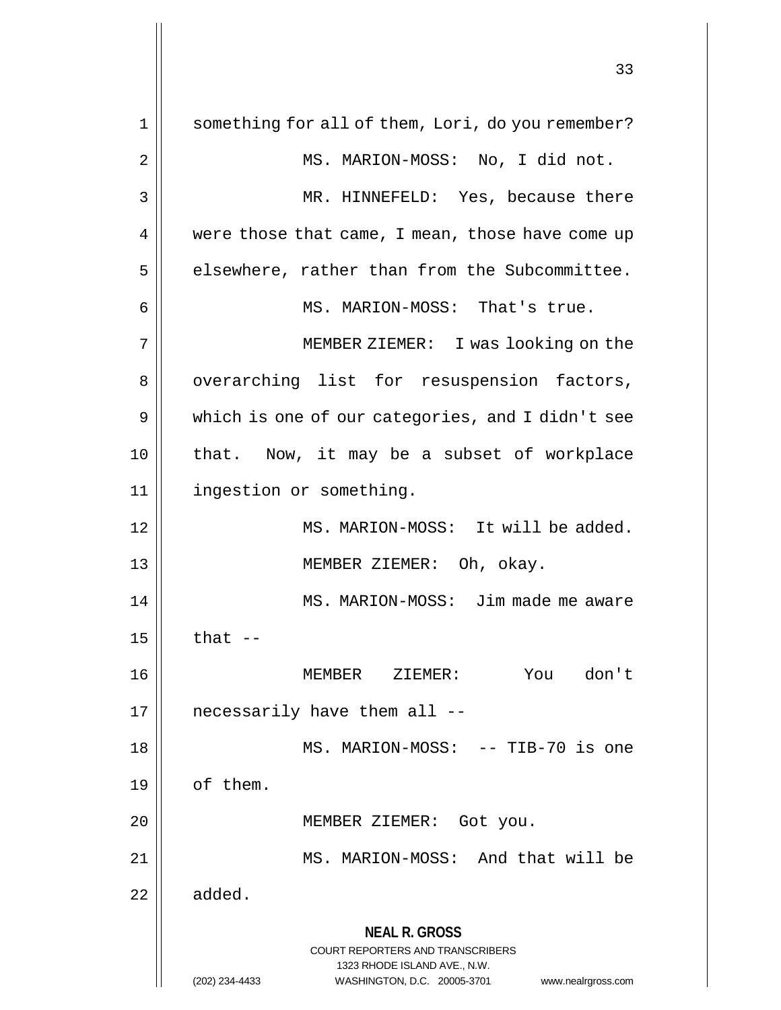**NEAL R. GROSS** COURT REPORTERS AND TRANSCRIBERS 1323 RHODE ISLAND AVE., N.W. (202) 234-4433 WASHINGTON, D.C. 20005-3701 www.nealrgross.com 1 || something for all of them, Lori, do you remember? 2 || MS. MARION-MOSS: No, I did not. 3 MR. HINNEFELD: Yes, because there 4 | were those that came, I mean, those have come up  $5$  | elsewhere, rather than from the Subcommittee. 6 || MS. MARION-MOSS: That's true. 7 MEMBER ZIEMER: I was looking on the 8 || overarching list for resuspension factors, 9 | which is one of our categories, and I didn't see 10 || that. Now, it may be a subset of workplace 11 | ingestion or something. 12 || MS. MARION-MOSS: It will be added. 13 MEMBER ZIEMER: Oh, okay. 14 MS. MARION-MOSS: Jim made me aware  $15$   $\parallel$  that  $-$ 16 MEMBER ZIEMER: You don't  $17 \parallel$  necessarily have them all  $-$ 18 || MS. MARION-MOSS: -- TIB-70 is one 19 | of them. 20 || MEMBER ZIEMER: Got you. 21 || MS. MARION-MOSS: And that will be  $22 \parallel$  added.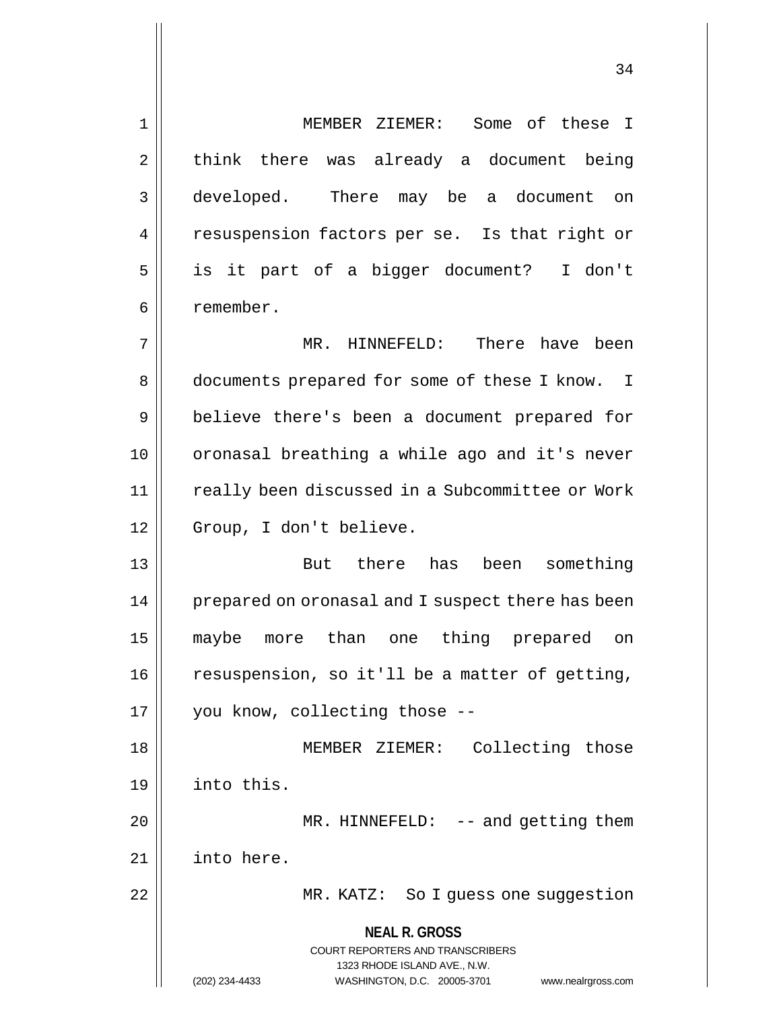**NEAL R. GROSS** COURT REPORTERS AND TRANSCRIBERS 1323 RHODE ISLAND AVE., N.W. 1 MEMBER ZIEMER: Some of these I  $2 \parallel$  think there was already a document being 3 developed. There may be a document on 4 || resuspension factors per se. Is that right or 5 is it part of a bigger document? I don't 6 | remember. 7 MR. HINNEFELD: There have been 8 | documents prepared for some of these I know. I 9 || believe there's been a document prepared for 10 || oronasal breathing a while ago and it's never 11 | really been discussed in a Subcommittee or Work 12 || Group, I don't believe. 13 But there has been something 14 || prepared on oronasal and I suspect there has been 15 maybe more than one thing prepared on 16 | resuspension, so it'll be a matter of getting, 17 || you know, collecting those --18 || MEMBER ZIEMER: Collecting those 19 into this. 20 || MR. HINNEFELD: -- and getting them 21 into here. 22 MR. KATZ: So I guess one suggestion

(202) 234-4433 WASHINGTON, D.C. 20005-3701 www.nealrgross.com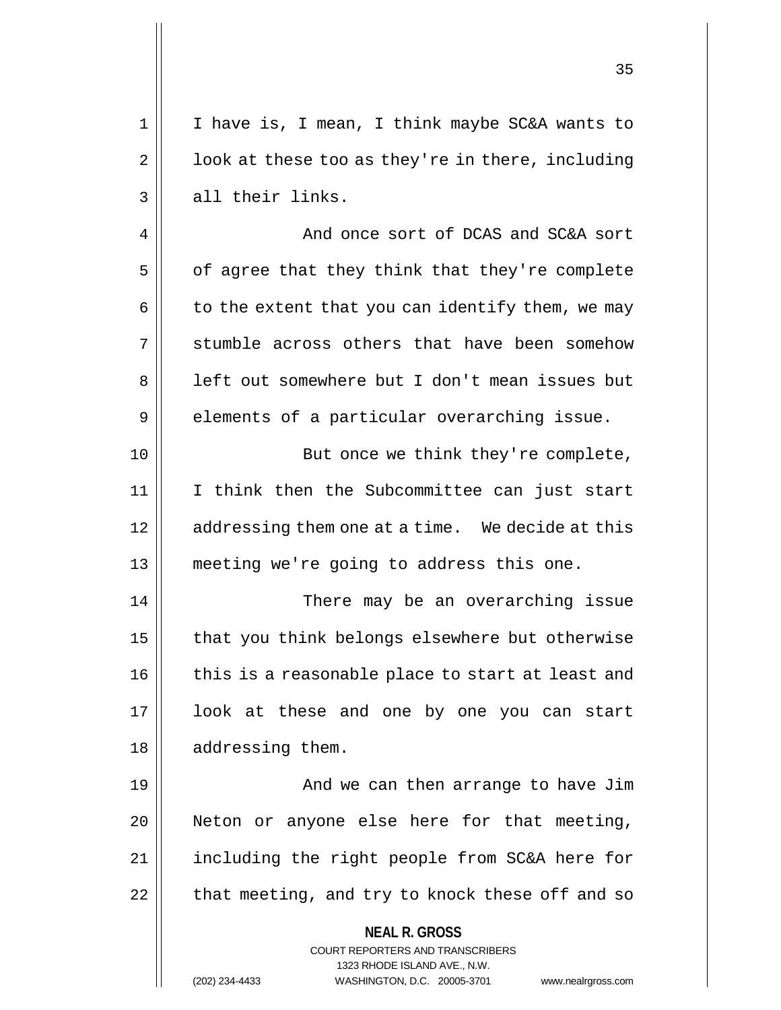1 || I have is, I mean, I think maybe SC&A wants to  $2 \parallel$  100k at these too as they're in there, including  $3 \parallel$  all their links.

4 And once sort of DCAS and SC&A sort  $5 \parallel$  of agree that they think that they're complete  $6 \parallel$  to the extent that you can identify them, we may 7 Stumble across others that have been somehow 8 || left out somewhere but I don't mean issues but 9 elements of a particular overarching issue.

10 || But once we think they're complete, 11 I think then the Subcommittee can just start 12 | addressing them one at a time. We decide at this 13 meeting we're going to address this one.

14 There may be an overarching issue  $15$  | that you think belongs elsewhere but otherwise  $16$  | this is a reasonable place to start at least and 17 look at these and one by one you can start 18 || addressing them.

19 || And we can then arrange to have Jim 20 || Neton or anyone else here for that meeting, 21 || including the right people from SC&A here for  $22$  | that meeting, and try to knock these off and so

**NEAL R. GROSS**

COURT REPORTERS AND TRANSCRIBERS 1323 RHODE ISLAND AVE., N.W. (202) 234-4433 WASHINGTON, D.C. 20005-3701 www.nealrgross.com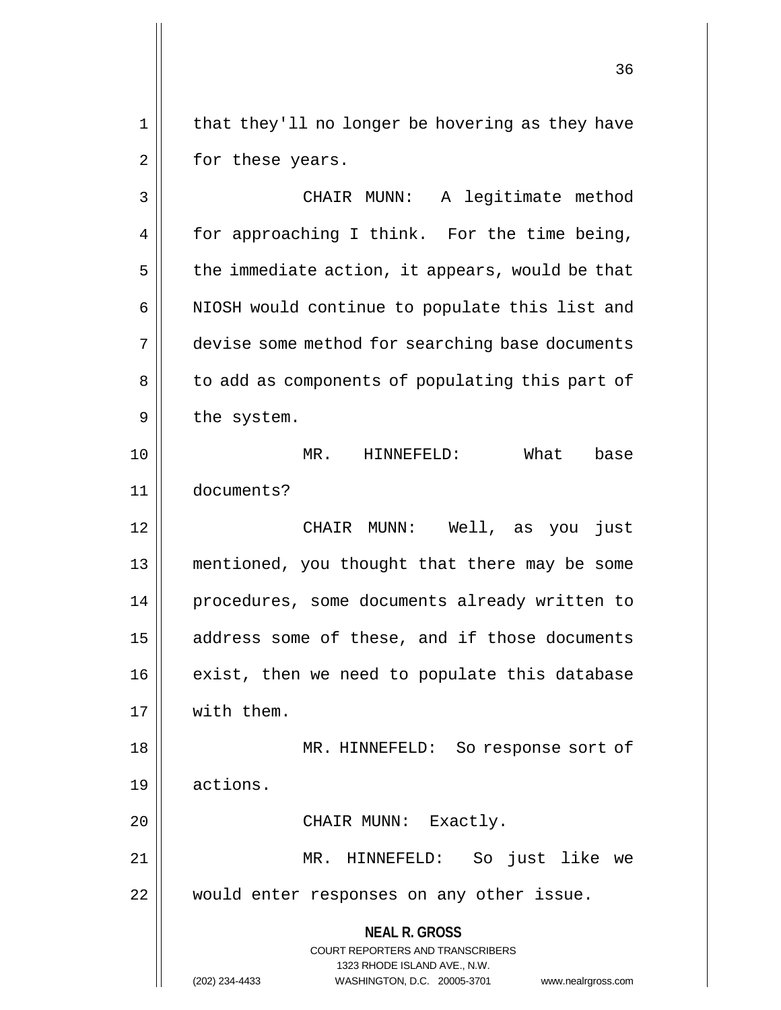1 || that they'll no longer be hovering as they have 2 | for these years.

**NEAL R. GROSS** COURT REPORTERS AND TRANSCRIBERS 1323 RHODE ISLAND AVE., N.W. 3 CHAIR MUNN: A legitimate method  $4 \parallel$  for approaching I think. For the time being,  $5 \parallel$  the immediate action, it appears, would be that 6 || NIOSH would continue to populate this list and 7 devise some method for searching base documents 8 || to add as components of populating this part of  $9 \parallel$  the system. 10 MR. HINNEFELD: What base 11 documents? 12 CHAIR MUNN: Well, as you just 13 mentioned, you thought that there may be some 14 procedures, some documents already written to 15 || address some of these, and if those documents  $16$  exist, then we need to populate this database 17 with them. 18 MR. HINNEFELD: So response sort of 19 actions. 20 || CHAIR MUNN: Exactly. 21 MR. HINNEFELD: So just like we 22 || would enter responses on any other issue.

(202) 234-4433 WASHINGTON, D.C. 20005-3701 www.nealrgross.com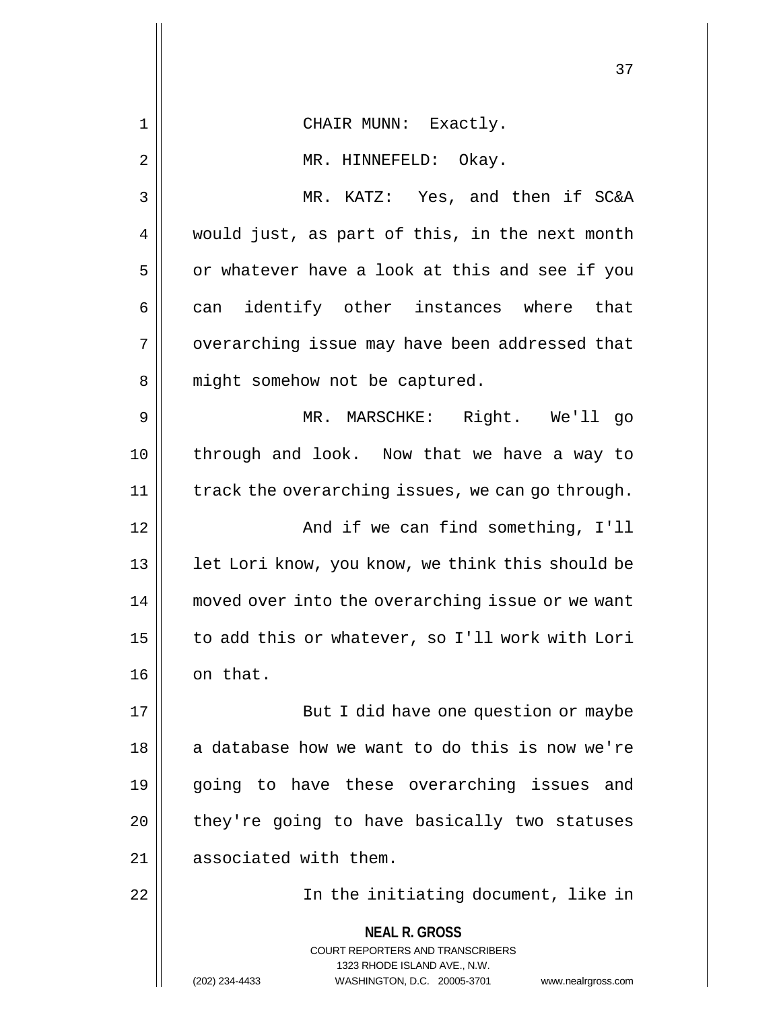|                | 37                                                                                              |
|----------------|-------------------------------------------------------------------------------------------------|
| 1              | CHAIR MUNN: Exactly.                                                                            |
| $\overline{2}$ | MR. HINNEFELD: Okay.                                                                            |
| 3              | MR. KATZ: Yes, and then if SC&A                                                                 |
| 4              | would just, as part of this, in the next month                                                  |
| 5              | or whatever have a look at this and see if you                                                  |
| 6              | can identify other instances where that                                                         |
| 7              | overarching issue may have been addressed that                                                  |
| 8              | might somehow not be captured.                                                                  |
| 9              | MR. MARSCHKE: Right. We'll go                                                                   |
| 10             | through and look. Now that we have a way to                                                     |
| 11             | track the overarching issues, we can go through.                                                |
| 12             | And if we can find something, I'll                                                              |
| 13             | let Lori know, you know, we think this should be                                                |
| 14             | moved over into the overarching issue or we want                                                |
| 15             | to add this or whatever, so I'll work with Lori                                                 |
| 16             | on that.                                                                                        |
| 17             | But I did have one question or maybe                                                            |
| 18             | a database how we want to do this is now we're                                                  |
| 19             | going to have these overarching issues and                                                      |
| 20             | they're going to have basically two statuses                                                    |
| 21             | associated with them.                                                                           |
| 22             | In the initiating document, like in                                                             |
|                | <b>NEAL R. GROSS</b><br><b>COURT REPORTERS AND TRANSCRIBERS</b><br>1323 RHODE ISLAND AVE., N.W. |
|                | (202) 234-4433<br>WASHINGTON, D.C. 20005-3701<br>www.nealrgross.com                             |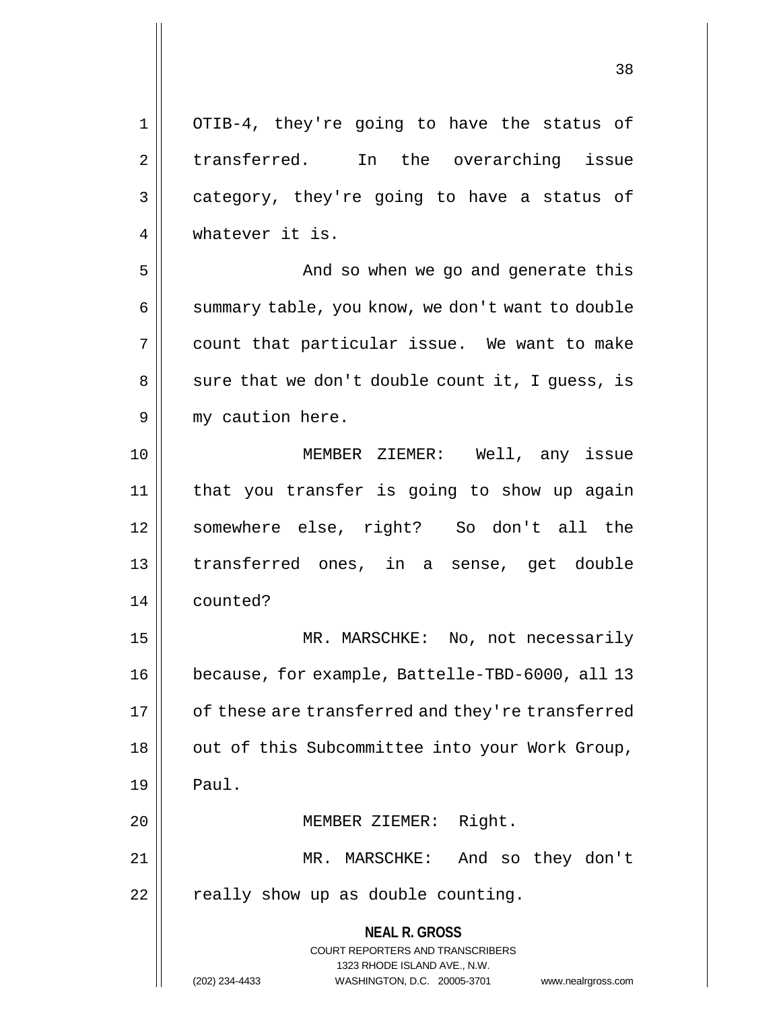**NEAL R. GROSS** COURT REPORTERS AND TRANSCRIBERS 1 OTIB-4, they're going to have the status of 2 || transferred. In the overarching issue  $3 \parallel$  category, they're going to have a status of 4 whatever it is. 5 And so when we go and generate this 6 | summary table, you know, we don't want to double 7 count that particular issue. We want to make  $8 \parallel$  sure that we don't double count it, I guess, is 9 || my caution here. 10 MEMBER ZIEMER: Well, any issue 11 that you transfer is going to show up again 12 somewhere else, right? So don't all the 13 transferred ones, in a sense, get double 14 counted? 15 || MR. MARSCHKE: No, not necessarily 16 because, for example, Battelle-TBD-6000, all 13 17 | of these are transferred and they're transferred 18 || out of this Subcommittee into your Work Group,  $19$  | Paul. 20 || MEMBER ZIEMER: Right. 21 || MR. MARSCHKE: And so they don't  $22$  | really show up as double counting.

> 1323 RHODE ISLAND AVE., N.W. (202) 234-4433 WASHINGTON, D.C. 20005-3701 www.nealrgross.com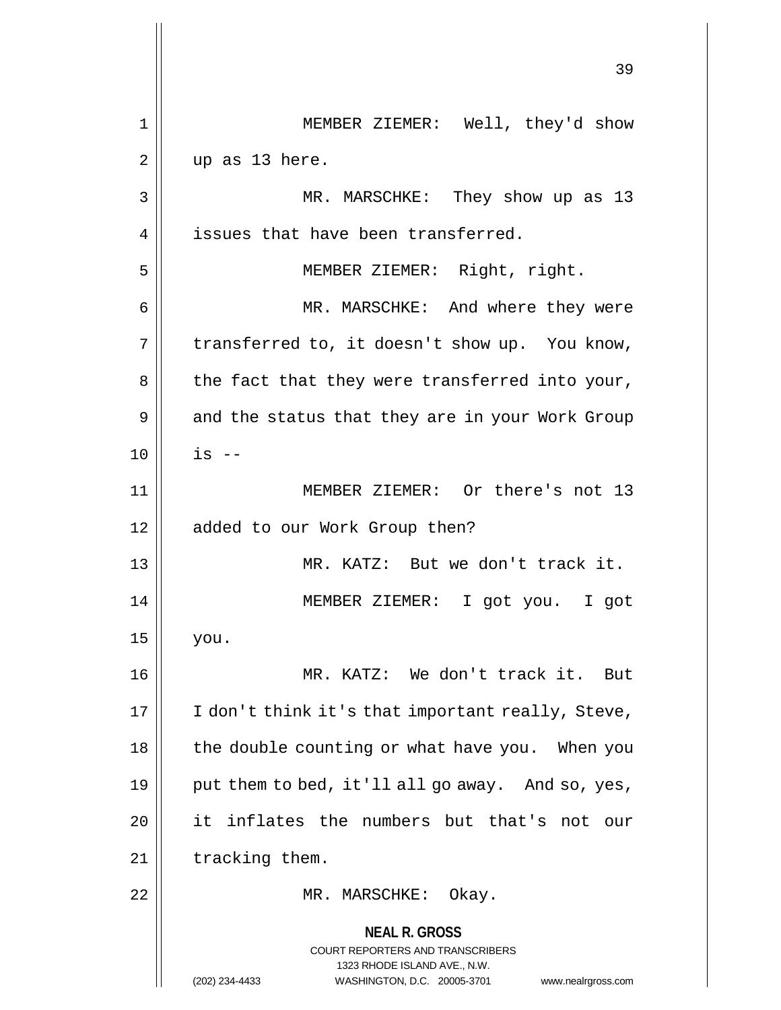**NEAL R. GROSS** COURT REPORTERS AND TRANSCRIBERS 1323 RHODE ISLAND AVE., N.W. (202) 234-4433 WASHINGTON, D.C. 20005-3701 www.nealrgross.com 39 1 || MEMBER ZIEMER: Well, they'd show  $2 \parallel$  up as 13 here. 3 MR. MARSCHKE: They show up as 13 4 | issues that have been transferred. 5 MEMBER ZIEMER: Right, right. 6 MR. MARSCHKE: And where they were  $7 \parallel$  transferred to, it doesn't show up. You know,  $8 \parallel$  the fact that they were transferred into your, 9 || and the status that they are in your Work Group  $10 \parallel$  is  $-$ 11 || MEMBER ZIEMER: Or there's not 13 12 || added to our Work Group then? 13 MR. KATZ: But we don't track it. 14 MEMBER ZIEMER: I got you. I got  $15$  you. 16 || MR. KATZ: We don't track it. But  $17$  | I don't think it's that important really, Steve, 18 | the double counting or what have you. When you 19  $\parallel$  put them to bed, it'll all go away. And so, yes, 20 || it inflates the numbers but that's not our 21 || tracking them. 22 || MR. MARSCHKE: Okay.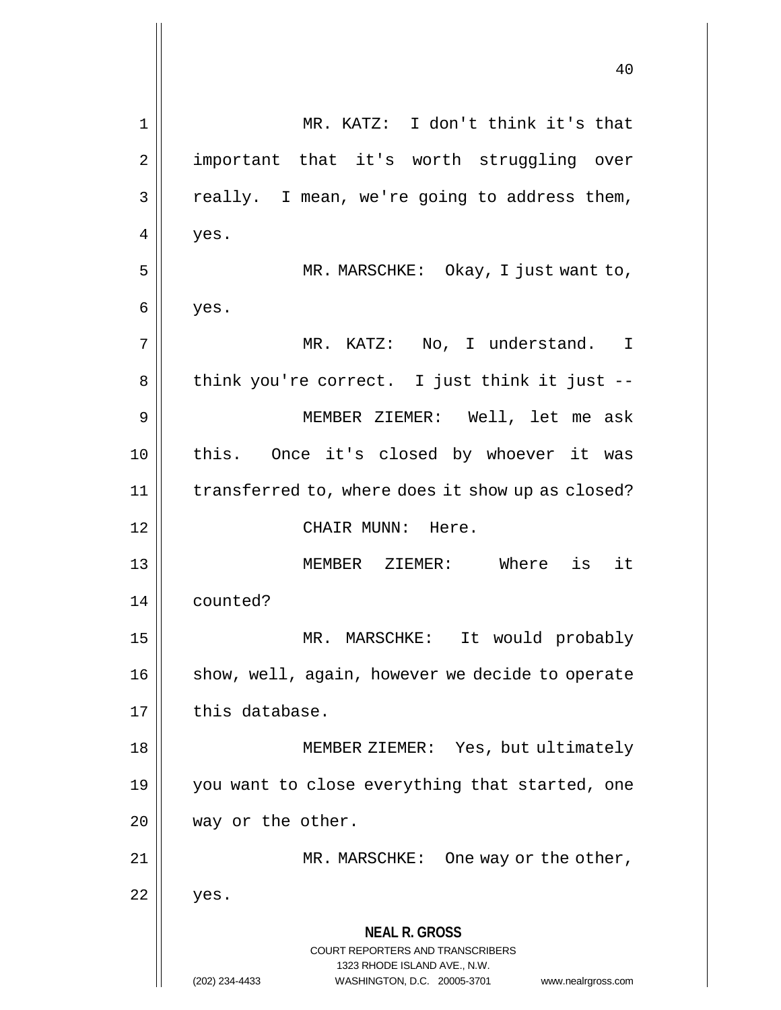|    | 40                                                                                                                                                                     |
|----|------------------------------------------------------------------------------------------------------------------------------------------------------------------------|
| 1  | MR. KATZ: I don't think it's that                                                                                                                                      |
| 2  | important that it's worth struggling over                                                                                                                              |
| 3  | really. I mean, we're going to address them,                                                                                                                           |
| 4  | yes.                                                                                                                                                                   |
| 5  | MR. MARSCHKE: Okay, I just want to,                                                                                                                                    |
| 6  | yes.                                                                                                                                                                   |
| 7  | MR. KATZ: No, I understand. I                                                                                                                                          |
| 8  | think you're correct. I just think it just --                                                                                                                          |
| 9  | MEMBER ZIEMER: Well, let me ask                                                                                                                                        |
| 10 | this. Once it's closed by whoever it was                                                                                                                               |
| 11 | transferred to, where does it show up as closed?                                                                                                                       |
| 12 | CHAIR MUNN: Here.                                                                                                                                                      |
| 13 | MEMBER ZIEMER: Where<br>is<br>it                                                                                                                                       |
| 14 | counted?                                                                                                                                                               |
| 15 | It would probably<br>MR. MARSCHKE:                                                                                                                                     |
| 16 | show, well, again, however we decide to operate                                                                                                                        |
| 17 | this database.                                                                                                                                                         |
| 18 | MEMBER ZIEMER: Yes, but ultimately                                                                                                                                     |
| 19 | you want to close everything that started, one                                                                                                                         |
| 20 | way or the other.                                                                                                                                                      |
| 21 | MR. MARSCHKE:<br>One way or the other,                                                                                                                                 |
| 22 | yes.                                                                                                                                                                   |
|    | <b>NEAL R. GROSS</b><br><b>COURT REPORTERS AND TRANSCRIBERS</b><br>1323 RHODE ISLAND AVE., N.W.<br>(202) 234-4433<br>WASHINGTON, D.C. 20005-3701<br>www.nealrgross.com |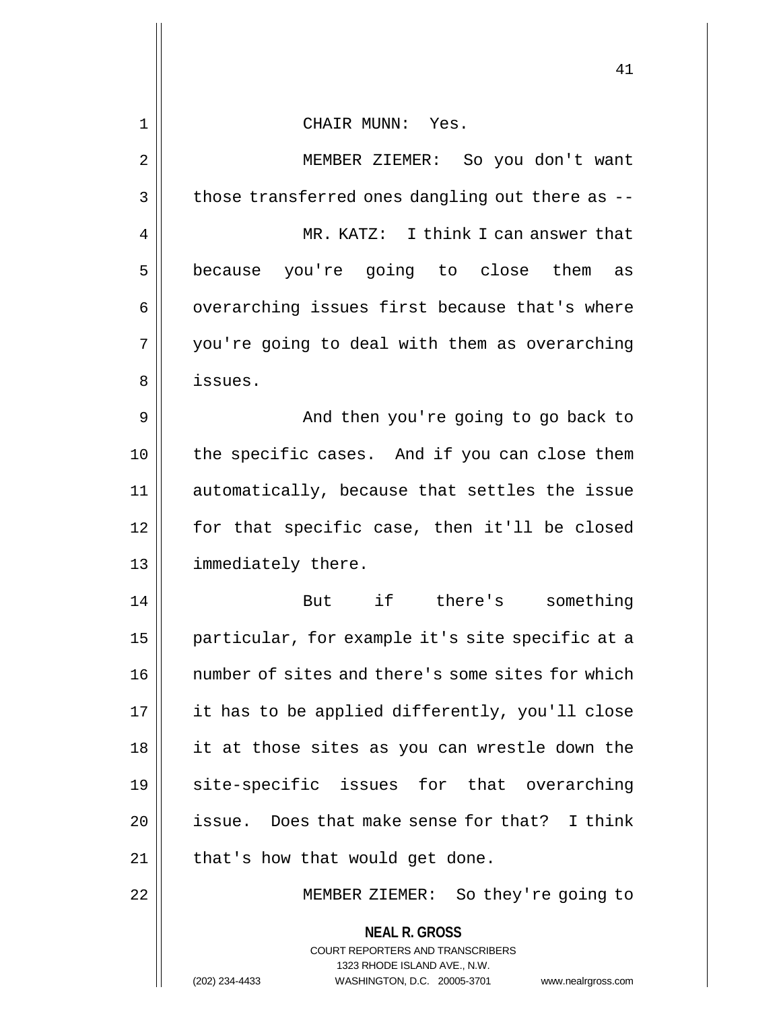|             | 41                                                                      |
|-------------|-------------------------------------------------------------------------|
| $\mathbf 1$ | CHAIR MUNN: Yes.                                                        |
| 2           | MEMBER ZIEMER: So you don't want                                        |
| 3           | those transferred ones dangling out there as --                         |
| 4           | MR. KATZ: I think I can answer that                                     |
| 5           | because you're going to close them<br>as                                |
| 6           | overarching issues first because that's where                           |
| 7           | you're going to deal with them as overarching                           |
| 8           | issues.                                                                 |
| 9           | And then you're going to go back to                                     |
| 10          | the specific cases. And if you can close them                           |
| 11          | automatically, because that settles the issue                           |
| 12          | for that specific case, then it'll be closed                            |
| 13          | immediately there.                                                      |
| 14          | But if there's something                                                |
| 15          | particular, for example it's site specific at a                         |
| 16          | number of sites and there's some sites for which                        |
| 17          | it has to be applied differently, you'll close                          |
| 18          | it at those sites as you can wrestle down the                           |
| 19          | site-specific issues for that overarching                               |
| 20          | issue. Does that make sense for that? I think                           |
| 21          | that's how that would get done.                                         |
| 22          | MEMBER ZIEMER: So they're going to                                      |
|             | <b>NEAL R. GROSS</b>                                                    |
|             | <b>COURT REPORTERS AND TRANSCRIBERS</b><br>1323 RHODE ISLAND AVE., N.W. |
|             | (202) 234-4433<br>WASHINGTON, D.C. 20005-3701<br>www.nealrgross.com     |

 $\mathsf{l}\mathsf{l}$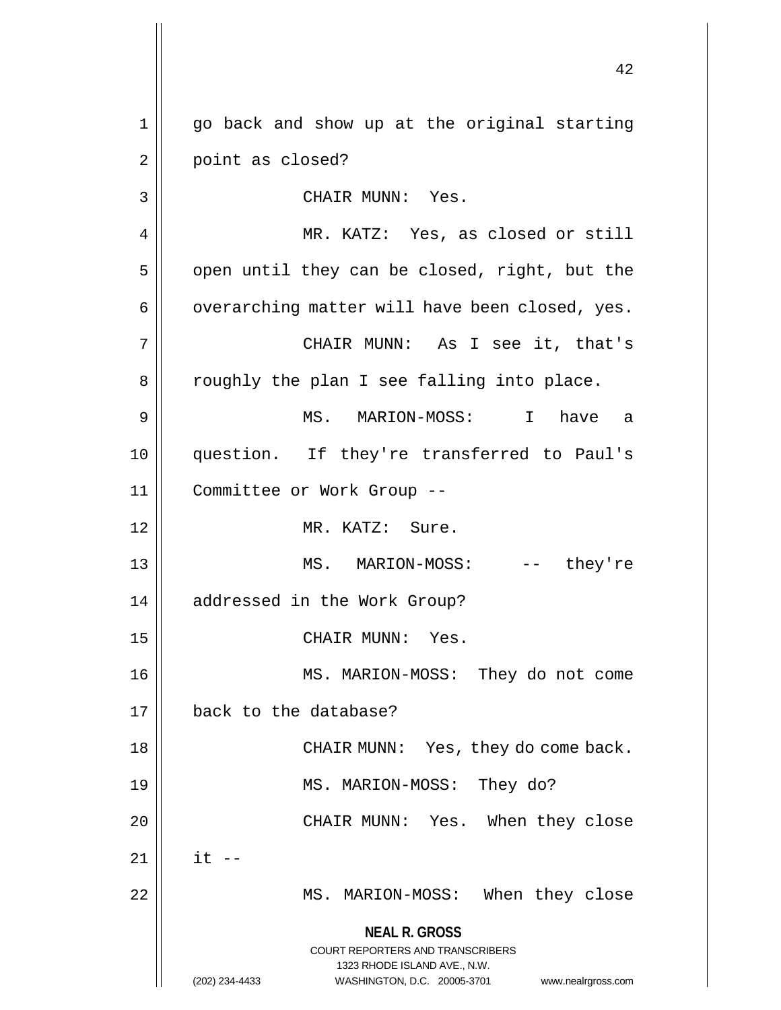**NEAL R. GROSS** COURT REPORTERS AND TRANSCRIBERS 1323 RHODE ISLAND AVE., N.W. (202) 234-4433 WASHINGTON, D.C. 20005-3701 www.nealrgross.com 1 go back and show up at the original starting 2 || point as closed? 3 CHAIR MUNN: Yes. 4 MR. KATZ: Yes, as closed or still  $5 \parallel$  open until they can be closed, right, but the  $6 \parallel$  overarching matter will have been closed, yes. 7 CHAIR MUNN: As I see it, that's 8 || roughly the plan I see falling into place. 9 MS. MARION-MOSS: I have a 10 question. If they're transferred to Paul's 11 Committee or Work Group -- 12 MR. KATZ: Sure. 13 MS. MARION-MOSS: -- they're 14 || addressed in the Work Group? 15 || CHAIR MUNN: Yes. 16 MS. MARION-MOSS: They do not come 17 back to the database? 18 CHAIR MUNN: Yes, they do come back. 19 MS. MARION-MOSS: They do? 20 CHAIR MUNN: Yes. When they close  $21 \parallel$  it  $-$ 22 MS. MARION-MOSS: When they close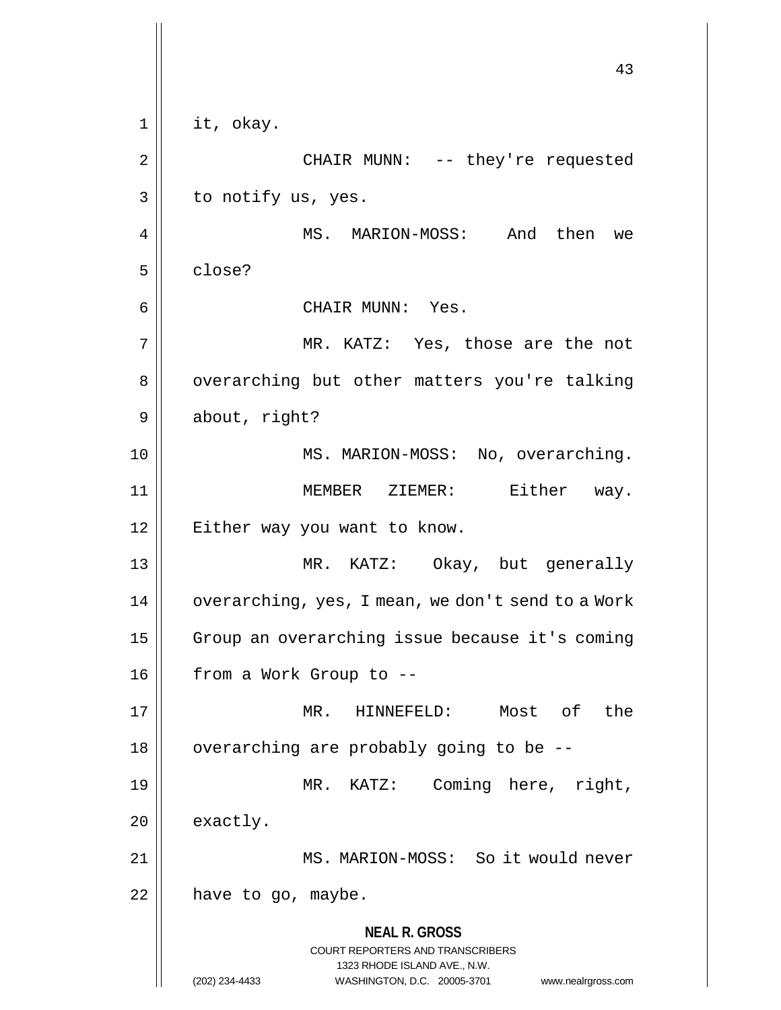**NEAL R. GROSS** COURT REPORTERS AND TRANSCRIBERS 1323 RHODE ISLAND AVE., N.W. (202) 234-4433 WASHINGTON, D.C. 20005-3701 www.nealrgross.com 43 1 || it, okay. 2 CHAIR MUNN: -- they're requested  $3 \parallel$  to notify us, yes. 4 MS. MARION-MOSS: And then we 5 close? 6 CHAIR MUNN: Yes. 7 MR. KATZ: Yes, those are the not 8 | overarching but other matters you're talking 9 | about, right? 10 || MS. MARION-MOSS: No, overarching. 11 || MEMBER ZIEMER: Either way. 12 || Either way you want to know. 13 MR. KATZ: Okay, but generally 14 | overarching, yes, I mean, we don't send to a Work 15 | Group an overarching issue because it's coming 16 | from a Work Group to --17 MR. HINNEFELD: Most of the  $18$  | overarching are probably going to be  $-$ -19 MR. KATZ: Coming here, right,  $20$  | exactly. 21 MS. MARION-MOSS: So it would never  $22$  | have to go, maybe.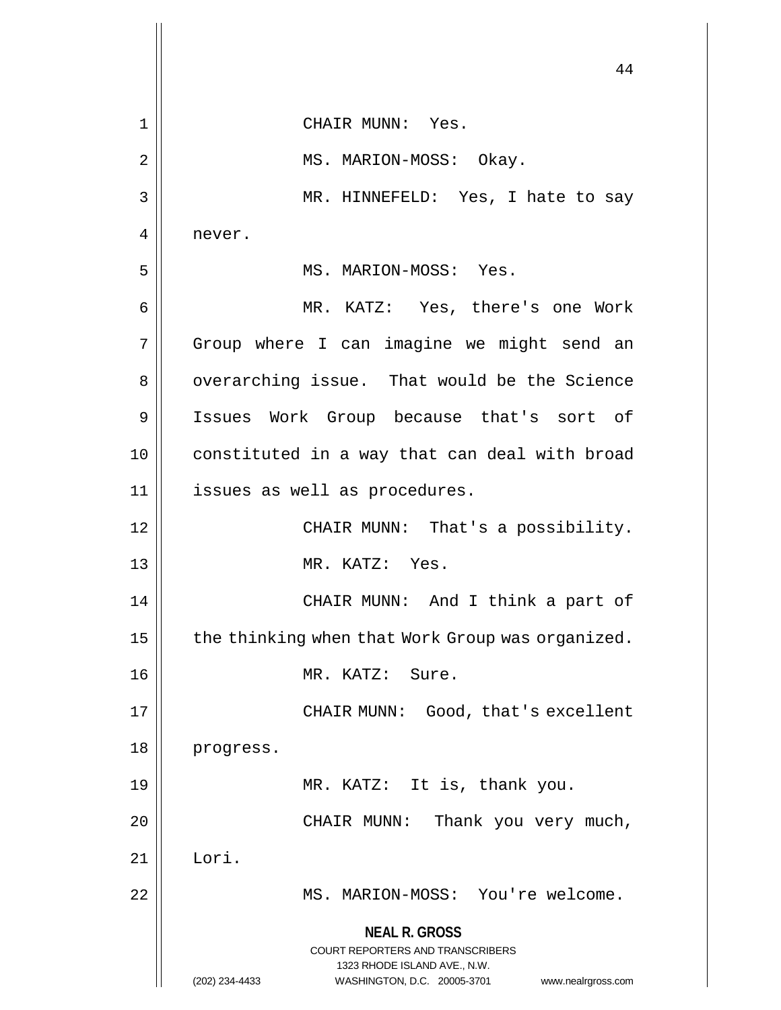**NEAL R. GROSS** COURT REPORTERS AND TRANSCRIBERS 1323 RHODE ISLAND AVE., N.W. (202) 234-4433 WASHINGTON, D.C. 20005-3701 www.nealrgross.com 44 1 CHAIR MUNN: Yes. 2 || MS. MARION-MOSS: Okay. 3 || MR. HINNEFELD: Yes, I hate to say 4 | never. 5 MS. MARION-MOSS: Yes. 6 MR. KATZ: Yes, there's one Work 7 || Group where I can imagine we might send an 8 | overarching issue. That would be the Science 9 || Issues Work Group because that's sort of 10 constituted in a way that can deal with broad 11 || issues as well as procedures. 12 || CHAIR MUNN: That's a possibility. 13 MR. KATZ: Yes. 14 CHAIR MUNN: And I think a part of 15  $\parallel$  the thinking when that Work Group was organized. 16 MR. KATZ: Sure. 17 || CHAIR MUNN: Good, that's excellent 18 progress. 19 MR. KATZ: It is, thank you. 20 || CHAIR MUNN: Thank you very much, 21 Lori. 22 || MS. MARION-MOSS: You're welcome.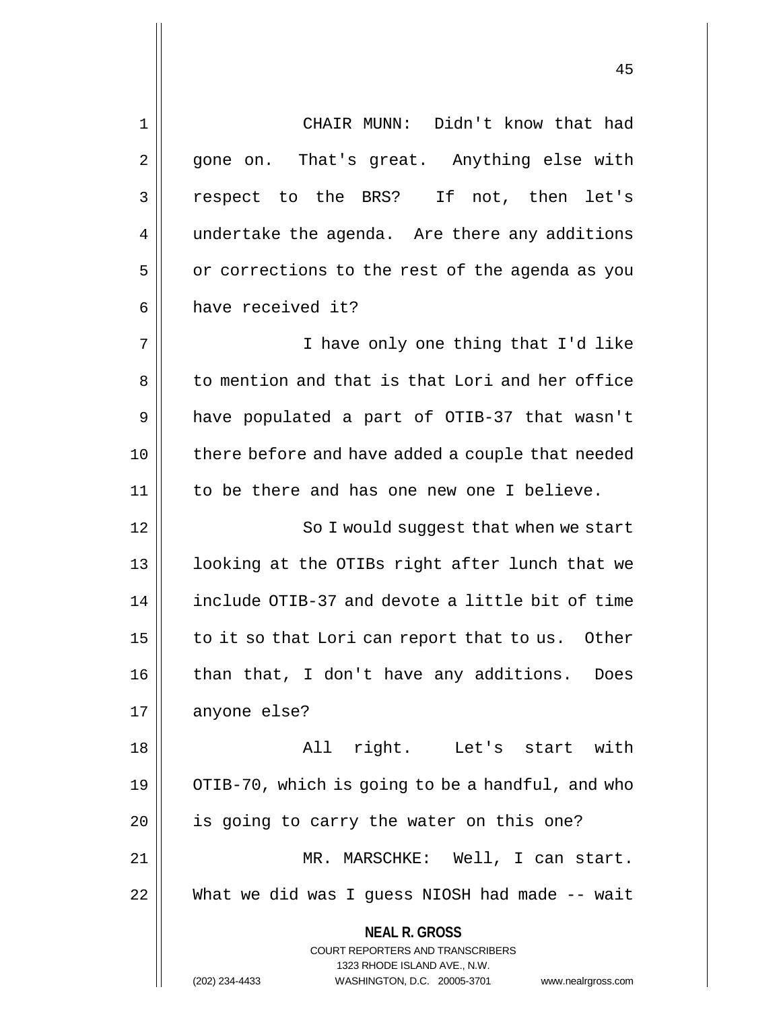**NEAL R. GROSS** COURT REPORTERS AND TRANSCRIBERS 1323 RHODE ISLAND AVE., N.W. (202) 234-4433 WASHINGTON, D.C. 20005-3701 www.nealrgross.com 1 CHAIR MUNN: Didn't know that had 2 || gone on. That's great. Anything else with 3 respect to the BRS? If not, then let's 4 | undertake the agenda. Are there any additions  $5 \parallel$  or corrections to the rest of the agenda as you  $6 \parallel$  have received it? 7 || Thave only one thing that I'd like 8 to mention and that is that Lori and her office 9 have populated a part of OTIB-37 that wasn't 10 || there before and have added a couple that needed 11 || to be there and has one new one I believe. 12 || So I would suqqest that when we start 13 || looking at the OTIBs right after lunch that we 14 | include OTIB-37 and devote a little bit of time  $15$  | to it so that Lori can report that to us. Other 16 || than that, I don't have any additions. Does 17 | anyone else? 18 All right. Let's start with 19 | OTIB-70, which is going to be a handful, and who  $20$  || is going to carry the water on this one? 21 MR. MARSCHKE: Well, I can start. 22 What we did was I guess NIOSH had made -- wait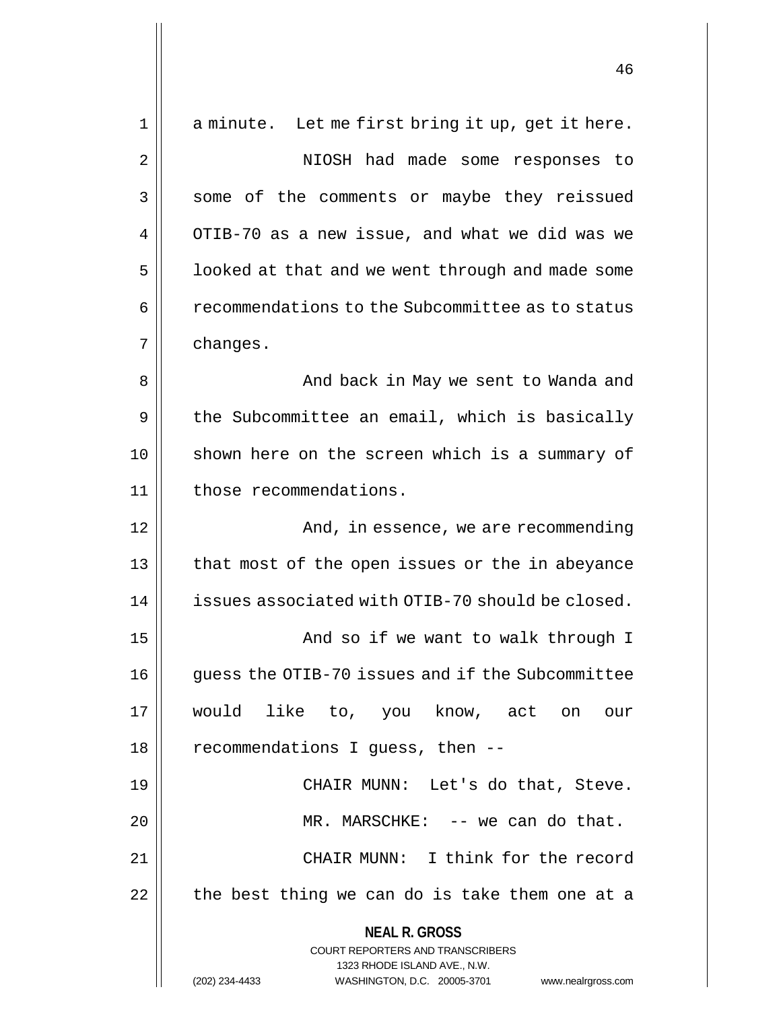| $\mathbf 1$ | a minute. Let me first bring it up, get it here.                                                    |
|-------------|-----------------------------------------------------------------------------------------------------|
| 2           | NIOSH had made some responses to                                                                    |
| 3           | some of the comments or maybe they reissued                                                         |
| 4           | OTIB-70 as a new issue, and what we did was we                                                      |
| 5           | looked at that and we went through and made some                                                    |
| 6           | recommendations to the Subcommittee as to status                                                    |
| 7           | changes.                                                                                            |
| 8           | And back in May we sent to Wanda and                                                                |
| 9           | the Subcommittee an email, which is basically                                                       |
| 10          | shown here on the screen which is a summary of                                                      |
| 11          | those recommendations.                                                                              |
| 12          | And, in essence, we are recommending                                                                |
| 13          | that most of the open issues or the in abeyance                                                     |
| 14          | issues associated with OTIB-70 should be closed.                                                    |
| 15          | And so if we want to walk through I                                                                 |
| 16          | guess the OTIB-70 issues and if the Subcommittee                                                    |
| 17          | would like to, you know, act on our                                                                 |
| 18          | recommendations I guess, then --                                                                    |
| 19          | CHAIR MUNN: Let's do that, Steve.                                                                   |
| 20          | MR. MARSCHKE: -- we can do that.                                                                    |
| 21          | CHAIR MUNN: I think for the record                                                                  |
| 22          | the best thing we can do is take them one at a                                                      |
|             | <b>NEAL R. GROSS</b>                                                                                |
|             | <b>COURT REPORTERS AND TRANSCRIBERS</b>                                                             |
|             | 1323 RHODE ISLAND AVE., N.W.<br>(202) 234-4433<br>WASHINGTON, D.C. 20005-3701<br>www.nealrgross.com |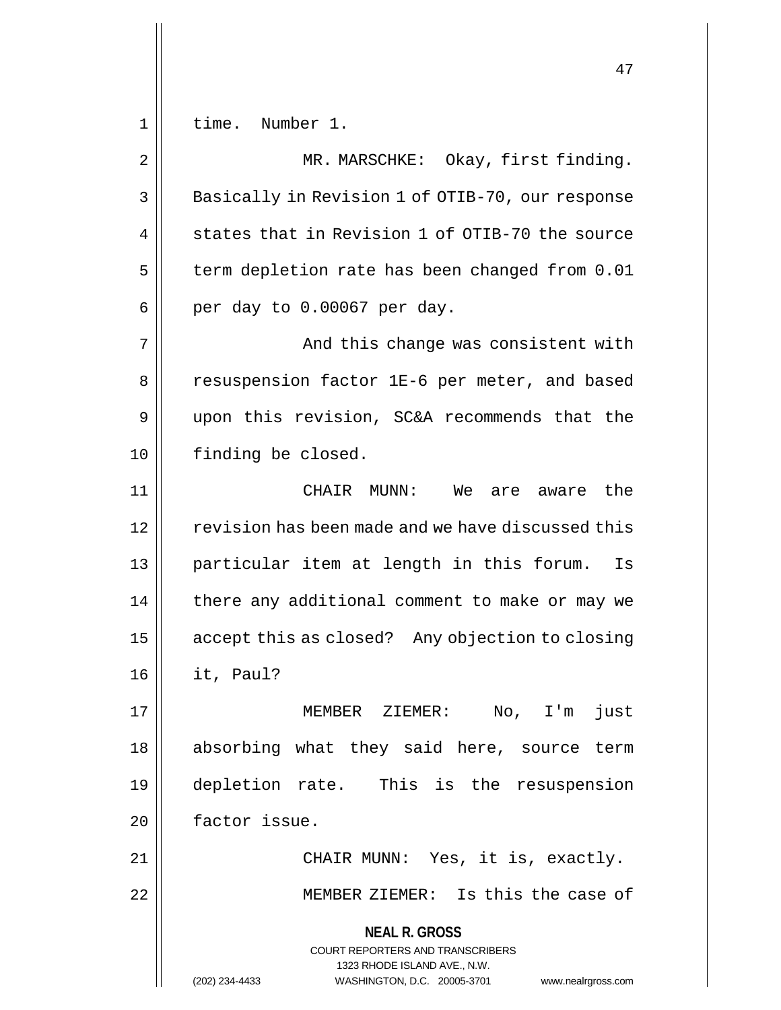1 time. Number 1.

**NEAL R. GROSS** COURT REPORTERS AND TRANSCRIBERS 1323 RHODE ISLAND AVE., N.W. (202) 234-4433 WASHINGTON, D.C. 20005-3701 www.nealrgross.com 2 || MR. MARSCHKE: Okay, first finding. 3 || Basically in Revision 1 of OTIB-70, our response  $4 \parallel$  states that in Revision 1 of OTIB-70 the source  $5$  | term depletion rate has been changed from 0.01  $6 \parallel$  per day to 0.00067 per day. 7 And this change was consistent with 8 || resuspension factor 1E-6 per meter, and based 9 upon this revision, SC&A recommends that the 10 | finding be closed. 11 CHAIR MUNN: We are aware the 12 | sterision has been made and we have discussed this 13 particular item at length in this forum. Is  $14$  | there any additional comment to make or may we 15 | accept this as closed? Any objection to closing 16 it, Paul? 17 || MEMBER ZIEMER: No, I'm just 18 absorbing what they said here, source term 19 depletion rate. This is the resuspension 20 | factor issue. 21 || CHAIR MUNN: Yes, it is, exactly. 22 MEMBER ZIEMER: Is this the case of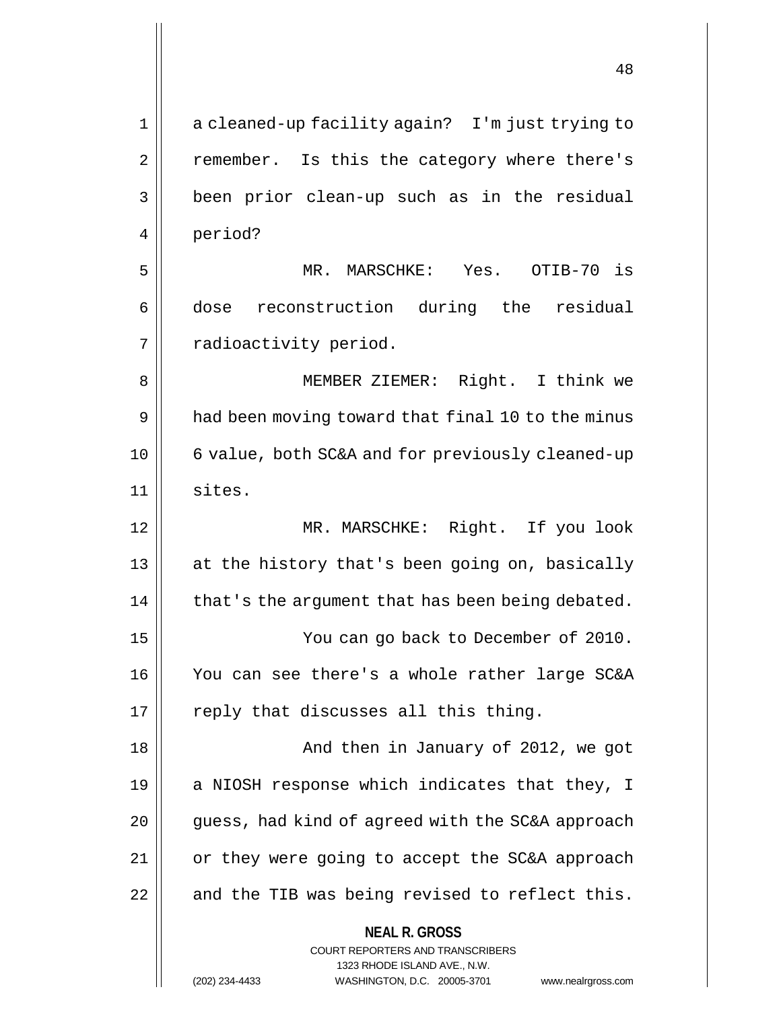| $\mathbf 1$ | a cleaned-up facility again? I'm just trying to                     |
|-------------|---------------------------------------------------------------------|
| 2           | remember. Is this the category where there's                        |
| 3           | been prior clean-up such as in the residual                         |
| 4           | period?                                                             |
| 5           | MR. MARSCHKE: Yes. OTIB-70 is                                       |
| 6           | dose reconstruction during the residual                             |
| 7           | radioactivity period.                                               |
| 8           | MEMBER ZIEMER: Right. I think we                                    |
| 9           | had been moving toward that final 10 to the minus                   |
| 10          | 6 value, both SC&A and for previously cleaned-up                    |
| 11          | sites.                                                              |
| 12          | MR. MARSCHKE: Right. If you look                                    |
| 13          | at the history that's been going on, basically                      |
| 14          | that's the argument that has been being debated.                    |
| 15          | You can go back to December of 2010.                                |
| 16          | You can see there's a whole rather large SC&A                       |
| 17          | reply that discusses all this thing.                                |
| 18          | And then in January of 2012, we got                                 |
| 19          | a NIOSH response which indicates that they, I                       |
| 20          | guess, had kind of agreed with the SC&A approach                    |
| 21          | or they were going to accept the SC&A approach                      |
| 22          | and the TIB was being revised to reflect this.                      |
|             | <b>NEAL R. GROSS</b>                                                |
|             | COURT REPORTERS AND TRANSCRIBERS<br>1323 RHODE ISLAND AVE., N.W.    |
|             | (202) 234-4433<br>WASHINGTON, D.C. 20005-3701<br>www.nealrgross.com |

<sup>(202) 234-4433</sup> WASHINGTON, D.C. 20005-3701 www.nealrgross.com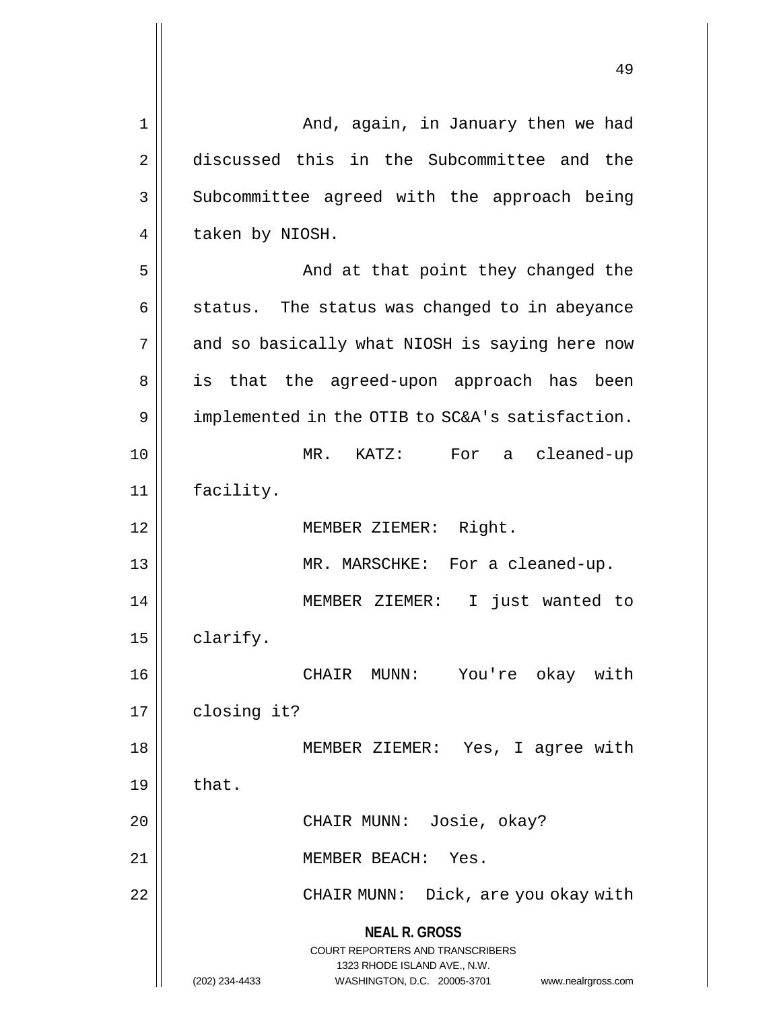| 1  | And, again, in January then we had                                                                                                                                     |
|----|------------------------------------------------------------------------------------------------------------------------------------------------------------------------|
| 2  | discussed this in the Subcommittee and the                                                                                                                             |
| 3  | Subcommittee agreed with the approach being                                                                                                                            |
| 4  | taken by NIOSH.                                                                                                                                                        |
| 5  | And at that point they changed the                                                                                                                                     |
| 6  | status. The status was changed to in abeyance                                                                                                                          |
| 7  | and so basically what NIOSH is saying here now                                                                                                                         |
| 8  | is that the agreed-upon approach has been                                                                                                                              |
| 9  | implemented in the OTIB to SC&A's satisfaction.                                                                                                                        |
| 10 | $MR.$ KATZ:<br>For a cleaned-up                                                                                                                                        |
| 11 | facility.                                                                                                                                                              |
| 12 | MEMBER ZIEMER: Right.                                                                                                                                                  |
| 13 | MR. MARSCHKE: For a cleaned-up.                                                                                                                                        |
| 14 | $\mathbf{I}$<br>just wanted to<br>MEMBER ZIEMER:                                                                                                                       |
| 15 | clarify.                                                                                                                                                               |
| 16 | CHAIR MUNN: You're okay with                                                                                                                                           |
| 17 | closing it?                                                                                                                                                            |
| 18 | MEMBER ZIEMER: Yes, I agree with                                                                                                                                       |
| 19 | that.                                                                                                                                                                  |
| 20 | CHAIR MUNN: Josie, okay?                                                                                                                                               |
| 21 | MEMBER BEACH: Yes.                                                                                                                                                     |
| 22 | CHAIR MUNN: Dick, are you okay with                                                                                                                                    |
|    | <b>NEAL R. GROSS</b><br><b>COURT REPORTERS AND TRANSCRIBERS</b><br>1323 RHODE ISLAND AVE., N.W.<br>(202) 234-4433<br>WASHINGTON, D.C. 20005-3701<br>www.nealrgross.com |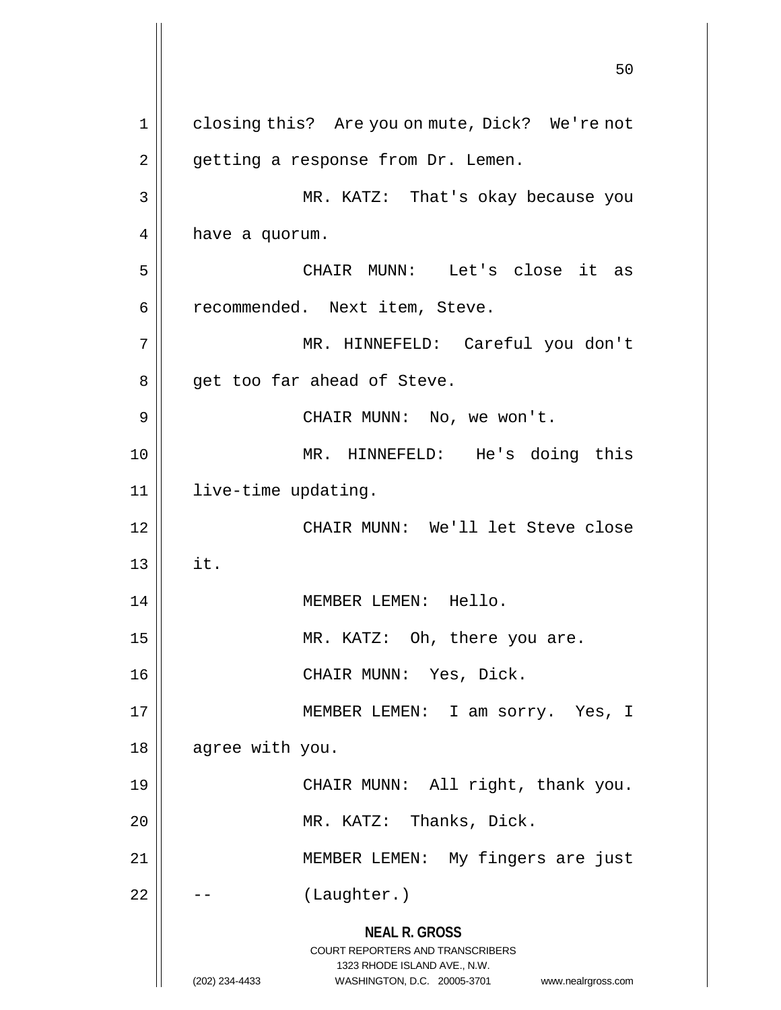**NEAL R. GROSS** COURT REPORTERS AND TRANSCRIBERS 1323 RHODE ISLAND AVE., N.W. (202) 234-4433 WASHINGTON, D.C. 20005-3701 www.nealrgross.com 50 1 || closing this? Are you on mute, Dick? We're not  $2 \parallel$  getting a response from Dr. Lemen. 3 MR. KATZ: That's okay because you  $4 \parallel$  have a quorum. 5 CHAIR MUNN: Let's close it as 6 | recommended. Next item, Steve. 7 MR. HINNEFELD: Careful you don't 8 || get too far ahead of Steve. 9 CHAIR MUNN: No, we won't. 10 MR. HINNEFELD: He's doing this 11 live-time updating. 12 CHAIR MUNN: We'll let Steve close  $13 \parallel$  it. 14 || MEMBER LEMEN: Hello. 15 || MR. KATZ: Oh, there you are. 16 CHAIR MUNN: Yes, Dick. 17 || MEMBER LEMEN: I am sorry. Yes, I 18 || agree with you. 19 || CHAIR MUNN: All right, thank you. 20 || MR. KATZ: Thanks, Dick. 21 || MEMBER LEMEN: My fingers are just  $22 \parallel - -$  (Laughter.)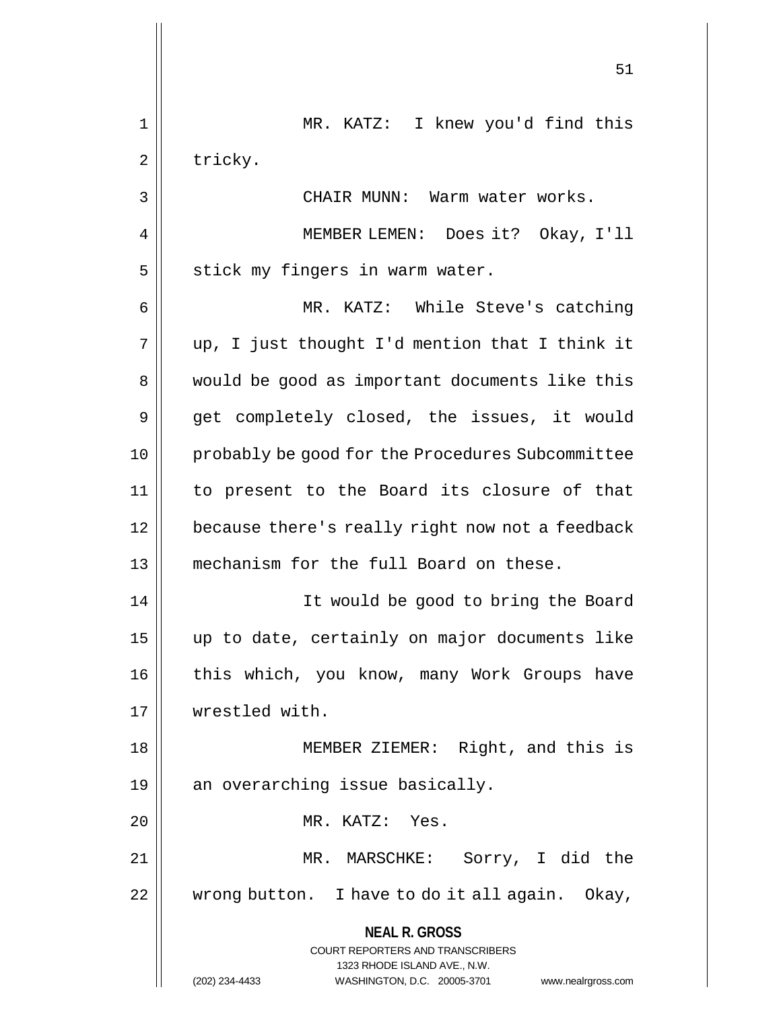|                | 51                                                                                       |
|----------------|------------------------------------------------------------------------------------------|
| $\mathbf 1$    | MR. KATZ: I knew you'd find this                                                         |
| $\overline{2}$ | tricky.                                                                                  |
| 3              | CHAIR MUNN: Warm water works.                                                            |
| 4              | MEMBER LEMEN: Does it? Okay, I'll                                                        |
| 5              | stick my fingers in warm water.                                                          |
| 6              | MR. KATZ: While Steve's catching                                                         |
| 7              | up, I just thought I'd mention that I think it                                           |
| 8              | would be good as important documents like this                                           |
| 9              | get completely closed, the issues, it would                                              |
| 10             | probably be good for the Procedures Subcommittee                                         |
| 11             | to present to the Board its closure of that                                              |
| 12             | because there's really right now not a feedback                                          |
| 13             | mechanism for the full Board on these.                                                   |
| 14             | It would be good to bring the Board                                                      |
| 15             | up to date, certainly on major documents like                                            |
| 16             | this which, you know, many Work Groups have                                              |
| 17             | wrestled with.                                                                           |
| 18             | MEMBER ZIEMER: Right, and this is                                                        |
| 19             | an overarching issue basically.                                                          |
| 20             | MR. KATZ: Yes.                                                                           |
| 21             | MR. MARSCHKE: Sorry, I did the                                                           |
| 22             | wrong button. I have to do it all again. Okay,                                           |
|                | <b>NEAL R. GROSS</b><br>COURT REPORTERS AND TRANSCRIBERS<br>1323 RHODE ISLAND AVE., N.W. |
|                | (202) 234-4433<br>WASHINGTON, D.C. 20005-3701<br>www.nealrgross.com                      |

 $\mathbf{1}$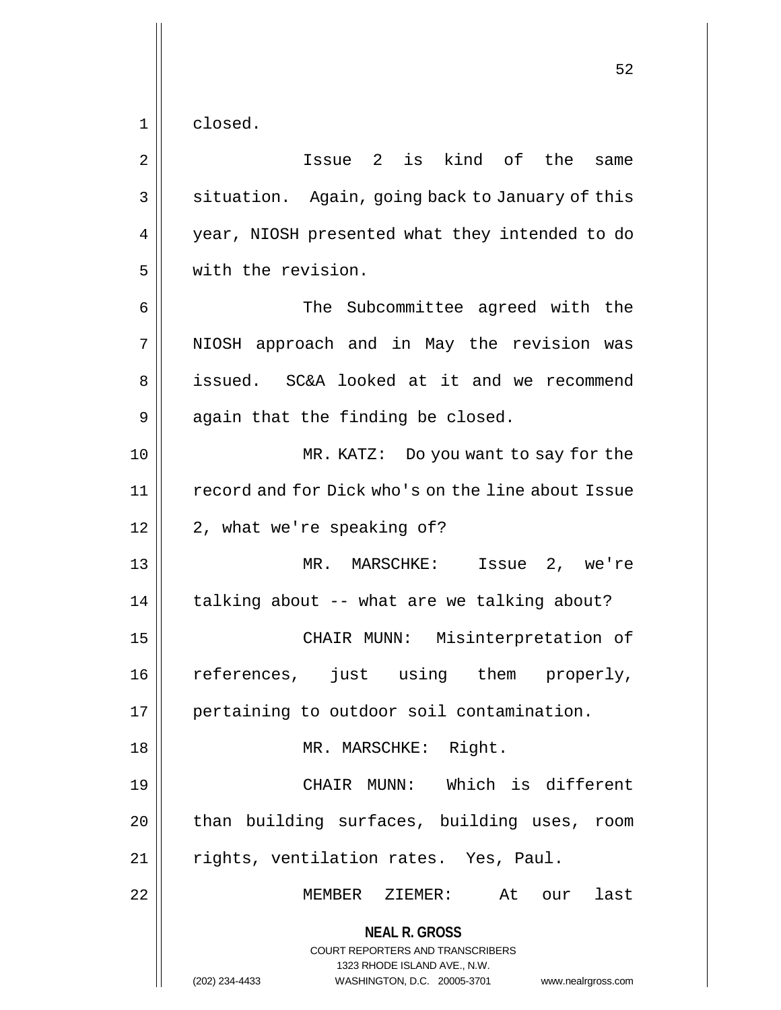1 closed.

**NEAL R. GROSS** COURT REPORTERS AND TRANSCRIBERS 1323 RHODE ISLAND AVE., N.W. (202) 234-4433 WASHINGTON, D.C. 20005-3701 www.nealrgross.com 2 Issue 2 is kind of the same 3 | situation. Again, going back to January of this 4 || year, NIOSH presented what they intended to do 5 with the revision. 6 The Subcommittee agreed with the 7 || NIOSH approach and in May the revision was 8 || issued. SC&A looked at it and we recommend  $9 \parallel$  again that the finding be closed. 10 MR. KATZ: Do you want to say for the 11 | record and for Dick who's on the line about Issue  $12 \parallel 2$ , what we're speaking of? 13 MR. MARSCHKE: Issue 2, we're 14 || talking about -- what are we talking about? 15 CHAIR MUNN: Misinterpretation of 16 references, just using them properly, 17 || pertaining to outdoor soil contamination. 18 MR. MARSCHKE: Right. 19 CHAIR MUNN: Which is different  $20$  | than building surfaces, building uses, room 21 || rights, ventilation rates. Yes, Paul. 22 || MEMBER ZIEMER: At our last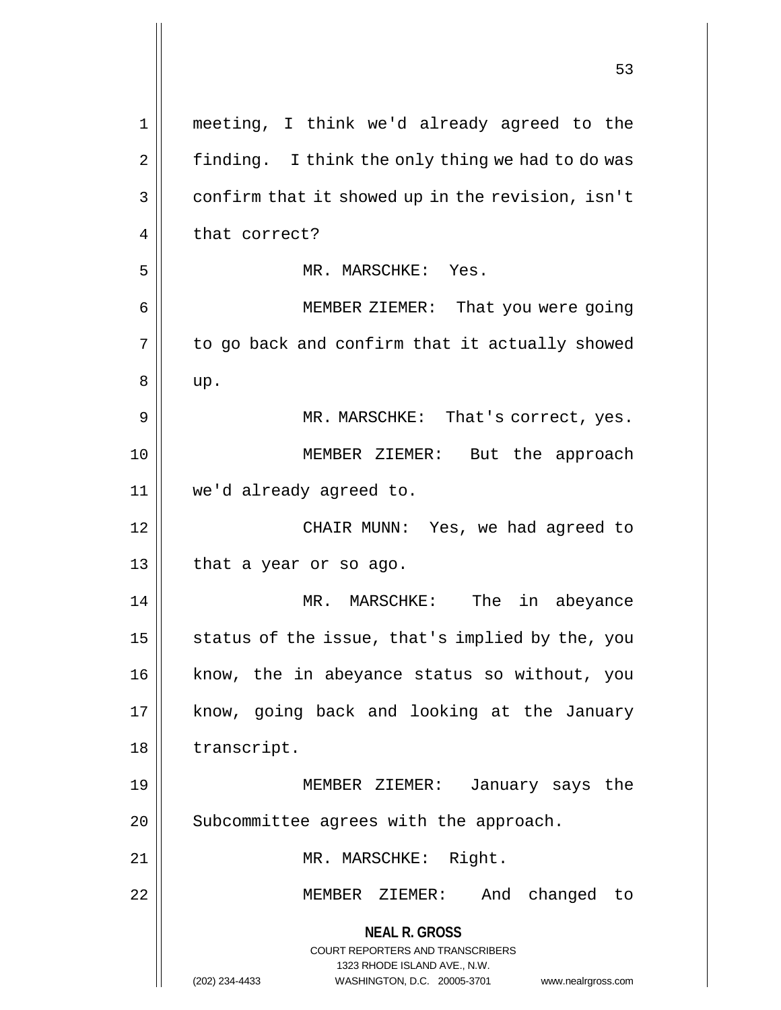|    | 53                                                                                                                                                                     |
|----|------------------------------------------------------------------------------------------------------------------------------------------------------------------------|
|    |                                                                                                                                                                        |
| 1  | meeting, I think we'd already agreed to the                                                                                                                            |
| 2  | finding. I think the only thing we had to do was                                                                                                                       |
| 3  | confirm that it showed up in the revision, isn't                                                                                                                       |
| 4  | that correct?                                                                                                                                                          |
| 5  | MR. MARSCHKE: Yes.                                                                                                                                                     |
| 6  | MEMBER ZIEMER: That you were going                                                                                                                                     |
| 7  | to go back and confirm that it actually showed                                                                                                                         |
| 8  | up.                                                                                                                                                                    |
| 9  | MR. MARSCHKE: That's correct, yes.                                                                                                                                     |
| 10 | MEMBER ZIEMER: But the approach                                                                                                                                        |
| 11 | we'd already agreed to.                                                                                                                                                |
| 12 | CHAIR MUNN: Yes, we had agreed to                                                                                                                                      |
| 13 | that a year or so ago.                                                                                                                                                 |
| 14 | in abeyance<br>MARSCHKE:<br>The<br>MR.                                                                                                                                 |
| 15 | status of the issue, that's implied by the, you                                                                                                                        |
| 16 | know, the in abeyance status so without, you                                                                                                                           |
| 17 | know, going back and looking at the January                                                                                                                            |
| 18 | transcript.                                                                                                                                                            |
| 19 | MEMBER ZIEMER:<br>January says the                                                                                                                                     |
| 20 | Subcommittee agrees with the approach.                                                                                                                                 |
| 21 | MR. MARSCHKE: Right.                                                                                                                                                   |
| 22 | MEMBER ZIEMER: And changed to                                                                                                                                          |
|    | <b>NEAL R. GROSS</b><br><b>COURT REPORTERS AND TRANSCRIBERS</b><br>1323 RHODE ISLAND AVE., N.W.<br>WASHINGTON, D.C. 20005-3701<br>(202) 234-4433<br>www.nealrgross.com |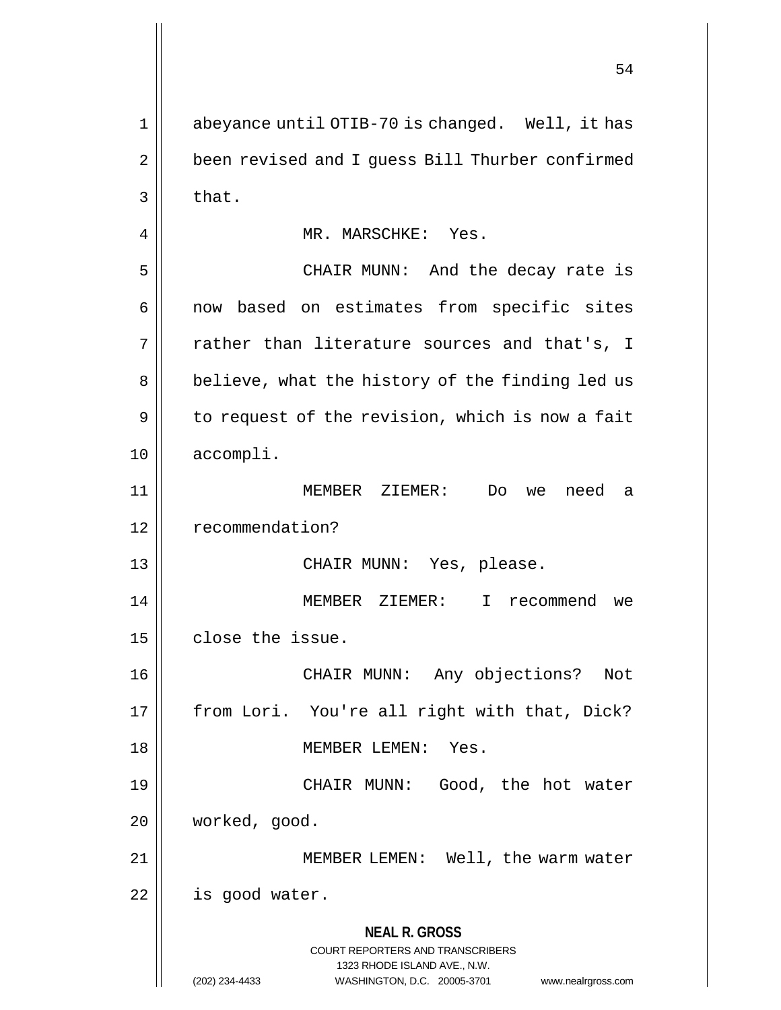**NEAL R. GROSS** COURT REPORTERS AND TRANSCRIBERS 1323 RHODE ISLAND AVE., N.W. (202) 234-4433 WASHINGTON, D.C. 20005-3701 www.nealrgross.com 1 || abeyance until OTIB-70 is changed. Well, it has 2 | been revised and I guess Bill Thurber confirmed  $3 \parallel$  that. 4 MR. MARSCHKE: Yes. 5 CHAIR MUNN: And the decay rate is 6 || now based on estimates from specific sites 7 || rather than literature sources and that's, I 8 || believe, what the history of the finding led us  $9 \parallel$  to request of the revision, which is now a fait 10 accompli. 11 MEMBER ZIEMER: Do we need a 12 | recommendation? 13 CHAIR MUNN: Yes, please. 14 MEMBER ZIEMER: I recommend we  $15$  | close the issue. 16 CHAIR MUNN: Any objections? Not 17 || from Lori. You're all right with that, Dick? 18 MEMBER LEMEN: Yes. 19 CHAIR MUNN: Good, the hot water 20 worked, good. 21 | MEMBER LEMEN: Well, the warm water  $22$  | is good water.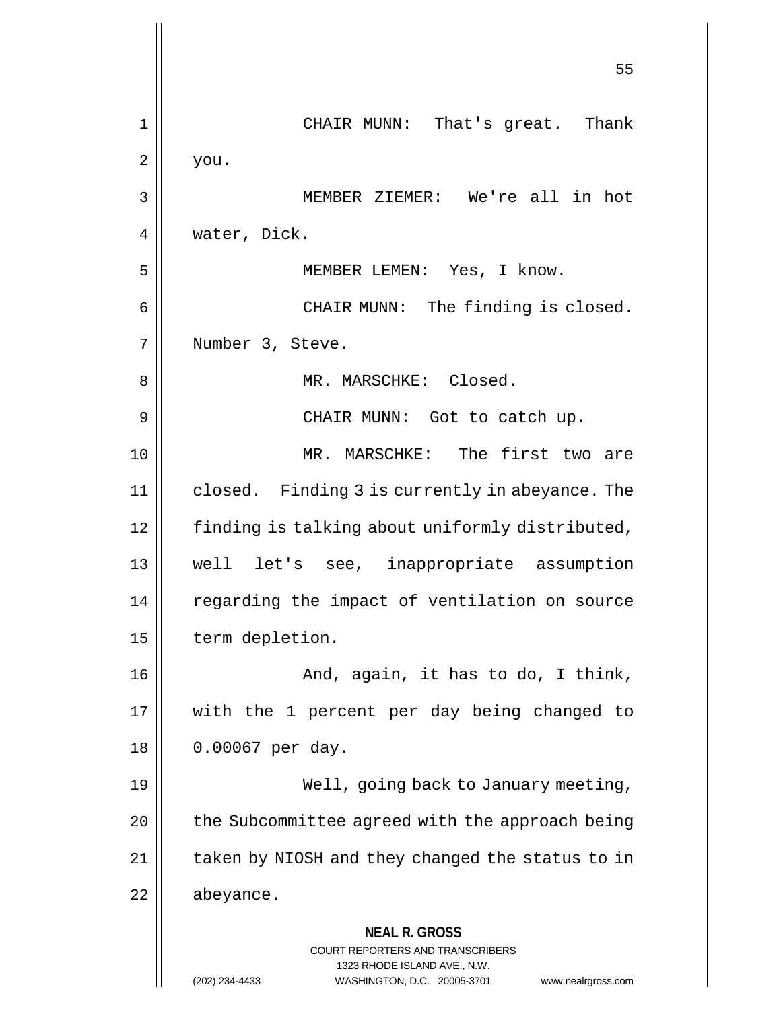**NEAL R. GROSS** COURT REPORTERS AND TRANSCRIBERS 1323 RHODE ISLAND AVE., N.W. (202) 234-4433 WASHINGTON, D.C. 20005-3701 www.nealrgross.com 55 1 CHAIR MUNN: That's great. Thank  $2 \parallel$  you. 3 MEMBER ZIEMER: We're all in hot 4 water, Dick. 5 MEMBER LEMEN: Yes, I know. 6 CHAIR MUNN: The finding is closed. 7 || Number 3, Steve. 8 MR. MARSCHKE: Closed. 9 CHAIR MUNN: Got to catch up. 10 MR. MARSCHKE: The first two are 11 closed. Finding 3 is currently in abeyance. The 12 | finding is talking about uniformly distributed, 13 well let's see, inappropriate assumption 14 || regarding the impact of ventilation on source 15 | term depletion. 16 || And, again, it has to do, I think, 17 with the 1 percent per day being changed to 18 || 0.00067 per day. 19 Well, going back to January meeting,  $20$  | the Subcommittee agreed with the approach being  $21$  | taken by NIOSH and they changed the status to in 22 | abeyance.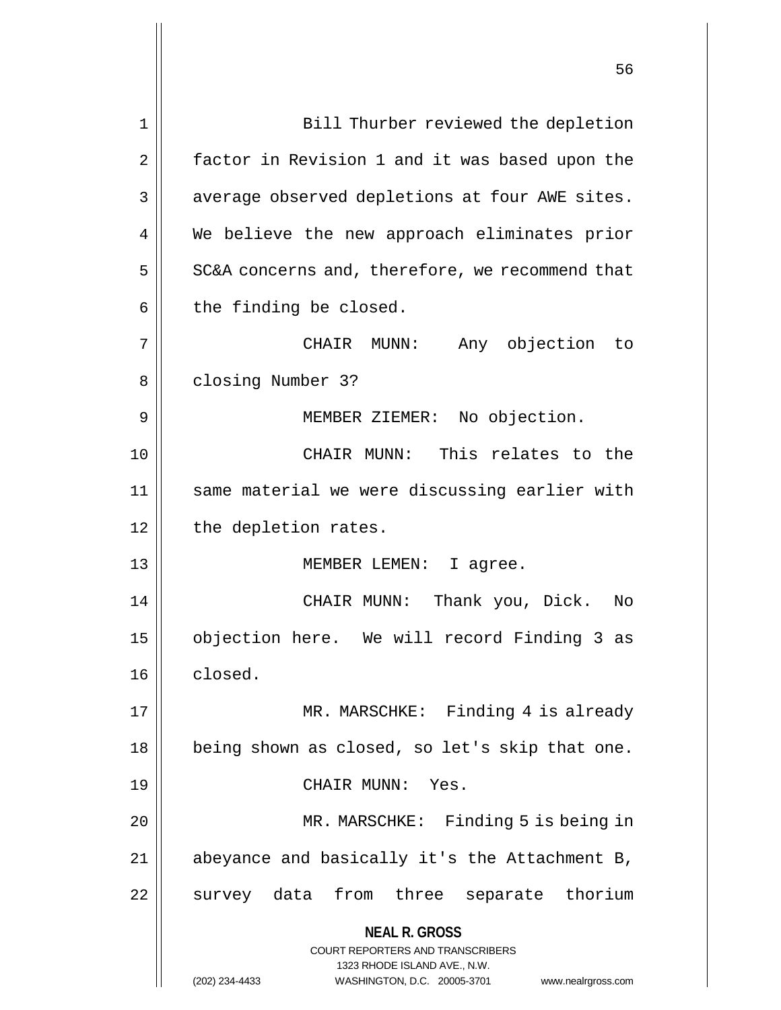| 1  | Bill Thurber reviewed the depletion                                     |
|----|-------------------------------------------------------------------------|
| 2  | factor in Revision 1 and it was based upon the                          |
| 3  | average observed depletions at four AWE sites.                          |
| 4  | We believe the new approach eliminates prior                            |
| 5  | SC&A concerns and, therefore, we recommend that                         |
| 6  | the finding be closed.                                                  |
| 7  | Any objection to<br>CHAIR MUNN:                                         |
| 8  | closing Number 3?                                                       |
| 9  | MEMBER ZIEMER: No objection.                                            |
| 10 | CHAIR MUNN: This relates to the                                         |
| 11 | same material we were discussing earlier with                           |
| 12 | the depletion rates.                                                    |
| 13 | MEMBER LEMEN: I agree.                                                  |
| 14 | CHAIR MUNN:<br>Thank you, Dick.<br>No                                   |
| 15 | objection here. We will record Finding 3 as                             |
| 16 | closed.                                                                 |
| 17 | MR. MARSCHKE: Finding 4 is already                                      |
| 18 | being shown as closed, so let's skip that one.                          |
| 19 | CHAIR MUNN: Yes.                                                        |
| 20 | MR. MARSCHKE: Finding 5 is being in                                     |
| 21 | abeyance and basically it's the Attachment B,                           |
| 22 | survey data from three separate thorium                                 |
|    | <b>NEAL R. GROSS</b>                                                    |
|    | <b>COURT REPORTERS AND TRANSCRIBERS</b><br>1323 RHODE ISLAND AVE., N.W. |
|    | (202) 234-4433<br>WASHINGTON, D.C. 20005-3701<br>www.nealrgross.com     |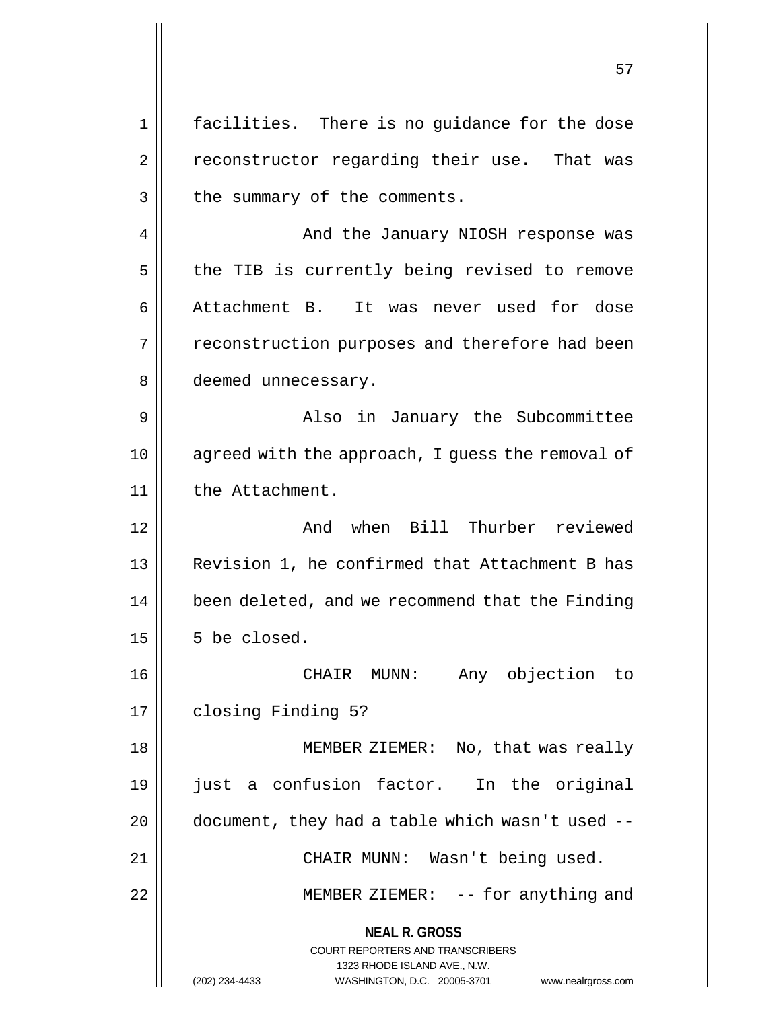**NEAL R. GROSS** COURT REPORTERS AND TRANSCRIBERS 1323 RHODE ISLAND AVE., N.W. 1 || facilities. There is no guidance for the dose 2 || reconstructor regarding their use. That was  $3$  || the summary of the comments. 4 And the January NIOSH response was 5 | the TIB is currently being revised to remove 6 Attachment B. It was never used for dose 7 || reconstruction purposes and therefore had been 8 | deemed unnecessary. 9 Also in January the Subcommittee 10 agreed with the approach, I guess the removal of 11 | the Attachment. 12 And when Bill Thurber reviewed 13 || Revision 1, he confirmed that Attachment B has 14 | been deleted, and we recommend that the Finding  $15 \parallel 5$  be closed. 16 CHAIR MUNN: Any objection to 17 | closing Finding 5? 18 || MEMBER ZIEMER: No, that was really 19 just a confusion factor. In the original  $20$  | document, they had a table which wasn't used  $-$ 21 CHAIR MUNN: Wasn't being used. 22 || MEMBER ZIEMER: -- for anything and

(202) 234-4433 WASHINGTON, D.C. 20005-3701 www.nealrgross.com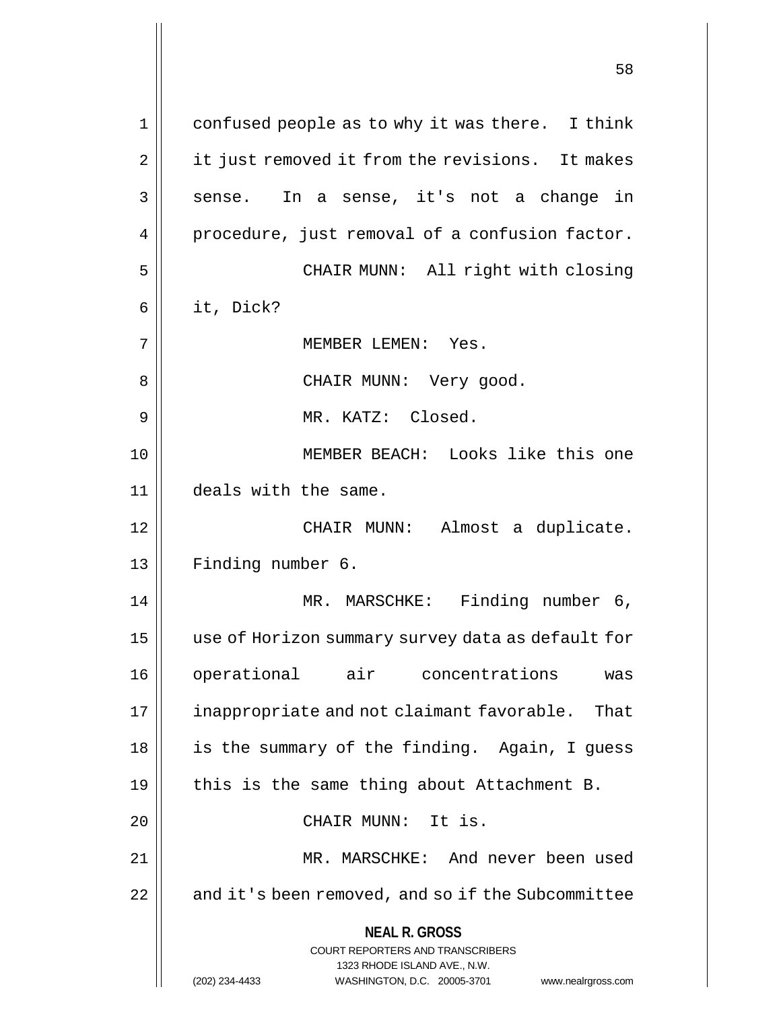**NEAL R. GROSS** COURT REPORTERS AND TRANSCRIBERS 1323 RHODE ISLAND AVE., N.W. (202) 234-4433 WASHINGTON, D.C. 20005-3701 www.nealrgross.com 1 || confused people as to why it was there. I think 2 | it just removed it from the revisions. It makes  $3 \parallel$  sense. In a sense, it's not a change in 4 | procedure, just removal of a confusion factor. 5 || CHAIR MUNN: All right with closing 6 it, Dick? 7 MEMBER LEMEN: Yes. 8 CHAIR MUNN: Very good. 9 || MR. KATZ: Closed. 10 MEMBER BEACH: Looks like this one 11 | deals with the same. 12 CHAIR MUNN: Almost a duplicate. 13 | Finding number 6. 14 || MR. MARSCHKE: Finding number 6, 15 use of Horizon summary survey data as default for 16 operational air concentrations was 17 | inappropriate and not claimant favorable. That 18 || is the summary of the finding. Again, I guess 19  $\parallel$  this is the same thing about Attachment B. 20 || CHAIR MUNN: It is. 21 MR. MARSCHKE: And never been used 22 | and it's been removed, and so if the Subcommittee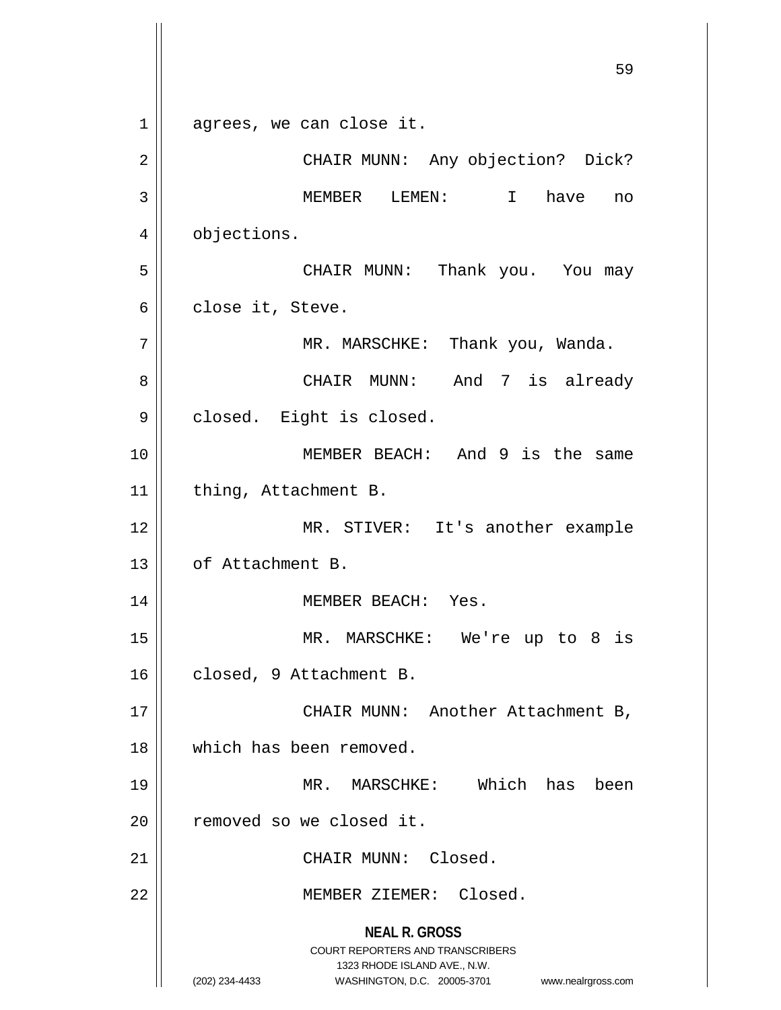**NEAL R. GROSS** COURT REPORTERS AND TRANSCRIBERS 1323 RHODE ISLAND AVE., N.W. (202) 234-4433 WASHINGTON, D.C. 20005-3701 www.nealrgross.com 59 1 agrees, we can close it. 2 CHAIR MUNN: Any objection? Dick? 3 MEMBER LEMEN: I have no 4 | objections. 5 CHAIR MUNN: Thank you. You may  $6 \parallel$  close it, Steve. 7 | MR. MARSCHKE: Thank you, Wanda. 8 CHAIR MUNN: And 7 is already 9 | closed. Eight is closed. 10 MEMBER BEACH: And 9 is the same 11 | thing, Attachment B. 12 MR. STIVER: It's another example 13 | of Attachment B. 14 || MEMBER BEACH: Yes. 15 MR. MARSCHKE: We're up to 8 is 16 || closed, 9 Attachment B. 17 || CHAIR MUNN: Another Attachment B, 18 which has been removed. 19 MR. MARSCHKE: Which has been 20 | removed so we closed it. 21 || CHAIR MUNN: Closed. 22 || MEMBER ZIEMER: Closed.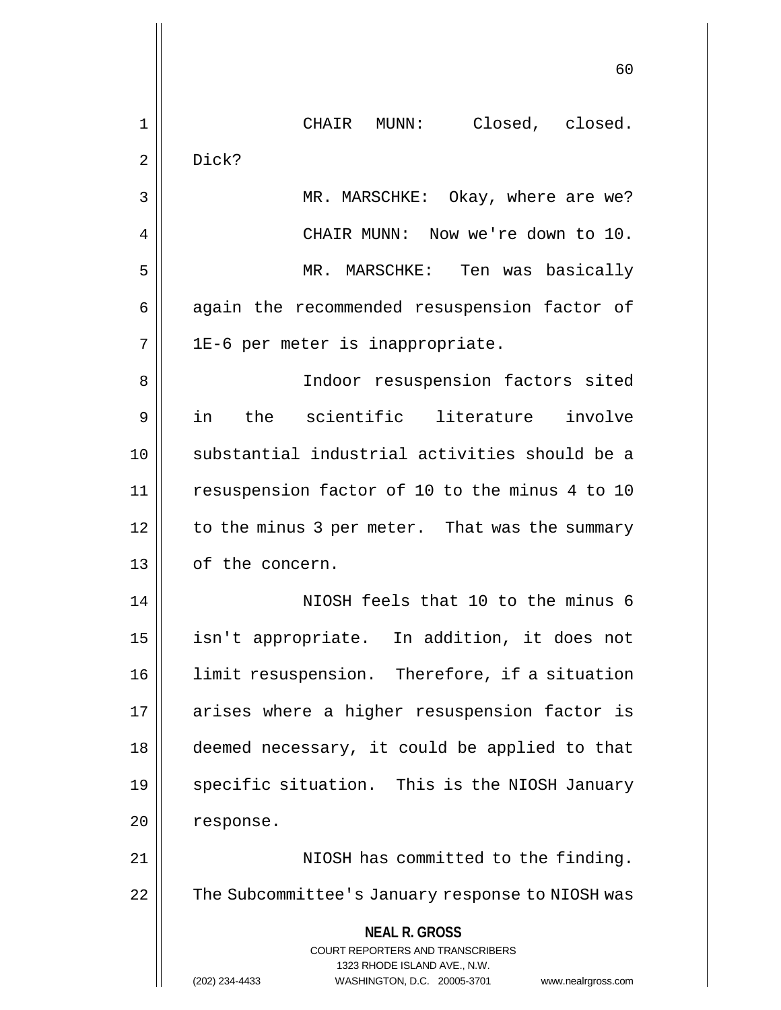|             | 60                                                                                       |
|-------------|------------------------------------------------------------------------------------------|
| $\mathbf 1$ | CHAIR MUNN: Closed, closed.                                                              |
| 2           | Dick?                                                                                    |
| 3           | MR. MARSCHKE: Okay, where are we?                                                        |
| 4           | CHAIR MUNN: Now we're down to 10.                                                        |
| 5           | MR. MARSCHKE: Ten was basically                                                          |
| 6           | again the recommended resuspension factor of                                             |
| 7           | 1E-6 per meter is inappropriate.                                                         |
| 8           | Indoor resuspension factors sited                                                        |
| 9           | in<br>the scientific literature involve                                                  |
| 10          | substantial industrial activities should be a                                            |
| 11          | resuspension factor of 10 to the minus 4 to 10                                           |
| 12          | to the minus 3 per meter. That was the summary                                           |
| 13          | of the concern.                                                                          |
| 14          | NIOSH feels that 10 to the minus 6                                                       |
| 15          | isn't appropriate. In addition, it does not                                              |
| 16          | limit resuspension. Therefore, if a situation                                            |
| 17          | arises where a higher resuspension factor is                                             |
| 18          | deemed necessary, it could be applied to that                                            |
| 19          | specific situation. This is the NIOSH January                                            |
| 20          | response.                                                                                |
| 21          | NIOSH has committed to the finding.                                                      |
| 22          | The Subcommittee's January response to NIOSH was                                         |
|             | <b>NEAL R. GROSS</b><br>COURT REPORTERS AND TRANSCRIBERS<br>1323 RHODE ISLAND AVE., N.W. |
|             | (202) 234-4433<br>WASHINGTON, D.C. 20005-3701<br>www.nealrgross.com                      |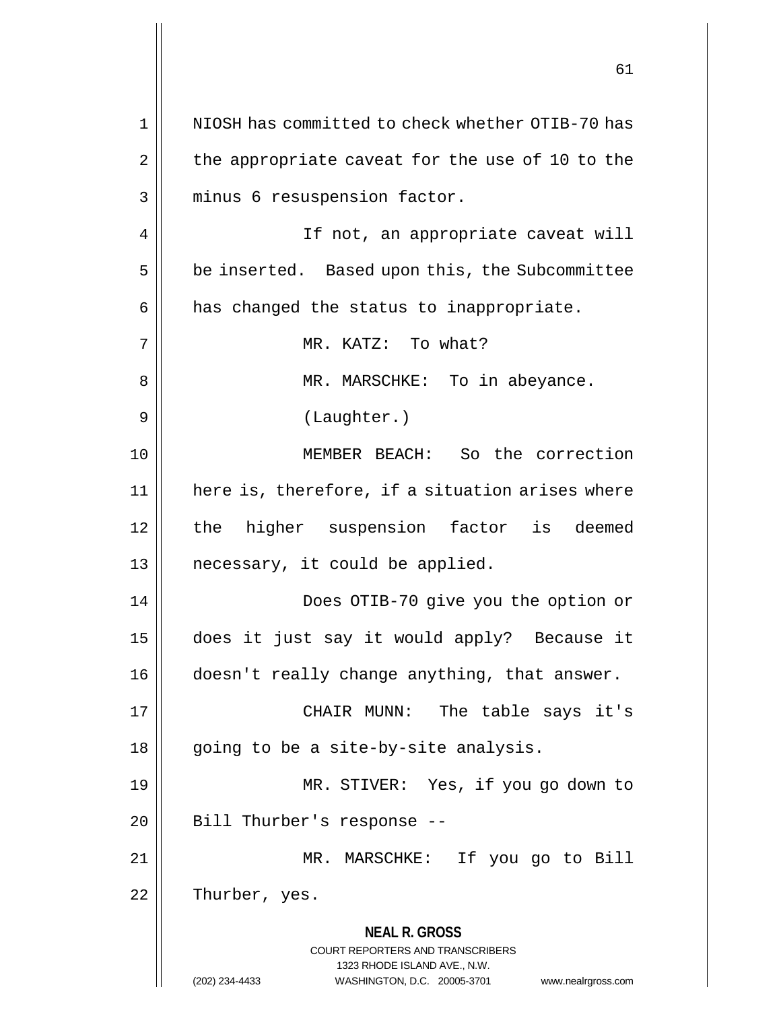**NEAL R. GROSS** COURT REPORTERS AND TRANSCRIBERS 1323 RHODE ISLAND AVE., N.W. (202) 234-4433 WASHINGTON, D.C. 20005-3701 www.nealrgross.com 61 1 || NIOSH has committed to check whether OTIB-70 has  $2 \parallel$  the appropriate caveat for the use of 10 to the 3 || minus 6 resuspension factor. 4 || If not, an appropriate caveat will  $5 \parallel$  be inserted. Based upon this, the Subcommittee  $6 \parallel$  has changed the status to inappropriate. 7 MR. KATZ: To what? 8 MR. MARSCHKE: To in abeyance. 9 || (Laughter.) 10 MEMBER BEACH: So the correction 11 here is, therefore, if a situation arises where 12 || the higher suspension factor is deemed  $13$  || necessary, it could be applied. 14 Does OTIB-70 give you the option or 15 does it just say it would apply? Because it 16 doesn't really change anything, that answer. 17 CHAIR MUNN: The table says it's  $18 \parallel$  going to be a site-by-site analysis. 19 MR. STIVER: Yes, if you go down to 20 || Bill Thurber's response --21 MR. MARSCHKE: If you go to Bill 22 | Thurber, yes.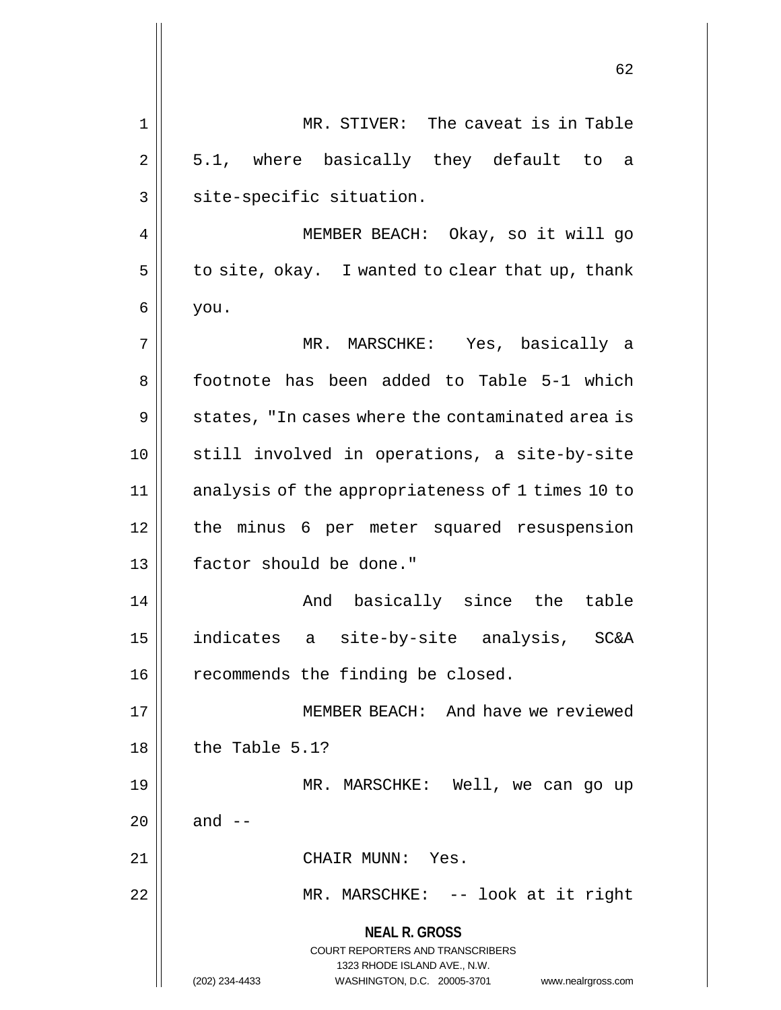|    | 62                                                                                                                                                                     |
|----|------------------------------------------------------------------------------------------------------------------------------------------------------------------------|
| 1  | MR. STIVER: The caveat is in Table                                                                                                                                     |
| 2  | 5.1, where basically they default to a                                                                                                                                 |
| 3  | site-specific situation.                                                                                                                                               |
| 4  | MEMBER BEACH: Okay, so it will go                                                                                                                                      |
| 5  | to site, okay. I wanted to clear that up, thank                                                                                                                        |
| 6  | you.                                                                                                                                                                   |
| 7  | MR. MARSCHKE: Yes, basically a                                                                                                                                         |
| 8  | footnote has been added to Table 5-1 which                                                                                                                             |
| 9  | states, "In cases where the contaminated area is                                                                                                                       |
| 10 | still involved in operations, a site-by-site                                                                                                                           |
| 11 | analysis of the appropriateness of 1 times 10 to                                                                                                                       |
| 12 | the minus 6 per meter squared resuspension                                                                                                                             |
| 13 | factor should be done."                                                                                                                                                |
| 14 | And basically since the table                                                                                                                                          |
| 15 | indicates a site-by-site analysis, SC&A                                                                                                                                |
| 16 | recommends the finding be closed.                                                                                                                                      |
| 17 | MEMBER BEACH: And have we reviewed                                                                                                                                     |
| 18 | the Table 5.1?                                                                                                                                                         |
| 19 | MR. MARSCHKE: Well, we can go up                                                                                                                                       |
| 20 | and $--$                                                                                                                                                               |
| 21 | CHAIR MUNN: Yes.                                                                                                                                                       |
| 22 | MR. MARSCHKE: -- look at it right                                                                                                                                      |
|    | <b>NEAL R. GROSS</b><br><b>COURT REPORTERS AND TRANSCRIBERS</b><br>1323 RHODE ISLAND AVE., N.W.<br>(202) 234-4433<br>WASHINGTON, D.C. 20005-3701<br>www.nealrgross.com |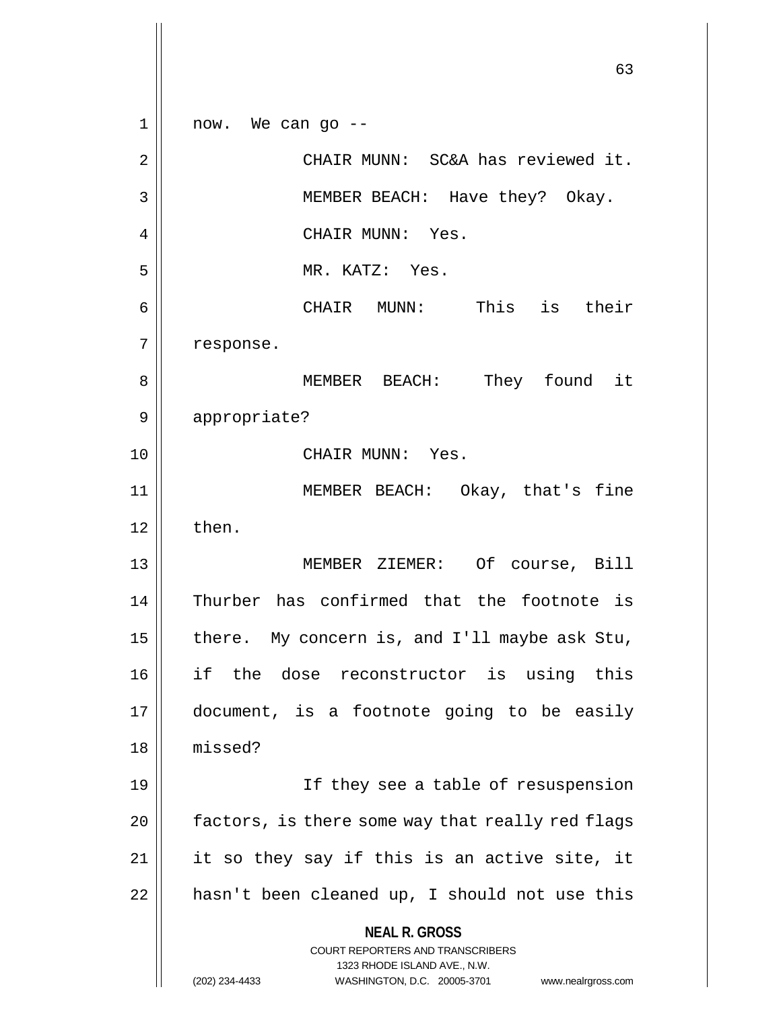**NEAL R. GROSS** COURT REPORTERS AND TRANSCRIBERS 1323 RHODE ISLAND AVE., N.W. (202) 234-4433 WASHINGTON, D.C. 20005-3701 www.nealrgross.com 63  $1 \parallel$  now. We can go --2 CHAIR MUNN: SC&A has reviewed it. 3 || MEMBER BEACH: Have they? Okay. 4 || CHAIR MUNN: Yes. 5 MR. KATZ: Yes. 6 CHAIR MUNN: This is their 7 | response. 8 MEMBER BEACH: They found it 9 || appropriate? 10 CHAIR MUNN: Yes. 11 || MEMBER BEACH: Okay, that's fine  $12 \parallel$  then. 13 MEMBER ZIEMER: Of course, Bill 14 Thurber has confirmed that the footnote is 15  $\parallel$  there. My concern is, and I'll maybe ask Stu, 16 if the dose reconstructor is using this 17 document, is a footnote going to be easily 18 missed? 19 If they see a table of resuspension  $20$  | factors, is there some way that really red flags  $21$  | it so they say if this is an active site, it  $22$  | hasn't been cleaned up, I should not use this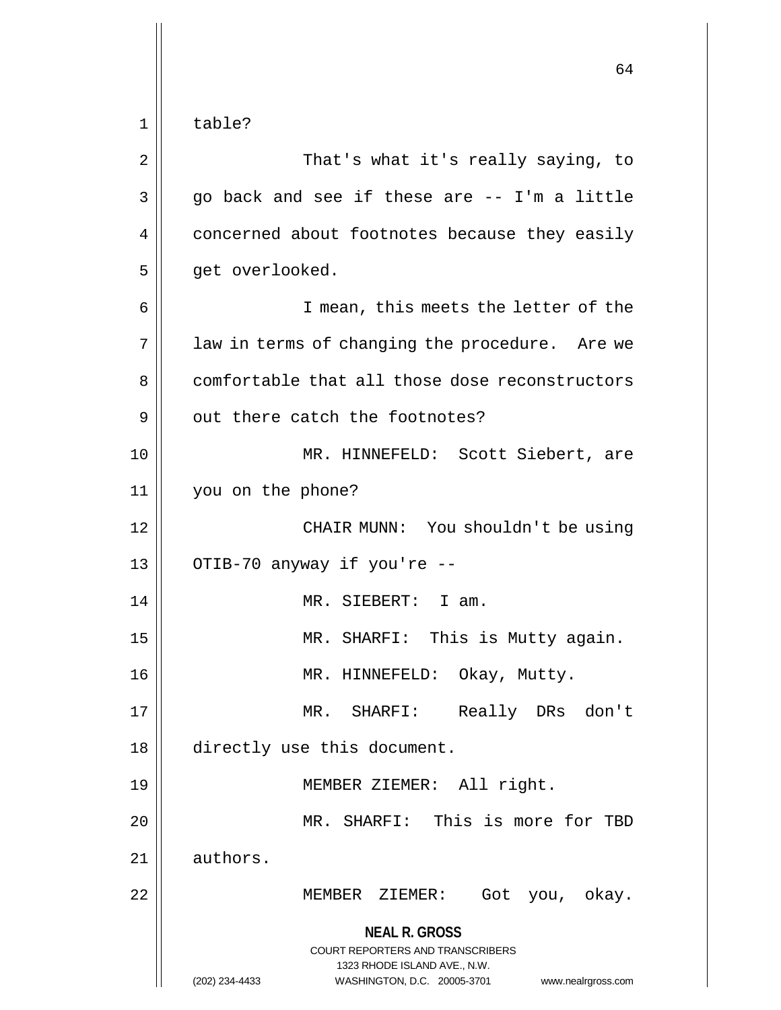**NEAL R. GROSS** COURT REPORTERS AND TRANSCRIBERS 1323 RHODE ISLAND AVE., N.W. (202) 234-4433 WASHINGTON, D.C. 20005-3701 www.nealrgross.com 64 1 | table? 2 || That's what it's really saying, to  $3 \parallel$  go back and see if these are -- I'm a little 4 | concerned about footnotes because they easily 5 | get overlooked. 6 || I mean, this meets the letter of the  $7 \parallel$  law in terms of changing the procedure. Are we 8 comfortable that all those dose reconstructors 9 || out there catch the footnotes? 10 MR. HINNEFELD: Scott Siebert, are 11 you on the phone? 12 || CHAIR MUNN: You shouldn't be using  $13 \parallel$  OTIB-70 anyway if you're --14 MR. SIEBERT: I am. 15 MR. SHARFI: This is Mutty again. 16 || MR. HINNEFELD: Okay, Mutty. 17 MR. SHARFI: Really DRs don't 18 directly use this document. 19 MEMBER ZIEMER: All right. 20 MR. SHARFI: This is more for TBD 21 | authors. 22 MEMBER ZIEMER: Got you, okay.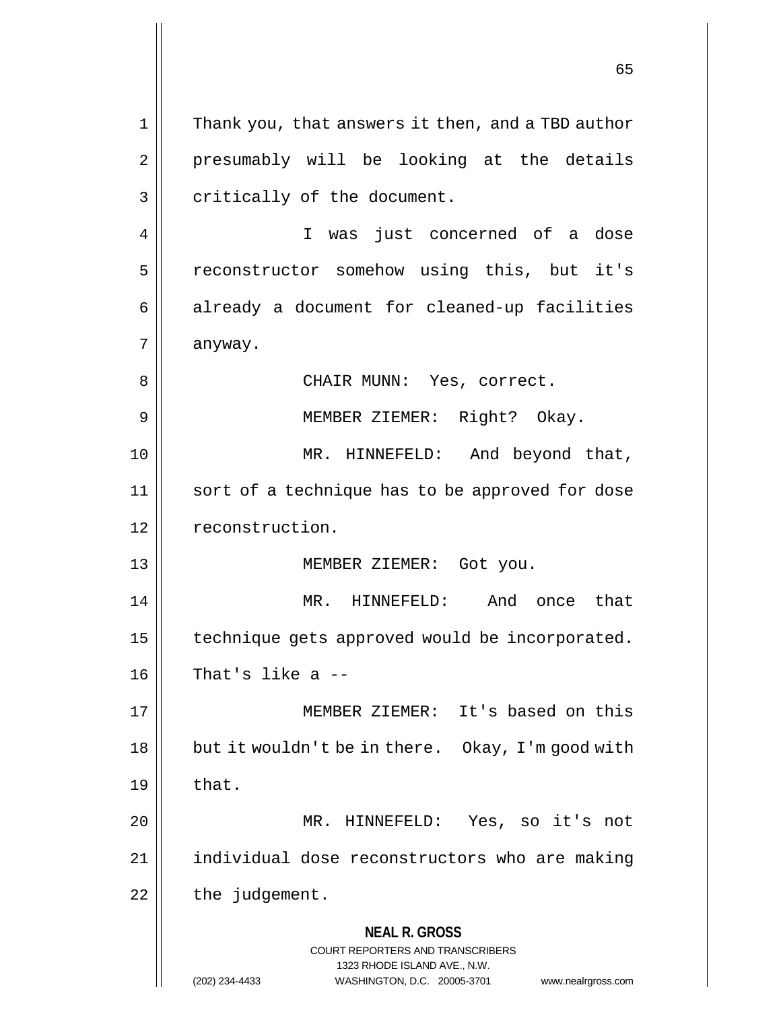**NEAL R. GROSS** COURT REPORTERS AND TRANSCRIBERS 1323 RHODE ISLAND AVE., N.W. (202) 234-4433 WASHINGTON, D.C. 20005-3701 www.nealrgross.com 1 || Thank you, that answers it then, and a TBD author 2 || presumably will be looking at the details  $3 \parallel$  critically of the document. 4 || I was just concerned of a dose 5 | reconstructor somehow using this, but it's  $6 \parallel$  already a document for cleaned-up facilities  $7 \parallel$  anyway. 8 || CHAIR MUNN: Yes, correct. 9 MEMBER ZIEMER: Right? Okay. 10 MR. HINNEFELD: And beyond that, 11 || sort of a technique has to be approved for dose 12 | reconstruction. 13 MEMBER ZIEMER: Got you. 14 MR. HINNEFELD: And once that 15  $\parallel$  technique gets approved would be incorporated.  $16$  || That's like a  $-$ 17 MEMBER ZIEMER: It's based on this 18 | but it wouldn't be in there. Okay, I'm good with  $19 \parallel$  that. 20 MR. HINNEFELD: Yes, so it's not 21 individual dose reconstructors who are making  $22$  | the judgement.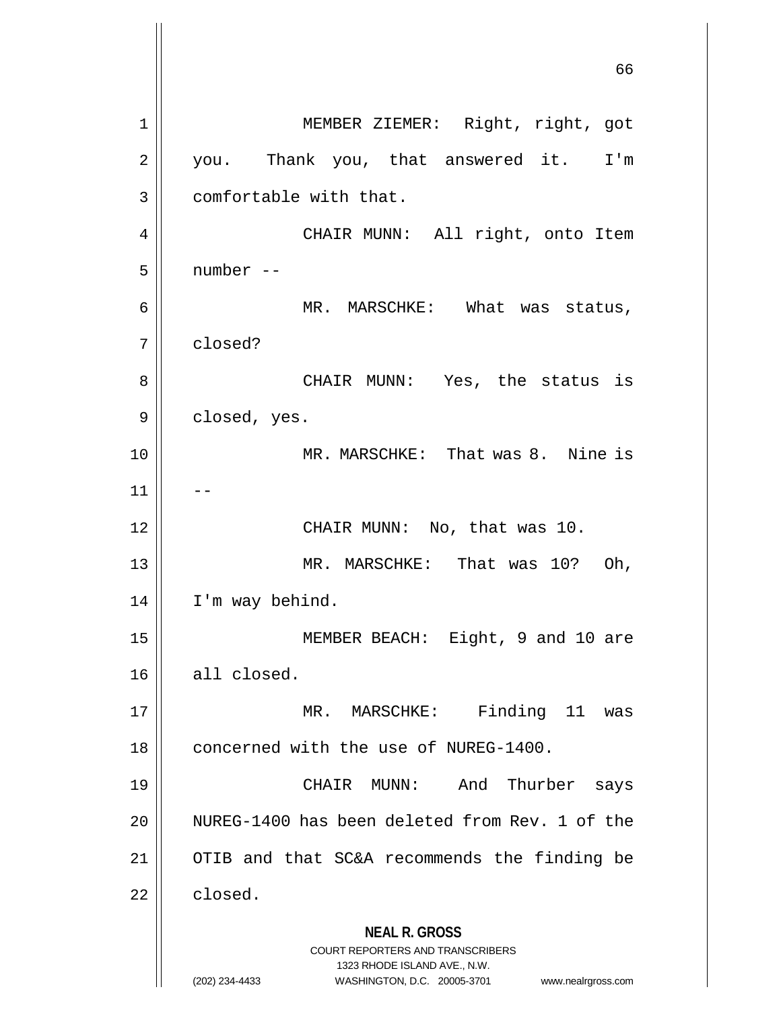**NEAL R. GROSS** COURT REPORTERS AND TRANSCRIBERS 1323 RHODE ISLAND AVE., N.W. (202) 234-4433 WASHINGTON, D.C. 20005-3701 www.nealrgross.com 66 1 || MEMBER ZIEMER: Right, right, got 2 || you. Thank you, that answered it. I'm 3 | comfortable with that. 4 CHAIR MUNN: All right, onto Item  $5$  | number --6 MR. MARSCHKE: What was status, 7 closed? 8 CHAIR MUNN: Yes, the status is  $9 \parallel$  closed, yes. 10 || MR. MARSCHKE: That was 8. Nine is  $11$ 12 || CHAIR MUNN: No, that was 10. 13 MR. MARSCHKE: That was 10? Oh, 14 | I'm way behind. 15 || MEMBER BEACH: Eight, 9 and 10 are  $16$  all closed. 17 || MR. MARSCHKE: Finding 11 was 18 | concerned with the use of NUREG-1400. 19 CHAIR MUNN: And Thurber says 20 WUREG-1400 has been deleted from Rev. 1 of the 21 OTIB and that SC&A recommends the finding be 22 closed.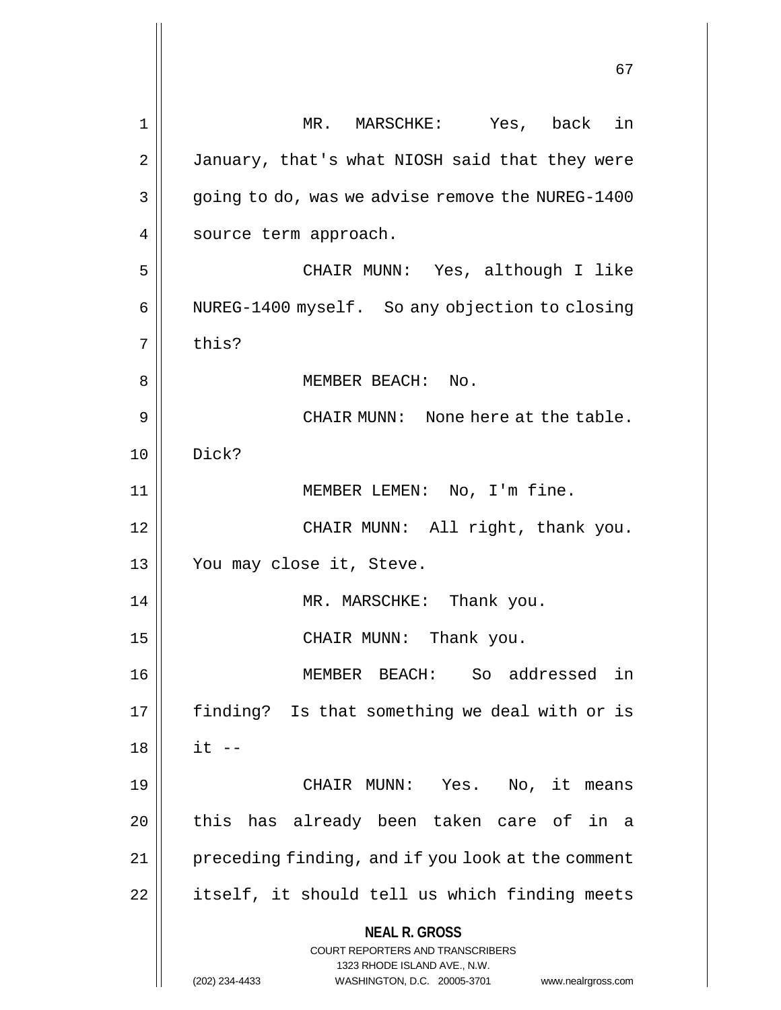**NEAL R. GROSS** COURT REPORTERS AND TRANSCRIBERS 1323 RHODE ISLAND AVE., N.W. (202) 234-4433 WASHINGTON, D.C. 20005-3701 www.nealrgross.com 67 1 MR. MARSCHKE: Yes, back in 2 | January, that's what NIOSH said that they were 3 | going to do, was we advise remove the NUREG-1400 4 | source term approach. 5 CHAIR MUNN: Yes, although I like 6 | NUREG-1400 myself. So any objection to closing  $7 \parallel$  this? 8 MEMBER BEACH: No. 9 || CHAIR MUNN: None here at the table. 10 Dick? 11 || MEMBER LEMEN: No, I'm fine. 12 || CHAIR MUNN: All right, thank you. 13 || You may close it, Steve. 14 || MR. MARSCHKE: Thank you. 15 || CHAIR MUNN: Thank you. 16 MEMBER BEACH: So addressed in 17 || finding? Is that something we deal with or is  $18 \parallel$  it --19 CHAIR MUNN: Yes. No, it means 20 || this has already been taken care of in a 21 | preceding finding, and if you look at the comment 22 | itself, it should tell us which finding meets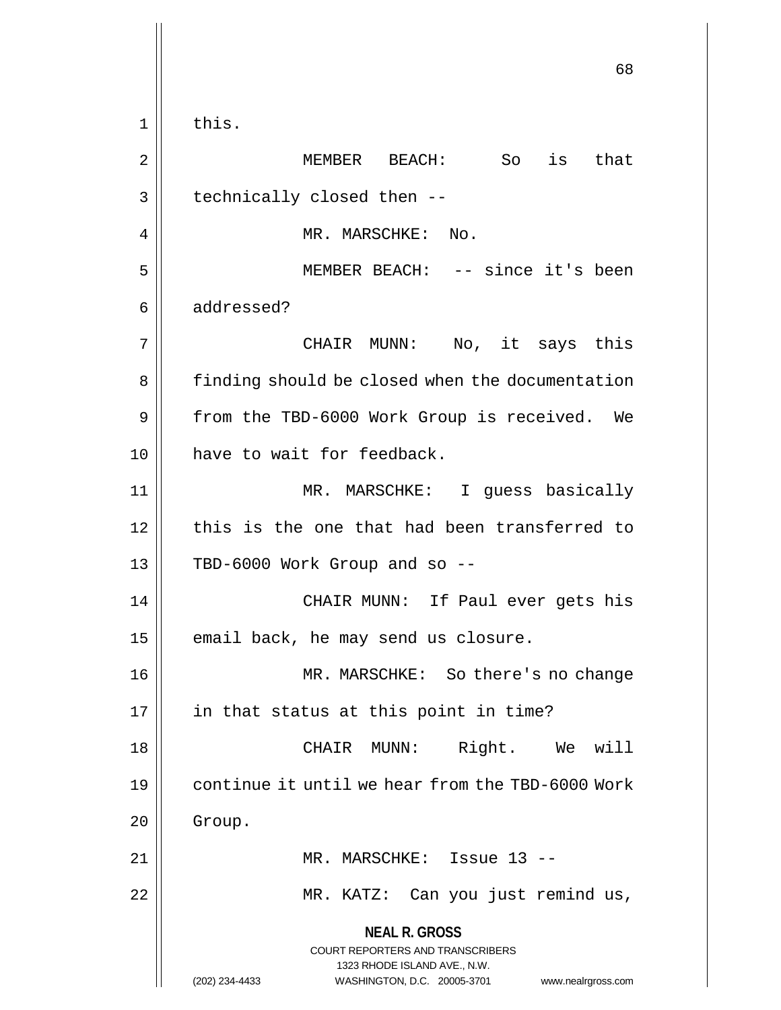**NEAL R. GROSS** COURT REPORTERS AND TRANSCRIBERS 1323 RHODE ISLAND AVE., N.W. (202) 234-4433 WASHINGTON, D.C. 20005-3701 www.nealrgross.com 68  $1 \parallel$  this. 2 MEMBER BEACH: So is that  $3 \parallel$  technically closed then --4 | MR. MARSCHKE: No. 5 MEMBER BEACH: -- since it's been 6 addressed? 7 CHAIR MUNN: No, it says this 8 | finding should be closed when the documentation 9 | from the TBD-6000 Work Group is received. We 10 have to wait for feedback. 11 MR. MARSCHKE: I guess basically 12 this is the one that had been transferred to  $13$  | TBD-6000 Work Group and so --14 CHAIR MUNN: If Paul ever gets his  $15$  | email back, he may send us closure. 16 MR. MARSCHKE: So there's no change  $17$  || in that status at this point in time? 18 CHAIR MUNN: Right. We will 19 continue it until we hear from the TBD-6000 Work  $20$  | Group. 21 MR. MARSCHKE: Issue 13 -- 22 || MR. KATZ: Can you just remind us,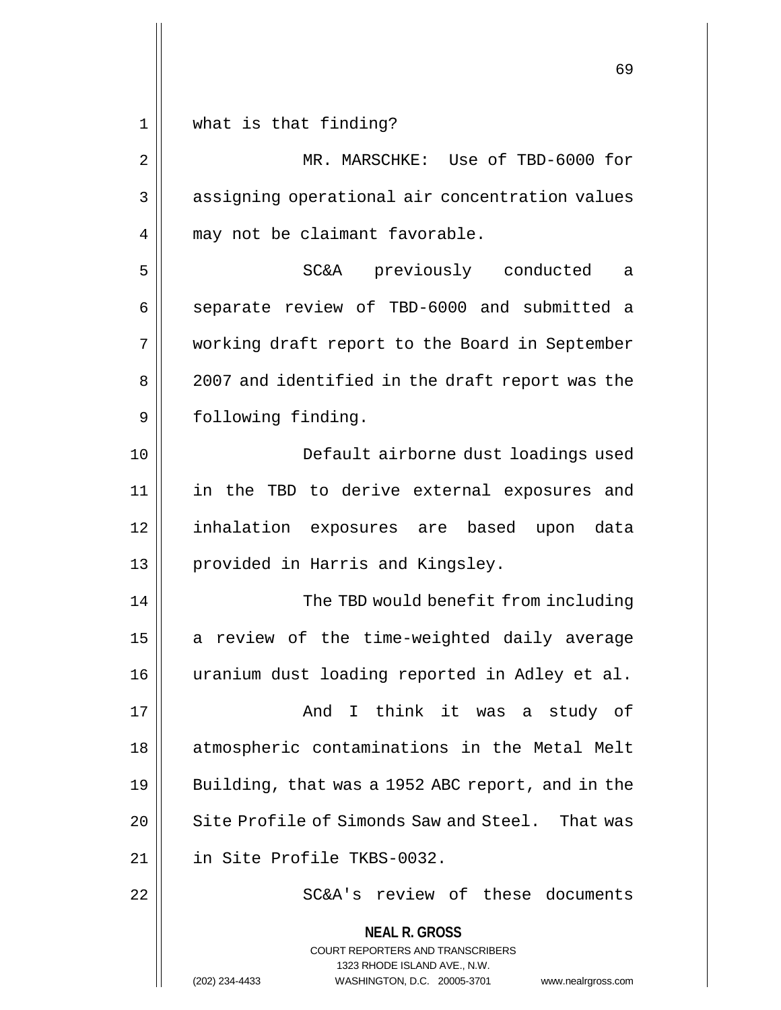$1 \parallel$  what is that finding?

| $\mathbf 2$ | MR. MARSCHKE: Use of TBD-6000 for                                                                                                                               |
|-------------|-----------------------------------------------------------------------------------------------------------------------------------------------------------------|
| 3           | assigning operational air concentration values                                                                                                                  |
| 4           | may not be claimant favorable.                                                                                                                                  |
| 5           | SC&A previously conducted<br>a a                                                                                                                                |
| 6           | separate review of TBD-6000 and submitted a                                                                                                                     |
| 7           | working draft report to the Board in September                                                                                                                  |
| 8           | 2007 and identified in the draft report was the                                                                                                                 |
| 9           | following finding.                                                                                                                                              |
| 10          | Default airborne dust loadings used                                                                                                                             |
| 11          | in the TBD to derive external exposures and                                                                                                                     |
| 12          | inhalation exposures are based upon data                                                                                                                        |
| 13          | provided in Harris and Kingsley.                                                                                                                                |
| 14          | The TBD would benefit from including                                                                                                                            |
| 15          | a review of the time-weighted daily average                                                                                                                     |
| 16          | uranium dust loading reported in Adley et al.                                                                                                                   |
| 17          | And I think it was a study of                                                                                                                                   |
| 18          | atmospheric contaminations in the Metal Melt                                                                                                                    |
| 19          | Building, that was a 1952 ABC report, and in the                                                                                                                |
| 20          | Site Profile of Simonds Saw and Steel. That was                                                                                                                 |
| 21          | in Site Profile TKBS-0032.                                                                                                                                      |
| 22          | SC&A's review of these documents                                                                                                                                |
|             | <b>NEAL R. GROSS</b><br>COURT REPORTERS AND TRANSCRIBERS<br>1323 RHODE ISLAND AVE., N.W.<br>WASHINGTON, D.C. 20005-3701<br>(202) 234-4433<br>www.nealrgross.com |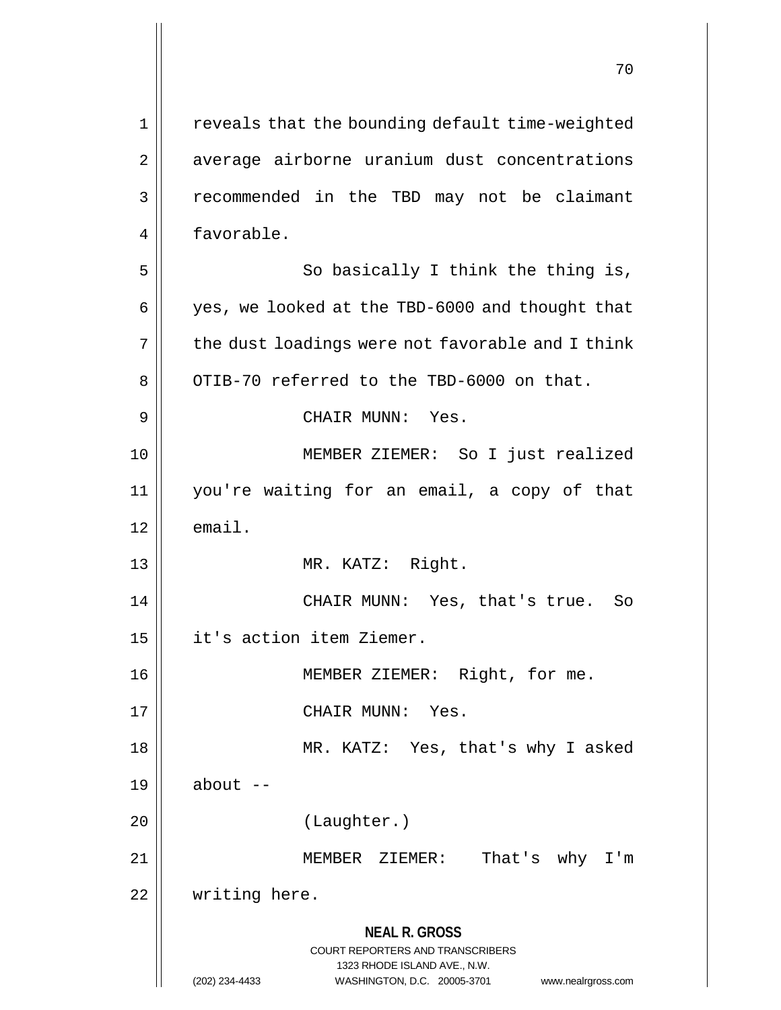**NEAL R. GROSS** COURT REPORTERS AND TRANSCRIBERS 1323 RHODE ISLAND AVE., N.W. (202) 234-4433 WASHINGTON, D.C. 20005-3701 www.nealrgross.com 1 || reveals that the bounding default time-weighted 2 | average airborne uranium dust concentrations 3 || recommended in the TBD may not be claimant 4 favorable.  $5 \parallel$  So basically I think the thing is,  $6 \parallel$  yes, we looked at the TBD-6000 and thought that  $7 \parallel$  the dust loadings were not favorable and I think  $8 \parallel$  OTIB-70 referred to the TBD-6000 on that. 9 CHAIR MUNN: Yes. 10 MEMBER ZIEMER: So I just realized 11 you're waiting for an email, a copy of that  $12 \parallel$  email. 13 MR. KATZ: Right. 14 CHAIR MUNN: Yes, that's true. So 15 it's action item Ziemer. 16 || **MEMBER ZIEMER:** Right, for me. 17 CHAIR MUNN: Yes. 18 MR. KATZ: Yes, that's why I asked  $19$  about  $-$ 20 (Laughter.) 21 MEMBER ZIEMER: That's why I'm 22 | writing here.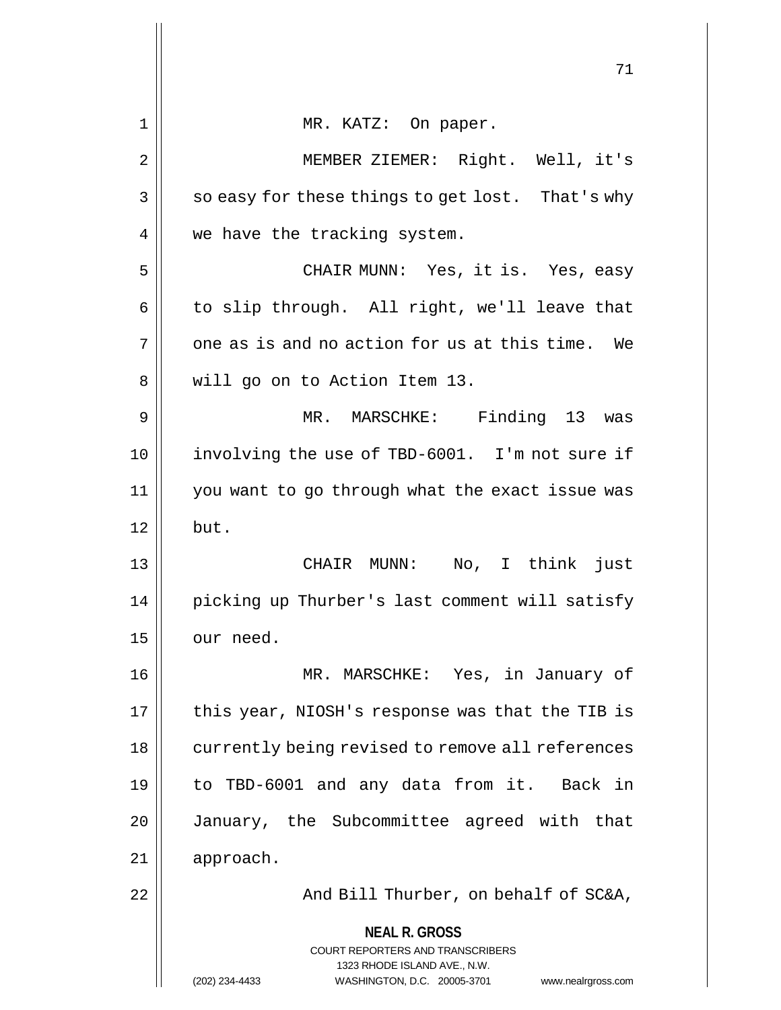|    | 71                                                                      |
|----|-------------------------------------------------------------------------|
| 1  | MR. KATZ: On paper.                                                     |
| 2  | MEMBER ZIEMER: Right. Well, it's                                        |
| 3  | so easy for these things to get lost. That's why                        |
| 4  | we have the tracking system.                                            |
| 5  | CHAIR MUNN: Yes, it is. Yes, easy                                       |
| 6  | to slip through. All right, we'll leave that                            |
| 7  | one as is and no action for us at this time. We                         |
| 8  | will go on to Action Item 13.                                           |
| 9  | MR. MARSCHKE: Finding 13 was                                            |
| 10 | involving the use of TBD-6001. I'm not sure if                          |
| 11 | you want to go through what the exact issue was                         |
| 12 | but.                                                                    |
| 13 | No, I think just<br>CHAIR MUNN:                                         |
| 14 | picking up Thurber's last comment will satisfy                          |
| 15 | our need.                                                               |
| 16 | MR. MARSCHKE: Yes, in January of                                        |
| 17 | this year, NIOSH's response was that the TIB is                         |
| 18 | currently being revised to remove all references                        |
| 19 | to TBD-6001 and any data from it. Back in                               |
| 20 | January, the Subcommittee agreed with that                              |
| 21 | approach.                                                               |
| 22 | And Bill Thurber, on behalf of SC&A,                                    |
|    | <b>NEAL R. GROSS</b>                                                    |
|    | <b>COURT REPORTERS AND TRANSCRIBERS</b><br>1323 RHODE ISLAND AVE., N.W. |
|    | (202) 234-4433<br>WASHINGTON, D.C. 20005-3701<br>www.nealrgross.com     |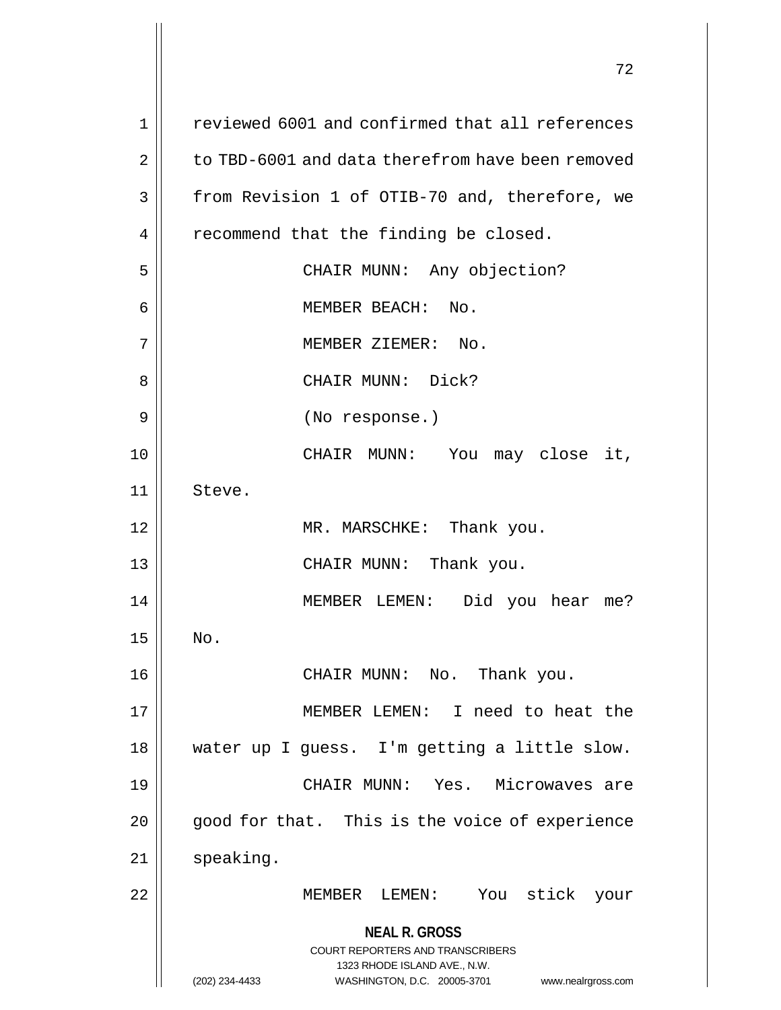**NEAL R. GROSS** COURT REPORTERS AND TRANSCRIBERS 1323 RHODE ISLAND AVE., N.W. (202) 234-4433 WASHINGTON, D.C. 20005-3701 www.nealrgross.com 1 || reviewed 6001 and confirmed that all references 2 to TBD-6001 and data therefrom have been removed 3 | from Revision 1 of OTIB-70 and, therefore, we  $4 \parallel$  recommend that the finding be closed. 5 || CHAIR MUNN: Any objection? 6 || MEMBER BEACH: No. 7 || MEMBER ZIEMER: No. 8 CHAIR MUNN: Dick? 9 (No response.) 10 CHAIR MUNN: You may close it, 11 || Steve. 12 || MR. MARSCHKE: Thank you. 13 CHAIR MUNN: Thank you. 14 || MEMBER LEMEN: Did you hear me?  $15$  No. 16 CHAIR MUNN: No. Thank you. 17 MEMBER LEMEN: I need to heat the 18 || water up I guess. I'm getting a little slow. 19 CHAIR MUNN: Yes. Microwaves are  $20$  | good for that. This is the voice of experience 21 | speaking. 22 MEMBER LEMEN: You stick your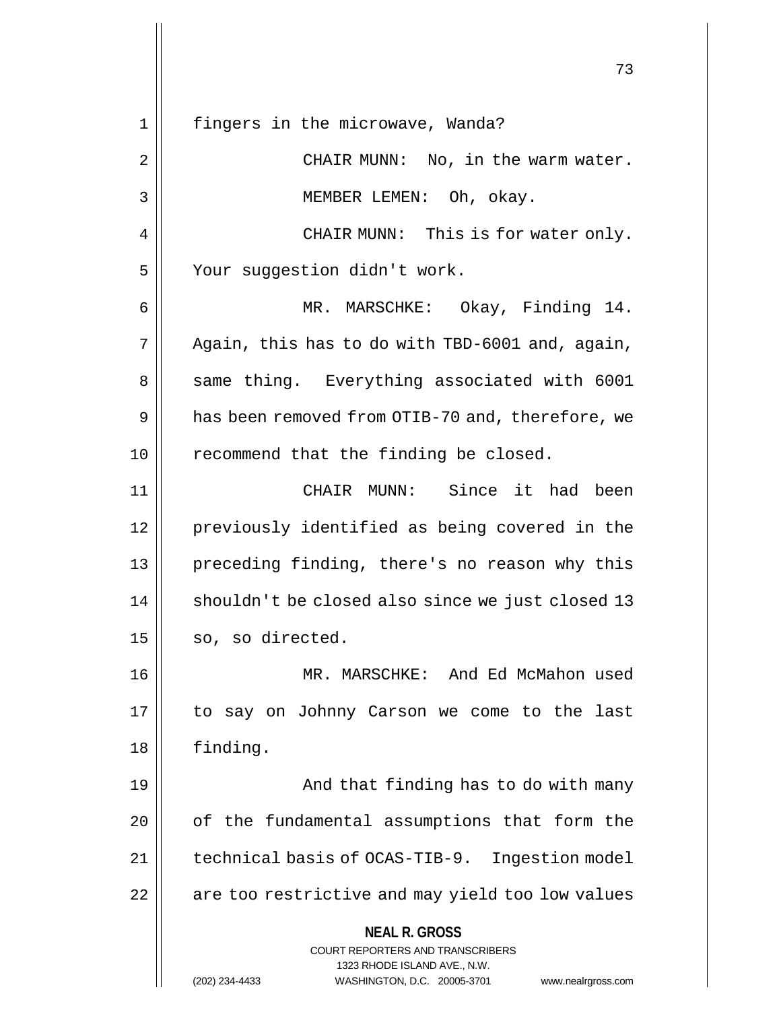**NEAL R. GROSS** COURT REPORTERS AND TRANSCRIBERS 1323 RHODE ISLAND AVE., N.W. (202) 234-4433 WASHINGTON, D.C. 20005-3701 www.nealrgross.com 1 || fingers in the microwave, Wanda? 2 || CHAIR MUNN: No, in the warm water. 3 || MEMBER LEMEN: Oh, okay. 4 || CHAIR MUNN: This is for water only. 5 | Your suggestion didn't work. 6 MR. MARSCHKE: Okay, Finding 14.  $7 \parallel$  Again, this has to do with TBD-6001 and, again, 8 || same thing. Everything associated with 6001 9 | has been removed from OTIB-70 and, therefore, we  $10$  recommend that the finding be closed. 11 CHAIR MUNN: Since it had been 12 || previously identified as being covered in the 13 || preceding finding, there's no reason why this 14 || shouldn't be closed also since we just closed 13  $15 \parallel$  so, so directed. 16 MR. MARSCHKE: And Ed McMahon used 17 to say on Johnny Carson we come to the last 18 finding. 19 || And that finding has to do with many 20 | of the fundamental assumptions that form the 21 | technical basis of OCAS-TIB-9. Ingestion model 22 || are too restrictive and may yield too low values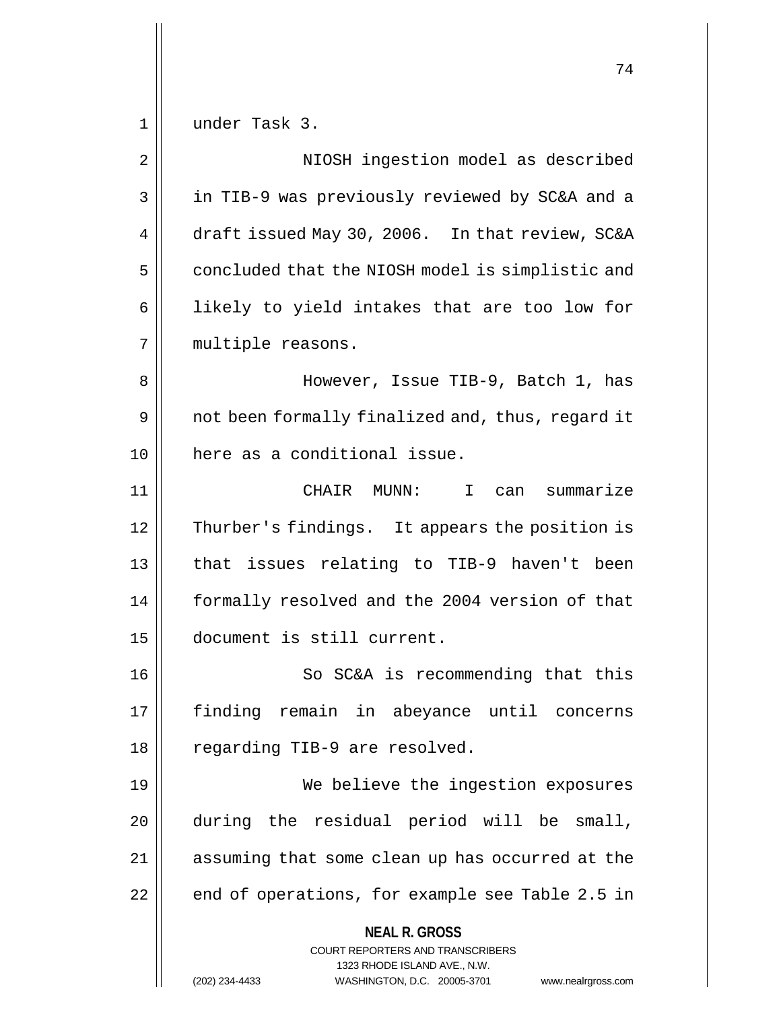1 under Task 3.

**NEAL R. GROSS** COURT REPORTERS AND TRANSCRIBERS 1323 RHODE ISLAND AVE., N.W. (202) 234-4433 WASHINGTON, D.C. 20005-3701 www.nealrgross.com 2 | NIOSH ingestion model as described 3 || in TIB-9 was previously reviewed by SC&A and a 4 draft issued May 30, 2006. In that review, SC&A 5 | concluded that the NIOSH model is simplistic and 6 || likely to yield intakes that are too low for 7 | multiple reasons. 8 However, Issue TIB-9, Batch 1, has 9 | not been formally finalized and, thus, regard it 10 here as a conditional issue. 11 CHAIR MUNN: I can summarize 12 | Thurber's findings. It appears the position is 13 || that issues relating to TIB-9 haven't been 14 | formally resolved and the 2004 version of that 15 document is still current. 16 || So SC&A is recommending that this 17 finding remain in abeyance until concerns 18 || regarding TIB-9 are resolved. 19 We believe the ingestion exposures 20 during the residual period will be small, 21 || assuming that some clean up has occurred at the  $22 \parallel$  end of operations, for example see Table 2.5 in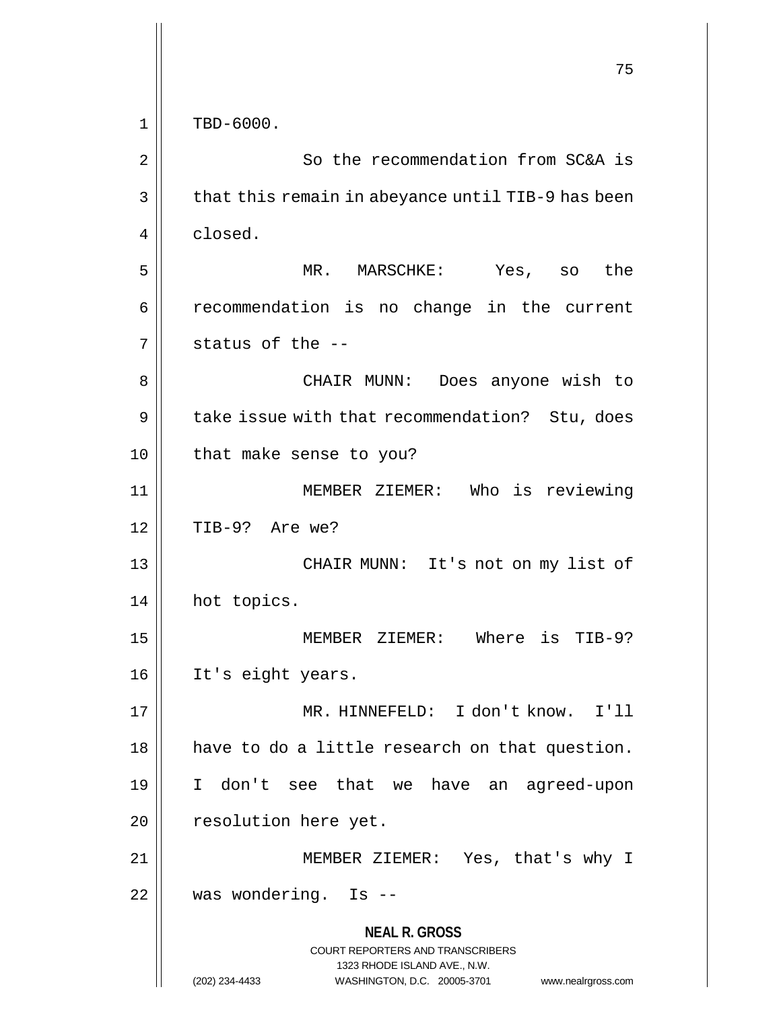|             | 75                                                                                                  |
|-------------|-----------------------------------------------------------------------------------------------------|
| $\mathbf 1$ | TBD-6000.                                                                                           |
| 2           | So the recommendation from SC&A is                                                                  |
| 3           | that this remain in abeyance until TIB-9 has been                                                   |
| 4           | closed.                                                                                             |
| 5           | MR. MARSCHKE: Yes, so the                                                                           |
| 6           | recommendation is no change in the current                                                          |
| 7           | status of the --                                                                                    |
|             |                                                                                                     |
| 8           | CHAIR MUNN: Does anyone wish to                                                                     |
| 9           | take issue with that recommendation? Stu, does                                                      |
| 10          | that make sense to you?                                                                             |
| 11          | MEMBER ZIEMER: Who is reviewing                                                                     |
| 12          | TIB-9? Are we?                                                                                      |
| 13          | CHAIR MUNN: It's not on my list of                                                                  |
| 14          | hot topics.                                                                                         |
| 15          | MEMBER ZIEMER:<br>Where is TIB-9?                                                                   |
| 16          | It's eight years.                                                                                   |
| 17          | MR. HINNEFELD: I don't know. I'll                                                                   |
| 18          | have to do a little research on that question.                                                      |
| 19          | I don't see that we have an agreed-upon                                                             |
| 20          | resolution here yet.                                                                                |
| 21          | MEMBER ZIEMER: Yes, that's why I                                                                    |
| 22          | was wondering. Is --                                                                                |
|             | <b>NEAL R. GROSS</b><br><b>COURT REPORTERS AND TRANSCRIBERS</b>                                     |
|             | 1323 RHODE ISLAND AVE., N.W.<br>(202) 234-4433<br>WASHINGTON, D.C. 20005-3701<br>www.nealrgross.com |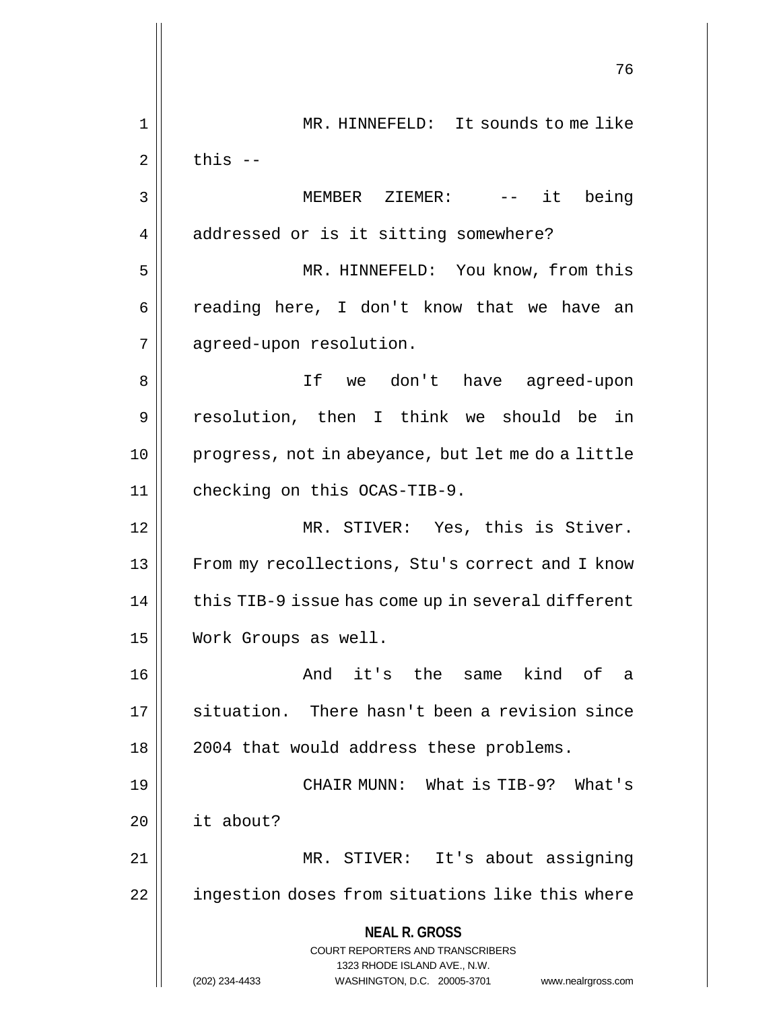**NEAL R. GROSS** COURT REPORTERS AND TRANSCRIBERS 1323 RHODE ISLAND AVE., N.W. (202) 234-4433 WASHINGTON, D.C. 20005-3701 www.nealrgross.com 76 1 || MR. HINNEFELD: It sounds to me like  $2 \parallel$  this  $-$ 3 MEMBER ZIEMER: -- it being 4 addressed or is it sitting somewhere? 5 MR. HINNEFELD: You know, from this  $6 \parallel$  reading here, I don't know that we have an 7 | agreed-upon resolution. 8 If we don't have agreed-upon 9 resolution, then I think we should be in 10 progress, not in abeyance, but let me do a little 11 | checking on this OCAS-TIB-9. 12 || MR. STIVER: Yes, this is Stiver. 13 || From my recollections, Stu's correct and I know  $14$  | this TIB-9 issue has come up in several different 15 Work Groups as well. 16 || The Same kind of a 17 || situation. There hasn't been a revision since 18 || 2004 that would address these problems. 19 CHAIR MUNN: What is TIB-9? What's 20 it about? 21 MR. STIVER: It's about assigning 22 | ingestion doses from situations like this where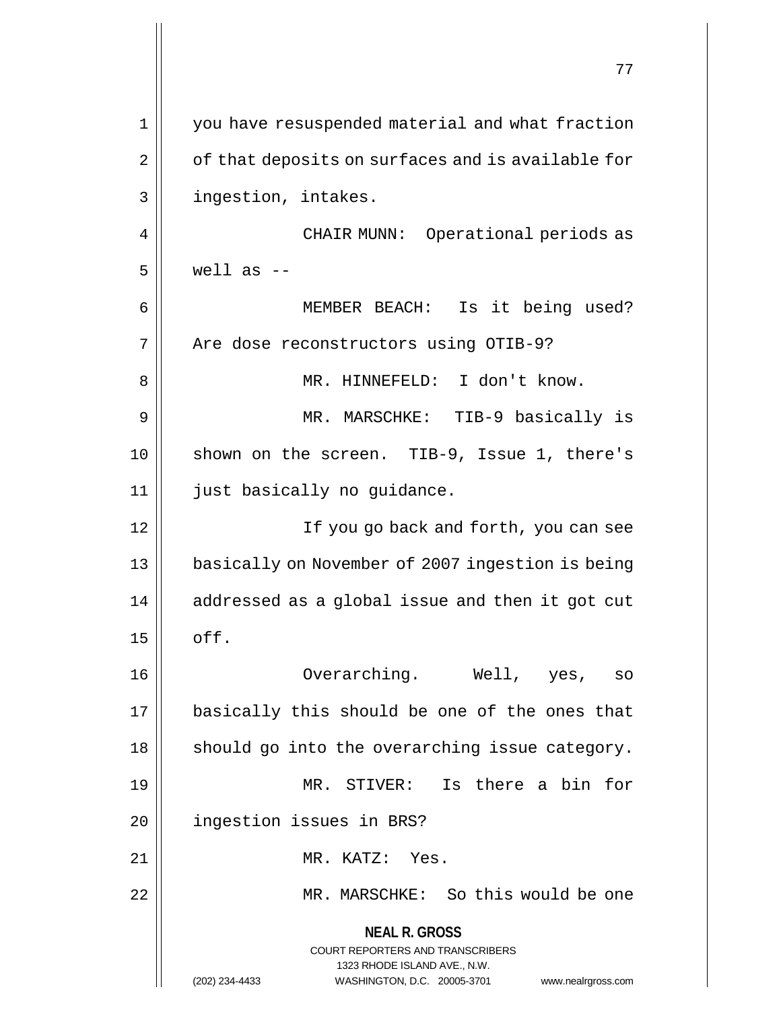**NEAL R. GROSS** COURT REPORTERS AND TRANSCRIBERS 1323 RHODE ISLAND AVE., N.W. (202) 234-4433 WASHINGTON, D.C. 20005-3701 www.nealrgross.com 77 1 || you have resuspended material and what fraction 2 | of that deposits on surfaces and is available for 3 | ingestion, intakes. 4 CHAIR MUNN: Operational periods as  $5 \parallel$  well as  $-$ 6 MEMBER BEACH: Is it being used? 7 | Are dose reconstructors using OTIB-9? 8 MR. HINNEFELD: I don't know. 9 || MR. MARSCHKE: TIB-9 basically is 10 || shown on the screen. TIB-9, Issue 1, there's 11 || just basically no guidance. 12 || If you go back and forth, you can see 13 | basically on November of 2007 ingestion is being  $14$  | addressed as a global issue and then it got cut  $15$   $\vert$  off. 16 Overarching. Well, yes, so 17 || basically this should be one of the ones that  $18$  || should go into the overarching issue category. 19 MR. STIVER: Is there a bin for 20 | ingestion issues in BRS? 21 || MR. KATZ: Yes. 22 MR. MARSCHKE: So this would be one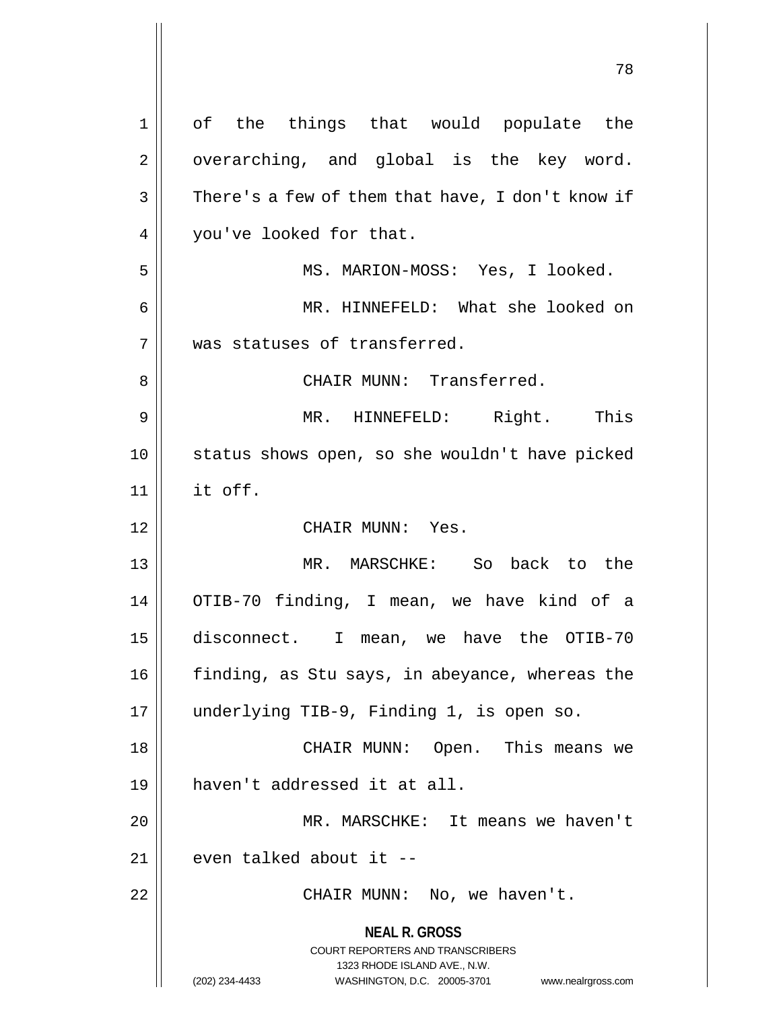**NEAL R. GROSS** COURT REPORTERS AND TRANSCRIBERS 1323 RHODE ISLAND AVE., N.W. (202) 234-4433 WASHINGTON, D.C. 20005-3701 www.nealrgross.com 1 || of the things that would populate the  $2 \parallel$  overarching, and global is the key word.  $3 \parallel$  There's a few of them that have, I don't know if 4 | vou've looked for that. 5 MS. MARION-MOSS: Yes, I looked. 6 MR. HINNEFELD: What she looked on 7 was statuses of transferred. 8 CHAIR MUNN: Transferred. 9 MR. HINNEFELD: Right. This 10 || status shows open, so she wouldn't have picked  $11$  it off. 12 || CHAIR MUNN: Yes. 13 || MR. MARSCHKE: So back to the 14 OTIB-70 finding, I mean, we have kind of a 15 disconnect. I mean, we have the OTIB-70 16 | finding, as Stu says, in abeyance, whereas the 17 underlying TIB-9, Finding 1, is open so. 18 CHAIR MUNN: Open. This means we 19 haven't addressed it at all. 20 MR. MARSCHKE: It means we haven't  $21$  | even talked about it  $-$ 22 || CHAIR MUNN: No, we haven't.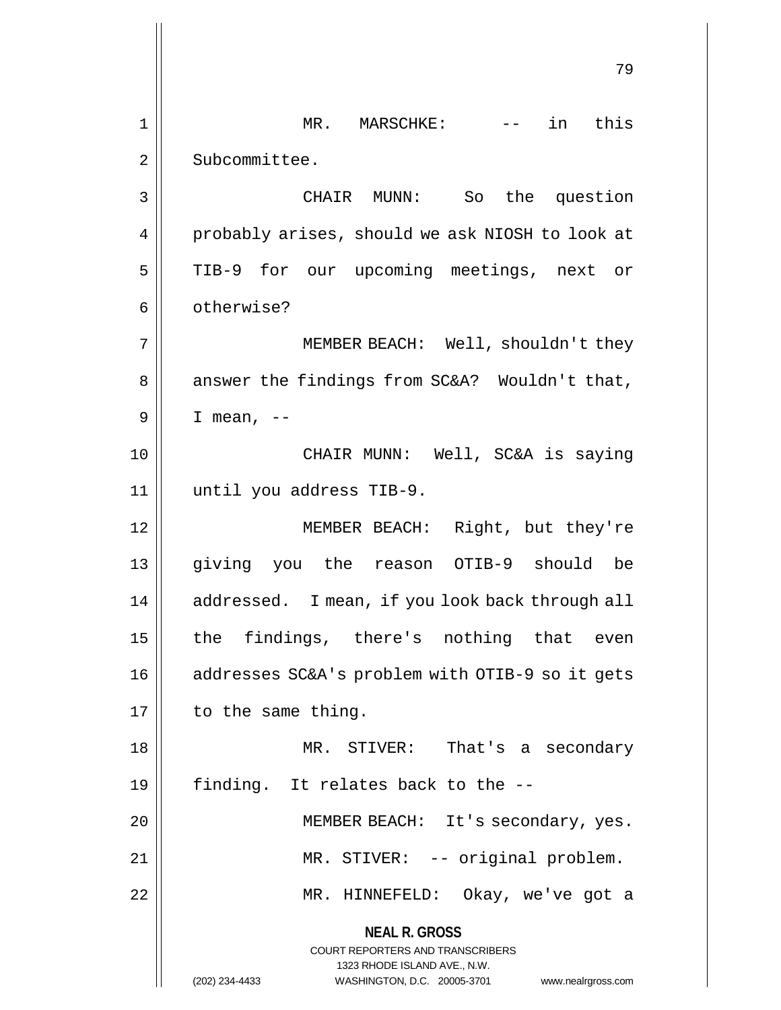**NEAL R. GROSS** COURT REPORTERS AND TRANSCRIBERS 1323 RHODE ISLAND AVE., N.W. (202) 234-4433 WASHINGTON, D.C. 20005-3701 www.nealrgross.com 79 1 || MR. MARSCHKE: -- in this 2 | Subcommittee. 3 CHAIR MUNN: So the question 4 | probably arises, should we ask NIOSH to look at 5 || TIB-9 for our upcoming meetings, next or 6 | otherwise? 7 || MEMBER BEACH: Well, shouldn't they  $8 \parallel$  answer the findings from SC&A? Wouldn't that,  $9 \parallel$  I mean,  $-$ 10 CHAIR MUNN: Well, SC&A is saying 11 until you address TIB-9. 12 || MEMBER BEACH: Right, but they're 13 giving you the reason OTIB-9 should be 14 | addressed. I mean, if you look back through all 15 || the findings, there's nothing that even 16 | addresses SC&A's problem with OTIB-9 so it gets  $17 \parallel$  to the same thing. 18 MR. STIVER: That's a secondary 19  $\parallel$  finding. It relates back to the  $-$ -20 MEMBER BEACH: It's secondary, yes. 21 || MR. STIVER: -- original problem. 22 MR. HINNEFELD: Okay, we've got a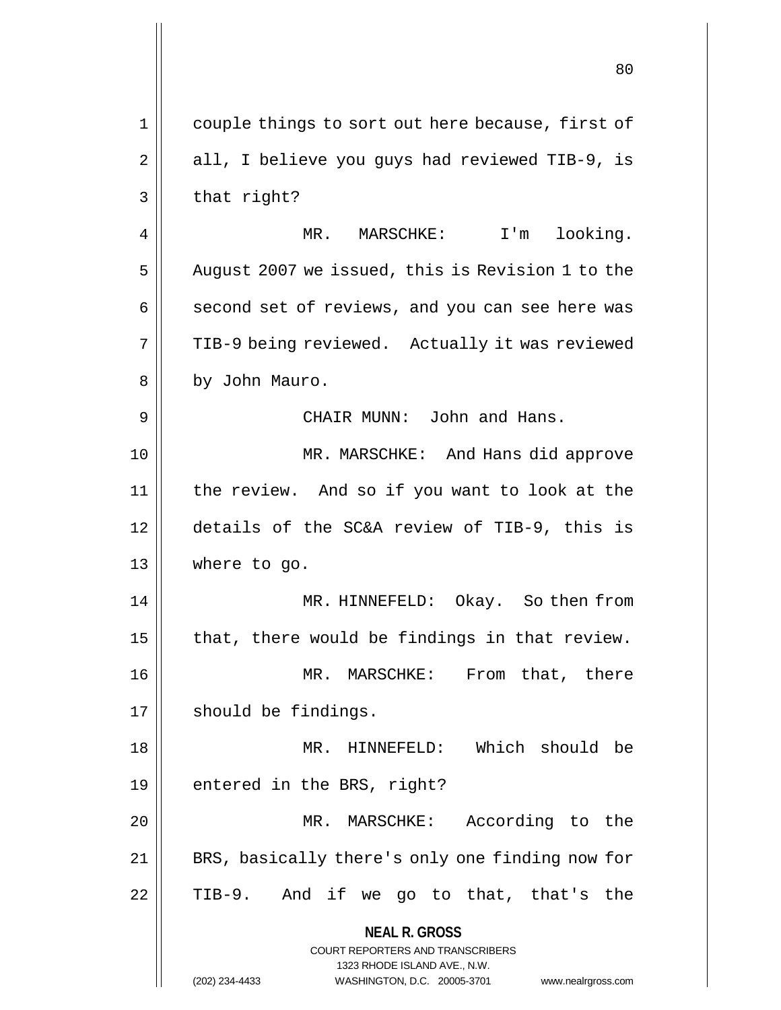**NEAL R. GROSS** COURT REPORTERS AND TRANSCRIBERS 1323 RHODE ISLAND AVE., N.W. (202) 234-4433 WASHINGTON, D.C. 20005-3701 www.nealrgross.com 80 1 || couple things to sort out here because, first of  $2 \parallel$  all, I believe you guys had reviewed TIB-9, is  $3 \parallel$  that right? 4 | MR. MARSCHKE: I'm looking. 5 | August 2007 we issued, this is Revision 1 to the  $6 \parallel$  second set of reviews, and you can see here was 7 || TIB-9 being reviewed. Actually it was reviewed 8 | by John Mauro. 9 CHAIR MUNN: John and Hans. 10 MR. MARSCHKE: And Hans did approve 11 the review. And so if you want to look at the 12 details of the SC&A review of TIB-9, this is 13 where to go. 14 MR. HINNEFELD: Okay. So then from  $15$  | that, there would be findings in that review. 16 || MR. MARSCHKE: From that, there 17 | should be findings. 18 MR. HINNEFELD: Which should be 19  $\parallel$  entered in the BRS, right? 20 MR. MARSCHKE: According to the 21 || BRS, basically there's only one finding now for  $22 \parallel$  TIB-9. And if we go to that, that's the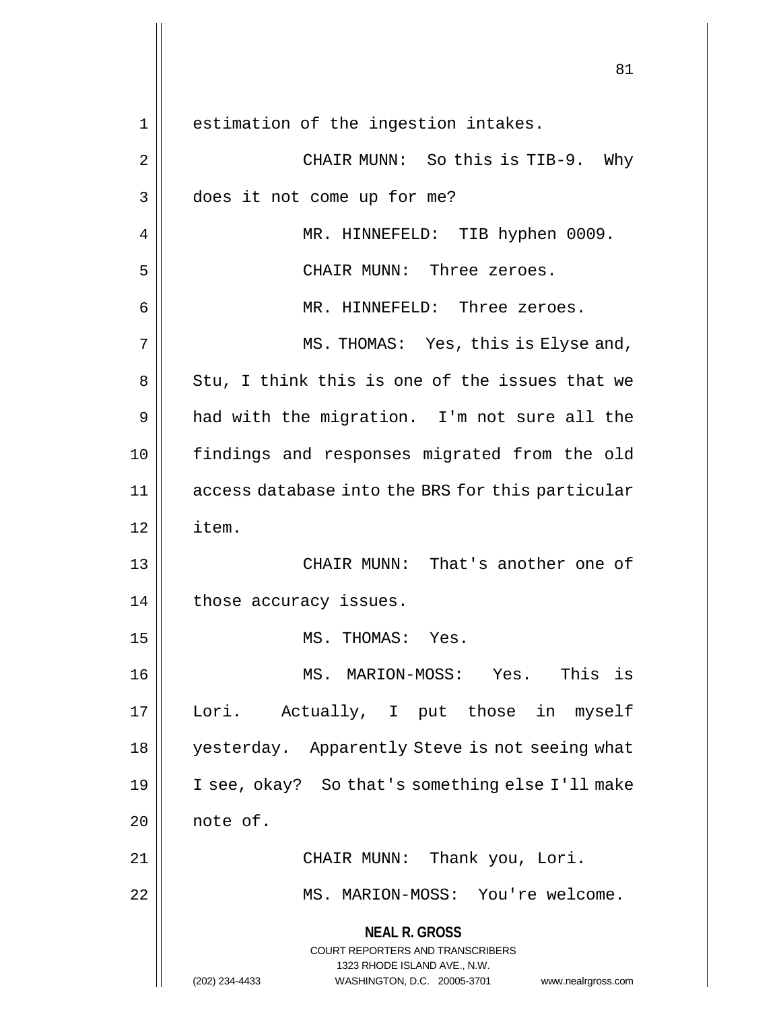**NEAL R. GROSS** COURT REPORTERS AND TRANSCRIBERS 1323 RHODE ISLAND AVE., N.W. (202) 234-4433 WASHINGTON, D.C. 20005-3701 www.nealrgross.com 81 1 || estimation of the ingestion intakes. 2 CHAIR MUNN: So this is TIB-9. Why 3 | does it not come up for me? 4 | MR. HINNEFELD: TIB hyphen 0009. 5 CHAIR MUNN: Three zeroes. 6 MR. HINNEFELD: Three zeroes. 7 MS. THOMAS: Yes, this is Elyse and,  $8 \parallel$  Stu, I think this is one of the issues that we 9 || had with the migration. I'm not sure all the 10 findings and responses migrated from the old 11 access database into the BRS for this particular 12 item. 13 CHAIR MUNN: That's another one of 14 | those accuracy issues. 15 || MS. THOMAS: Yes. 16 MS. MARION-MOSS: Yes. This is 17 Lori. Actually, I put those in myself 18 yesterday. Apparently Steve is not seeing what 19 I see, okay? So that's something else I'll make  $20$  note of. 21 CHAIR MUNN: Thank you, Lori. 22 MS. MARION-MOSS: You're welcome.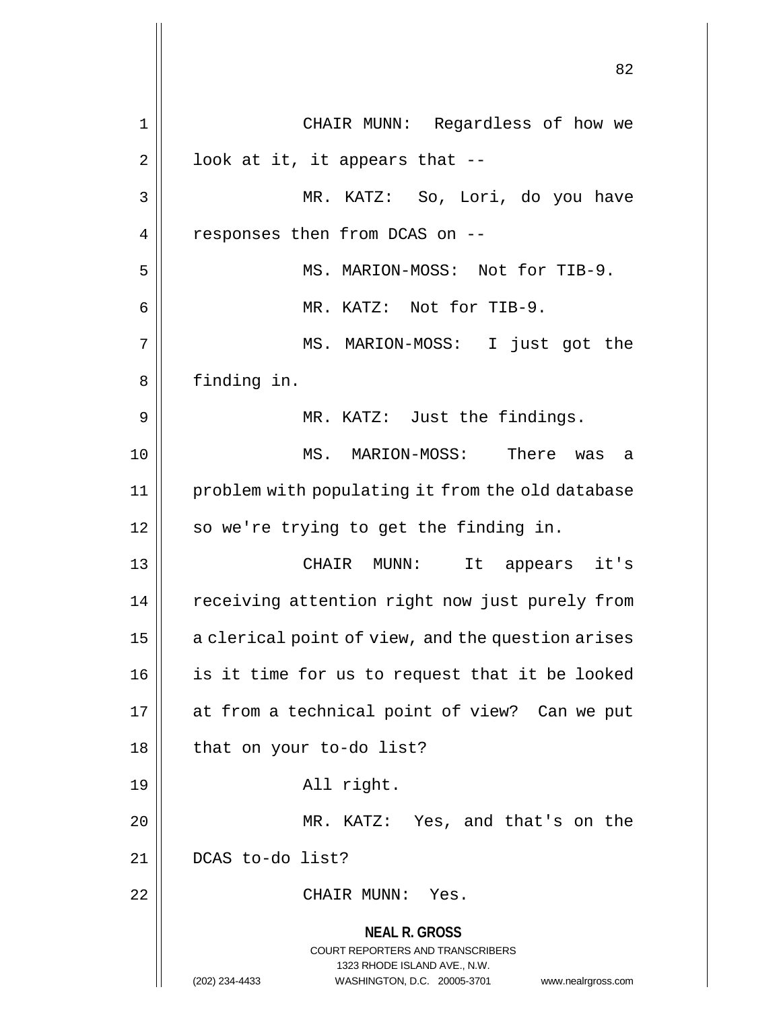**NEAL R. GROSS** COURT REPORTERS AND TRANSCRIBERS 1323 RHODE ISLAND AVE., N.W. (202) 234-4433 WASHINGTON, D.C. 20005-3701 www.nealrgross.com 1 CHAIR MUNN: Regardless of how we  $2 \parallel$  look at it, it appears that --3 MR. KATZ: So, Lori, do you have 4 | responses then from DCAS on --5 MS. MARION-MOSS: Not for TIB-9. 6 MR. KATZ: Not for TIB-9. 7 MS. MARION-MOSS: I just got the 8 | finding in. 9 || MR. KATZ: Just the findings. 10 MS. MARION-MOSS: There was a 11 problem with populating it from the old database 12 || so we're trying to get the finding in. 13 CHAIR MUNN: It appears it's 14 | receiving attention right now just purely from  $15$  | a clerical point of view, and the question arises 16 || is it time for us to request that it be looked 17 at from a technical point of view? Can we put 18 || that on your to-do list? 19 || Rall right. 20 MR. KATZ: Yes, and that's on the 21 || DCAS to-do list? 22 CHAIR MUNN: Yes.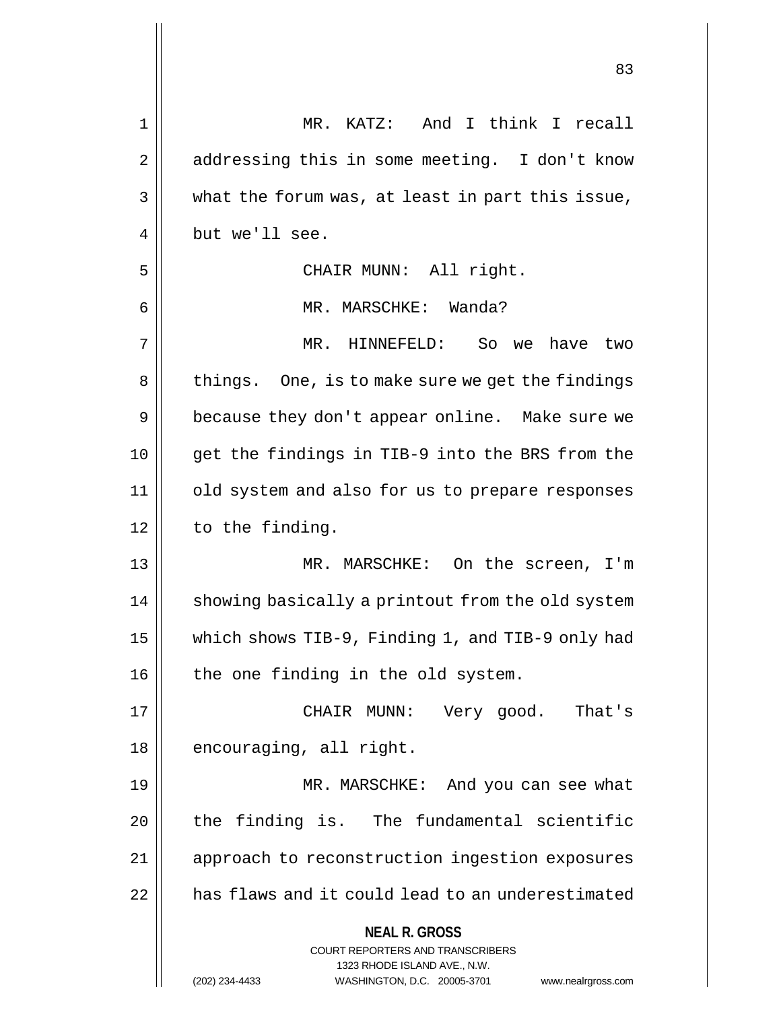| 1  | MR. KATZ: And I think I recall                                      |
|----|---------------------------------------------------------------------|
| 2  | addressing this in some meeting. I don't know                       |
| 3  | what the forum was, at least in part this issue,                    |
| 4  | but we'll see.                                                      |
| 5  | CHAIR MUNN: All right.                                              |
| 6  | MR. MARSCHKE: Wanda?                                                |
| 7  | MR. HINNEFELD: So we<br>have<br>two                                 |
| 8  | things. One, is to make sure we get the findings                    |
| 9  | because they don't appear online. Make sure we                      |
| 10 | get the findings in TIB-9 into the BRS from the                     |
| 11 | old system and also for us to prepare responses                     |
| 12 | to the finding.                                                     |
| 13 | MR. MARSCHKE: On the screen, I'm                                    |
| 14 | showing basically a printout from the old system                    |
| 15 | which shows TIB-9, Finding 1, and TIB-9 only had                    |
| 16 | the one finding in the old system.                                  |
| 17 | Very good. That's<br>CHAIR MUNN:                                    |
| 18 | encouraging, all right.                                             |
| 19 | MR. MARSCHKE: And you can see what                                  |
| 20 | the finding is. The fundamental scientific                          |
| 21 | approach to reconstruction ingestion exposures                      |
| 22 | has flaws and it could lead to an underestimated                    |
|    |                                                                     |
|    | <b>NEAL R. GROSS</b><br><b>COURT REPORTERS AND TRANSCRIBERS</b>     |
|    | 1323 RHODE ISLAND AVE., N.W.                                        |
|    | (202) 234-4433<br>WASHINGTON, D.C. 20005-3701<br>www.nealrgross.com |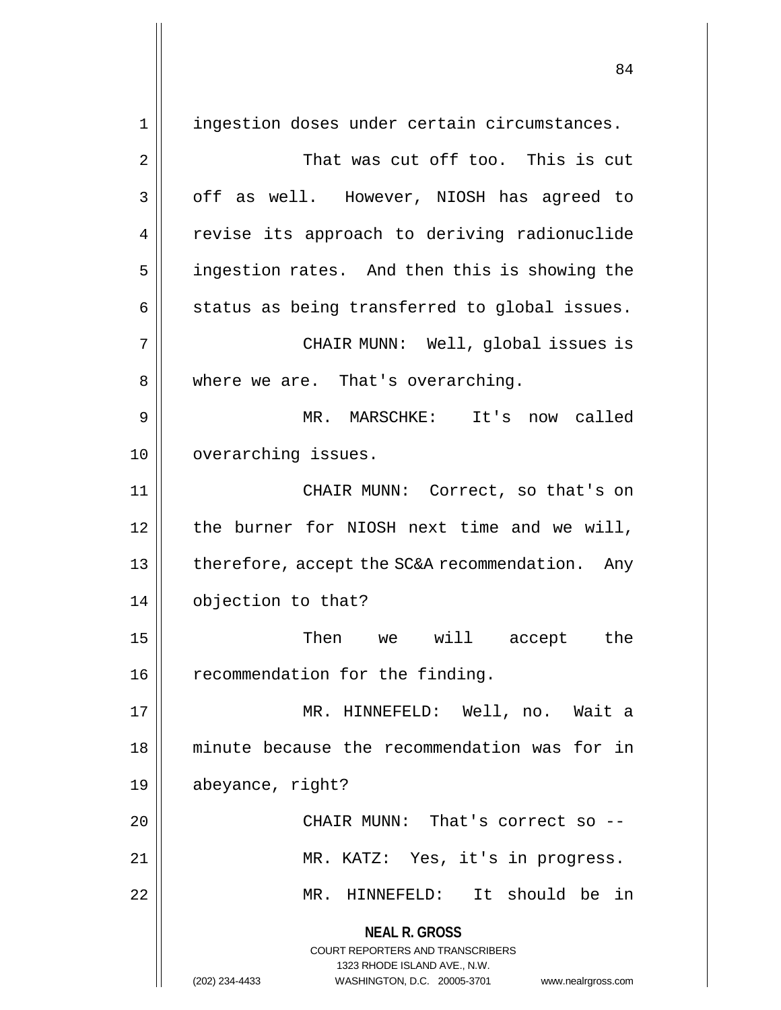**NEAL R. GROSS** COURT REPORTERS AND TRANSCRIBERS 1323 RHODE ISLAND AVE., N.W. (202) 234-4433 WASHINGTON, D.C. 20005-3701 www.nealrgross.com 1 || ingestion doses under certain circumstances. 2 That was cut off too. This is cut 3 || off as well. However, NIOSH has agreed to 4 || revise its approach to deriving radionuclide 5 | ingestion rates. And then this is showing the  $6 \parallel$  status as being transferred to global issues. 7 CHAIR MUNN: Well, global issues is 8 || where we are. That's overarching. 9 MR. MARSCHKE: It's now called 10 | overarching issues. 11 CHAIR MUNN: Correct, so that's on 12 the burner for NIOSH next time and we will, 13 || therefore, accept the SC&A recommendation. Any 14 | objection to that? 15 Then we will accept the 16 | recommendation for the finding. 17 || MR. HINNEFELD: Well, no. Wait a 18 minute because the recommendation was for in 19 abeyance, right? 20 || CHAIR MUNN: That's correct so --21 || MR. KATZ: Yes, it's in progress. 22 MR. HINNEFELD: It should be in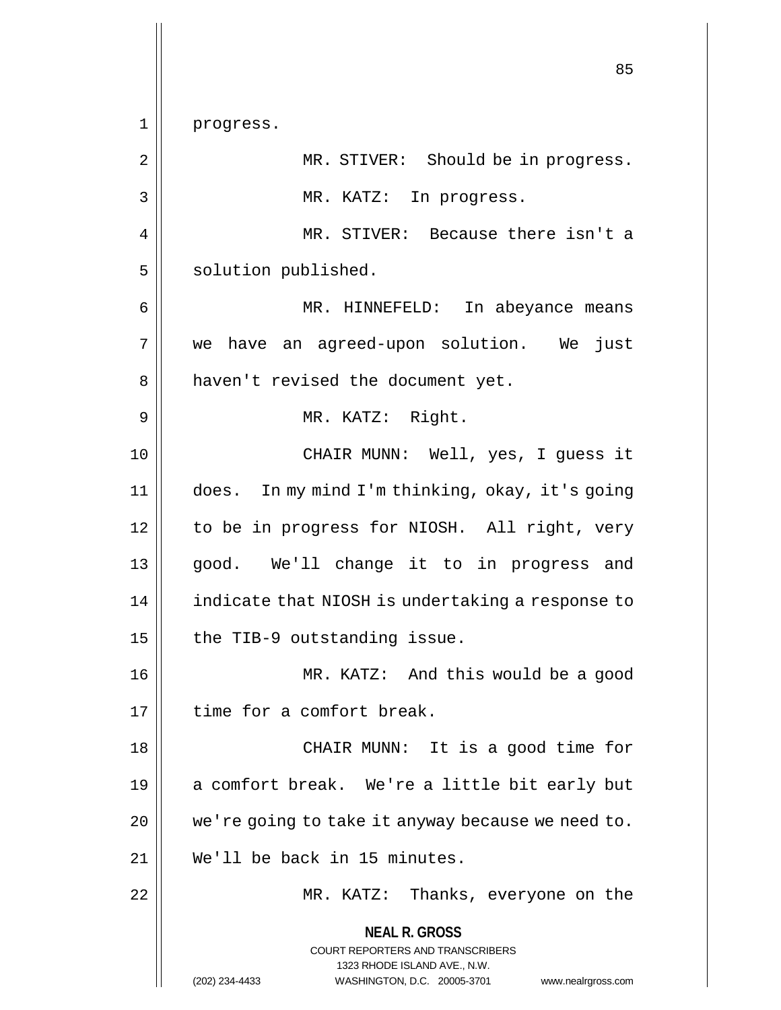**NEAL R. GROSS** COURT REPORTERS AND TRANSCRIBERS 1323 RHODE ISLAND AVE., N.W. (202) 234-4433 WASHINGTON, D.C. 20005-3701 www.nealrgross.com 85 1 || progress. 2 || MR. STIVER: Should be in progress. 3 || MR. KATZ: In progress. 4 MR. STIVER: Because there isn't a 5 | solution published. 6 MR. HINNEFELD: In abeyance means 7 we have an agreed-upon solution. We just 8 || haven't revised the document yet. 9 MR. KATZ: Right. 10 CHAIR MUNN: Well, yes, I guess it 11 does. In my mind I'm thinking, okay, it's going 12 | to be in progress for NIOSH. All right, very 13 good. We'll change it to in progress and 14 | indicate that NIOSH is undertaking a response to  $15$  | the TIB-9 outstanding issue. 16 MR. KATZ: And this would be a good 17 I time for a comfort break. 18 || CHAIR MUNN: It is a good time for 19 || a comfort break. We're a little bit early but  $20$  | we're going to take it anyway because we need to. 21 We'll be back in 15 minutes. 22 MR. KATZ: Thanks, everyone on the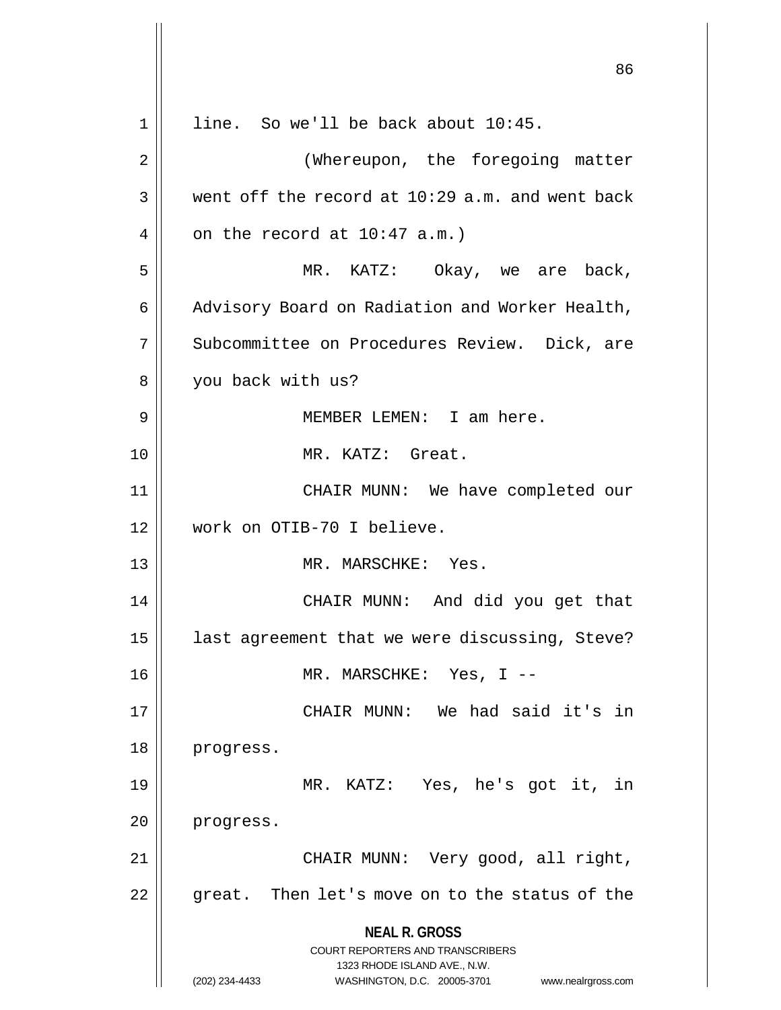**NEAL R. GROSS** COURT REPORTERS AND TRANSCRIBERS 1323 RHODE ISLAND AVE., N.W. (202) 234-4433 WASHINGTON, D.C. 20005-3701 www.nealrgross.com 86 1 || line. So we'll be back about 10:45. 2 (Whereupon, the foregoing matter  $3 \parallel$  went off the record at 10:29 a.m. and went back 4 |  $\vert$  on the record at 10:47 a.m.) 5 MR. KATZ: Okay, we are back, 6 | Advisory Board on Radiation and Worker Health, 7 || Subcommittee on Procedures Review. Dick, are 8 | you back with us? 9 MEMBER LEMEN: I am here. 10 MR. KATZ: Great. 11 CHAIR MUNN: We have completed our 12 work on OTIB-70 I believe. 13 || MR. MARSCHKE: Yes. 14 || CHAIR MUNN: And did you get that  $15$  | last agreement that we were discussing, Steve? 16 MR. MARSCHKE: Yes, I -- 17 CHAIR MUNN: We had said it's in 18 progress. 19 MR. KATZ: Yes, he's got it, in 20 progress. 21 CHAIR MUNN: Very good, all right,  $22$  | qreat. Then let's move on to the status of the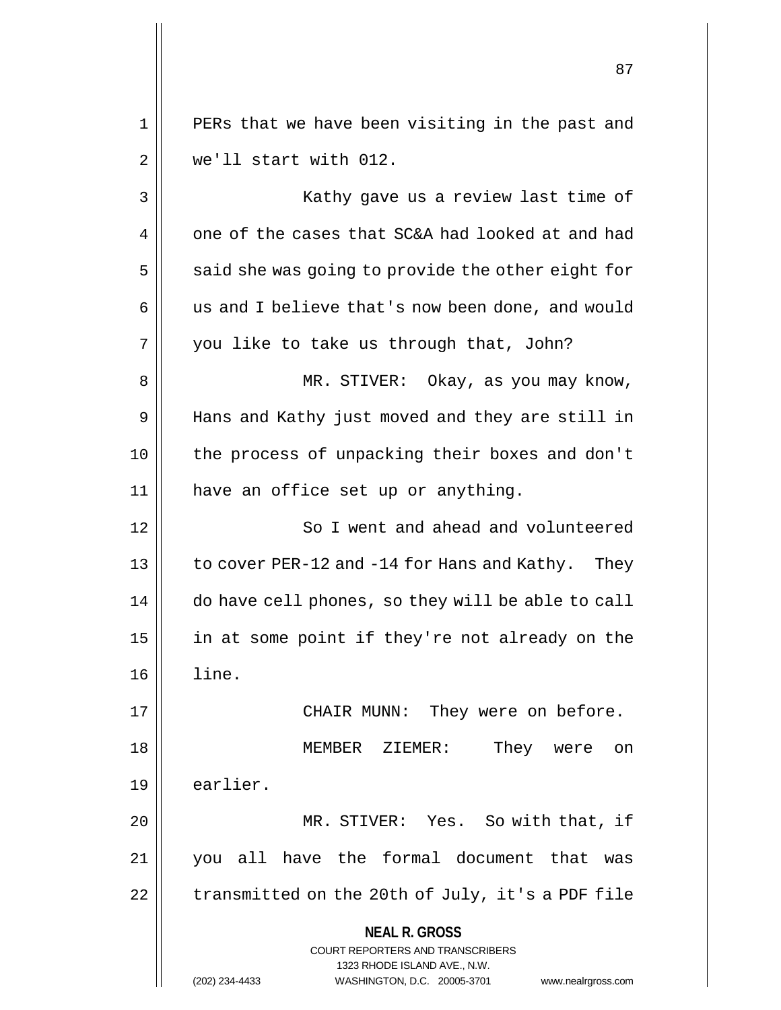1 || PERs that we have been visiting in the past and 2 we'll start with 012.

**NEAL R. GROSS** COURT REPORTERS AND TRANSCRIBERS 1323 RHODE ISLAND AVE., N.W. (202) 234-4433 WASHINGTON, D.C. 20005-3701 www.nealrgross.com 3 || Kathy gave us a review last time of 4  $\parallel$  one of the cases that SC&A had looked at and had  $5 \parallel$  said she was going to provide the other eight for 6 || us and I believe that's now been done, and would  $7 \parallel$  you like to take us through that, John? 8 MR. STIVER: Okay, as you may know, 9 || Hans and Kathy just moved and they are still in 10 the process of unpacking their boxes and don't 11 || have an office set up or anything. 12 || So I went and ahead and volunteered 13  $\vert$  to cover PER-12 and -14 for Hans and Kathy. They 14 | do have cell phones, so they will be able to call 15 || in at some point if they're not already on the 16 line. 17 CHAIR MUNN: They were on before. 18 MEMBER ZIEMER: They were on 19 | earlier. 20 MR. STIVER: Yes. So with that, if 21 you all have the formal document that was  $22$  | transmitted on the 20th of July, it's a PDF file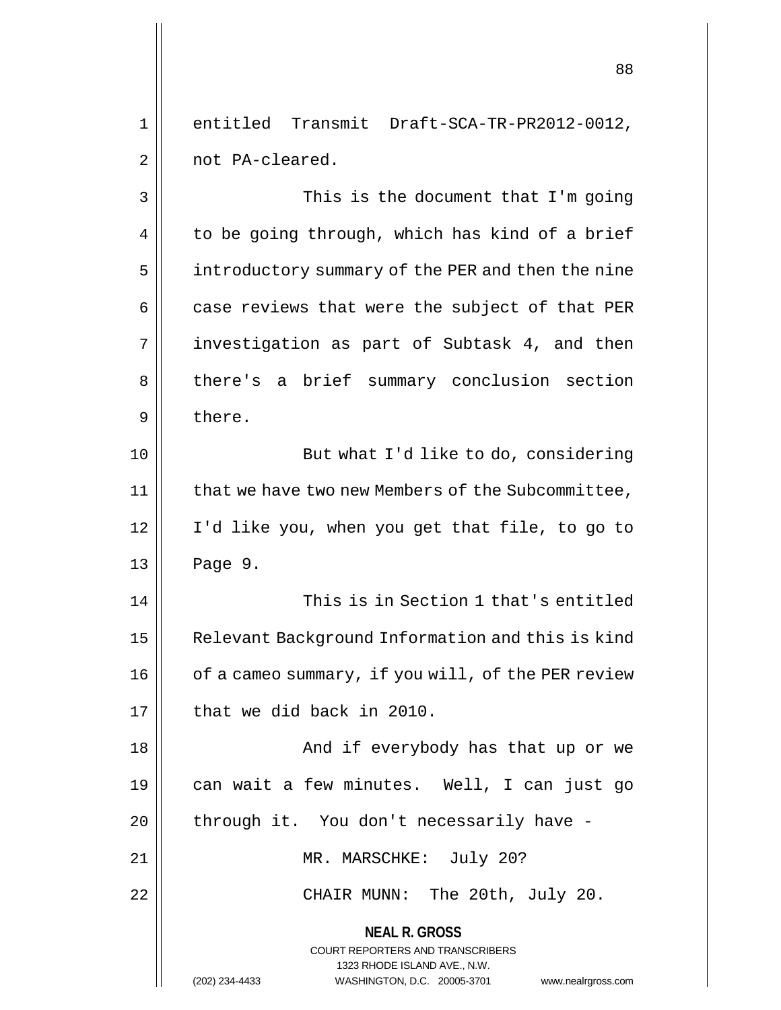1 entitled Transmit Draft-SCA-TR-PR2012-0012, 2 | not PA-cleared.

**NEAL R. GROSS** COURT REPORTERS AND TRANSCRIBERS 1323 RHODE ISLAND AVE., N.W. 3 || This is the document that I'm going  $4 \parallel$  to be going through, which has kind of a brief 5 | introductory summary of the PER and then the nine  $6 \parallel$  case reviews that were the subject of that PER  $7 \parallel$  investigation as part of Subtask 4, and then 8 || there's a brief summary conclusion section 9 l there. 10 || But what I'd like to do, considering 11 | that we have two new Members of the Subcommittee, 12 I'd like you, when you get that file, to go to  $13 \parallel$  Page 9. 14 This is in Section 1 that's entitled 15 | Relevant Background Information and this is kind 16 | of a cameo summary, if you will, of the PER review  $17$  | that we did back in 2010. 18 And if everybody has that up or we 19 can wait a few minutes. Well, I can just go  $20$  | through it. You don't necessarily have -21 || MR. MARSCHKE: July 20? 22 || CHAIR MUNN: The 20th, July 20.

(202) 234-4433 WASHINGTON, D.C. 20005-3701 www.nealrgross.com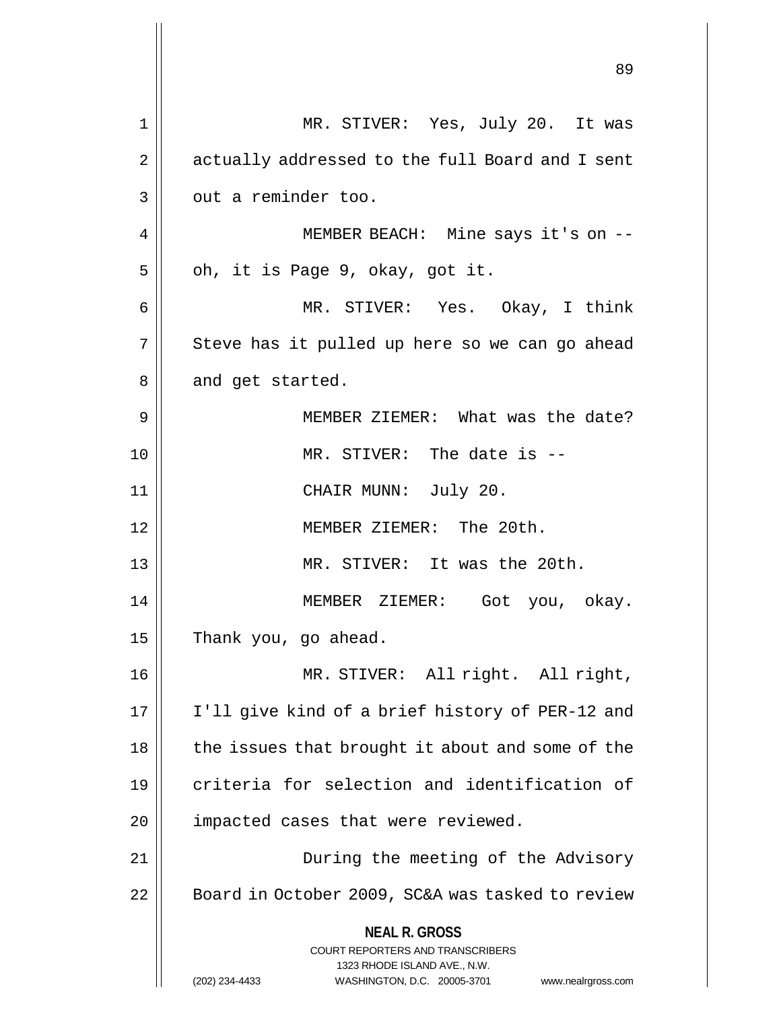|    | 89                                                                                                                                                                     |
|----|------------------------------------------------------------------------------------------------------------------------------------------------------------------------|
| 1  | MR. STIVER: Yes, July 20. It was                                                                                                                                       |
| 2  | actually addressed to the full Board and I sent                                                                                                                        |
| 3  | out a reminder too.                                                                                                                                                    |
| 4  | MEMBER BEACH: Mine says it's on --                                                                                                                                     |
| 5  | oh, it is Page 9, okay, got it.                                                                                                                                        |
| 6  | MR. STIVER: Yes. Okay, I think                                                                                                                                         |
| 7  | Steve has it pulled up here so we can go ahead                                                                                                                         |
| 8  | and get started.                                                                                                                                                       |
| 9  | MEMBER ZIEMER: What was the date?                                                                                                                                      |
| 10 | MR. STIVER: The date is --                                                                                                                                             |
| 11 | CHAIR MUNN: July 20.                                                                                                                                                   |
| 12 | MEMBER ZIEMER: The 20th.                                                                                                                                               |
| 13 | MR. STIVER: It was the 20th.                                                                                                                                           |
| 14 | MEMBER ZIEMER:<br>Got you, okay.                                                                                                                                       |
| 15 | Thank you, go ahead.                                                                                                                                                   |
| 16 | MR. STIVER: All right. All right,                                                                                                                                      |
| 17 | I'll give kind of a brief history of PER-12 and                                                                                                                        |
| 18 | the issues that brought it about and some of the                                                                                                                       |
| 19 | criteria for selection and identification of                                                                                                                           |
| 20 | impacted cases that were reviewed.                                                                                                                                     |
| 21 | During the meeting of the Advisory                                                                                                                                     |
| 22 | Board in October 2009, SC&A was tasked to review                                                                                                                       |
|    | <b>NEAL R. GROSS</b><br><b>COURT REPORTERS AND TRANSCRIBERS</b><br>1323 RHODE ISLAND AVE., N.W.<br>(202) 234-4433<br>WASHINGTON, D.C. 20005-3701<br>www.nealrgross.com |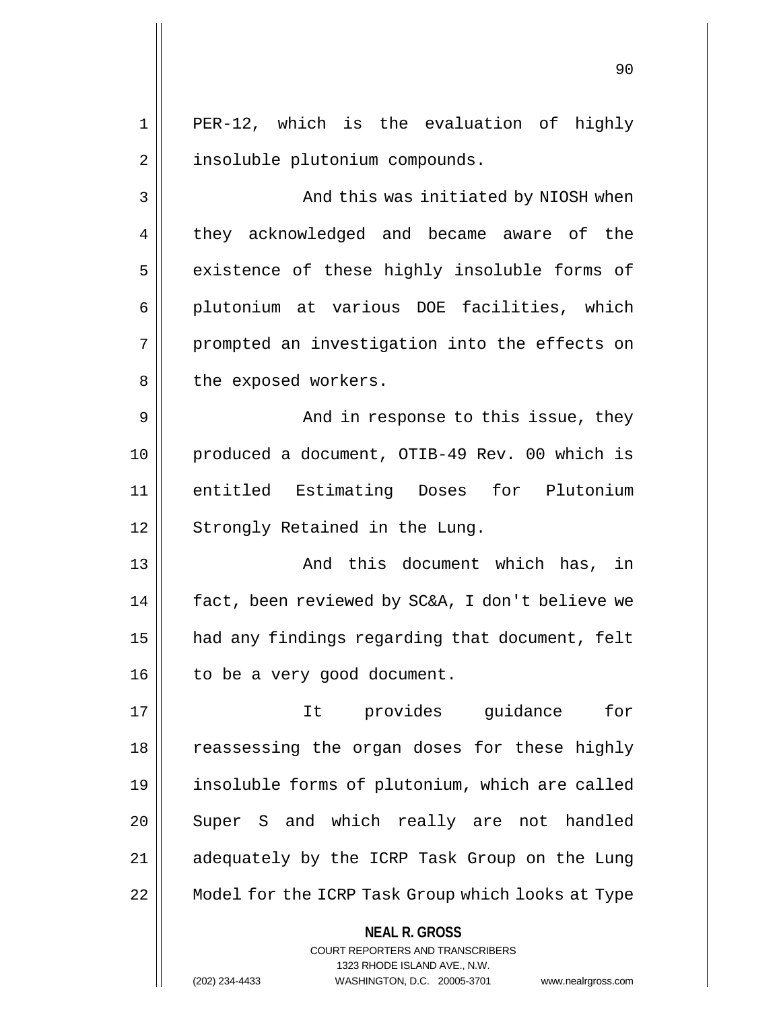1 || PER-12, which is the evaluation of highly 2 | insoluble plutonium compounds.

3 And this was initiated by NIOSH when 4 they acknowledged and became aware of the 5 | existence of these highly insoluble forms of 6 || plutonium at various DOE facilities, which 7 || prompted an investigation into the effects on 8 || the exposed workers.

9 || And in response to this issue, they 10 || produced a document, OTIB-49 Rev. 00 which is 11 entitled Estimating Doses for Plutonium 12 || Strongly Retained in the Lung.

13 And this document which has, in 14 | fact, been reviewed by SC&A, I don't believe we 15 | had any findings regarding that document, felt 16 | to be a very good document.

17 It provides guidance for 18 || reassessing the organ doses for these highly 19 insoluble forms of plutonium, which are called 20 Super S and which really are not handled 21 || adequately by the ICRP Task Group on the Lung 22 || Model for the ICRP Task Group which looks at Type

> **NEAL R. GROSS** COURT REPORTERS AND TRANSCRIBERS 1323 RHODE ISLAND AVE., N.W.

(202) 234-4433 WASHINGTON, D.C. 20005-3701 www.nealrgross.com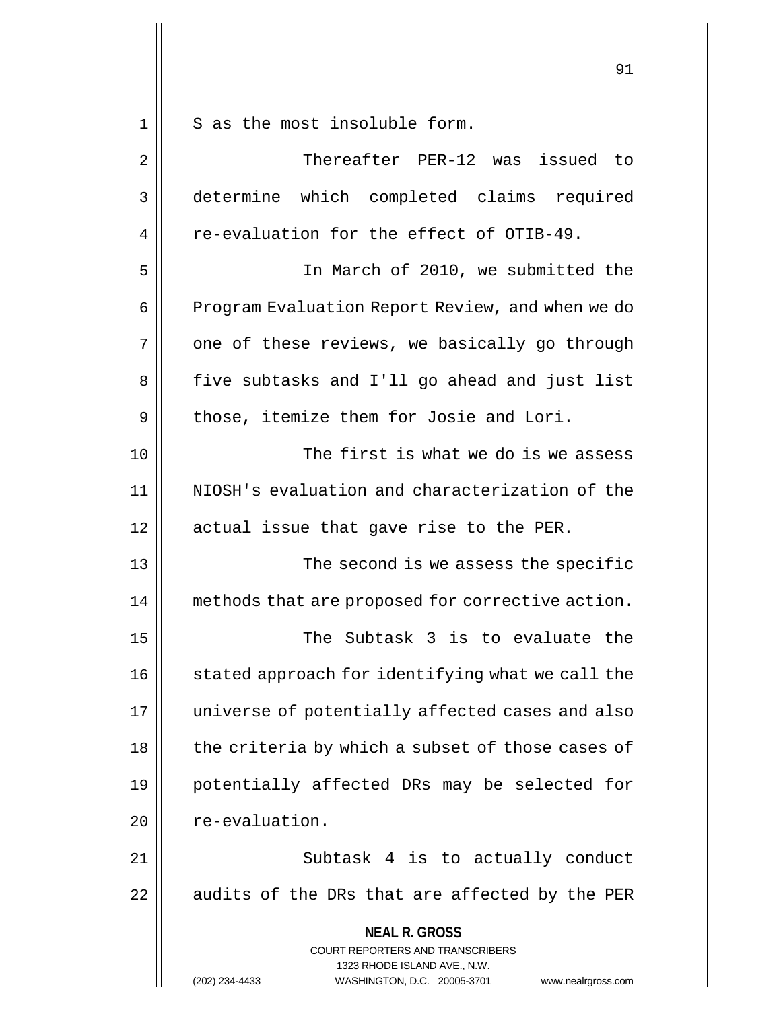$1 \parallel$  S as the most insoluble form.

| $\overline{2}$ | Thereafter PER-12 was issued to                                                                                                                                        |
|----------------|------------------------------------------------------------------------------------------------------------------------------------------------------------------------|
| 3              | determine which completed claims required                                                                                                                              |
| $\overline{4}$ | re-evaluation for the effect of OTIB-49.                                                                                                                               |
| 5              | In March of 2010, we submitted the                                                                                                                                     |
| 6              | Program Evaluation Report Review, and when we do                                                                                                                       |
| 7              | one of these reviews, we basically go through                                                                                                                          |
| 8              | five subtasks and I'll go ahead and just list                                                                                                                          |
| 9              | those, itemize them for Josie and Lori.                                                                                                                                |
| 10             | The first is what we do is we assess                                                                                                                                   |
| 11             | NIOSH's evaluation and characterization of the                                                                                                                         |
| 12             | actual issue that gave rise to the PER.                                                                                                                                |
| 13             | The second is we assess the specific                                                                                                                                   |
| 14             | methods that are proposed for corrective action.                                                                                                                       |
| 15             | The Subtask 3 is to evaluate the                                                                                                                                       |
| 16             | stated approach for identifying what we call the                                                                                                                       |
| 17             | universe of potentially affected cases and also                                                                                                                        |
| 18             | the criteria by which a subset of those cases of                                                                                                                       |
| 19             | potentially affected DRs may be selected for                                                                                                                           |
| 20             | re-evaluation.                                                                                                                                                         |
| 21             | Subtask 4 is to actually conduct                                                                                                                                       |
| 22             | audits of the DRs that are affected by the PER                                                                                                                         |
|                | <b>NEAL R. GROSS</b><br><b>COURT REPORTERS AND TRANSCRIBERS</b><br>1323 RHODE ISLAND AVE., N.W.<br>WASHINGTON, D.C. 20005-3701<br>(202) 234-4433<br>www.nealrgross.com |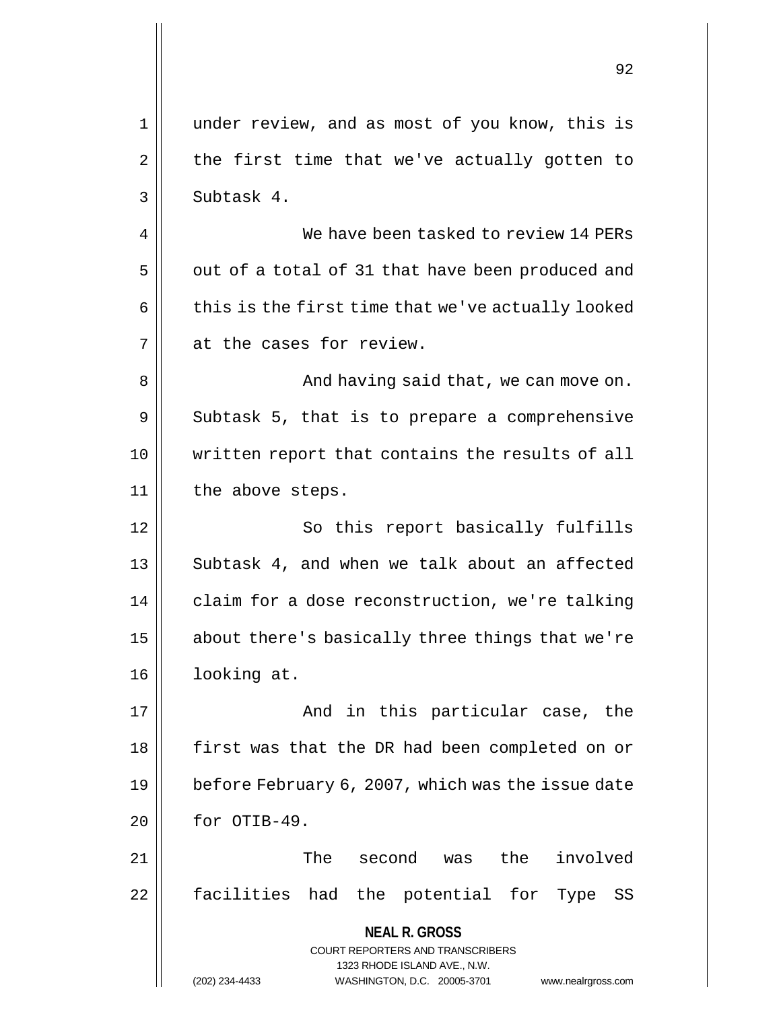**NEAL R. GROSS** COURT REPORTERS AND TRANSCRIBERS 1323 RHODE ISLAND AVE., N.W. (202) 234-4433 WASHINGTON, D.C. 20005-3701 www.nealrgross.com 1 under review, and as most of you know, this is  $2 \parallel$  the first time that we've actually gotten to  $3 \parallel$  Subtask 4. 4 We have been tasked to review 14 PERs  $5 \parallel$  out of a total of 31 that have been produced and  $6 \parallel$  this is the first time that we've actually looked 7 at the cases for review. 8 And having said that, we can move on.  $9 \parallel$  Subtask 5, that is to prepare a comprehensive 10 written report that contains the results of all 11 || the above steps. 12 || So this report basically fulfills 13 || Subtask 4, and when we talk about an affected 14 | claim for a dose reconstruction, we're talking 15 || about there's basically three things that we're 16 looking at. 17 And in this particular case, the 18 || first was that the DR had been completed on or 19 | before February 6, 2007, which was the issue date  $20$  | for OTIB-49. 21 The second was the involved 22 || facilities had the potential for Type SS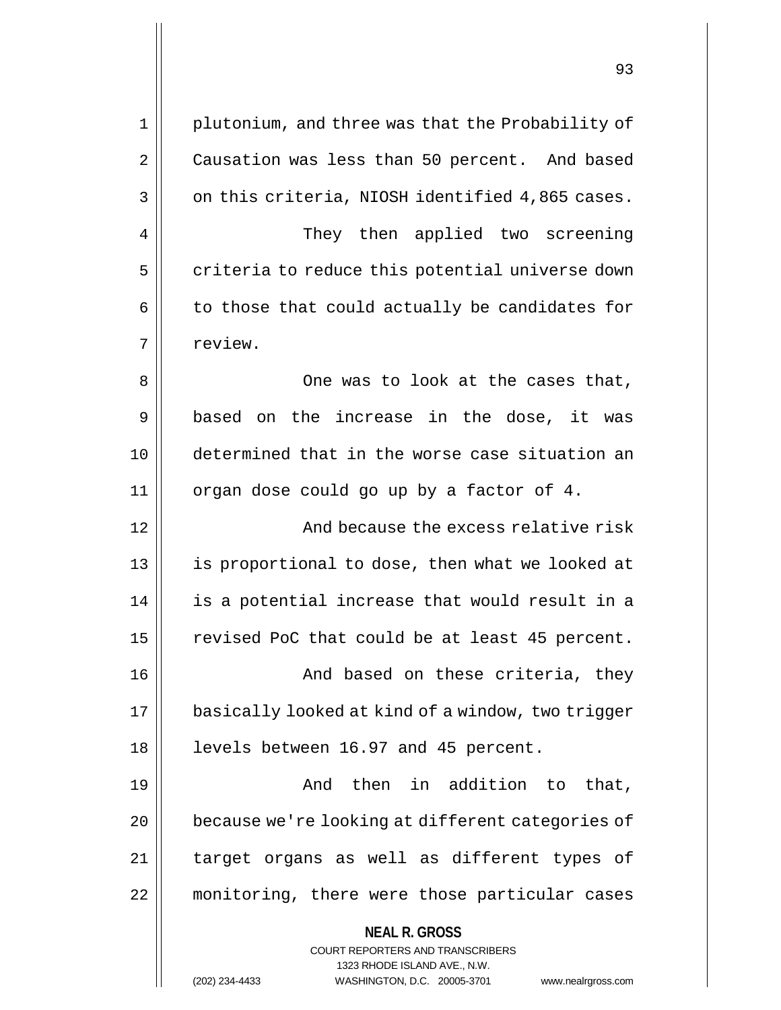**NEAL R. GROSS** COURT REPORTERS AND TRANSCRIBERS 1323 RHODE ISLAND AVE., N.W. 1 || plutonium, and three was that the Probability of 2 | Causation was less than 50 percent. And based  $3 \parallel$  on this criteria, NIOSH identified 4,865 cases. 4 || They then applied two screening 5 | criteria to reduce this potential universe down  $6 \parallel$  to those that could actually be candidates for 7 | review. 8 || One was to look at the cases that, 9 || based on the increase in the dose, it was 10 determined that in the worse case situation an 11 | organ dose could go up by a factor of 4. 12 And because the excess relative risk 13 || is proportional to dose, then what we looked at 14 || is a potential increase that would result in a 15 | revised PoC that could be at least 45 percent. 16 || And based on these criteria, they 17 | basically looked at kind of a window, two trigger 18 || levels between 16.97 and 45 percent. 19 And then in addition to that, 20 | because we're looking at different categories of 21 || target organs as well as different types of 22 monitoring, there were those particular cases

(202) 234-4433 WASHINGTON, D.C. 20005-3701 www.nealrgross.com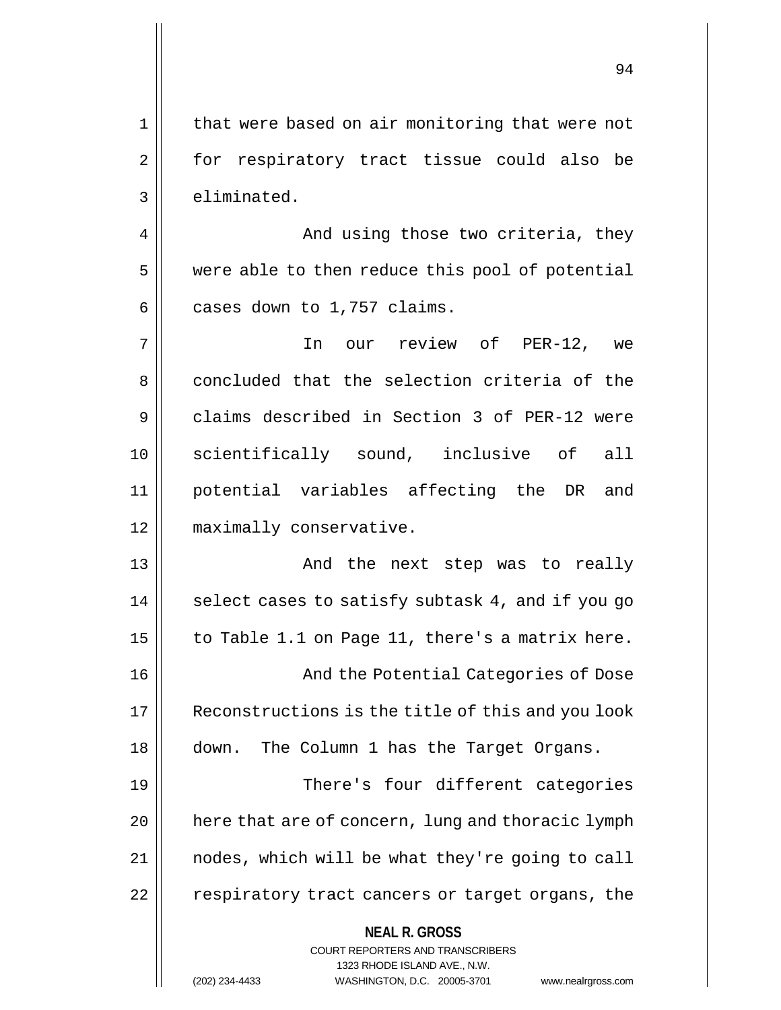1 || that were based on air monitoring that were not 2 || for respiratory tract tissue could also be  $3$   $\parallel$  eliminated. 4 And using those two criteria, they

5 | were able to then reduce this pool of potential  $6 \parallel$  cases down to 1,757 claims.

7 In our review of PER-12, we 8 concluded that the selection criteria of the 9 claims described in Section 3 of PER-12 were 10 scientifically sound, inclusive of all 11 potential variables affecting the DR and 12 maximally conservative.

13 And the next step was to really  $14$  | select cases to satisfy subtask 4, and if you go 15  $\parallel$  to Table 1.1 on Page 11, there's a matrix here. 16 || And the Potential Categories of Dose

17 || Reconstructions is the title of this and you look 18 down. The Column 1 has the Target Organs.

19 There's four different categories  $20$  | here that are of concern, lung and thoracic lymph 21 nodes, which will be what they're going to call 22 | respiratory tract cancers or target organs, the

## **NEAL R. GROSS**

COURT REPORTERS AND TRANSCRIBERS 1323 RHODE ISLAND AVE., N.W. (202) 234-4433 WASHINGTON, D.C. 20005-3701 www.nealrgross.com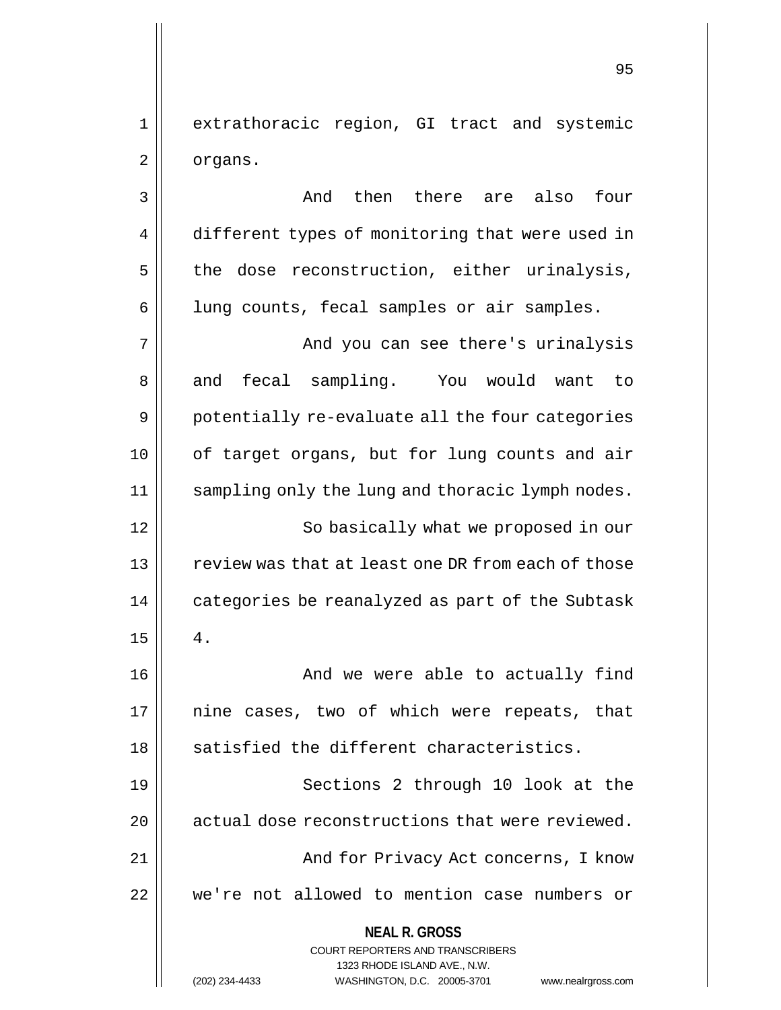1 extrathoracic region, GI tract and systemic 2 | organs.

**NEAL R. GROSS** COURT REPORTERS AND TRANSCRIBERS 1323 RHODE ISLAND AVE., N.W. 3 And then there are also four 4 different types of monitoring that were used in  $5$  the dose reconstruction, either urinalysis, 6 | lung counts, fecal samples or air samples. 7 And you can see there's urinalysis 8 and fecal sampling. You would want to 9 || potentially re-evaluate all the four categories 10 || of target organs, but for lung counts and air 11 sampling only the lung and thoracic lymph nodes. 12 || So basically what we proposed in our 13 || review was that at least one DR from each of those 14 || categories be reanalyzed as part of the Subtask  $15 \parallel 4$ . 16 || And we were able to actually find 17 || nine cases, two of which were repeats, that  $18$   $\parallel$  satisfied the different characteristics. 19 || Sections 2 through 10 look at the 20 || actual dose reconstructions that were reviewed. 21 And for Privacy Act concerns, I know 22 | we're not allowed to mention case numbers or

(202) 234-4433 WASHINGTON, D.C. 20005-3701 www.nealrgross.com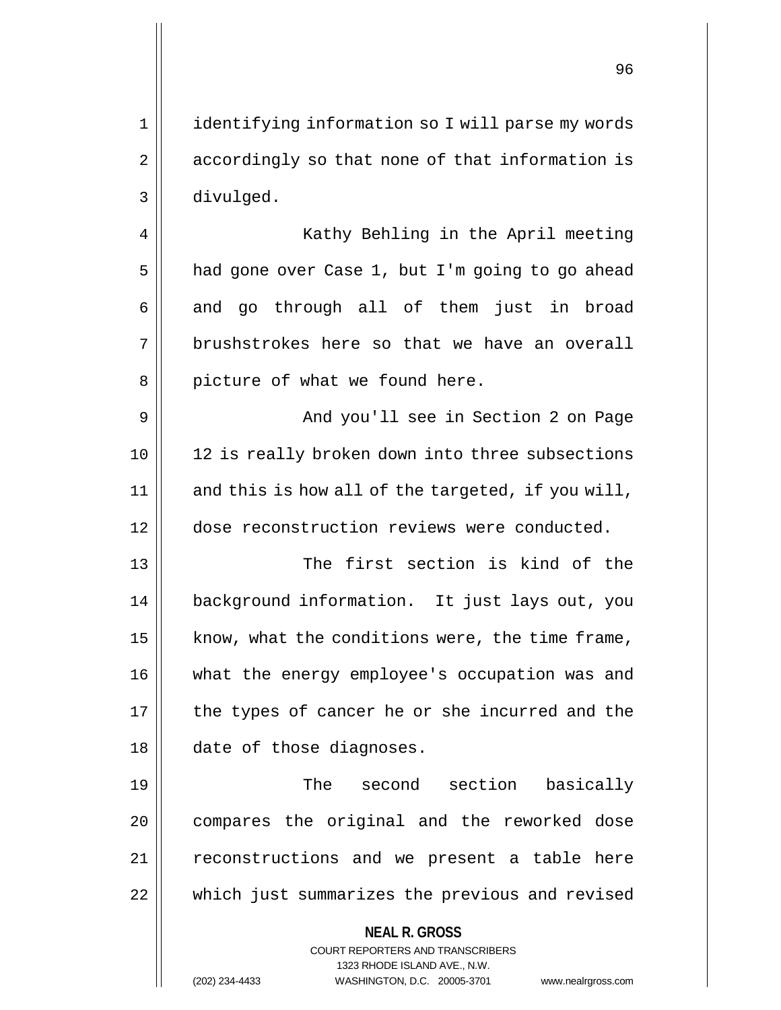1 || identifying information so I will parse my words 2 || accordingly so that none of that information is 3 divulged.

4 || Kathy Behling in the April meeting  $5 \parallel$  had gone over Case 1, but I'm going to go ahead  $6 \parallel$  and go through all of them just in broad 7 brushstrokes here so that we have an overall 8 || picture of what we found here.

9 And you'll see in Section 2 on Page 10 || 12 is really broken down into three subsections  $11$  and this is how all of the targeted, if you will, 12 dose reconstruction reviews were conducted.

13 The first section is kind of the 14 background information. It just lays out, you 15  $\parallel$  know, what the conditions were, the time frame, 16 || what the energy employee's occupation was and  $17$  | the types of cancer he or she incurred and the 18 || date of those diagnoses.

19 || The second section basically 20 || compares the original and the reworked dose 21 || reconstructions and we present a table here 22 which just summarizes the previous and revised

**NEAL R. GROSS**

COURT REPORTERS AND TRANSCRIBERS 1323 RHODE ISLAND AVE., N.W. (202) 234-4433 WASHINGTON, D.C. 20005-3701 www.nealrgross.com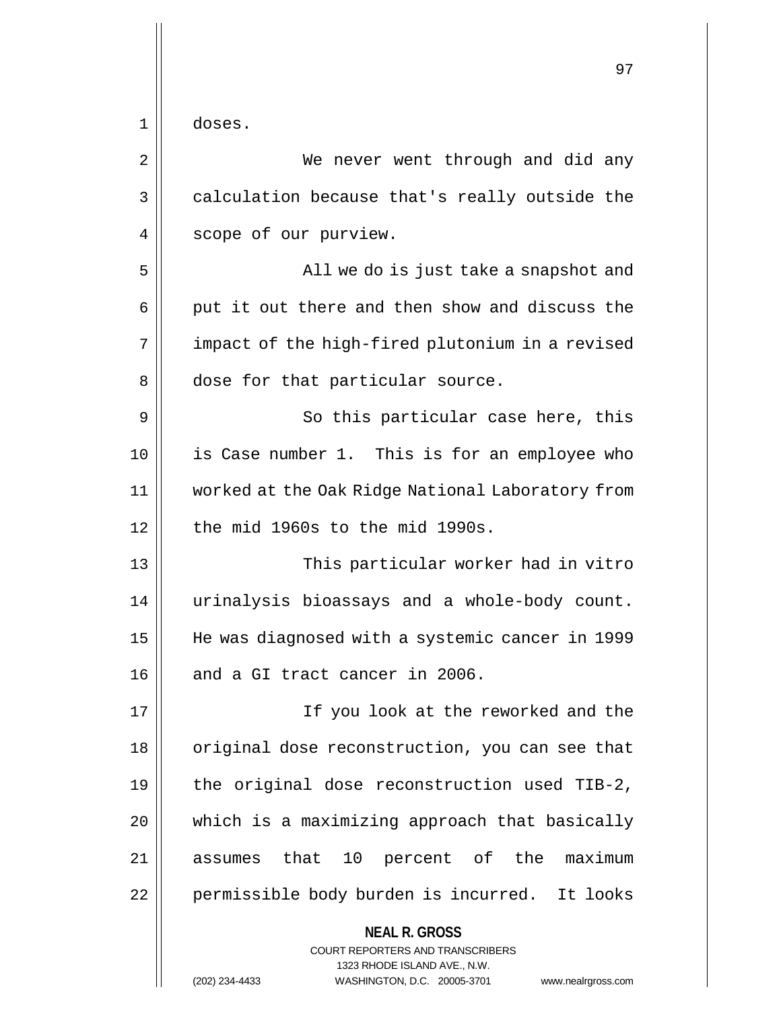$1 \parallel$  doses.

| 2  | We never went through and did any                                                                                                                               |
|----|-----------------------------------------------------------------------------------------------------------------------------------------------------------------|
| 3  | calculation because that's really outside the                                                                                                                   |
| 4  | scope of our purview.                                                                                                                                           |
| 5  | All we do is just take a snapshot and                                                                                                                           |
| 6  | put it out there and then show and discuss the                                                                                                                  |
| 7  | impact of the high-fired plutonium in a revised                                                                                                                 |
| 8  | dose for that particular source.                                                                                                                                |
| 9  | So this particular case here, this                                                                                                                              |
| 10 | is Case number 1. This is for an employee who                                                                                                                   |
| 11 | worked at the Oak Ridge National Laboratory from                                                                                                                |
| 12 | the mid 1960s to the mid 1990s.                                                                                                                                 |
| 13 | This particular worker had in vitro                                                                                                                             |
| 14 | urinalysis bioassays and a whole-body count.                                                                                                                    |
| 15 | He was diagnosed with a systemic cancer in 1999                                                                                                                 |
| 16 | and a GI tract cancer in 2006.                                                                                                                                  |
| 17 | If you look at the reworked and the                                                                                                                             |
| 18 | original dose reconstruction, you can see that                                                                                                                  |
| 19 | the original dose reconstruction used TIB-2,                                                                                                                    |
| 20 | which is a maximizing approach that basically                                                                                                                   |
| 21 | assumes that 10 percent of the maximum                                                                                                                          |
| 22 | permissible body burden is incurred. It looks                                                                                                                   |
|    | <b>NEAL R. GROSS</b><br>COURT REPORTERS AND TRANSCRIBERS<br>1323 RHODE ISLAND AVE., N.W.<br>(202) 234-4433<br>WASHINGTON, D.C. 20005-3701<br>www.nealrgross.com |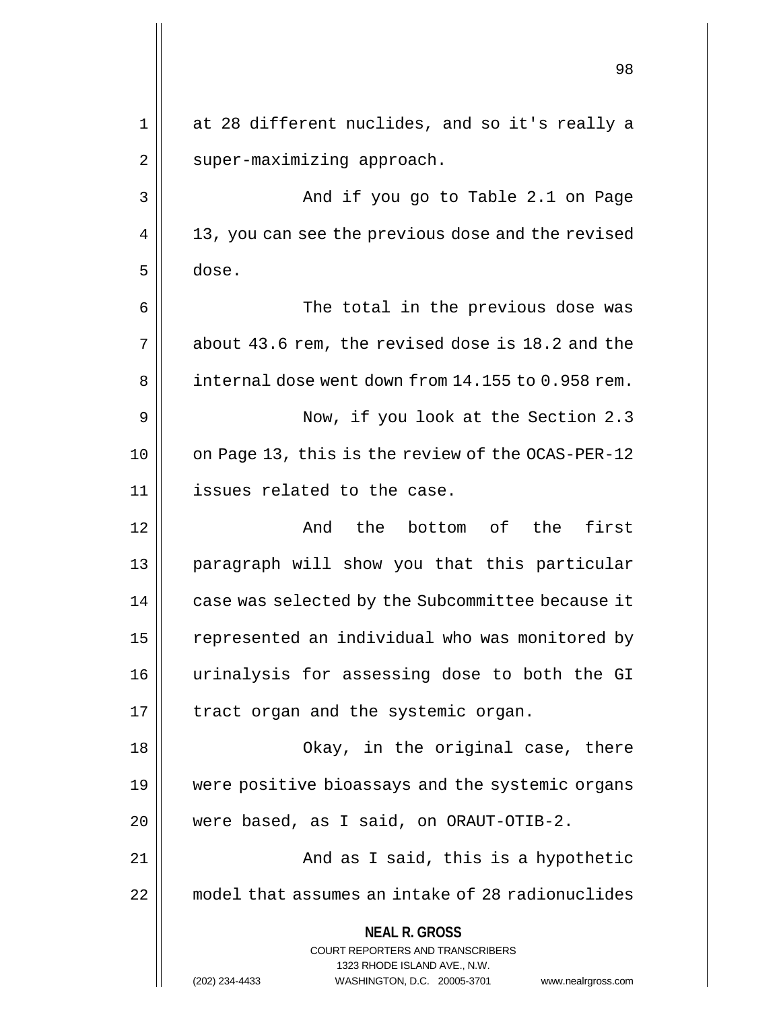|    | 98                                                                                                                                                                  |
|----|---------------------------------------------------------------------------------------------------------------------------------------------------------------------|
| 1  | at 28 different nuclides, and so it's really a                                                                                                                      |
| 2  | super-maximizing approach.                                                                                                                                          |
| 3  | And if you go to Table 2.1 on Page                                                                                                                                  |
| 4  | 13, you can see the previous dose and the revised                                                                                                                   |
| 5  | dose.                                                                                                                                                               |
| 6  | The total in the previous dose was                                                                                                                                  |
| 7  | about 43.6 rem, the revised dose is 18.2 and the                                                                                                                    |
| 8  | internal dose went down from 14.155 to 0.958 rem.                                                                                                                   |
| 9  | Now, if you look at the Section 2.3                                                                                                                                 |
| 10 | on Page 13, this is the review of the OCAS-PER-12                                                                                                                   |
| 11 | issues related to the case.                                                                                                                                         |
| 12 | first<br>And<br>the<br>bottom of the                                                                                                                                |
| 13 | paragraph will show you that this particular                                                                                                                        |
| 14 | case was selected by the Subcommittee because it                                                                                                                    |
| 15 | represented an individual who was monitored by                                                                                                                      |
| 16 | urinalysis for assessing dose to both the GI                                                                                                                        |
| 17 | tract organ and the systemic organ.                                                                                                                                 |
| 18 | Okay, in the original case, there                                                                                                                                   |
| 19 | were positive bioassays and the systemic organs                                                                                                                     |
| 20 | were based, as I said, on ORAUT-OTIB-2.                                                                                                                             |
| 21 | And as I said, this is a hypothetic                                                                                                                                 |
| 22 | model that assumes an intake of 28 radionuclides                                                                                                                    |
|    | <b>NEAL R. GROSS</b><br><b>COURT REPORTERS AND TRANSCRIBERS</b><br>1323 RHODE ISLAND AVE., N.W.<br>(202) 234-4433<br>WASHINGTON, D.C. 20005-3701 www.nealrgross.com |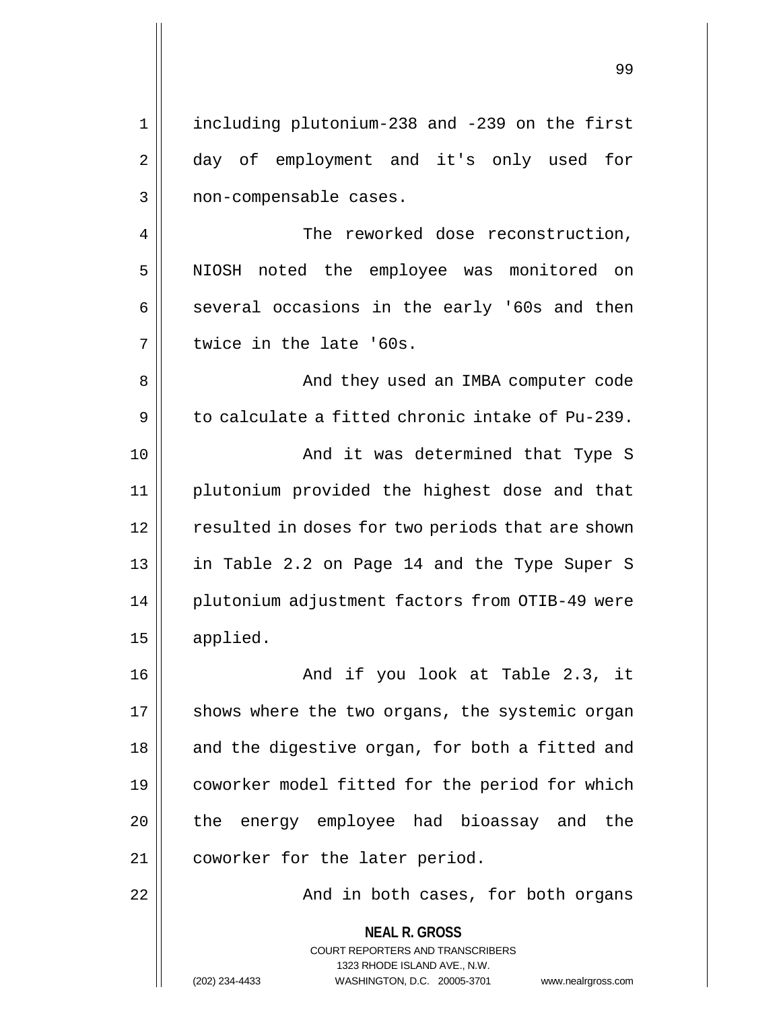99

**NEAL R. GROSS** COURT REPORTERS AND TRANSCRIBERS 1323 RHODE ISLAND AVE., N.W. 1 including plutonium-238 and -239 on the first 2 aay of employment and it's only used for 3 || non-compensable cases. 4 | The reworked dose reconstruction, 5 NIOSH noted the employee was monitored on  $6 \parallel$  several occasions in the early '60s and then 7 U twice in the late '60s. 8 And they used an IMBA computer code 9 to calculate a fitted chronic intake of Pu-239. 10 || And it was determined that Type S 11 plutonium provided the highest dose and that 12 | resulted in doses for two periods that are shown 13 || in Table 2.2 on Page 14 and the Type Super S 14 | plutonium adjustment factors from OTIB-49 were 15 applied. 16 And if you look at Table 2.3, it  $17$  shows where the two organs, the systemic organ 18 || and the digestive organ, for both a fitted and 19 coworker model fitted for the period for which  $20$  || the energy employee had bioassay and the 21 | coworker for the later period. 22 And in both cases, for both organs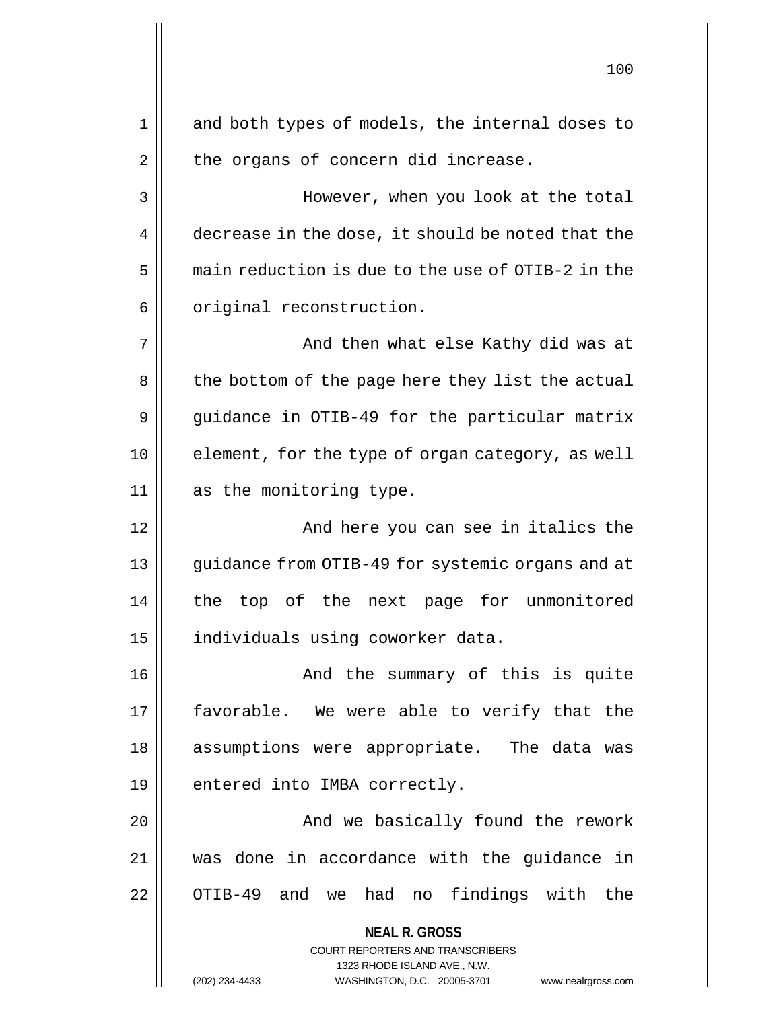**NEAL R. GROSS** COURT REPORTERS AND TRANSCRIBERS 1323 RHODE ISLAND AVE., N.W. 100 1 || and both types of models, the internal doses to  $2 \parallel$  the organs of concern did increase. 3 | However, when you look at the total 4 decrease in the dose, it should be noted that the  $5 \parallel$  main reduction is due to the use of OTIB-2 in the  $6 \parallel$  original reconstruction. 7 And then what else Kathy did was at 8 || the bottom of the page here they list the actual 9 | guidance in OTIB-49 for the particular matrix 10 || element, for the type of organ category, as well 11 || as the monitoring type. 12 || And here you can see in italics the 13 || guidance from OTIB-49 for systemic organs and at 14 the top of the next page for unmonitored 15 | individuals using coworker data. 16 And the summary of this is quite 17 || favorable. We were able to verify that the 18 assumptions were appropriate. The data was  $19 \parallel$  entered into IMBA correctly. 20 | Robert Charlotte Charlotte And we basically found the rework 21 was done in accordance with the guidance in 22 || OTIB-49 and we had no findings with the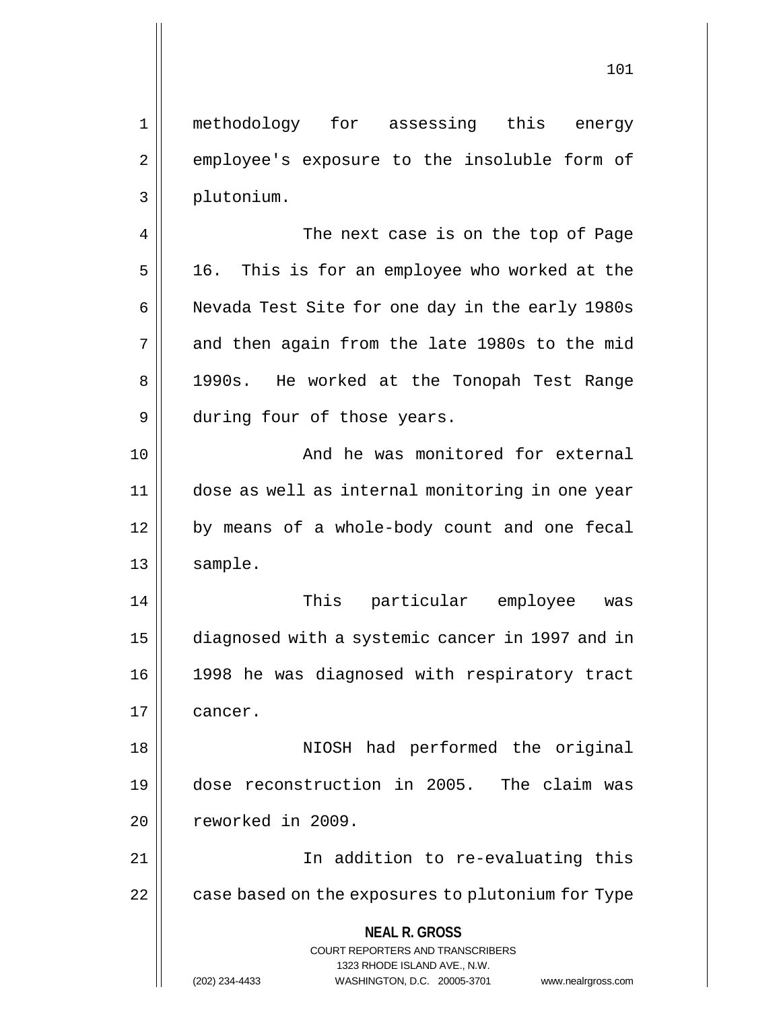101

1 methodology for assessing this energy 2 employee's exposure to the insoluble form of 3 plutonium. 4 || The next case is on the top of Page  $5 \parallel$  16. This is for an employee who worked at the 6 | Nevada Test Site for one day in the early 1980s  $7 \parallel$  and then again from the late 1980s to the mid 8 || 1990s. He worked at the Tonopah Test Range 9 || during four of those years. 10 || And he was monitored for external 11 dose as well as internal monitoring in one year 12 || by means of a whole-body count and one fecal 13 | sample. 14 This particular employee was 15 diagnosed with a systemic cancer in 1997 and in 16 1998 he was diagnosed with respiratory tract

17 cancer.

18 || NIOSH had performed the original 19 dose reconstruction in 2005. The claim was 20 reworked in 2009.

21 || In addition to re-evaluating this  $22$  | case based on the exposures to plutonium for Type

> **NEAL R. GROSS** COURT REPORTERS AND TRANSCRIBERS

> > 1323 RHODE ISLAND AVE., N.W.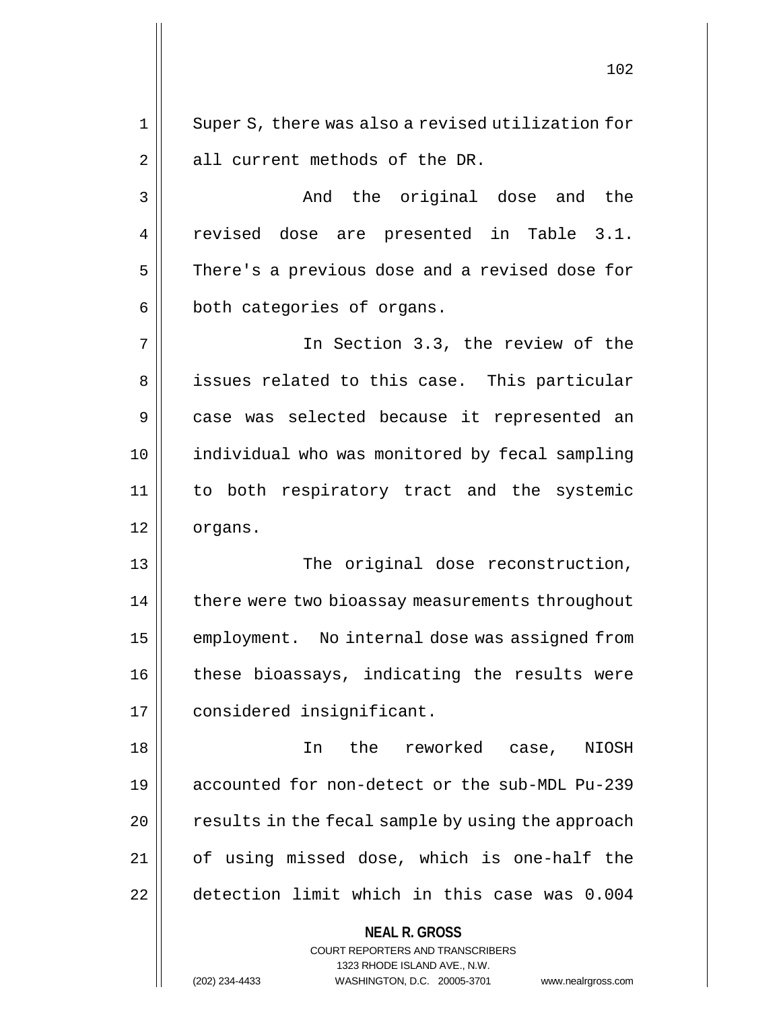1 || Super S, there was also a revised utilization for 2 || all current methods of the DR.

3 And the original dose and the 4 revised dose are presented in Table 3.1. 5 | There's a previous dose and a revised dose for 6 | both categories of organs.

7 In Section 3.3, the review of the 8 || issues related to this case. This particular 9 || case was selected because it represented an 10 individual who was monitored by fecal sampling 11 to both respiratory tract and the systemic 12 || organs.

13 || The original dose reconstruction, 14 | there were two bioassay measurements throughout 15 | employment. No internal dose was assigned from  $16$  | these bioassays, indicating the results were 17 | considered insignificant.

18 In the reworked case, NIOSH 19 accounted for non-detect or the sub-MDL Pu-239  $20$  | results in the fecal sample by using the approach 21 || of using missed dose, which is one-half the 22 detection limit which in this case was 0.004

**NEAL R. GROSS**

COURT REPORTERS AND TRANSCRIBERS 1323 RHODE ISLAND AVE., N.W. (202) 234-4433 WASHINGTON, D.C. 20005-3701 www.nealrgross.com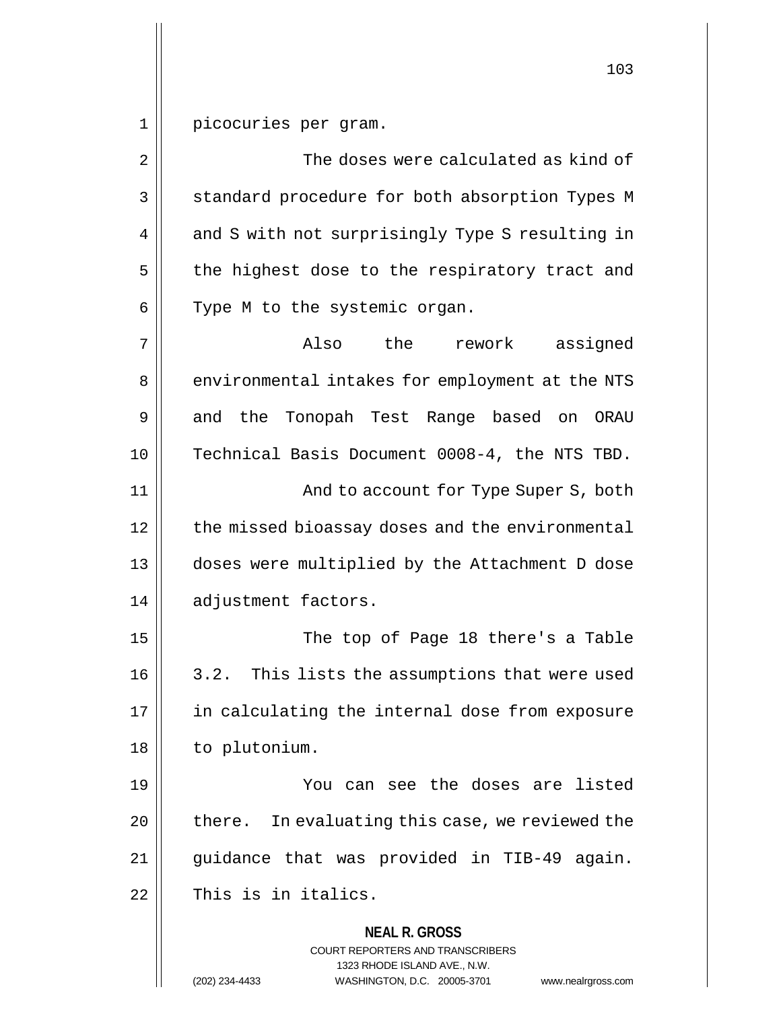1 picocuries per gram.

**NEAL R. GROSS** COURT REPORTERS AND TRANSCRIBERS 1323 RHODE ISLAND AVE., N.W. 2  $\parallel$  2 The doses were calculated as kind of 3 || standard procedure for both absorption Types M 4 || and S with not surprisingly Type S resulting in  $5$  the highest dose to the respiratory tract and  $6 \parallel$  Type M to the systemic organ. 7 Also the rework assigned 8 | environmental intakes for employment at the NTS 9 and the Tonopah Test Range based on ORAU 10 || Technical Basis Document 0008-4, the NTS TBD. 11 And to account for Type Super S, both 12 | the missed bioassay doses and the environmental 13 | doses were multiplied by the Attachment D dose 14 adjustment factors. 15 The top of Page 18 there's a Table 16 | 3.2. This lists the assumptions that were used 17 || in calculating the internal dose from exposure 18 | to plutonium. 19 You can see the doses are listed  $20$  | there. In evaluating this case, we reviewed the 21 || guidance that was provided in TIB-49 again.  $22$   $\parallel$  This is in italics.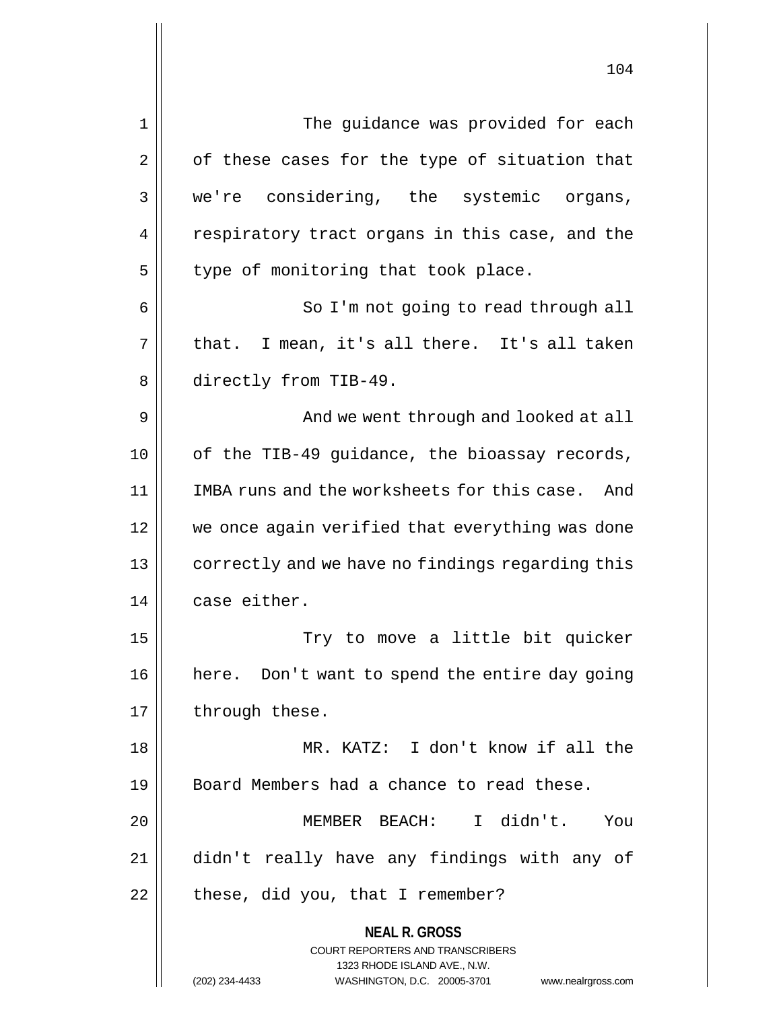| 1  | The guidance was provided for each                                                                                                                                     |
|----|------------------------------------------------------------------------------------------------------------------------------------------------------------------------|
| 2  | of these cases for the type of situation that                                                                                                                          |
| 3  | we're considering, the systemic organs,                                                                                                                                |
| 4  | respiratory tract organs in this case, and the                                                                                                                         |
| 5  | type of monitoring that took place.                                                                                                                                    |
| 6  | So I'm not going to read through all                                                                                                                                   |
| 7  | that. I mean, it's all there. It's all taken                                                                                                                           |
| 8  | directly from TIB-49.                                                                                                                                                  |
| 9  | And we went through and looked at all                                                                                                                                  |
| 10 | of the TIB-49 guidance, the bioassay records,                                                                                                                          |
| 11 | IMBA runs and the worksheets for this case. And                                                                                                                        |
| 12 | we once again verified that everything was done                                                                                                                        |
| 13 | correctly and we have no findings regarding this                                                                                                                       |
| 14 | case either.                                                                                                                                                           |
| 15 | Try to move a little bit quicker                                                                                                                                       |
| 16 | here. Don't want to spend the entire day going                                                                                                                         |
| 17 | through these.                                                                                                                                                         |
| 18 | MR. KATZ: I don't know if all the                                                                                                                                      |
| 19 | Board Members had a chance to read these.                                                                                                                              |
| 20 | MEMBER BEACH: I didn't.<br>You                                                                                                                                         |
| 21 | didn't really have any findings with any of                                                                                                                            |
| 22 | these, did you, that I remember?                                                                                                                                       |
|    | <b>NEAL R. GROSS</b><br><b>COURT REPORTERS AND TRANSCRIBERS</b><br>1323 RHODE ISLAND AVE., N.W.<br>WASHINGTON, D.C. 20005-3701<br>(202) 234-4433<br>www.nealrgross.com |

 $\mathsf{I}$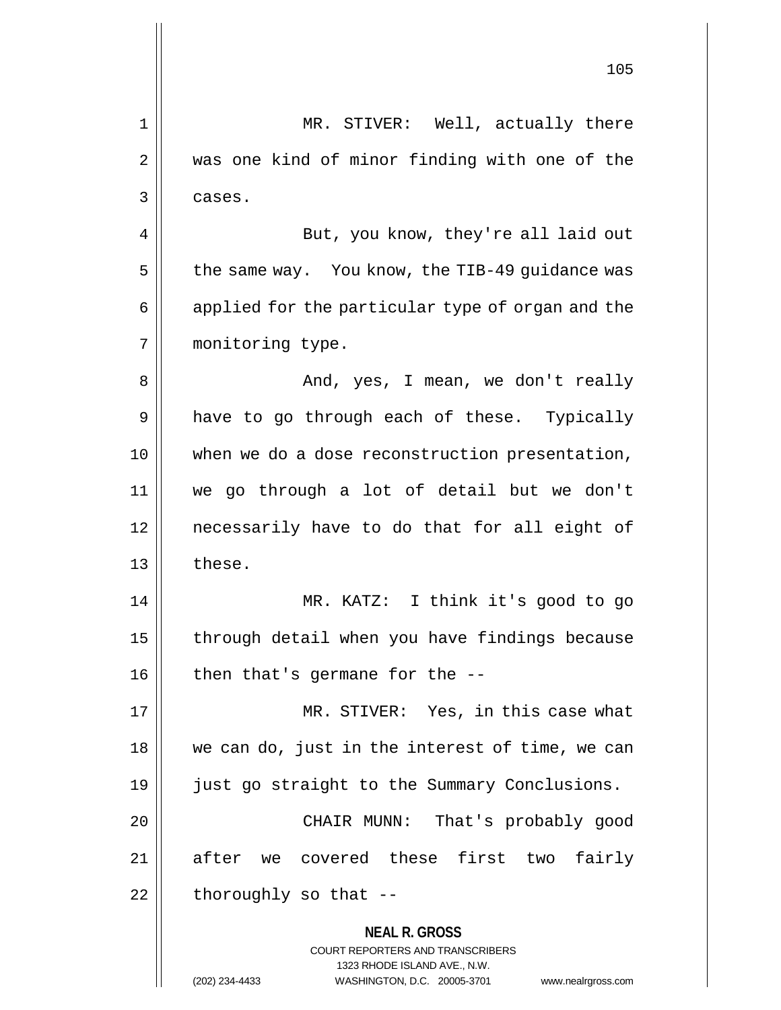|                | 105                                                                                                                                                             |
|----------------|-----------------------------------------------------------------------------------------------------------------------------------------------------------------|
| 1              | MR. STIVER: Well, actually there                                                                                                                                |
| $\overline{2}$ | was one kind of minor finding with one of the                                                                                                                   |
| 3              | cases.                                                                                                                                                          |
| 4              | But, you know, they're all laid out                                                                                                                             |
| 5              | the same way. You know, the TIB-49 guidance was                                                                                                                 |
| 6              | applied for the particular type of organ and the                                                                                                                |
| 7              | monitoring type.                                                                                                                                                |
| 8              | And, yes, I mean, we don't really                                                                                                                               |
| 9              | have to go through each of these. Typically                                                                                                                     |
| 10             | when we do a dose reconstruction presentation,                                                                                                                  |
| 11             | we go through a lot of detail but we don't                                                                                                                      |
| 12             | necessarily have to do that for all eight of                                                                                                                    |
| 13             | these.                                                                                                                                                          |
| 14             | KATZ: I think it's good to go<br>MR.                                                                                                                            |
| 15             | through detail when you have findings because                                                                                                                   |
| 16             | then that's germane for the $-$ -                                                                                                                               |
| 17             | MR. STIVER: Yes, in this case what                                                                                                                              |
| 18             | we can do, just in the interest of time, we can                                                                                                                 |
| 19             | just go straight to the Summary Conclusions.                                                                                                                    |
| 20             | That's probably good<br>CHAIR MUNN:                                                                                                                             |
| 21             | after we covered these first two fairly                                                                                                                         |
| 22             | thoroughly so that --                                                                                                                                           |
|                | <b>NEAL R. GROSS</b><br>COURT REPORTERS AND TRANSCRIBERS<br>1323 RHODE ISLAND AVE., N.W.<br>WASHINGTON, D.C. 20005-3701<br>(202) 234-4433<br>www.nealrgross.com |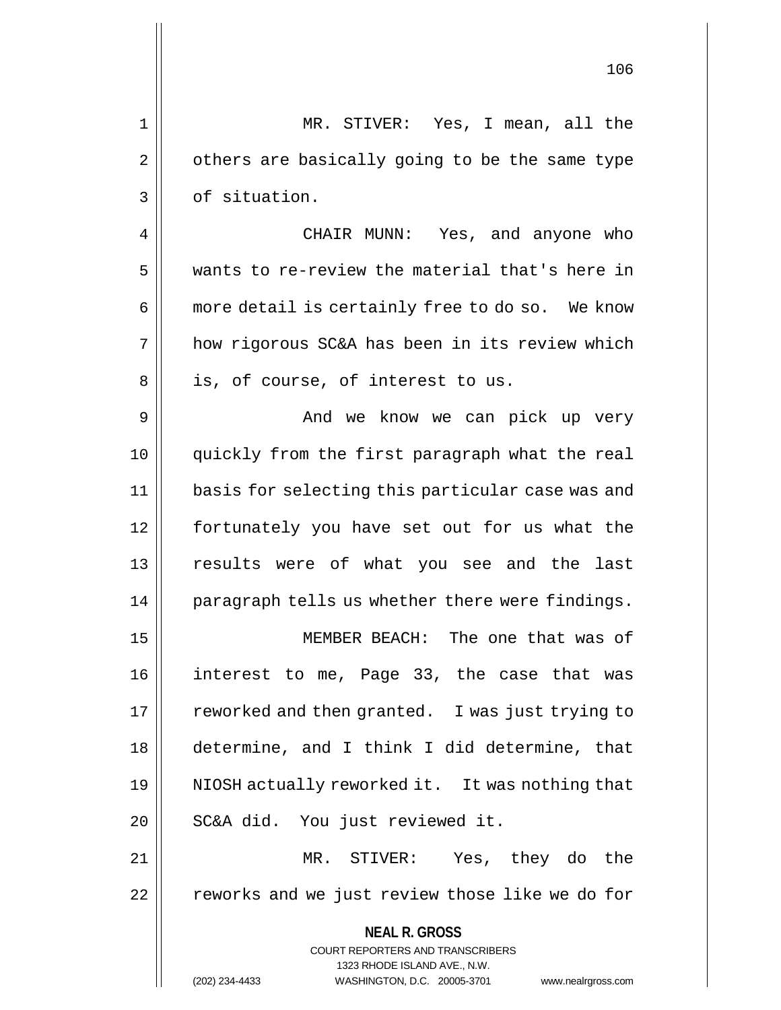1 MR. STIVER: Yes, I mean, all the  $2 \parallel$  others are basically going to be the same type 3 | of situation. 4 CHAIR MUNN: Yes, and anyone who 5 wants to re-review the material that's here in 6 || more detail is certainly free to do so. We know 7 how rigorous SC&A has been in its review which  $8 \parallel$  is, of course, of interest to us. 9 And we know we can pick up very 10 quickly from the first paragraph what the real 11 basis for selecting this particular case was and 12 fortunately you have set out for us what the 13 results were of what you see and the last 14 || paragraph tells us whether there were findings. 15 MEMBER BEACH: The one that was of

16 interest to me, Page 33, the case that was 17 || reworked and then granted. I was just trying to 18 determine, and I think I did determine, that 19 || NIOSH actually reworked it. It was nothing that 20 || SC&A did. You just reviewed it.

21 MR. STIVER: Yes, they do the 22 | reworks and we just review those like we do for

> **NEAL R. GROSS** COURT REPORTERS AND TRANSCRIBERS 1323 RHODE ISLAND AVE., N.W. (202) 234-4433 WASHINGTON, D.C. 20005-3701 www.nealrgross.com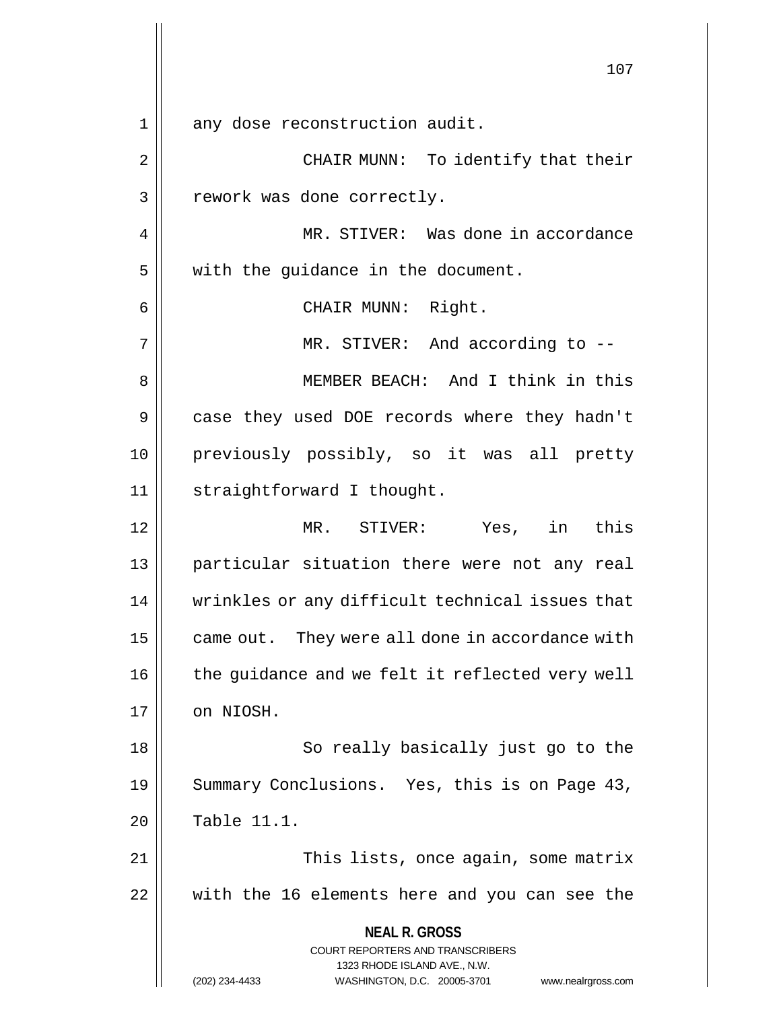**NEAL R. GROSS** COURT REPORTERS AND TRANSCRIBERS 1323 RHODE ISLAND AVE., N.W. (202) 234-4433 WASHINGTON, D.C. 20005-3701 www.nealrgross.com 107 1 || any dose reconstruction audit. 2 || CHAIR MUNN: To identify that their 3 || rework was done correctly. 4 MR. STIVER: Was done in accordance  $5$  | with the guidance in the document. 6 || CHAIR MUNN: Right. 7 || MR. STIVER: And according to --8 MEMBER BEACH: And I think in this 9 || case they used DOE records where they hadn't 10 previously possibly, so it was all pretty 11 | straightforward I thought. 12 MR. STIVER: Yes, in this 13 || particular situation there were not any real 14 || wrinkles or any difficult technical issues that  $15$  | came out. They were all done in accordance with  $16$  | the guidance and we felt it reflected very well 17 | on NIOSH. 18 || So really basically just go to the 19 || Summary Conclusions. Yes, this is on Page 43,  $20$  | Table 11.1. 21 | This lists, once again, some matrix 22 with the 16 elements here and you can see the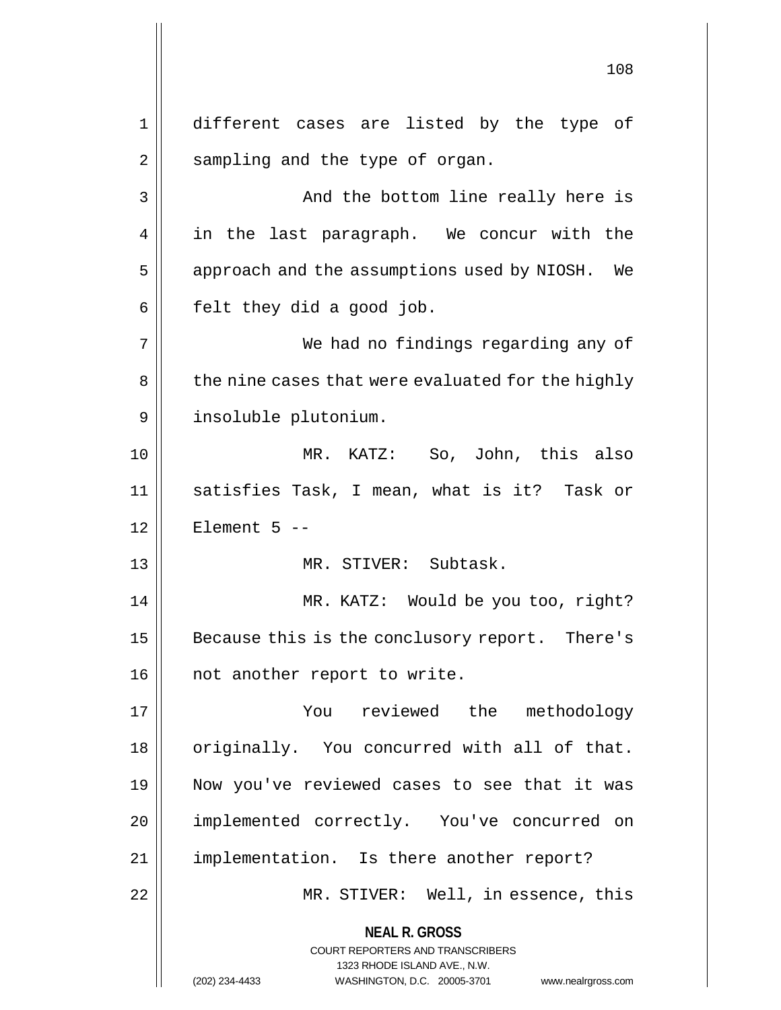**NEAL R. GROSS** COURT REPORTERS AND TRANSCRIBERS 1323 RHODE ISLAND AVE., N.W. (202) 234-4433 WASHINGTON, D.C. 20005-3701 www.nealrgross.com 108 1 different cases are listed by the type of  $2 \parallel$  sampling and the type of organ. 3 And the bottom line really here is 4 || in the last paragraph. We concur with the 5 | approach and the assumptions used by NIOSH. We  $6 \parallel$  felt they did a good job. 7 We had no findings regarding any of 8 | the nine cases that were evaluated for the highly 9 insoluble plutonium. 10 MR. KATZ: So, John, this also 11 satisfies Task, I mean, what is it? Task or  $12$  | Element 5 --13 MR. STIVER: Subtask. 14 MR. KATZ: Would be you too, right? 15 | Because this is the conclusory report. There's 16 || not another report to write. 17 You reviewed the methodology 18 || originally. You concurred with all of that. 19 Now you've reviewed cases to see that it was 20 | implemented correctly. You've concurred on 21 || implementation. Is there another report? 22 || MR. STIVER: Well, in essence, this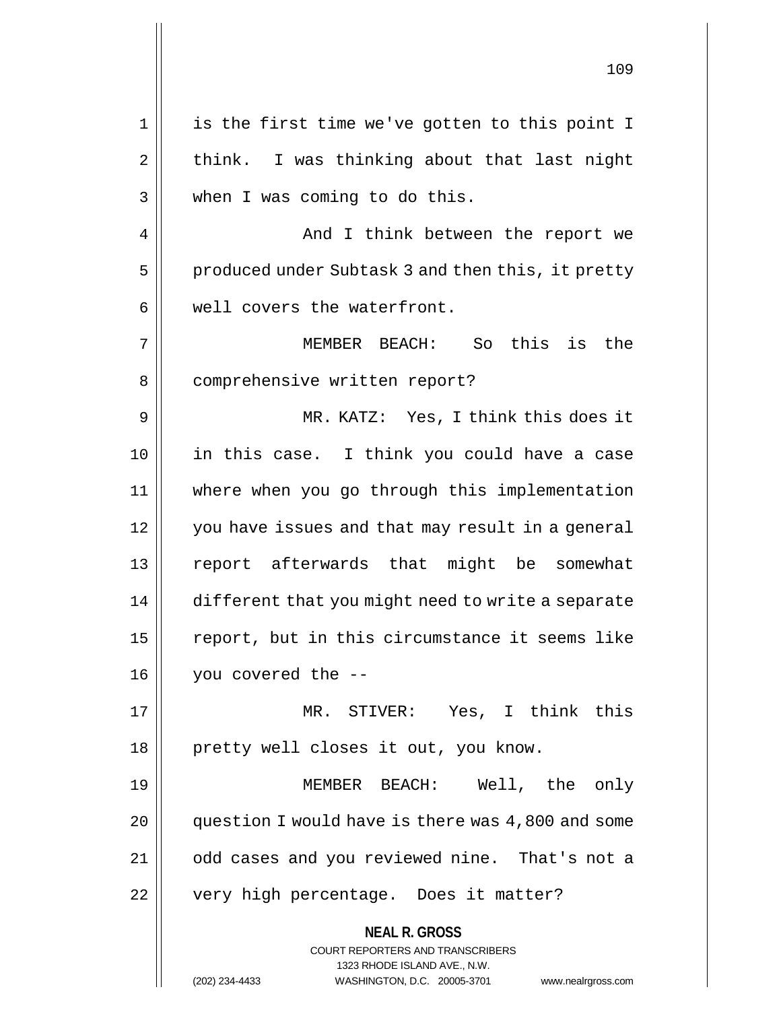**NEAL R. GROSS** COURT REPORTERS AND TRANSCRIBERS 1323 RHODE ISLAND AVE., N.W. (202) 234-4433 WASHINGTON, D.C. 20005-3701 www.nealrgross.com 1 || is the first time we've gotten to this point I  $2 \parallel$  think. I was thinking about that last night 3 || when I was coming to do this. 4 || And I think between the report we 5 | produced under Subtask 3 and then this, it pretty  $6 \parallel$  well covers the waterfront. 7 MEMBER BEACH: So this is the 8 | comprehensive written report? 9 MR. KATZ: Yes, I think this does it 10 in this case. I think you could have a case 11 where when you go through this implementation 12 || you have issues and that may result in a general 13 report afterwards that might be somewhat 14 | different that you might need to write a separate 15 || report, but in this circumstance it seems like 16 you covered the -- 17 MR. STIVER: Yes, I think this 18 || pretty well closes it out, you know. 19 MEMBER BEACH: Well, the only 20 | question I would have is there was 4,800 and some 21 | odd cases and you reviewed nine. That's not a 22 || very high percentage. Does it matter?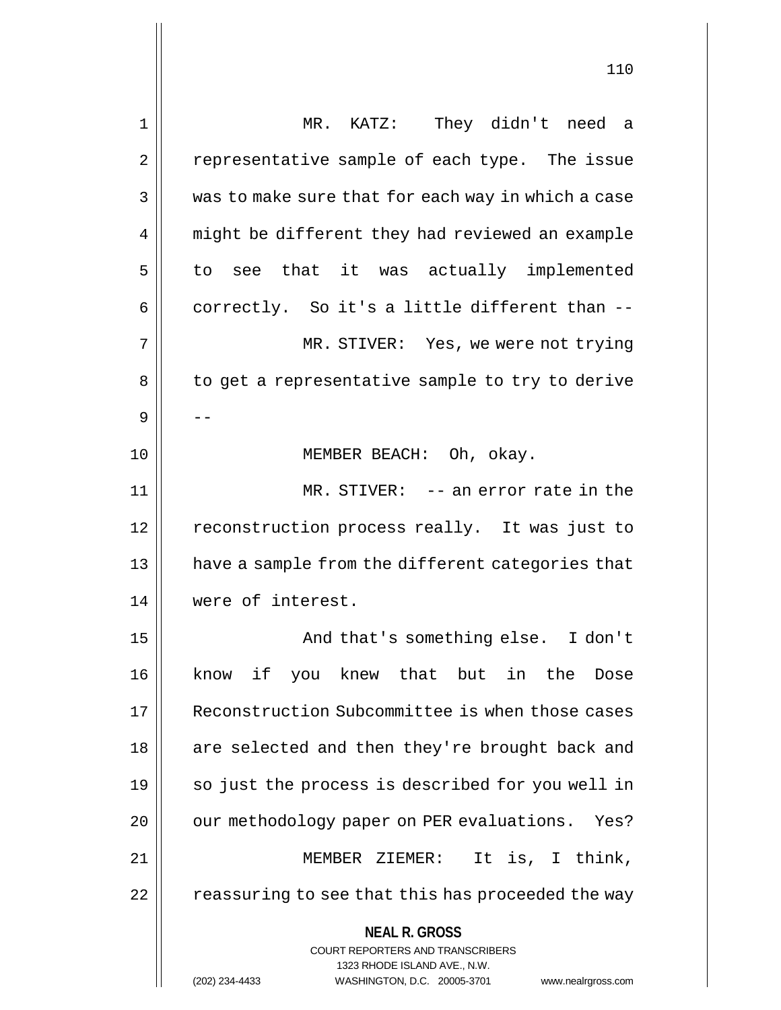| 1  | MR. KATZ: They didn't need a                                        |
|----|---------------------------------------------------------------------|
| 2  | representative sample of each type. The issue                       |
| 3  | was to make sure that for each way in which a case                  |
| 4  | might be different they had reviewed an example                     |
| 5  | to see that it was actually implemented                             |
| 6  | correctly. So it's a little different than --                       |
| 7  | MR. STIVER: Yes, we were not trying                                 |
| 8  | to get a representative sample to try to derive                     |
| 9  |                                                                     |
| 10 | MEMBER BEACH: Oh, okay.                                             |
| 11 | $MR. STIVER: -- an error rate in the$                               |
| 12 | reconstruction process really. It was just to                       |
| 13 | have a sample from the different categories that                    |
| 14 | were of interest.                                                   |
| 15 | And that's something else. I don't                                  |
| 16 | know if you knew that but in the<br>Dose                            |
| 17 | Reconstruction Subcommittee is when those cases                     |
| 18 | are selected and then they're brought back and                      |
| 19 | so just the process is described for you well in                    |
| 20 | our methodology paper on PER evaluations. Yes?                      |
| 21 | MEMBER ZIEMER:<br>It is, I think,                                   |
| 22 | reassuring to see that this has proceeded the way                   |
|    |                                                                     |
|    | <b>NEAL R. GROSS</b><br><b>COURT REPORTERS AND TRANSCRIBERS</b>     |
|    | 1323 RHODE ISLAND AVE., N.W.                                        |
|    | WASHINGTON, D.C. 20005-3701<br>(202) 234-4433<br>www.nealrgross.com |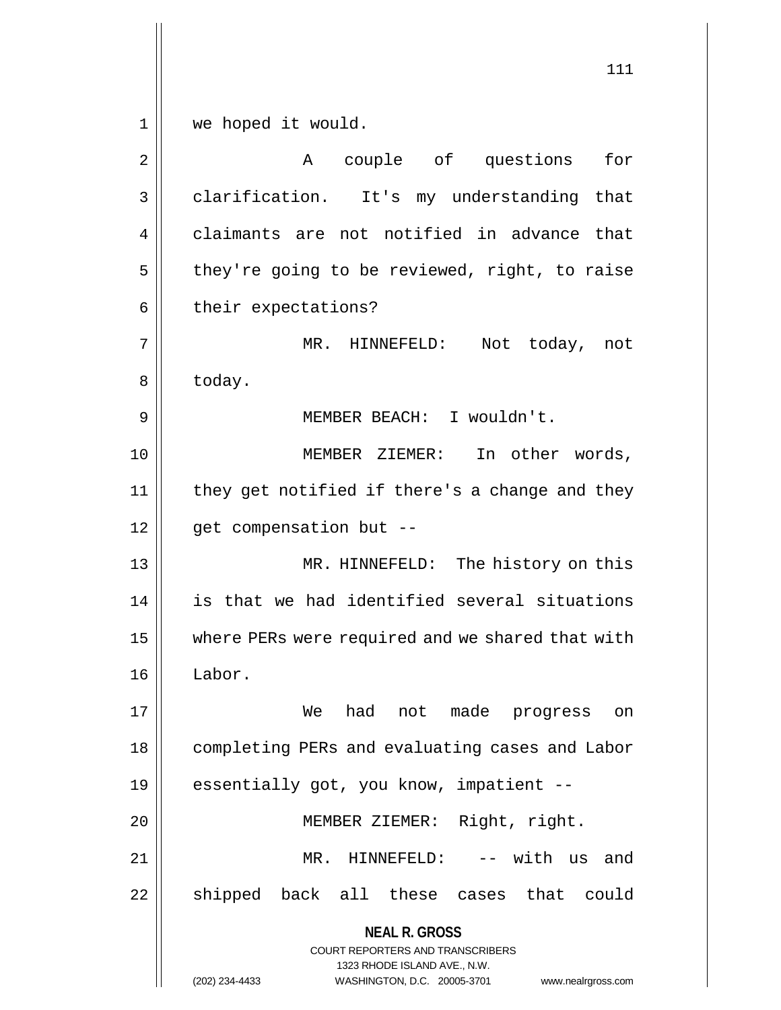**NEAL R. GROSS** COURT REPORTERS AND TRANSCRIBERS 1323 RHODE ISLAND AVE., N.W. 111 1 we hoped it would. 2 || The A couple of questions for 3 || clarification. It's my understanding that 4 claimants are not notified in advance that  $5 \parallel$  they're going to be reviewed, right, to raise  $6 \parallel$  their expectations? 7 MR. HINNEFELD: Not today, not 8 today. 9 MEMBER BEACH: I wouldn't. 10 MEMBER ZIEMER: In other words, 11 || they get notified if there's a change and they 12 | get compensation but --13 || MR. HINNEFELD: The history on this 14 is that we had identified several situations 15 | where PERs were required and we shared that with 16 Labor. 17 We had not made progress on 18 | completing PERs and evaluating cases and Labor 19 || essentially got, you know, impatient --20 MEMBER ZIEMER: Right, right. 21 MR. HINNEFELD: -- with us and  $22$  shipped back all these cases that could

(202) 234-4433 WASHINGTON, D.C. 20005-3701 www.nealrgross.com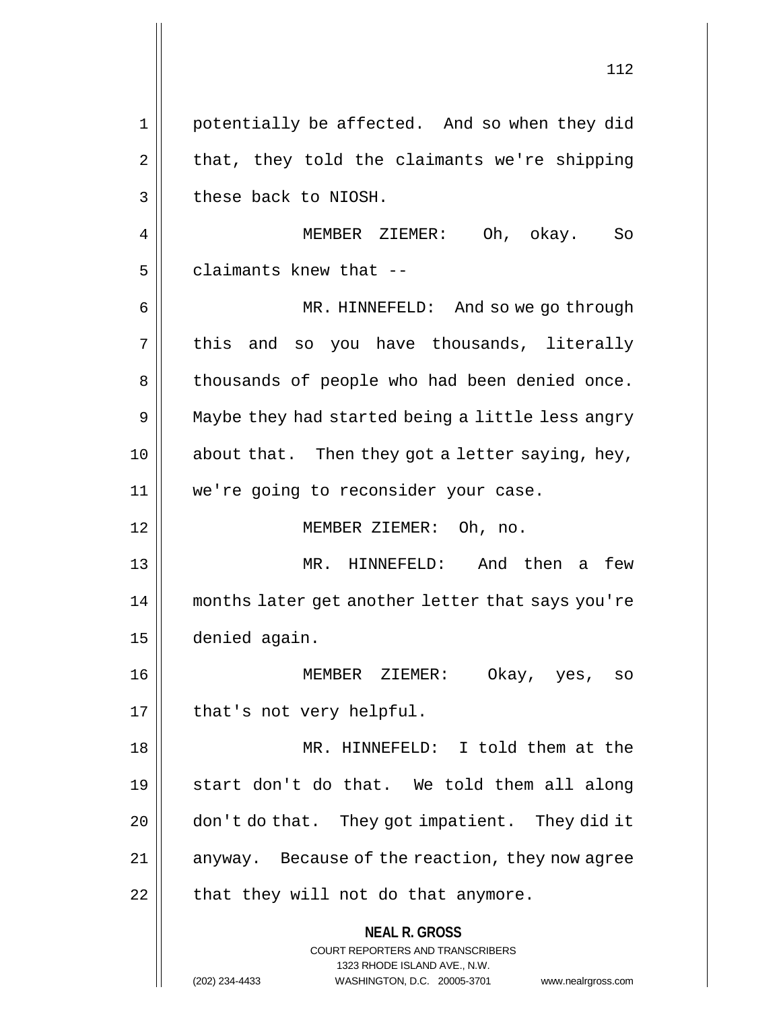**NEAL R. GROSS** COURT REPORTERS AND TRANSCRIBERS 1323 RHODE ISLAND AVE., N.W. 112 1 potentially be affected. And so when they did  $2 \parallel$  that, they told the claimants we're shipping  $3$  | these back to NIOSH. 4 MEMBER ZIEMER: Oh, okay. So  $5$  | claimants knew that  $-$ 6 MR. HINNEFELD: And so we go through  $7 \parallel$  this and so you have thousands, literally 8 || thousands of people who had been denied once. 9 || Maybe they had started being a little less angry 10 || about that. Then they got a letter saying, hey, 11 we're going to reconsider your case. 12 MEMBER ZIEMER: Oh, no. 13 || MR. HINNEFELD: And then a few 14 months later get another letter that says you're 15 denied again. 16 MEMBER ZIEMER: Okay, yes, so 17 || that's not very helpful. 18 || MR. HINNEFELD: I told them at the 19 start don't do that. We told them all along 20 || don't do that. They got impatient. They did it 21 || anyway. Because of the reaction, they now agree  $22$  || that they will not do that anymore.

(202) 234-4433 WASHINGTON, D.C. 20005-3701 www.nealrgross.com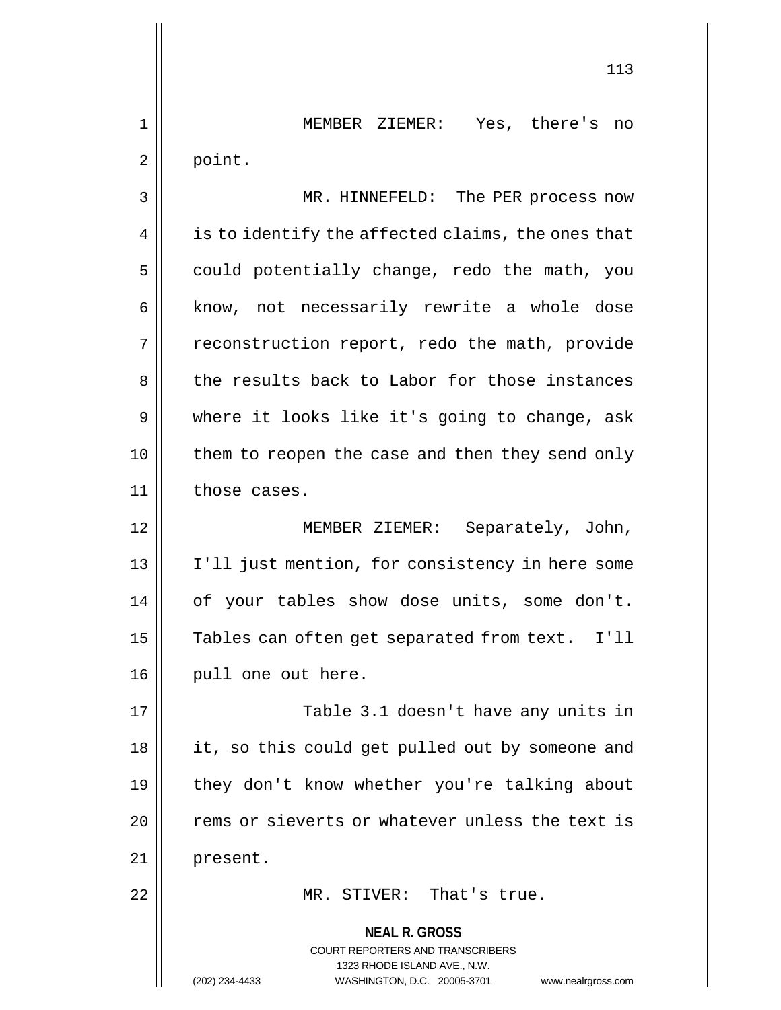1 MEMBER ZIEMER: Yes, there's no  $2 \parallel$  point.

3 || MR. HINNEFELD: The PER process now  $4 \parallel$  is to identify the affected claims, the ones that  $5 \parallel$  could potentially change, redo the math, you 6 || know, not necessarily rewrite a whole dose  $7 \parallel$  reconstruction report, redo the math, provide 8 the results back to Labor for those instances 9 || where it looks like it's going to change, ask 10 || them to reopen the case and then they send only  $11$  | those cases.

12 MEMBER ZIEMER: Separately, John, 13 I'll just mention, for consistency in here some 14 | of your tables show dose units, some don't. 15 | Tables can often get separated from text. I'll 16 | pull one out here.

17 || Table 3.1 doesn't have any units in 18 || it, so this could get pulled out by someone and 19 || they don't know whether you're talking about 20 | rems or sieverts or whatever unless the text is 21 present.

22 || MR. STIVER: That's true.

**NEAL R. GROSS** COURT REPORTERS AND TRANSCRIBERS 1323 RHODE ISLAND AVE., N.W. (202) 234-4433 WASHINGTON, D.C. 20005-3701 www.nealrgross.com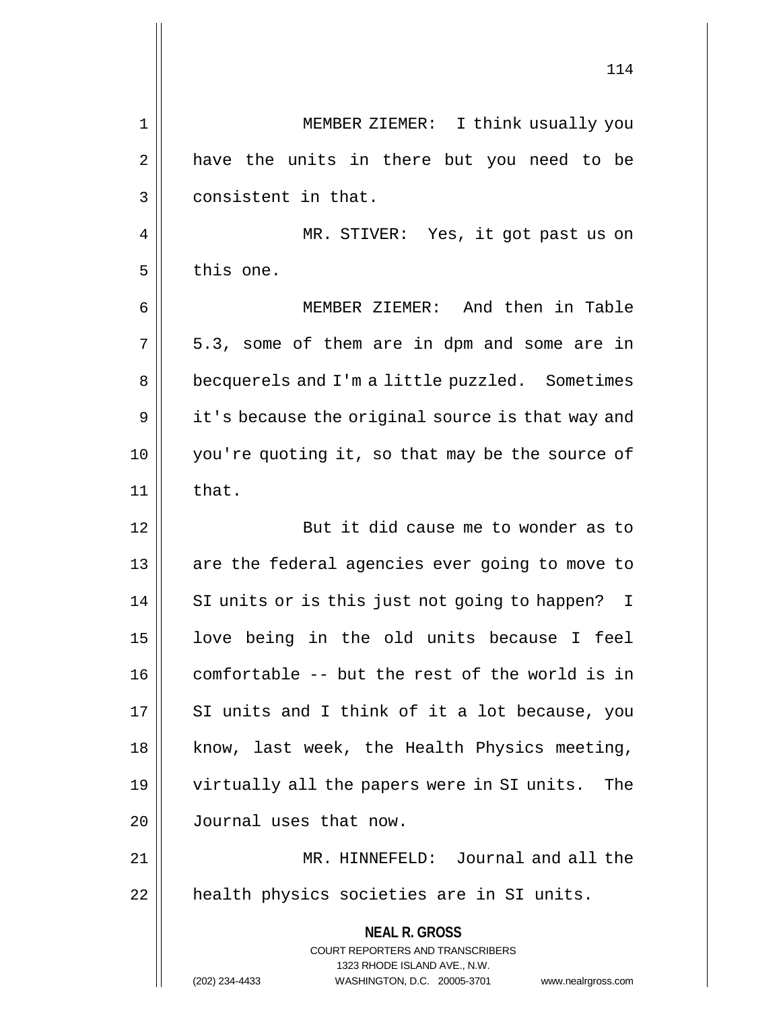**NEAL R. GROSS** COURT REPORTERS AND TRANSCRIBERS 1323 RHODE ISLAND AVE., N.W. (202) 234-4433 WASHINGTON, D.C. 20005-3701 www.nealrgross.com 1 || MEMBER ZIEMER: I think usually you  $2 \parallel$  have the units in there but you need to be 3 | consistent in that. 4 || MR. STIVER: Yes, it got past us on  $5$  | this one. 6 MEMBER ZIEMER: And then in Table  $7 \parallel 5.3$ , some of them are in dpm and some are in 8 | becquerels and I'm a little puzzled. Sometimes  $9 \parallel$  it's because the original source is that way and 10 you're quoting it, so that may be the source of  $11$  | that. 12 || But it did cause me to wonder as to 13 || are the federal agencies ever going to move to 14 || SI units or is this just not going to happen? I 15 love being in the old units because I feel  $16$  | comfortable -- but the rest of the world is in  $17$  || SI units and I think of it a lot because, you 18 || know, last week, the Health Physics meeting, 19 virtually all the papers were in SI units. The 20 Journal uses that now. 21 MR. HINNEFELD: Journal and all the 22 || health physics societies are in SI units.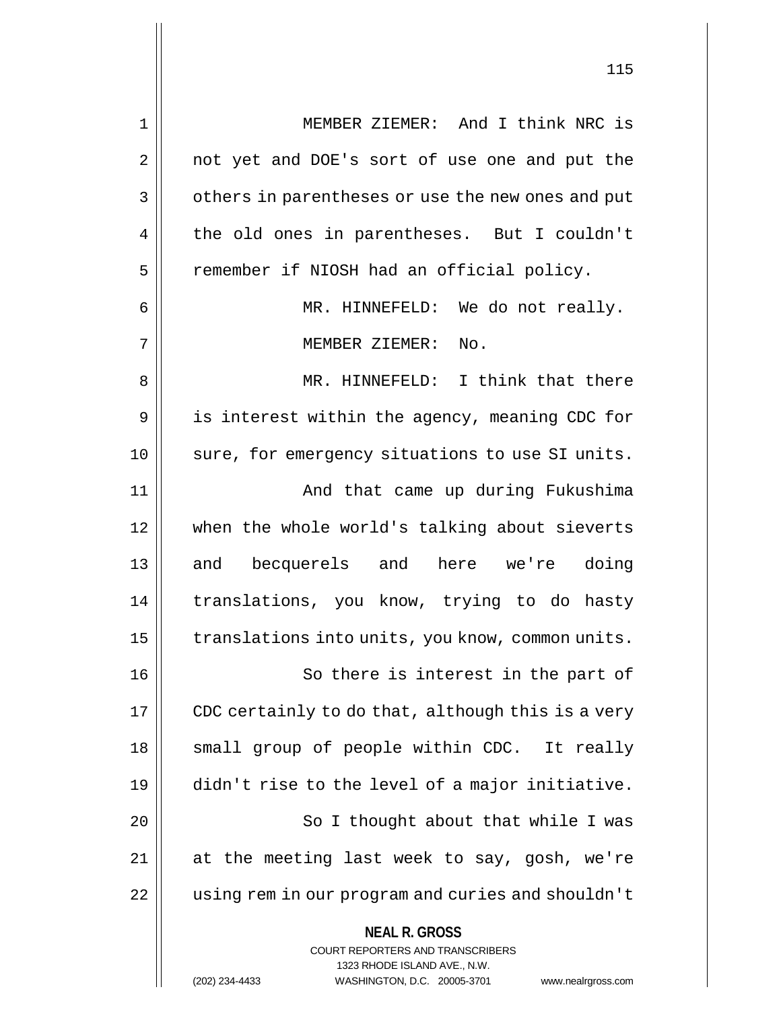| $\mathbf 1$ | MEMBER ZIEMER: And I think NRC is                                                                   |
|-------------|-----------------------------------------------------------------------------------------------------|
| 2           | not yet and DOE's sort of use one and put the                                                       |
| 3           | others in parentheses or use the new ones and put                                                   |
| 4           | the old ones in parentheses. But I couldn't                                                         |
| 5           | remember if NIOSH had an official policy.                                                           |
| 6           | MR. HINNEFELD: We do not really.                                                                    |
| 7           | MEMBER ZIEMER:<br>No.                                                                               |
| 8           | MR. HINNEFELD: I think that there                                                                   |
| 9           | is interest within the agency, meaning CDC for                                                      |
| 10          | sure, for emergency situations to use SI units.                                                     |
| 11          | And that came up during Fukushima                                                                   |
| 12          | when the whole world's talking about sieverts                                                       |
| 13          | and becquerels and here we're doing                                                                 |
| 14          | translations, you know, trying to do hasty                                                          |
| 15          | translations into units, you know, common units.                                                    |
| 16          | So there is interest in the part of                                                                 |
| 17          | CDC certainly to do that, although this is a very                                                   |
| 18          | small group of people within CDC. It really                                                         |
| 19          | didn't rise to the level of a major initiative.                                                     |
| 20          | So I thought about that while I was                                                                 |
| 21          | at the meeting last week to say, gosh, we're                                                        |
| 22          | using rem in our program and curies and shouldn't                                                   |
|             | <b>NEAL R. GROSS</b><br><b>COURT REPORTERS AND TRANSCRIBERS</b>                                     |
|             | 1323 RHODE ISLAND AVE., N.W.<br>(202) 234-4433<br>WASHINGTON, D.C. 20005-3701<br>www.nealrgross.com |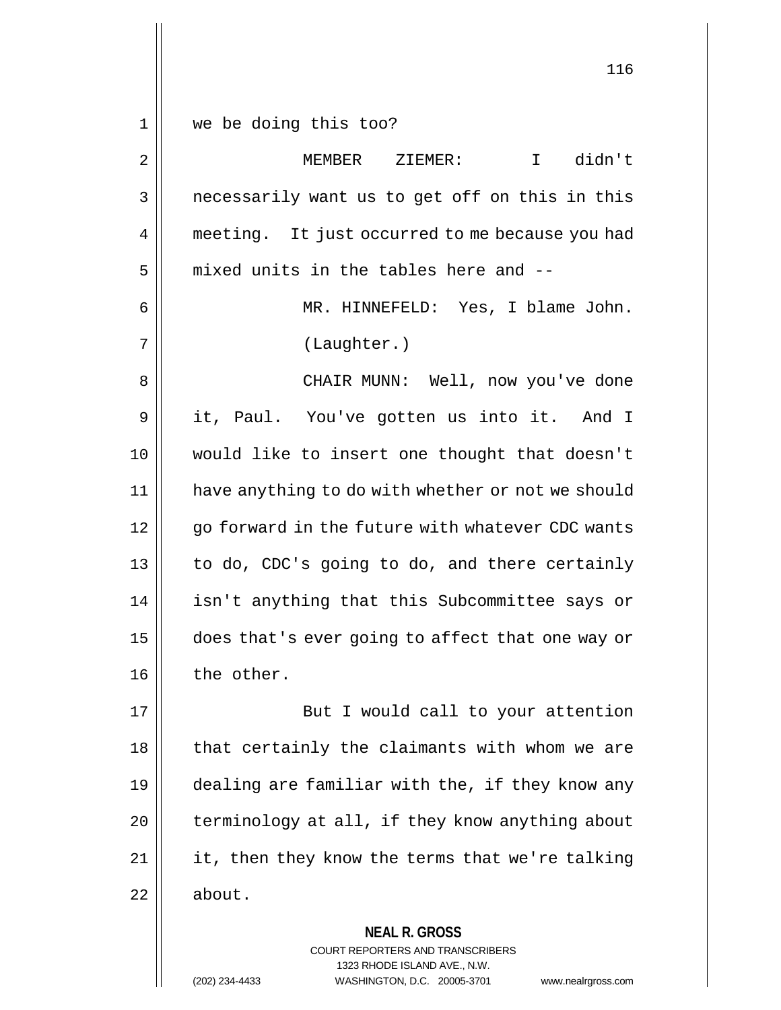1 we be doing this too?

2 MEMBER ZIEMER: I didn't 3 || necessarily want us to get off on this in this 4 | meeting. It just occurred to me because you had  $5$  || mixed units in the tables here and --6 MR. HINNEFELD: Yes, I blame John. 7 (Laughter.) 8 CHAIR MUNN: Well, now you've done 9 it, Paul. You've gotten us into it. And I 10 would like to insert one thought that doesn't 11 have anything to do with whether or not we should 12 || qo forward in the future with whatever CDC wants  $13$  | to do, CDC's going to do, and there certainly 14 || isn't anything that this Subcommittee says or 15 does that's ever going to affect that one way or  $16$  | the other. 17 || But I would call to your attention  $18$  || that certainly the claimants with whom we are 19 dealing are familiar with the, if they know any  $20$  | terminology at all, if they know anything about  $21$  || it, then they know the terms that we're talking  $22 \parallel$  about.

**NEAL R. GROSS**

COURT REPORTERS AND TRANSCRIBERS 1323 RHODE ISLAND AVE., N.W. (202) 234-4433 WASHINGTON, D.C. 20005-3701 www.nealrgross.com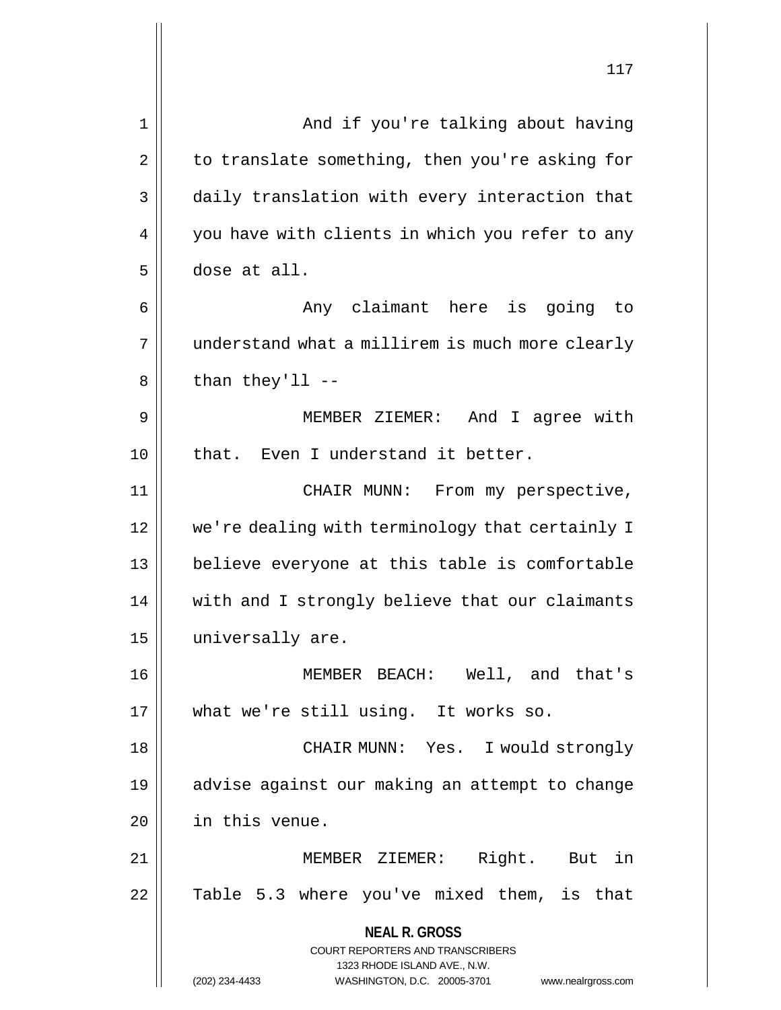|    | ⊥⊥ /                                                             |
|----|------------------------------------------------------------------|
| 1  | And if you're talking about having                               |
| 2  | to translate something, then you're asking for                   |
| 3  | daily translation with every interaction that                    |
| 4  | you have with clients in which you refer to any                  |
| 5  | dose at all.                                                     |
| 6  | Any claimant here is going to                                    |
| 7  | understand what a millirem is much more clearly                  |
| 8  | than they'll $--$                                                |
| 9  | MEMBER ZIEMER: And I agree with                                  |
| 10 | that. Even I understand it better.                               |
| 11 | CHAIR MUNN: From my perspective,                                 |
| 12 | we're dealing with terminology that certainly I                  |
| 13 | believe everyone at this table is comfortable                    |
| 14 | with and I strongly believe that our claimants                   |
| 15 | universally are                                                  |
| 16 | MEMBER BEACH: Well, and that's                                   |
| 17 | what we're still using. It works so.                             |
| 18 | CHAIR MUNN: Yes. I would strongly                                |
| 19 | advise against our making an attempt to change                   |
| 20 | in this venue.                                                   |
| 21 | MEMBER ZIEMER: Right. But in                                     |
| 22 | Table 5.3 where you've mixed them, is that                       |
|    | <b>NEAL R. GROSS</b><br><b>COURT REPORTERS AND TRANSCRIBERS</b>  |
|    | 1323 RHODE ISLAND AVE., N.W.                                     |
|    | (202) 234-4433<br>WASHINGTON, D.C. 20005-3701 www.nealrgross.com |

 $\mathsf{I}$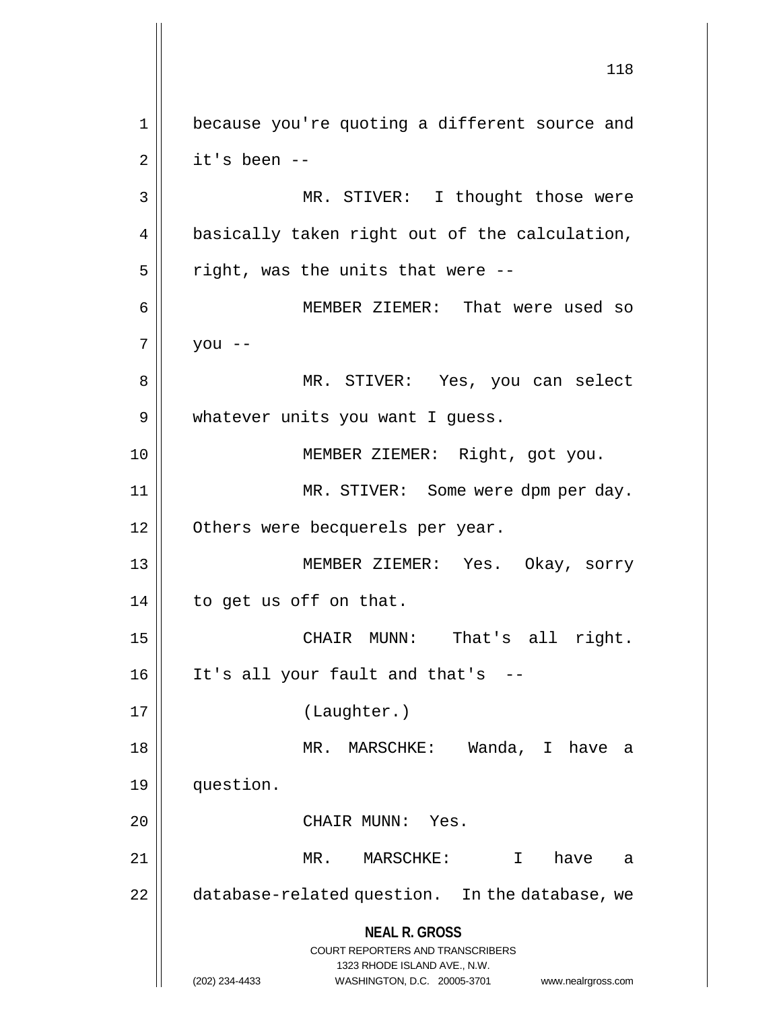**NEAL R. GROSS** COURT REPORTERS AND TRANSCRIBERS 1323 RHODE ISLAND AVE., N.W. (202) 234-4433 WASHINGTON, D.C. 20005-3701 www.nealrgross.com 118 1 because you're quoting a different source and  $2 \parallel$  it's been --3 || MR. STIVER: I thought those were 4 || basically taken right out of the calculation,  $5 \parallel$  right, was the units that were --6 MEMBER ZIEMER: That were used so  $7 \parallel$  you --8 MR. STIVER: Yes, you can select 9 | whatever units you want I guess. 10 MEMBER ZIEMER: Right, got you. 11 || MR. STIVER: Some were dpm per day. 12 | Others were becquerels per year. 13 MEMBER ZIEMER: Yes. Okay, sorry 14 | to get us off on that. 15 || CHAIR MUNN: That's all right. 16 It's all your fault and that's -- 17 (Laughter.) 18 || MR. MARSCHKE: Wanda, I have a 19 question. 20 || CHAIR MUNN: Yes. 21 MR. MARSCHKE: I have a 22 | database-related question. In the database, we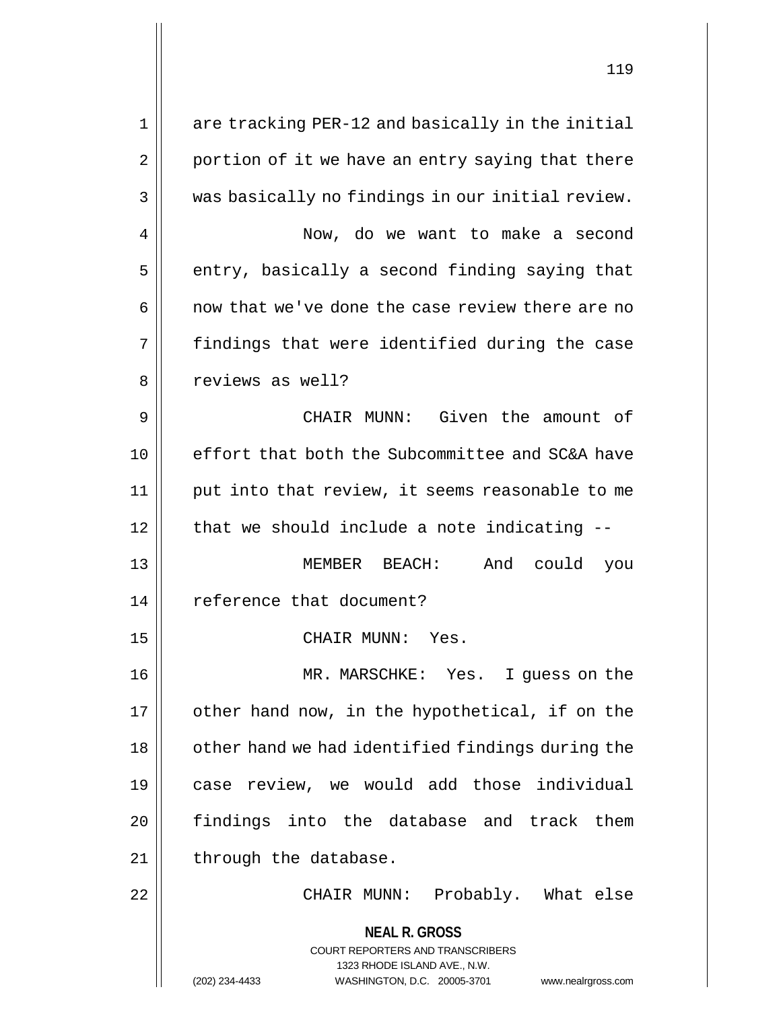**NEAL R. GROSS** COURT REPORTERS AND TRANSCRIBERS 1323 RHODE ISLAND AVE., N.W. (202) 234-4433 WASHINGTON, D.C. 20005-3701 www.nealrgross.com 1 || are tracking PER-12 and basically in the initial  $2 \parallel$  portion of it we have an entry saying that there  $3 \parallel$  was basically no findings in our initial review. 4 Now, do we want to make a second  $5$  | entry, basically a second finding saying that  $6 \parallel$  now that we've done the case review there are no  $7 \parallel$  findings that were identified during the case 8 || reviews as well? 9 CHAIR MUNN: Given the amount of 10 effort that both the Subcommittee and SC&A have 11 put into that review, it seems reasonable to me  $12$  | that we should include a note indicating  $-$ 13 MEMBER BEACH: And could you 14 | reference that document? 15 || CHAIR MUNN: Yes. 16 MR. MARSCHKE: Yes. I guess on the  $17$  | other hand now, in the hypothetical, if on the 18 || other hand we had identified findings during the 19 case review, we would add those individual 20 findings into the database and track them 21 | through the database. 22 CHAIR MUNN: Probably. What else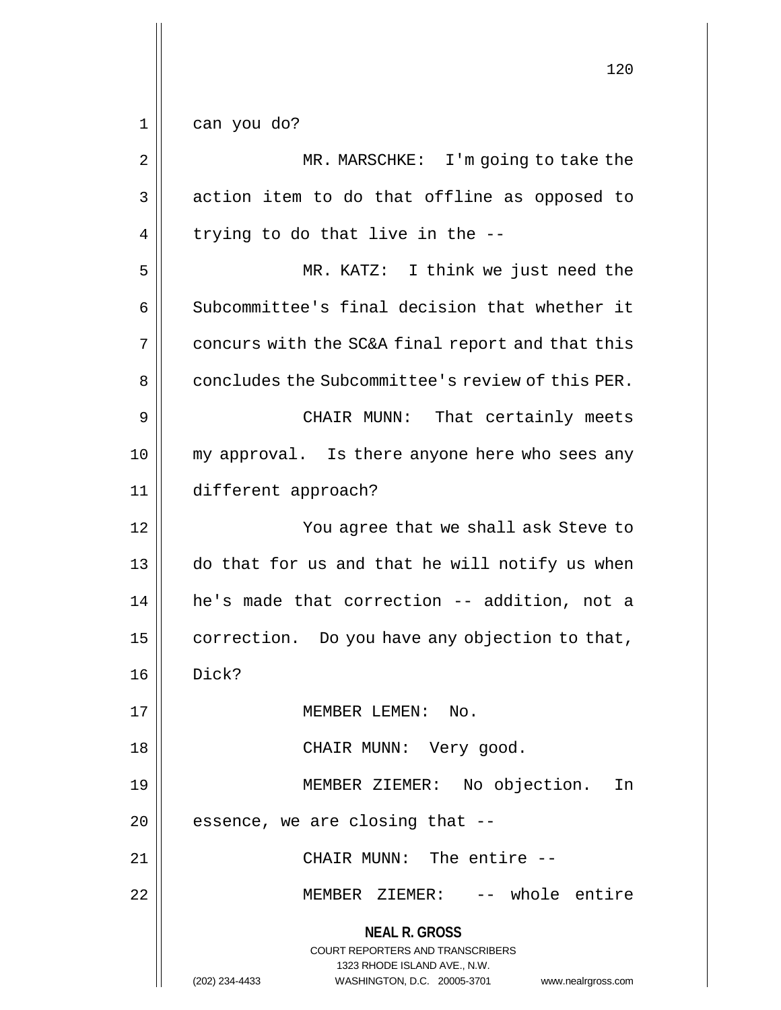$1 \parallel$  can you do?

| 2  | MR. MARSCHKE: I'm going to take the                                                                                                                                    |
|----|------------------------------------------------------------------------------------------------------------------------------------------------------------------------|
| 3  | action item to do that offline as opposed to                                                                                                                           |
| 4  | trying to do that live in the --                                                                                                                                       |
| 5  | MR. KATZ: I think we just need the                                                                                                                                     |
| 6  | Subcommittee's final decision that whether it                                                                                                                          |
| 7  | concurs with the SC&A final report and that this                                                                                                                       |
| 8  | concludes the Subcommittee's review of this PER.                                                                                                                       |
| 9  | CHAIR MUNN:<br>That certainly meets                                                                                                                                    |
| 10 | my approval. Is there anyone here who sees any                                                                                                                         |
| 11 | different approach?                                                                                                                                                    |
| 12 | You agree that we shall ask Steve to                                                                                                                                   |
| 13 | do that for us and that he will notify us when                                                                                                                         |
| 14 | he's made that correction -- addition, not a                                                                                                                           |
| 15 | correction. Do you have any objection to that,                                                                                                                         |
| 16 | Dick?                                                                                                                                                                  |
| 17 | MEMBER LEMEN:<br>No .                                                                                                                                                  |
| 18 | CHAIR MUNN: Very good.                                                                                                                                                 |
| 19 | MEMBER ZIEMER: No objection.<br>In                                                                                                                                     |
| 20 | essence, we are closing that --                                                                                                                                        |
| 21 | CHAIR MUNN: The entire --                                                                                                                                              |
| 22 | MEMBER ZIEMER: -- whole entire                                                                                                                                         |
|    | <b>NEAL R. GROSS</b><br><b>COURT REPORTERS AND TRANSCRIBERS</b><br>1323 RHODE ISLAND AVE., N.W.<br>WASHINGTON, D.C. 20005-3701<br>(202) 234-4433<br>www.nealrgross.com |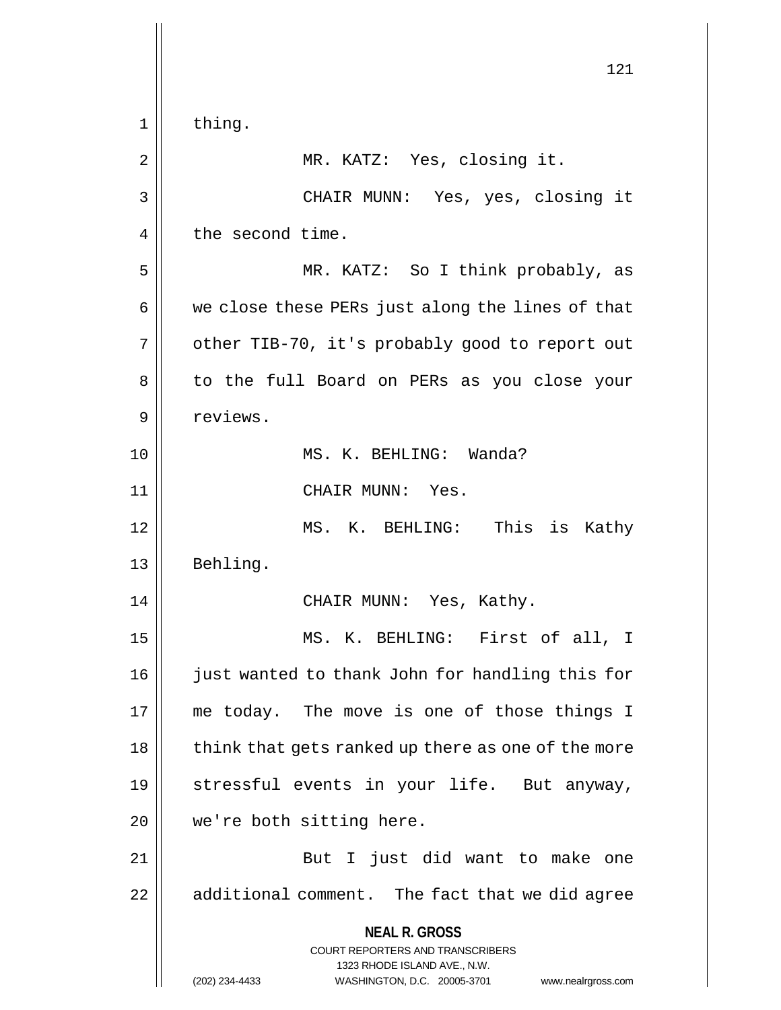**NEAL R. GROSS** COURT REPORTERS AND TRANSCRIBERS 1323 RHODE ISLAND AVE., N.W. (202) 234-4433 WASHINGTON, D.C. 20005-3701 www.nealrgross.com 121  $1 \parallel$  thing. 2 || MR. KATZ: Yes, closing it. 3 CHAIR MUNN: Yes, yes, closing it 4 | the second time. 5 || MR. KATZ: So I think probably, as  $6 \parallel$  we close these PERs just along the lines of that 7 | other TIB-70, it's probably good to report out 8 || to the full Board on PERs as you close your 9 | reviews. 10 MS. K. BEHLING: Wanda? 11 || CHAIR MUNN: Yes. 12 MS. K. BEHLING: This is Kathy 13 Behling. 14 CHAIR MUNN: Yes, Kathy. 15 MS. K. BEHLING: First of all, I 16 || just wanted to thank John for handling this for 17 me today. The move is one of those things I 18 || think that gets ranked up there as one of the more 19 stressful events in your life. But anyway, 20 || we're both sitting here. 21 || But I just did want to make one  $22$  |  $\alpha$  additional comment. The fact that we did agree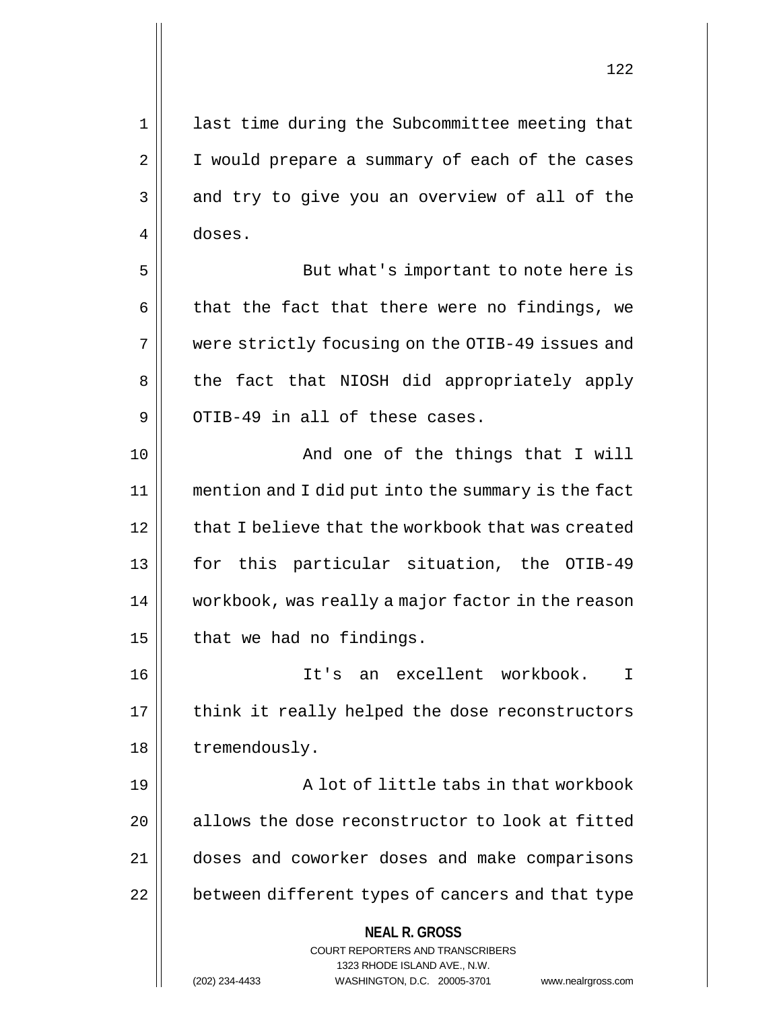1 || last time during the Subcommittee meeting that 2 | I would prepare a summary of each of the cases  $3 \parallel$  and try to give you an overview of all of the 4 doses. 5 || But what's important to note here is  $6 \parallel$  that the fact that there were no findings, we 7 || were strictly focusing on the OTIB-49 issues and 8 || the fact that NIOSH did appropriately apply  $9$  ||  $\circ$  OTIB-49 in all of these cases. 10 || The Solomon Contract Contract And one of the things that I will 11 mention and I did put into the summary is the fact  $12$   $\parallel$  that I believe that the workbook that was created 13 for this particular situation, the OTIB-49 14 workbook, was really a major factor in the reason  $15$  | that we had no findings. 16 It's an excellent workbook. I  $17$  | think it really helped the dose reconstructors 18 | tremendously. 19 A lot of little tabs in that workbook  $20$  | allows the dose reconstructor to look at fitted 21 doses and coworker doses and make comparisons

22 | between different types of cancers and that type

**NEAL R. GROSS**

COURT REPORTERS AND TRANSCRIBERS 1323 RHODE ISLAND AVE., N.W.

(202) 234-4433 WASHINGTON, D.C. 20005-3701 www.nealrgross.com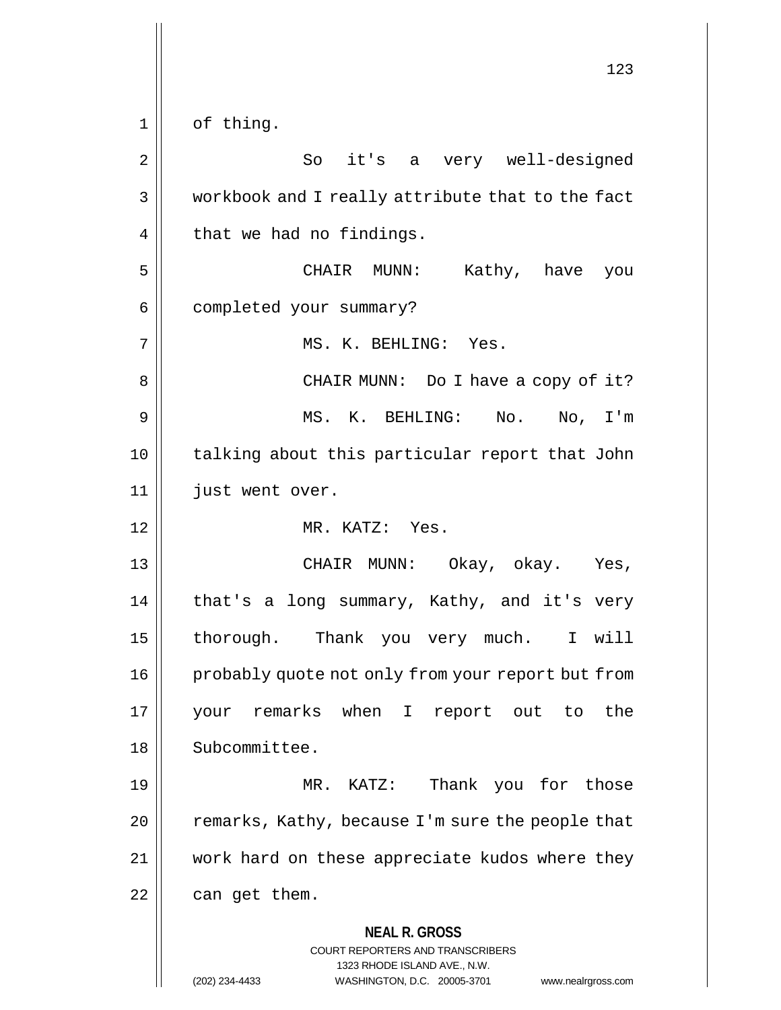**NEAL R. GROSS** COURT REPORTERS AND TRANSCRIBERS 1323 RHODE ISLAND AVE., N.W. (202) 234-4433 WASHINGTON, D.C. 20005-3701 www.nealrgross.com 123 1 || of thing. 2 || So it's a very well-designed 3 workbook and I really attribute that to the fact  $4 \parallel$  that we had no findings. 5 CHAIR MUNN: Kathy, have you 6 | completed your summary? 7 || MS. K. BEHLING: Yes. 8 || CHAIR MUNN: Do I have a copy of it? 9 MS. K. BEHLING: No. No, I'm 10 || talking about this particular report that John 11 just went over. 12 MR. KATZ: Yes. 13 CHAIR MUNN: Okay, okay. Yes, 14 || that's a long summary, Kathy, and it's very 15 | thorough. Thank you very much. I will 16 | probably quote not only from your report but from 17 your remarks when I report out to the 18 | Subcommittee. 19 MR. KATZ: Thank you for those  $20$  | remarks, Kathy, because I'm sure the people that 21 work hard on these appreciate kudos where they  $22$  | can get them.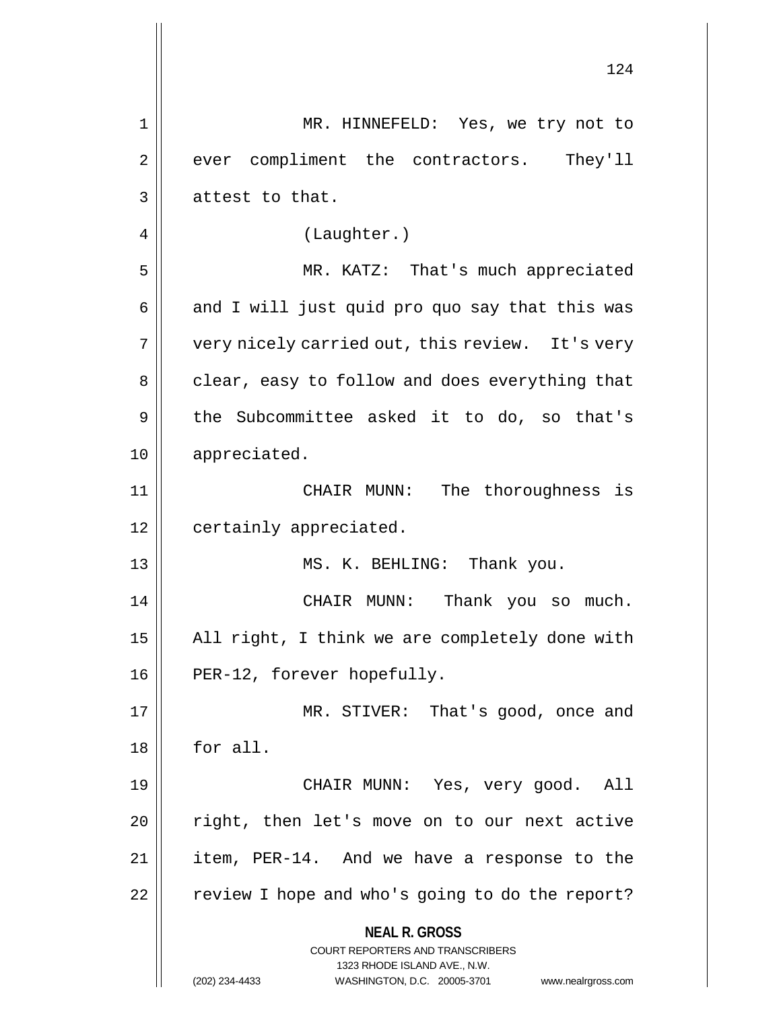|                | 124                                                                                                 |
|----------------|-----------------------------------------------------------------------------------------------------|
| 1              | MR. HINNEFELD: Yes, we try not to                                                                   |
| $\overline{2}$ | compliment the contractors. They'll<br>ever                                                         |
| 3              | attest to that.                                                                                     |
| 4              | (Laughter.)                                                                                         |
| 5              | MR. KATZ: That's much appreciated                                                                   |
| 6              | and I will just quid pro quo say that this was                                                      |
| 7              | very nicely carried out, this review. It's very                                                     |
| 8              | clear, easy to follow and does everything that                                                      |
| 9              | the Subcommittee asked it to do, so that's                                                          |
| 10             | appreciated.                                                                                        |
| 11             | CHAIR MUNN: The thoroughness<br>is                                                                  |
| 12             | certainly appreciated.                                                                              |
| 13             | MS. K. BEHLING: Thank you.                                                                          |
| 14             | CHAIR MUNN:<br>Thank you so much.                                                                   |
| 15             | All right, I think we are completely done with                                                      |
| 16             | PER-12, forever hopefully.                                                                          |
| 17             | MR. STIVER: That's good, once and                                                                   |
| 18             | for all.                                                                                            |
| 19             | CHAIR MUNN: Yes, very good. All                                                                     |
| 20             | right, then let's move on to our next active                                                        |
| 21             | item, PER-14. And we have a response to the                                                         |
| 22             | review I hope and who's going to do the report?                                                     |
|                | <b>NEAL R. GROSS</b><br><b>COURT REPORTERS AND TRANSCRIBERS</b>                                     |
|                | 1323 RHODE ISLAND AVE., N.W.<br>(202) 234-4433<br>WASHINGTON, D.C. 20005-3701<br>www.nealrgross.com |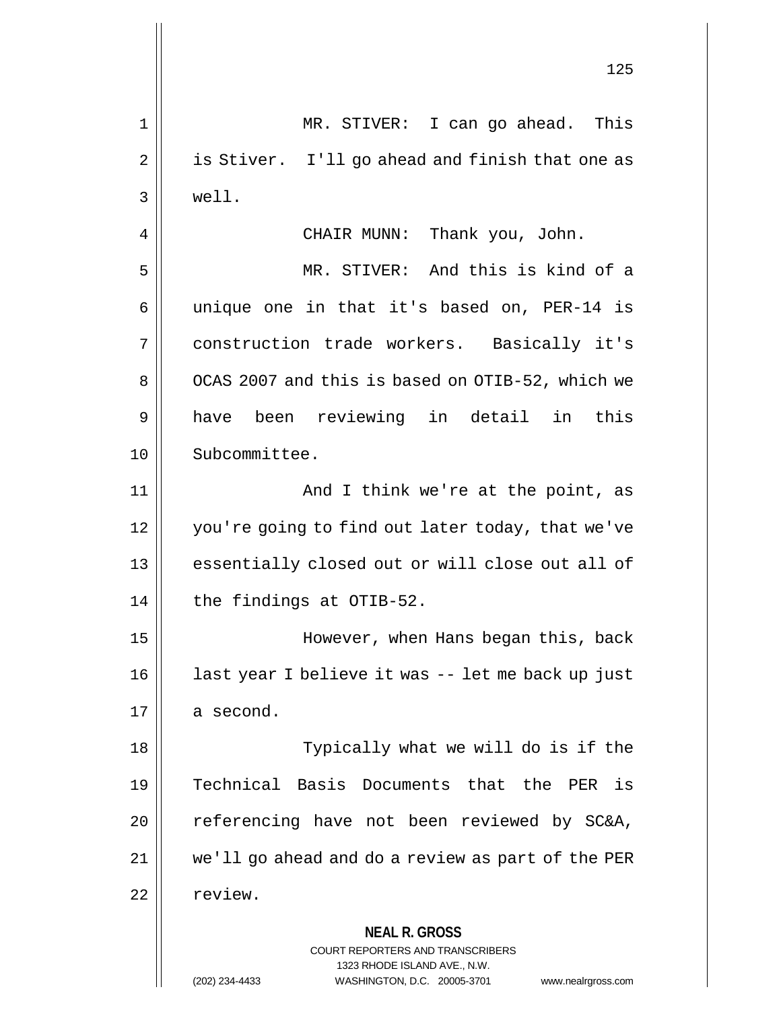**NEAL R. GROSS** COURT REPORTERS AND TRANSCRIBERS 125 1 MR. STIVER: I can go ahead. This 2 | is Stiver. I'll go ahead and finish that one as 3 well. 4 CHAIR MUNN: Thank you, John. 5 MR. STIVER: And this is kind of a  $6 \parallel$  unique one in that it's based on, PER-14 is 7 construction trade workers. Basically it's 8 | OCAS 2007 and this is based on OTIB-52, which we 9 || have been reviewing in detail in this 10 Subcommittee. 11 || And I think we're at the point, as 12 | you're going to find out later today, that we've 13 || essentially closed out or will close out all of  $14$  | the findings at OTIB-52. 15 However, when Hans began this, back 16 || last year I believe it was -- let me back up just  $17 \parallel$  a second. 18 || Typically what we will do is if the 19 Technical Basis Documents that the PER is 20 || referencing have not been reviewed by SC&A, 21 we'll go ahead and do a review as part of the PER 22 | review.

1323 RHODE ISLAND AVE., N.W.

(202) 234-4433 WASHINGTON, D.C. 20005-3701 www.nealrgross.com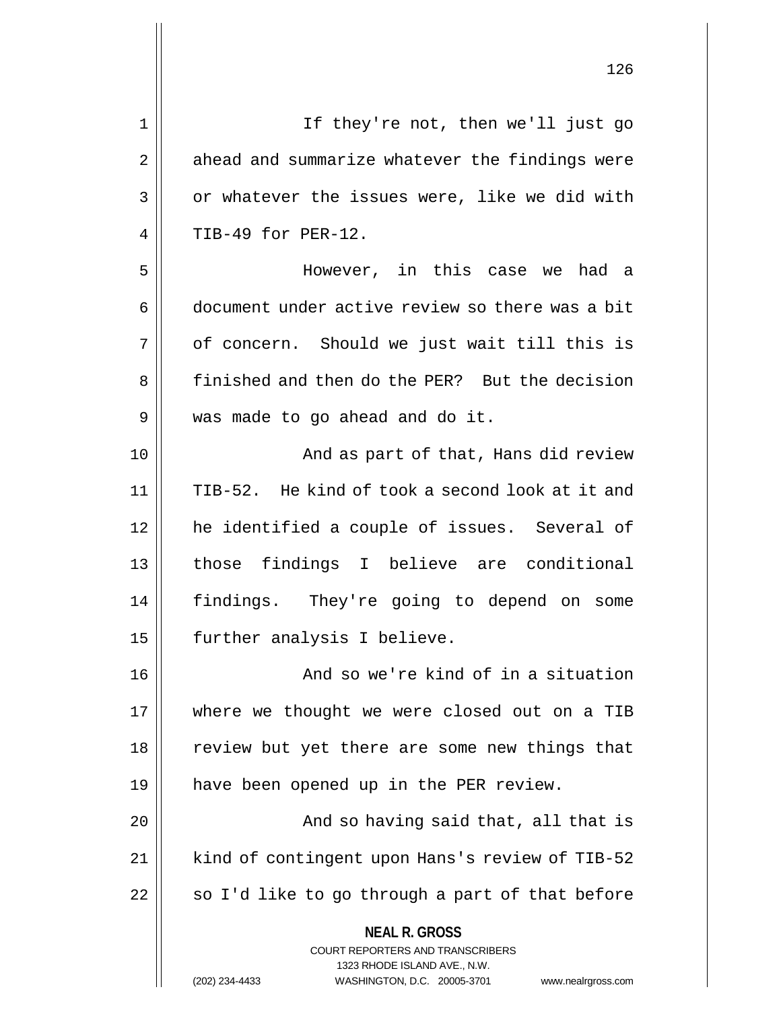**NEAL R. GROSS** COURT REPORTERS AND TRANSCRIBERS 1323 RHODE ISLAND AVE., N.W. 1 If they're not, then we'll just go 2 || ahead and summarize whatever the findings were  $3 \parallel$  or whatever the issues were, like we did with  $4$  | TIB-49 for PER-12. 5 However, in this case we had a 6 document under active review so there was a bit  $7 \parallel$  of concern. Should we just wait till this is 8 | finished and then do the PER? But the decision 9 | was made to go ahead and do it. 10 || And as part of that, Hans did review 11 TIB-52. He kind of took a second look at it and 12 he identified a couple of issues. Several of 13 || those findings I believe are conditional 14 findings. They're going to depend on some 15 || further analysis I believe. 16 || And so we're kind of in a situation 17 || where we thought we were closed out on a TIB 18 || review but yet there are some new things that 19 have been opened up in the PER review. 20 || And so having said that, all that is 21 | kind of contingent upon Hans's review of TIB-52  $22$  | so I'd like to go through a part of that before

(202) 234-4433 WASHINGTON, D.C. 20005-3701 www.nealrgross.com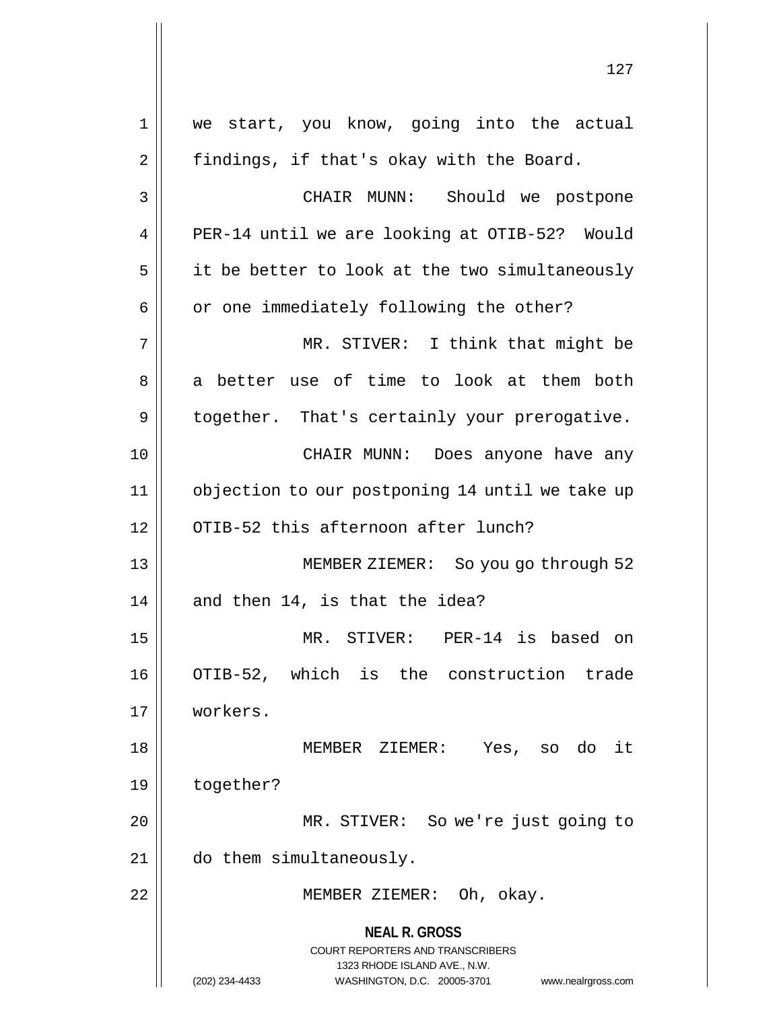**NEAL R. GROSS** COURT REPORTERS AND TRANSCRIBERS 1323 RHODE ISLAND AVE., N.W. (202) 234-4433 WASHINGTON, D.C. 20005-3701 www.nealrgross.com 1 we start, you know, going into the actual 2 | findings, if that's okay with the Board. 3 CHAIR MUNN: Should we postpone 4 PER-14 until we are looking at OTIB-52? Would  $5 \parallel$  it be better to look at the two simultaneously  $6 \parallel$  or one immediately following the other? 7 MR. STIVER: I think that might be 8 a better use of time to look at them both 9 | together. That's certainly your prerogative. 10 CHAIR MUNN: Does anyone have any 11 objection to our postponing 14 until we take up 12 || OTIB-52 this afternoon after lunch? 13 MEMBER ZIEMER: So you go through 52  $14$  | and then 14, is that the idea? 15 MR. STIVER: PER-14 is based on 16 OTIB-52, which is the construction trade 17 workers. 18 MEMBER ZIEMER: Yes, so do it 19 together? 20 || MR. STIVER: So we're just going to 21 do them simultaneously. 22 || MEMBER ZIEMER: Oh, okay.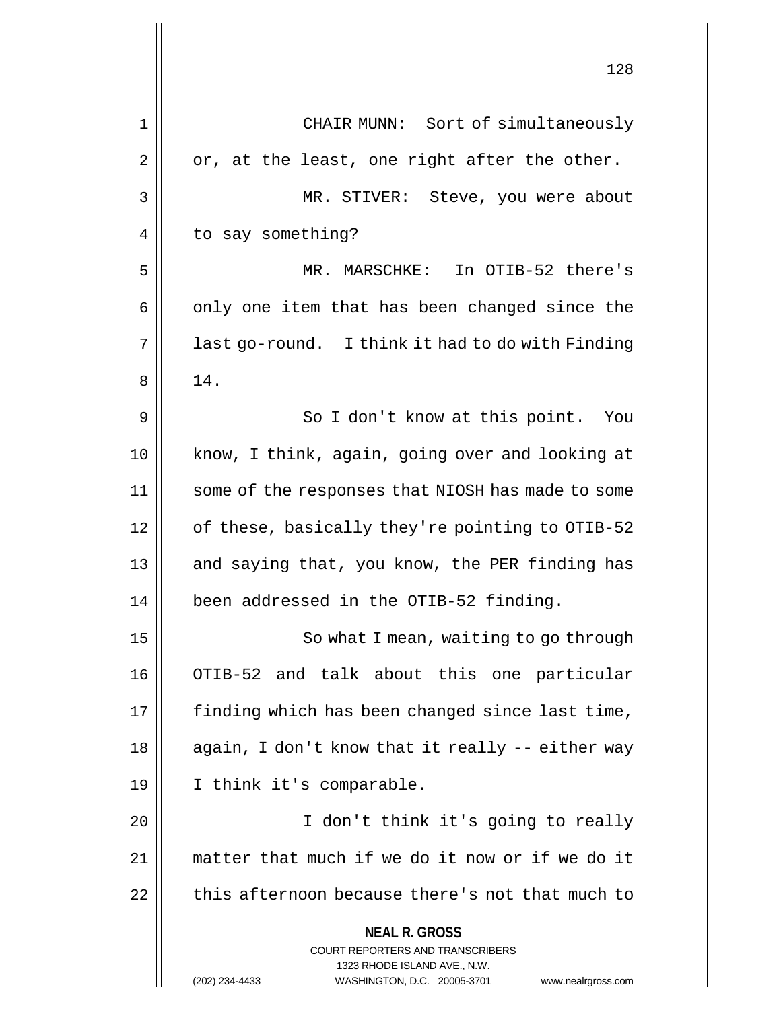|    | 128                                                                                                                                                                    |
|----|------------------------------------------------------------------------------------------------------------------------------------------------------------------------|
| 1  | CHAIR MUNN: Sort of simultaneously                                                                                                                                     |
| 2  | or, at the least, one right after the other.                                                                                                                           |
| 3  | MR. STIVER: Steve, you were about                                                                                                                                      |
| 4  | to say something?                                                                                                                                                      |
| 5  | MR. MARSCHKE: In OTIB-52 there's                                                                                                                                       |
| 6  | only one item that has been changed since the                                                                                                                          |
| 7  | last go-round. I think it had to do with Finding                                                                                                                       |
| 8  | 14.                                                                                                                                                                    |
| 9  | So I don't know at this point. You                                                                                                                                     |
| 10 | know, I think, again, going over and looking at                                                                                                                        |
| 11 | some of the responses that NIOSH has made to some                                                                                                                      |
| 12 | of these, basically they're pointing to OTIB-52                                                                                                                        |
| 13 | and saying that, you know, the PER finding has                                                                                                                         |
| 14 | been addressed in the OTIB-52 finding.                                                                                                                                 |
| 15 | So what I mean, waiting to go through                                                                                                                                  |
| 16 | OTIB-52 and talk about this one particular                                                                                                                             |
| 17 | finding which has been changed since last time,                                                                                                                        |
| 18 | again, I don't know that it really -- either way                                                                                                                       |
| 19 | I think it's comparable.                                                                                                                                               |
| 20 | I don't think it's going to really                                                                                                                                     |
| 21 | matter that much if we do it now or if we do it                                                                                                                        |
| 22 | this afternoon because there's not that much to                                                                                                                        |
|    | <b>NEAL R. GROSS</b><br><b>COURT REPORTERS AND TRANSCRIBERS</b><br>1323 RHODE ISLAND AVE., N.W.<br>(202) 234-4433<br>WASHINGTON, D.C. 20005-3701<br>www.nealrgross.com |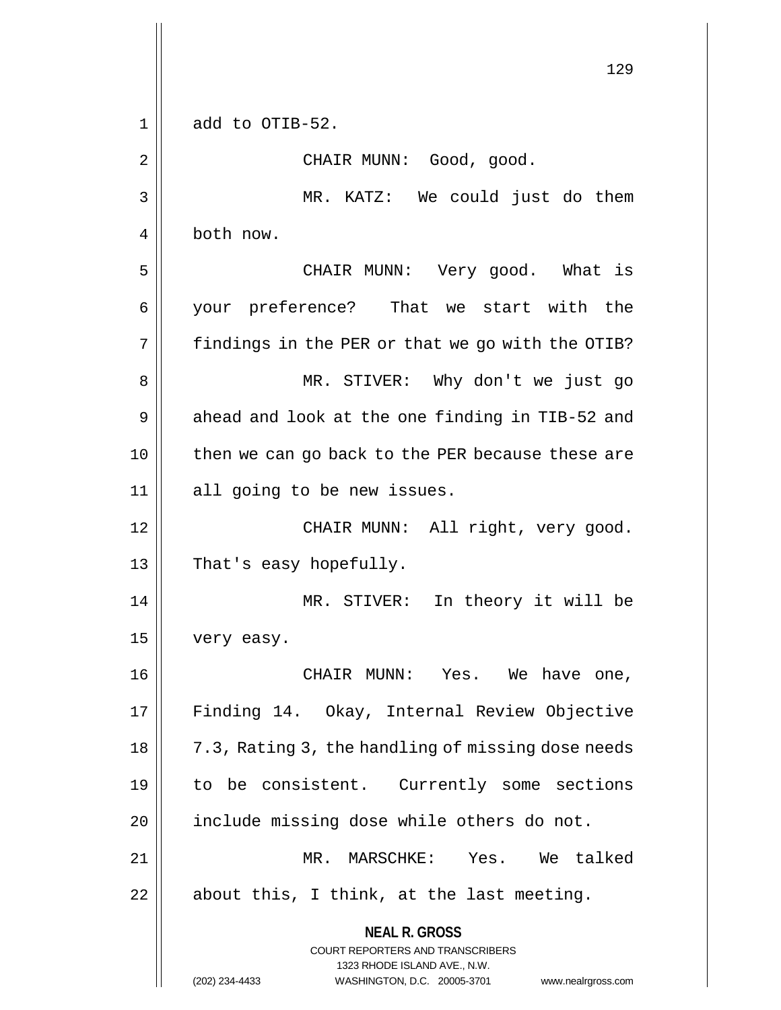**NEAL R. GROSS** COURT REPORTERS AND TRANSCRIBERS 1323 RHODE ISLAND AVE., N.W. (202) 234-4433 WASHINGTON, D.C. 20005-3701 www.nealrgross.com 129  $1 \parallel$  add to OTIB-52. 2 || CHAIR MUNN: Good, good. 3 MR. KATZ: We could just do them 4 both now. 5 CHAIR MUNN: Very good. What is 6 your preference? That we start with the  $7 ||$  findings in the PER or that we go with the OTIB? 8 MR. STIVER: Why don't we just go  $9 \parallel$  ahead and look at the one finding in TIB-52 and 10 || then we can go back to the PER because these are 11 || all going to be new issues. 12 CHAIR MUNN: All right, very good. 13 || That's easy hopefully. 14 || MR. STIVER: In theory it will be 15 | very easy. 16 CHAIR MUNN: Yes. We have one, 17 || Finding 14. Okay, Internal Review Objective 18 | 7.3, Rating 3, the handling of missing dose needs 19 to be consistent. Currently some sections 20 | include missing dose while others do not. 21 MR. MARSCHKE: Yes. We talked  $22$  || about this, I think, at the last meeting.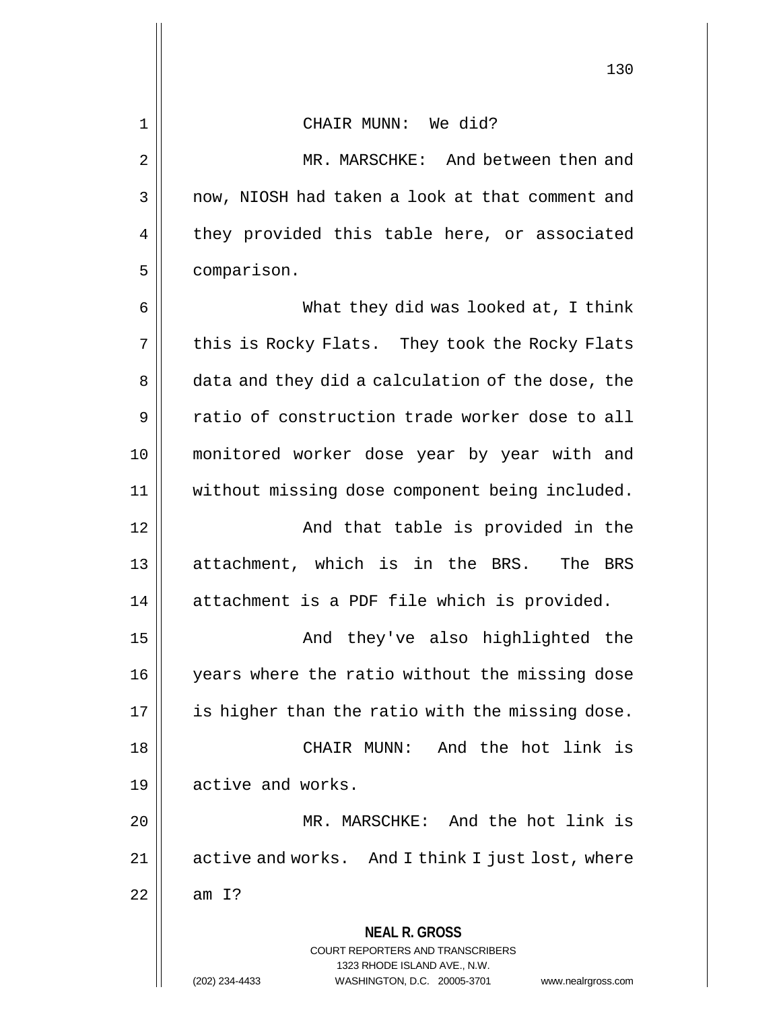| $\mathbf 1$ | CHAIR MUNN: We did?                                                                                 |
|-------------|-----------------------------------------------------------------------------------------------------|
| 2           | MR. MARSCHKE: And between then and                                                                  |
| 3           | now, NIOSH had taken a look at that comment and                                                     |
| 4           | they provided this table here, or associated                                                        |
| 5           | comparison.                                                                                         |
| 6           | What they did was looked at, I think                                                                |
| 7           | this is Rocky Flats. They took the Rocky Flats                                                      |
| 8           | data and they did a calculation of the dose, the                                                    |
| 9           | ratio of construction trade worker dose to all                                                      |
| 10          | monitored worker dose year by year with and                                                         |
| 11          | without missing dose component being included.                                                      |
| 12          | And that table is provided in the                                                                   |
| 13          | attachment, which is in the BRS. The BRS                                                            |
| 14          | attachment is a PDF file which is provided.                                                         |
| 15          | And they've also highlighted the                                                                    |
| 16          | years where the ratio without the missing dose                                                      |
| 17          | is higher than the ratio with the missing dose.                                                     |
| 18          | And the hot link is<br>CHAIR MUNN:                                                                  |
| 19          | active and works.                                                                                   |
| 20          | MR. MARSCHKE: And the hot link is                                                                   |
| 21          | active and works. And I think I just lost, where                                                    |
| 22          | amI?                                                                                                |
|             | <b>NEAL R. GROSS</b>                                                                                |
|             | <b>COURT REPORTERS AND TRANSCRIBERS</b>                                                             |
|             | 1323 RHODE ISLAND AVE., N.W.<br>(202) 234-4433<br>WASHINGTON, D.C. 20005-3701<br>www.nealrgross.com |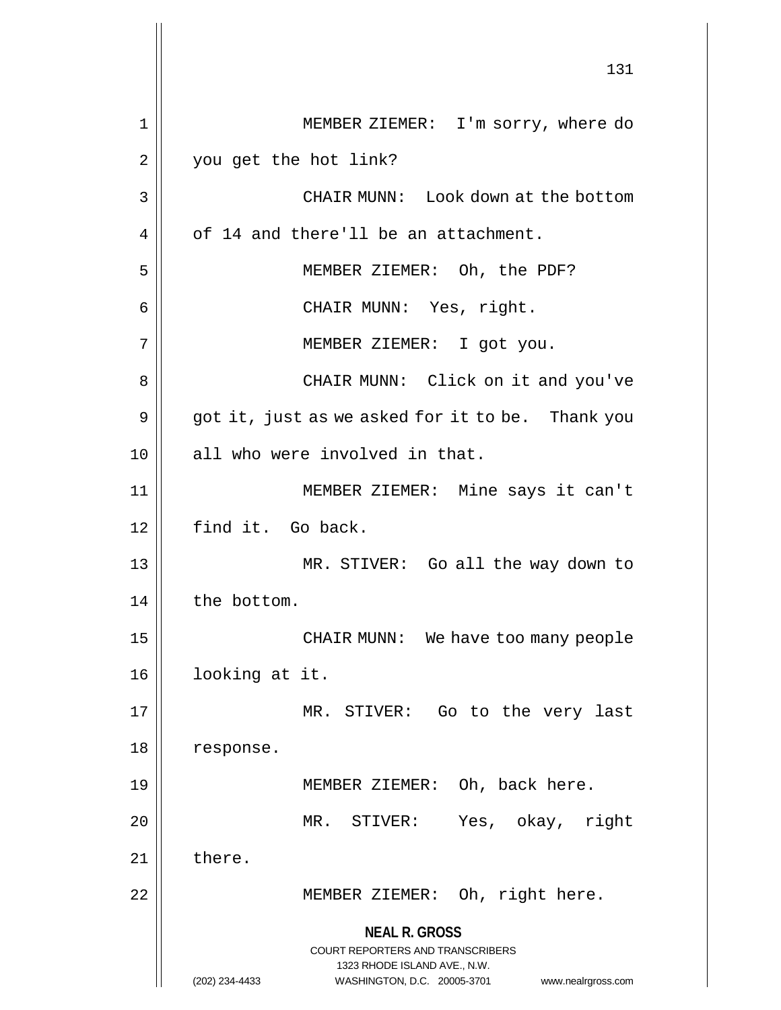**NEAL R. GROSS** COURT REPORTERS AND TRANSCRIBERS 1323 RHODE ISLAND AVE., N.W. (202) 234-4433 WASHINGTON, D.C. 20005-3701 www.nealrgross.com 131 1 MEMBER ZIEMER: I'm sorry, where do 2 | you get the hot link? 3 CHAIR MUNN: Look down at the bottom 4 | of 14 and there'll be an attachment. 5 MEMBER ZIEMER: Oh, the PDF? 6 CHAIR MUNN: Yes, right. 7 || MEMBER ZIEMER: I got you. 8 CHAIR MUNN: Click on it and you've  $9 \parallel$  got it, just as we asked for it to be. Thank you 10 all who were involved in that. 11 MEMBER ZIEMER: Mine says it can't 12 || find it. Go back. 13 MR. STIVER: Go all the way down to  $14$  | the bottom. 15 || CHAIR MUNN: We have too many people 16 || looking at it. 17 || MR. STIVER: Go to the very last 18 | response. 19 MEMBER ZIEMER: Oh, back here. 20 MR. STIVER: Yes, okay, right  $21$  || there. 22 || MEMBER ZIEMER: Oh, right here.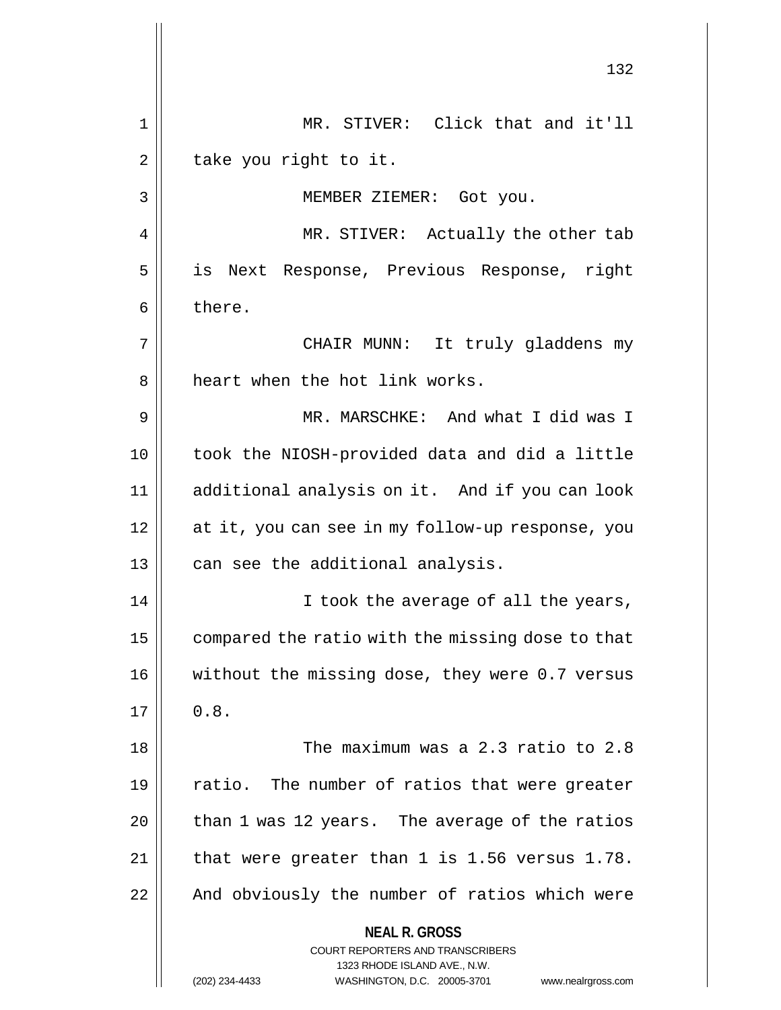**NEAL R. GROSS** COURT REPORTERS AND TRANSCRIBERS 1323 RHODE ISLAND AVE., N.W. (202) 234-4433 WASHINGTON, D.C. 20005-3701 www.nealrgross.com 132 1 MR. STIVER: Click that and it'll  $2 \parallel$  take you right to it. 3 MEMBER ZIEMER: Got you. 4 || MR. STIVER: Actually the other tab 5 is Next Response, Previous Response, right  $6 \parallel$  there. 7 CHAIR MUNN: It truly gladdens my 8 || heart when the hot link works. 9 MR. MARSCHKE: And what I did was I 10 took the NIOSH-provided data and did a little 11 additional analysis on it. And if you can look 12 at it, you can see in my follow-up response, you  $13$  || can see the additional analysis. 14 || I took the average of all the years, 15 | compared the ratio with the missing dose to that 16 || without the missing dose, they were 0.7 versus  $17 \parallel 0.8$ . 18 The maximum was a 2.3 ratio to 2.8 19  $\parallel$  ratio. The number of ratios that were greater  $20$  || than 1 was 12 years. The average of the ratios  $21$  | that were greater than 1 is 1.56 versus 1.78. 22 || And obviously the number of ratios which were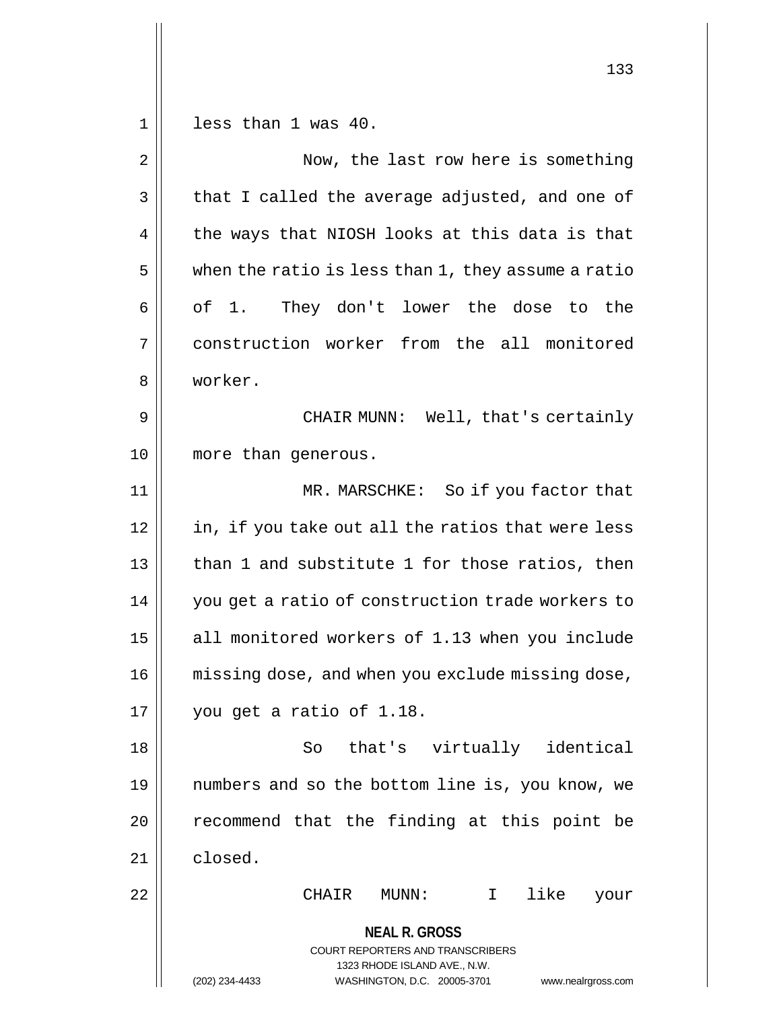1 less than 1 was 40. 2 || Now, the last row here is something  $3 \parallel$  that I called the average adjusted, and one of  $4 \parallel$  the ways that NIOSH looks at this data is that  $5 \parallel$  when the ratio is less than 1, they assume a ratio  $6 \parallel$  of 1. They don't lower the dose to the 7 construction worker from the all monitored

8 worker.

9 CHAIR MUNN: Well, that's certainly 10 || more than generous.

11 MR. MARSCHKE: So if you factor that  $12$  | in, if you take out all the ratios that were less 13 || than 1 and substitute 1 for those ratios, then 14 | you get a ratio of construction trade workers to 15 || all monitored workers of 1.13 when you include 16 || missing dose, and when you exclude missing dose, 17 you get a ratio of 1.18.

18 So that's virtually identical 19 numbers and so the bottom line is, you know, we  $20$  recommend that the finding at this point be 21 closed.

**NEAL R. GROSS** 22 CHAIR MUNN: I like your

> COURT REPORTERS AND TRANSCRIBERS 1323 RHODE ISLAND AVE., N.W. (202) 234-4433 WASHINGTON, D.C. 20005-3701 www.nealrgross.com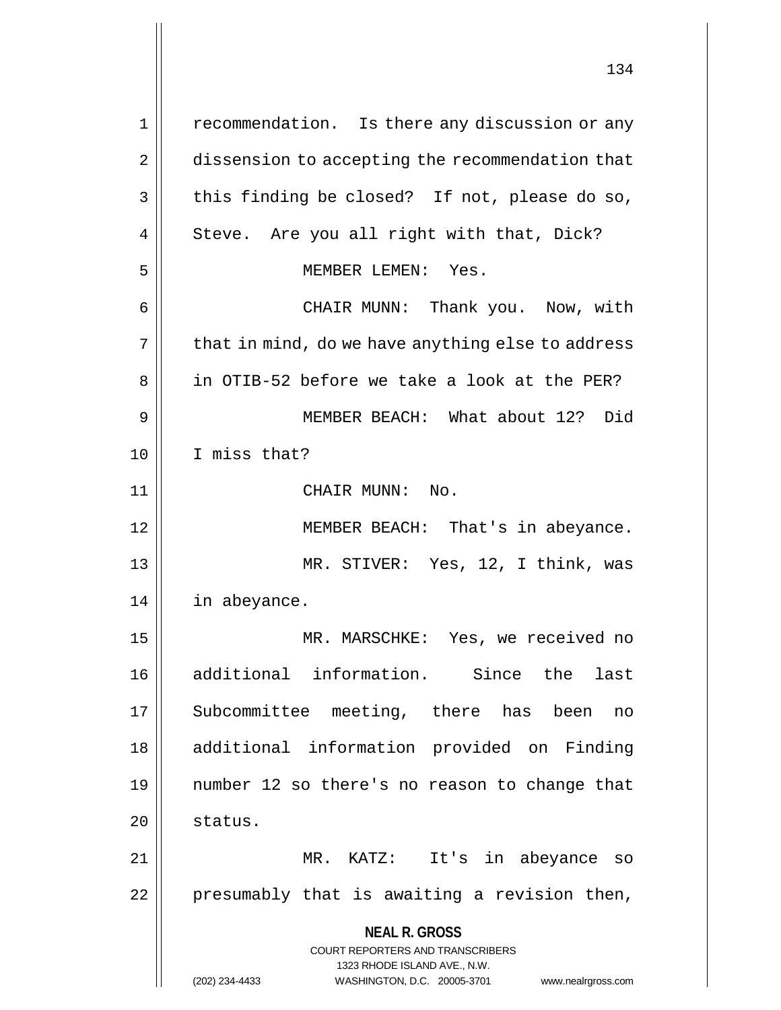**NEAL R. GROSS** COURT REPORTERS AND TRANSCRIBERS 1323 RHODE ISLAND AVE., N.W. (202) 234-4433 WASHINGTON, D.C. 20005-3701 www.nealrgross.com 1 || recommendation. Is there any discussion or any 2 | dissension to accepting the recommendation that  $3 \parallel$  this finding be closed? If not, please do so, 4 || Steve. Are you all right with that, Dick? 5 MEMBER LEMEN: Yes. 6 CHAIR MUNN: Thank you. Now, with  $7 \parallel$  that in mind, do we have anything else to address 8 || in OTIB-52 before we take a look at the PER? 9 MEMBER BEACH: What about 12? Did 10 I miss that? 11 || CHAIR MUNN: No. 12 || MEMBER BEACH: That's in abeyance. 13 MR. STIVER: Yes, 12, I think, was 14 in abeyance. 15 MR. MARSCHKE: Yes, we received no 16 additional information. Since the last 17 Subcommittee meeting, there has been no 18 additional information provided on Finding 19 number 12 so there's no reason to change that  $20$   $\parallel$  status. 21 MR. KATZ: It's in abeyance so  $22$  | presumably that is awaiting a revision then,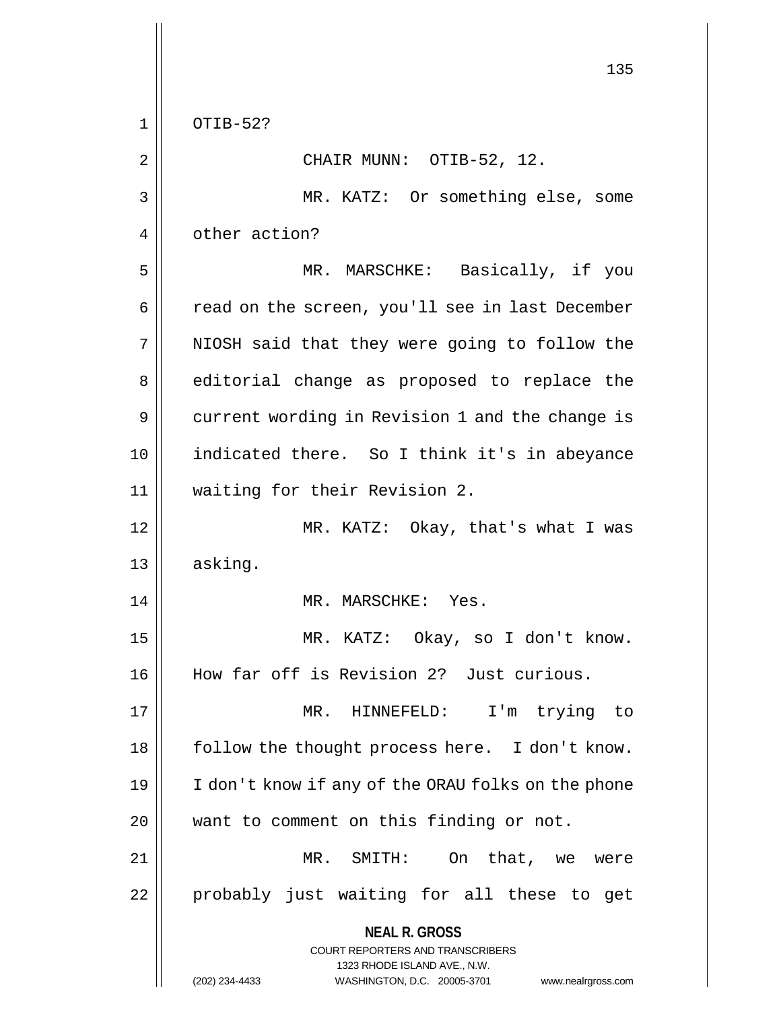**NEAL R. GROSS** COURT REPORTERS AND TRANSCRIBERS 1323 RHODE ISLAND AVE., N.W. (202) 234-4433 WASHINGTON, D.C. 20005-3701 www.nealrgross.com 135 1 OTIB-52?  $2 \parallel$  CHAIR MUNN: OTIB-52, 12. 3 || MR. KATZ: Or something else, some 4 | other action? 5 || MR. MARSCHKE: Basically, if you 6 | cad on the screen, you'll see in last December 7 || NIOSH said that they were going to follow the 8 || editorial change as proposed to replace the 9 || current wording in Revision 1 and the change is 10 || indicated there. So I think it's in abeyance 11 waiting for their Revision 2. 12 MR. KATZ: Okay, that's what I was 13 asking. 14 || MR. MARSCHKE: Yes. 15 MR. KATZ: Okay, so I don't know. 16 How far off is Revision 2? Just curious. 17 MR. HINNEFELD: I'm trying to 18 || follow the thought process here. I don't know. 19 I don't know if any of the ORAU folks on the phone 20 || want to comment on this finding or not. 21 || MR. SMITH: On that, we were 22 || probably just waiting for all these to get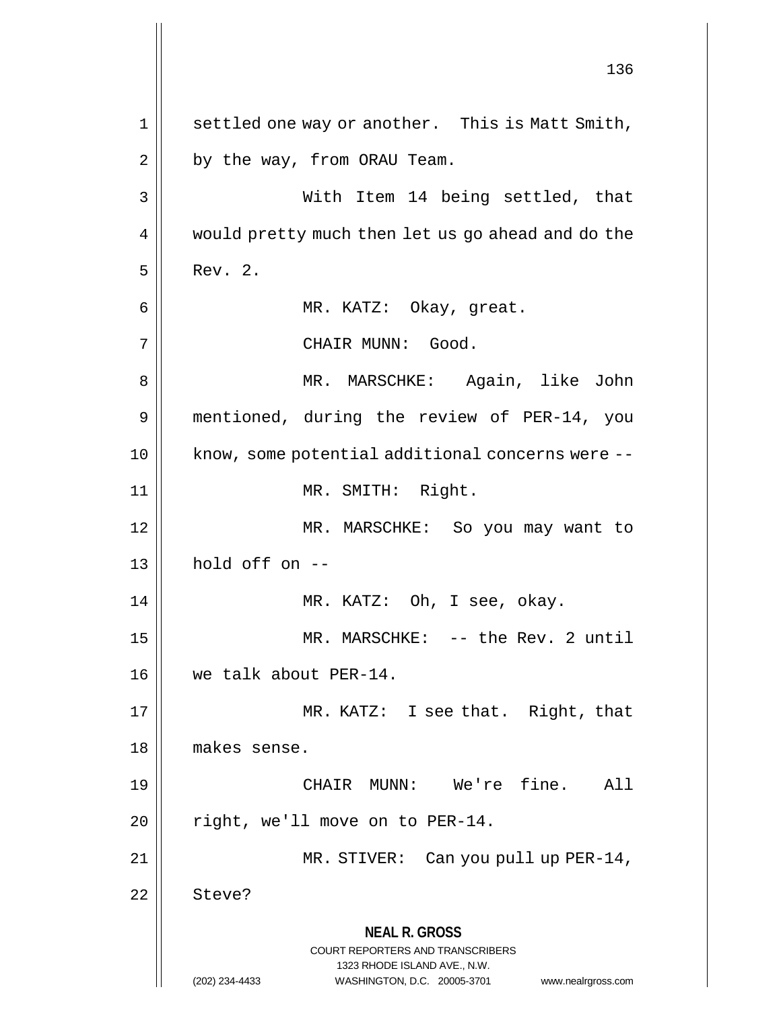**NEAL R. GROSS** COURT REPORTERS AND TRANSCRIBERS 1323 RHODE ISLAND AVE., N.W. (202) 234-4433 WASHINGTON, D.C. 20005-3701 www.nealrgross.com 136 1 | settled one way or another. This is Matt Smith,  $2 \parallel$  by the way, from ORAU Team. 3 With Item 14 being settled, that 4 | would pretty much then let us go ahead and do the  $5 \parallel$  Rev. 2. 6 MR. KATZ: Okay, great. 7 || CHAIR MUNN: Good. 8 MR. MARSCHKE: Again, like John 9 mentioned, during the review of PER-14, you 10 || know, some potential additional concerns were --11 || MR. SMITH: Right. 12 MR. MARSCHKE: So you may want to  $13$  | hold off on  $-$ 14 || MR. KATZ: Oh, I see, okay. 15 || MR. MARSCHKE: -- the Rev. 2 until 16 we talk about PER-14. 17 MR. KATZ: I see that. Right, that 18 makes sense. 19 CHAIR MUNN: We're fine. All  $20$  | right, we'll move on to PER-14. 21 || MR. STIVER: Can you pull up PER-14, 22 Steve?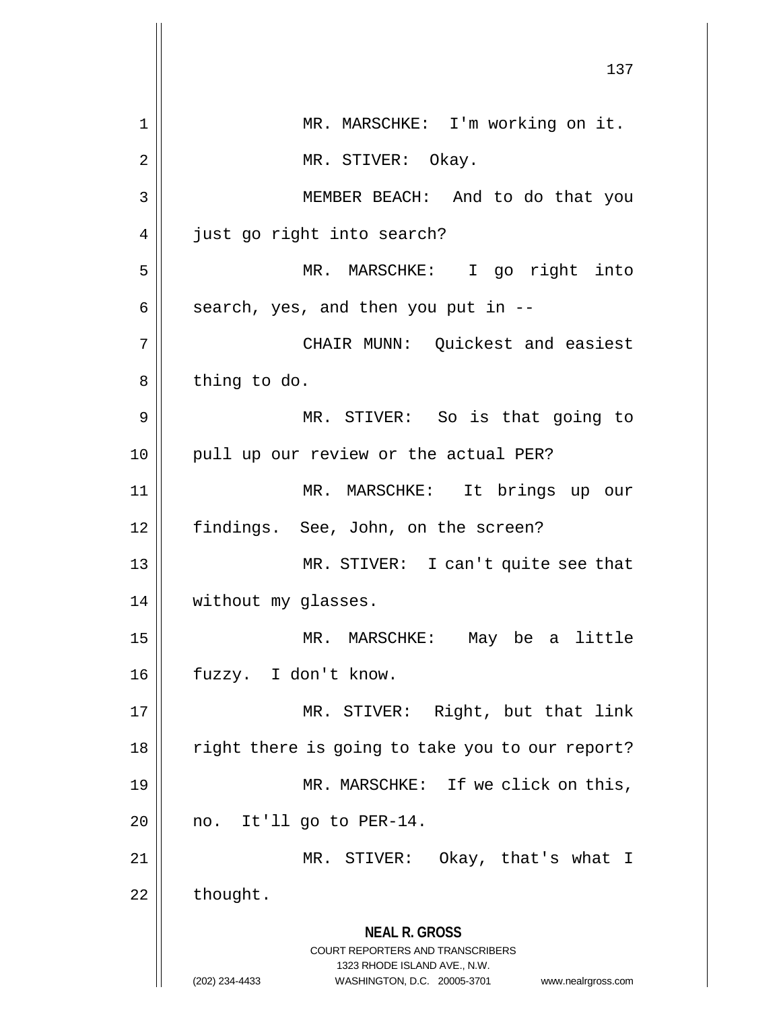**NEAL R. GROSS** COURT REPORTERS AND TRANSCRIBERS 1323 RHODE ISLAND AVE., N.W. (202) 234-4433 WASHINGTON, D.C. 20005-3701 www.nealrgross.com 137 1 || MR. MARSCHKE: I'm working on it. 2 || MR. STIVER: Okay. 3 MEMBER BEACH: And to do that you 4 | just go right into search? 5 MR. MARSCHKE: I go right into  $6 \parallel$  search, yes, and then you put in  $-$ 7 CHAIR MUNN: Quickest and easiest  $8 \parallel$  thing to do. 9 || MR. STIVER: So is that going to 10 || pull up our review or the actual PER? 11 MR. MARSCHKE: It brings up our 12 || findings. See, John, on the screen? 13 MR. STIVER: I can't quite see that 14 | without my glasses. 15 MR. MARSCHKE: May be a little 16 fuzzy. I don't know. 17 || MR. STIVER: Right, but that link 18 || right there is going to take you to our report? 19 || MR. MARSCHKE: If we click on this,  $20$  | no. It'll go to PER-14. 21 MR. STIVER: Okay, that's what I  $22 \parallel$  thought.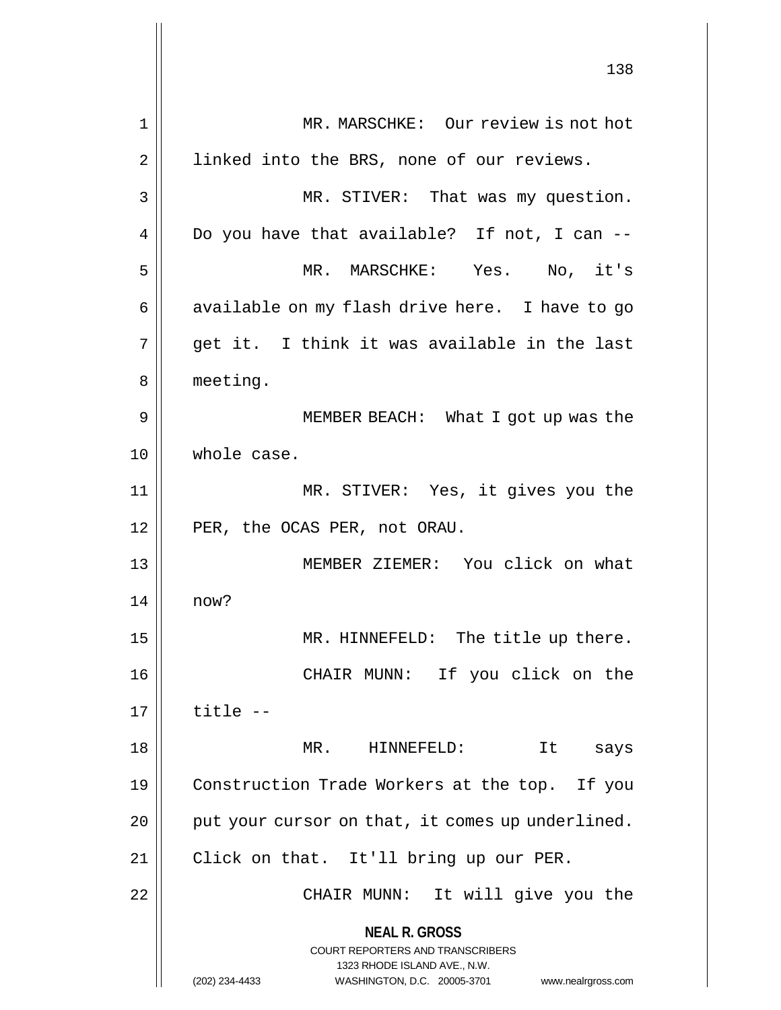**NEAL R. GROSS** COURT REPORTERS AND TRANSCRIBERS 1323 RHODE ISLAND AVE., N.W. (202) 234-4433 WASHINGTON, D.C. 20005-3701 www.nealrgross.com 138 1 || MR. MARSCHKE: Our review is not hot 2 | linked into the BRS, none of our reviews. 3 MR. STIVER: That was my question.  $4 \parallel$  Do you have that available? If not, I can --5 MR. MARSCHKE: Yes. No, it's 6 || available on my flash drive here. I have to go  $7 \parallel$  qet it. I think it was available in the last 8 | meeting. 9 || MEMBER BEACH: What I got up was the 10 whole case. 11 MR. STIVER: Yes, it gives you the 12 || PER, the OCAS PER, not ORAU. 13 || MEMBER ZIEMER: You click on what 14 now? 15 || MR. HINNEFELD: The title up there. 16 CHAIR MUNN: If you click on the  $17 \parallel$  title  $-$ 18 MR. HINNEFELD: It says 19 | Construction Trade Workers at the top. If you  $20$  | put your cursor on that, it comes up underlined. 21 Click on that. It'll bring up our PER. 22 CHAIR MUNN: It will give you the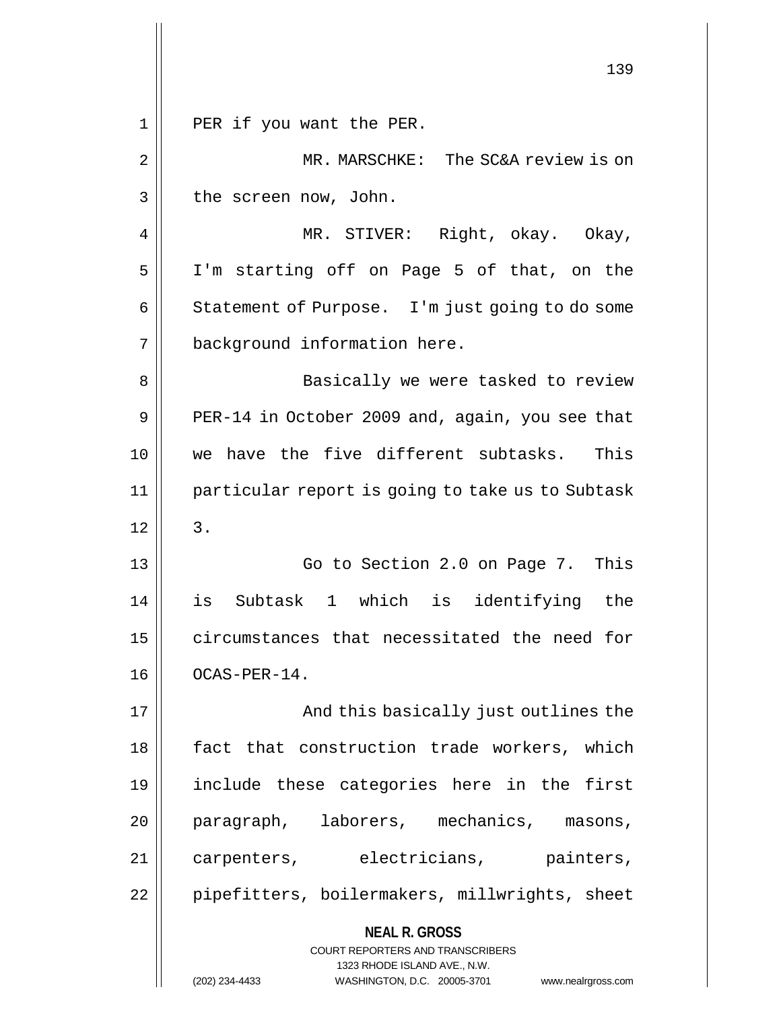**NEAL R. GROSS** COURT REPORTERS AND TRANSCRIBERS 1323 RHODE ISLAND AVE., N.W. (202) 234-4433 WASHINGTON, D.C. 20005-3701 www.nealrgross.com 139 1 || PER if you want the PER. 2 MR. MARSCHKE: The SC&A review is on  $3 \parallel$  the screen now, John. 4 MR. STIVER: Right, okay. Okay, 5 I'm starting off on Page 5 of that, on the 6 | Statement of Purpose. I'm just going to do some 7 background information here. 8 || Basically we were tasked to review 9  $\parallel$  PER-14 in October 2009 and, again, you see that 10 we have the five different subtasks. This 11 particular report is going to take us to Subtask  $12 \parallel 3$ . 13 || Go to Section 2.0 on Page 7. This 14 is Subtask 1 which is identifying the 15 || circumstances that necessitated the need for 16 | OCAS-PER-14. 17 And this basically just outlines the 18 || fact that construction trade workers, which 19 include these categories here in the first 20 || paragraph, laborers, mechanics, masons, 21 || carpenters, electricians, painters, 22 | pipefitters, boilermakers, millwrights, sheet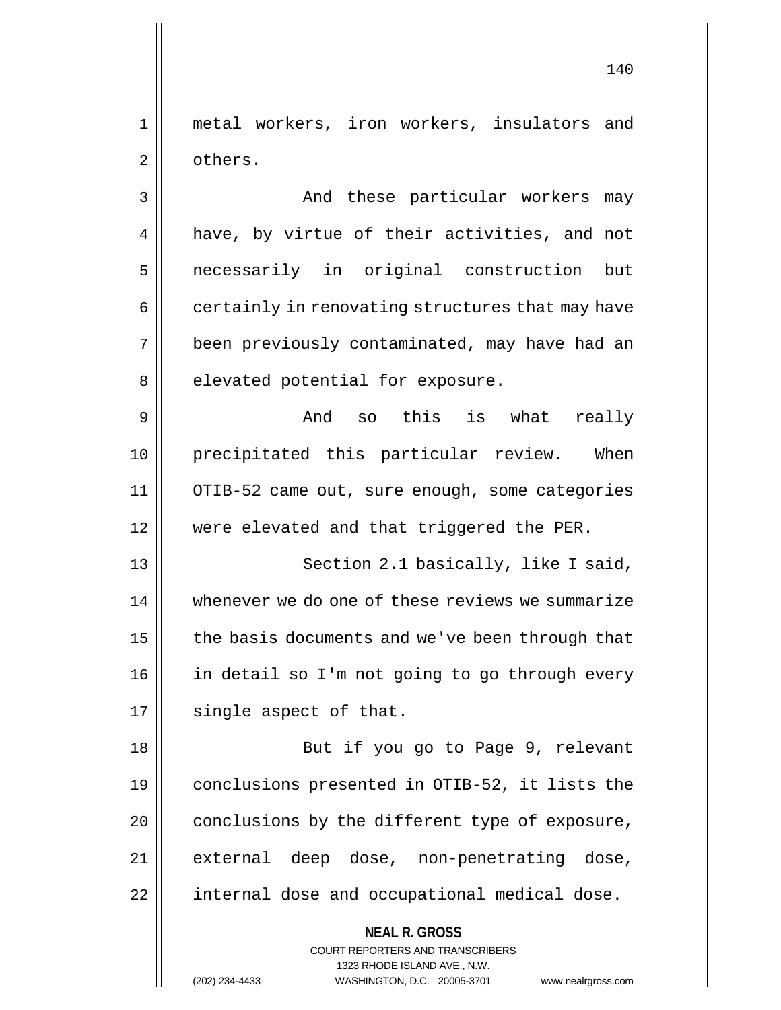1 metal workers, iron workers, insulators and 2 | others.

3 And these particular workers may 4 || have, by virtue of their activities, and not 5 necessarily in original construction but  $6 \parallel$  certainly in renovating structures that may have 7 been previously contaminated, may have had an  $8$  | elevated potential for exposure.

 $9 \parallel$  and so this is what really 10 precipitated this particular review. When 11 OTIB-52 came out, sure enough, some categories 12 || were elevated and that triggered the PER.

13 || Section 2.1 basically, like I said, 14 whenever we do one of these reviews we summarize 15 | the basis documents and we've been through that 16 || in detail so I'm not going to go through every  $17$  || single aspect of that.

18 || But if you go to Page 9, relevant 19 conclusions presented in OTIB-52, it lists the  $20$  | conclusions by the different type of exposure, 21 external deep dose, non-penetrating dose, 22 || internal dose and occupational medical dose.

> **NEAL R. GROSS** COURT REPORTERS AND TRANSCRIBERS 1323 RHODE ISLAND AVE., N.W.

(202) 234-4433 WASHINGTON, D.C. 20005-3701 www.nealrgross.com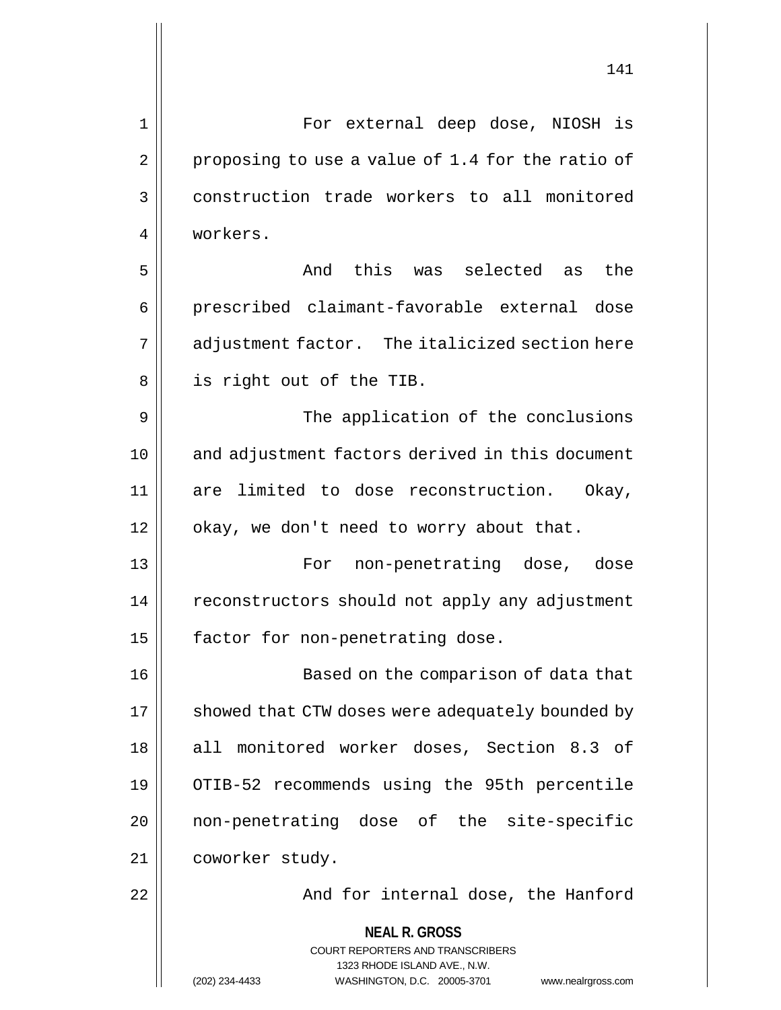**NEAL R. GROSS** COURT REPORTERS AND TRANSCRIBERS 1 For external deep dose, NIOSH is  $2 \parallel$  proposing to use a value of 1.4 for the ratio of 3 || construction trade workers to all monitored 4 workers. 5 S and this was selected as the 6 || prescribed claimant-favorable external dose 7 || adjustment factor. The italicized section here 8 || is right out of the TIB. 9 || The application of the conclusions 10 and adjustment factors derived in this document 11 are limited to dose reconstruction. Okay, 12 | okay, we don't need to worry about that. 13 For non-penetrating dose, dose 14 | reconstructors should not apply any adjustment 15 | factor for non-penetrating dose. 16 Based on the comparison of data that 17 | showed that CTW doses were adequately bounded by 18 || all monitored worker doses, Section 8.3 of 19 OTIB-52 recommends using the 95th percentile 20 || non-penetrating dose of the site-specific 21 coworker study. 22 || And for internal dose, the Hanford

1323 RHODE ISLAND AVE., N.W.

(202) 234-4433 WASHINGTON, D.C. 20005-3701 www.nealrgross.com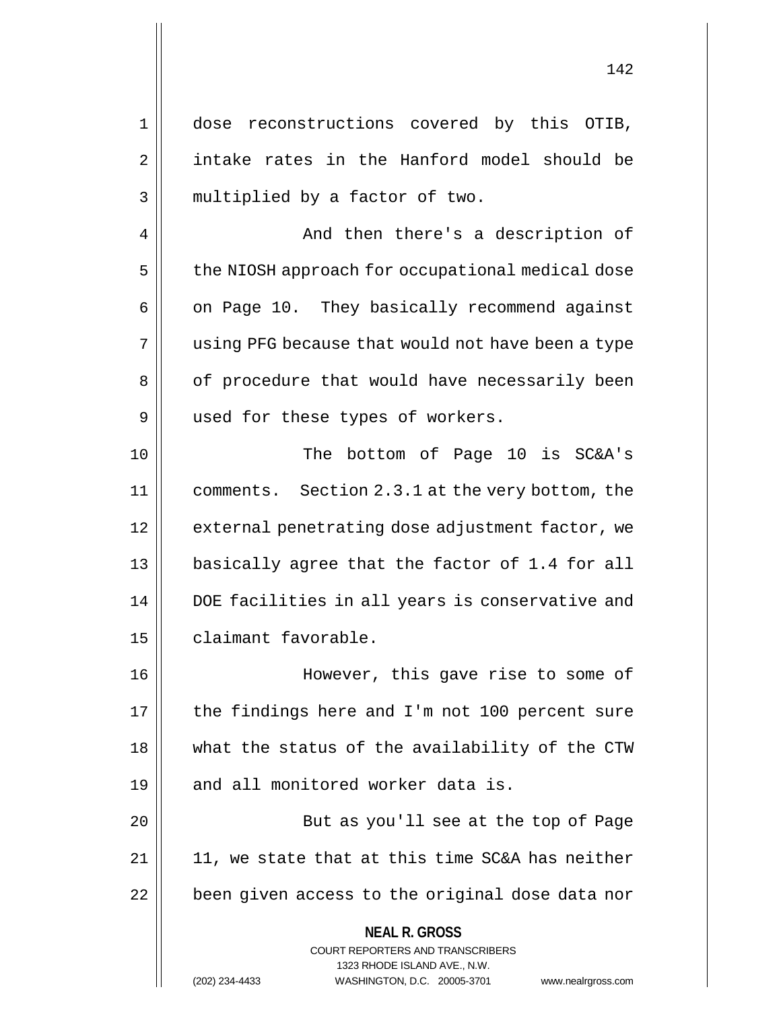**NEAL R. GROSS** COURT REPORTERS AND TRANSCRIBERS 1323 RHODE ISLAND AVE., N.W. (202) 234-4433 WASHINGTON, D.C. 20005-3701 www.nealrgross.com 1 dose reconstructions covered by this OTIB, 2 | intake rates in the Hanford model should be 3 || multiplied by a factor of two. 4 And then there's a description of 5 | the NIOSH approach for occupational medical dose  $6 \parallel$  on Page 10. They basically recommend against 7 || using PFG because that would not have been a type 8 | of procedure that would have necessarily been 9 || used for these types of workers. 10 The bottom of Page 10 is SC&A's 11 comments. Section 2.3.1 at the very bottom, the 12 || external penetrating dose adjustment factor, we 13 basically agree that the factor of 1.4 for all 14 || DOE facilities in all years is conservative and 15 | claimant favorable. 16 || However, this gave rise to some of 17 || the findings here and I'm not 100 percent sure 18 || what the status of the availability of the CTW 19 || and all monitored worker data is. 20 || But as you'll see at the top of Page  $21 \parallel 11$ , we state that at this time SC&A has neither 22 | been given access to the original dose data nor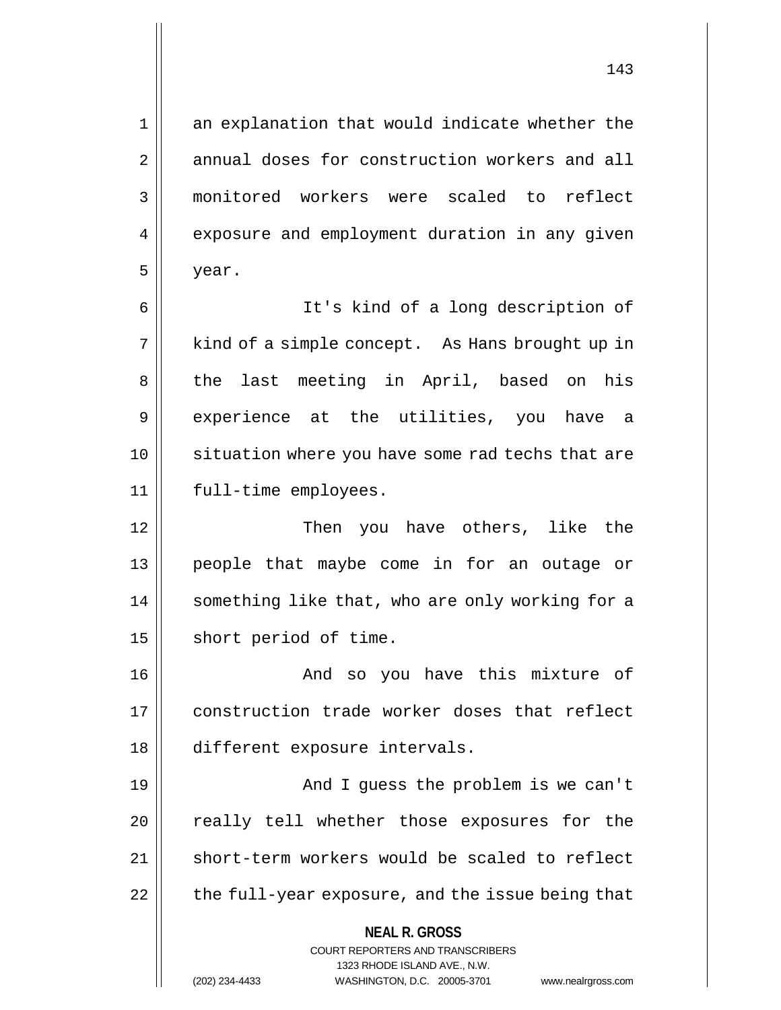1 || an explanation that would indicate whether the 2 annual doses for construction workers and all 3 monitored workers were scaled to reflect 4 | exposure and employment duration in any given  $5 \parallel$  year.

6 It's kind of a long description of 7 || kind of a simple concept. As Hans brought up in 8 || the last meeting in April, based on his 9 || experience at the utilities, you have a 10 || situation where you have some rad techs that are 11 full-time employees.

12 Then you have others, like the 13 people that maybe come in for an outage or 14 || something like that, who are only working for a 15 | short period of time.

16 And so you have this mixture of 17 construction trade worker doses that reflect 18 different exposure intervals.

19 And I guess the problem is we can't 20 || really tell whether those exposures for the 21 || short-term workers would be scaled to reflect  $22$  | the full-year exposure, and the issue being that

**NEAL R. GROSS**

COURT REPORTERS AND TRANSCRIBERS 1323 RHODE ISLAND AVE., N.W. (202) 234-4433 WASHINGTON, D.C. 20005-3701 www.nealrgross.com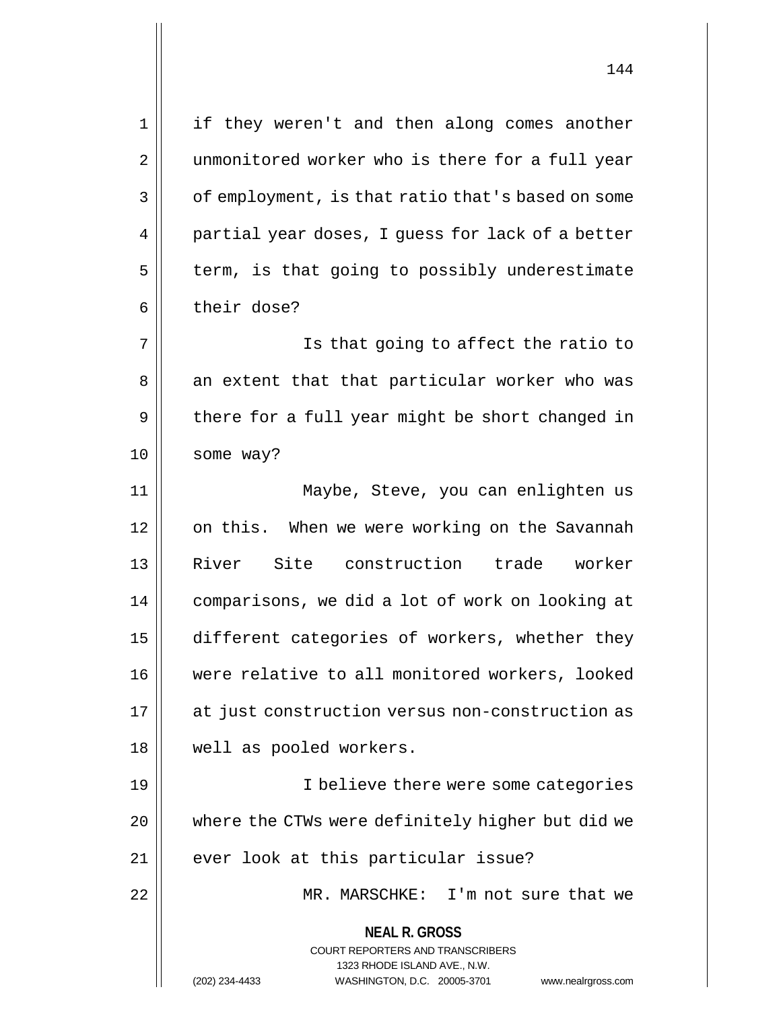**NEAL R. GROSS** COURT REPORTERS AND TRANSCRIBERS 1323 RHODE ISLAND AVE., N.W. (202) 234-4433 WASHINGTON, D.C. 20005-3701 www.nealrgross.com 1 || if they weren't and then along comes another 2 || unmonitored worker who is there for a full year  $3 \parallel$  of employment, is that ratio that's based on some 4 || partial year doses, I guess for lack of a better  $5$  | term, is that going to possibly underestimate 6 | their dose? 7 Is that going to affect the ratio to 8 || an extent that that particular worker who was  $9 \parallel$  there for a full year might be short changed in 10 | some way? 11 Maybe, Steve, you can enlighten us 12 | on this. When we were working on the Savannah 13 River Site construction trade worker 14 comparisons, we did a lot of work on looking at 15 | different categories of workers, whether they 16 were relative to all monitored workers, looked 17 at just construction versus non-construction as 18 || well as pooled workers. 19 || I believe there were some categories 20 || where the CTWs were definitely higher but did we 21 || ever look at this particular issue? 22 MR. MARSCHKE: I'm not sure that we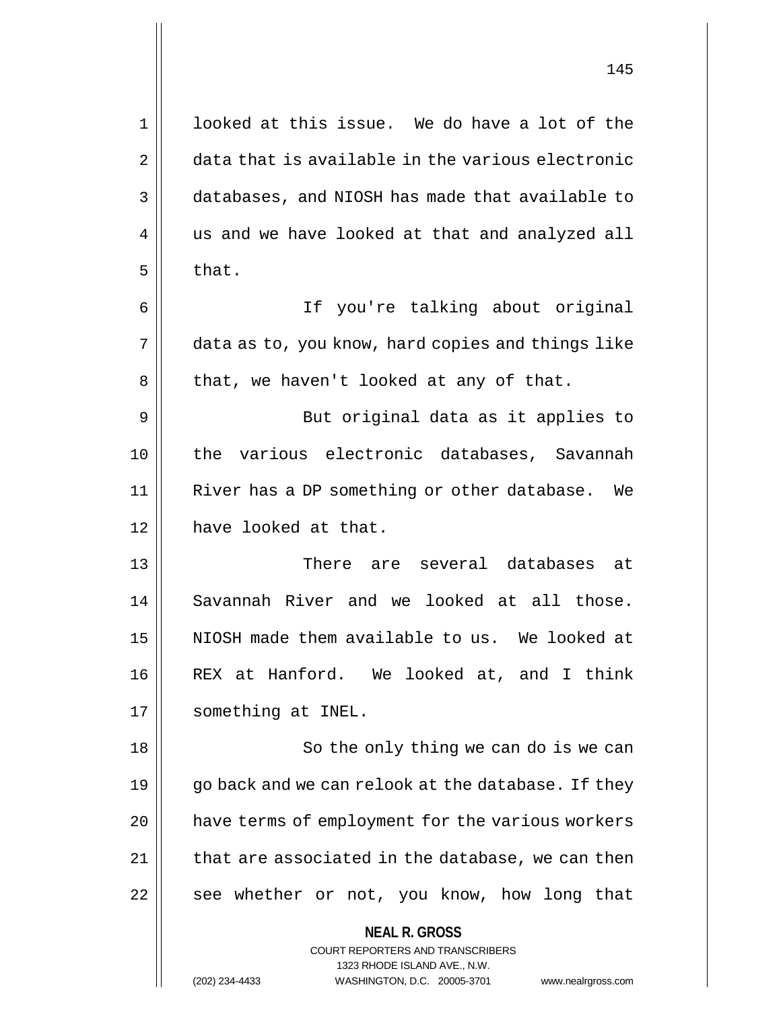| $\mathbf 1$    | looked at this issue. We do have a lot of the                                                       |
|----------------|-----------------------------------------------------------------------------------------------------|
| 2              | data that is available in the various electronic                                                    |
| 3              | databases, and NIOSH has made that available to                                                     |
| $\overline{4}$ | us and we have looked at that and analyzed all                                                      |
| 5              | that.                                                                                               |
| 6              | If you're talking about original                                                                    |
| 7              | data as to, you know, hard copies and things like                                                   |
| 8              | that, we haven't looked at any of that.                                                             |
| 9              | But original data as it applies to                                                                  |
| 10             | the various electronic databases, Savannah                                                          |
| 11             | River has a DP something or other database. We                                                      |
| 12             | have looked at that.                                                                                |
| 13             | There are several databases at                                                                      |
| 14             | Savannah River and we looked at all those.                                                          |
| 15             | NIOSH made them available to us. We looked at                                                       |
| 16             | REX at Hanford. We looked at, and I think                                                           |
| 17             | something at INEL.                                                                                  |
| 18             | So the only thing we can do is we can                                                               |
| 19             | go back and we can relook at the database. If they                                                  |
| 20             | have terms of employment for the various workers                                                    |
| 21             | that are associated in the database, we can then                                                    |
| 22             | see whether or not, you know, how long that                                                         |
|                | <b>NEAL R. GROSS</b>                                                                                |
|                | <b>COURT REPORTERS AND TRANSCRIBERS</b>                                                             |
|                | 1323 RHODE ISLAND AVE., N.W.<br>(202) 234-4433<br>WASHINGTON, D.C. 20005-3701<br>www.nealrgross.com |
|                |                                                                                                     |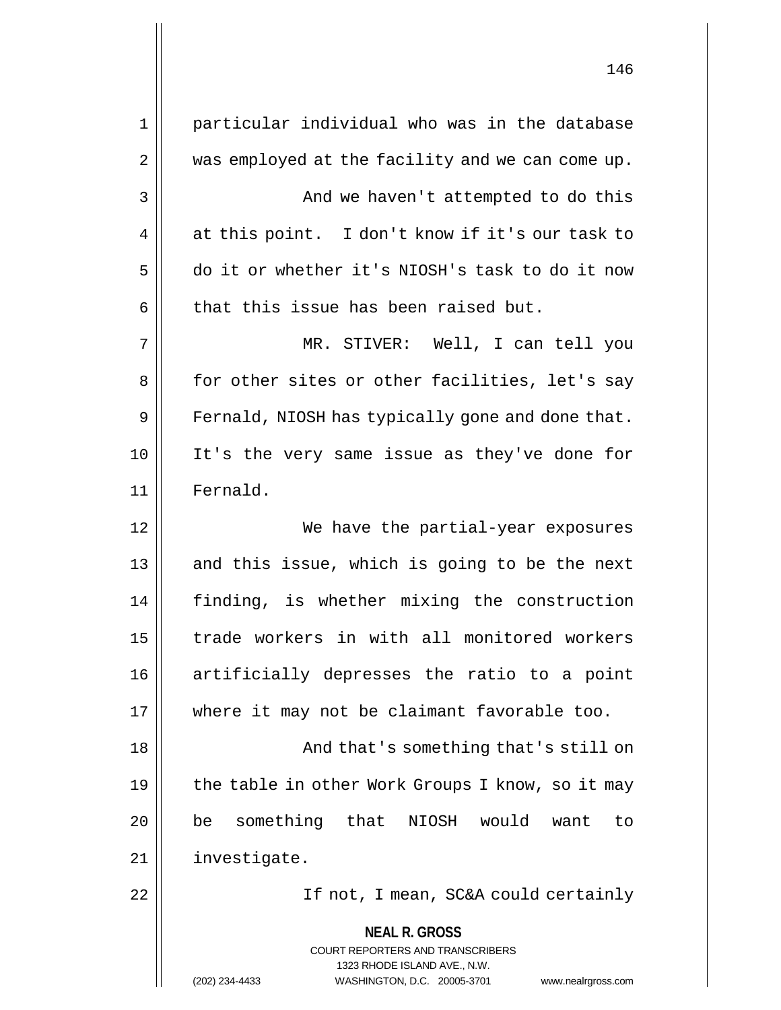| $\mathbf 1$ | particular individual who was in the database                                                   |
|-------------|-------------------------------------------------------------------------------------------------|
| 2           | was employed at the facility and we can come up.                                                |
| 3           | And we haven't attempted to do this                                                             |
| 4           | at this point. I don't know if it's our task to                                                 |
| 5           | do it or whether it's NIOSH's task to do it now                                                 |
| 6           | that this issue has been raised but.                                                            |
| 7           | MR. STIVER: Well, I can tell you                                                                |
| 8           | for other sites or other facilities, let's say                                                  |
| 9           | Fernald, NIOSH has typically gone and done that.                                                |
| 10          | It's the very same issue as they've done for                                                    |
| 11          | Fernald.                                                                                        |
| 12          | We have the partial-year exposures                                                              |
| 13          | and this issue, which is going to be the next                                                   |
| 14          | finding, is whether mixing the construction                                                     |
| 15          | trade workers in with all monitored workers                                                     |
| 16          | artificially depresses the ratio to a point                                                     |
| 17          | where it may not be claimant favorable too.                                                     |
| 18          | And that's something that's still on                                                            |
| 19          | the table in other Work Groups I know, so it may                                                |
| 20          | something that NIOSH would<br>be<br>want<br>to                                                  |
| 21          | investigate.                                                                                    |
| 22          | If not, I mean, SC&A could certainly                                                            |
|             | <b>NEAL R. GROSS</b><br><b>COURT REPORTERS AND TRANSCRIBERS</b><br>1323 RHODE ISLAND AVE., N.W. |
|             | WASHINGTON, D.C. 20005-3701<br>(202) 234-4433<br>www.nealrgross.com                             |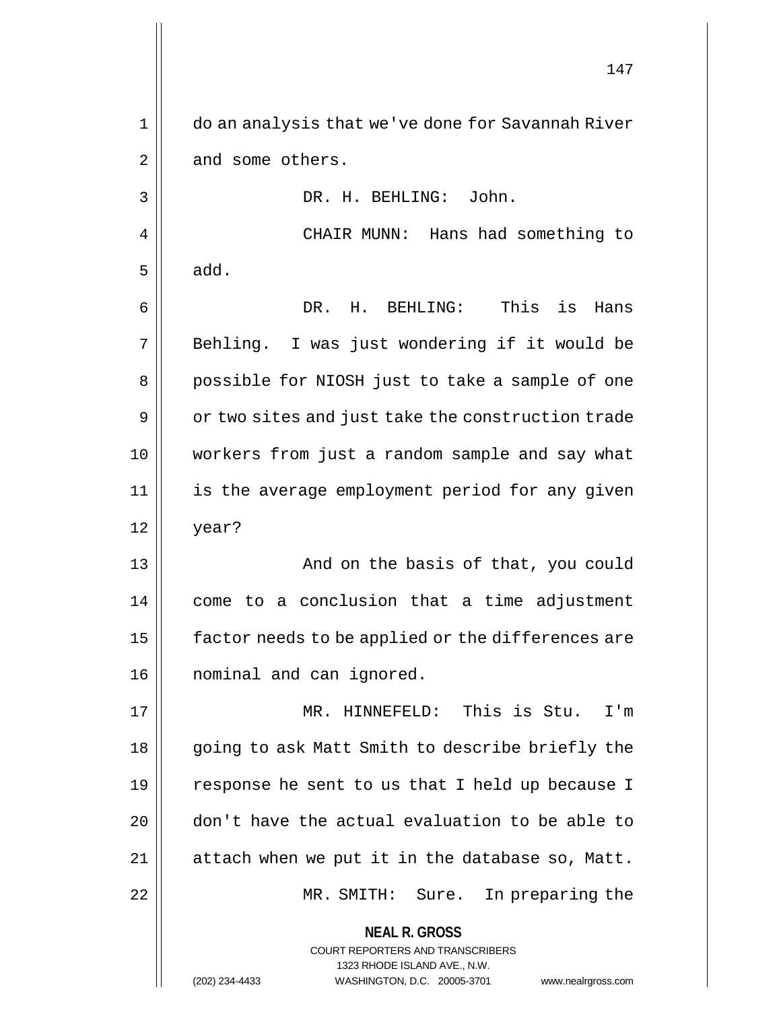**NEAL R. GROSS** COURT REPORTERS AND TRANSCRIBERS 1323 RHODE ISLAND AVE., N.W. 147 1 do an analysis that we've done for Savannah River  $2 \parallel$  and some others. 3 DR. H. BEHLING: John. 4 CHAIR MUNN: Hans had something to  $5 \parallel$  add. 6 DR. H. BEHLING: This is Hans 7 Behling. I was just wondering if it would be 8 || possible for NIOSH just to take a sample of one  $9 \parallel$  or two sites and just take the construction trade 10 workers from just a random sample and say what 11 || is the average employment period for any given  $12 \parallel$  year? 13 || And on the basis of that, you could 14 | come to a conclusion that a time adjustment 15 | factor needs to be applied or the differences are 16 || nominal and can ignored. 17 MR. HINNEFELD: This is Stu. I'm 18 || going to ask Matt Smith to describe briefly the 19 || response he sent to us that I held up because I 20 don't have the actual evaluation to be able to 21 || attach when we put it in the database so, Matt. 22 MR. SMITH: Sure. In preparing the

(202) 234-4433 WASHINGTON, D.C. 20005-3701 www.nealrgross.com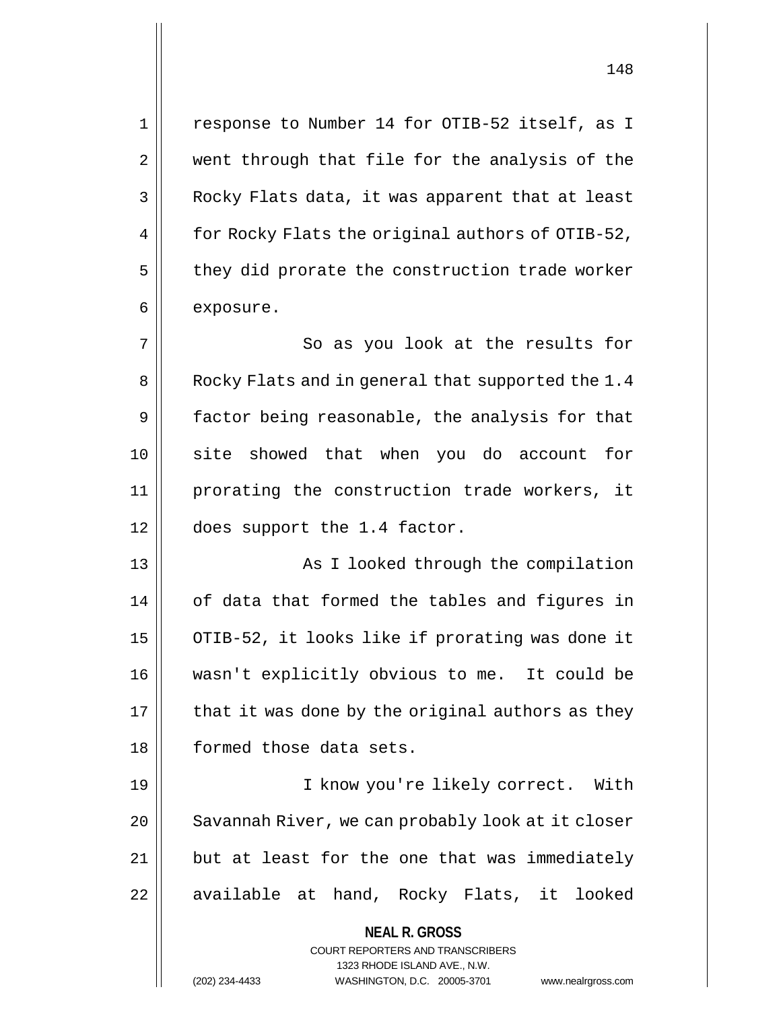1 || response to Number 14 for OTIB-52 itself, as I 2 || went through that file for the analysis of the 3 | Rocky Flats data, it was apparent that at least  $4 \parallel$  for Rocky Flats the original authors of OTIB-52,  $5 \parallel$  they did prorate the construction trade worker 6 | exposure. 7 || So as you look at the results for 8 | Rocky Flats and in general that supported the 1.4  $9 \parallel$  factor being reasonable, the analysis for that 10 site showed that when you do account for 11 prorating the construction trade workers, it 12 does support the 1.4 factor. 13 || As I looked through the compilation 14 || of data that formed the tables and figures in 15  $\vert$  OTIB-52, it looks like if prorating was done it 16 wasn't explicitly obvious to me. It could be  $17$  | that it was done by the original authors as they 18 || formed those data sets.

19 || T know you're likely correct. With 20 | Savannah River, we can probably look at it closer  $21$  | but at least for the one that was immediately 22 || available at hand, Rocky Flats, it looked

**NEAL R. GROSS**

COURT REPORTERS AND TRANSCRIBERS 1323 RHODE ISLAND AVE., N.W. (202) 234-4433 WASHINGTON, D.C. 20005-3701 www.nealrgross.com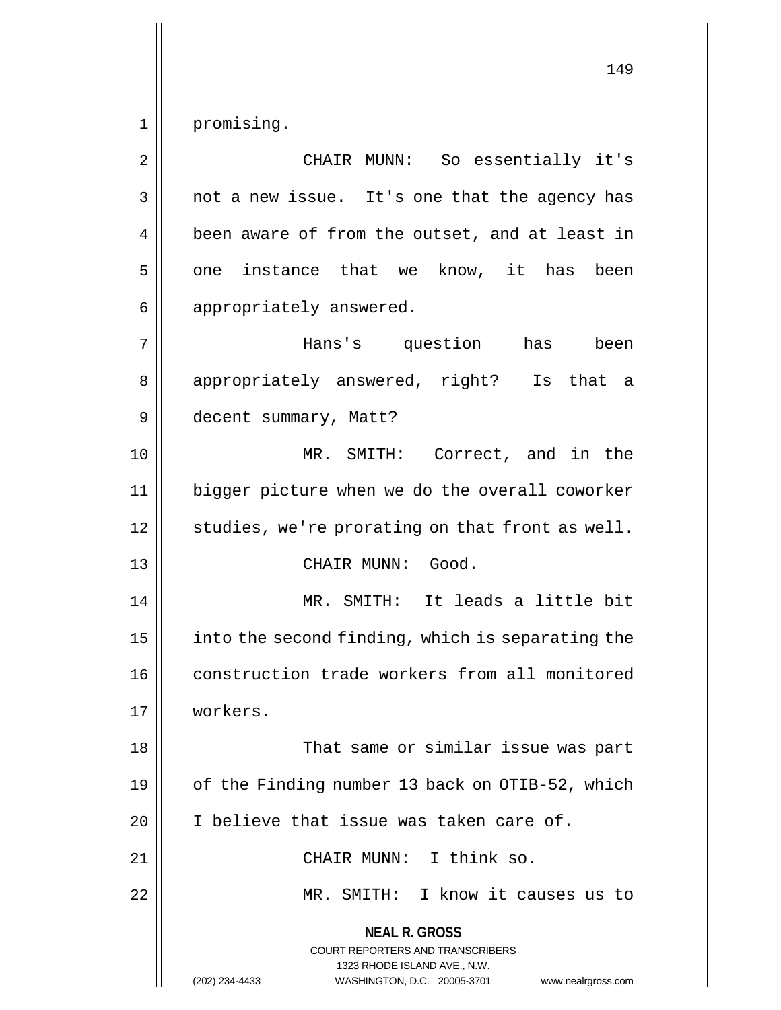1 || promising.

**NEAL R. GROSS** COURT REPORTERS AND TRANSCRIBERS 1323 RHODE ISLAND AVE., N.W. (202) 234-4433 WASHINGTON, D.C. 20005-3701 www.nealrgross.com 2 CHAIR MUNN: So essentially it's  $3 \parallel$  not a new issue. It's one that the agency has 4 | been aware of from the outset, and at least in  $5 \parallel$  one instance that we know, it has been 6 | appropriately answered. 7 Hans's question has been 8 || appropriately answered, right? Is that a 9 decent summary, Matt? 10 MR. SMITH: Correct, and in the 11 bigger picture when we do the overall coworker  $12$  | studies, we're prorating on that front as well. 13 || CHAIR MUNN: Good. 14 || MR. SMITH: It leads a little bit 15  $\parallel$  into the second finding, which is separating the 16 construction trade workers from all monitored 17 workers. 18 || That same or similar issue was part 19 | of the Finding number 13 back on OTIB-52, which 20 | I believe that issue was taken care of. 21 || CHAIR MUNN: I think so. 22 MR. SMITH: I know it causes us to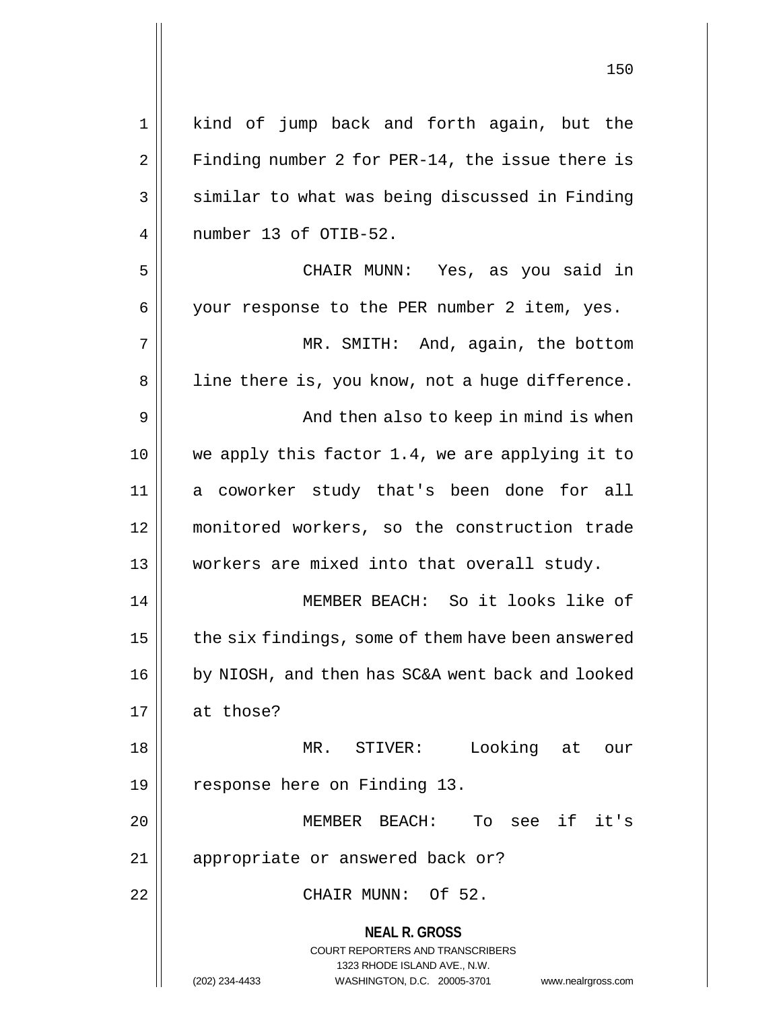| $\mathbf 1$    | kind of jump back and forth again, but the                                                                                                                             |
|----------------|------------------------------------------------------------------------------------------------------------------------------------------------------------------------|
| $\overline{2}$ | Finding number 2 for PER-14, the issue there is                                                                                                                        |
| 3              | similar to what was being discussed in Finding                                                                                                                         |
| 4              | number 13 of OTIB-52.                                                                                                                                                  |
| 5              | CHAIR MUNN: Yes, as you said in                                                                                                                                        |
| 6              | your response to the PER number 2 item, yes.                                                                                                                           |
| 7              | MR. SMITH: And, again, the bottom                                                                                                                                      |
| 8              | line there is, you know, not a huge difference.                                                                                                                        |
| 9              | And then also to keep in mind is when                                                                                                                                  |
| 10             | we apply this factor 1.4, we are applying it to                                                                                                                        |
| 11             | a coworker study that's been done for all                                                                                                                              |
| 12             | monitored workers, so the construction trade                                                                                                                           |
| 13             | workers are mixed into that overall study.                                                                                                                             |
| 14             | MEMBER BEACH: So it looks like of                                                                                                                                      |
| 15             | the six findings, some of them have been answered                                                                                                                      |
| 16             | by NIOSH, and then has SC&A went back and looked                                                                                                                       |
| 17             | at those?                                                                                                                                                              |
| 18             | MR. STIVER:<br>Looking<br>at<br>our                                                                                                                                    |
| 19             | response here on Finding 13.                                                                                                                                           |
| 20             | To see if it's<br>MEMBER BEACH:                                                                                                                                        |
| 21             | appropriate or answered back or?                                                                                                                                       |
| 22             | CHAIR MUNN: Of 52.                                                                                                                                                     |
|                | <b>NEAL R. GROSS</b><br><b>COURT REPORTERS AND TRANSCRIBERS</b><br>1323 RHODE ISLAND AVE., N.W.<br>(202) 234-4433<br>WASHINGTON, D.C. 20005-3701<br>www.nealrgross.com |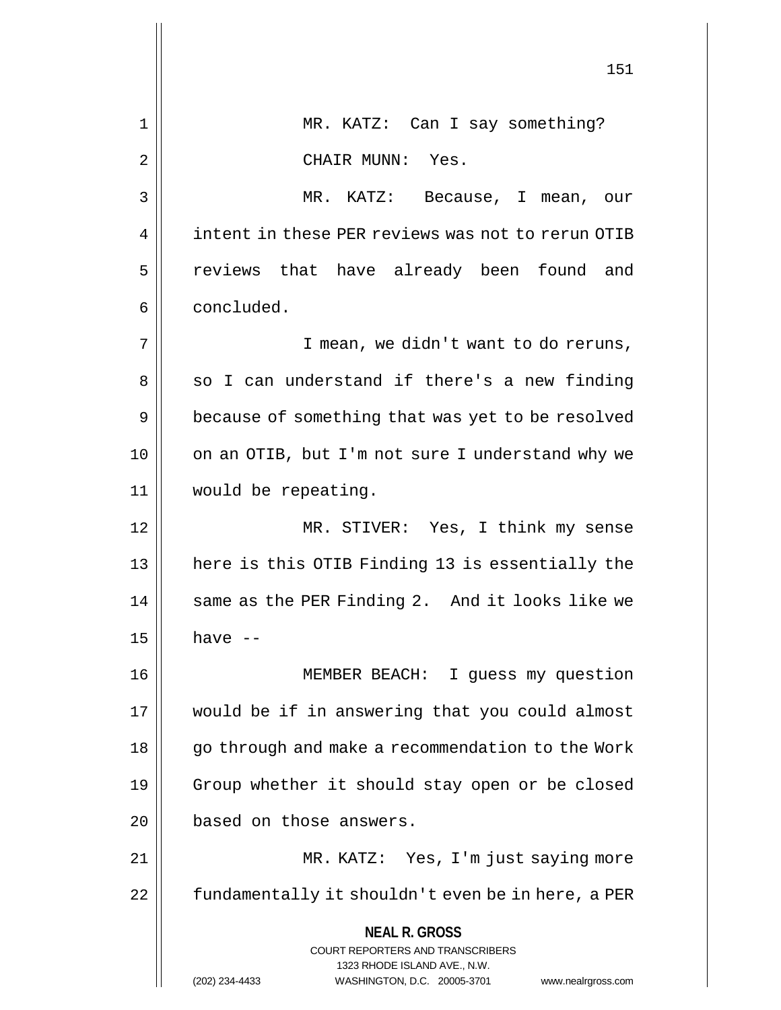|    | 151                                                                                             |
|----|-------------------------------------------------------------------------------------------------|
| 1  | MR. KATZ: Can I say something?                                                                  |
| 2  | CHAIR MUNN: Yes.                                                                                |
| 3  | MR. KATZ: Because, I mean, our                                                                  |
| 4  | intent in these PER reviews was not to rerun OTIB                                               |
| 5  | reviews that have already been found and                                                        |
| 6  | concluded.                                                                                      |
| 7  | I mean, we didn't want to do reruns,                                                            |
| 8  | so I can understand if there's a new finding                                                    |
| 9  | because of something that was yet to be resolved                                                |
| 10 | on an OTIB, but I'm not sure I understand why we                                                |
| 11 | would be repeating.                                                                             |
| 12 | MR. STIVER: Yes, I think my sense                                                               |
| 13 | here is this OTIB Finding 13 is essentially the                                                 |
| 14 | same as the PER Finding 2. And it looks like we                                                 |
| 15 | have --                                                                                         |
| 16 | MEMBER BEACH:<br>I guess my question                                                            |
| 17 | would be if in answering that you could almost                                                  |
| 18 | go through and make a recommendation to the Work                                                |
| 19 | Group whether it should stay open or be closed                                                  |
| 20 | based on those answers.                                                                         |
| 21 | MR. KATZ: Yes, I'm just saying more                                                             |
| 22 | fundamentally it shouldn't even be in here, a PER                                               |
|    | <b>NEAL R. GROSS</b><br><b>COURT REPORTERS AND TRANSCRIBERS</b><br>1323 RHODE ISLAND AVE., N.W. |
|    | (202) 234-4433<br>WASHINGTON, D.C. 20005-3701<br>www.nealrgross.com                             |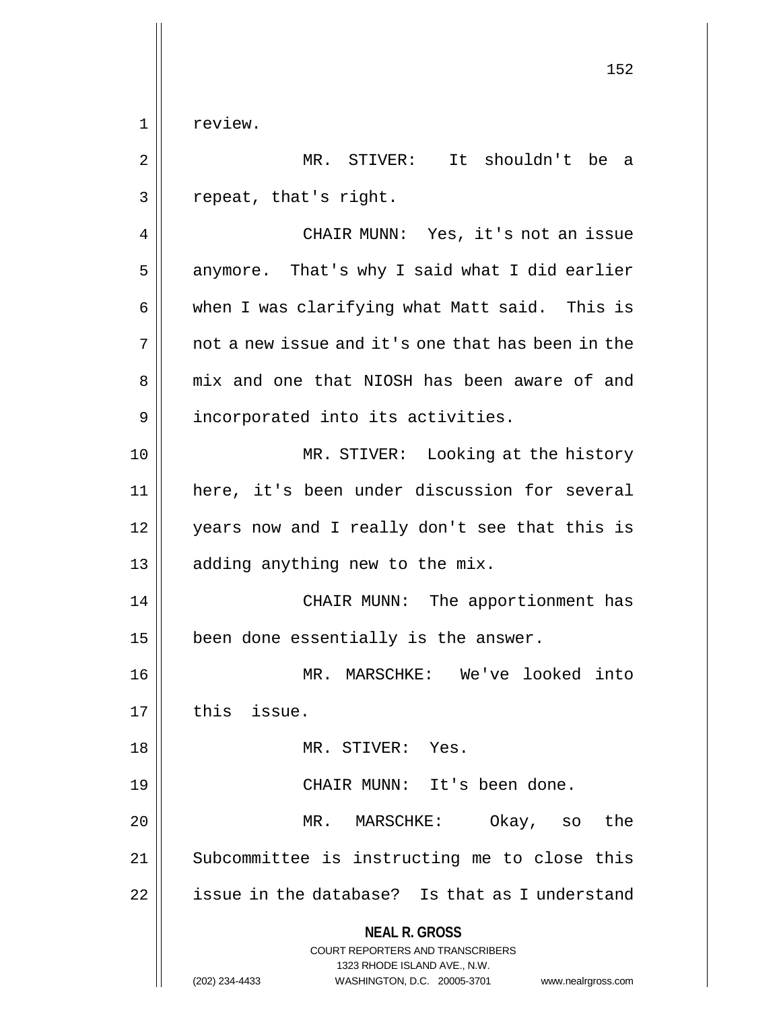1 | review.

2 MR. STIVER: It shouldn't be a  $3 \parallel$  repeat, that's right.

4 | CHAIR MUNN: Yes, it's not an issue  $5 \parallel$  anymore. That's why I said what I did earlier  $6 \parallel$  when I was clarifying what Matt said. This is  $7 \parallel$  not a new issue and it's one that has been in the 8 mix and one that NIOSH has been aware of and 9 | incorporated into its activities.

10 || MR. STIVER: Looking at the history 11 here, it's been under discussion for several 12 || years now and I really don't see that this is 13 || adding anything new to the mix.

14 || CHAIR MUNN: The apportionment has  $15$  | been done essentially is the answer.

16 MR. MARSCHKE: We've looked into 17 | this issue.

18 || MR. STIVER: Yes. 19 CHAIR MUNN: It's been done. 20 MR. MARSCHKE: Okay, so the 21 || Subcommittee is instructing me to close this  $22$  | issue in the database? Is that as I understand

**NEAL R. GROSS**

COURT REPORTERS AND TRANSCRIBERS 1323 RHODE ISLAND AVE., N.W. (202) 234-4433 WASHINGTON, D.C. 20005-3701 www.nealrgross.com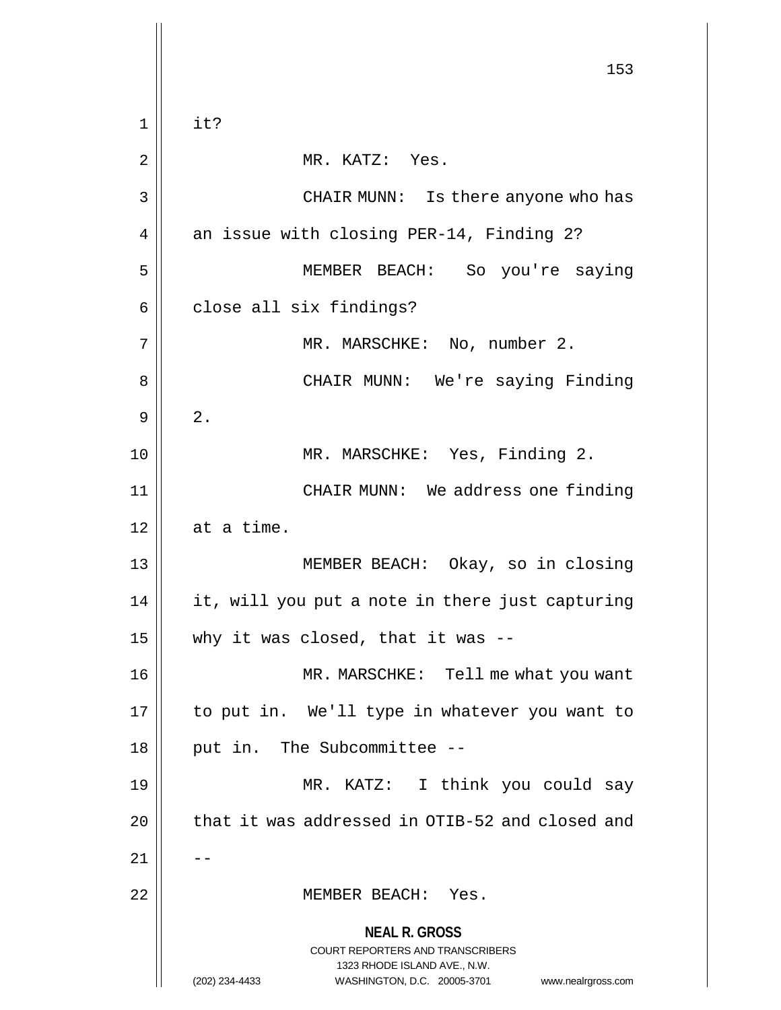**NEAL R. GROSS** COURT REPORTERS AND TRANSCRIBERS 1323 RHODE ISLAND AVE., N.W. (202) 234-4433 WASHINGTON, D.C. 20005-3701 www.nealrgross.com 153  $1 \parallel$  it? 2 || MR. KATZ: Yes. 3 CHAIR MUNN: Is there anyone who has 4 || an issue with closing PER-14, Finding 2? 5 MEMBER BEACH: So you're saying  $6 \parallel$  close all six findings? 7 || MR. MARSCHKE: No, number 2. 8 CHAIR MUNN: We're saying Finding  $9 \parallel 2$ . 10 || MR. MARSCHKE: Yes, Finding 2. 11 CHAIR MUNN: We address one finding  $12$  at a time. 13 MEMBER BEACH: Okay, so in closing 14 it, will you put a note in there just capturing 15  $\parallel$  why it was closed, that it was --16 MR. MARSCHKE: Tell me what you want 17 || to put in. We'll type in whatever you want to  $18$  || put in. The Subcommittee --19 MR. KATZ: I think you could say 20 | that it was addressed in OTIB-52 and closed and  $21$   $\parallel$   $-$ 22 MEMBER BEACH: Yes.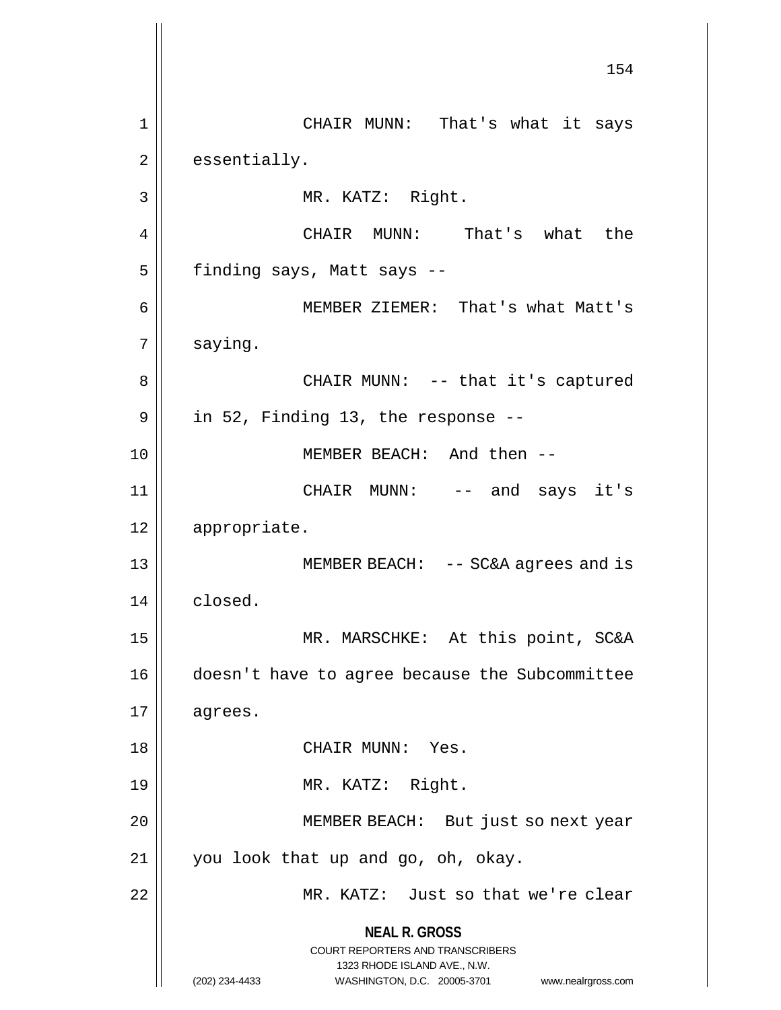**NEAL R. GROSS** COURT REPORTERS AND TRANSCRIBERS 1323 RHODE ISLAND AVE., N.W. (202) 234-4433 WASHINGTON, D.C. 20005-3701 www.nealrgross.com 154 1 CHAIR MUNN: That's what it says  $2 \parallel$  essentially. 3 || MR. KATZ: Right. 4 CHAIR MUNN: That's what the  $5$  | finding says, Matt says --6 MEMBER ZIEMER: That's what Matt's 7 saying. 8 CHAIR MUNN: -- that it's captured  $9 \parallel$  in 52, Finding 13, the response --10 MEMBER BEACH: And then -- 11 CHAIR MUNN: -- and says it's 12 appropriate. 13 MEMBER BEACH: -- SC&A agrees and is 14 | closed. 15 || MR. MARSCHKE: At this point, SC&A 16 doesn't have to agree because the Subcommittee  $17 \parallel \text{agrees.}$ 18 || CHAIR MUNN: Yes. 19 || MR. KATZ: Right. 20 || MEMBER BEACH: But just so next year  $21$  | you look that up and go, oh, okay. 22 MR. KATZ: Just so that we're clear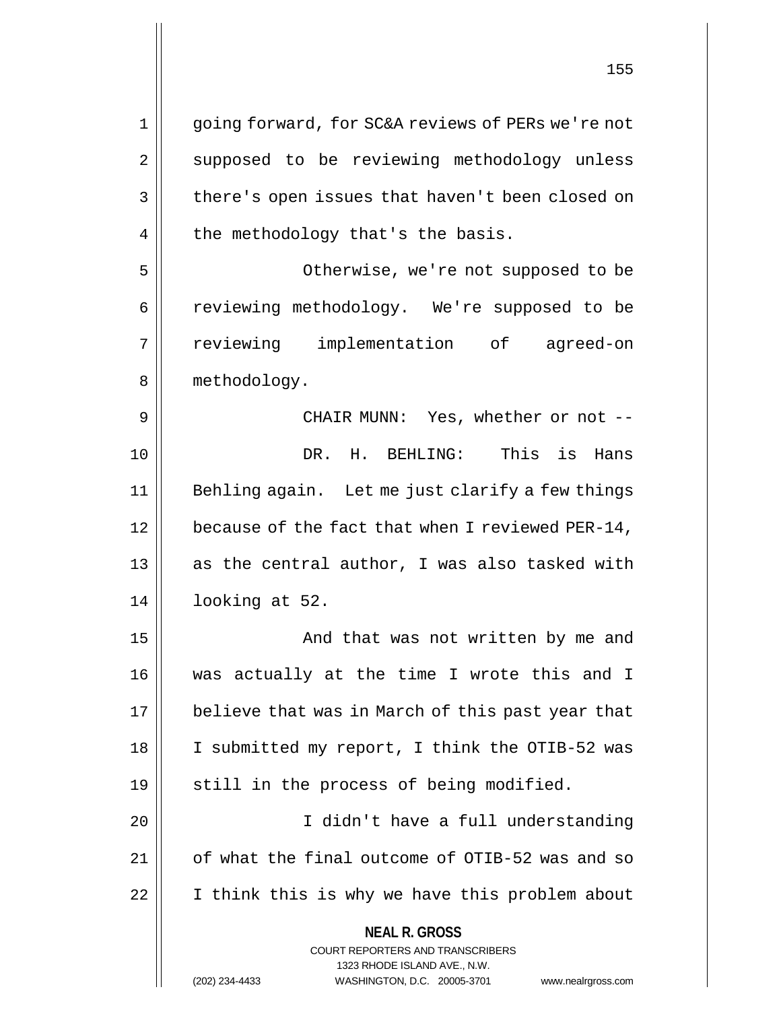**NEAL R. GROSS** COURT REPORTERS AND TRANSCRIBERS 1323 RHODE ISLAND AVE., N.W. (202) 234-4433 WASHINGTON, D.C. 20005-3701 www.nealrgross.com 1 going forward, for SC&A reviews of PERs we're not 2 || supposed to be reviewing methodology unless 3 | there's open issues that haven't been closed on  $4 \parallel$  the methodology that's the basis. 5 Otherwise, we're not supposed to be 6 | reviewing methodology. We're supposed to be 7 reviewing implementation of agreed-on 8 || methodology. 9 CHAIR MUNN: Yes, whether or not -- 10 DR. H. BEHLING: This is Hans 11 || Behling again. Let me just clarify a few things 12 | because of the fact that when I reviewed PER-14, 13  $\parallel$  as the central author, I was also tasked with 14 looking at 52. 15 || And that was not written by me and 16 was actually at the time I wrote this and I 17 || believe that was in March of this past year that 18 || I submitted my report, I think the OTIB-52 was 19 || still in the process of being modified. 20 I didn't have a full understanding 21 | of what the final outcome of OTIB-52 was and so 22 | I think this is why we have this problem about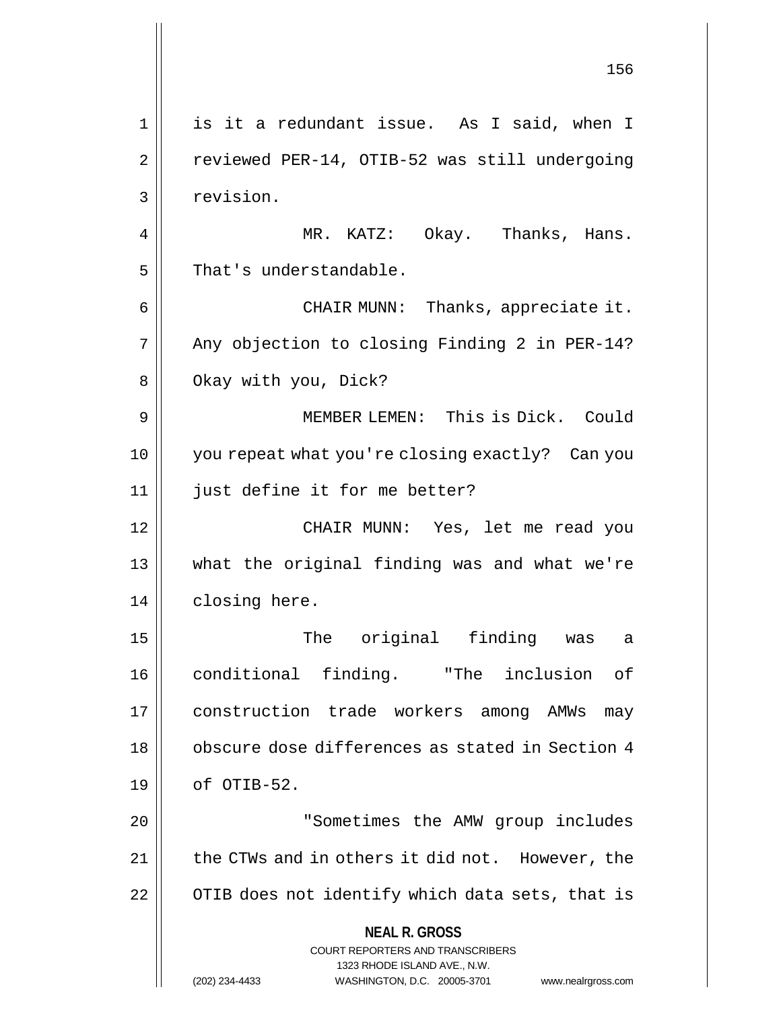**NEAL R. GROSS** COURT REPORTERS AND TRANSCRIBERS 1323 RHODE ISLAND AVE., N.W. (202) 234-4433 WASHINGTON, D.C. 20005-3701 www.nealrgross.com 156 1 is it a redundant issue. As I said, when I 2 | reviewed PER-14, OTIB-52 was still undergoing 3 | revision. 4 MR. KATZ: Okay. Thanks, Hans.  $5$  | That's understandable. 6 CHAIR MUNN: Thanks, appreciate it. 7 || Any objection to closing Finding 2 in PER-14? 8 | Okay with you, Dick? 9 MEMBER LEMEN: This is Dick. Could 10 you repeat what you're closing exactly? Can you 11 || just define it for me better? 12 CHAIR MUNN: Yes, let me read you 13 what the original finding was and what we're 14 | closing here. 15 The original finding was a 16 conditional finding. "The inclusion of 17 construction trade workers among AMWs may 18 || obscure dose differences as stated in Section 4  $19 \parallel$  of OTIB-52. 20 | The Sometimes the AMW group includes 21 | the CTWs and in others it did not. However, the 22 | OTIB does not identify which data sets, that is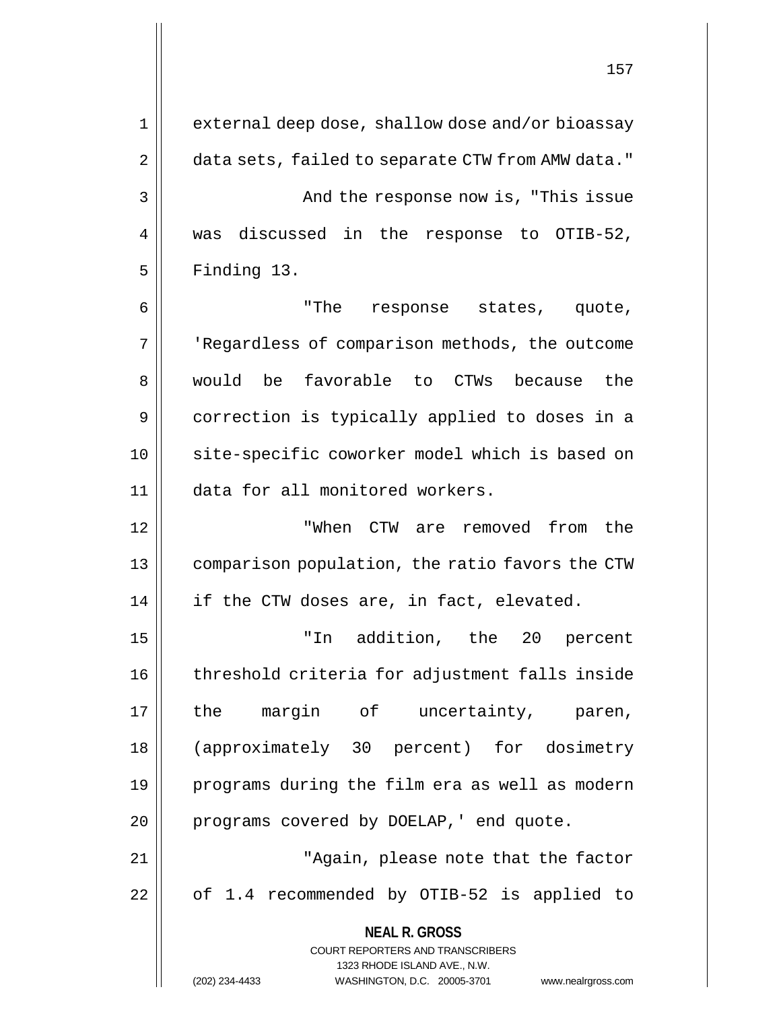**NEAL R. GROSS** COURT REPORTERS AND TRANSCRIBERS 1323 RHODE ISLAND AVE., N.W. 1 || external deep dose, shallow dose and/or bioassay 2 | data sets, failed to separate CTW from AMW data." 3 And the response now is, "This issue 4 || was discussed in the response to OTIB-52,  $5$  | Finding 13. 6 "The response states, quote, 7 | | 'Regardless of comparison methods, the outcome 8. 8 would be favorable to CTWs because the 9 correction is typically applied to doses in a 10 || site-specific coworker model which is based on 11 data for all monitored workers. 12 "When CTW are removed from the 13 comparison population, the ratio favors the CTW 14 | if the CTW doses are, in fact, elevated. 15 "In addition, the 20 percent 16 || threshold criteria for adjustment falls inside 17 the margin of uncertainty, paren, 18 (approximately 30 percent) for dosimetry 19 programs during the film era as well as modern 20 | programs covered by DOELAP, ' end quote. 21 || "Again, please note that the factor 22 || of 1.4 recommended by OTIB-52 is applied to

(202) 234-4433 WASHINGTON, D.C. 20005-3701 www.nealrgross.com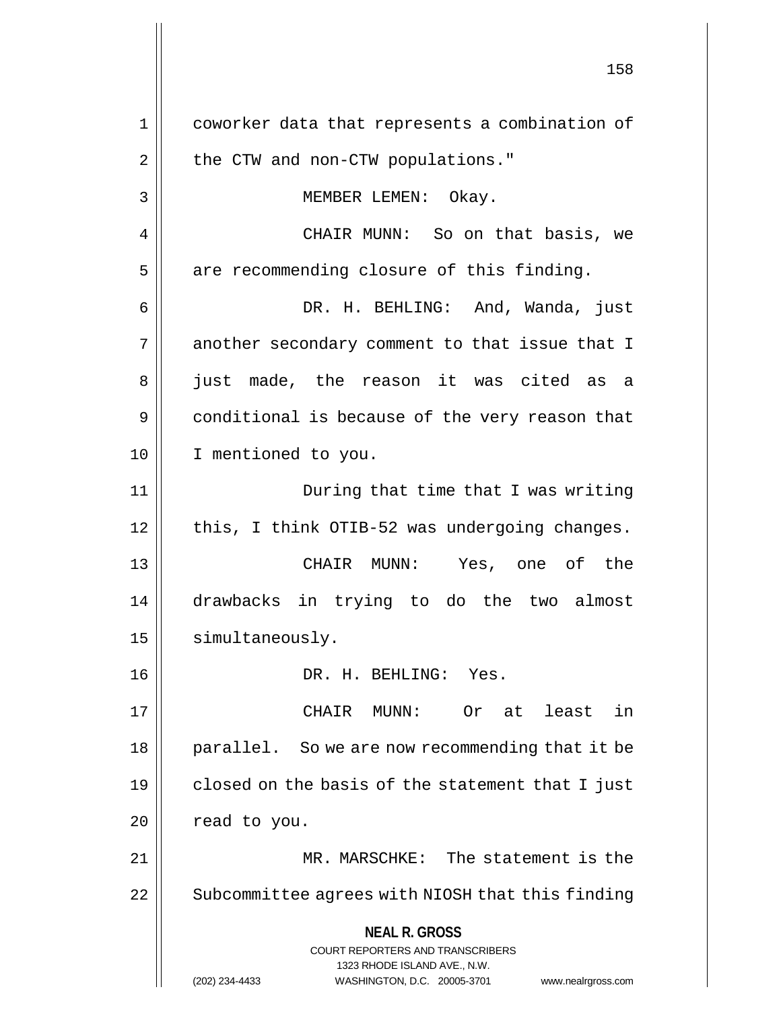**NEAL R. GROSS** COURT REPORTERS AND TRANSCRIBERS 1323 RHODE ISLAND AVE., N.W. (202) 234-4433 WASHINGTON, D.C. 20005-3701 www.nealrgross.com 1 coworker data that represents a combination of 2 | the CTW and non-CTW populations." 3 || MEMBER LEMEN: Okay. 4 CHAIR MUNN: So on that basis, we  $5$  are recommending closure of this finding. 6 DR. H. BEHLING: And, Wanda, just  $7$  | another secondary comment to that issue that I 8 || just made, the reason it was cited as a 9 | conditional is because of the very reason that 10 I mentioned to you. 11 During that time that I was writing  $12$  | this, I think OTIB-52 was undergoing changes. 13 CHAIR MUNN: Yes, one of the 14 drawbacks in trying to do the two almost 15 | simultaneously. 16 DR. H. BEHLING: Yes. 17 || CHAIR MUNN: Or at least in 18 || parallel. So we are now recommending that it be  $19$  | closed on the basis of the statement that I just  $20$  | read to you. 21 || MR. MARSCHKE: The statement is the 22 | Subcommittee agrees with NIOSH that this finding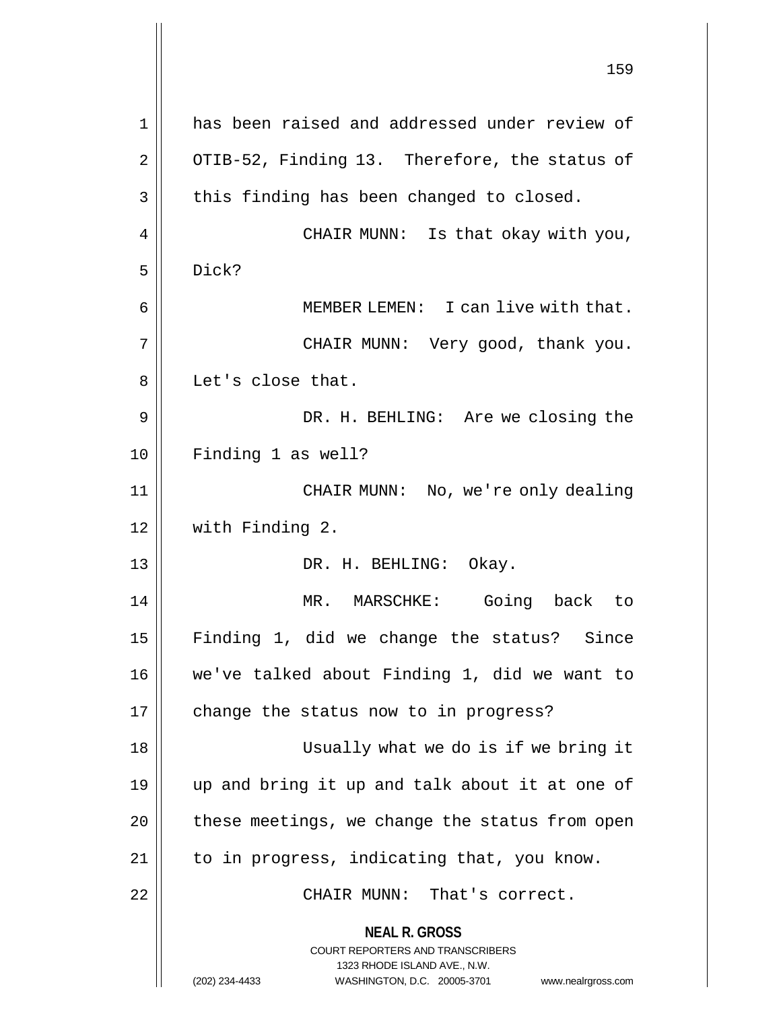**NEAL R. GROSS** COURT REPORTERS AND TRANSCRIBERS 1323 RHODE ISLAND AVE., N.W. (202) 234-4433 WASHINGTON, D.C. 20005-3701 www.nealrgross.com 159 1 has been raised and addressed under review of  $2 \parallel$  OTIB-52, Finding 13. Therefore, the status of  $3 \parallel$  this finding has been changed to closed. 4 CHAIR MUNN: Is that okay with you,  $5 \parallel$  Dick? 6 MEMBER LEMEN: I can live with that. 7 CHAIR MUNN: Very good, thank you. 8 || Let's close that. 9 DR. H. BEHLING: Are we closing the 10 Finding 1 as well? 11 CHAIR MUNN: No, we're only dealing 12 with Finding 2. 13 || DR. H. BEHLING: Okay. 14 MR. MARSCHKE: Going back to 15 Finding 1, did we change the status? Since 16 we've talked about Finding 1, did we want to 17 || change the status now to in progress? 18 Usually what we do is if we bring it 19 up and bring it up and talk about it at one of  $20$  | these meetings, we change the status from open 21 || to in progress, indicating that, you know. 22 CHAIR MUNN: That's correct.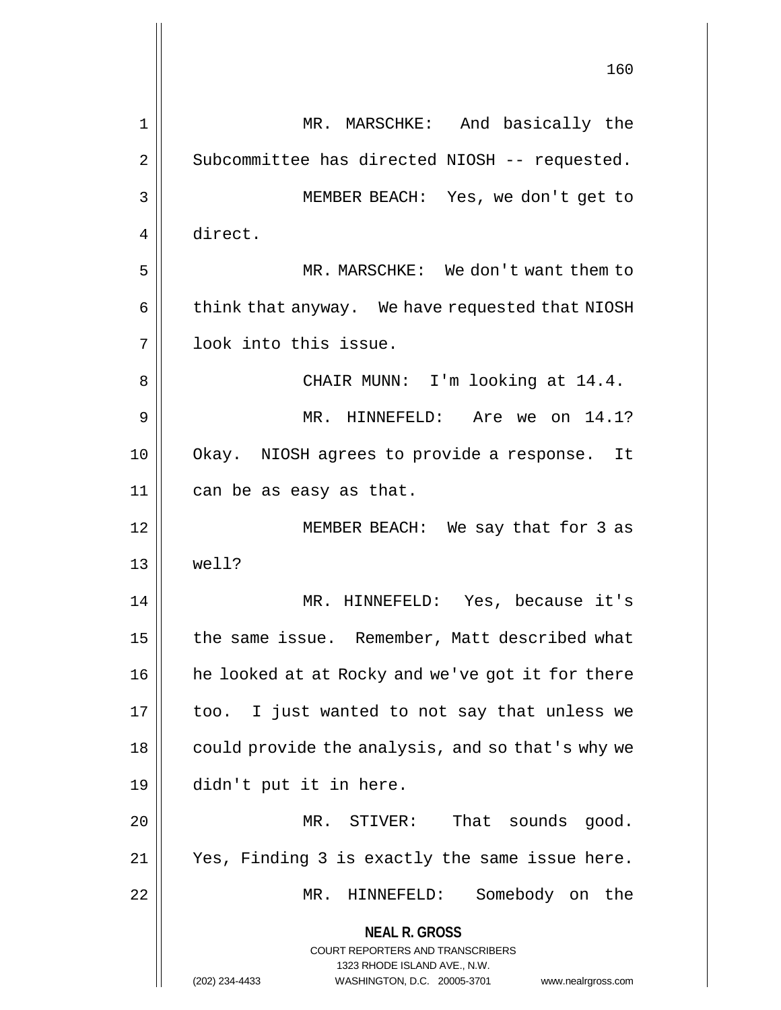**NEAL R. GROSS** COURT REPORTERS AND TRANSCRIBERS 1323 RHODE ISLAND AVE., N.W. (202) 234-4433 WASHINGTON, D.C. 20005-3701 www.nealrgross.com 160 1 MR. MARSCHKE: And basically the 2 | Subcommittee has directed NIOSH -- requested. 3 MEMBER BEACH: Yes, we don't get to 4 direct. 5 MR. MARSCHKE: We don't want them to 6 | think that anyway. We have requested that NIOSH 7 look into this issue. 8 || CHAIR MUNN: I'm looking at 14.4. 9 MR. HINNEFELD: Are we on 14.1? 10 || Okay. NIOSH agrees to provide a response. It 11 can be as easy as that. 12 MEMBER BEACH: We say that for 3 as 13 well? 14 MR. HINNEFELD: Yes, because it's 15 | the same issue. Remember, Matt described what 16 || he looked at at Rocky and we've got it for there  $17$  | too. I just wanted to not say that unless we 18 || could provide the analysis, and so that's why we 19 didn't put it in here. 20 MR. STIVER: That sounds good. 21 Yes, Finding 3 is exactly the same issue here. 22 MR. HINNEFELD: Somebody on the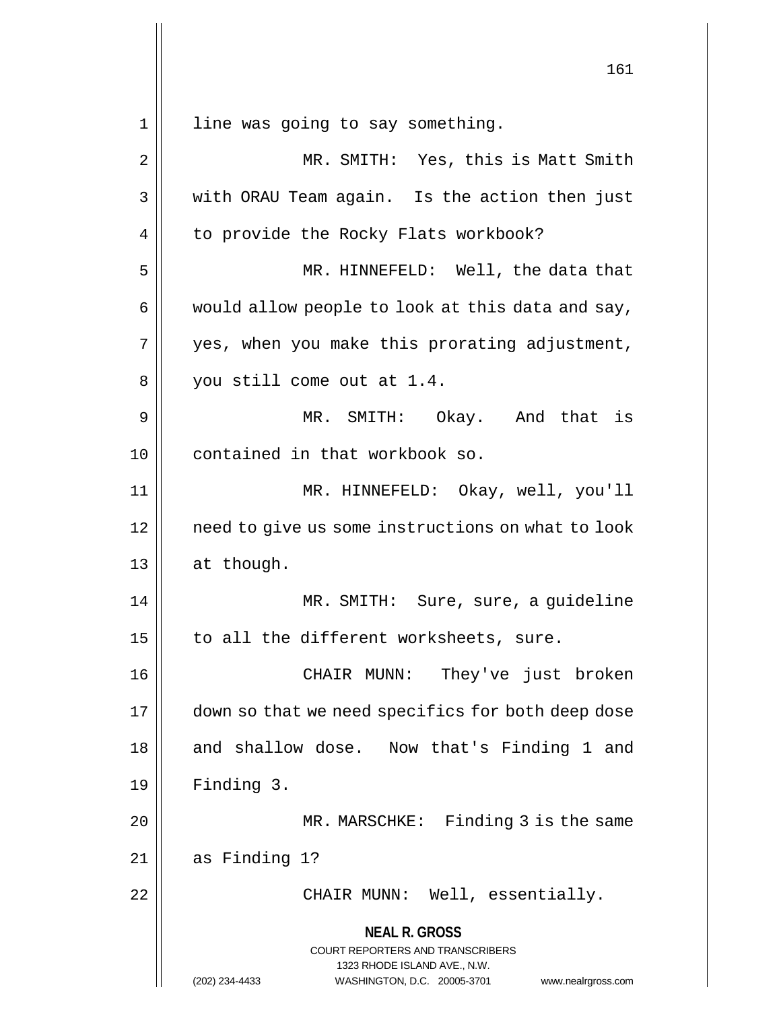**NEAL R. GROSS** COURT REPORTERS AND TRANSCRIBERS 1323 RHODE ISLAND AVE., N.W. (202) 234-4433 WASHINGTON, D.C. 20005-3701 www.nealrgross.com 161 1 || line was going to say something. 2 || MR. SMITH: Yes, this is Matt Smith 3 || with ORAU Team again. Is the action then just 4 | to provide the Rocky Flats workbook? 5 MR. HINNEFELD: Well, the data that  $6 \parallel$  would allow people to look at this data and say,  $7 \parallel$  yes, when you make this prorating adjustment, 8 || you still come out at 1.4. 9 MR. SMITH: Okay. And that is 10 contained in that workbook so. 11 MR. HINNEFELD: Okay, well, you'll 12 need to give us some instructions on what to look 13 | at though. 14 MR. SMITH: Sure, sure, a guideline  $15$  | to all the different worksheets, sure. 16 CHAIR MUNN: They've just broken 17 | down so that we need specifics for both deep dose 18 || and shallow dose. Now that's Finding 1 and 19 Finding 3. 20 MR. MARSCHKE: Finding 3 is the same 21 as Finding 1? 22 || CHAIR MUNN: Well, essentially.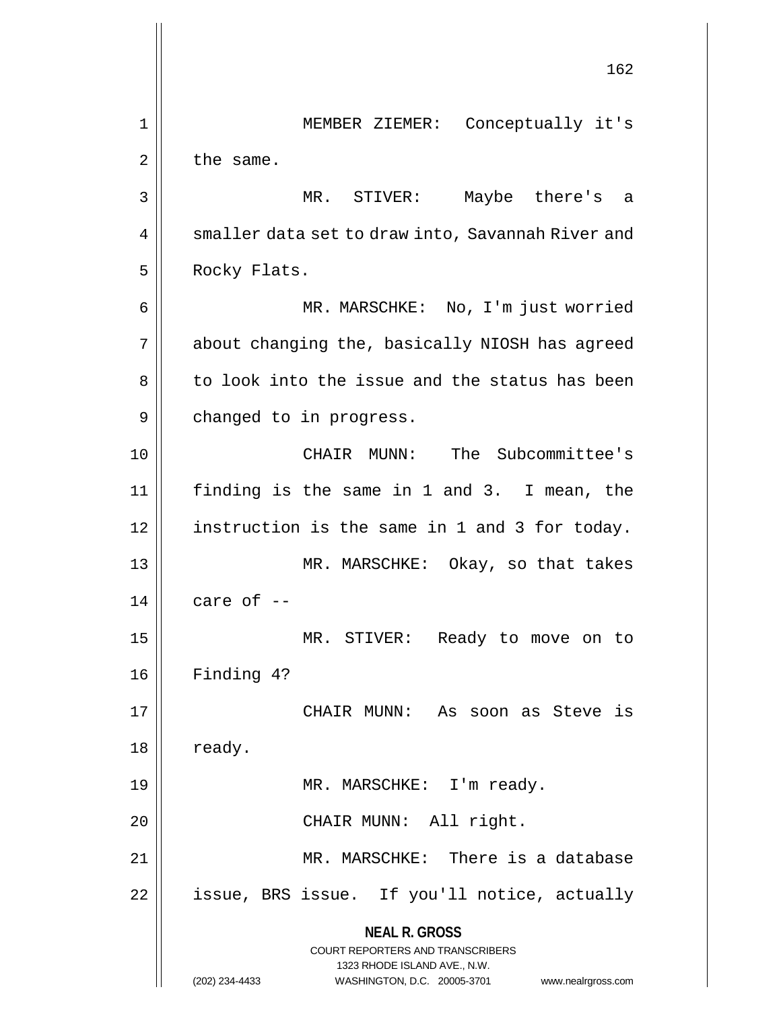**NEAL R. GROSS** COURT REPORTERS AND TRANSCRIBERS 1323 RHODE ISLAND AVE., N.W. (202) 234-4433 WASHINGTON, D.C. 20005-3701 www.nealrgross.com 162 1 MEMBER ZIEMER: Conceptually it's  $2 \parallel$  the same. 3 MR. STIVER: Maybe there's a 4 | smaller data set to draw into, Savannah River and 5 | Rocky Flats. 6 MR. MARSCHKE: No, I'm just worried 7 || about changing the, basically NIOSH has agreed 8 to look into the issue and the status has been 9 | changed to in progress. 10 CHAIR MUNN: The Subcommittee's 11 finding is the same in 1 and 3. I mean, the 12 | instruction is the same in 1 and 3 for today. 13 || MR. MARSCHKE: Okay, so that takes  $14$  | care of  $-$ 15 MR. STIVER: Ready to move on to 16 Finding 4? 17 CHAIR MUNN: As soon as Steve is  $18 \parallel$  ready. 19 || MR. MARSCHKE: I'm ready. 20 || CHAIR MUNN: All right. 21 MR. MARSCHKE: There is a database 22 || issue, BRS issue. If you'll notice, actually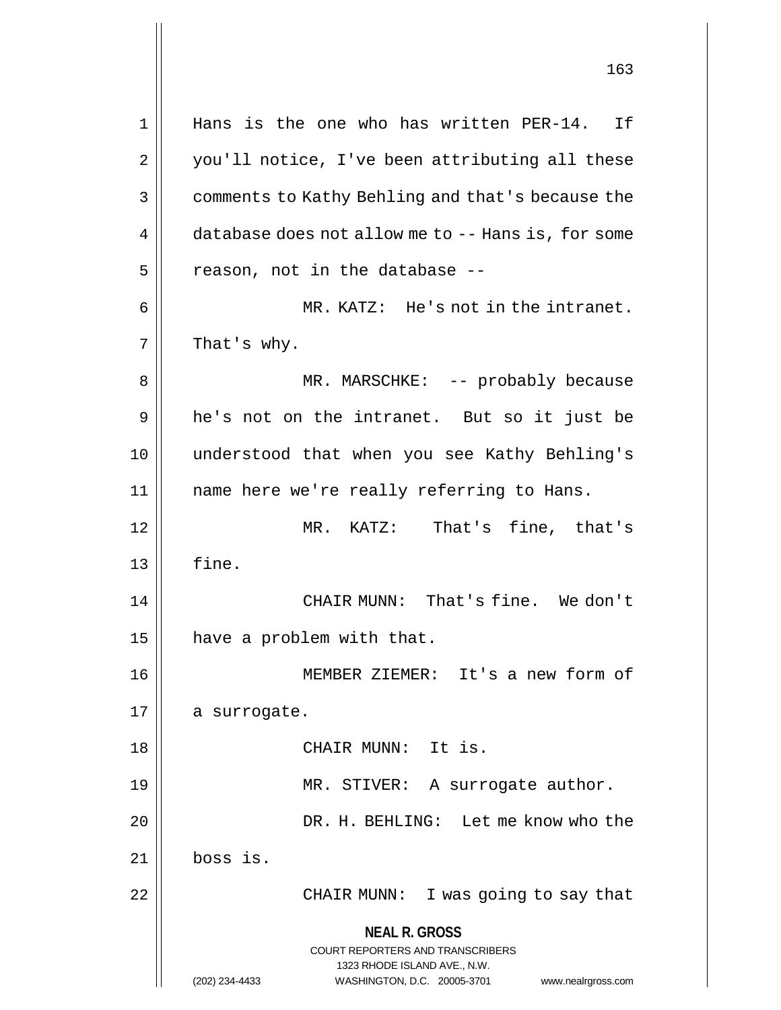**NEAL R. GROSS** COURT REPORTERS AND TRANSCRIBERS 1323 RHODE ISLAND AVE., N.W. (202) 234-4433 WASHINGTON, D.C. 20005-3701 www.nealrgross.com 1 || Hans is the one who has written PER-14. If 2 || you'll notice, I've been attributing all these 3 | comments to Kathy Behling and that's because the 4 database does not allow me to -- Hans is, for some  $5$  | reason, not in the database  $-$ 6 MR. KATZ: He's not in the intranet.  $7 \parallel$  That's why. 8 MR. MARSCHKE: -- probably because 9 || he's not on the intranet. But so it just be 10 understood that when you see Kathy Behling's 11 name here we're really referring to Hans. 12 MR. KATZ: That's fine, that's  $13 \parallel$  fine. 14 CHAIR MUNN: That's fine. We don't 15  $\parallel$  have a problem with that. 16 MEMBER ZIEMER: It's a new form of 17 | a surrogate. 18 CHAIR MUNN: It is. 19 || MR. STIVER: A surrogate author. 20 DR. H. BEHLING: Let me know who the 21 boss is. 22 || CHAIR MUNN: I was going to say that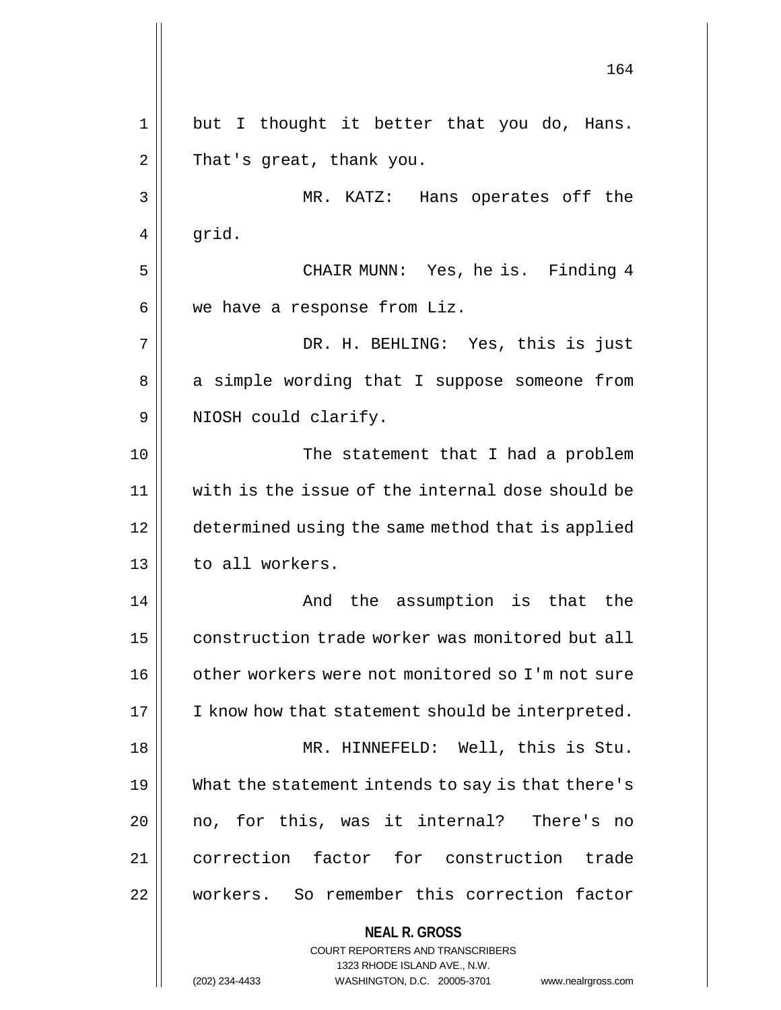**NEAL R. GROSS** COURT REPORTERS AND TRANSCRIBERS 1323 RHODE ISLAND AVE., N.W. 164 1 || but I thought it better that you do, Hans.  $2 \parallel$  That's great, thank you. 3 MR. KATZ: Hans operates off the  $4 \parallel$  grid. 5 || CHAIR MUNN: Yes, he is. Finding 4  $6 \parallel$  we have a response from Liz. 7 DR. H. BEHLING: Yes, this is just 8 || a simple wording that I suppose someone from 9 || NIOSH could clarify. 10 The statement that I had a problem 11 with is the issue of the internal dose should be 12 determined using the same method that is applied 13 | to all workers. 14 And the assumption is that the 15 | construction trade worker was monitored but all 16 | other workers were not monitored so I'm not sure  $17$  | I know how that statement should be interpreted. 18 MR. HINNEFELD: Well, this is Stu. 19 What the statement intends to say is that there's 20 || no, for this, was it internal? There's no 21 correction factor for construction trade 22 workers. So remember this correction factor

(202) 234-4433 WASHINGTON, D.C. 20005-3701 www.nealrgross.com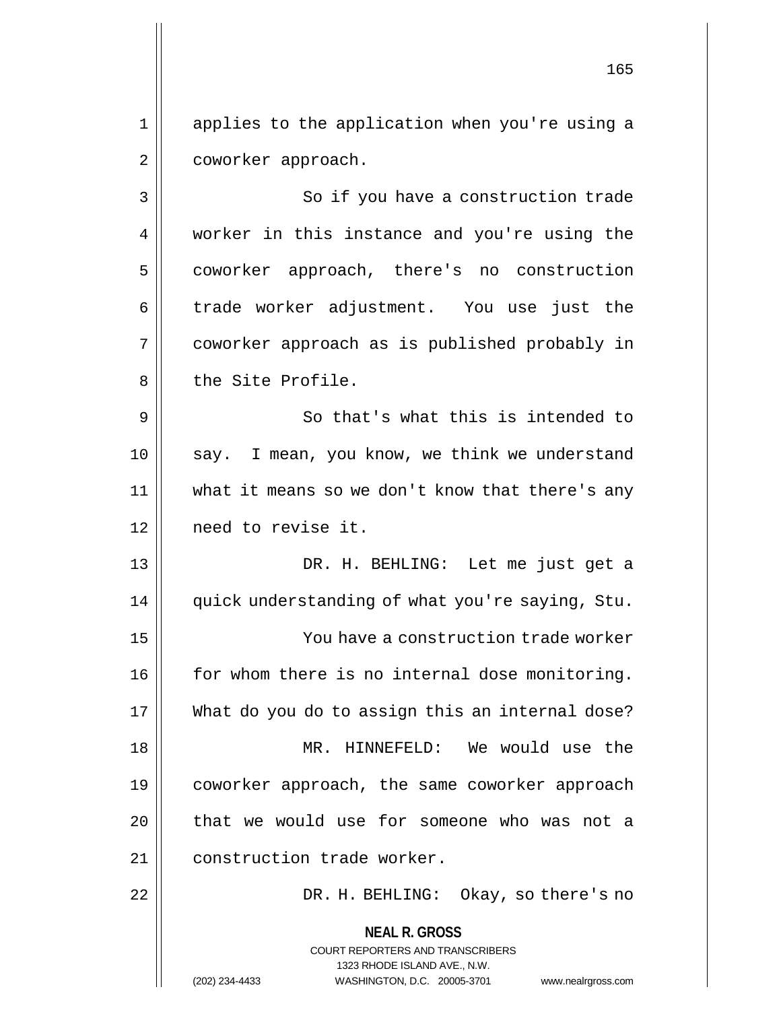1 applies to the application when you're using a 2 | coworker approach.

3 || So if you have a construction trade 4 || worker in this instance and you're using the 5 | coworker approach, there's no construction  $6 \parallel$  trade worker adjustment. You use just the 7 coworker approach as is published probably in 8 || the Site Profile.

9 So that's what this is intended to 10 || say. I mean, you know, we think we understand 11 what it means so we don't know that there's any 12 need to revise it.

13 DR. H. BEHLING: Let me just get a 14 || quick understanding of what you're saying, Stu. 15 You have a construction trade worker 16 | for whom there is no internal dose monitoring. 17 What do you do to assign this an internal dose? 18 || MR. HINNEFELD: We would use the 19 coworker approach, the same coworker approach 20 || that we would use for someone who was not a 21 || construction trade worker.

22 DR. H. BEHLING: Okay, so there's no

**NEAL R. GROSS** COURT REPORTERS AND TRANSCRIBERS 1323 RHODE ISLAND AVE., N.W. (202) 234-4433 WASHINGTON, D.C. 20005-3701 www.nealrgross.com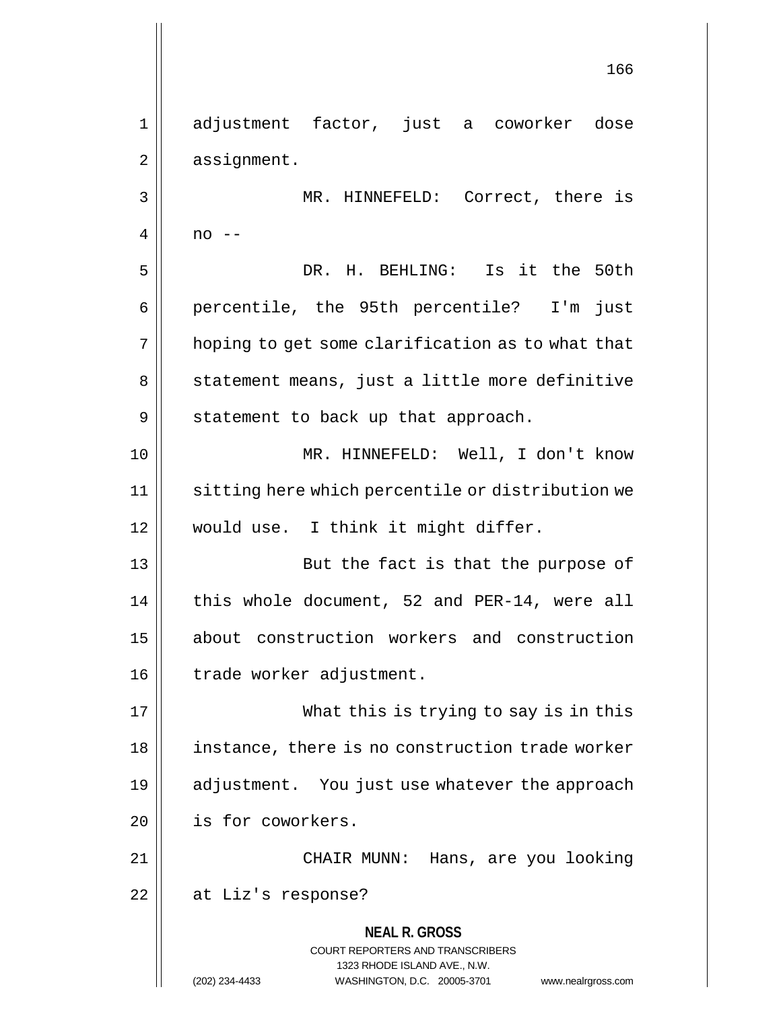**NEAL R. GROSS** COURT REPORTERS AND TRANSCRIBERS 1323 RHODE ISLAND AVE., N.W. (202) 234-4433 WASHINGTON, D.C. 20005-3701 www.nealrgross.com 1 adjustment factor, just a coworker dose  $2 \parallel$  assignment. 3 MR. HINNEFELD: Correct, there is  $4 \parallel$  no  $-$ 5 DR. H. BEHLING: Is it the 50th 6 || percentile, the 95th percentile? I'm just  $7 \parallel$  hoping to get some clarification as to what that 8 || statement means, just a little more definitive  $9 \parallel$  statement to back up that approach. 10 || MR. HINNEFELD: Well, I don't know 11 | sitting here which percentile or distribution we 12 || would use. I think it might differ. 13 || But the fact is that the purpose of 14 || this whole document, 52 and PER-14, were all 15 about construction workers and construction 16 | trade worker adjustment. 17 What this is trying to say is in this 18 || instance, there is no construction trade worker 19 || adjustment. You just use whatever the approach 20 | is for coworkers. 21 CHAIR MUNN: Hans, are you looking 22 | at Liz's response?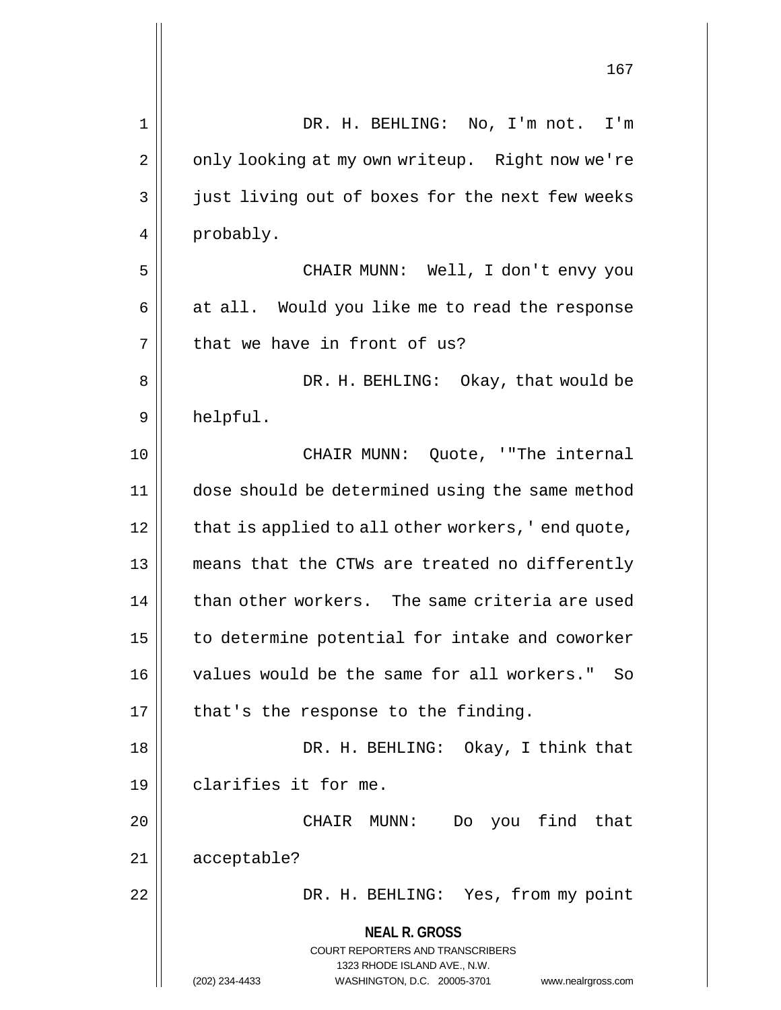|    | TP.                                                                 |
|----|---------------------------------------------------------------------|
| 1  | DR. H. BEHLING: No, I'm not. I'm                                    |
| 2  | only looking at my own writeup. Right now we're                     |
| 3  | just living out of boxes for the next few weeks                     |
| 4  | probably.                                                           |
| 5  | CHAIR MUNN: Well, I don't envy you                                  |
| 6  | at all. Would you like me to read the response                      |
| 7  | that we have in front of us?                                        |
| 8  | DR. H. BEHLING: Okay, that would be                                 |
| 9  | helpful.                                                            |
| 10 | CHAIR MUNN: Quote, '"The internal                                   |
| 11 | dose should be determined using the same method                     |
| 12 | that is applied to all other workers, 'end quote,                   |
| 13 | means that the CTWs are treated no differently                      |
| 14 | than other workers. The same criteria are used                      |
| 15 | to determine potential for intake and coworker                      |
| 16 | values would be the same for all workers." So                       |
| 17 | that's the response to the finding.                                 |
| 18 | DR. H. BEHLING: Okay, I think that                                  |
| 19 | clarifies it for me.                                                |
| 20 | Do you find that<br>CHAIR MUNN:                                     |
| 21 | acceptable?                                                         |
| 22 | DR. H. BEHLING: Yes, from my point                                  |
|    | <b>NEAL R. GROSS</b><br>COURT REPORTERS AND TRANSCRIBERS            |
|    | 1323 RHODE ISLAND AVE., N.W.                                        |
|    | (202) 234-4433<br>WASHINGTON, D.C. 20005-3701<br>www.nealrgross.com |

 $\mathbf{\mathsf{I}}$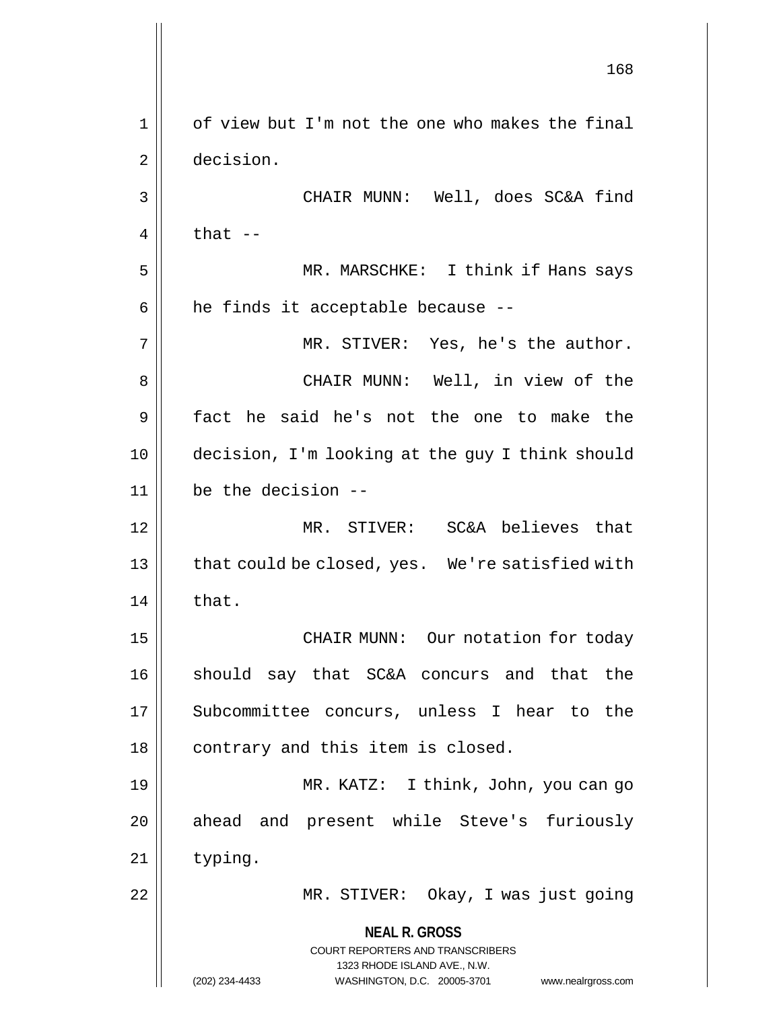**NEAL R. GROSS** COURT REPORTERS AND TRANSCRIBERS 1323 RHODE ISLAND AVE., N.W. (202) 234-4433 WASHINGTON, D.C. 20005-3701 www.nealrgross.com 168 1 | of view but I'm not the one who makes the final 2 decision. 3 CHAIR MUNN: Well, does SC&A find  $4 \parallel$  that  $-$ 5 MR. MARSCHKE: I think if Hans says  $6$  || he finds it acceptable because --7 MR. STIVER: Yes, he's the author. 8 CHAIR MUNN: Well, in view of the 9 fact he said he's not the one to make the 10 decision, I'm looking at the guy I think should 11 be the decision -- 12 MR. STIVER: SC&A believes that 13 || that could be closed, yes. We're satisfied with  $14$  | that. 15 || CHAIR MUNN: Our notation for today 16 || should say that SC&A concurs and that the 17 || Subcommittee concurs, unless I hear to the 18 || contrary and this item is closed. 19 MR. KATZ: I think, John, you can go 20 || ahead and present while Steve's furiously 21 | typing. 22 || MR. STIVER: Okay, I was just going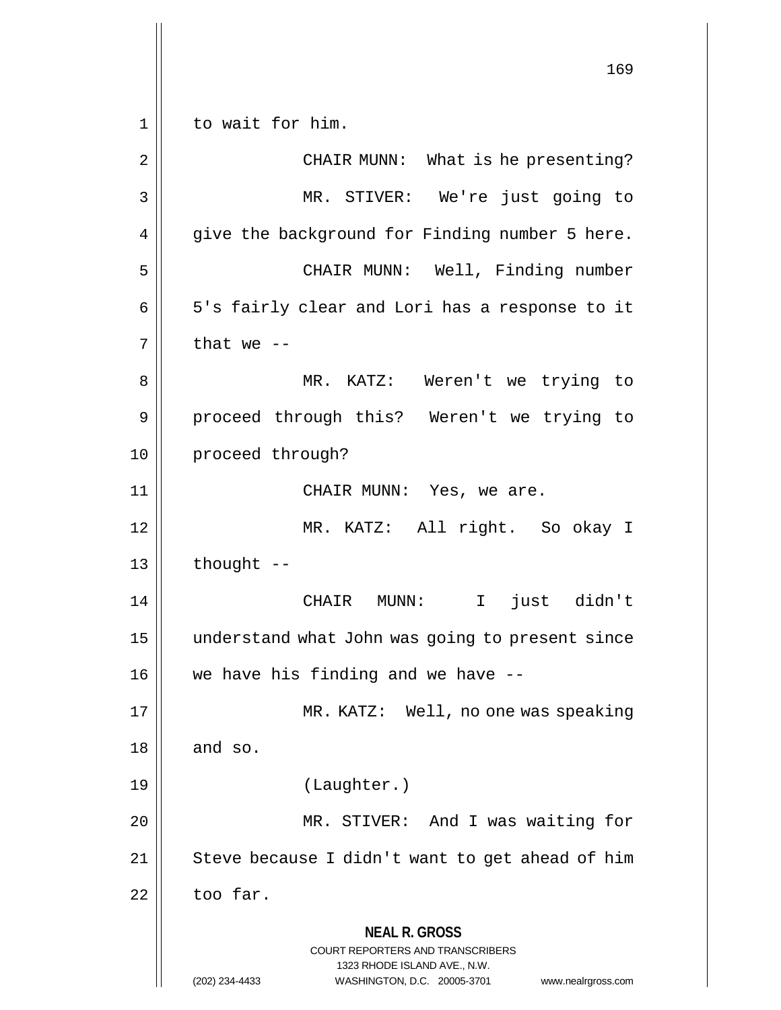**NEAL R. GROSS** COURT REPORTERS AND TRANSCRIBERS 1323 RHODE ISLAND AVE., N.W. (202) 234-4433 WASHINGTON, D.C. 20005-3701 www.nealrgross.com 169 1 || to wait for him. 2 || CHAIR MUNN: What is he presenting? 3 MR. STIVER: We're just going to  $4 \parallel$  give the background for Finding number 5 here. 5 CHAIR MUNN: Well, Finding number 6 || 5's fairly clear and Lori has a response to it  $7$  | that we --8 MR. KATZ: Weren't we trying to 9 || proceed through this? Weren't we trying to 10 | proceed through? 11 CHAIR MUNN: Yes, we are. 12 MR. KATZ: All right. So okay I  $13$  | thought --14 CHAIR MUNN: I just didn't 15 understand what John was going to present since  $16$  | we have his finding and we have  $-$ -17 MR. KATZ: Well, no one was speaking  $18 \parallel$  and so. 19 (Laughter.) 20 || MR. STIVER: And I was waiting for  $21$  | Steve because I didn't want to get ahead of him  $22$  too far.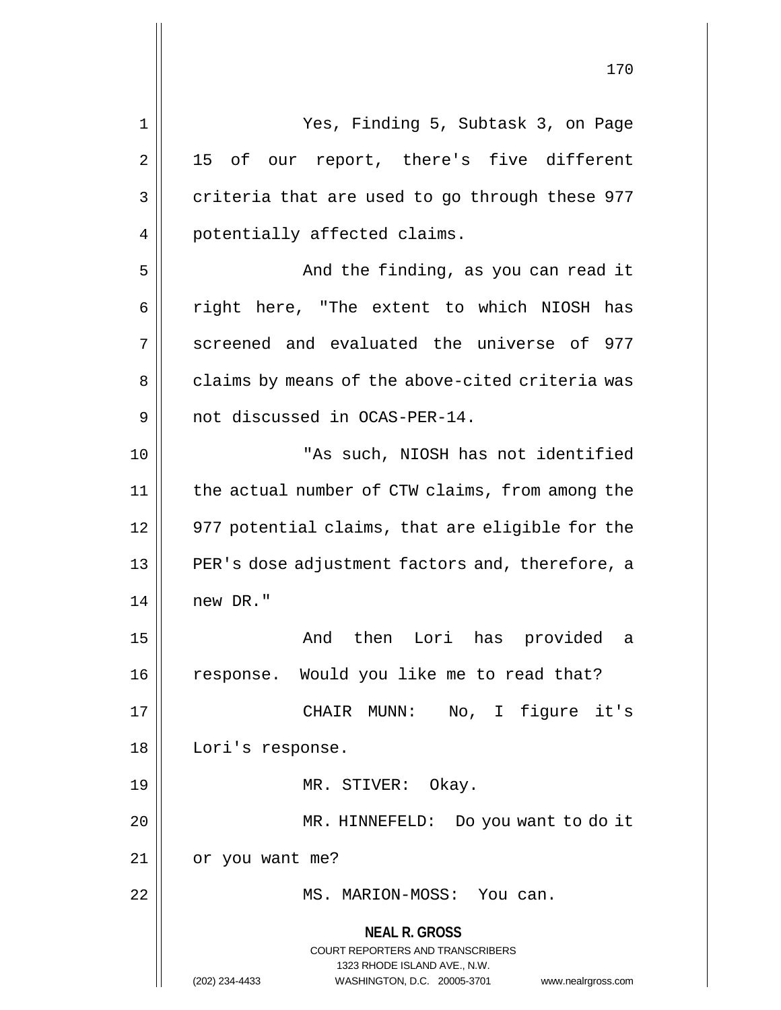**NEAL R. GROSS** COURT REPORTERS AND TRANSCRIBERS 1323 RHODE ISLAND AVE., N.W. (202) 234-4433 WASHINGTON, D.C. 20005-3701 www.nealrgross.com 1 Yes, Finding 5, Subtask 3, on Page  $2 \parallel$  15 of our report, there's five different  $3 \parallel$  criteria that are used to go through these 977 4 || potentially affected claims. 5 And the finding, as you can read it 6 || right here, "The extent to which NIOSH has 7 Screened and evaluated the universe of 977 8 || claims by means of the above-cited criteria was 9 || not discussed in OCAS-PER-14. 10 || TAS such, NIOSH has not identified 11 the actual number of CTW claims, from among the 12 || 977 potential claims, that are eligible for the 13 || PER's dose adjustment factors and, therefore, a  $14$   $\parallel$  new DR." 15 And then Lori has provided a 16 || response. Would you like me to read that? 17 CHAIR MUNN: No, I figure it's 18 || Lori's response. 19 || MR. STIVER: Okay. 20 MR. HINNEFELD: Do you want to do it 21 | or you want me? 22 || MS. MARION-MOSS: You can.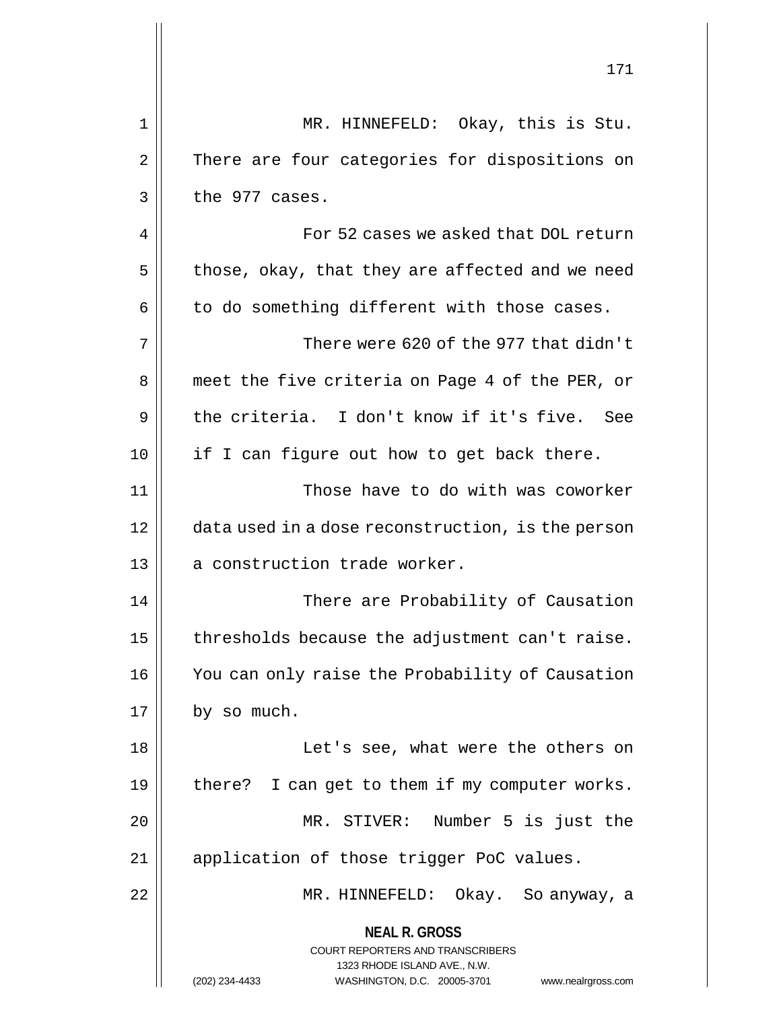|    | 171                                                                                                                                                             |
|----|-----------------------------------------------------------------------------------------------------------------------------------------------------------------|
| 1  | MR. HINNEFELD: Okay, this is Stu.                                                                                                                               |
| 2  | There are four categories for dispositions on                                                                                                                   |
| 3  | the 977 cases.                                                                                                                                                  |
| 4  | For 52 cases we asked that DOL return                                                                                                                           |
| 5  | those, okay, that they are affected and we need                                                                                                                 |
| 6  | to do something different with those cases.                                                                                                                     |
| 7  | There were 620 of the 977 that didn't                                                                                                                           |
| 8  | meet the five criteria on Page 4 of the PER, or                                                                                                                 |
| 9  | the criteria. I don't know if it's five. See                                                                                                                    |
| 10 | if I can figure out how to get back there.                                                                                                                      |
| 11 | Those have to do with was coworker                                                                                                                              |
| 12 | data used in a dose reconstruction, is the person                                                                                                               |
| 13 | a construction trade worker.                                                                                                                                    |
| 14 | There are Probability of Causation                                                                                                                              |
| 15 | thresholds because the adjustment can't raise.                                                                                                                  |
| 16 | You can only raise the Probability of Causation                                                                                                                 |
| 17 | by so much.                                                                                                                                                     |
| 18 | Let's see, what were the others on                                                                                                                              |
| 19 | there? I can get to them if my computer works.                                                                                                                  |
| 20 | MR. STIVER: Number 5 is just the                                                                                                                                |
| 21 | application of those trigger PoC values.                                                                                                                        |
| 22 | MR. HINNEFELD: Okay. So anyway, a                                                                                                                               |
|    | <b>NEAL R. GROSS</b><br>COURT REPORTERS AND TRANSCRIBERS<br>1323 RHODE ISLAND AVE., N.W.<br>(202) 234-4433<br>WASHINGTON, D.C. 20005-3701<br>www.nealrgross.com |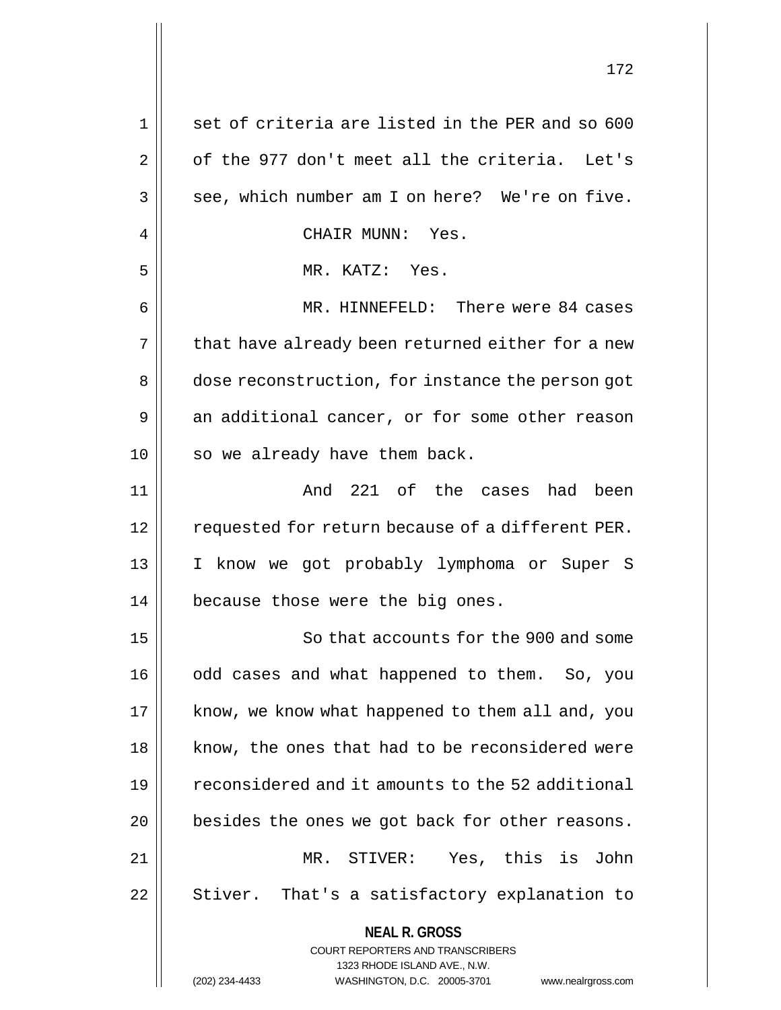| 1  | set of criteria are listed in the PER and so 600                        |
|----|-------------------------------------------------------------------------|
| 2  | of the 977 don't meet all the criteria. Let's                           |
| 3  | see, which number am I on here? We're on five.                          |
| 4  | CHAIR MUNN: Yes.                                                        |
| 5  | MR. KATZ: Yes.                                                          |
| 6  | MR. HINNEFELD: There were 84 cases                                      |
| 7  | that have already been returned either for a new                        |
| 8  | dose reconstruction, for instance the person got                        |
| 9  | an additional cancer, or for some other reason                          |
| 10 | so we already have them back.                                           |
| 11 | And 221 of the cases had been                                           |
| 12 | requested for return because of a different PER.                        |
| 13 | I know we got probably lymphoma or Super S                              |
| 14 | because those were the big ones.                                        |
| 15 | So that accounts for the 900 and some                                   |
| 16 | odd cases and what happened to them. So, you                            |
| 17 | know, we know what happened to them all and, you                        |
| 18 | know, the ones that had to be reconsidered were                         |
| 19 | reconsidered and it amounts to the 52 additional                        |
| 20 | besides the ones we got back for other reasons.                         |
| 21 | Yes, this is John<br>MR. STIVER:                                        |
| 22 | Stiver. That's a satisfactory explanation to                            |
|    | <b>NEAL R. GROSS</b>                                                    |
|    | <b>COURT REPORTERS AND TRANSCRIBERS</b><br>1323 RHODE ISLAND AVE., N.W. |
|    | (202) 234-4433<br>WASHINGTON, D.C. 20005-3701<br>www.nealrgross.com     |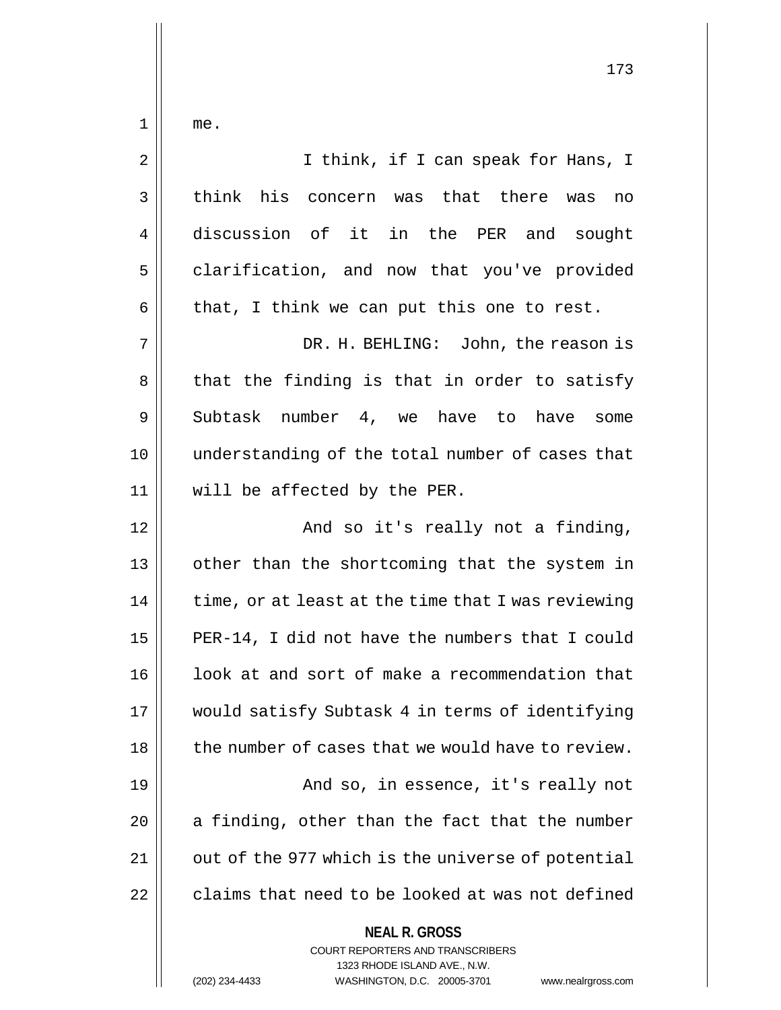$1 \parallel$  me.

| 2  | I think, if I can speak for Hans, I                      |
|----|----------------------------------------------------------|
| 3  | think his concern was that there was<br>no               |
| 4  | discussion of it in the PER and sought                   |
| 5  | clarification, and now that you've provided              |
| 6  | that, I think we can put this one to rest.               |
| 7  | DR. H. BEHLING: John, the reason is                      |
| 8  | that the finding is that in order to satisfy             |
| 9  | Subtask number 4, we have to have<br>some                |
| 10 | understanding of the total number of cases that          |
| 11 | will be affected by the PER.                             |
| 12 | And so it's really not a finding,                        |
| 13 | other than the shortcoming that the system in            |
| 14 | time, or at least at the time that I was reviewing       |
| 15 | PER-14, I did not have the numbers that I could          |
| 16 | look at and sort of make a recommendation that           |
| 17 | would satisfy Subtask 4 in terms of identifying          |
| 18 | the number of cases that we would have to review.        |
| 19 | And so, in essence, it's really not                      |
| 20 | a finding, other than the fact that the number           |
| 21 | out of the 977 which is the universe of potential        |
| 22 | claims that need to be looked at was not defined         |
|    | <b>NEAL R. GROSS</b><br>COURT REPORTERS AND TRANSCRIBERS |

1323 RHODE ISLAND AVE., N.W.

 $\prod$ 

(202) 234-4433 WASHINGTON, D.C. 20005-3701 www.nealrgross.com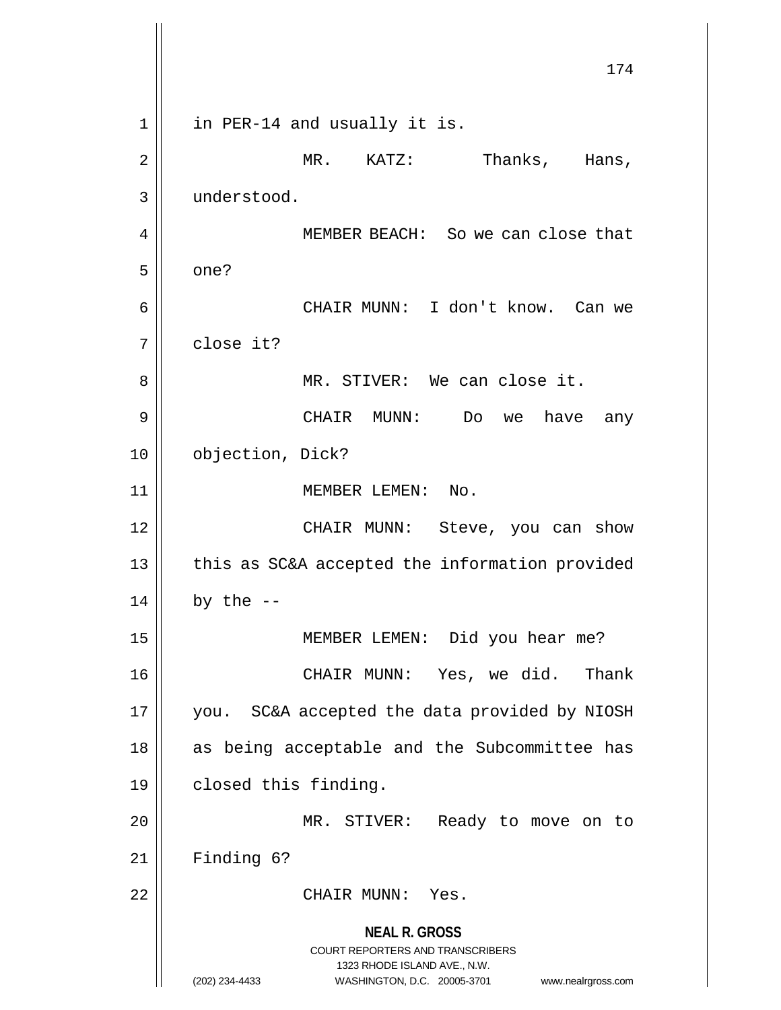**NEAL R. GROSS** COURT REPORTERS AND TRANSCRIBERS 1323 RHODE ISLAND AVE., N.W. (202) 234-4433 WASHINGTON, D.C. 20005-3701 www.nealrgross.com 174 1 || in PER-14 and usually it is. 2 | NR. KATZ: Thanks, Hans, 3 understood. 4 || MEMBER BEACH: So we can close that  $5 \parallel$  one? 6 CHAIR MUNN: I don't know. Can we 7 close it? 8 MR. STIVER: We can close it. 9 CHAIR MUNN: Do we have any 10 | objection, Dick? 11 || MEMBER LEMEN: No. 12 CHAIR MUNN: Steve, you can show 13 || this as SC&A accepted the information provided  $14$  | by the --15 || MEMBER LEMEN: Did you hear me? 16 CHAIR MUNN: Yes, we did. Thank 17 | you. SC&A accepted the data provided by NIOSH  $18$  as being acceptable and the Subcommittee has 19 | closed this finding. 20 | MR. STIVER: Ready to move on to  $21$  | Finding 6? 22 CHAIR MUNN: Yes.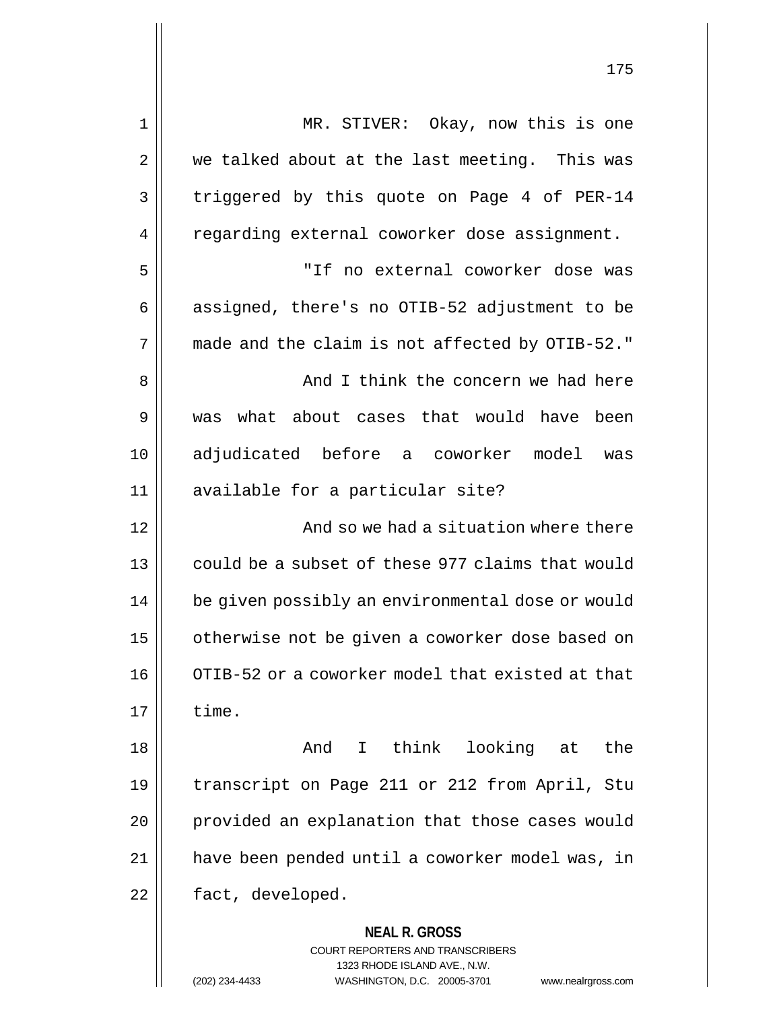| $\mathbf 1$    | MR. STIVER: Okay, now this is one                                                                                                                                      |
|----------------|------------------------------------------------------------------------------------------------------------------------------------------------------------------------|
| $\overline{2}$ | we talked about at the last meeting. This was                                                                                                                          |
| 3              | triggered by this quote on Page 4 of PER-14                                                                                                                            |
| 4              | regarding external coworker dose assignment.                                                                                                                           |
| 5              | "If no external coworker dose was                                                                                                                                      |
| 6              | assigned, there's no OTIB-52 adjustment to be                                                                                                                          |
| 7              | made and the claim is not affected by OTIB-52."                                                                                                                        |
| 8              | And I think the concern we had here                                                                                                                                    |
| 9              | what about cases that would have been<br>was                                                                                                                           |
| 10             | adjudicated before a coworker model<br>was                                                                                                                             |
| 11             | available for a particular site?                                                                                                                                       |
| 12             | And so we had a situation where there                                                                                                                                  |
| 13             | could be a subset of these 977 claims that would                                                                                                                       |
| 14             | be given possibly an environmental dose or would                                                                                                                       |
| 15             | otherwise not be given a coworker dose based on                                                                                                                        |
| 16             | OTIB-52 or a coworker model that existed at that                                                                                                                       |
| 17             | time.                                                                                                                                                                  |
| 18             | And I think looking at<br>the                                                                                                                                          |
| 19             | transcript on Page 211 or 212 from April, Stu                                                                                                                          |
| 20             | provided an explanation that those cases would                                                                                                                         |
| 21             | have been pended until a coworker model was, in                                                                                                                        |
| 22             | fact, developed.                                                                                                                                                       |
|                | <b>NEAL R. GROSS</b><br><b>COURT REPORTERS AND TRANSCRIBERS</b><br>1323 RHODE ISLAND AVE., N.W.<br>(202) 234-4433<br>WASHINGTON, D.C. 20005-3701<br>www.nealrgross.com |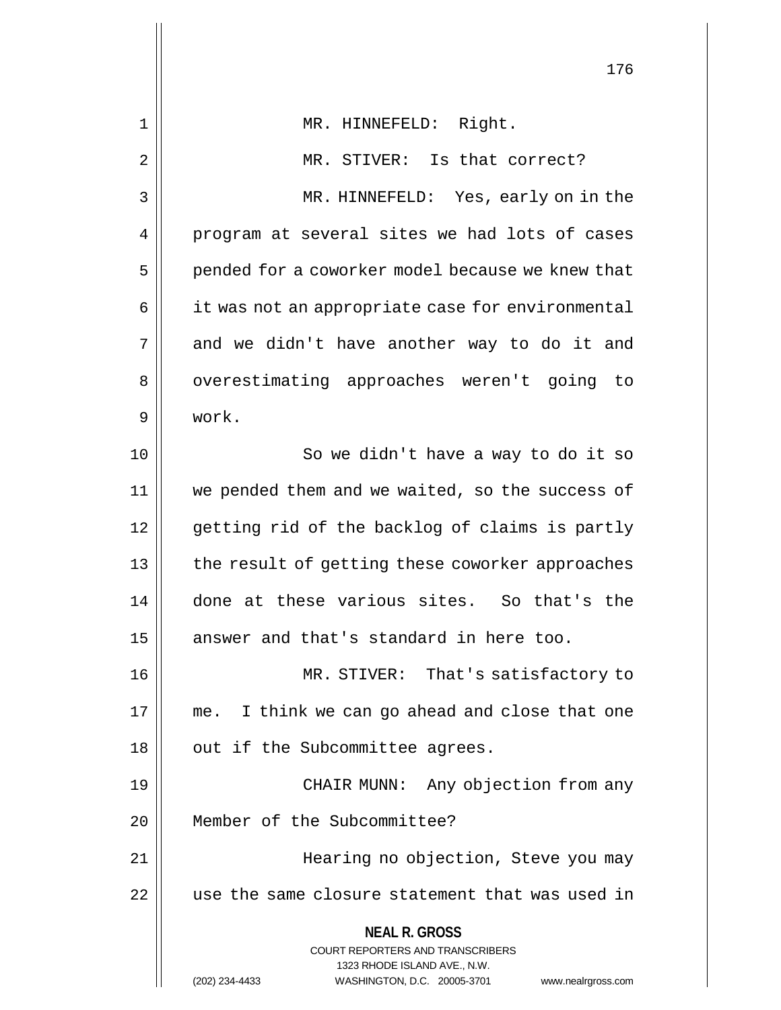| 176                                                                                                                                                             |
|-----------------------------------------------------------------------------------------------------------------------------------------------------------------|
| MR. HINNEFELD: Right.                                                                                                                                           |
| MR. STIVER: Is that correct?                                                                                                                                    |
| MR. HINNEFELD: Yes, early on in the                                                                                                                             |
| program at several sites we had lots of cases                                                                                                                   |
| pended for a coworker model because we knew that                                                                                                                |
| it was not an appropriate case for environmental                                                                                                                |
| and we didn't have another way to do it and                                                                                                                     |
| overestimating approaches weren't going to                                                                                                                      |
| work.                                                                                                                                                           |
| So we didn't have a way to do it so                                                                                                                             |
| we pended them and we waited, so the success of                                                                                                                 |
| getting rid of the backlog of claims is partly                                                                                                                  |
| the result of getting these coworker approaches                                                                                                                 |
| done at these various sites. So that's the                                                                                                                      |
| answer and that's standard in here too.                                                                                                                         |
| MR. STIVER: That's satisfactory to                                                                                                                              |
| me. I think we can go ahead and close that one                                                                                                                  |
| out if the Subcommittee agrees.                                                                                                                                 |
| CHAIR MUNN: Any objection from any                                                                                                                              |
| Member of the Subcommittee?                                                                                                                                     |
| Hearing no objection, Steve you may                                                                                                                             |
| use the same closure statement that was used in                                                                                                                 |
| <b>NEAL R. GROSS</b><br>COURT REPORTERS AND TRANSCRIBERS<br>1323 RHODE ISLAND AVE., N.W.<br>(202) 234-4433<br>WASHINGTON, D.C. 20005-3701<br>www.nealrgross.com |
|                                                                                                                                                                 |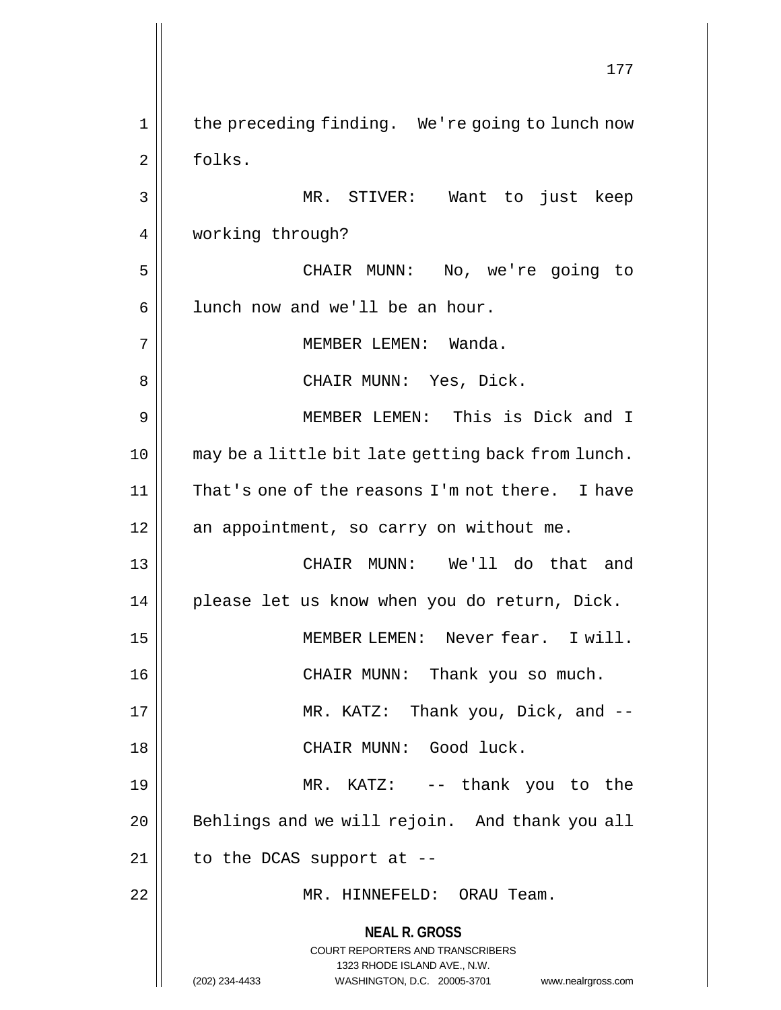**NEAL R. GROSS** COURT REPORTERS AND TRANSCRIBERS 1323 RHODE ISLAND AVE., N.W. (202) 234-4433 WASHINGTON, D.C. 20005-3701 www.nealrgross.com 177 1 || the preceding finding. We're going to lunch now 2 | folks. 3 MR. STIVER: Want to just keep 4 | working through? 5 CHAIR MUNN: No, we're going to  $6 \parallel$  lunch now and we'll be an hour. 7 MEMBER LEMEN: Wanda. 8 CHAIR MUNN: Yes, Dick. 9 MEMBER LEMEN: This is Dick and I 10 may be a little bit late getting back from lunch. 11 || That's one of the reasons I'm not there. I have 12 || an appointment, so carry on without me. 13 CHAIR MUNN: We'll do that and 14 || please let us know when you do return, Dick. 15 MEMBER LEMEN: Never fear. I will. 16 CHAIR MUNN: Thank you so much. 17 MR. KATZ: Thank you, Dick, and -- 18 CHAIR MUNN: Good luck. 19 MR. KATZ: -- thank you to the 20 || Behlings and we will rejoin. And thank you all  $21$  | to the DCAS support at --22 MR. HINNEFELD: ORAU Team.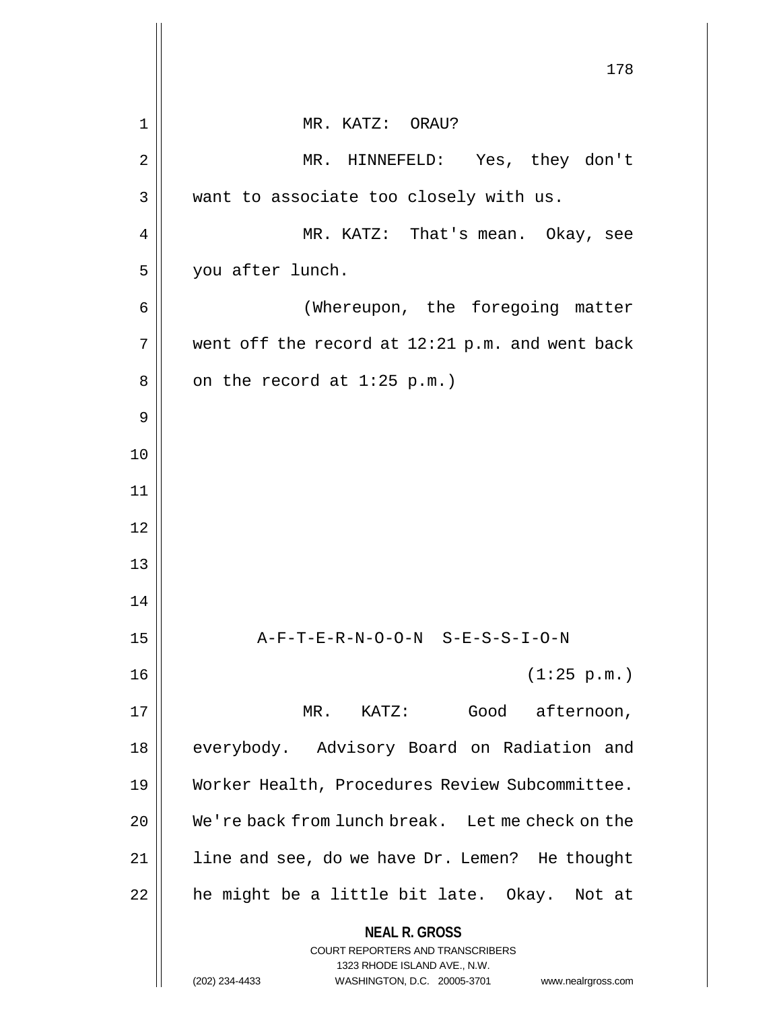|    | 178                                                                                                                                                                    |
|----|------------------------------------------------------------------------------------------------------------------------------------------------------------------------|
|    |                                                                                                                                                                        |
| 1  | MR. KATZ: ORAU?                                                                                                                                                        |
| 2  | HINNEFELD: Yes, they don't<br>$MR$ .                                                                                                                                   |
| 3  | want to associate too closely with us.                                                                                                                                 |
| 4  | MR. KATZ: That's mean. Okay, see                                                                                                                                       |
| 5  | you after lunch.                                                                                                                                                       |
| 6  | (Whereupon, the foregoing matter                                                                                                                                       |
| 7  | went off the record at 12:21 p.m. and went back                                                                                                                        |
| 8  | on the record at $1:25$ p.m.)                                                                                                                                          |
| 9  |                                                                                                                                                                        |
| 10 |                                                                                                                                                                        |
| 11 |                                                                                                                                                                        |
| 12 |                                                                                                                                                                        |
| 13 |                                                                                                                                                                        |
| 14 |                                                                                                                                                                        |
| 15 | A-F-T-E-R-N-O-O-N S-E-S-S-I-O-N                                                                                                                                        |
| 16 | (1:25 p.m.)                                                                                                                                                            |
| 17 | Good afternoon,<br>MR. KATZ:                                                                                                                                           |
| 18 | everybody. Advisory Board on Radiation and                                                                                                                             |
| 19 | Worker Health, Procedures Review Subcommittee.                                                                                                                         |
| 20 | We're back from lunch break. Let me check on the                                                                                                                       |
| 21 | line and see, do we have Dr. Lemen? He thought                                                                                                                         |
| 22 | he might be a little bit late. Okay. Not at                                                                                                                            |
|    | <b>NEAL R. GROSS</b><br><b>COURT REPORTERS AND TRANSCRIBERS</b><br>1323 RHODE ISLAND AVE., N.W.<br>(202) 234-4433<br>WASHINGTON, D.C. 20005-3701<br>www.nealrgross.com |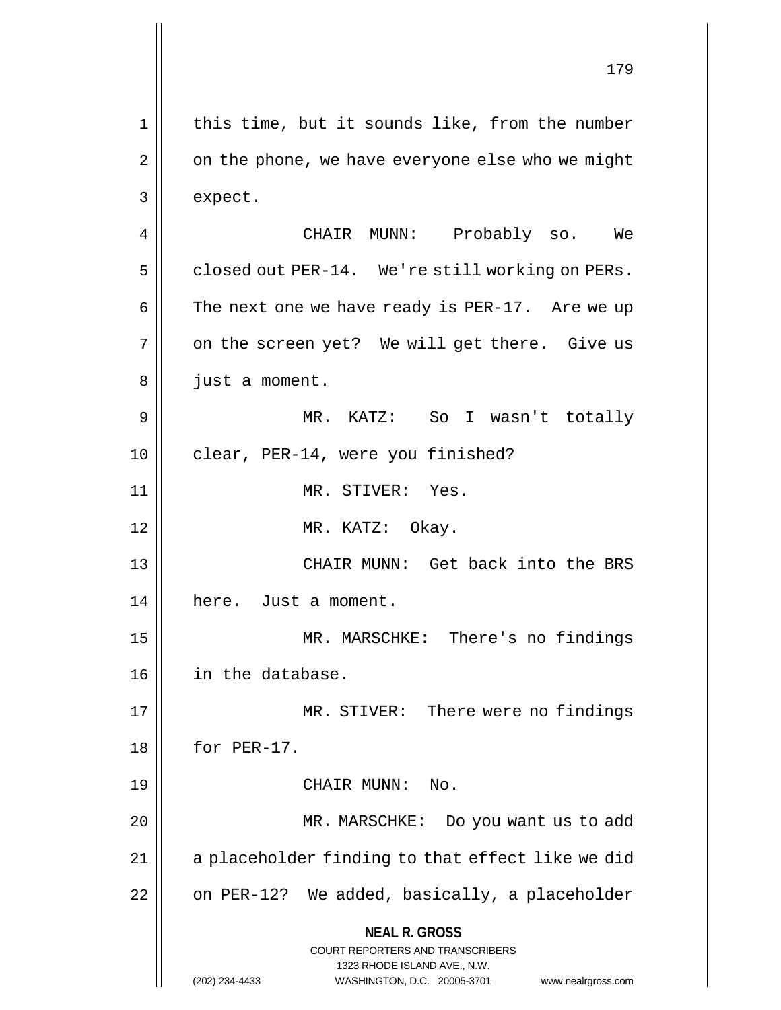**NEAL R. GROSS** COURT REPORTERS AND TRANSCRIBERS 1323 RHODE ISLAND AVE., N.W. (202) 234-4433 WASHINGTON, D.C. 20005-3701 www.nealrgross.com 1 || this time, but it sounds like, from the number  $2 \parallel$  on the phone, we have everyone else who we might 3 expect. 4 CHAIR MUNN: Probably so. We 5 | closed out PER-14. We're still working on PERs. 6  $\parallel$  The next one we have ready is PER-17. Are we up  $7 \parallel$  on the screen yet? We will get there. Give us 8 || just a moment. 9 MR. KATZ: So I wasn't totally 10 || clear, PER-14, were you finished? 11 || MR. STIVER: Yes. 12 || MR. KATZ: Okay. 13 || CHAIR MUNN: Get back into the BRS 14 | here. Just a moment. 15 MR. MARSCHKE: There's no findings 16 in the database. 17 MR. STIVER: There were no findings 18 | for PER-17. 19 CHAIR MUNN: No. 20 MR. MARSCHKE: Do you want us to add  $21$  | a placeholder finding to that effect like we did  $22$  | on PER-12? We added, basically, a placeholder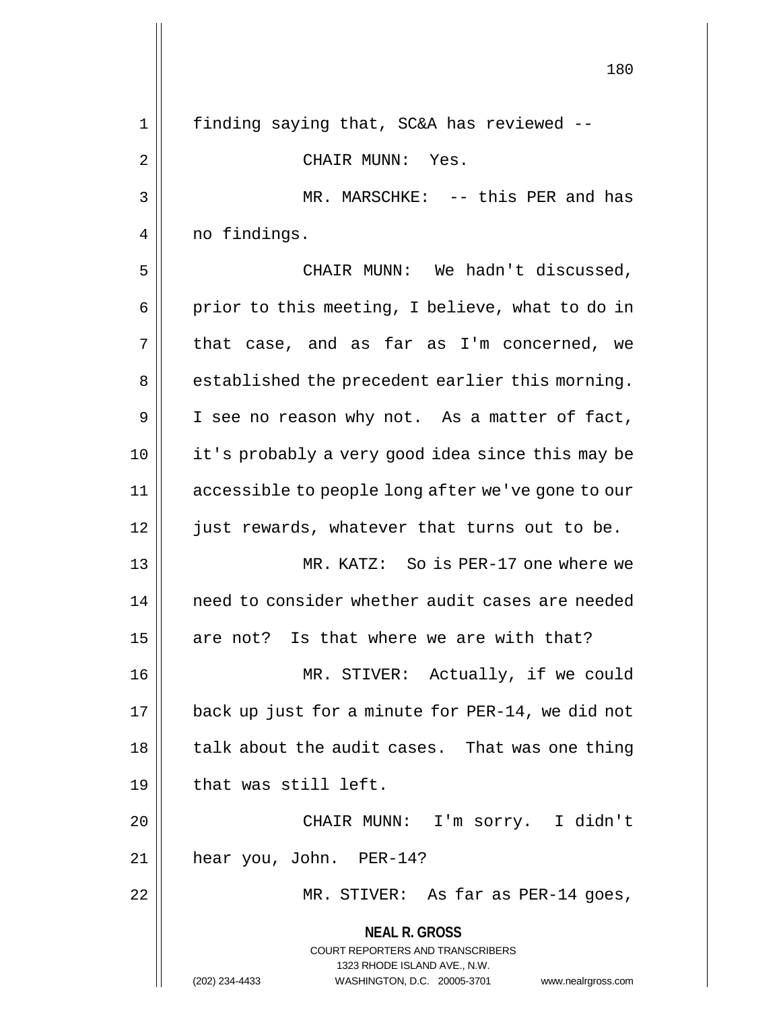|    | 180                                                                                      |
|----|------------------------------------------------------------------------------------------|
| 1  | finding saying that, SC&A has reviewed --                                                |
| 2  | CHAIR MUNN:<br>Yes.                                                                      |
| 3  | MR. MARSCHKE: -- this PER and has                                                        |
| 4  | no findings.                                                                             |
| 5  | CHAIR MUNN: We hadn't discussed,                                                         |
| 6  | prior to this meeting, I believe, what to do in                                          |
| 7  | that case, and as far as I'm concerned, we                                               |
| 8  | established the precedent earlier this morning.                                          |
| 9  | I see no reason why not. As a matter of fact,                                            |
| 10 | it's probably a very good idea since this may be                                         |
| 11 | accessible to people long after we've gone to our                                        |
| 12 | just rewards, whatever that turns out to be.                                             |
| 13 | MR. KATZ: So is PER-17 one where we                                                      |
| 14 | need to consider whether audit cases are needed                                          |
| 15 | are not? Is that where we are with that?                                                 |
| 16 | MR. STIVER: Actually, if we could                                                        |
| 17 | back up just for a minute for PER-14, we did not                                         |
| 18 | talk about the audit cases. That was one thing                                           |
| 19 | that was still left.                                                                     |
| 20 | CHAIR MUNN: I'm sorry. I didn't                                                          |
| 21 | hear you, John. PER-14?                                                                  |
| 22 | MR. STIVER: As far as PER-14 goes,                                                       |
|    | <b>NEAL R. GROSS</b><br>COURT REPORTERS AND TRANSCRIBERS<br>1323 RHODE ISLAND AVE., N.W. |
|    | (202) 234-4433<br>WASHINGTON, D.C. 20005-3701<br>www.nealrgross.com                      |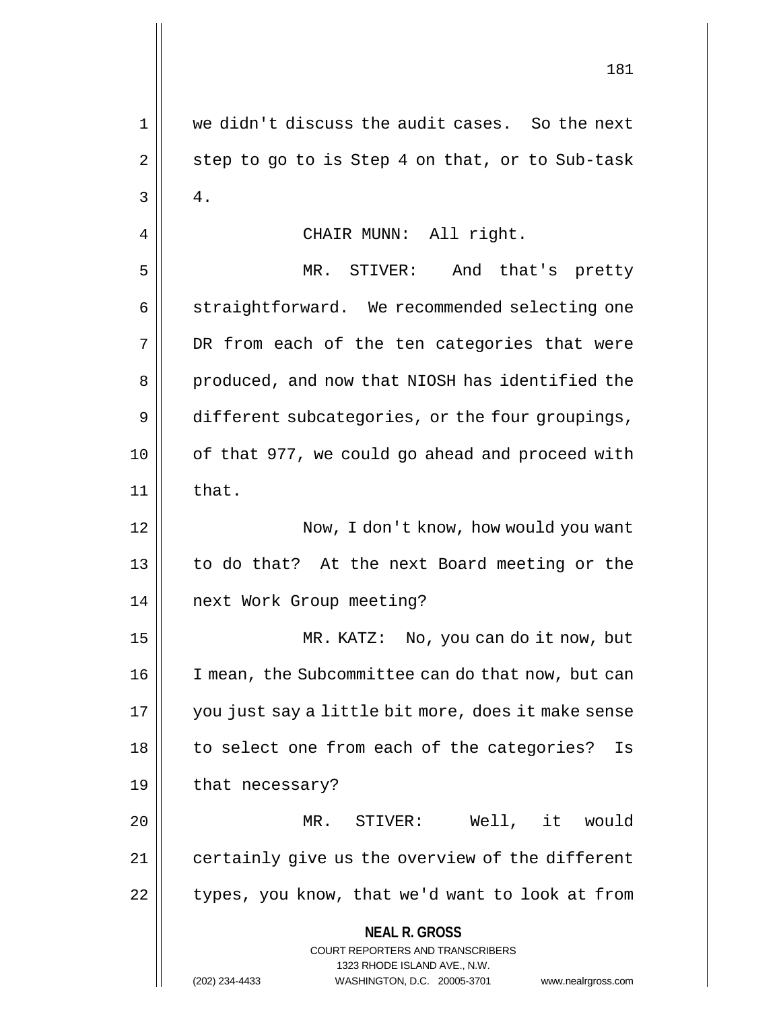**NEAL R. GROSS** COURT REPORTERS AND TRANSCRIBERS 1323 RHODE ISLAND AVE., N.W. (202) 234-4433 WASHINGTON, D.C. 20005-3701 www.nealrgross.com 1 we didn't discuss the audit cases. So the next  $2 \parallel$  step to go to is Step 4 on that, or to Sub-task  $3 \parallel 4$ . 4 || CHAIR MUNN: All right. 5 MR. STIVER: And that's pretty 6 | straightforward. We recommended selecting one 7 DR from each of the ten categories that were 8 || produced, and now that NIOSH has identified the 9 different subcategories, or the four groupings, 10 || of that 977, we could go ahead and proceed with  $11$  | that. 12 Now, I don't know, how would you want 13 || to do that? At the next Board meeting or the 14 || next Work Group meeting? 15 MR. KATZ: No, you can do it now, but 16 | I mean, the Subcommittee can do that now, but can 17 you just say a little bit more, does it make sense 18 || to select one from each of the categories? Is 19 | that necessary? 20 MR. STIVER: Well, it would 21 | certainly give us the overview of the different  $22$  | types, you know, that we'd want to look at from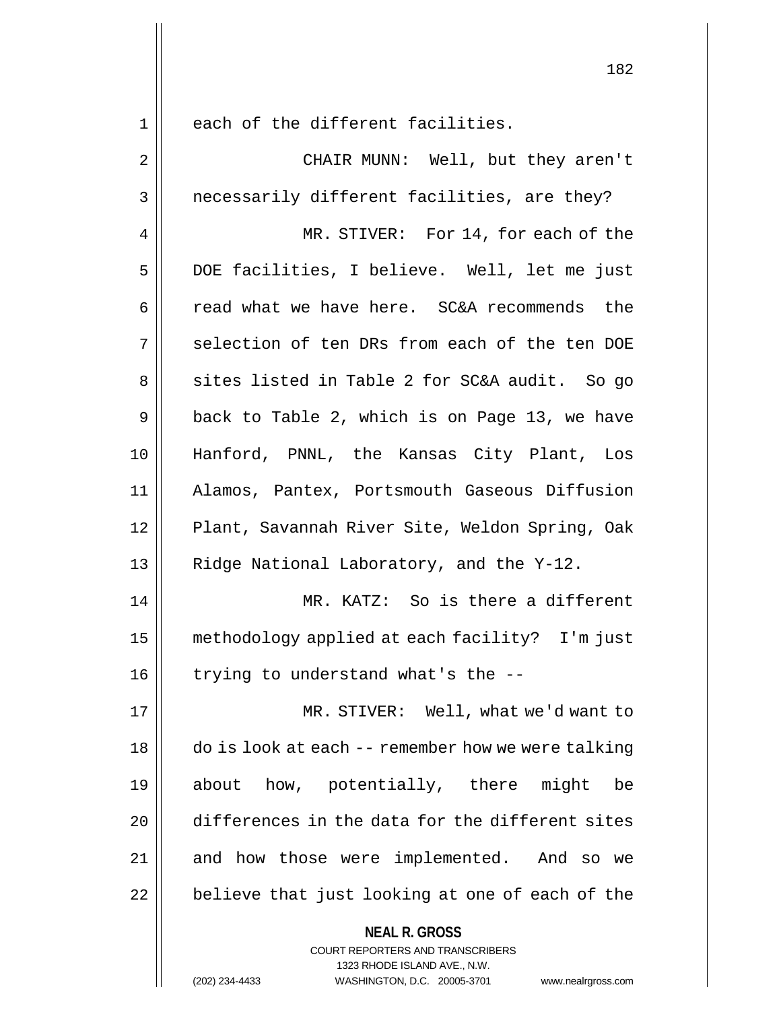1 || each of the different facilities.

**NEAL R. GROSS** COURT REPORTERS AND TRANSCRIBERS 2 CHAIR MUNN: Well, but they aren't 3 || necessarily different facilities, are they? 4 MR. STIVER: For 14, for each of the 5 DOE facilities, I believe. Well, let me just 6 can 6 read what we have here. SC&A recommends the 7 || selection of ten DRs from each of the ten DOE 8 || sites listed in Table 2 for SC&A audit. So go  $9 \parallel$  back to Table 2, which is on Page 13, we have 10 Hanford, PNNL, the Kansas City Plant, Los 11 Alamos, Pantex, Portsmouth Gaseous Diffusion 12 || Plant, Savannah River Site, Weldon Spring, Oak 13 | Ridge National Laboratory, and the Y-12. 14 || MR. KATZ: So is there a different 15 methodology applied at each facility? I'm just 16  $\parallel$  trying to understand what's the --17 MR. STIVER: Well, what we'd want to 18 do is look at each -- remember how we were talking 19 about how, potentially, there might be 20 differences in the data for the different sites 21 || and how those were implemented. And so we  $22$  | believe that just looking at one of each of the

1323 RHODE ISLAND AVE., N.W.

(202) 234-4433 WASHINGTON, D.C. 20005-3701 www.nealrgross.com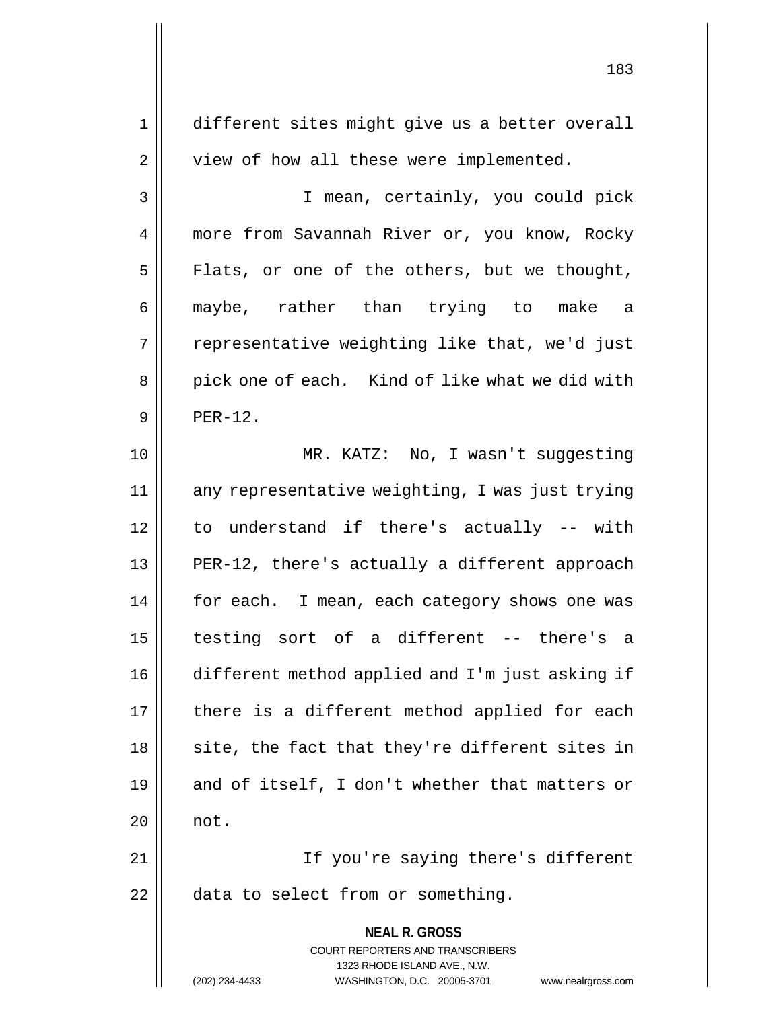**NEAL R. GROSS** COURT REPORTERS AND TRANSCRIBERS 1323 RHODE ISLAND AVE., N.W. (202) 234-4433 WASHINGTON, D.C. 20005-3701 www.nealrgross.com 1 different sites might give us a better overall 2 | view of how all these were implemented. 3 I mean, certainly, you could pick 4 | more from Savannah River or, you know, Rocky  $5$  Flats, or one of the others, but we thought, 6 maybe, rather than trying to make a  $7 \parallel$  representative weighting like that, we'd just 8 || pick one of each. Kind of like what we did with  $9 \parallel$  PFR-12. 10 MR. KATZ: No, I wasn't suggesting 11 any representative weighting, I was just trying 12 to understand if there's actually -- with 13 || PER-12, there's actually a different approach 14 | for each. I mean, each category shows one was 15 testing sort of a different -- there's a 16 different method applied and I'm just asking if 17 || there is a different method applied for each  $18$  || site, the fact that they're different sites in 19  $\parallel$  and of itself, I don't whether that matters or  $20$  || not. 21 || If you're saying there's different  $22$  || data to select from or something.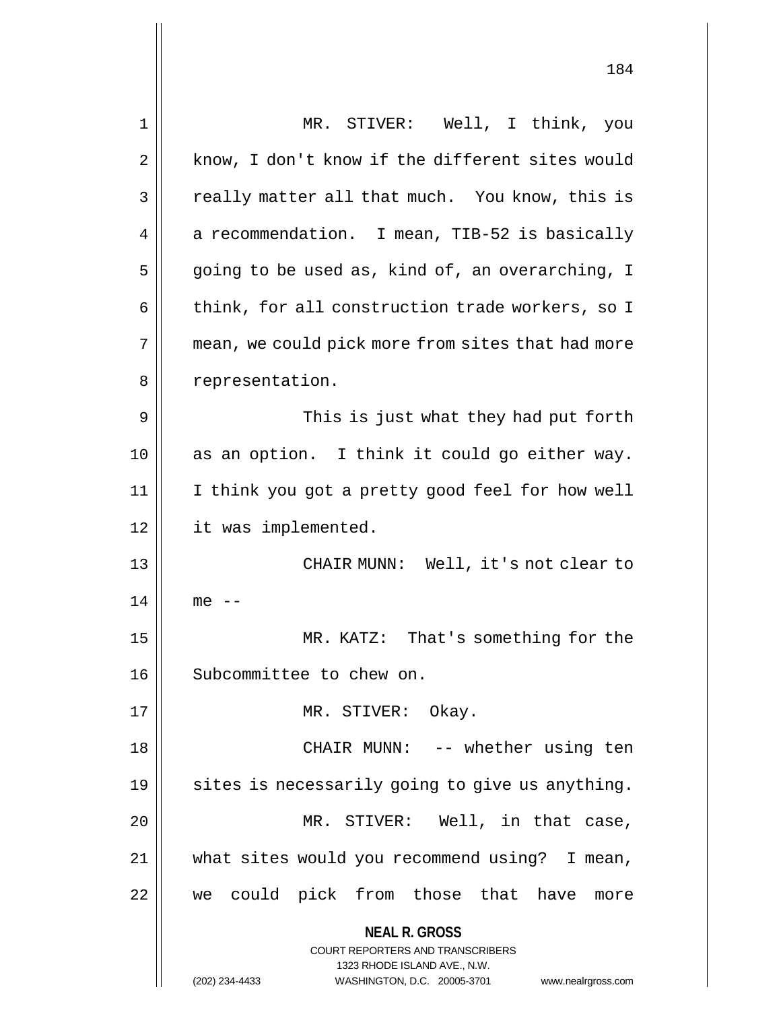| 1  | MR. STIVER: Well, I think, you                                          |
|----|-------------------------------------------------------------------------|
| 2  | know, I don't know if the different sites would                         |
| 3  | really matter all that much. You know, this is                          |
| 4  | a recommendation. I mean, TIB-52 is basically                           |
| 5  | going to be used as, kind of, an overarching, I                         |
| 6  | think, for all construction trade workers, so I                         |
| 7  | mean, we could pick more from sites that had more                       |
| 8  | representation.                                                         |
| 9  | This is just what they had put forth                                    |
| 10 | as an option. I think it could go either way.                           |
| 11 | I think you got a pretty good feel for how well                         |
| 12 | it was implemented.                                                     |
| 13 | CHAIR MUNN: Well, it's not clear to                                     |
| 14 | $me$ --                                                                 |
| 15 | MR. KATZ: That's something for the                                      |
| 16 | Subcommittee to chew on.                                                |
| 17 | MR. STIVER: Okay.                                                       |
| 18 | CHAIR MUNN: -- whether using ten                                        |
| 19 | sites is necessarily going to give us anything.                         |
| 20 | MR. STIVER: Well, in that case,                                         |
| 21 | what sites would you recommend using? I mean,                           |
| 22 | we could pick from those that have more                                 |
|    | <b>NEAL R. GROSS</b>                                                    |
|    | <b>COURT REPORTERS AND TRANSCRIBERS</b><br>1323 RHODE ISLAND AVE., N.W. |
|    | (202) 234-4433<br>WASHINGTON, D.C. 20005-3701<br>www.nealrgross.com     |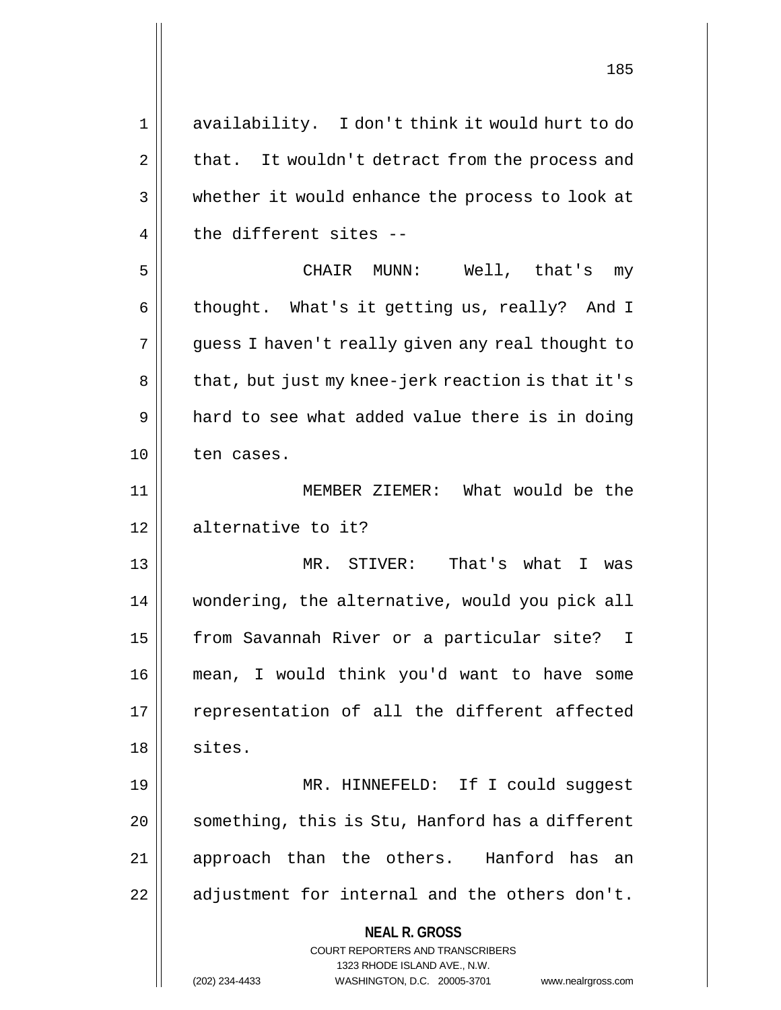**NEAL R. GROSS** COURT REPORTERS AND TRANSCRIBERS 1323 RHODE ISLAND AVE., N.W. (202) 234-4433 WASHINGTON, D.C. 20005-3701 www.nealrgross.com 1 availability. I don't think it would hurt to do  $2 \parallel$  that. It wouldn't detract from the process and 3 whether it would enhance the process to look at  $4 \parallel$  the different sites --5 CHAIR MUNN: Well, that's my 6 | thought. What's it getting us, really? And I 7 || guess I haven't really given any real thought to 8 || that, but just my knee-jerk reaction is that it's  $9 \parallel$  hard to see what added value there is in doing 10 ten cases. 11 MEMBER ZIEMER: What would be the 12 dellernative to it? 13 MR. STIVER: That's what I was 14 wondering, the alternative, would you pick all 15 | from Savannah River or a particular site? I 16 mean, I would think you'd want to have some 17 || representation of all the different affected  $18 \parallel$  sites. 19 MR. HINNEFELD: If I could suggest 20 | something, this is Stu, Hanford has a different 21 || approach than the others. Hanford has an  $22$  || adjustment for internal and the others don't.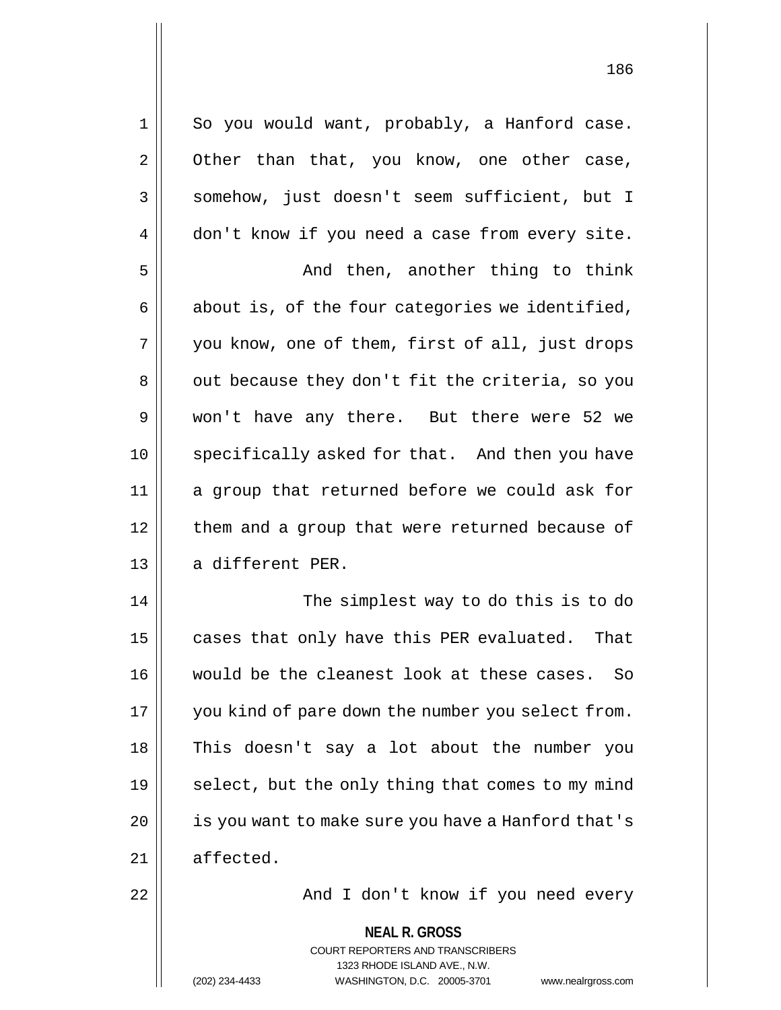**NEAL R. GROSS** 1 || So you would want, probably, a Hanford case.  $2 \parallel$  Other than that, you know, one other case, 3 || somehow, just doesn't seem sufficient, but I 4 don't know if you need a case from every site. 5 And then, another thing to think  $6 \parallel$  about is, of the four categories we identified, 7 || you know, one of them, first of all, just drops 8 | out because they don't fit the criteria, so you 9 won't have any there. But there were 52 we 10 || specifically asked for that. And then you have 11 a group that returned before we could ask for 12 | them and a group that were returned because of 13 || a different PER. 14 || The simplest way to do this is to do 15  $\parallel$  cases that only have this PER evaluated. That 16 would be the cleanest look at these cases. So 17 || you kind of pare down the number you select from. 18 || This doesn't say a lot about the number you 19  $\parallel$  select, but the only thing that comes to my mind 20 | is you want to make sure you have a Hanford that's 21 affected. 22 And I don't know if you need every

> COURT REPORTERS AND TRANSCRIBERS 1323 RHODE ISLAND AVE., N.W. (202) 234-4433 WASHINGTON, D.C. 20005-3701 www.nealrgross.com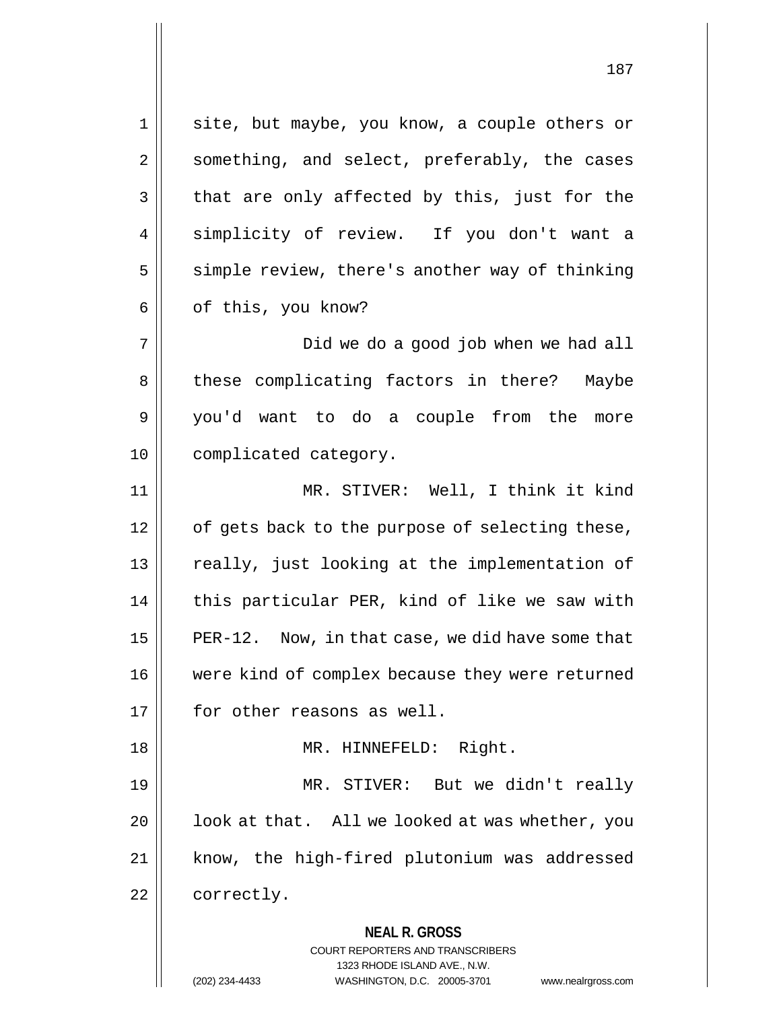**NEAL R. GROSS** COURT REPORTERS AND TRANSCRIBERS 1323 RHODE ISLAND AVE., N.W. 1 || site, but maybe, you know, a couple others or 2 || something, and select, preferably, the cases  $3 \parallel$  that are only affected by this, just for the 4 || simplicity of review. If you don't want a  $5 \parallel$  simple review, there's another way of thinking  $6 \parallel$  of this, you know? 7 Did we do a good job when we had all 8 || these complicating factors in there? Maybe 9 you'd want to do a couple from the more 10 | complicated category. 11 || MR. STIVER: Well, I think it kind  $12$  | of gets back to the purpose of selecting these, 13 || really, just looking at the implementation of  $14$  | this particular PER, kind of like we saw with 15  $\vert$  PER-12. Now, in that case, we did have some that 16 were kind of complex because they were returned 17 | for other reasons as well. 18 || MR. HINNEFELD: Right. 19 MR. STIVER: But we didn't really  $20$  |  $\vert$  look at that. All we looked at was whether, you 21 || know, the high-fired plutonium was addressed 22 | correctly.

(202) 234-4433 WASHINGTON, D.C. 20005-3701 www.nealrgross.com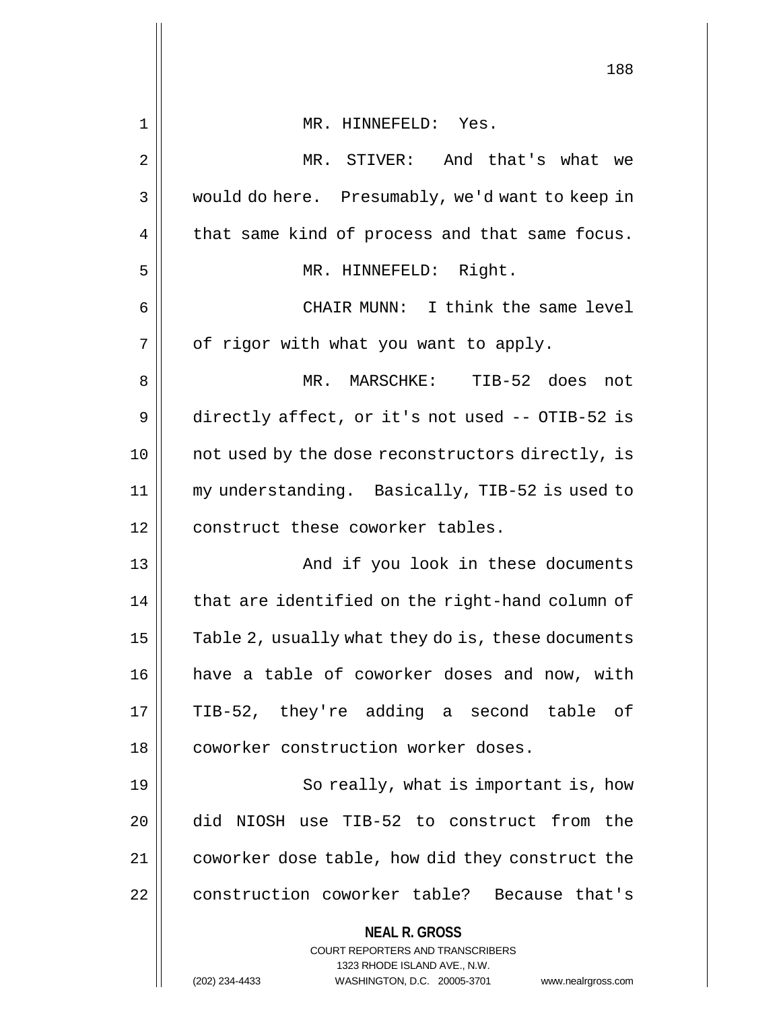|                | 188                                                                                                                                                                    |
|----------------|------------------------------------------------------------------------------------------------------------------------------------------------------------------------|
| 1              | MR. HINNEFELD: Yes.                                                                                                                                                    |
| $\overline{2}$ | MR. STIVER: And that's what we                                                                                                                                         |
| 3              | would do here. Presumably, we'd want to keep in                                                                                                                        |
| 4              | that same kind of process and that same focus.                                                                                                                         |
| 5              | MR. HINNEFELD: Right.                                                                                                                                                  |
| 6              | CHAIR MUNN: I think the same level                                                                                                                                     |
| 7              | of rigor with what you want to apply.                                                                                                                                  |
| 8              | TIB-52 does<br>MR. MARSCHKE:<br>not                                                                                                                                    |
| 9              | directly affect, or it's not used -- OTIB-52 is                                                                                                                        |
| 10             | not used by the dose reconstructors directly, is                                                                                                                       |
| 11             | my understanding. Basically, TIB-52 is used to                                                                                                                         |
| 12             | construct these coworker tables.                                                                                                                                       |
| 13             | And if you look in these documents                                                                                                                                     |
| 14             | that are identified on the right-hand column of                                                                                                                        |
| 15             | Table 2, usually what they do is, these documents                                                                                                                      |
| 16             | have a table of coworker doses and now, with                                                                                                                           |
| 17             | TIB-52, they're adding a second table of                                                                                                                               |
| 18             | coworker construction worker doses.                                                                                                                                    |
| 19             | So really, what is important is, how                                                                                                                                   |
| 20             | did NIOSH use TIB-52 to construct from the                                                                                                                             |
| 21             | coworker dose table, how did they construct the                                                                                                                        |
| 22             | construction coworker table? Because that's                                                                                                                            |
|                | <b>NEAL R. GROSS</b><br><b>COURT REPORTERS AND TRANSCRIBERS</b><br>1323 RHODE ISLAND AVE., N.W.<br>(202) 234-4433<br>WASHINGTON, D.C. 20005-3701<br>www.nealrgross.com |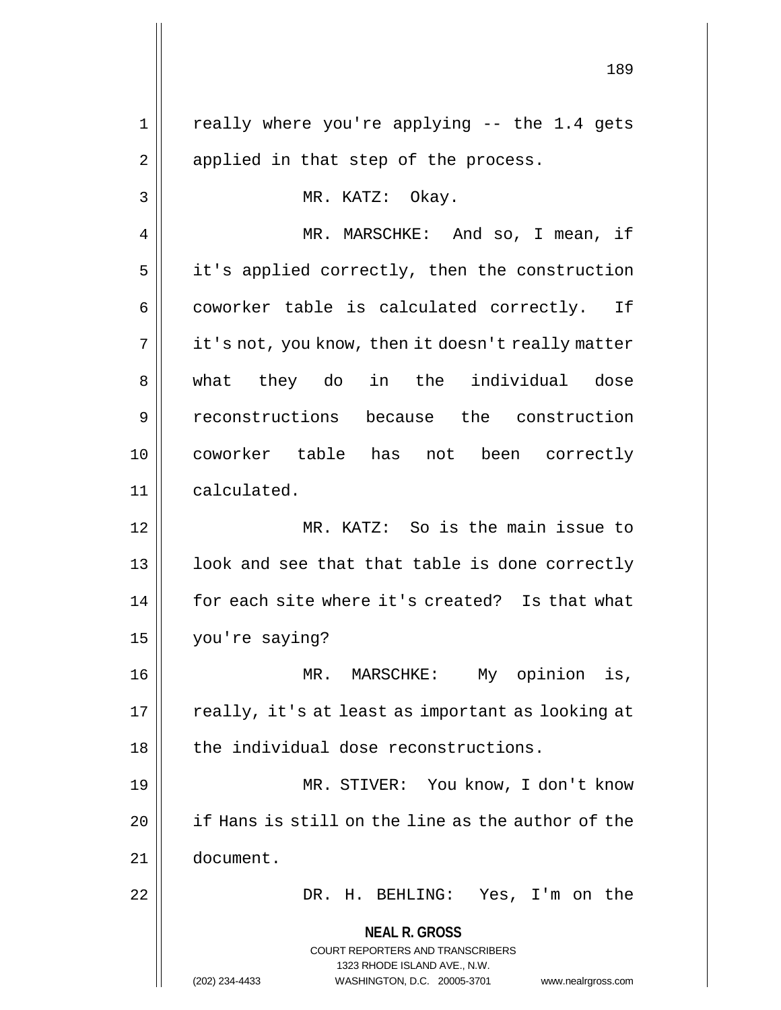**NEAL R. GROSS** COURT REPORTERS AND TRANSCRIBERS 1323 RHODE ISLAND AVE., N.W. (202) 234-4433 WASHINGTON, D.C. 20005-3701 www.nealrgross.com  $1 ||$  really where you're applying -- the 1.4 gets  $2 \parallel$  applied in that step of the process. 3 || MR. KATZ: Okay. 4 MR. MARSCHKE: And so, I mean, if  $5 \parallel$  it's applied correctly, then the construction  $6 \parallel$  coworker table is calculated correctly. If  $7 \parallel$  it's not, you know, then it doesn't really matter 8 || what they do in the individual dose 9 reconstructions because the construction 10 coworker table has not been correctly 11 calculated. 12 MR. KATZ: So is the main issue to 13 || look and see that that table is done correctly 14 || for each site where it's created? Is that what 15 you're saying? 16 MR. MARSCHKE: My opinion is,  $17$  | really, it's at least as important as looking at  $18$  || the individual dose reconstructions. 19 MR. STIVER: You know, I don't know 20 | if Hans is still on the line as the author of the 21 document. 22 DR. H. BEHLING: Yes, I'm on the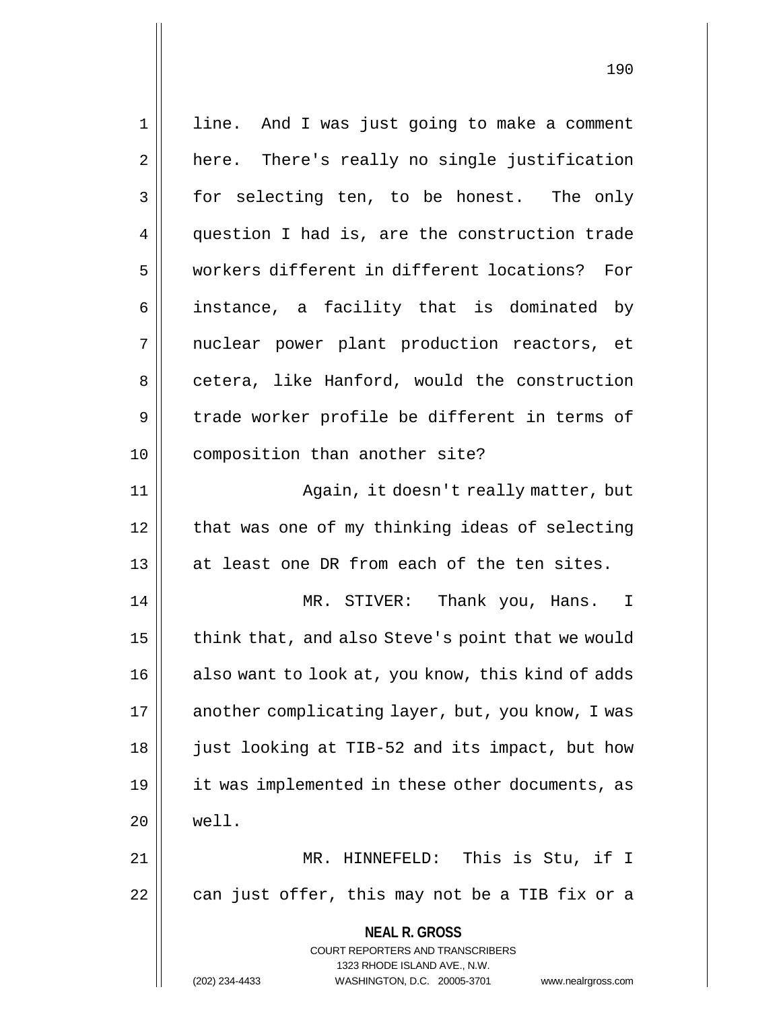**NEAL R. GROSS** COURT REPORTERS AND TRANSCRIBERS 1323 RHODE ISLAND AVE., N.W. (202) 234-4433 WASHINGTON, D.C. 20005-3701 www.nealrgross.com 1 || line. And I was just going to make a comment 2 | here. There's really no single justification 3 for selecting ten, to be honest. The only 4 question I had is, are the construction trade 5 workers different in different locations? For 6 || instance, a facility that is dominated by 7 || nuclear power plant production reactors, et 8 cetera, like Hanford, would the construction 9 trade worker profile be different in terms of 10 || composition than another site? 11 || Again, it doesn't really matter, but 12 | that was one of my thinking ideas of selecting 13 || at least one DR from each of the ten sites. 14 MR. STIVER: Thank you, Hans. I  $15$  | think that, and also Steve's point that we would 16 || also want to look at, you know, this kind of adds 17 | another complicating layer, but, you know, I was 18 || just looking at TIB-52 and its impact, but how 19 it was implemented in these other documents, as  $20$  | well. 21 || MR. HINNEFELD: This is Stu, if I  $22$  | can just offer, this may not be a TIB fix or a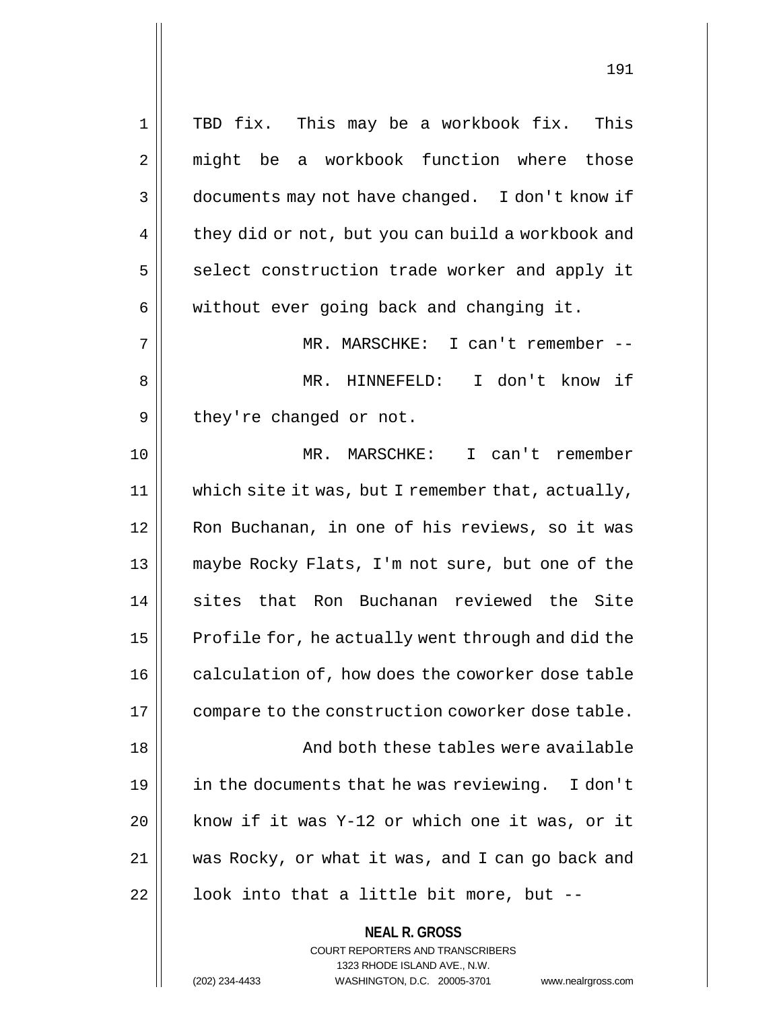1 || TBD fix. This may be a workbook fix. This 2 might be a workbook function where those 3 documents may not have changed. I don't know if  $4 \parallel$  they did or not, but you can build a workbook and  $5 \parallel$  select construction trade worker and apply it  $6 \parallel$  without ever going back and changing it. 7 MR. MARSCHKE: I can't remember -- 8 MR. HINNEFELD: I don't know if  $9 \parallel$  they're changed or not. 10 MR. MARSCHKE: I can't remember 11 which site it was, but I remember that, actually, 12 || Ron Buchanan, in one of his reviews, so it was 13 maybe Rocky Flats, I'm not sure, but one of the 14 || sites that Ron Buchanan reviewed the Site  $15$  Profile for, he actually went through and did the 16 | calculation of, how does the coworker dose table 17 || compare to the construction coworker dose table. 18 || And both these tables were available 19 in the documents that he was reviewing. I don't 20 know if it was Y-12 or which one it was, or it 21 was Rocky, or what it was, and I can go back and  $22$  |  $\vert$  look into that a little bit more, but --

> **NEAL R. GROSS** COURT REPORTERS AND TRANSCRIBERS 1323 RHODE ISLAND AVE., N.W.

(202) 234-4433 WASHINGTON, D.C. 20005-3701 www.nealrgross.com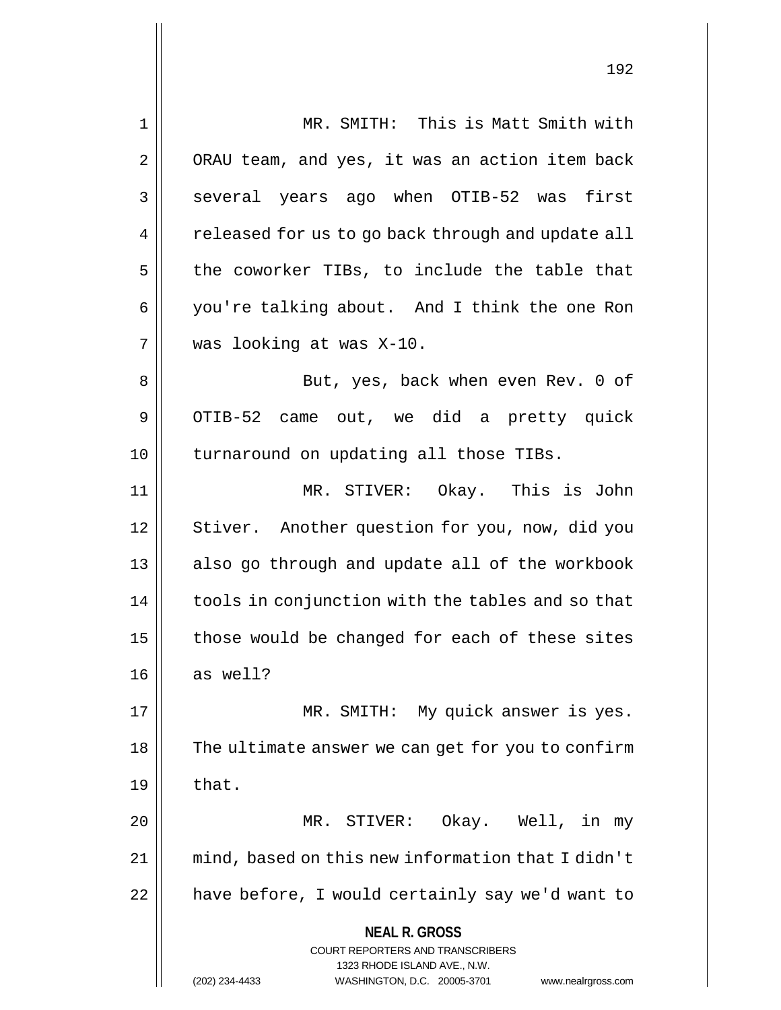**NEAL R. GROSS** COURT REPORTERS AND TRANSCRIBERS 1323 RHODE ISLAND AVE., N.W. (202) 234-4433 WASHINGTON, D.C. 20005-3701 www.nealrgross.com 1 MR. SMITH: This is Matt Smith with 2 | ORAU team, and yes, it was an action item back 3 || several years ago when OTIB-52 was first 4 | released for us to go back through and update all  $5$  the coworker TIBs, to include the table that 6 you're talking about. And I think the one Ron 7 was looking at was X-10. 8 || But, yes, back when even Rev. 0 of 9 | OTIB-52 came out, we did a pretty quick 10 || turnaround on updating all those TIBs. 11 MR. STIVER: Okay. This is John 12 | Stiver. Another question for you, now, did you 13 || also go through and update all of the workbook 14 | tools in conjunction with the tables and so that  $15$  | those would be changed for each of these sites  $16 \parallel$  as well? 17 || MR. SMITH: My quick answer is yes. 18 || The ultimate answer we can get for you to confirm  $19 \parallel$  that. 20 MR. STIVER: Okay. Well, in my 21 mind, based on this new information that I didn't 22 | have before, I would certainly say we'd want to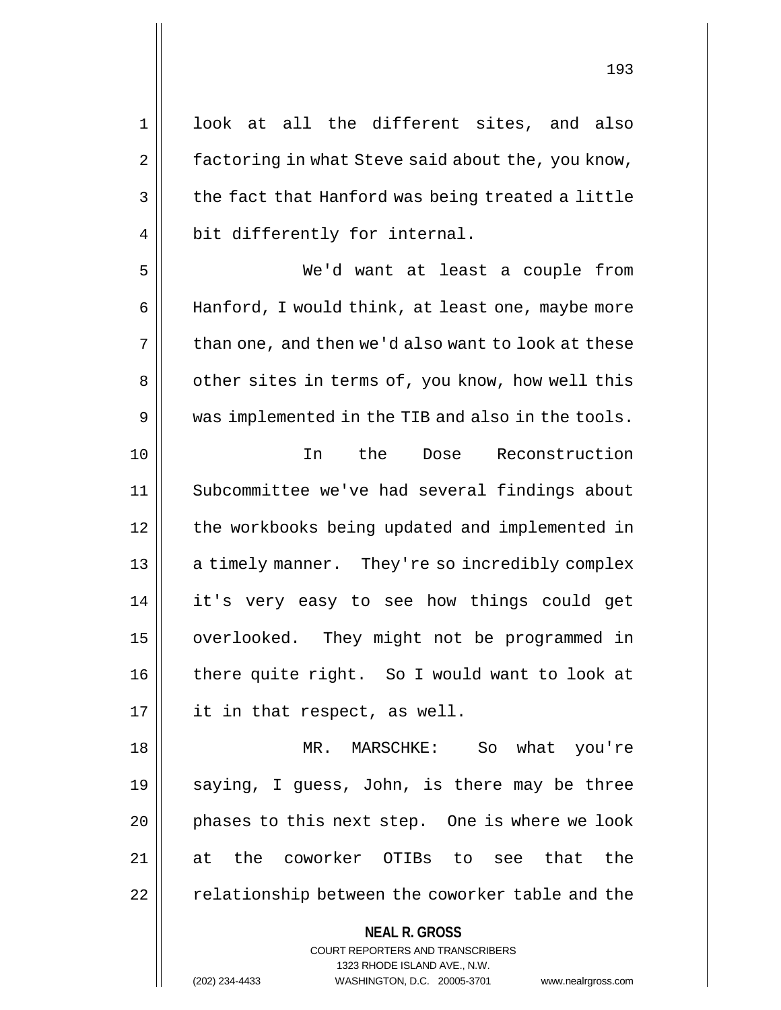1 || look at all the different sites, and also  $2 \parallel$  factoring in what Steve said about the, you know,  $3 \parallel$  the fact that Hanford was being treated a little 4 || bit differently for internal.

5 We'd want at least a couple from 6 | Hanford, I would think, at least one, maybe more  $7 \parallel$  than one, and then we'd also want to look at these 8 | other sites in terms of, you know, how well this 9 We was implemented in the TIB and also in the tools. 10 In the Dose Reconstruction 11 Subcommittee we've had several findings about 12 | the workbooks being updated and implemented in 13 || a timely manner. They're so incredibly complex 14 it's very easy to see how things could get 15 | overlooked. They might not be programmed in 16 there quite right. So I would want to look at  $17 \parallel$  it in that respect, as well.

18 MR. MARSCHKE: So what you're 19  $\parallel$  saying, I guess, John, is there may be three 20 || phases to this next step. One is where we look 21 at the coworker OTIBs to see that the  $22$   $\parallel$  relationship between the coworker table and the

> **NEAL R. GROSS** COURT REPORTERS AND TRANSCRIBERS

> > 1323 RHODE ISLAND AVE., N.W.

(202) 234-4433 WASHINGTON, D.C. 20005-3701 www.nealrgross.com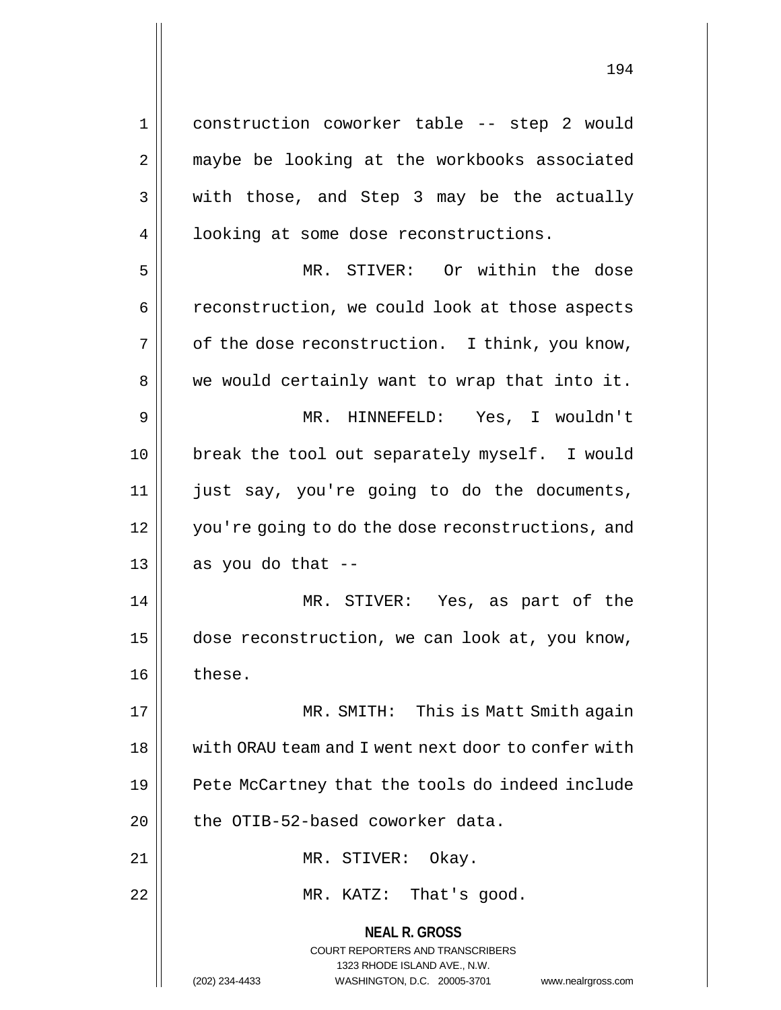1 || construction coworker table -- step 2 would 2 || maybe be looking at the workbooks associated  $3 \parallel$  with those, and Step 3 may be the actually 4 | looking at some dose reconstructions. 5 MR. STIVER: Or within the dose

6 | reconstruction, we could look at those aspects  $7 \parallel$  of the dose reconstruction. I think, you know,  $8 \parallel$  we would certainly want to wrap that into it. 9 MR. HINNEFELD: Yes, I wouldn't 10 || break the tool out separately myself. I would 11 just say, you're going to do the documents, 12 you're going to do the dose reconstructions, and  $13 \parallel$  as you do that --

14 MR. STIVER: Yes, as part of the 15 | dose reconstruction, we can look at, you know, 16 || these.

17 MR. SMITH: This is Matt Smith again 18 || with ORAU team and I went next door to confer with 19 || Pete McCartney that the tools do indeed include  $20$  | the OTIB-52-based coworker data.

21 || MR. STIVER: Okay.

22 || MR. KATZ: That's good.

**NEAL R. GROSS** COURT REPORTERS AND TRANSCRIBERS 1323 RHODE ISLAND AVE., N.W.

(202) 234-4433 WASHINGTON, D.C. 20005-3701 www.nealrgross.com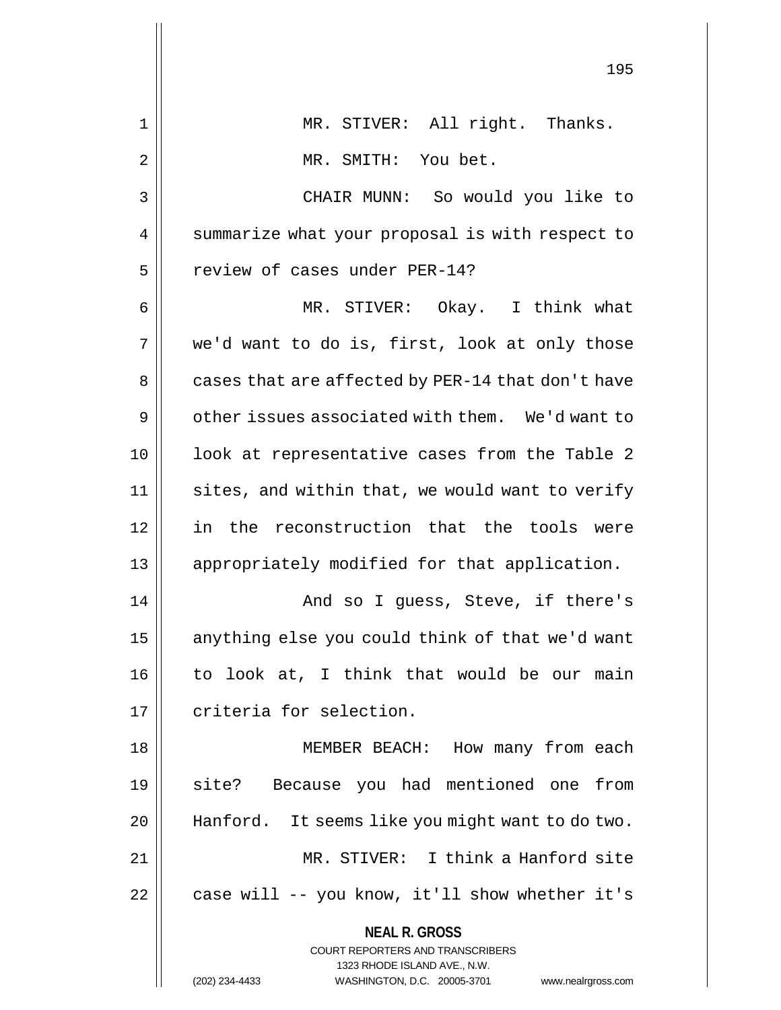|    | エンコ                                                                     |
|----|-------------------------------------------------------------------------|
| 1  | MR. STIVER: All right. Thanks.                                          |
| 2  | MR. SMITH: You bet.                                                     |
| 3  | CHAIR MUNN: So would you like to                                        |
| 4  | summarize what your proposal is with respect to                         |
| 5  | review of cases under PER-14?                                           |
| 6  | MR. STIVER: Okay. I think what                                          |
| 7  | we'd want to do is, first, look at only those                           |
| 8  | cases that are affected by PER-14 that don't have                       |
| 9  | other issues associated with them. We'd want to                         |
| 10 | look at representative cases from the Table 2                           |
| 11 | sites, and within that, we would want to verify                         |
| 12 | in the reconstruction that the tools were                               |
| 13 | appropriately modified for that application.                            |
| 14 | And so I guess, Steve, if there's                                       |
| 15 | anything else you could think of that we'd want                         |
| 16 | to look at, I think that would be our main                              |
| 17 | criteria for selection.                                                 |
| 18 | MEMBER BEACH: How many from each                                        |
| 19 | site? Because you had mentioned one from                                |
| 20 | Hanford. It seems like you might want to do two.                        |
| 21 | MR. STIVER: I think a Hanford site                                      |
| 22 | case will -- you know, it'll show whether it's                          |
|    | <b>NEAL R. GROSS</b>                                                    |
|    | <b>COURT REPORTERS AND TRANSCRIBERS</b><br>1323 RHODE ISLAND AVE., N.W. |
|    | (202) 234-4433<br>WASHINGTON, D.C. 20005-3701<br>www.nealrgross.com     |
|    |                                                                         |

 $\mathsf{I}$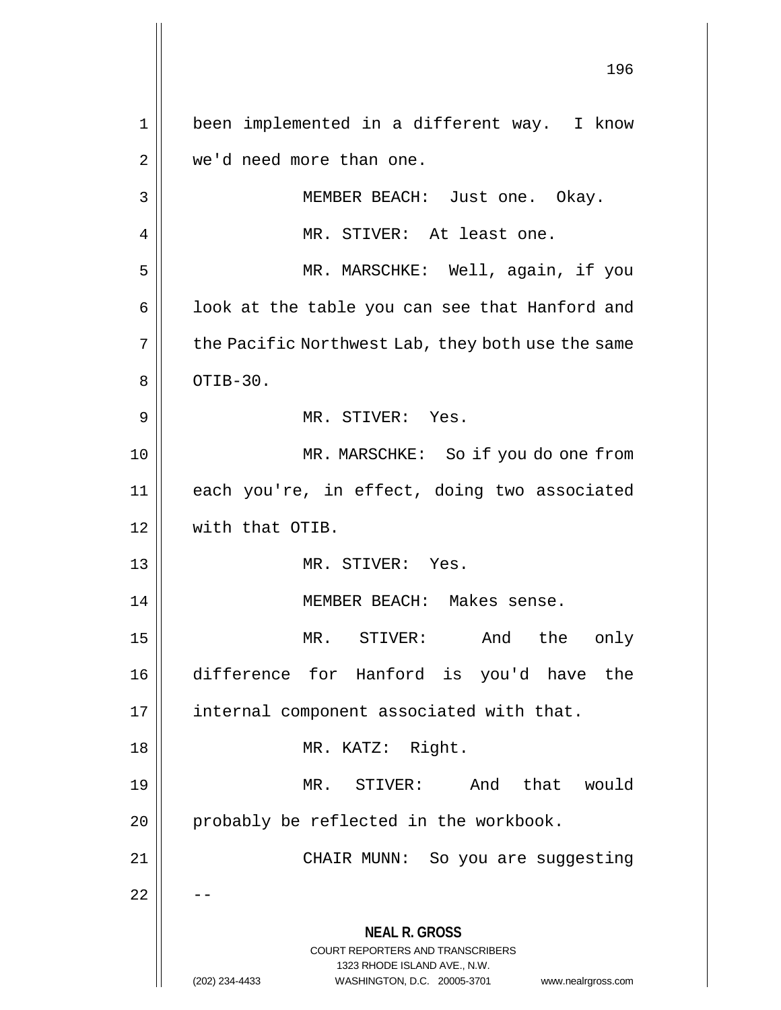**NEAL R. GROSS** COURT REPORTERS AND TRANSCRIBERS 1323 RHODE ISLAND AVE., N.W. (202) 234-4433 WASHINGTON, D.C. 20005-3701 www.nealrgross.com 1 || been implemented in a different way. I know 2 | we'd need more than one. 3 MEMBER BEACH: Just one. Okay. 4 || MR. STIVER: At least one. 5 || MR. MARSCHKE: Well, again, if you  $6 \parallel$  look at the table you can see that Hanford and  $7 \parallel$  the Pacific Northwest Lab, they both use the same  $8 \parallel$  OTIB-30. 9 MR. STIVER: Yes. 10 || MR. MARSCHKE: So if you do one from 11 each you're, in effect, doing two associated 12 with that OTIB. 13 MR. STIVER: Yes. 14 MEMBER BEACH: Makes sense. 15 MR. STIVER: And the only 16 difference for Hanford is you'd have the 17 || internal component associated with that. 18 MR. KATZ: Right. 19 MR. STIVER: And that would  $20$  || probably be reflected in the workbook. 21 CHAIR MUNN: So you are suggesting  $22$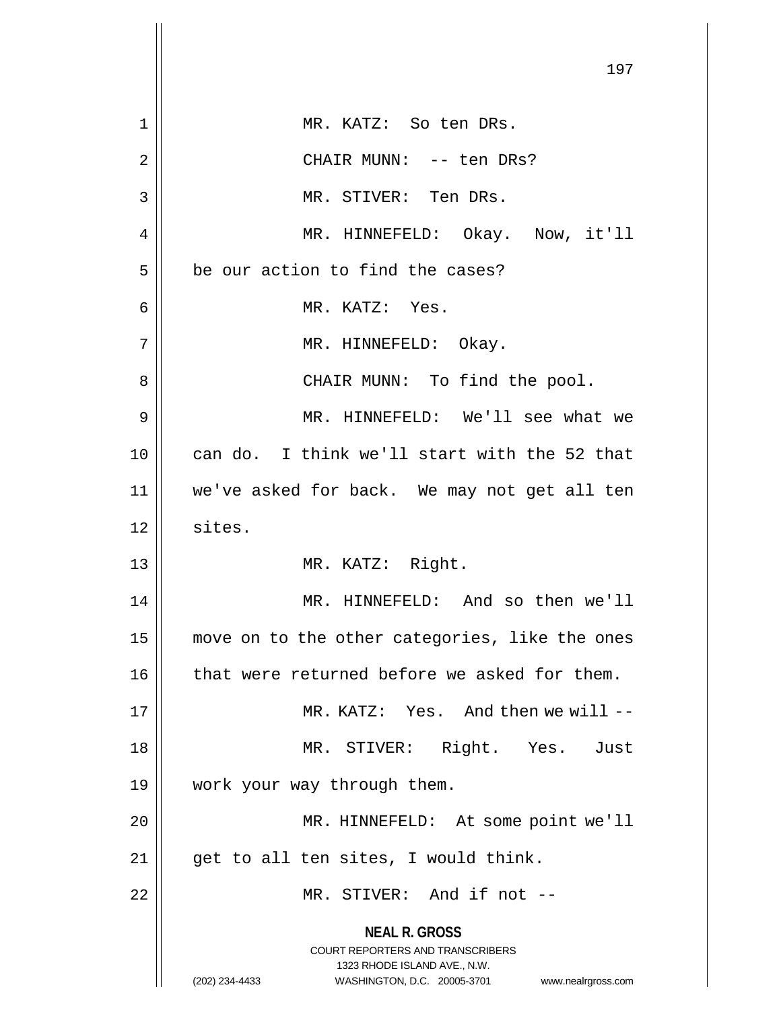|    | 197                                                                                                                                                                    |
|----|------------------------------------------------------------------------------------------------------------------------------------------------------------------------|
| 1  | MR. KATZ: So ten DRs.                                                                                                                                                  |
| 2  | CHAIR MUNN: -- ten DRs?                                                                                                                                                |
| 3  | MR. STIVER: Ten DRs.                                                                                                                                                   |
| 4  | MR. HINNEFELD: Okay. Now, it'll                                                                                                                                        |
| 5  | be our action to find the cases?                                                                                                                                       |
| 6  | MR. KATZ: Yes.                                                                                                                                                         |
| 7  | MR. HINNEFELD: Okay.                                                                                                                                                   |
| 8  | CHAIR MUNN: To find the pool.                                                                                                                                          |
| 9  | MR. HINNEFELD: We'll see what we                                                                                                                                       |
| 10 | can do. I think we'll start with the 52 that                                                                                                                           |
| 11 | we've asked for back. We may not get all ten                                                                                                                           |
| 12 | sites.                                                                                                                                                                 |
| 13 | MR. KATZ: Right.                                                                                                                                                       |
| 14 | MR. HINNEFELD: And so then we'll                                                                                                                                       |
| 15 | move on to the other categories, like the ones                                                                                                                         |
| 16 | that were returned before we asked for them.                                                                                                                           |
| 17 | MR. KATZ: Yes. And then we will --                                                                                                                                     |
| 18 | MR. STIVER: Right. Yes. Just                                                                                                                                           |
| 19 | work your way through them.                                                                                                                                            |
| 20 | MR. HINNEFELD: At some point we'll                                                                                                                                     |
| 21 | get to all ten sites, I would think.                                                                                                                                   |
| 22 | MR. STIVER: And if not --                                                                                                                                              |
|    | <b>NEAL R. GROSS</b><br><b>COURT REPORTERS AND TRANSCRIBERS</b><br>1323 RHODE ISLAND AVE., N.W.<br>(202) 234-4433<br>WASHINGTON, D.C. 20005-3701<br>www.nealrgross.com |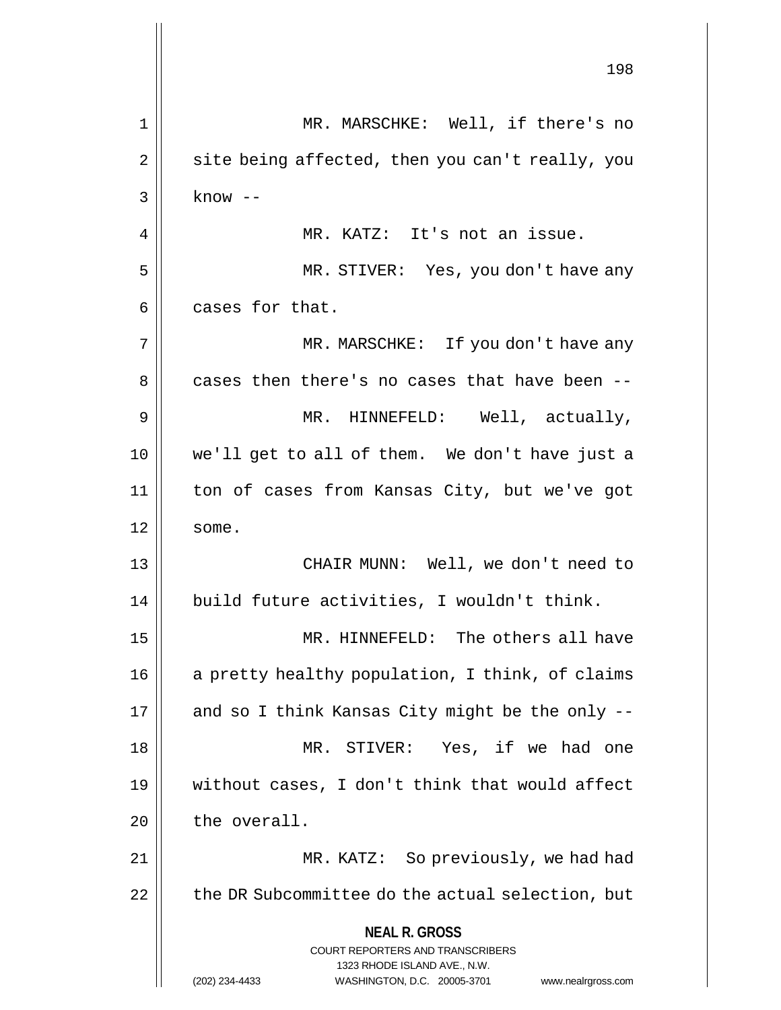**NEAL R. GROSS** COURT REPORTERS AND TRANSCRIBERS 1323 RHODE ISLAND AVE., N.W. (202) 234-4433 WASHINGTON, D.C. 20005-3701 www.nealrgross.com 198 1 || MR. MARSCHKE: Well, if there's no  $2 \parallel$  site being affected, then you can't really, you  $3 \parallel$  know  $-$ 4 || MR. KATZ: It's not an issue. 5 MR. STIVER: Yes, you don't have any  $6$  || cases for that. 7 MR. MARSCHKE: If you don't have any 8 cases then there's no cases that have been --9 MR. HINNEFELD: Well, actually, 10 we'll get to all of them. We don't have just a 11 ton of cases from Kansas City, but we've got  $12 \parallel$  some. 13 || CHAIR MUNN: Well, we don't need to 14 || build future activities, I wouldn't think. 15 MR. HINNEFELD: The others all have 16 || a pretty healthy population, I think, of claims  $17$  || and so I think Kansas City might be the only --18 MR. STIVER: Yes, if we had one 19 without cases, I don't think that would affect  $20$  | the overall. 21 | MR. KATZ: So previously, we had had  $22$   $\parallel$  the DR Subcommittee do the actual selection, but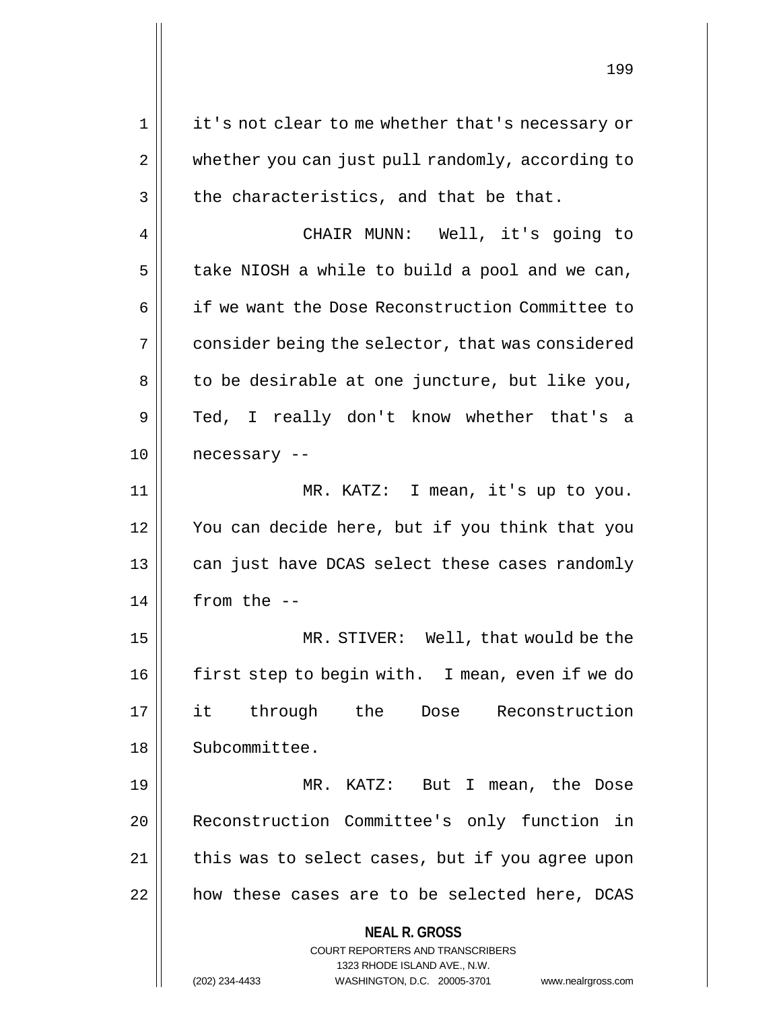1 || it's not clear to me whether that's necessary or 2 | whether you can just pull randomly, according to  $3 \parallel$  the characteristics, and that be that.

4 CHAIR MUNN: Well, it's going to  $5 \parallel$  take NIOSH a while to build a pool and we can, 6 | if we want the Dose Reconstruction Committee to 7 | consider being the selector, that was considered  $8 \parallel$  to be desirable at one juncture, but like you, 9 Ted, I really don't know whether that's a 10 | necessary --

11 MR. KATZ: I mean, it's up to you. 12 You can decide here, but if you think that you 13 || can just have DCAS select these cases randomly  $14$  | from the  $-$ 

15 MR. STIVER: Well, that would be the 16 first step to begin with. I mean, even if we do 17 it through the Dose Reconstruction 18 | Subcommittee.

19 MR. KATZ: But I mean, the Dose 20 Reconstruction Committee's only function in 21 || this was to select cases, but if you agree upon 22 || how these cases are to be selected here, DCAS

**NEAL R. GROSS**

COURT REPORTERS AND TRANSCRIBERS 1323 RHODE ISLAND AVE., N.W. (202) 234-4433 WASHINGTON, D.C. 20005-3701 www.nealrgross.com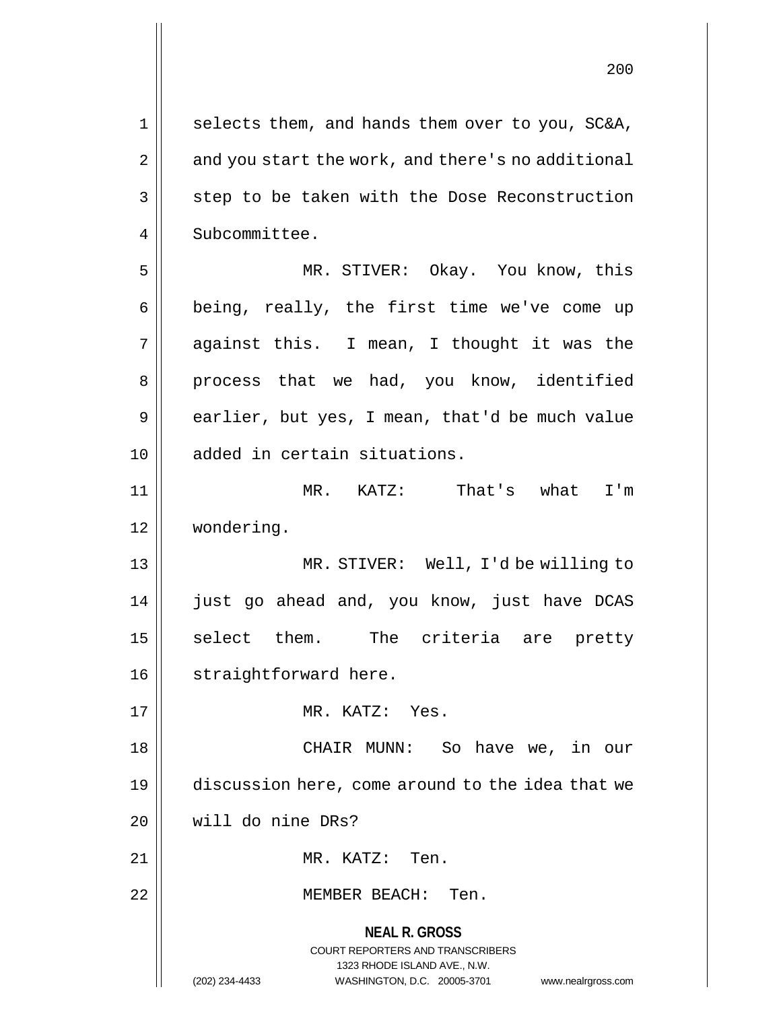$1 \parallel$  selects them, and hands them over to you, SC&A,  $2 \parallel$  and you start the work, and there's no additional  $3 \parallel$  step to be taken with the Dose Reconstruction 4 Subcommittee. 5 MR. STIVER: Okay. You know, this

 $6 \parallel$  being, really, the first time we've come up 7 against this. I mean, I thought it was the 8 || process that we had, you know, identified  $9 \parallel$  earlier, but yes, I mean, that'd be much value 10 added in certain situations.

11 MR. KATZ: That's what I'm 12 wondering.

13 || MR. STIVER: Well, I'd be willing to 14 || just go ahead and, you know, just have DCAS 15 || select them. The criteria are pretty 16 | straightforward here.

17 MR. KATZ: Yes.

18 CHAIR MUNN: So have we, in our 19 discussion here, come around to the idea that we 20 will do nine DRs?

21 MR. KATZ: Ten.

22 MEMBER BEACH: Ten.

**NEAL R. GROSS** COURT REPORTERS AND TRANSCRIBERS 1323 RHODE ISLAND AVE., N.W. (202) 234-4433 WASHINGTON, D.C. 20005-3701 www.nealrgross.com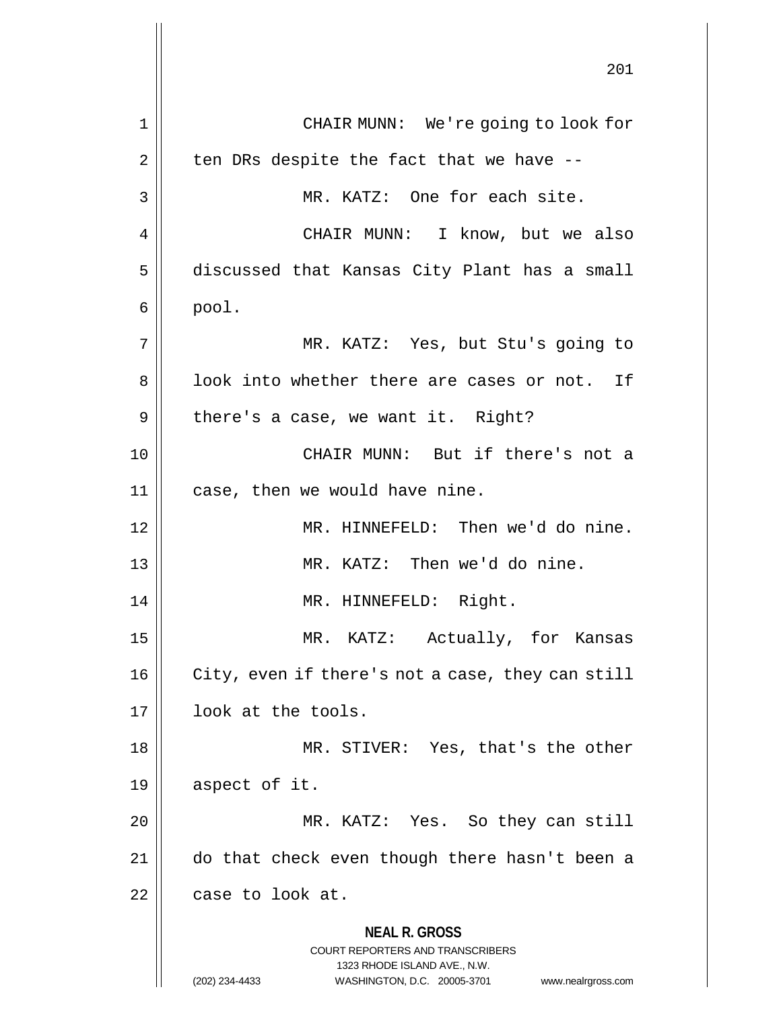**NEAL R. GROSS** COURT REPORTERS AND TRANSCRIBERS 1323 RHODE ISLAND AVE., N.W. (202) 234-4433 WASHINGTON, D.C. 20005-3701 www.nealrgross.com 201 1 CHAIR MUNN: We're going to look for  $2 \parallel$  ten DRs despite the fact that we have --3 || MR. KATZ: One for each site. 4 CHAIR MUNN: I know, but we also 5 discussed that Kansas City Plant has a small  $6 \parallel$  pool. 7 MR. KATZ: Yes, but Stu's going to 8 || look into whether there are cases or not. If  $9 \parallel$  there's a case, we want it. Right? 10 CHAIR MUNN: But if there's not a  $11$  | case, then we would have nine. 12 MR. HINNEFELD: Then we'd do nine. 13 MR. KATZ: Then we'd do nine. 14 || MR. HINNEFELD: Right. 15 MR. KATZ: Actually, for Kansas 16 | City, even if there's not a case, they can still 17 || look at the tools. 18 MR. STIVER: Yes, that's the other  $19 \parallel$  aspect of it. 20 || MR. KATZ: Yes. So they can still 21 do that check even though there hasn't been a  $22$  | case to look at.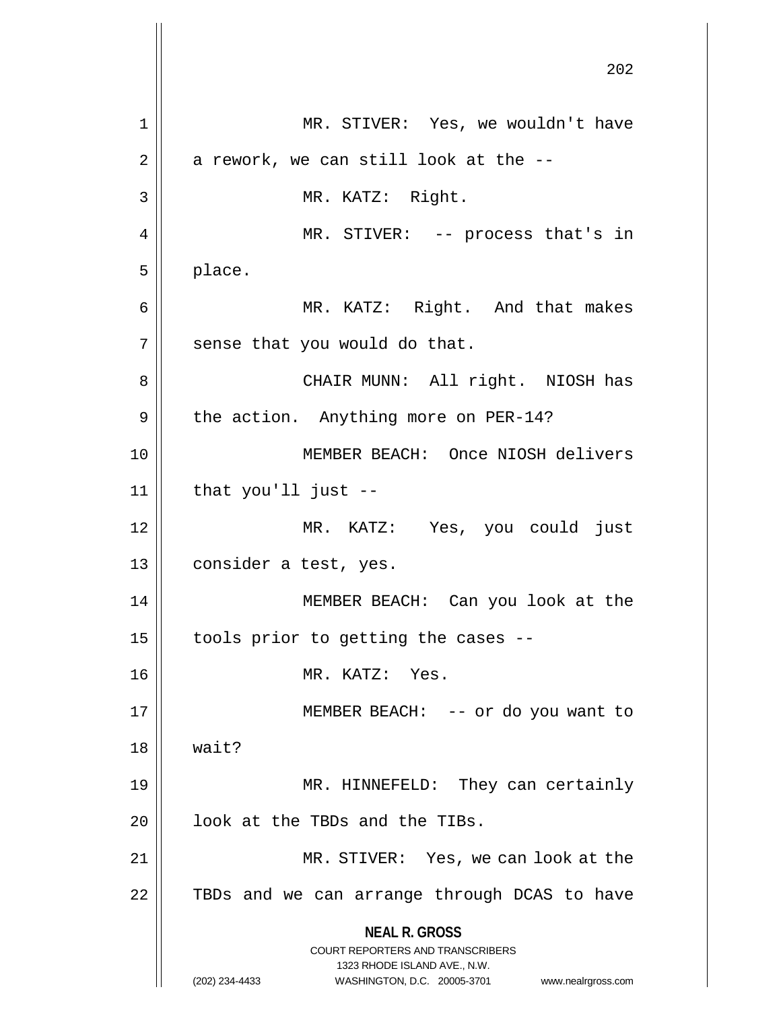**NEAL R. GROSS** COURT REPORTERS AND TRANSCRIBERS 1323 RHODE ISLAND AVE., N.W. (202) 234-4433 WASHINGTON, D.C. 20005-3701 www.nealrgross.com 202 1 MR. STIVER: Yes, we wouldn't have  $2 \parallel$  a rework, we can still look at the  $-$ 3 MR. KATZ: Right. 4 || MR. STIVER: -- process that's in  $5 \parallel$  place. 6 MR. KATZ: Right. And that makes  $7$  || sense that you would do that. 8 CHAIR MUNN: All right. NIOSH has  $9 \parallel$  the action. Anything more on PER-14? 10 MEMBER BEACH: Once NIOSH delivers  $11$  | that you'll just  $-$ 12 MR. KATZ: Yes, you could just 13 || consider a test, yes. 14 MEMBER BEACH: Can you look at the  $15$  | tools prior to getting the cases --16 MR. KATZ: Yes. 17 || MEMBER BEACH: -- or do you want to  $18$  | wait? 19 MR. HINNEFELD: They can certainly  $20$  |  $100k$  at the TBDs and the TIBs. 21 MR. STIVER: Yes, we can look at the 22 || TBDs and we can arrange through DCAS to have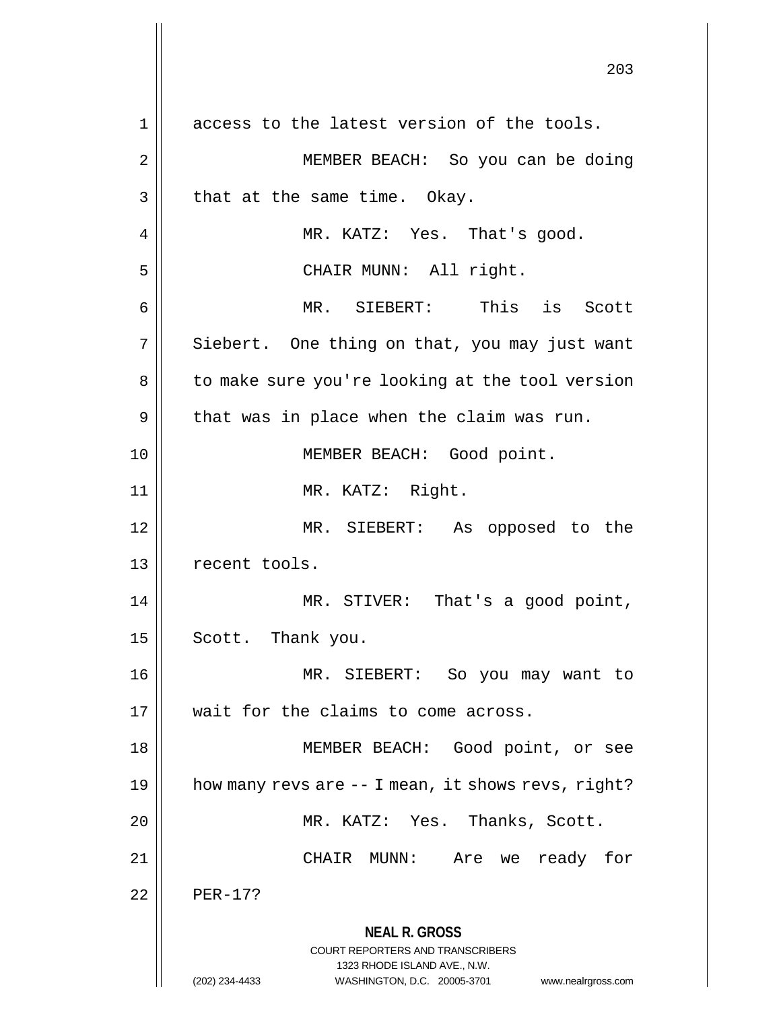**NEAL R. GROSS** COURT REPORTERS AND TRANSCRIBERS 1323 RHODE ISLAND AVE., N.W. (202) 234-4433 WASHINGTON, D.C. 20005-3701 www.nealrgross.com 203 1 || access to the latest version of the tools. 2 || MEMBER BEACH: So you can be doing  $3 \parallel$  that at the same time. Okay. 4 MR. KATZ: Yes. That's good. 5 || CHAIR MUNN: All right. 6 MR. SIEBERT: This is Scott  $7 \parallel$  Siebert. One thing on that, you may just want 8 | to make sure you're looking at the tool version  $9 \parallel$  that was in place when the claim was run. 10 || **MEMBER BEACH:** Good point. 11 || MR. KATZ: Right. 12 MR. SIEBERT: As opposed to the 13 || recent tools. 14 || MR. STIVER: That's a good point, 15 | Scott. Thank you. 16 MR. SIEBERT: So you may want to 17 || wait for the claims to come across. 18 MEMBER BEACH: Good point, or see 19  $\parallel$  how many revs are  $-$  I mean, it shows revs, right? 20 MR. KATZ: Yes. Thanks, Scott. 21 CHAIR MUNN: Are we ready for  $22$  | PER-17?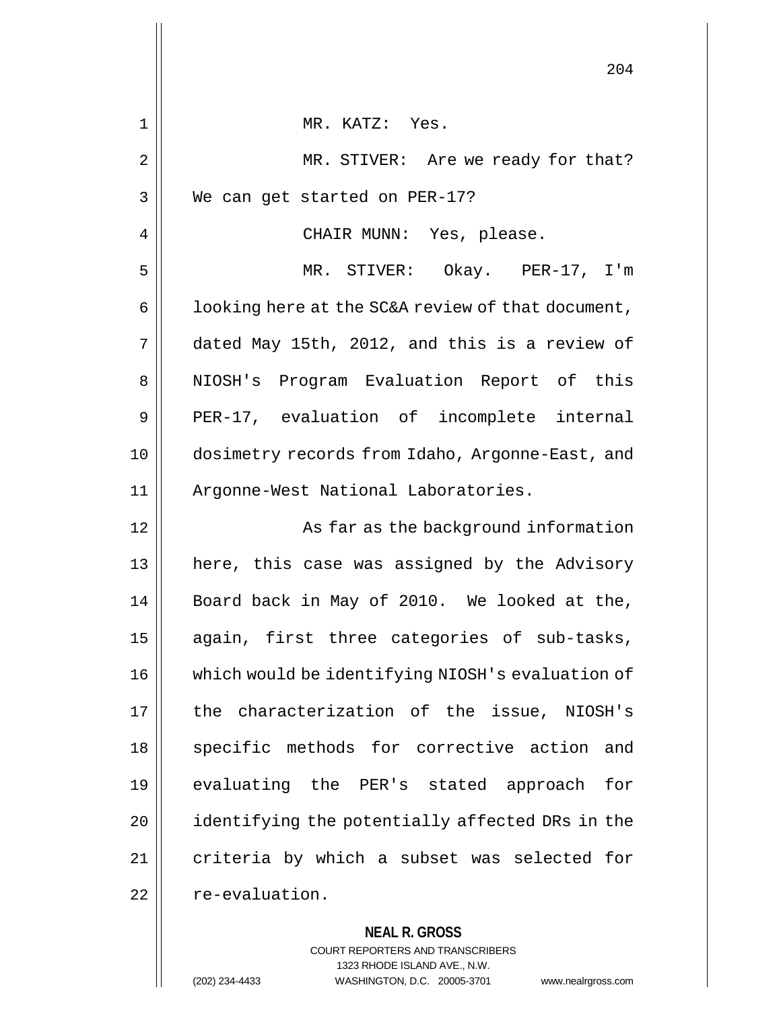|    | 204                                               |
|----|---------------------------------------------------|
| 1  | MR. KATZ: Yes.                                    |
| 2  | MR. STIVER: Are we ready for that?                |
| 3  | We can get started on PER-17?                     |
| 4  | CHAIR MUNN: Yes, please.                          |
| 5  | MR. STIVER: Okay. PER-17, I'm                     |
| 6  | looking here at the SC&A review of that document, |
| 7  | dated May 15th, 2012, and this is a review of     |
| 8  | NIOSH's Program Evaluation Report of this         |
| 9  | PER-17, evaluation of incomplete internal         |
| 10 | dosimetry records from Idaho, Argonne-East, and   |
| 11 | Argonne-West National Laboratories.               |
| 12 | As far as the background information              |
| 13 | here, this case was assigned by the Advisory      |
| 14 | Board back in May of 2010. We looked at the,      |
| 15 | again, first three categories of sub-tasks,       |
| 16 | which would be identifying NIOSH's evaluation of  |
| 17 | the characterization of the issue, NIOSH's        |
| 18 | specific methods for corrective action and        |
| 19 | evaluating the PER's stated approach for          |
| 20 | identifying the potentially affected DRs in the   |
| 21 | criteria by which a subset was selected for       |
| 22 | re-evaluation.                                    |
|    |                                                   |

**NEAL R. GROSS** COURT REPORTERS AND TRANSCRIBERS 1323 RHODE ISLAND AVE., N.W. (202) 234-4433 WASHINGTON, D.C. 20005-3701 www.nealrgross.com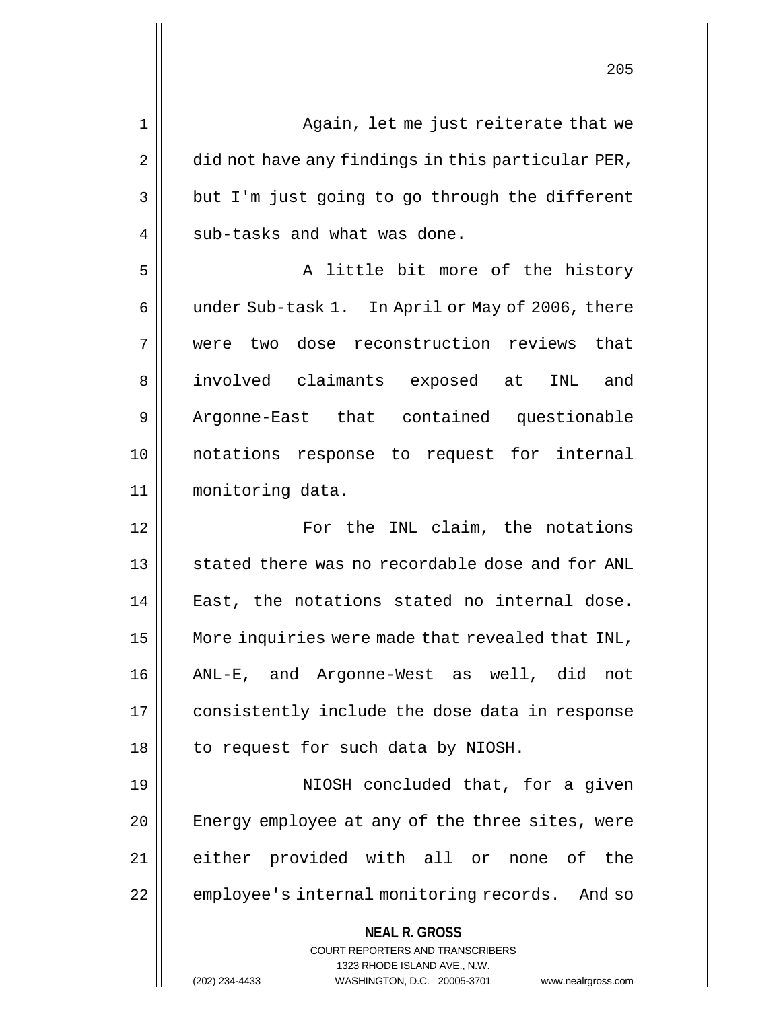**NEAL R. GROSS** COURT REPORTERS AND TRANSCRIBERS 1323 RHODE ISLAND AVE., N.W. 1 || Again, let me just reiterate that we  $2 \parallel$  did not have any findings in this particular PER,  $3 \parallel$  but I'm just going to go through the different 4 || sub-tasks and what was done. 5 || A little bit more of the history 6 | under Sub-task 1. In April or May of 2006, there 7 were two dose reconstruction reviews that 8 || involved claimants exposed at INL and 9 || Argonne-East that contained questionable 10 notations response to request for internal 11 monitoring data. 12 For the INL claim, the notations 13 || stated there was no recordable dose and for ANL 14 || East, the notations stated no internal dose. 15 | More inquiries were made that revealed that INL, 16 ANL-E, and Argonne-West as well, did not 17 | consistently include the dose data in response 18 | to request for such data by NIOSH. 19 || NIOSH concluded that, for a given 20 || Energy employee at any of the three sites, were 21 either provided with all or none of the 22 | employee's internal monitoring records. And so

(202) 234-4433 WASHINGTON, D.C. 20005-3701 www.nealrgross.com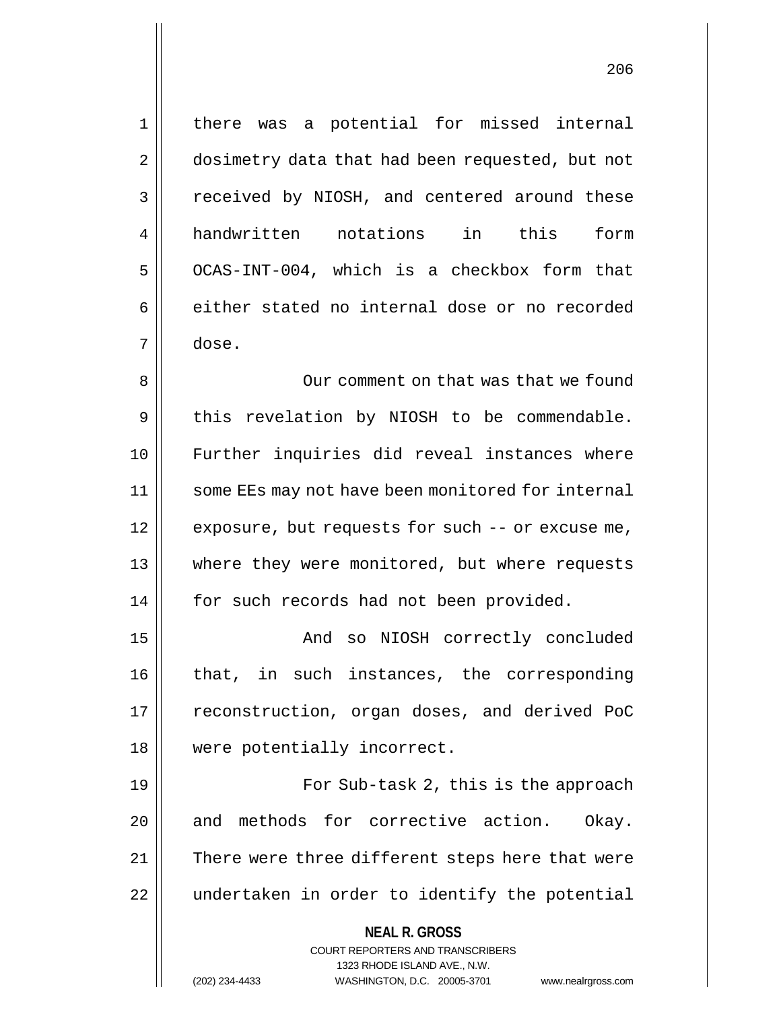1 || there was a potential for missed internal 2 | dosimetry data that had been requested, but not 3 Teceived by NIOSH, and centered around these 4 handwritten notations in this form  $5$  OCAS-INT-004, which is a checkbox form that  $6 \parallel$  either stated no internal dose or no recorded 7 dose. 8 || Our comment on that was that we found  $9 \parallel$  this revelation by NIOSH to be commendable. 10 Further inquiries did reveal instances where 11 || some EEs may not have been monitored for internal 12 || exposure, but requests for such -- or excuse me, 13 where they were monitored, but where requests 14 | for such records had not been provided. 15 || And so NIOSH correctly concluded 16 that, in such instances, the corresponding 17 || reconstruction, organ doses, and derived PoC 18 were potentially incorrect. 19 || For Sub-task 2, this is the approach 20 and methods for corrective action. Okay. 21 || There were three different steps here that were 22 || undertaken in order to identify the potential

> **NEAL R. GROSS** COURT REPORTERS AND TRANSCRIBERS 1323 RHODE ISLAND AVE., N.W.

(202) 234-4433 WASHINGTON, D.C. 20005-3701 www.nealrgross.com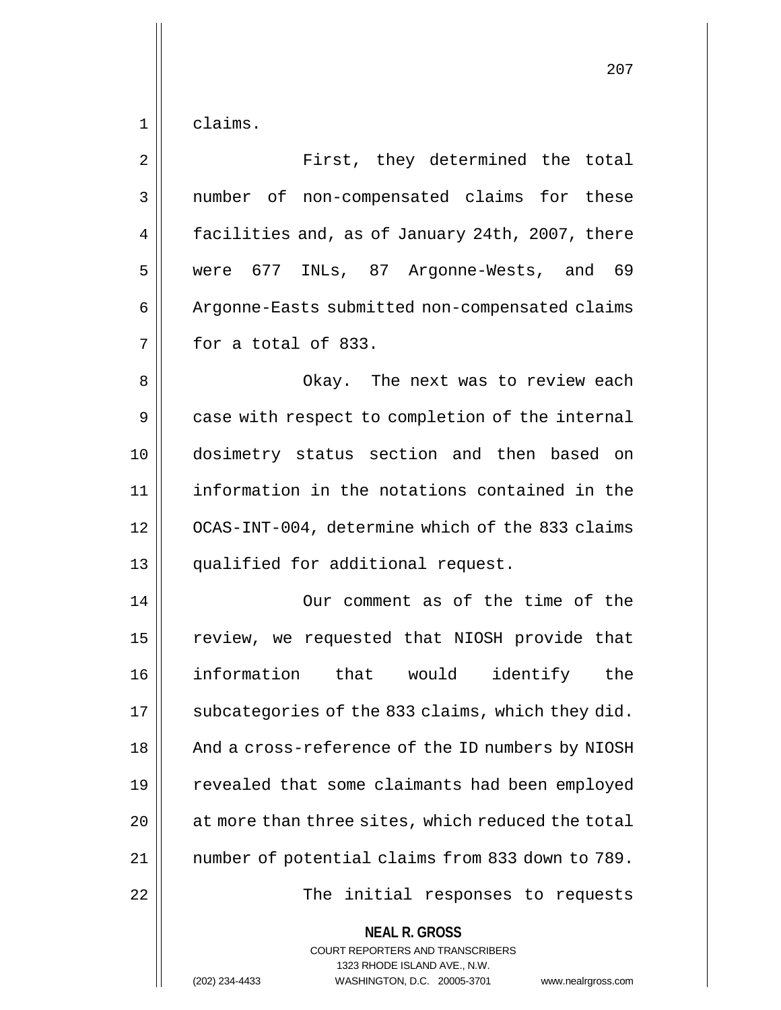$1 \parallel$  claims.

| $\overline{2}$ | First, they determined the total                         |
|----------------|----------------------------------------------------------|
| $\mathfrak{Z}$ | number of non-compensated claims for these               |
| 4              | facilities and, as of January 24th, 2007, there          |
| 5              | were 677 INLs, 87 Argonne-Wests, and 69                  |
| 6              | Argonne-Easts submitted non-compensated claims           |
| 7              | for a total of 833.                                      |
| 8              | Okay. The next was to review each                        |
| 9              | case with respect to completion of the internal          |
| 10             | dosimetry status section and then based on               |
| 11             | information in the notations contained in the            |
| 12             | OCAS-INT-004, determine which of the 833 claims          |
| 13             | qualified for additional request.                        |
| 14             | Our comment as of the time of the                        |
| 15             | review, we requested that NIOSH provide that             |
| 16             | information that would identify the                      |
| 17             | subcategories of the 833 claims, which they did.         |
| 18             | And a cross-reference of the ID numbers by NIOSH         |
| 19             | revealed that some claimants had been employed           |
| 20             | at more than three sites, which reduced the total        |
| 21             | number of potential claims from 833 down to 789.         |
| 22             | The initial responses to requests                        |
|                | <b>NEAL R. GROSS</b><br>COURT REPORTERS AND TRANSCRIBERS |

1323 RHODE ISLAND AVE., N.W.

 $\prod$ 

(202) 234-4433 WASHINGTON, D.C. 20005-3701 www.nealrgross.com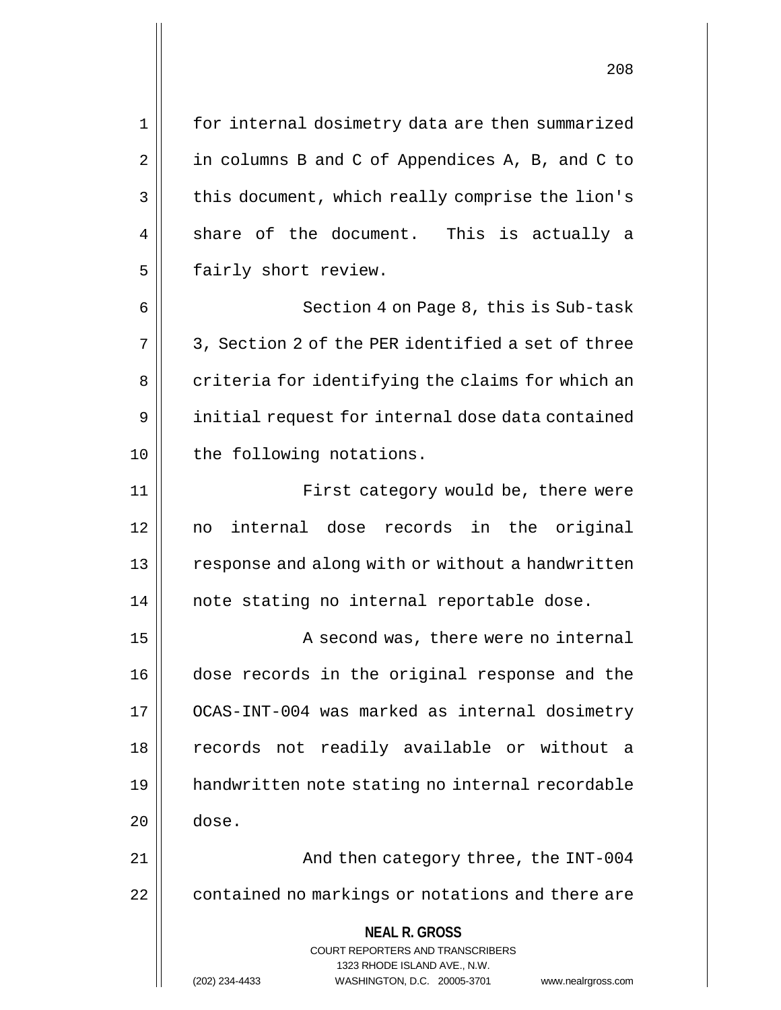1 for internal dosimetry data are then summarized  $2 \parallel$  in columns B and C of Appendices A, B, and C to 3 | this document, which really comprise the lion's  $4 \parallel$  share of the document. This is actually a

6 || Section 4 on Page 8, this is Sub-task  $7 \parallel 3$ , Section 2 of the PER identified a set of three 8 | criteria for identifying the claims for which an 9 | initial request for internal dose data contained 10 || the following notations.

5 | fairly short review.

11 || First category would be, there were 12 no internal dose records in the original 13 || response and along with or without a handwritten 14 || note stating no internal reportable dose.

15 || A second was, there were no internal 16 dose records in the original response and the 17 OCAS-INT-004 was marked as internal dosimetry 18 || records not readily available or without a 19 handwritten note stating no internal recordable  $20$   $\parallel$  dose.

21 And then category three, the INT-004 22 | contained no markings or notations and there are

> **NEAL R. GROSS** COURT REPORTERS AND TRANSCRIBERS

> > 1323 RHODE ISLAND AVE., N.W.

(202) 234-4433 WASHINGTON, D.C. 20005-3701 www.nealrgross.com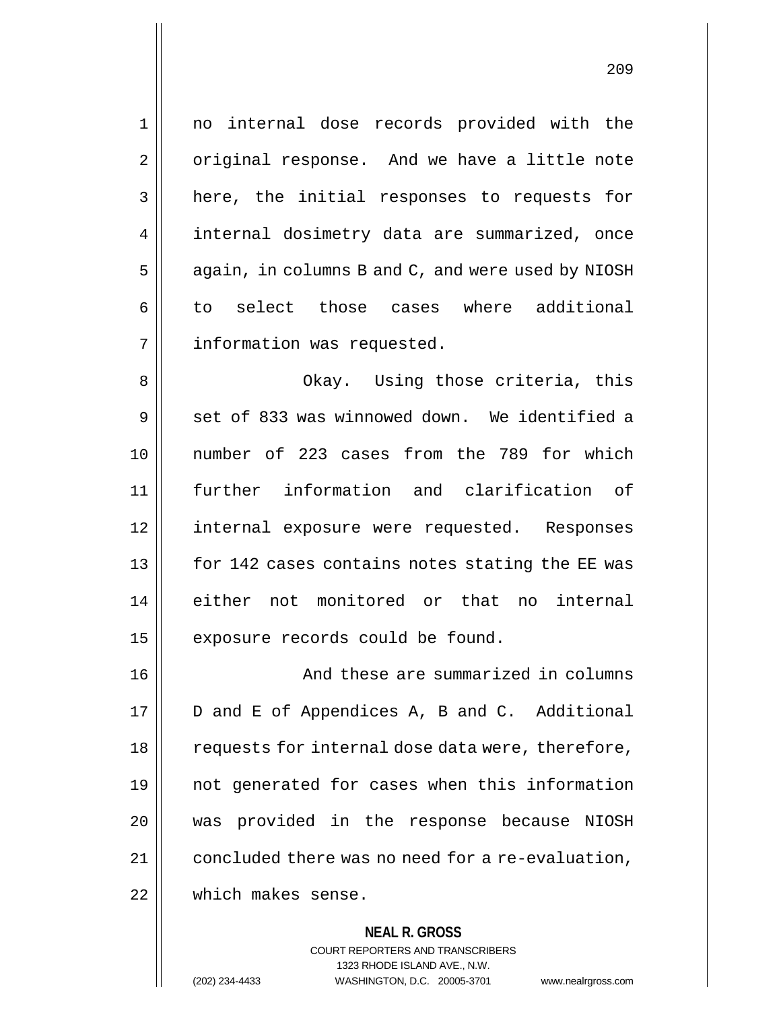**NEAL R. GROSS** 1 no internal dose records provided with the 2 | original response. And we have a little note 3 || here, the initial responses to requests for 4 | internal dosimetry data are summarized, once  $5 \parallel$  again, in columns B and C, and were used by NIOSH 6 to select those cases where additional 7 | information was requested. 8 Okay. Using those criteria, this  $9 \parallel$  set of 833 was winnowed down. We identified a 10 number of 223 cases from the 789 for which 11 further information and clarification of 12 internal exposure were requested. Responses 13 || for 142 cases contains notes stating the EE was 14 either not monitored or that no internal  $15$  | exposure records could be found. 16 | And these are summarized in columns 17 | D and E of Appendices A, B and C. Additional 18 || requests for internal dose data were, therefore, 19 not generated for cases when this information 20 was provided in the response because NIOSH 21 | concluded there was no need for a re-evaluation, 22 which makes sense.

COURT REPORTERS AND TRANSCRIBERS 1323 RHODE ISLAND AVE., N.W. (202) 234-4433 WASHINGTON, D.C. 20005-3701 www.nealrgross.com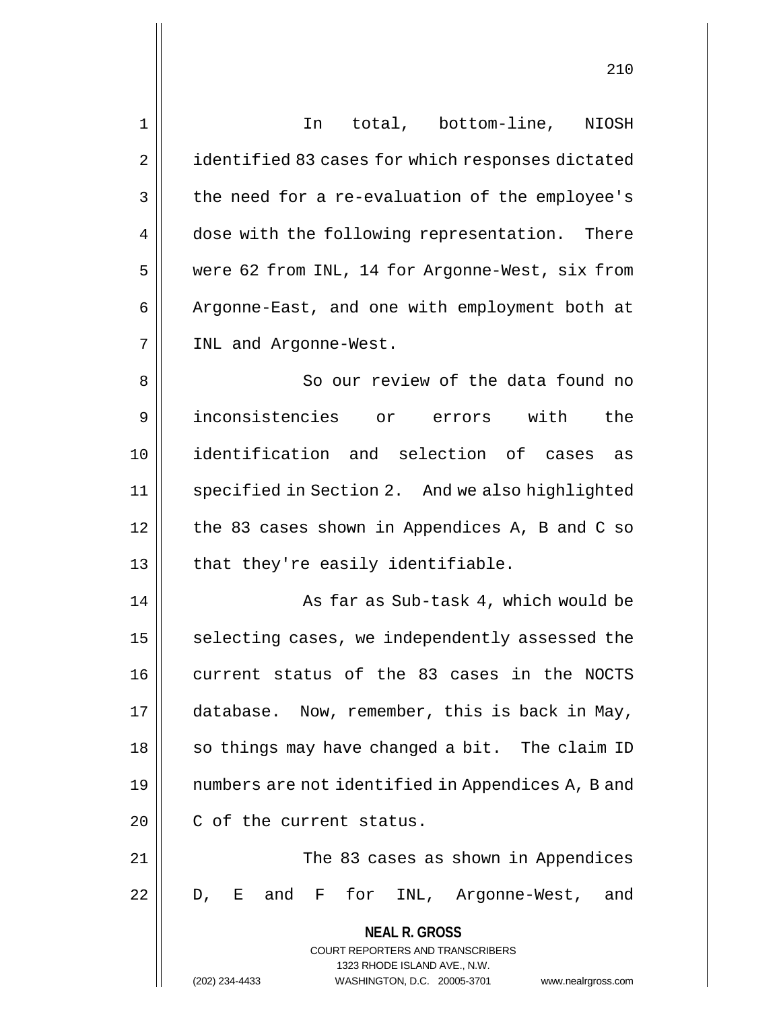| 1              | In total, bottom-line, NIOSH                                                                        |
|----------------|-----------------------------------------------------------------------------------------------------|
| $\overline{2}$ | identified 83 cases for which responses dictated                                                    |
| 3              | the need for a re-evaluation of the employee's                                                      |
| 4              | dose with the following representation. There                                                       |
| 5              | were 62 from INL, 14 for Argonne-West, six from                                                     |
| 6              | Argonne-East, and one with employment both at                                                       |
| 7              | INL and Argonne-West.                                                                               |
| 8              | So our review of the data found no                                                                  |
| 9              | inconsistencies or errors with<br>the                                                               |
| 10             | identification and selection of cases<br>as                                                         |
| 11             | specified in Section 2. And we also highlighted                                                     |
| 12             | the 83 cases shown in Appendices A, B and C so                                                      |
| 13             | that they're easily identifiable.                                                                   |
| 14             | As far as Sub-task 4, which would be                                                                |
| 15             | selecting cases, we independently assessed the                                                      |
| 16             | current status of the 83 cases in the NOCTS                                                         |
| 17             | database. Now, remember, this is back in May,                                                       |
| 18             | so things may have changed a bit. The claim ID                                                      |
| 19             | numbers are not identified in Appendices A, B and                                                   |
| 20             | C of the current status.                                                                            |
| 21             | The 83 cases as shown in Appendices                                                                 |
| 22             | D, E and F for INL, Argonne-West, and                                                               |
|                | <b>NEAL R. GROSS</b>                                                                                |
|                | <b>COURT REPORTERS AND TRANSCRIBERS</b>                                                             |
|                | 1323 RHODE ISLAND AVE., N.W.<br>WASHINGTON, D.C. 20005-3701<br>(202) 234-4433<br>www.nealrgross.com |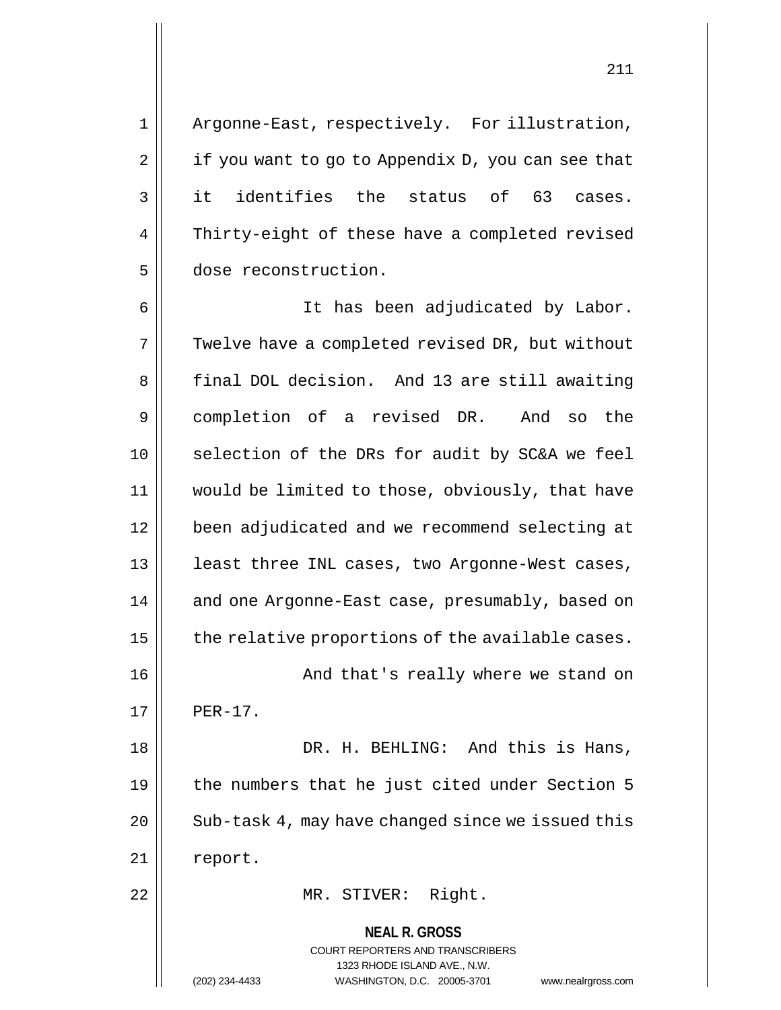211

1 || Argonne-East, respectively. For illustration,  $2 \parallel$  if you want to go to Appendix D, you can see that 3 it identifies the status of 63 cases. 4 || Thirty-eight of these have a completed revised 5 dose reconstruction.

**NEAL R. GROSS** 6 It has been adjudicated by Labor. 7 | Twelve have a completed revised DR, but without 8 | final DOL decision. And 13 are still awaiting 9 completion of a revised DR. And so the 10 || selection of the DRs for audit by SC&A we feel 11 would be limited to those, obviously, that have 12 been adjudicated and we recommend selecting at 13 || least three INL cases, two Argonne-West cases, 14 || and one Argonne-East case, presumably, based on  $15$  | the relative proportions of the available cases. 16 || And that's really where we stand on  $17$  | PER-17. 18 DR. H. BEHLING: And this is Hans, 19 || the numbers that he just cited under Section 5 20 | Sub-task 4, may have changed since we issued this 21 | report. 22 || MR. STIVER: Right.

> COURT REPORTERS AND TRANSCRIBERS 1323 RHODE ISLAND AVE., N.W.

(202) 234-4433 WASHINGTON, D.C. 20005-3701 www.nealrgross.com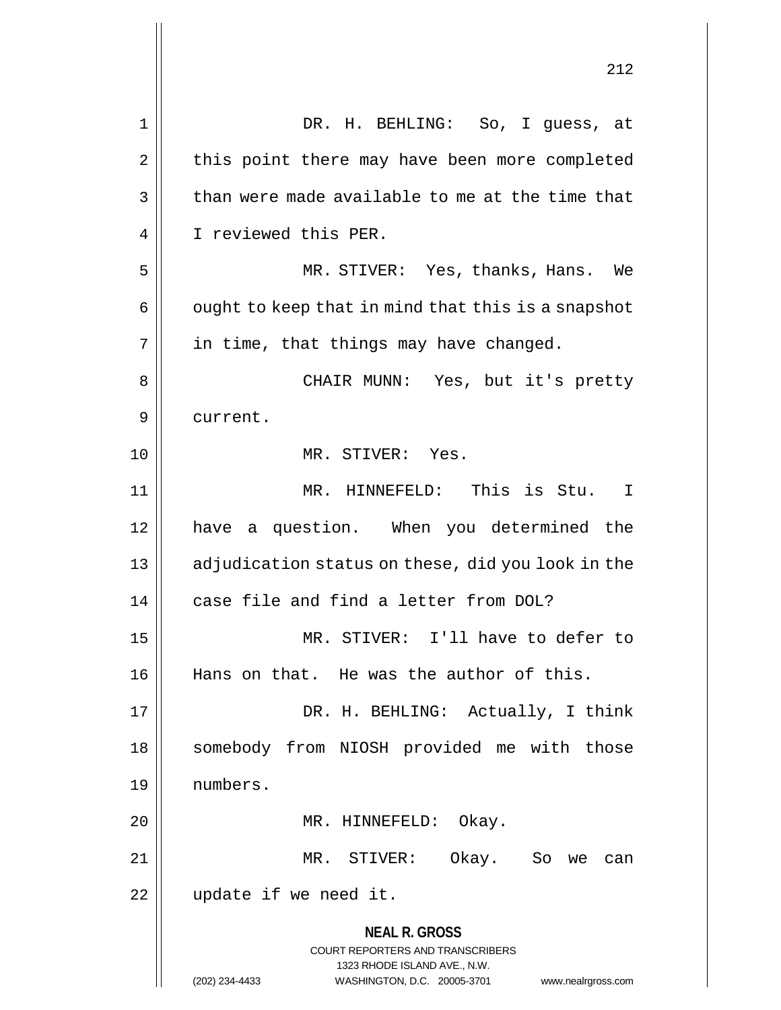|             | 414                                                                                              |
|-------------|--------------------------------------------------------------------------------------------------|
| $\mathbf 1$ | DR. H. BEHLING: So, I guess, at                                                                  |
| 2           | this point there may have been more completed                                                    |
| 3           | than were made available to me at the time that                                                  |
| 4           | I reviewed this PER.                                                                             |
| 5           | MR. STIVER: Yes, thanks, Hans.<br>We                                                             |
| 6           | ought to keep that in mind that this is a snapshot                                               |
| 7           | in time, that things may have changed.                                                           |
| 8           | CHAIR MUNN: Yes, but it's pretty                                                                 |
| 9           | current.                                                                                         |
| 10          | MR. STIVER: Yes.                                                                                 |
| 11          | MR. HINNEFELD: This is Stu.<br>I                                                                 |
| 12          | have a question. When you determined the                                                         |
| 13          | adjudication status on these, did you look in the                                                |
| 14          | case file and find a letter from DOL?                                                            |
| 15          | MR. STIVER: I'll have to defer to                                                                |
| 16          | Hans on that. He was the author of this.                                                         |
| 17          | DR. H. BEHLING: Actually, I think                                                                |
| 18          | somebody from NIOSH provided me with those                                                       |
| 19          | numbers.                                                                                         |
| 20          | MR. HINNEFELD: Okay.                                                                             |
| 21          | MR. STIVER: Okay. So we<br>can                                                                   |
| 22          | update if we need it.                                                                            |
|             | <b>NEAL R. GROSS</b><br><b>COURT REPORTERS AND TRANSCRIBERS</b>                                  |
|             | 1323 RHODE ISLAND AVE., N.W.<br>(202) 234-4433<br>WASHINGTON, D.C. 20005-3701 www.nealrgross.com |

 $\mathsf{I}$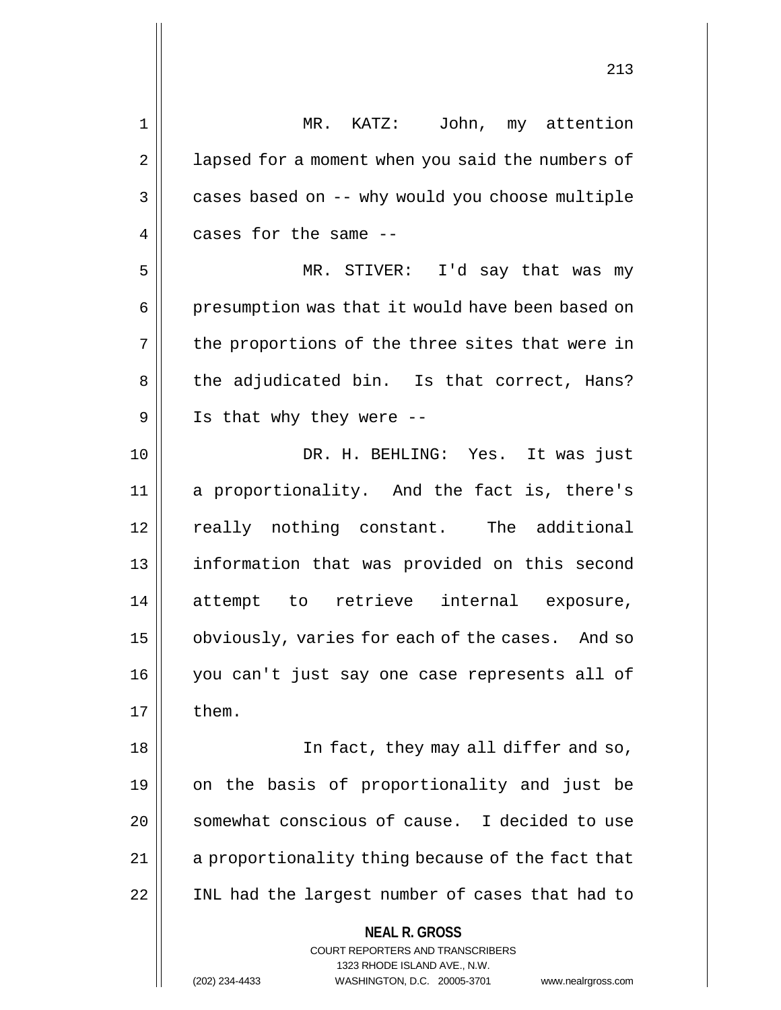1 || MR. KATZ: John, my attention 2 | lapsed for a moment when you said the numbers of  $3 \parallel$  cases based on  $-$ - why would you choose multiple 4 cases for the same -- 5 MR. STIVER: I'd say that was my 6 | presumption was that it would have been based on  $7 \parallel$  the proportions of the three sites that were in 8 || the adjudicated bin. Is that correct, Hans?  $9 \parallel$  Is that why they were --10 DR. H. BEHLING: Yes. It was just 11 a proportionality. And the fact is, there's 12 really nothing constant. The additional 13 information that was provided on this second 14 attempt to retrieve internal exposure, 15 | obviously, varies for each of the cases. And so 16 you can't just say one case represents all of 18 In fact, they may all differ and so, 19 on the basis of proportionality and just be

20 || somewhat conscious of cause. I decided to use 21 | a proportionality thing because of the fact that 22 INL had the largest number of cases that had to

 $17$   $\parallel$  them.

**NEAL R. GROSS** COURT REPORTERS AND TRANSCRIBERS 1323 RHODE ISLAND AVE., N.W. (202) 234-4433 WASHINGTON, D.C. 20005-3701 www.nealrgross.com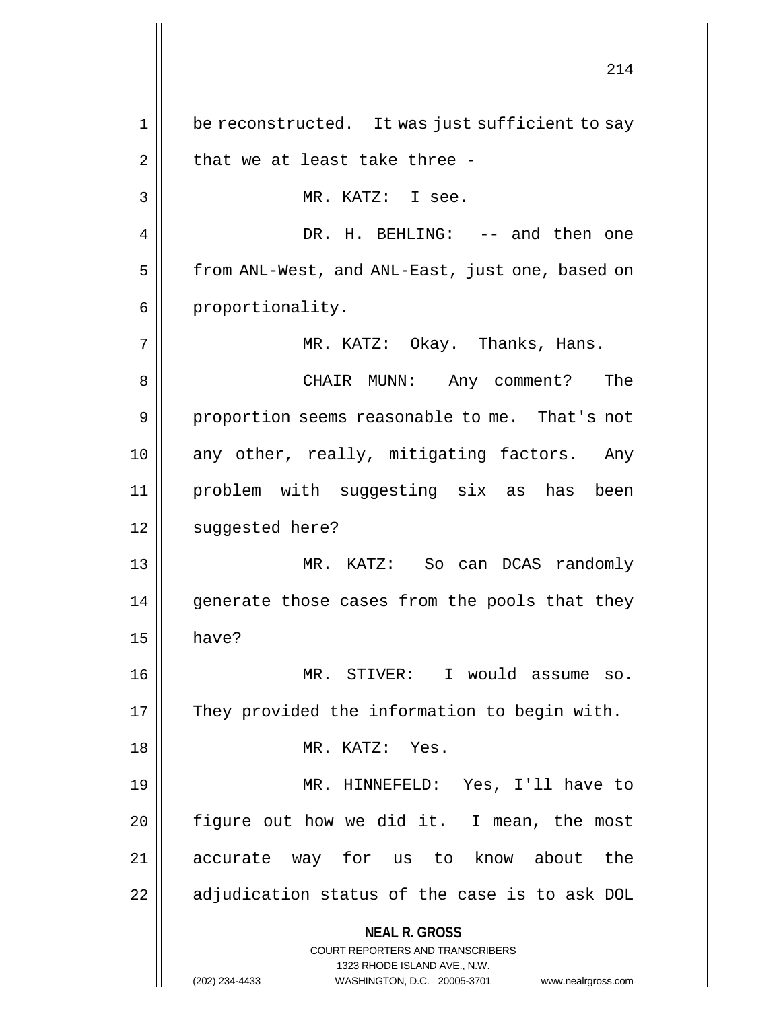**NEAL R. GROSS** COURT REPORTERS AND TRANSCRIBERS 1323 RHODE ISLAND AVE., N.W. (202) 234-4433 WASHINGTON, D.C. 20005-3701 www.nealrgross.com 1 || be reconstructed. It was just sufficient to say  $2 \parallel$  that we at least take three -3 || MR. KATZ: I see. 4 DR. H. BEHLING: -- and then one 5 | from ANL-West, and ANL-East, just one, based on 6 | proportionality. 7 MR. KATZ: Okay. Thanks, Hans. 8 CHAIR MUNN: Any comment? The 9 || proportion seems reasonable to me. That's not 10 any other, really, mitigating factors. Any 11 problem with suggesting six as has been 12 | suggested here? 13 MR. KATZ: So can DCAS randomly 14 || generate those cases from the pools that they  $15$  have? 16 MR. STIVER: I would assume so. 17 || They provided the information to begin with. 18 || MR. KATZ: Yes. 19 MR. HINNEFELD: Yes, I'll have to  $20$  | figure out how we did it. I mean, the most 21 accurate way for us to know about the  $22$  || adjudication status of the case is to ask DOL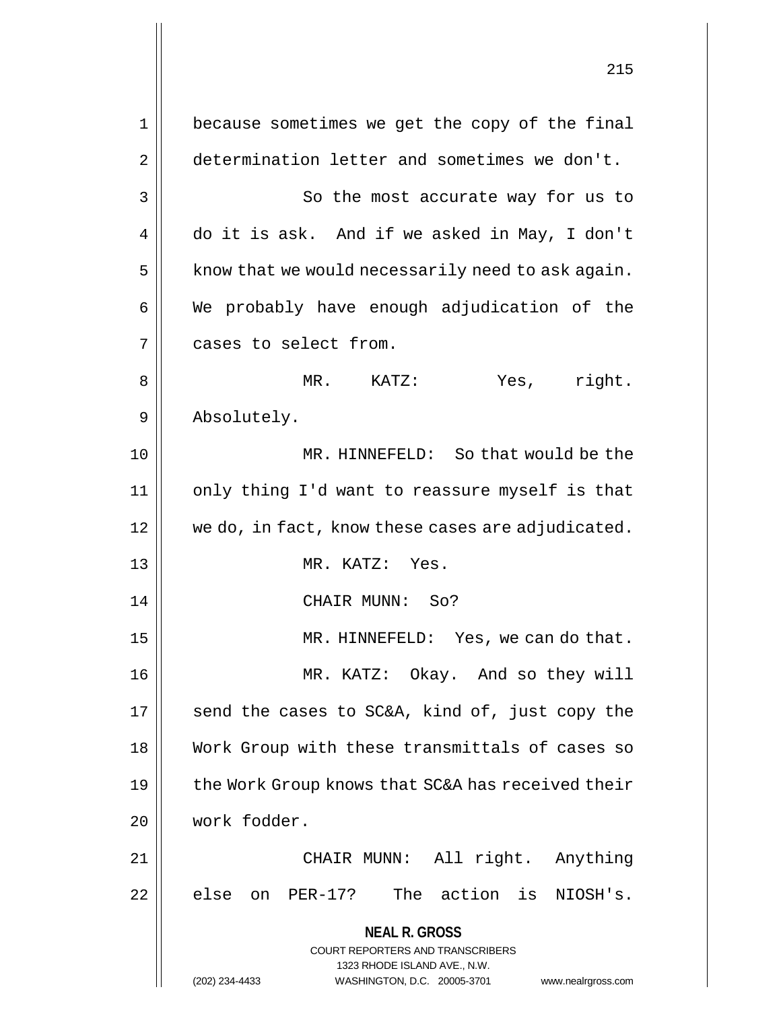**NEAL R. GROSS** COURT REPORTERS AND TRANSCRIBERS 1323 RHODE ISLAND AVE., N.W. (202) 234-4433 WASHINGTON, D.C. 20005-3701 www.nealrgross.com 215 1 || because sometimes we get the copy of the final 2 determination letter and sometimes we don't. 3 || So the most accurate way for us to 4 do it is ask. And if we asked in May, I don't  $5 \parallel$  know that we would necessarily need to ask again.  $6 \parallel$  We probably have enough adjudication of the 7 | cases to select from. 8 MR. KATZ: Yes, right. 9 || Absolutely. 10 MR. HINNEFELD: So that would be the 11 only thing I'd want to reassure myself is that 12 || we do, in fact, know these cases are adjudicated. 13 MR. KATZ: Yes. 14 CHAIR MUNN: So? 15 MR. HINNEFELD: Yes, we can do that. 16 MR. KATZ: Okay. And so they will 17  $\parallel$  send the cases to SC&A, kind of, just copy the 18 Work Group with these transmittals of cases so 19  $\parallel$  the Work Group knows that SC&A has received their 20 work fodder. 21 CHAIR MUNN: All right. Anything  $22$  || else on PER-17? The action is NIOSH's.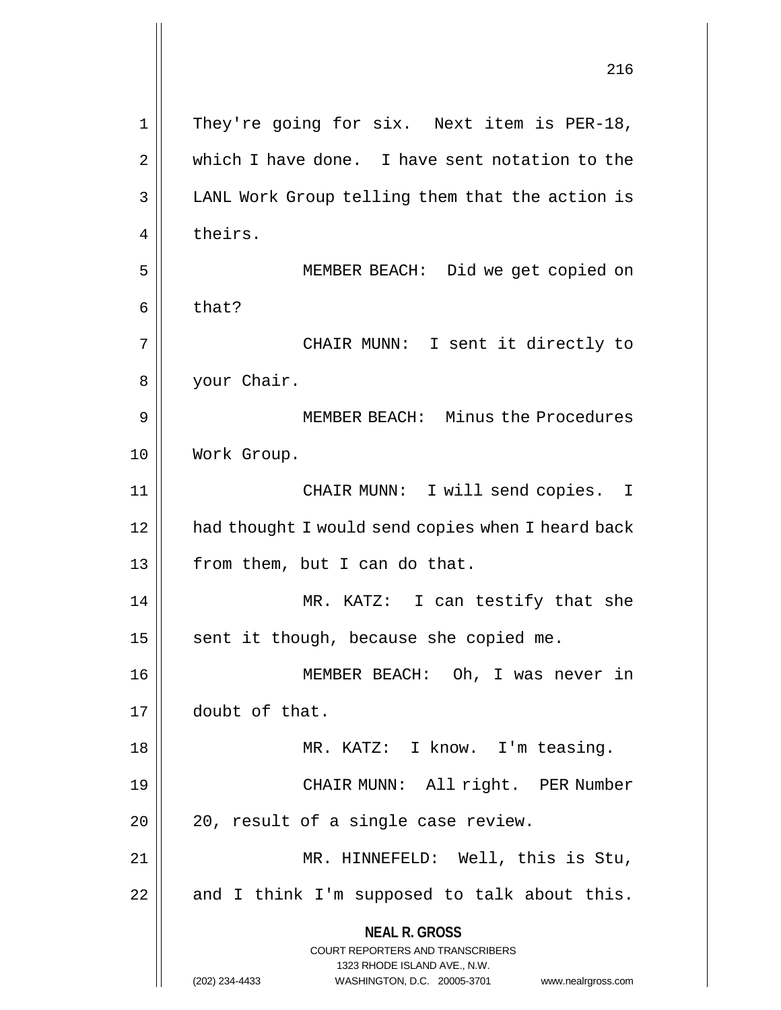|    | 216                                                                                                                                                                    |
|----|------------------------------------------------------------------------------------------------------------------------------------------------------------------------|
| 1  | They're going for six. Next item is PER-18,                                                                                                                            |
| 2  | which I have done. I have sent notation to the                                                                                                                         |
| 3  | LANL Work Group telling them that the action is                                                                                                                        |
| 4  | theirs.                                                                                                                                                                |
| 5  | MEMBER BEACH: Did we get copied on                                                                                                                                     |
| 6  | that?                                                                                                                                                                  |
| 7  | CHAIR MUNN: I sent it directly to                                                                                                                                      |
| 8  | your Chair.                                                                                                                                                            |
| 9  | MEMBER BEACH: Minus the Procedures                                                                                                                                     |
| 10 | Work Group.                                                                                                                                                            |
| 11 | CHAIR MUNN: I will send copies. I                                                                                                                                      |
| 12 | had thought I would send copies when I heard back                                                                                                                      |
| 13 | from them, but I can do that.                                                                                                                                          |
| 14 | MR. KATZ: I can testify that she                                                                                                                                       |
| 15 | sent it though, because she copied me.                                                                                                                                 |
| 16 | MEMBER BEACH: Oh, I was never in                                                                                                                                       |
| 17 | doubt of that.                                                                                                                                                         |
| 18 | MR. KATZ: I know. I'm teasing.                                                                                                                                         |
| 19 | CHAIR MUNN: All right. PER Number                                                                                                                                      |
| 20 | 20, result of a single case review.                                                                                                                                    |
| 21 | MR. HINNEFELD: Well, this is Stu,                                                                                                                                      |
| 22 | and I think I'm supposed to talk about this.                                                                                                                           |
|    | <b>NEAL R. GROSS</b><br><b>COURT REPORTERS AND TRANSCRIBERS</b><br>1323 RHODE ISLAND AVE., N.W.<br>(202) 234-4433<br>WASHINGTON, D.C. 20005-3701<br>www.nealrgross.com |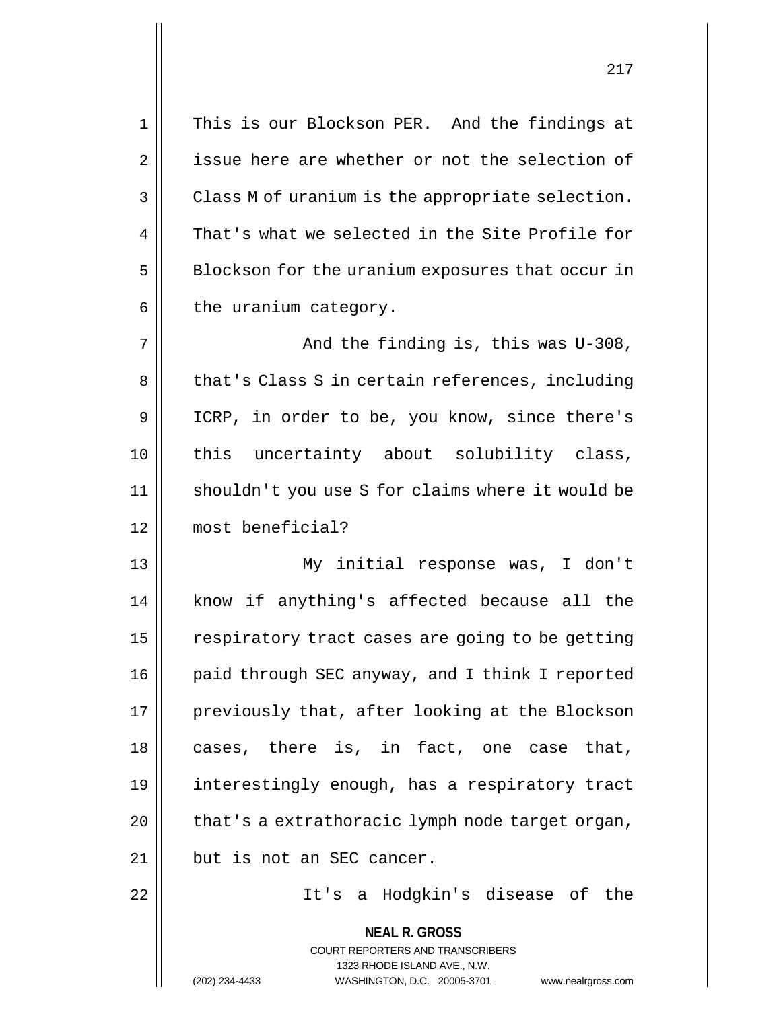| $1\,$ | This is our Blockson PER. And the findings at                                                                                                                          |
|-------|------------------------------------------------------------------------------------------------------------------------------------------------------------------------|
| 2     | issue here are whether or not the selection of                                                                                                                         |
| 3     | Class M of uranium is the appropriate selection.                                                                                                                       |
| 4     | That's what we selected in the Site Profile for                                                                                                                        |
| 5     | Blockson for the uranium exposures that occur in                                                                                                                       |
| 6     | the uranium category.                                                                                                                                                  |
| 7     | And the finding is, this was U-308,                                                                                                                                    |
| 8     | that's Class S in certain references, including                                                                                                                        |
| 9     | ICRP, in order to be, you know, since there's                                                                                                                          |
| 10    | this uncertainty about solubility class,                                                                                                                               |
| 11    | shouldn't you use S for claims where it would be                                                                                                                       |
| 12    | most beneficial?                                                                                                                                                       |
| 13    | My initial response was, I don't                                                                                                                                       |
| 14    | know if anything's affected because all the                                                                                                                            |
| 15    | respiratory tract cases are going to be getting                                                                                                                        |
| 16    | paid through SEC anyway, and I think I reported                                                                                                                        |
| 17    | previously that, after looking at the Blockson                                                                                                                         |
| 18    | cases, there is, in fact, one case that,                                                                                                                               |
| 19    | interestingly enough, has a respiratory tract                                                                                                                          |
| 20    | that's a extrathoracic lymph node target organ,                                                                                                                        |
| 21    | but is not an SEC cancer.                                                                                                                                              |
| 22    | It's a Hodgkin's disease of the                                                                                                                                        |
|       | <b>NEAL R. GROSS</b><br><b>COURT REPORTERS AND TRANSCRIBERS</b><br>1323 RHODE ISLAND AVE., N.W.<br>WASHINGTON, D.C. 20005-3701<br>(202) 234-4433<br>www.nealrgross.com |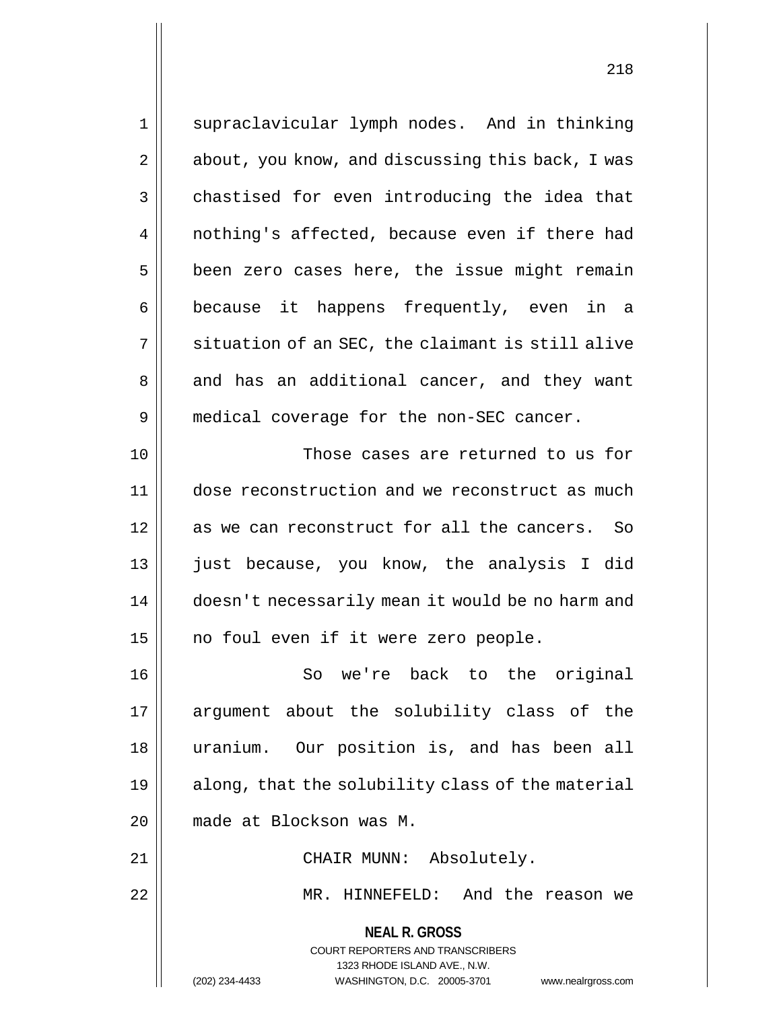1 || supraclavicular lymph nodes. And in thinking 2 | about, you know, and discussing this back, I was  $3 \parallel$  chastised for even introducing the idea that 4 || nothing's affected, because even if there had  $5 \parallel$  been zero cases here, the issue might remain 6 because it happens frequently, even in a  $7 \parallel$  situation of an SEC, the claimant is still alive 8 || and has an additional cancer, and they want 9 | medical coverage for the non-SEC cancer. 10 Those cases are returned to us for 11 dose reconstruction and we reconstruct as much 12 as we can reconstruct for all the cancers. So 13 || just because, you know, the analysis I did 14 | doesn't necessarily mean it would be no harm and 15 || no foul even if it were zero people. 16 || So we're back to the original 17 || argument about the solubility class of the 18 uranium. Our position is, and has been all 19 || along, that the solubility class of the material 20 made at Blockson was M.

**NEAL R. GROSS** 21 || CHAIR MUNN: Absolutely. 22 MR. HINNEFELD: And the reason we

> COURT REPORTERS AND TRANSCRIBERS 1323 RHODE ISLAND AVE., N.W. (202) 234-4433 WASHINGTON, D.C. 20005-3701 www.nealrgross.com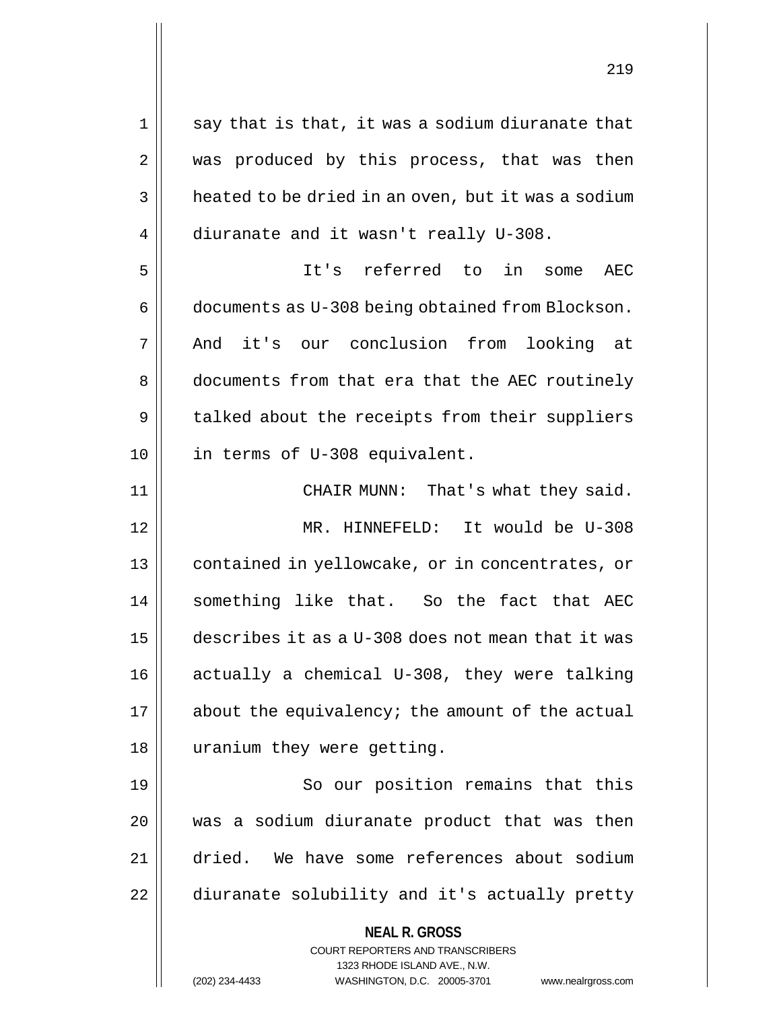**NEAL R. GROSS** COURT REPORTERS AND TRANSCRIBERS 1323 RHODE ISLAND AVE., N.W.  $1 \parallel$  say that is that, it was a sodium diuranate that 2 || was produced by this process, that was then  $3 \parallel$  heated to be dried in an oven, but it was a sodium 4 diuranate and it wasn't really U-308. 5 It's referred to in some AEC 6 documents as U-308 being obtained from Blockson. 7 And it's our conclusion from looking at 8 documents from that era that the AEC routinely  $9 \parallel$  talked about the receipts from their suppliers 10 in terms of U-308 equivalent. 11 || CHAIR MUNN: That's what they said. 12 MR. HINNEFELD: It would be U-308 13 || contained in yellowcake, or in concentrates, or 14 || something like that. So the fact that AEC 15 describes it as a U-308 does not mean that it was 16 actually a chemical U-308, they were talking  $17$  || about the equivalency; the amount of the actual 18 || uranium they were getting. 19 || So our position remains that this 20 || was a sodium diuranate product that was then 21 dried. We have some references about sodium 22 | diuranate solubility and it's actually pretty

(202) 234-4433 WASHINGTON, D.C. 20005-3701 www.nealrgross.com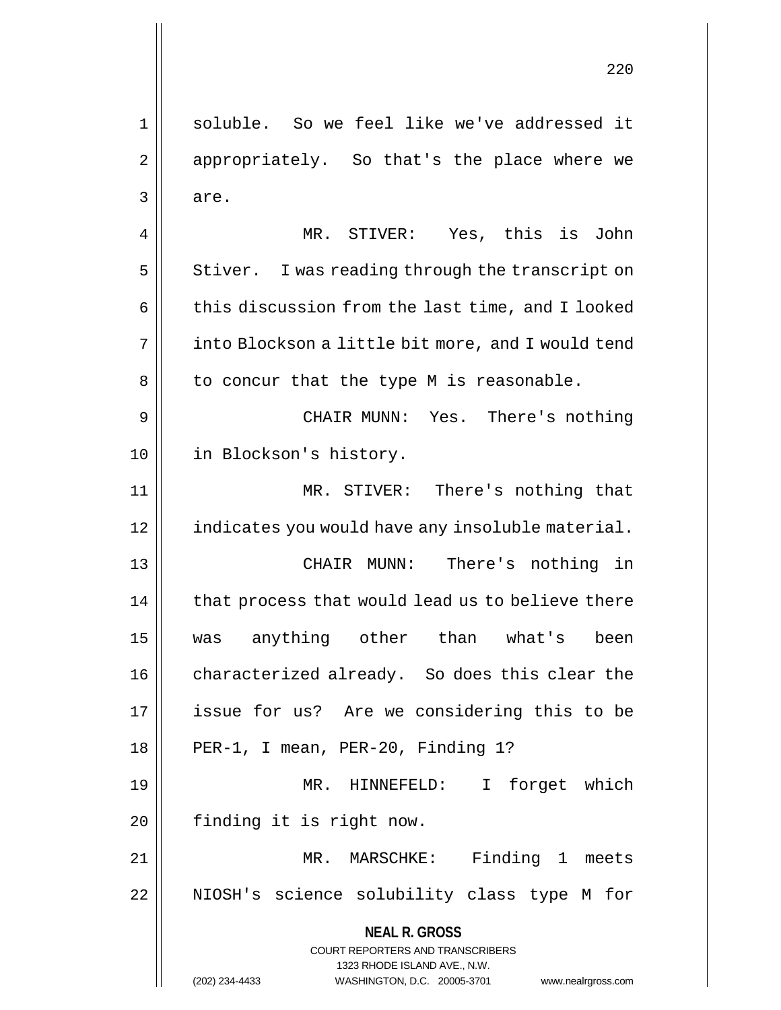**NEAL R. GROSS** COURT REPORTERS AND TRANSCRIBERS 1323 RHODE ISLAND AVE., N.W. 1 || soluble. So we feel like we've addressed it 2 || appropriately. So that's the place where we 3 are. 4 || MR. STIVER: Yes, this is John  $5 \parallel$  Stiver. I was reading through the transcript on  $6 \parallel$  this discussion from the last time, and I looked 7 | into Blockson a little bit more, and I would tend  $8 \parallel$  to concur that the type M is reasonable. 9 CHAIR MUNN: Yes. There's nothing 10 || in Blockson's history. 11 MR. STIVER: There's nothing that 12 || indicates you would have any insoluble material. 13 CHAIR MUNN: There's nothing in 14 | that process that would lead us to believe there 15 was anything other than what's been 16 | characterized already. So does this clear the 17 issue for us? Are we considering this to be 18 || PER-1, I mean, PER-20, Finding 1? 19 MR. HINNEFELD: I forget which 20 | finding it is right now. 21 MR. MARSCHKE: Finding 1 meets 22 || NIOSH's science solubility class type M for

(202) 234-4433 WASHINGTON, D.C. 20005-3701 www.nealrgross.com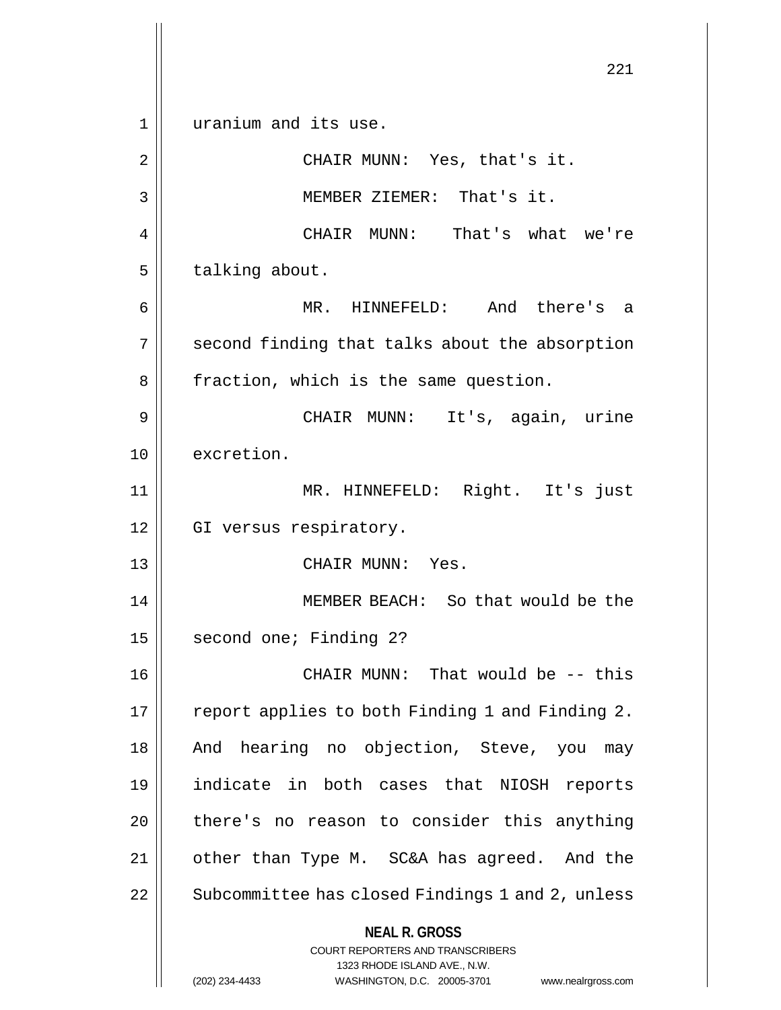**NEAL R. GROSS** COURT REPORTERS AND TRANSCRIBERS 1323 RHODE ISLAND AVE., N.W. (202) 234-4433 WASHINGTON, D.C. 20005-3701 www.nealrgross.com 221 1 || uranium and its use. 2 || CHAIR MUNN: Yes, that's it. 3 MEMBER ZIEMER: That's it. 4 CHAIR MUNN: That's what we're  $5$  | talking about. 6 MR. HINNEFELD: And there's a 7 || second finding that talks about the absorption 8 | fraction, which is the same question. 9 CHAIR MUNN: It's, again, urine 10 excretion. 11 MR. HINNEFELD: Right. It's just 12 || GI versus respiratory. 13 CHAIR MUNN: Yes. 14 MEMBER BEACH: So that would be the 15 | second one; Finding 2? 16 CHAIR MUNN: That would be -- this 17 || report applies to both Finding 1 and Finding 2. 18 || And hearing no objection, Steve, you may 19 indicate in both cases that NIOSH reports  $20$  | there's no reason to consider this anything 21 other than Type M. SC&A has agreed. And the 22 | Subcommittee has closed Findings 1 and 2, unless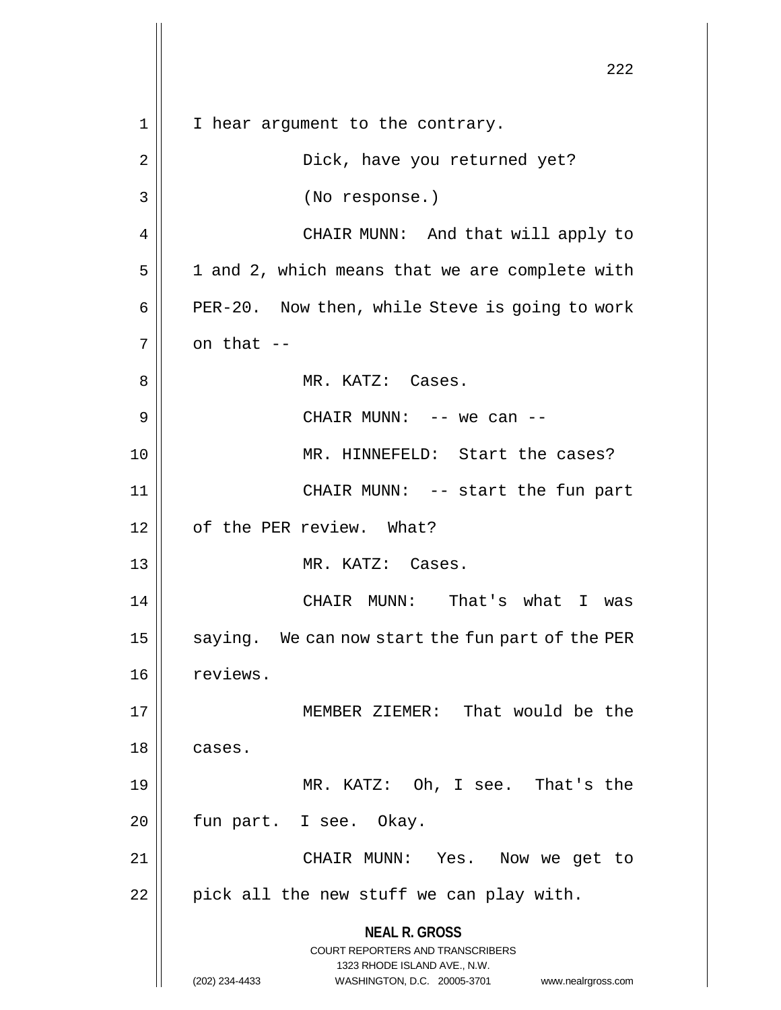**NEAL R. GROSS** COURT REPORTERS AND TRANSCRIBERS 1323 RHODE ISLAND AVE., N.W. (202) 234-4433 WASHINGTON, D.C. 20005-3701 www.nealrgross.com 222 1 || I hear argument to the contrary. 2 Dick, have you returned yet? 3 (No response.) 4 CHAIR MUNN: And that will apply to  $5 \parallel$  1 and 2, which means that we are complete with 6 | PER-20. Now then, while Steve is going to work  $7 \parallel$  on that  $-$ 8 MR. KATZ: Cases. 9 CHAIR MUNN: -- we can -- 10 MR. HINNEFELD: Start the cases? 11 CHAIR MUNN: -- start the fun part 12 || of the PER review. What? 13 || MR. KATZ: Cases. 14 CHAIR MUNN: That's what I was 15  $\parallel$  saying. We can now start the fun part of the PER 16 | reviews. 17 MEMBER ZIEMER: That would be the 18 | cases. 19 MR. KATZ: Oh, I see. That's the 20 || fun part. I see. Okay. 21 CHAIR MUNN: Yes. Now we get to  $22$  | pick all the new stuff we can play with.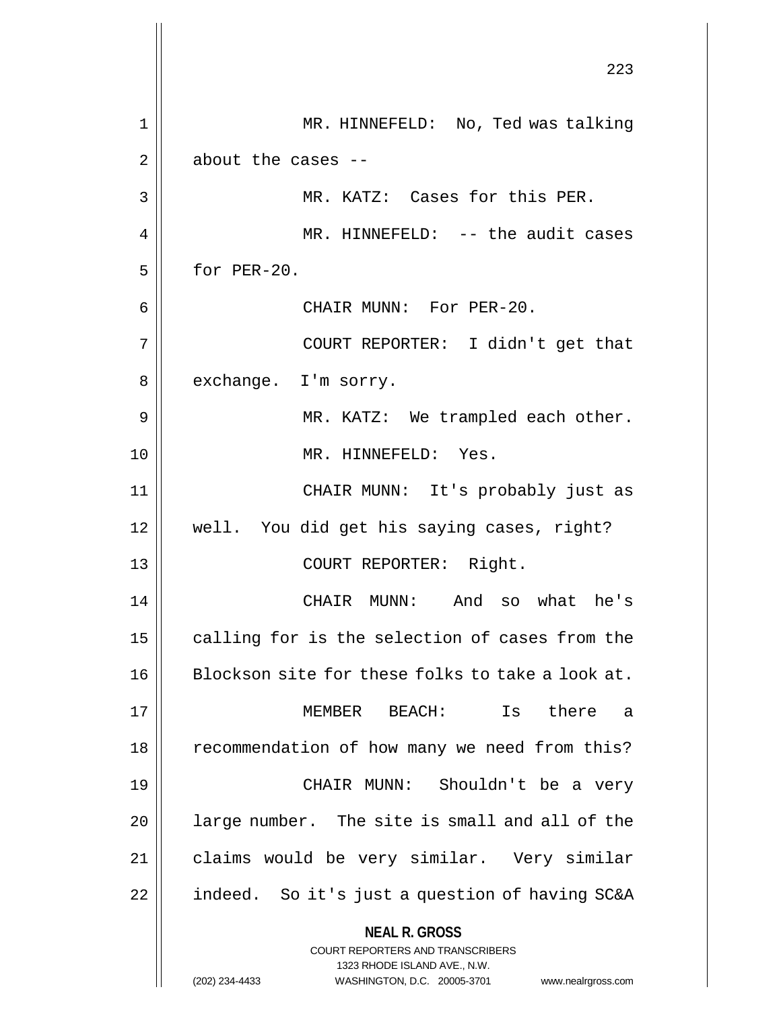|    | 223                                                                 |
|----|---------------------------------------------------------------------|
| 1  | MR. HINNEFELD: No, Ted was talking                                  |
| 2  | about the cases --                                                  |
| 3  | MR. KATZ: Cases for this PER.                                       |
| 4  | MR. HINNEFELD: -- the audit cases                                   |
| 5  | for PER-20.                                                         |
| 6  | CHAIR MUNN: For PER-20.                                             |
| 7  | COURT REPORTER: I didn't get that                                   |
| 8  | exchange. I'm sorry.                                                |
| 9  | MR. KATZ: We trampled each other.                                   |
| 10 | MR. HINNEFELD: Yes.                                                 |
| 11 | CHAIR MUNN: It's probably just as                                   |
| 12 | well. You did get his saying cases, right?                          |
| 13 | COURT REPORTER: Right.                                              |
| 14 | CHAIR MUNN: And so what he's                                        |
| 15 | calling for is the selection of cases from the                      |
| 16 | Blockson site for these folks to take a look at.                    |
| 17 | MEMBER BEACH:<br>there<br>Is<br>- a                                 |
| 18 | recommendation of how many we need from this?                       |
| 19 | CHAIR MUNN: Shouldn't be a very                                     |
| 20 | large number. The site is small and all of the                      |
| 21 | claims would be very similar. Very similar                          |
| 22 | indeed. So it's just a question of having SC&A                      |
|    | <b>NEAL R. GROSS</b><br><b>COURT REPORTERS AND TRANSCRIBERS</b>     |
|    | 1323 RHODE ISLAND AVE., N.W.                                        |
|    | (202) 234-4433<br>WASHINGTON, D.C. 20005-3701<br>www.nealrgross.com |

 $\begin{array}{c} \hline \end{array}$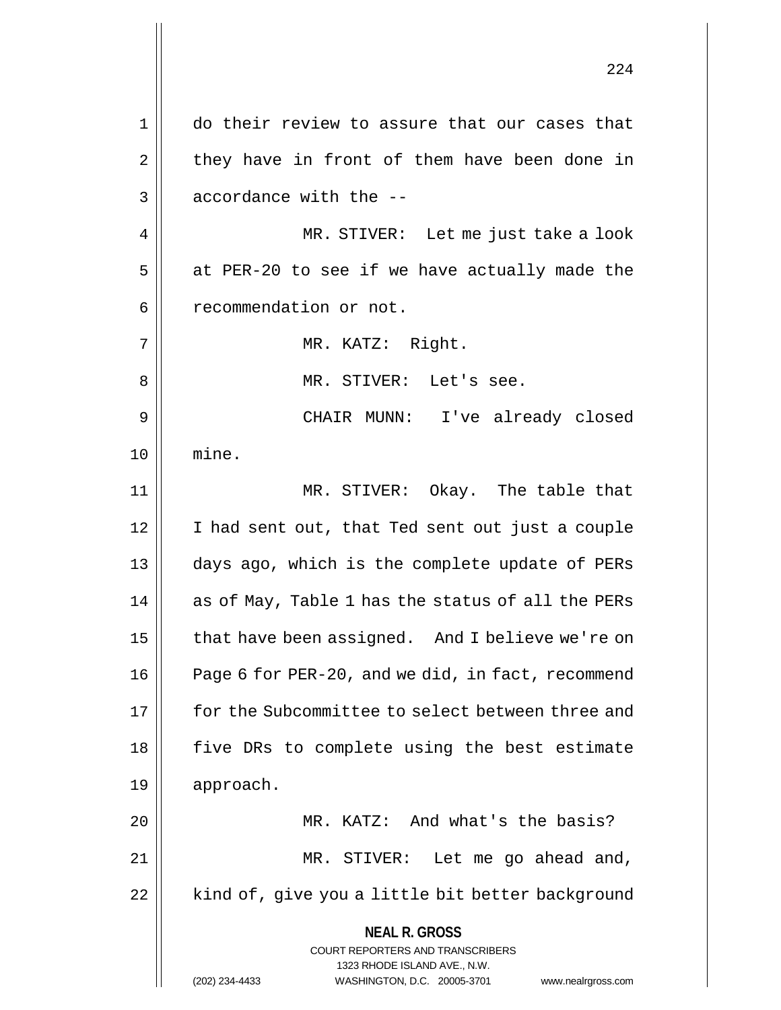**NEAL R. GROSS** COURT REPORTERS AND TRANSCRIBERS 1323 RHODE ISLAND AVE., N.W. (202) 234-4433 WASHINGTON, D.C. 20005-3701 www.nealrgross.com 1 do their review to assure that our cases that  $2 \parallel$  they have in front of them have been done in  $3 \parallel$  accordance with the  $-$ 4 MR. STIVER: Let me just take a look  $5$  | at PER-20 to see if we have actually made the 6 | recommendation or not. 7 || MR. KATZ: Right. 8 MR. STIVER: Let's see. 9 CHAIR MUNN: I've already closed 10 mine. 11 MR. STIVER: Okay. The table that 12 | I had sent out, that Ted sent out just a couple 13 days ago, which is the complete update of PERs  $14$  || as of May, Table 1 has the status of all the PERs 15 | that have been assigned. And I believe we're on 16 | Page 6 for PER-20, and we did, in fact, recommend 17 for the Subcommittee to select between three and 18 || five DRs to complete using the best estimate 19 approach. 20 MR. KATZ: And what's the basis? 21 || MR. STIVER: Let me go ahead and, 22 | kind of, give you a little bit better background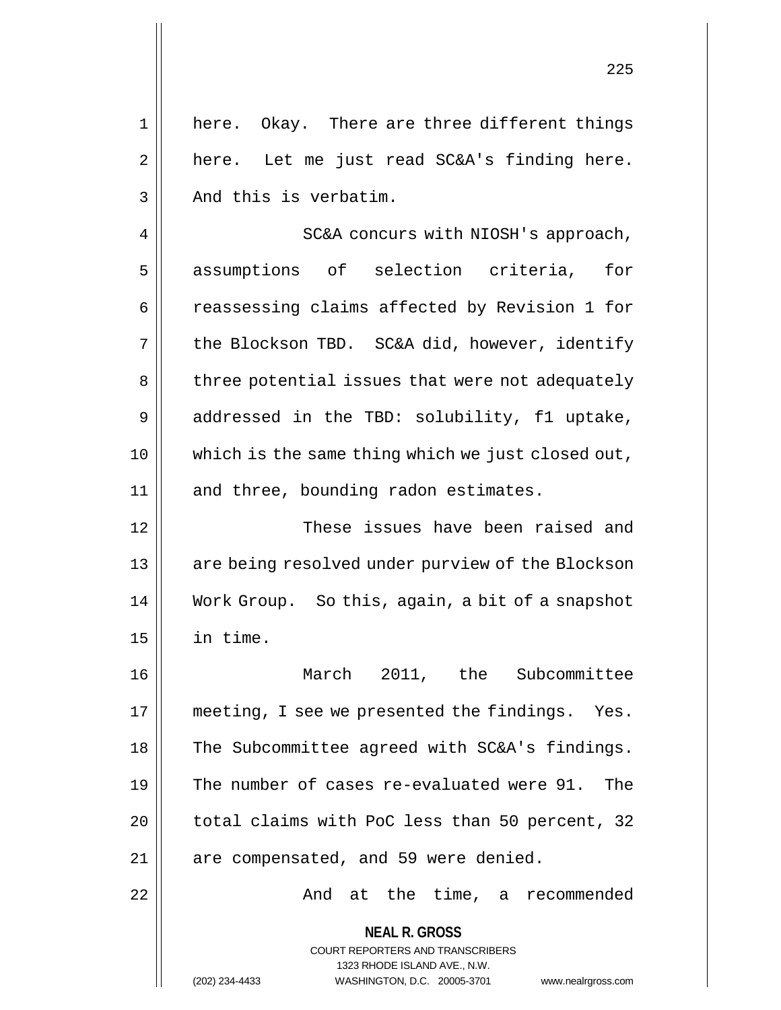1 || here. Okay. There are three different things  $2 \parallel$  here. Let me just read SC&A's finding here.  $3$  | And this is verbatim.

4 | SC&A concurs with NIOSH's approach, 5 assumptions of selection criteria, for 6 | reassessing claims affected by Revision 1 for 7 | the Blockson TBD. SC&A did, however, identify 8 | three potential issues that were not adequately 9 addressed in the TBD: solubility, fl uptake, 10 which is the same thing which we just closed out, 11 || and three, bounding radon estimates.

12 These issues have been raised and 13 || are being resolved under purview of the Blockson 14 Work Group. So this, again, a bit of a snapshot 15 in time.

16 March 2011, the Subcommittee 17 || meeting, I see we presented the findings. Yes. 18 || The Subcommittee agreed with SC&A's findings. 19 The number of cases re-evaluated were 91. The 20 || total claims with PoC less than 50 percent, 32  $21$  || are compensated, and 59 were denied.

22 And at the time, a recommended

**NEAL R. GROSS**

COURT REPORTERS AND TRANSCRIBERS 1323 RHODE ISLAND AVE., N.W.

(202) 234-4433 WASHINGTON, D.C. 20005-3701 www.nealrgross.com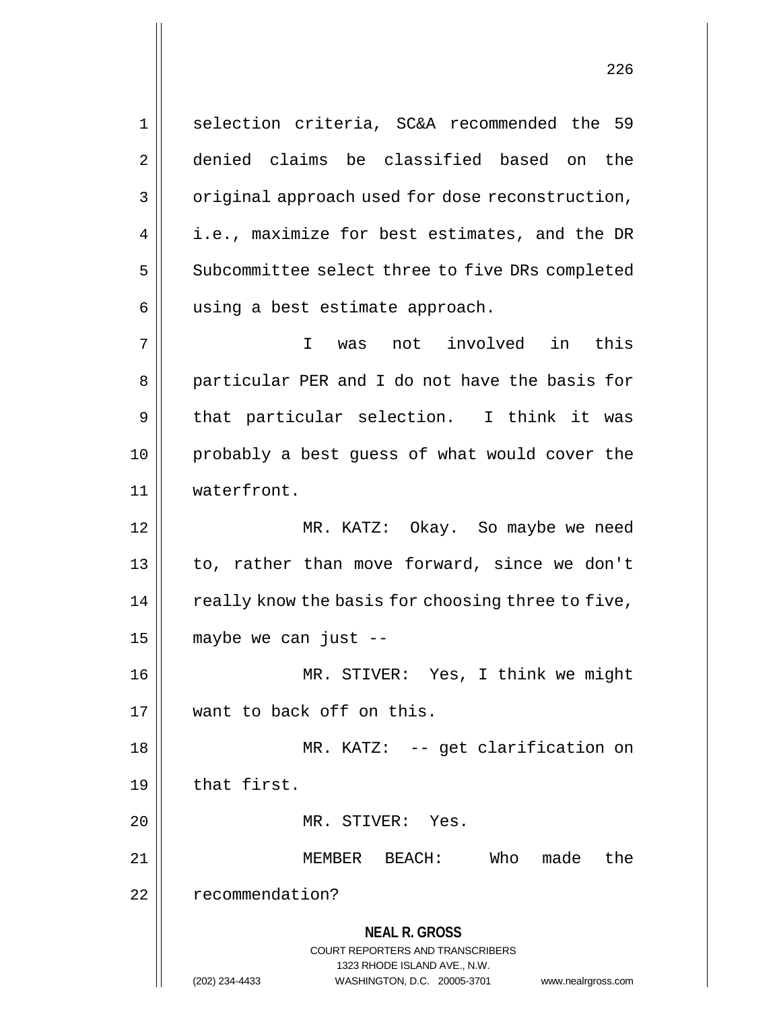1 || selection criteria, SC&A recommended the 59 2 denied claims be classified based on the 3 | original approach used for dose reconstruction,  $4 \parallel$  i.e., maximize for best estimates, and the DR 5 | Subcommittee select three to five DRs completed 6 | using a best estimate approach. 7 I was not involved in this 8 || particular PER and I do not have the basis for  $9 \parallel$  that particular selection. I think it was 10 probably a best guess of what would cover the 11 waterfront. 12 MR. KATZ: Okay. So maybe we need 13 || to, rather than move forward, since we don't  $14$   $\parallel$  really know the basis for choosing three to five,  $15$  | maybe we can just  $-$ 16 MR. STIVER: Yes, I think we might 17 want to back off on this. 18 MR. KATZ: -- get clarification on

 $19$   $\parallel$  that first.

20 || MR. STIVER: Yes.

**NEAL R. GROSS** 21 MEMBER BEACH: Who made the 22 | recommendation?

> COURT REPORTERS AND TRANSCRIBERS 1323 RHODE ISLAND AVE., N.W. (202) 234-4433 WASHINGTON, D.C. 20005-3701 www.nealrgross.com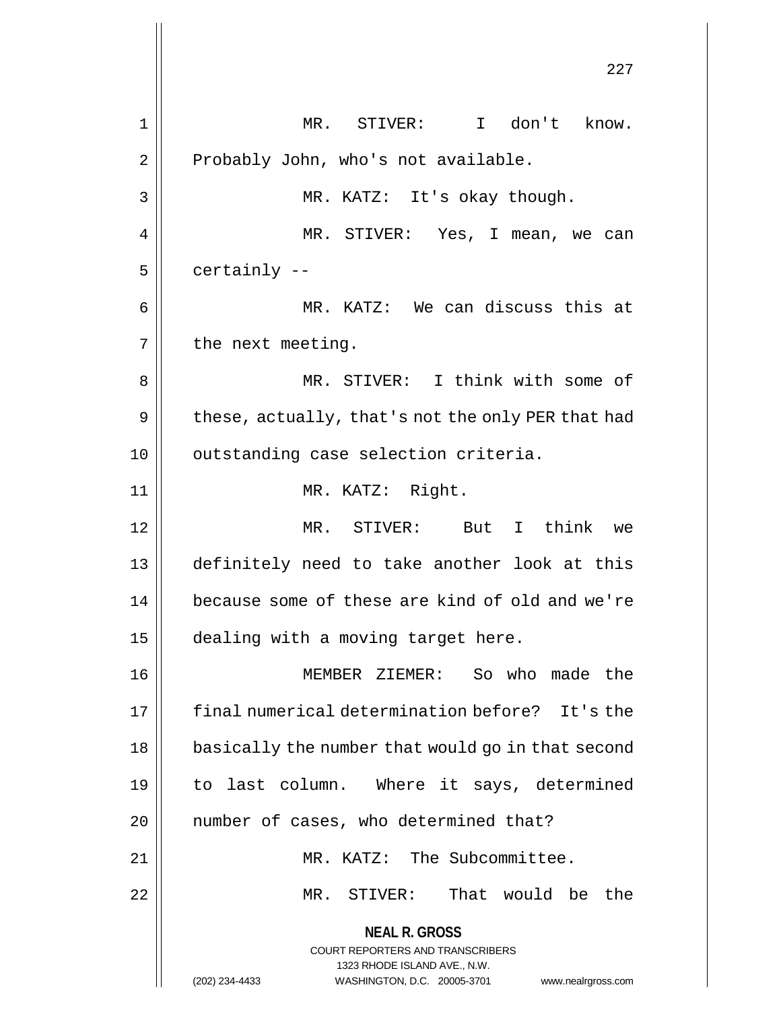**NEAL R. GROSS** COURT REPORTERS AND TRANSCRIBERS 1323 RHODE ISLAND AVE., N.W. (202) 234-4433 WASHINGTON, D.C. 20005-3701 www.nealrgross.com 227 1 || MR. STIVER: I don't know.  $2 \parallel$  Probably John, who's not available. 3 || MR. KATZ: It's okay though. 4 MR. STIVER: Yes, I mean, we can  $5 \parallel$  certainly  $-$ 6 MR. KATZ: We can discuss this at  $7 \parallel$  the next meeting. 8 MR. STIVER: I think with some of  $9 \parallel$  these, actually, that's not the only PER that had 10 || outstanding case selection criteria. 11 || MR. KATZ: Right. 12 MR. STIVER: But I think we 13 definitely need to take another look at this 14 | because some of these are kind of old and we're 15 | dealing with a moving target here. 16 MEMBER ZIEMER: So who made the 17 final numerical determination before? It's the 18 || basically the number that would go in that second 19 to last column. Where it says, determined 20 || number of cases, who determined that? 21 MR. KATZ: The Subcommittee. 22 MR. STIVER: That would be the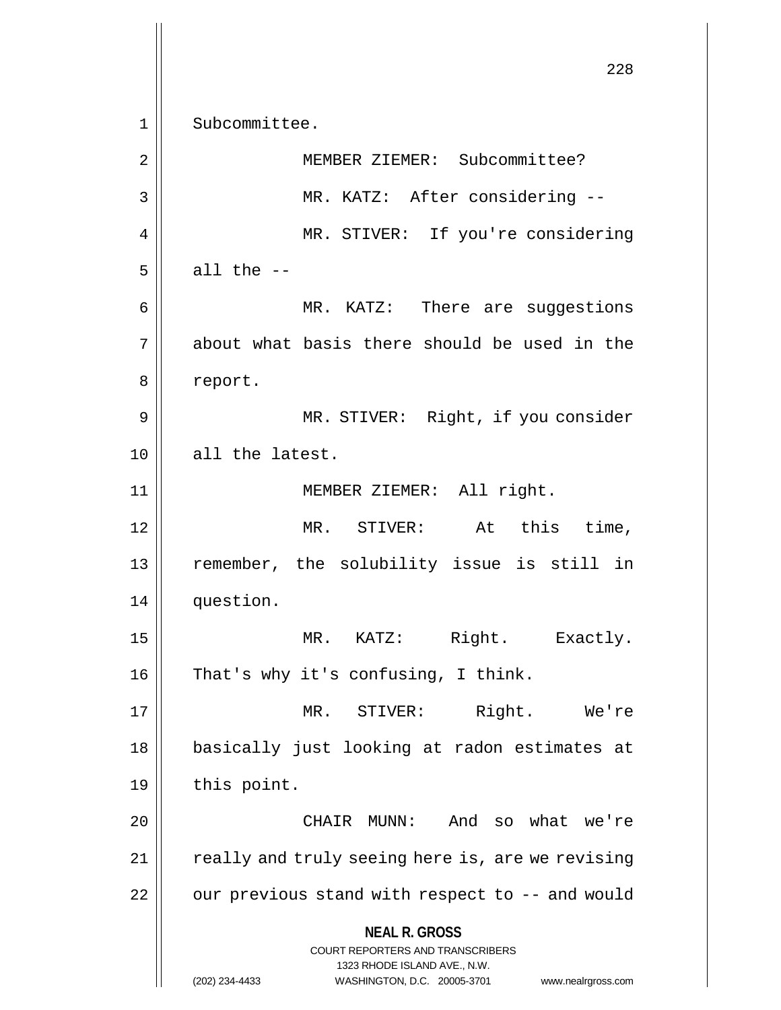**NEAL R. GROSS** COURT REPORTERS AND TRANSCRIBERS 1323 RHODE ISLAND AVE., N.W. (202) 234-4433 WASHINGTON, D.C. 20005-3701 www.nealrgross.com 228 1 || Subcommittee. 2 || MEMBER ZIEMER: Subcommittee? 3 || MR. KATZ: After considering --4 || MR. STIVER: If you're considering  $5 \parallel$  all the  $-$ 6 MR. KATZ: There are suggestions 7 about what basis there should be used in the 8 | report. 9 || MR. STIVER: Right, if you consider 10 all the latest. 11 || **MEMBER ZIEMER:** All right. 12 MR. STIVER: At this time, 13 remember, the solubility issue is still in 14 question. 15 || MR. KATZ: Right. Exactly.  $16$  | That's why it's confusing, I think. 17 MR. STIVER: Right. We're 18 basically just looking at radon estimates at  $19 \parallel$  this point. 20 CHAIR MUNN: And so what we're  $21$  | really and truly seeing here is, are we revising  $22$  | our previous stand with respect to  $-$ - and would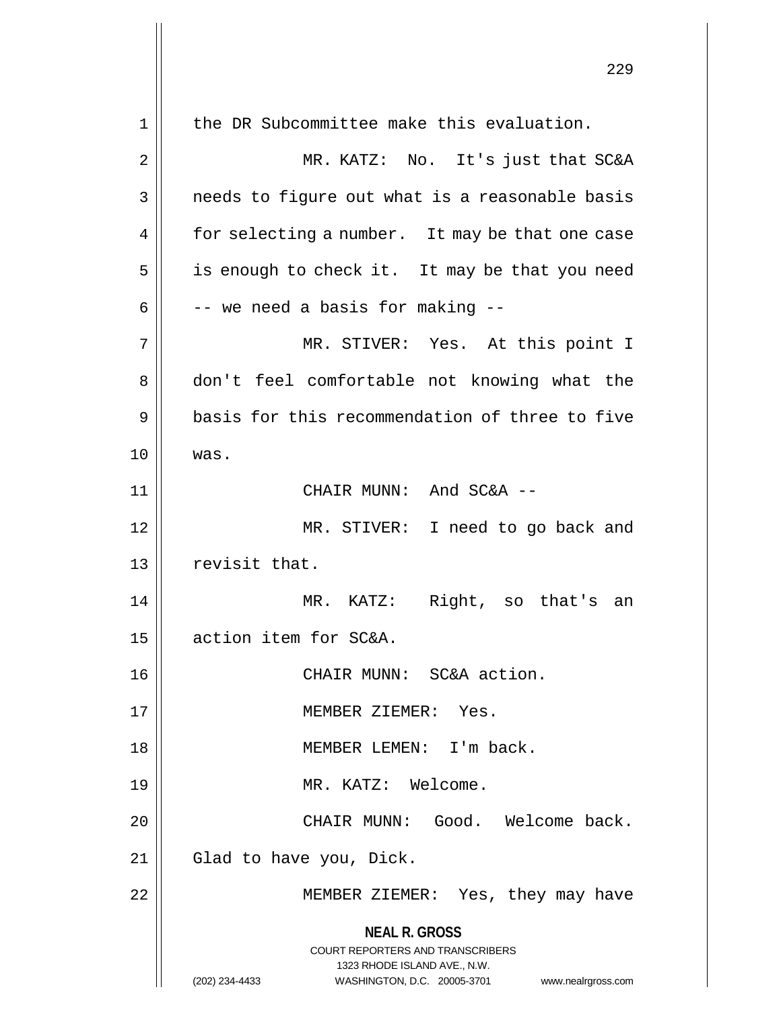|    | 229                                                                                                                                                                    |
|----|------------------------------------------------------------------------------------------------------------------------------------------------------------------------|
| 1  | the DR Subcommittee make this evaluation.                                                                                                                              |
| 2  | MR. KATZ: No. It's just that SC&A                                                                                                                                      |
| 3  | needs to figure out what is a reasonable basis                                                                                                                         |
| 4  | for selecting a number. It may be that one case                                                                                                                        |
| 5  | is enough to check it. It may be that you need                                                                                                                         |
| 6  | -- we need a basis for making --                                                                                                                                       |
| 7  | MR. STIVER: Yes. At this point I                                                                                                                                       |
| 8  | don't feel comfortable not knowing what the                                                                                                                            |
| 9  | basis for this recommendation of three to five                                                                                                                         |
| 10 | was.                                                                                                                                                                   |
| 11 | CHAIR MUNN: And SC&A --                                                                                                                                                |
| 12 | MR. STIVER: I need to go back and                                                                                                                                      |
| 13 | revisit that.                                                                                                                                                          |
| 14 | MR. KATZ: Right, so that's an                                                                                                                                          |
| 15 | action item for SC&A.                                                                                                                                                  |
| 16 | CHAIR MUNN: SC&A action.                                                                                                                                               |
| 17 | MEMBER ZIEMER: Yes.                                                                                                                                                    |
| 18 | MEMBER LEMEN: I'm back.                                                                                                                                                |
| 19 | MR. KATZ: Welcome.                                                                                                                                                     |
| 20 | CHAIR MUNN: Good. Welcome back.                                                                                                                                        |
| 21 | Glad to have you, Dick.                                                                                                                                                |
| 22 | MEMBER ZIEMER: Yes, they may have                                                                                                                                      |
|    | <b>NEAL R. GROSS</b><br><b>COURT REPORTERS AND TRANSCRIBERS</b><br>1323 RHODE ISLAND AVE., N.W.<br>(202) 234-4433<br>WASHINGTON, D.C. 20005-3701<br>www.nealrgross.com |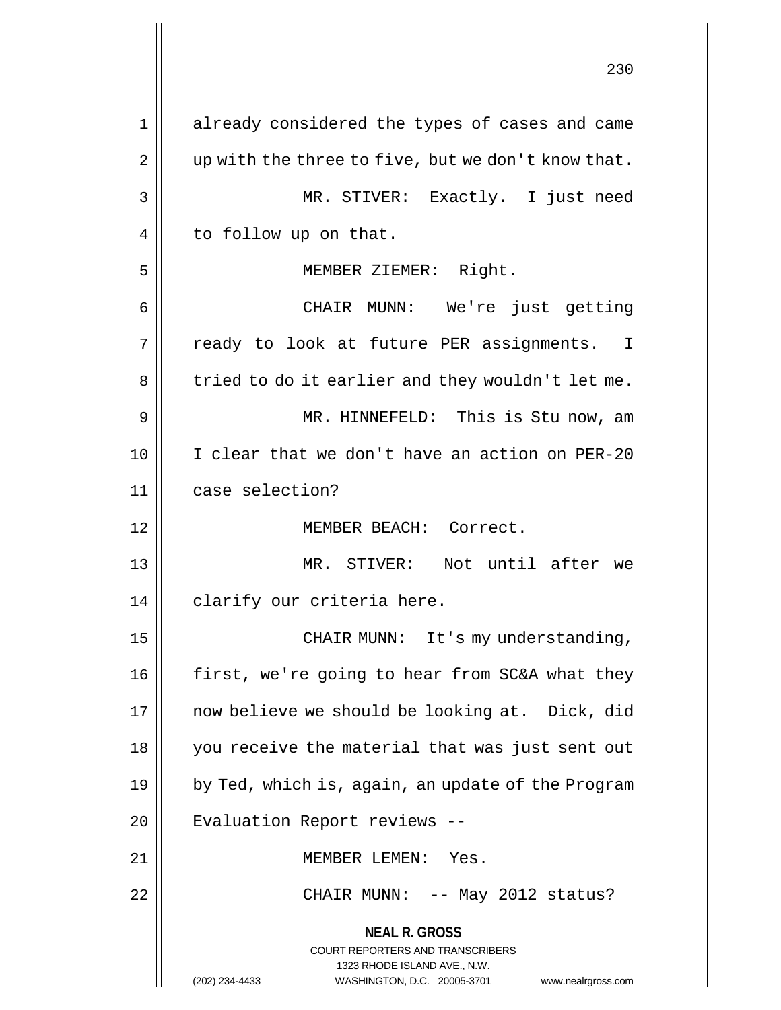**NEAL R. GROSS** COURT REPORTERS AND TRANSCRIBERS 1323 RHODE ISLAND AVE., N.W. (202) 234-4433 WASHINGTON, D.C. 20005-3701 www.nealrgross.com 1 already considered the types of cases and came  $2 \parallel$  up with the three to five, but we don't know that. 3 MR. STIVER: Exactly. I just need 4 | to follow up on that. 5 MEMBER ZIEMER: Right. 6 CHAIR MUNN: We're just getting 7 || ready to look at future PER assignments. I  $8 \parallel$  tried to do it earlier and they wouldn't let me. 9 MR. HINNEFELD: This is Stu now, am 10 I clear that we don't have an action on PER-20 11 case selection? 12 MEMBER BEACH: Correct. 13 || MR. STIVER: Not until after we 14 || clarify our criteria here. 15 || CHAIR MUNN: It's my understanding, 16 | first, we're going to hear from SC&A what they 17 || now believe we should be looking at. Dick, did 18 you receive the material that was just sent out 19  $\parallel$  by Ted, which is, again, an update of the Program 20 | Evaluation Report reviews --21 MEMBER LEMEN: Yes. 22 CHAIR MUNN: -- May 2012 status?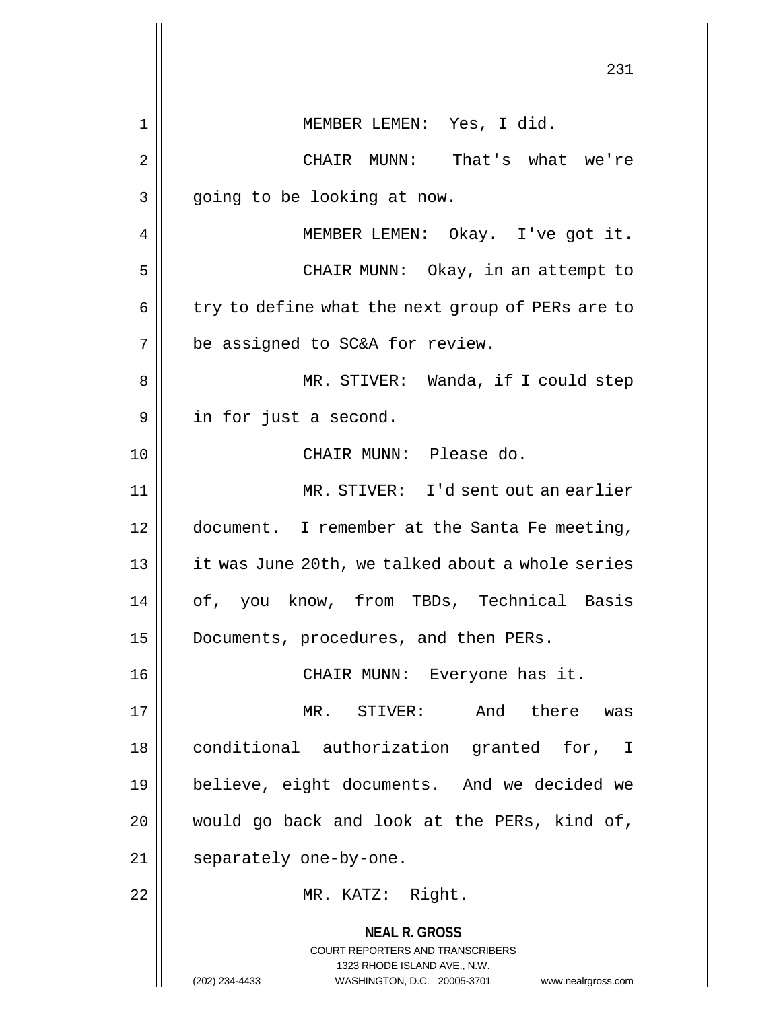**NEAL R. GROSS** COURT REPORTERS AND TRANSCRIBERS 1323 RHODE ISLAND AVE., N.W. (202) 234-4433 WASHINGTON, D.C. 20005-3701 www.nealrgross.com 231 1 MEMBER LEMEN: Yes, I did. 2 CHAIR MUNN: That's what we're  $3 \parallel$  going to be looking at now. 4 | MEMBER LEMEN: Okay. I've got it. 5 || CHAIR MUNN: Okay, in an attempt to  $6 \parallel$  try to define what the next group of PERs are to  $7$  | be assigned to SC&A for review. 8 MR. STIVER: Wanda, if I could step 9 | in for just a second. 10 CHAIR MUNN: Please do. 11 MR. STIVER: I'd sent out an earlier 12 document. I remember at the Santa Fe meeting, 13 | it was June 20th, we talked about a whole series 14 || of, you know, from TBDs, Technical Basis 15 | Documents, procedures, and then PERs. 16 CHAIR MUNN: Everyone has it. 17 MR. STIVER: And there was 18 || conditional authorization granted for, I 19 believe, eight documents. And we decided we  $20$  || would go back and look at the PERs, kind of, 21 || separately one-by-one. 22 || MR. KATZ: Right.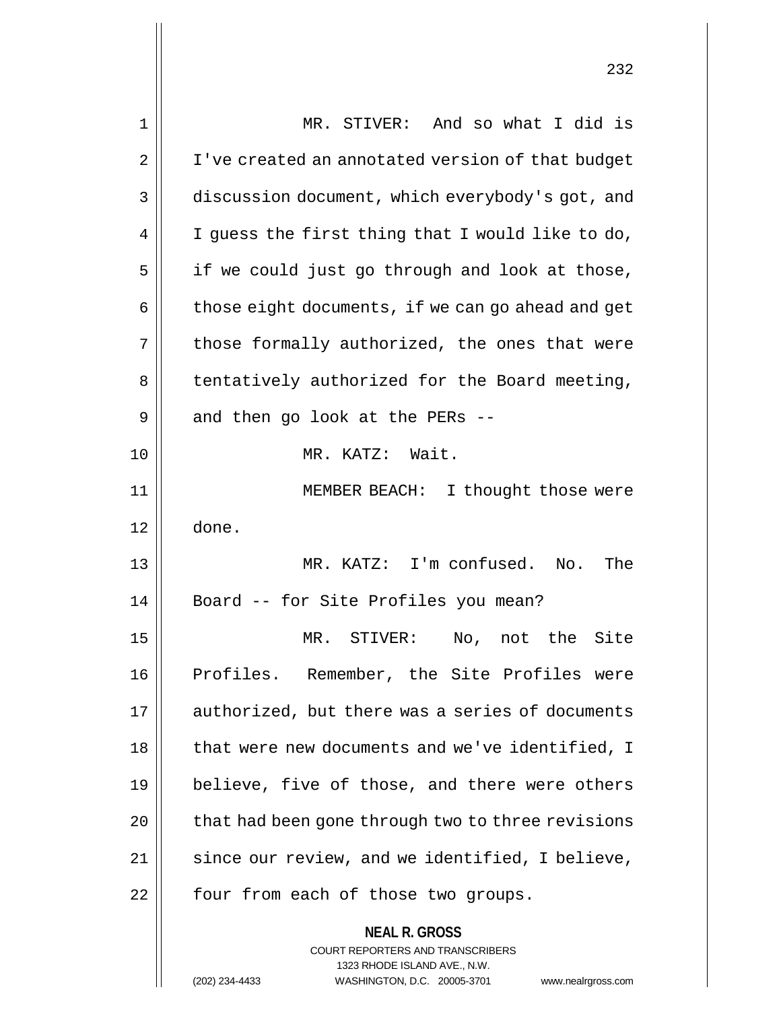| 1  | MR. STIVER: And so what I did is                                                                    |
|----|-----------------------------------------------------------------------------------------------------|
| 2  | I've created an annotated version of that budget                                                    |
| 3  | discussion document, which everybody's got, and                                                     |
| 4  | I guess the first thing that I would like to do,                                                    |
| 5  | if we could just go through and look at those,                                                      |
| 6  | those eight documents, if we can go ahead and get                                                   |
| 7  | those formally authorized, the ones that were                                                       |
| 8  | tentatively authorized for the Board meeting,                                                       |
| 9  | and then go look at the PERs --                                                                     |
| 10 | MR. KATZ: Wait.                                                                                     |
| 11 | MEMBER BEACH: I thought those were                                                                  |
| 12 | done.                                                                                               |
| 13 | MR. KATZ: I'm confused. No.<br>The                                                                  |
| 14 | Board -- for Site Profiles you mean?                                                                |
| 15 | MR. STIVER:<br>No, not the Site                                                                     |
| 16 | Profiles. Remember, the Site Profiles were                                                          |
| 17 | authorized, but there was a series of documents                                                     |
| 18 | that were new documents and we've identified, I                                                     |
| 19 | believe, five of those, and there were others                                                       |
| 20 | that had been gone through two to three revisions                                                   |
| 21 | since our review, and we identified, I believe,                                                     |
| 22 | four from each of those two groups.                                                                 |
|    | <b>NEAL R. GROSS</b>                                                                                |
|    | COURT REPORTERS AND TRANSCRIBERS                                                                    |
|    | 1323 RHODE ISLAND AVE., N.W.<br>(202) 234-4433<br>WASHINGTON, D.C. 20005-3701<br>www.nealrgross.com |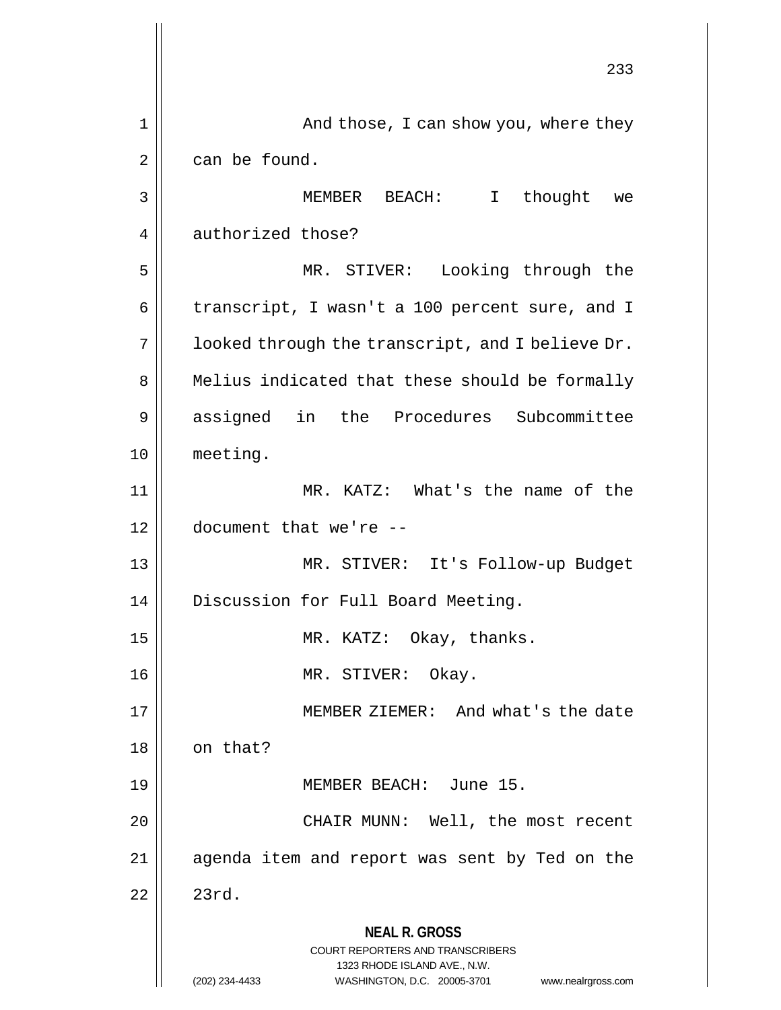**NEAL R. GROSS** COURT REPORTERS AND TRANSCRIBERS 1323 RHODE ISLAND AVE., N.W. (202) 234-4433 WASHINGTON, D.C. 20005-3701 www.nealrgross.com 233 1 And those, I can show you, where they  $2 \parallel$  can be found. 3 MEMBER BEACH: I thought we 4 authorized those? 5 MR. STIVER: Looking through the 6 | transcript, I wasn't a 100 percent sure, and I  $7 \parallel$  looked through the transcript, and I believe Dr. 8 || Melius indicated that these should be formally 9 || assigned in the Procedures Subcommittee 10 meeting. 11 || MR. KATZ: What's the name of the 12 document that we're -- 13 MR. STIVER: It's Follow-up Budget 14 | Discussion for Full Board Meeting. 15 || MR. KATZ: Okay, thanks. 16 MR. STIVER: Okay. 17 || MEMBER ZIEMER: And what's the date  $18$  on that? 19 MEMBER BEACH: June 15. 20 || CHAIR MUNN: Well, the most recent 21 agenda item and report was sent by Ted on the  $22 \parallel 23 \text{rd}.$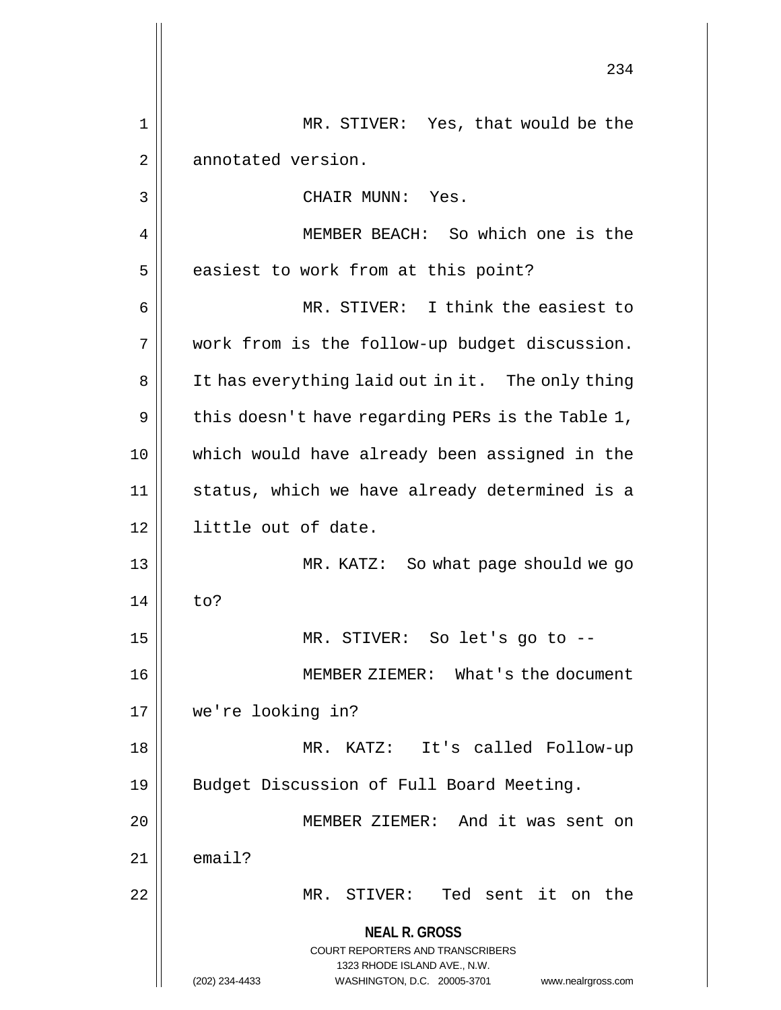**NEAL R. GROSS** COURT REPORTERS AND TRANSCRIBERS 1323 RHODE ISLAND AVE., N.W. (202) 234-4433 WASHINGTON, D.C. 20005-3701 www.nealrgross.com 234 1 MR. STIVER: Yes, that would be the 2 | annotated version. 3 CHAIR MUNN: Yes. 4 MEMBER BEACH: So which one is the  $5$  | easiest to work from at this point? 6 MR. STIVER: I think the easiest to 7 work from is the follow-up budget discussion. 8 || It has everything laid out in it. The only thing  $9 \parallel$  this doesn't have regarding PERs is the Table 1, 10 which would have already been assigned in the 11 status, which we have already determined is a 12 little out of date. 13 || MR. KATZ: So what page should we go 14 to? 15 MR. STIVER: So let's go to -- 16 MEMBER ZIEMER: What's the document 17 we're looking in? 18 MR. KATZ: It's called Follow-up 19 || Budget Discussion of Full Board Meeting. 20 MEMBER ZIEMER: And it was sent on  $21$   $\parallel$  email? 22 || MR. STIVER: Ted sent it on the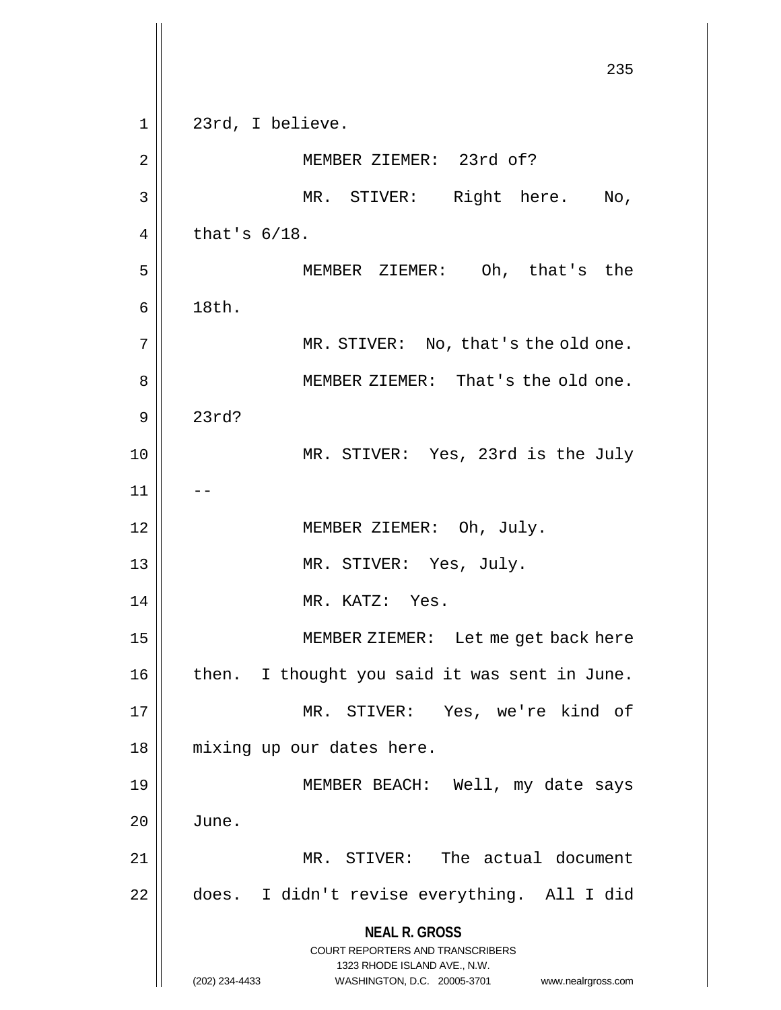**NEAL R. GROSS** COURT REPORTERS AND TRANSCRIBERS 1323 RHODE ISLAND AVE., N.W. (202) 234-4433 WASHINGTON, D.C. 20005-3701 www.nealrgross.com 235 1 || 23rd, I believe. 2 || MEMBER ZIEMER: 23rd of? 3 || MR. STIVER: Right here. No,  $4 \parallel$  that's  $6/18$ . 5 MEMBER ZIEMER: Oh, that's the  $6 \parallel$  18th. 7 || MR. STIVER: No, that's the old one. 8 || MEMBER ZIEMER: That's the old one. 9 23rd? 10 || MR. STIVER: Yes, 23rd is the July  $11$ 12 || **MEMBER ZIEMER:** Oh, July. 13 || MR. STIVER: Yes, July. 14 || MR. KATZ: Yes. 15 || MEMBER ZIEMER: Let me get back here  $16$  | then. I thought you said it was sent in June. 17 MR. STIVER: Yes, we're kind of 18 mixing up our dates here. 19 MEMBER BEACH: Well, my date says  $20$  | June. 21 MR. STIVER: The actual document 22 | does. I didn't revise everything. All I did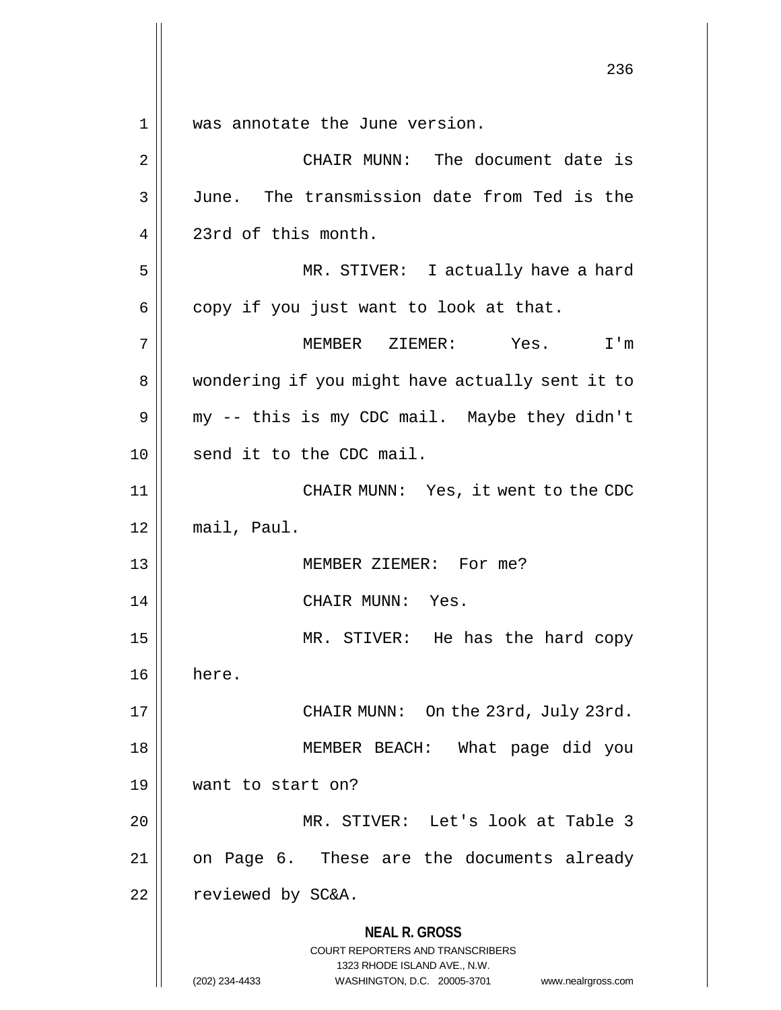**NEAL R. GROSS** COURT REPORTERS AND TRANSCRIBERS 236 1 was annotate the June version. 2 CHAIR MUNN: The document date is 3 June. The transmission date from Ted is the 4 23rd of this month. 5 || MR. STIVER: I actually have a hard  $6 \parallel$  copy if you just want to look at that. 7 MEMBER ZIEMER: Yes. I'm 8 || wondering if you might have actually sent it to  $9 \parallel$  my -- this is my CDC mail. Maybe they didn't 10 || send it to the CDC mail. 11 || CHAIR MUNN: Yes, it went to the CDC 12 mail, Paul. 13 MEMBER ZIEMER: For me? 14 || CHAIR MUNN: Yes. 15 MR. STIVER: He has the hard copy 16 here. 17 || CHAIR MUNN: On the 23rd, July 23rd. 18 MEMBER BEACH: What page did you 19 want to start on? 20 MR. STIVER: Let's look at Table 3 21 || on Page 6. These are the documents already 22 | reviewed by SC&A.

1323 RHODE ISLAND AVE., N.W.

(202) 234-4433 WASHINGTON, D.C. 20005-3701 www.nealrgross.com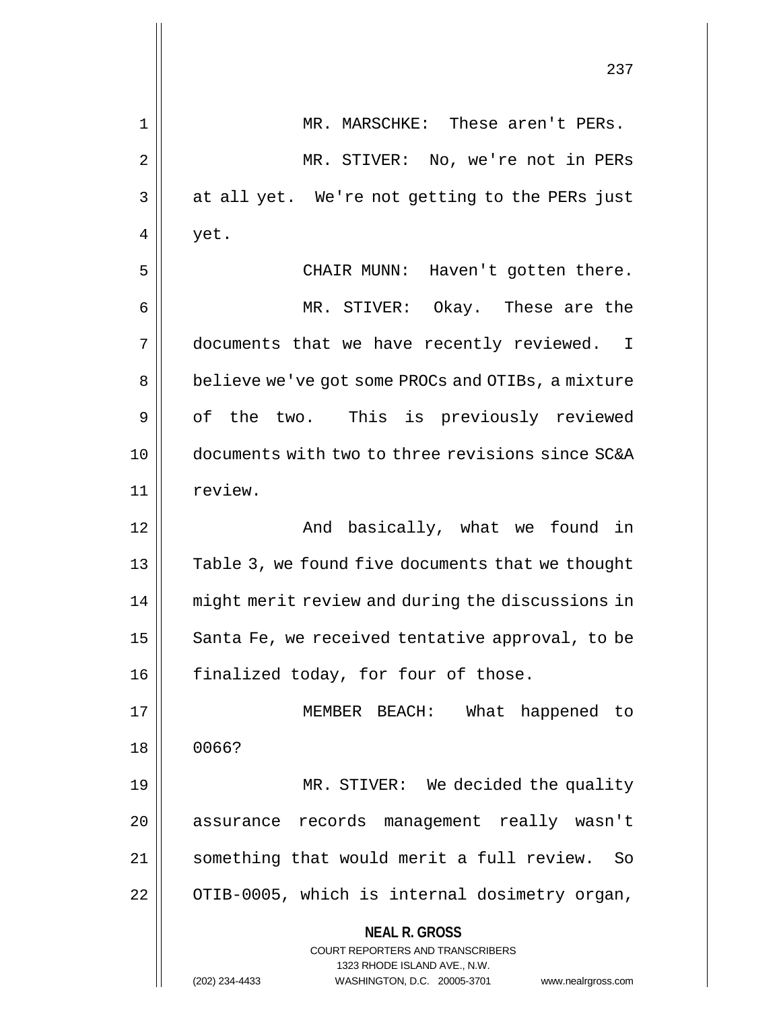|    | 237                                                                                                                                                                    |
|----|------------------------------------------------------------------------------------------------------------------------------------------------------------------------|
| 1  | MR. MARSCHKE: These aren't PERs.                                                                                                                                       |
| 2  | MR. STIVER: No, we're not in PERs                                                                                                                                      |
| 3  | at all yet. We're not getting to the PERs just                                                                                                                         |
| 4  | yet.                                                                                                                                                                   |
| 5  | CHAIR MUNN: Haven't gotten there.                                                                                                                                      |
| 6  | MR. STIVER: Okay. These are the                                                                                                                                        |
| 7  | documents that we have recently reviewed. I                                                                                                                            |
| 8  | believe we've got some PROCs and OTIBs, a mixture                                                                                                                      |
| 9  | of the two. This is previously reviewed                                                                                                                                |
| 10 | documents with two to three revisions since SC&A                                                                                                                       |
| 11 | review.                                                                                                                                                                |
| 12 | And basically, what we found in                                                                                                                                        |
| 13 | Table 3, we found five documents that we thought                                                                                                                       |
| 14 | might merit review and during the discussions in                                                                                                                       |
| 15 | Santa Fe, we received tentative approval, to be                                                                                                                        |
| 16 | finalized today, for four of those.                                                                                                                                    |
| 17 | MEMBER BEACH: What happened to                                                                                                                                         |
| 18 | 0066?                                                                                                                                                                  |
| 19 | MR. STIVER: We decided the quality                                                                                                                                     |
| 20 | assurance records management really wasn't                                                                                                                             |
| 21 | something that would merit a full review.<br>So                                                                                                                        |
| 22 | OTIB-0005, which is internal dosimetry organ,                                                                                                                          |
|    | <b>NEAL R. GROSS</b><br><b>COURT REPORTERS AND TRANSCRIBERS</b><br>1323 RHODE ISLAND AVE., N.W.<br>WASHINGTON, D.C. 20005-3701<br>(202) 234-4433<br>www.nealrgross.com |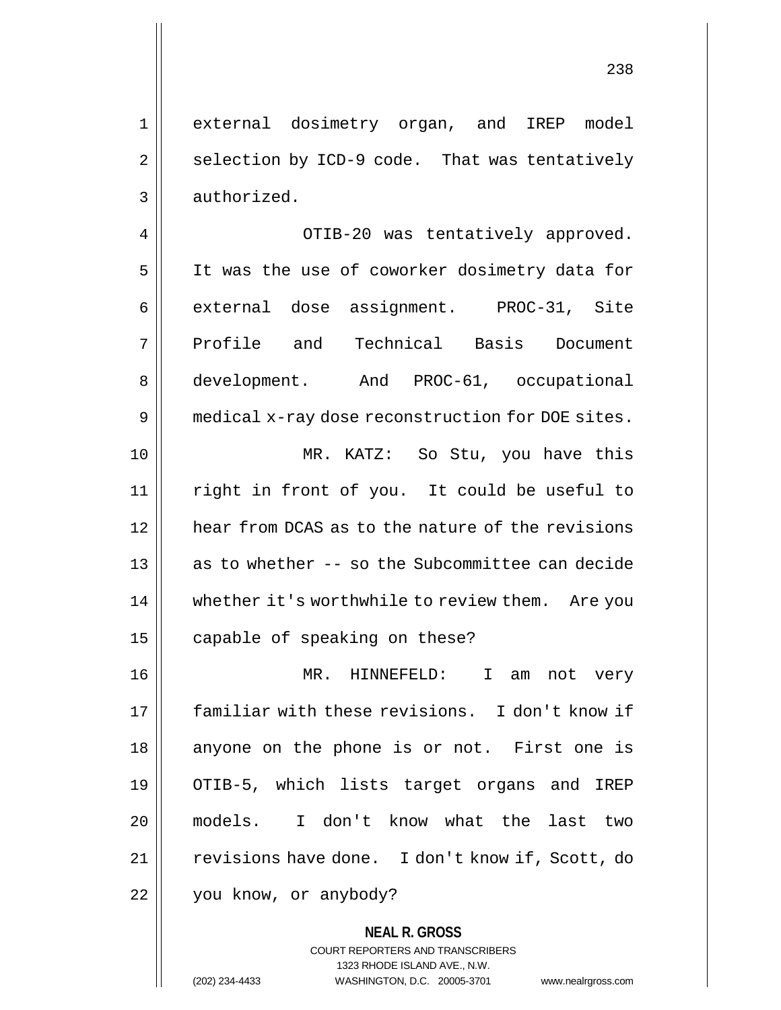1 external dosimetry organ, and IREP model  $2 \parallel$  selection by ICD-9 code. That was tentatively  $3 \parallel$  authorized.

4 OTIB-20 was tentatively approved. 5 || It was the use of coworker dosimetry data for 6 || external dose assignment. PROC-31, Site 7 Profile and Technical Basis Document 8 | development. And PROC-61, occupational 9 | medical x-ray dose reconstruction for DOE sites. 10 MR. KATZ: So Stu, you have this 11 right in front of you. It could be useful to 12 hear from DCAS as to the nature of the revisions 13 || as to whether -- so the Subcommittee can decide 14 | whether it's worthwhile to review them. Are you 15 | capable of speaking on these?

16 MR. HINNEFELD: I am not very 17 familiar with these revisions. I don't know if 18 || anyone on the phone is or not. First one is 19 OTIB-5, which lists target organs and IREP 20 models. I don't know what the last two 21 | revisions have done. I don't know if, Scott, do 22 | you know, or anybody?

> **NEAL R. GROSS** COURT REPORTERS AND TRANSCRIBERS 1323 RHODE ISLAND AVE., N.W. (202) 234-4433 WASHINGTON, D.C. 20005-3701 www.nealrgross.com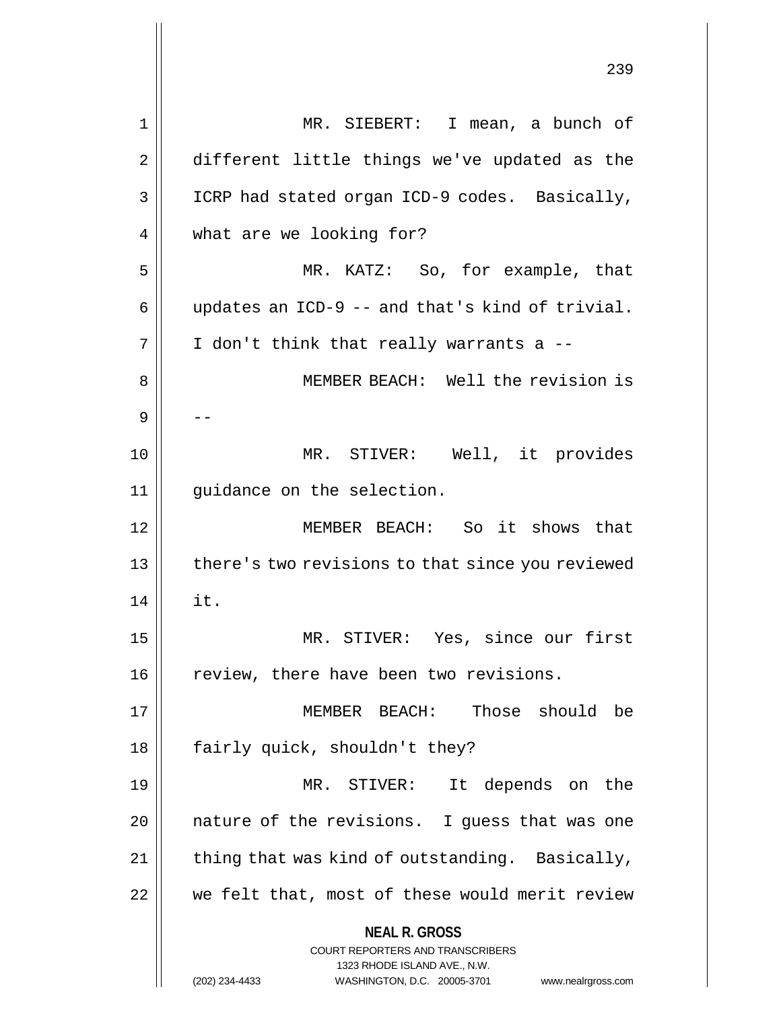**NEAL R. GROSS** COURT REPORTERS AND TRANSCRIBERS 1323 RHODE ISLAND AVE., N.W. (202) 234-4433 WASHINGTON, D.C. 20005-3701 www.nealrgross.com 1 || MR. SIEBERT: I mean, a bunch of 2 | different little things we've updated as the 3 || ICRP had stated organ ICD-9 codes. Basically, 4 | what are we looking for? 5 MR. KATZ: So, for example, that 6  $\parallel$  updates an ICD-9 -- and that's kind of trivial.  $7 \parallel$  I don't think that really warrants a --8 MEMBER BEACH: Well the revision is 9 | --10 MR. STIVER: Well, it provides 11 guidance on the selection. 12 MEMBER BEACH: So it shows that 13 || there's two revisions to that since you reviewed  $14$   $\parallel$  it. 15 MR. STIVER: Yes, since our first 16 | review, there have been two revisions. 17 MEMBER BEACH: Those should be 18 || fairly quick, shouldn't they? 19 MR. STIVER: It depends on the 20 || nature of the revisions. I quess that was one  $21$  | thing that was kind of outstanding. Basically, 22 we felt that, most of these would merit review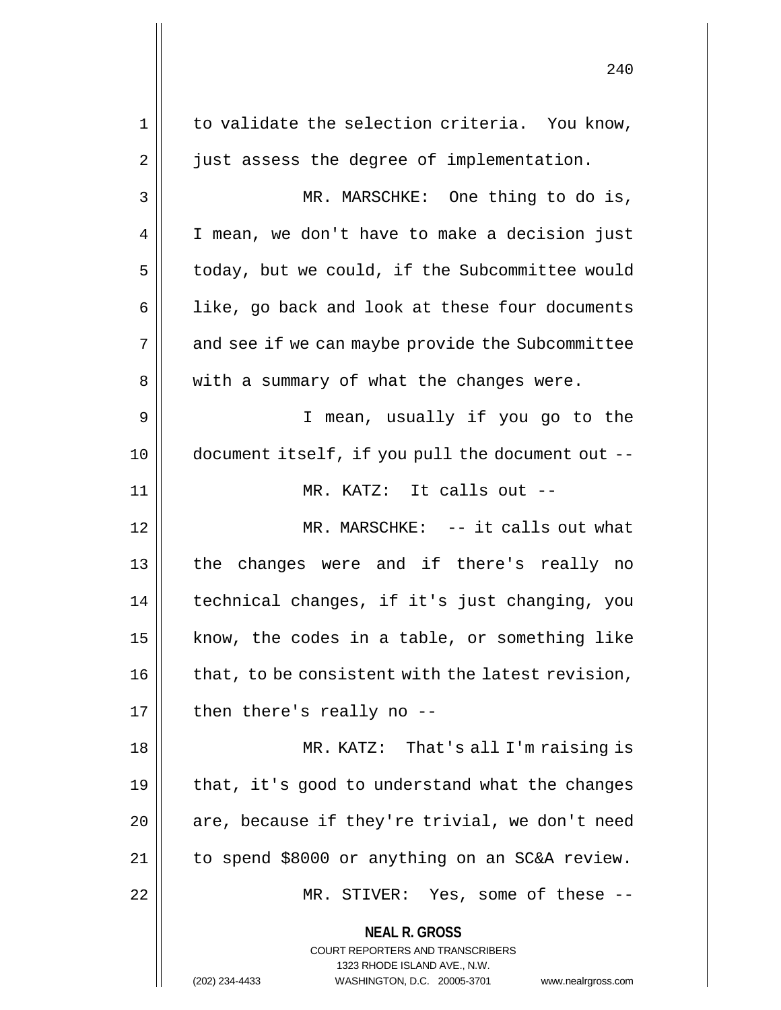**NEAL R. GROSS** COURT REPORTERS AND TRANSCRIBERS 1323 RHODE ISLAND AVE., N.W. (202) 234-4433 WASHINGTON, D.C. 20005-3701 www.nealrgross.com  $1 \parallel$  to validate the selection criteria. You know, 2 | just assess the degree of implementation. 3 MR. MARSCHKE: One thing to do is, 4 || I mean, we don't have to make a decision just  $5 \parallel$  today, but we could, if the Subcommittee would  $6 \parallel$  like, go back and look at these four documents 7 || and see if we can maybe provide the Subcommittee 8 || with a summary of what the changes were. 9 I mean, usually if you go to the 10 document itself, if you pull the document out -- 11 || MR. KATZ: It calls out --12 MR. MARSCHKE: -- it calls out what 13 the changes were and if there's really no 14 technical changes, if it's just changing, you 15  $\parallel$  know, the codes in a table, or something like  $16$  | that, to be consistent with the latest revision,  $17 \parallel$  then there's really no --18 MR. KATZ: That's all I'm raising is 19  $\parallel$  that, it's good to understand what the changes  $20$  || are, because if they're trivial, we don't need 21 to spend \$8000 or anything on an SC&A review. 22 || MR. STIVER: Yes, some of these --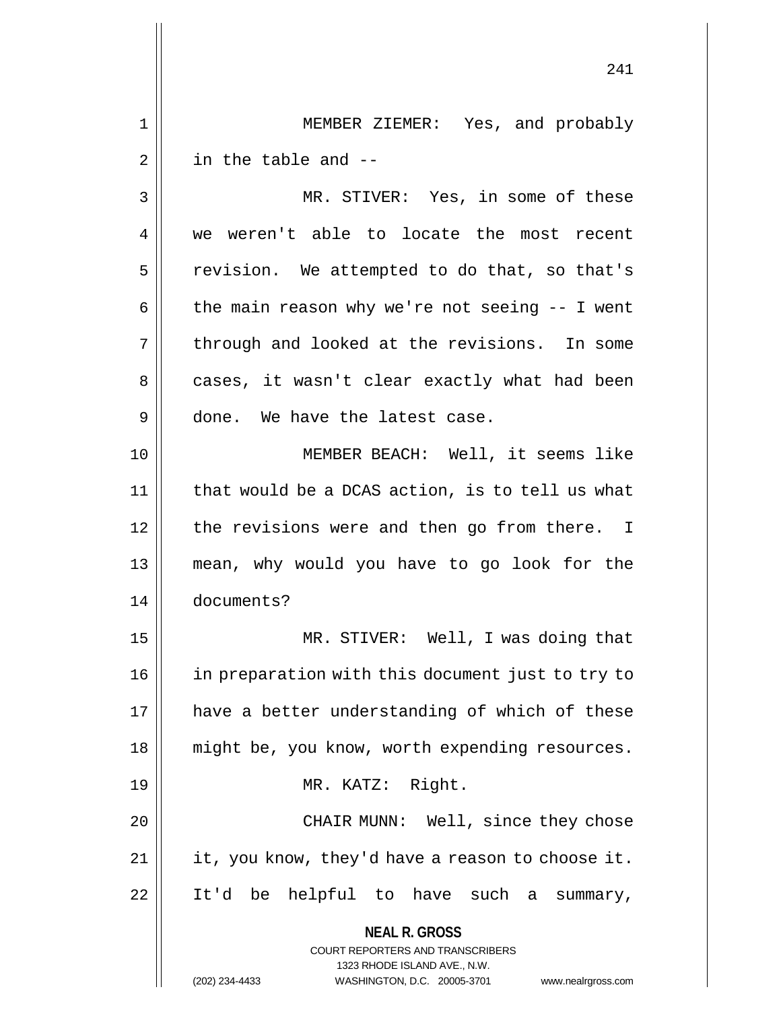1 MEMBER ZIEMER: Yes, and probably  $2 \parallel$  in the table and  $-$ 

3 || MR. STIVER: Yes, in some of these 4 we weren't able to locate the most recent 5 | revision. We attempted to do that, so that's 6  $\parallel$  the main reason why we're not seeing -- I went  $7 \parallel$  through and looked at the revisions. In some 8 || cases, it wasn't clear exactly what had been 9 done. We have the latest case. 10 MEMBER BEACH: Well, it seems like

 $11$  | that would be a DCAS action, is to tell us what 12 || the revisions were and then go from there. I 13 mean, why would you have to go look for the 14 documents?

15 MR. STIVER: Well, I was doing that 16 in preparation with this document just to try to 17 || have a better understanding of which of these 18 || might be, you know, worth expending resources. 19 || MR. KATZ: Right. 20 || CHAIR MUNN: Well, since they chose  $21$  || it, you know, they'd have a reason to choose it. 22 || It'd be helpful to have such a summary,

> **NEAL R. GROSS** COURT REPORTERS AND TRANSCRIBERS 1323 RHODE ISLAND AVE., N.W.

(202) 234-4433 WASHINGTON, D.C. 20005-3701 www.nealrgross.com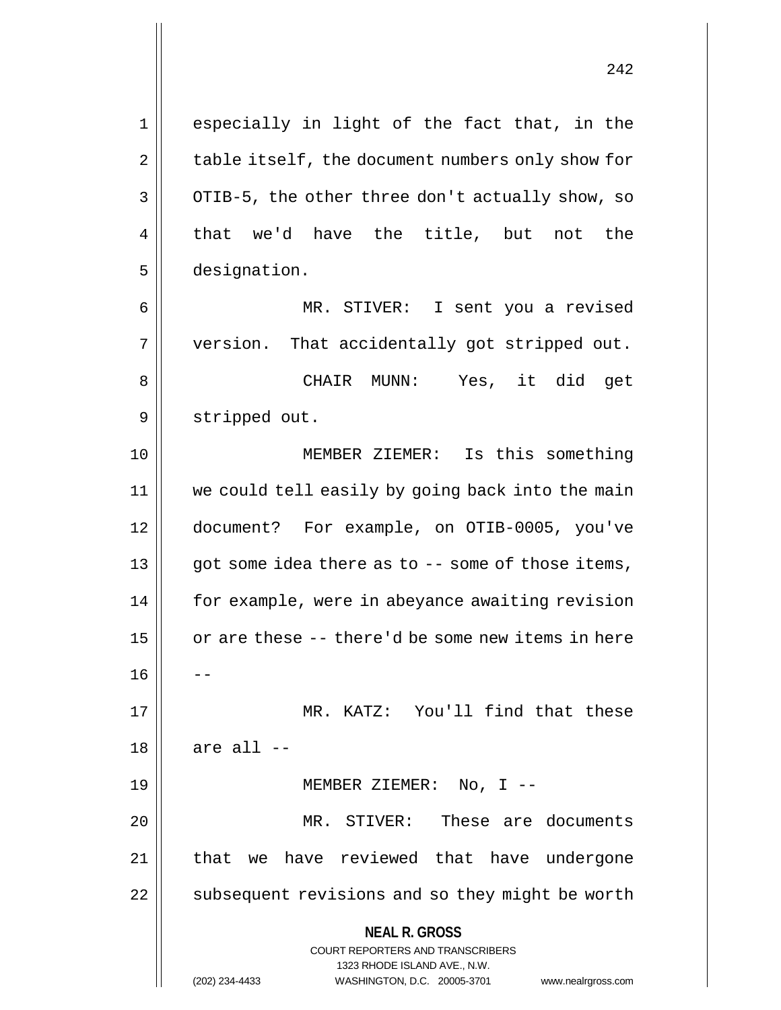**NEAL R. GROSS** COURT REPORTERS AND TRANSCRIBERS 1323 RHODE ISLAND AVE., N.W. (202) 234-4433 WASHINGTON, D.C. 20005-3701 www.nealrgross.com 1 || especially in light of the fact that, in the 2 | table itself, the document numbers only show for  $3 \parallel$  OTIB-5, the other three don't actually show, so  $4 \parallel$  that we'd have the title, but not the 5 designation. 6 MR. STIVER: I sent you a revised 7 || version. That accidentally got stripped out. 8 CHAIR MUNN: Yes, it did get 9 || stripped out. 10 || MEMBER ZIEMER: Is this something 11 we could tell easily by going back into the main 12 document? For example, on OTIB-0005, you've  $13 \parallel$  got some idea there as to  $-$  some of those items, 14 for example, were in abeyance awaiting revision 15 || or are these -- there'd be some new items in here 16 17 MR. KATZ: You'll find that these  $18$  | are all  $-$ 19 || MEMBER ZIEMER: No, I --20 || MR. STIVER: These are documents 21 || that we have reviewed that have undergone 22 | subsequent revisions and so they might be worth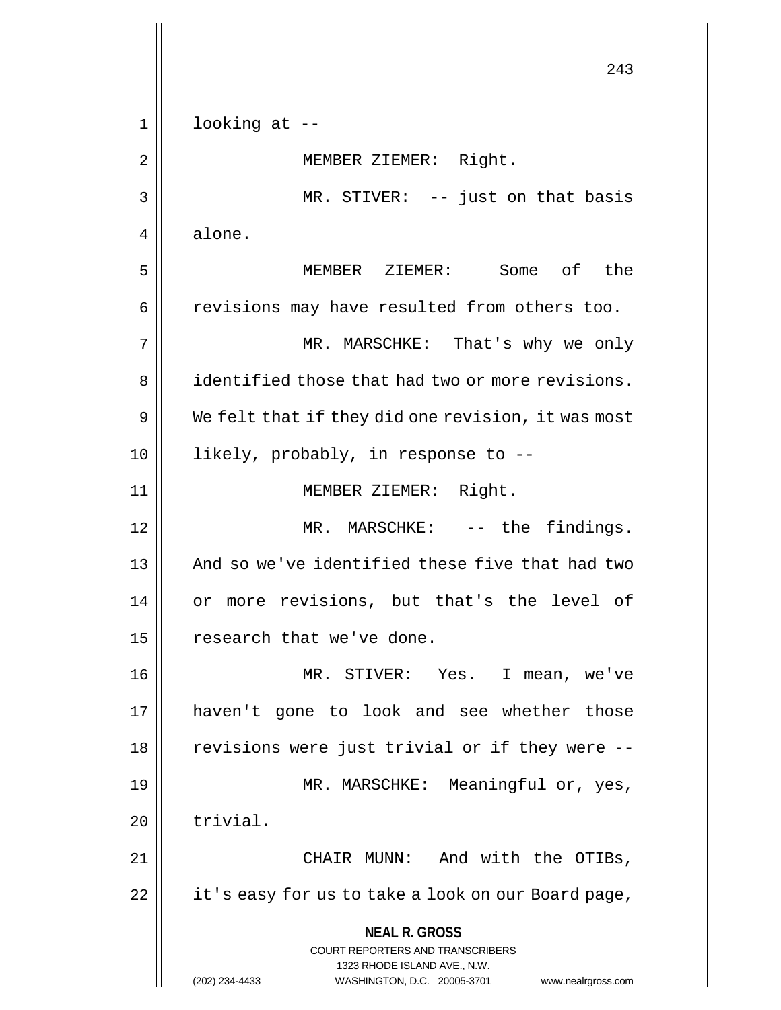**NEAL R. GROSS** COURT REPORTERS AND TRANSCRIBERS 1323 RHODE ISLAND AVE., N.W. (202) 234-4433 WASHINGTON, D.C. 20005-3701 www.nealrgross.com 243  $1 \parallel$  looking at --2 | MEMBER ZIEMER: Right. 3 || MR. STIVER: -- just on that basis 4 | alone. 5 MEMBER ZIEMER: Some of the 6 || revisions may have resulted from others too. 7 MR. MARSCHKE: That's why we only 8 **i** identified those that had two or more revisions.  $9 \parallel$  We felt that if they did one revision, it was most 10 || likely, probably, in response to --11 MEMBER ZIEMER: Right. 12 || MR. MARSCHKE: -- the findings. 13 || And so we've identified these five that had two 14 || or more revisions, but that's the level of  $15$  | research that we've done. 16 MR. STIVER: Yes. I mean, we've 17 haven't gone to look and see whether those 18 || revisions were just trivial or if they were --19 || MR. MARSCHKE: Meaningful or, yes,  $20$  | trivial. 21 CHAIR MUNN: And with the OTIBs,  $22$  | it's easy for us to take a look on our Board page,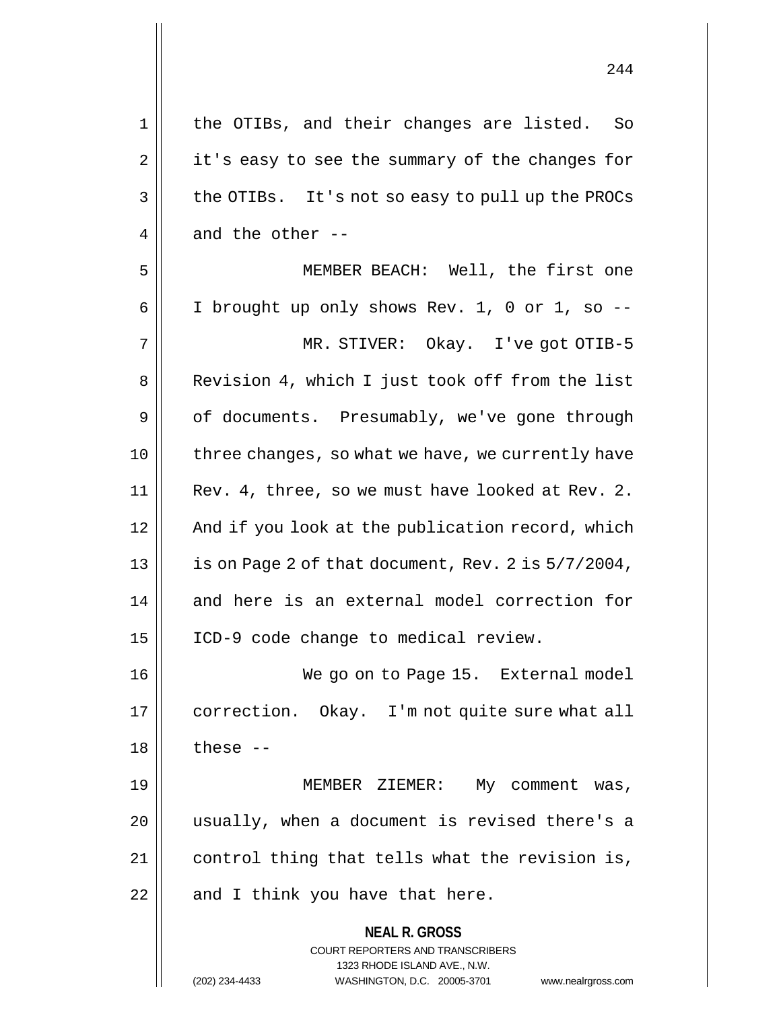1 || the OTIBs, and their changes are listed. So  $2 \parallel$  it's easy to see the summary of the changes for 3 || the OTIBs. It's not so easy to pull up the PROCs 4  $\parallel$  and the other --5 MEMBER BEACH: Well, the first one 6 | I brought up only shows Rev. 1, 0 or 1, so  $-$ 7 MR. STIVER: Okay. I've got OTIB-5 8 || Revision 4, which I just took off from the list 9 | of documents. Presumably, we've gone through 10 || three changes, so what we have, we currently have 11 || Rev. 4, three, so we must have looked at Rev. 2.

12 || And if you look at the publication record, which 13  $\vert$  is on Page 2 of that document, Rev. 2 is  $5/7/2004$ , 14 and here is an external model correction for 15 ICD-9 code change to medical review.

16 || We go on to Page 15. External model 17 | correction. Okay. I'm not quite sure what all  $18$  | these --

19 || MEMBER ZIEMER: My comment was, 20 usually, when a document is revised there's a 21 control thing that tells what the revision is,  $22$  || and I think you have that here.

> **NEAL R. GROSS** COURT REPORTERS AND TRANSCRIBERS 1323 RHODE ISLAND AVE., N.W. (202) 234-4433 WASHINGTON, D.C. 20005-3701 www.nealrgross.com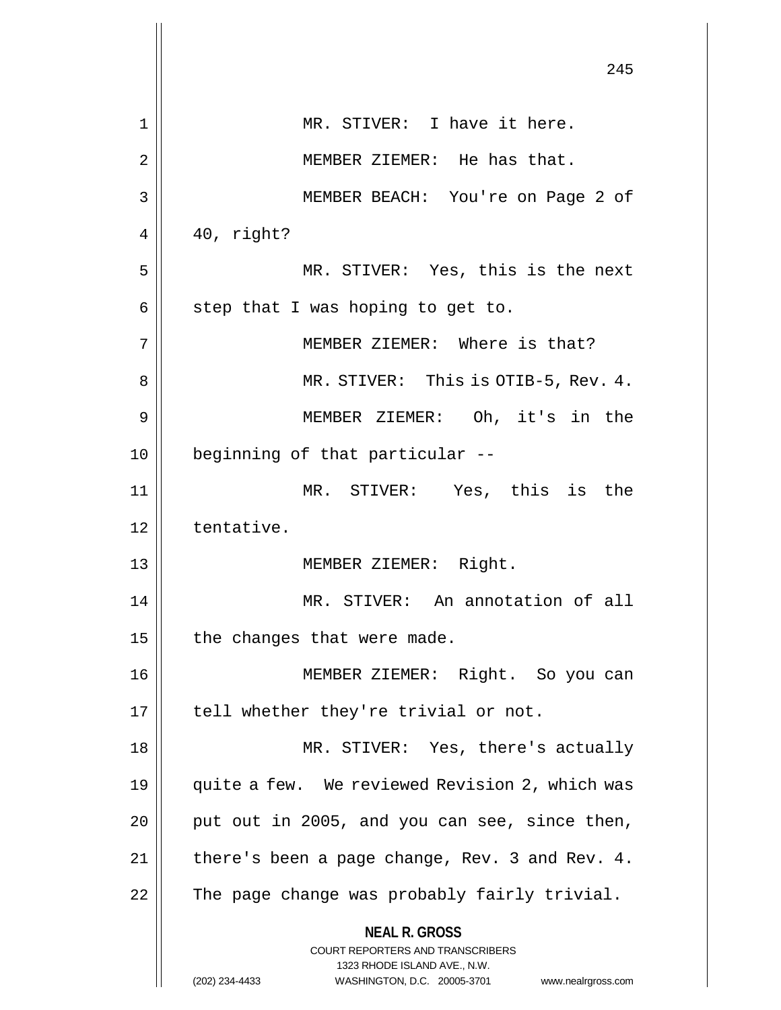|    | 245                                                                                                                                                             |
|----|-----------------------------------------------------------------------------------------------------------------------------------------------------------------|
| 1  | MR. STIVER: I have it here.                                                                                                                                     |
| 2  | MEMBER ZIEMER: He has that.                                                                                                                                     |
| 3  | MEMBER BEACH: You're on Page 2 of                                                                                                                               |
| 4  | 40, right?                                                                                                                                                      |
| 5  | MR. STIVER: Yes, this is the next                                                                                                                               |
| 6  | step that I was hoping to get to.                                                                                                                               |
| 7  | MEMBER ZIEMER: Where is that?                                                                                                                                   |
| 8  | MR. STIVER: This is OTIB-5, Rev. 4.                                                                                                                             |
| 9  | MEMBER ZIEMER: Oh, it's in the                                                                                                                                  |
| 10 | beginning of that particular --                                                                                                                                 |
| 11 | MR. STIVER: Yes, this is the                                                                                                                                    |
| 12 | tentative.                                                                                                                                                      |
| 13 | MEMBER ZIEMER: Right.                                                                                                                                           |
| 14 | MR. STIVER: An annotation of all                                                                                                                                |
| 15 | the changes that were made.                                                                                                                                     |
| 16 | MEMBER ZIEMER: Right. So you can                                                                                                                                |
| 17 | tell whether they're trivial or not.                                                                                                                            |
| 18 | MR. STIVER: Yes, there's actually                                                                                                                               |
| 19 | quite a few. We reviewed Revision 2, which was                                                                                                                  |
| 20 | put out in 2005, and you can see, since then,                                                                                                                   |
| 21 | there's been a page change, Rev. 3 and Rev. 4.                                                                                                                  |
| 22 | The page change was probably fairly trivial.                                                                                                                    |
|    | <b>NEAL R. GROSS</b><br>COURT REPORTERS AND TRANSCRIBERS<br>1323 RHODE ISLAND AVE., N.W.<br>WASHINGTON, D.C. 20005-3701<br>(202) 234-4433<br>www.nealrgross.com |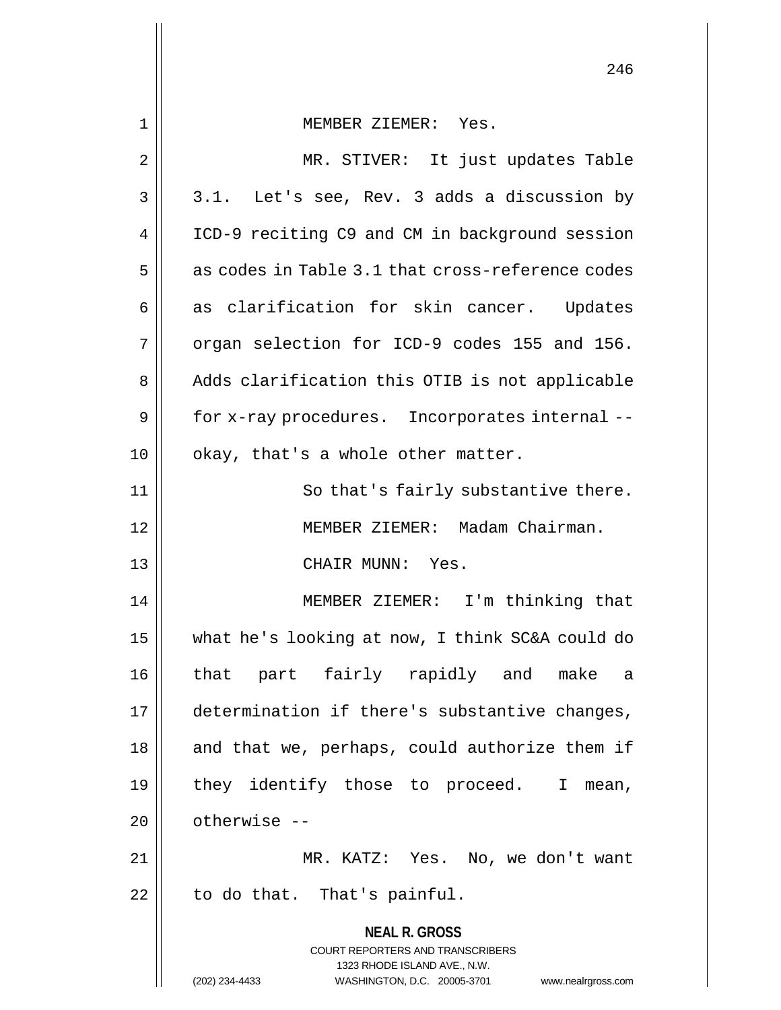|             | 246                                                                                             |
|-------------|-------------------------------------------------------------------------------------------------|
| $\mathbf 1$ | MEMBER ZIEMER: Yes.                                                                             |
| 2           | MR. STIVER: It just updates Table                                                               |
| 3           | 3.1. Let's see, Rev. 3 adds a discussion by                                                     |
| 4           |                                                                                                 |
|             | ICD-9 reciting C9 and CM in background session                                                  |
| 5           | as codes in Table 3.1 that cross-reference codes                                                |
| 6           | as clarification for skin cancer. Updates                                                       |
| 7           | organ selection for ICD-9 codes 155 and 156.                                                    |
| 8           | Adds clarification this OTIB is not applicable                                                  |
| 9           | for x-ray procedures. Incorporates internal --                                                  |
| 10          | okay, that's a whole other matter.                                                              |
| 11          | So that's fairly substantive there.                                                             |
| 12          | MEMBER ZIEMER: Madam Chairman.                                                                  |
| 13          | CHAIR MUNN: Yes.                                                                                |
| 14          | MEMBER ZIEMER: I'm thinking that                                                                |
| 15          | what he's looking at now, I think SC&A could do                                                 |
| 16          | that part fairly rapidly and make a                                                             |
| 17          | determination if there's substantive changes,                                                   |
| 18          | and that we, perhaps, could authorize them if                                                   |
| 19          | they identify those to proceed. I<br>mean,                                                      |
| 20          | otherwise --                                                                                    |
| 21          | MR. KATZ: Yes. No, we don't want                                                                |
| 22          | to do that. That's painful.                                                                     |
|             | <b>NEAL R. GROSS</b><br><b>COURT REPORTERS AND TRANSCRIBERS</b><br>1323 RHODE ISLAND AVE., N.W. |
|             | (202) 234-4433<br>WASHINGTON, D.C. 20005-3701 www.nealrgross.com                                |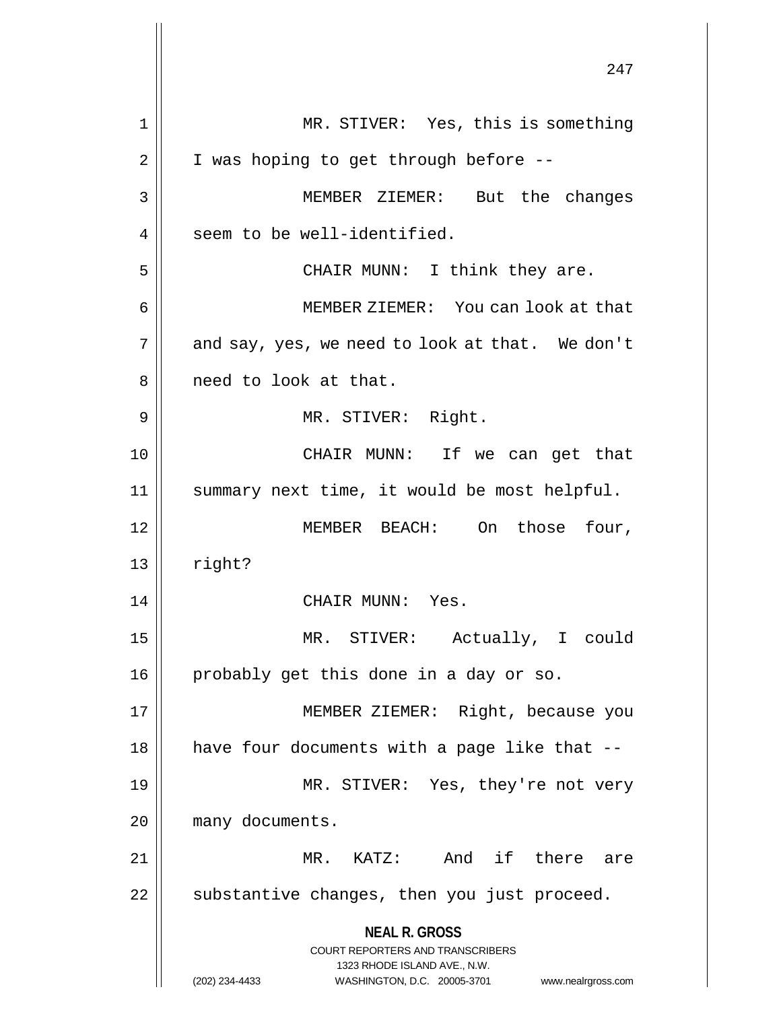**NEAL R. GROSS** COURT REPORTERS AND TRANSCRIBERS 1323 RHODE ISLAND AVE., N.W. (202) 234-4433 WASHINGTON, D.C. 20005-3701 www.nealrgross.com 247 1 || MR. STIVER: Yes, this is something  $2 \parallel$  I was hoping to get through before --3 MEMBER ZIEMER: But the changes 4 | seem to be well-identified. 5 || CHAIR MUNN: I think they are. 6 MEMBER ZIEMER: You can look at that  $7$  | and say, yes, we need to look at that. We don't 8 || need to look at that. 9 || MR. STIVER: Right. 10 CHAIR MUNN: If we can get that 11 summary next time, it would be most helpful. 12 MEMBER BEACH: On those four,  $13$  right? 14 || CHAIR MUNN: Yes. 15 MR. STIVER: Actually, I could 16 || probably get this done in a day or so. 17 || MEMBER ZIEMER: Right, because you  $18$  | have four documents with a page like that  $-$ 19 MR. STIVER: Yes, they're not very 20 | many documents. 21 MR. KATZ: And if there are  $22$  || substantive changes, then you just proceed.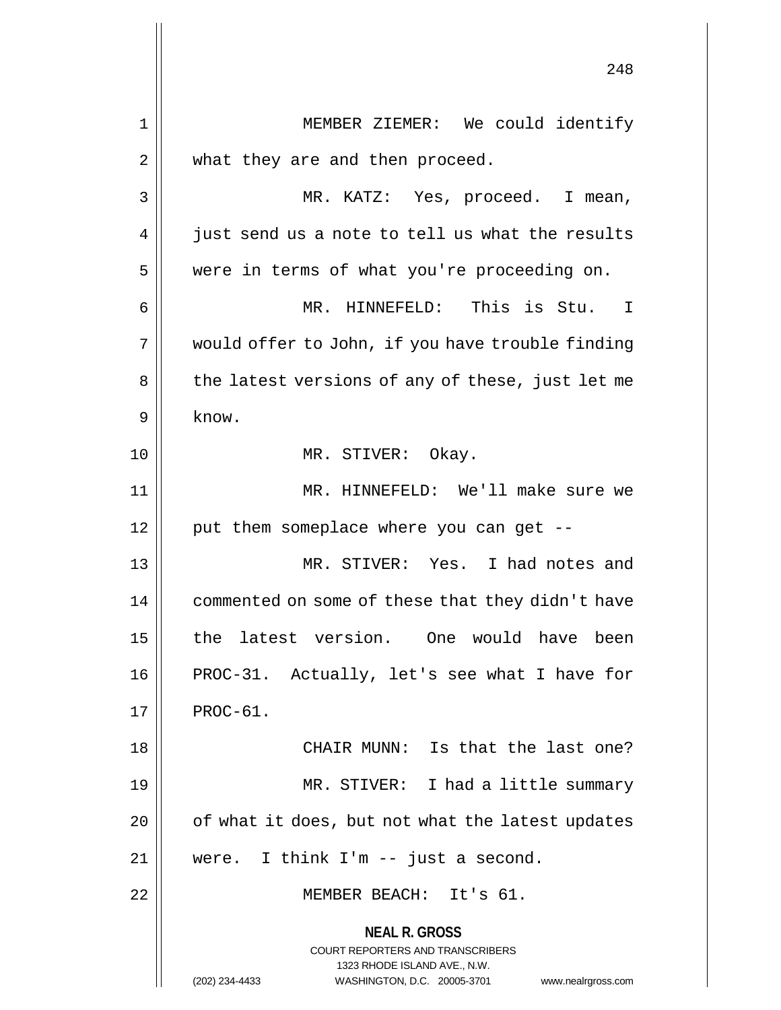**NEAL R. GROSS** COURT REPORTERS AND TRANSCRIBERS 1323 RHODE ISLAND AVE., N.W. (202) 234-4433 WASHINGTON, D.C. 20005-3701 www.nealrgross.com 248 1 || MEMBER ZIEMER: We could identify 2 || what they are and then proceed. 3 MR. KATZ: Yes, proceed. I mean,  $4 \parallel$  just send us a note to tell us what the results 5 | were in terms of what you're proceeding on. 6 MR. HINNEFELD: This is Stu. I 7 || would offer to John, if you have trouble finding 8 || the latest versions of any of these, just let me  $9 \parallel$  know. 10 || MR. STIVER: Okay. 11 MR. HINNEFELD: We'll make sure we  $12$  | put them someplace where you can get --13 MR. STIVER: Yes. I had notes and 14 | commented on some of these that they didn't have 15 the latest version. One would have been 16 || PROC-31. Actually, let's see what I have for  $17 \parallel$  PROC-61. 18 CHAIR MUNN: Is that the last one? 19 MR. STIVER: I had a little summary  $20$  |  $\sigma$  of what it does, but not what the latest updates 21 were. I think I'm -- just a second. 22 || MEMBER BEACH: It's 61.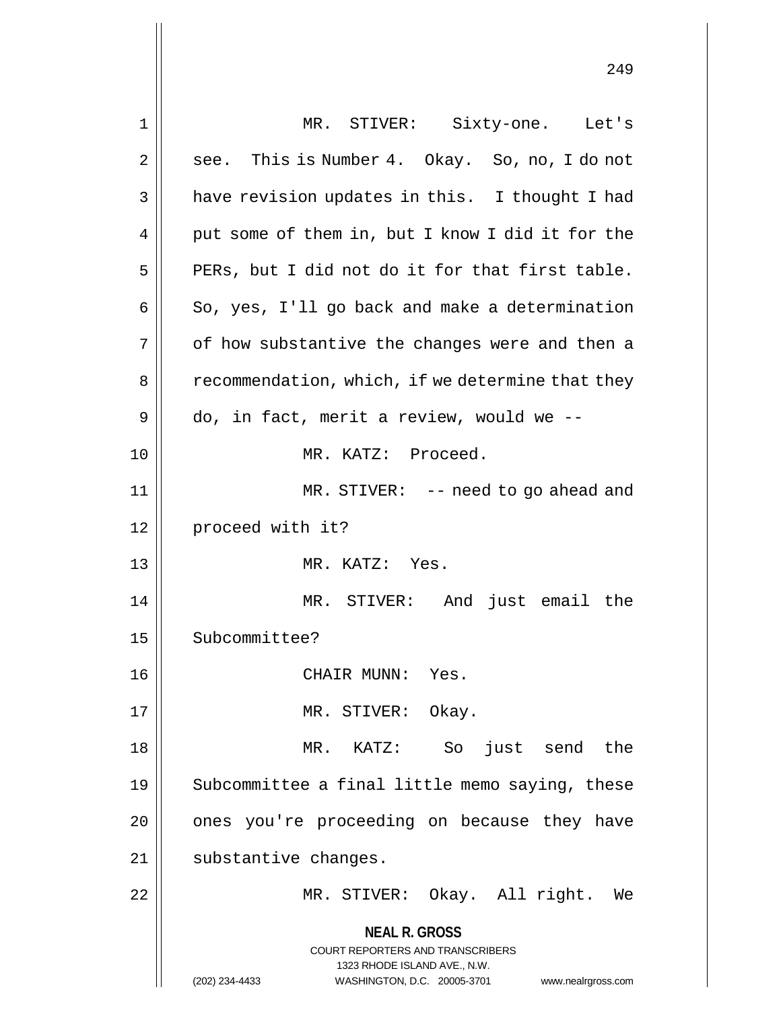| 1  | MR. STIVER: Sixty-one. Let's                                                                    |
|----|-------------------------------------------------------------------------------------------------|
| 2  | see. This is Number 4. Okay. So, no, I do not                                                   |
| 3  | have revision updates in this. I thought I had                                                  |
| 4  | put some of them in, but I know I did it for the                                                |
| 5  | PERs, but I did not do it for that first table.                                                 |
| 6  | So, yes, I'll go back and make a determination                                                  |
| 7  | of how substantive the changes were and then a                                                  |
| 8  | recommendation, which, if we determine that they                                                |
| 9  | do, in fact, merit a review, would we --                                                        |
| 10 | MR. KATZ: Proceed.                                                                              |
| 11 | MR. STIVER: $-$ need to go ahead and                                                            |
| 12 | proceed with it?                                                                                |
| 13 | MR. KATZ: Yes.                                                                                  |
| 14 | MR. STIVER: And just email the                                                                  |
| 15 | Subcommittee?                                                                                   |
| 16 | CHAIR MUNN: Yes.                                                                                |
| 17 | MR. STIVER: Okay.                                                                               |
| 18 | MR. KATZ: So just send the                                                                      |
| 19 | Subcommittee a final little memo saying, these                                                  |
| 20 | ones you're proceeding on because they have                                                     |
| 21 | substantive changes.                                                                            |
| 22 | MR. STIVER: Okay. All right.<br>We                                                              |
|    | <b>NEAL R. GROSS</b><br><b>COURT REPORTERS AND TRANSCRIBERS</b><br>1323 RHODE ISLAND AVE., N.W. |
|    | WASHINGTON, D.C. 20005-3701<br>(202) 234-4433<br>www.nealrgross.com                             |

Ш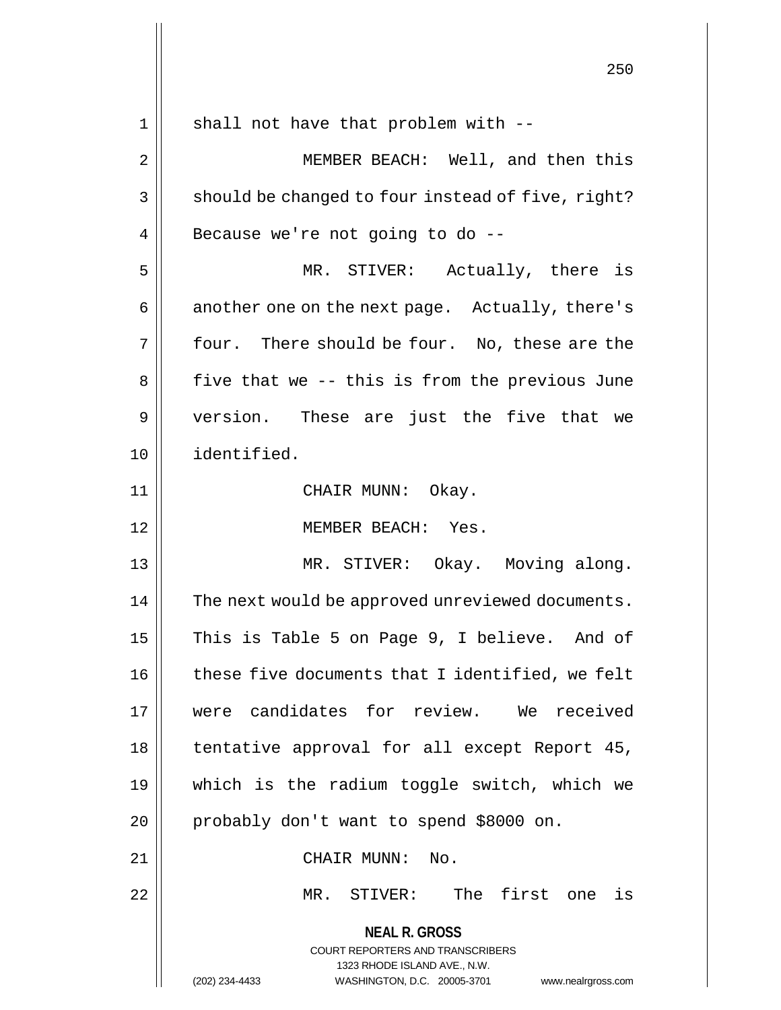**NEAL R. GROSS** COURT REPORTERS AND TRANSCRIBERS 1323 RHODE ISLAND AVE., N.W. (202) 234-4433 WASHINGTON, D.C. 20005-3701 www.nealrgross.com  $1 ||$  shall not have that problem with  $-$ 2 || MEMBER BEACH: Well, and then this  $3 \parallel$  should be changed to four instead of five, right?  $4 \parallel$  Because we're not going to do --5 MR. STIVER: Actually, there is 6 | another one on the next page. Actually, there's  $7 \parallel$  four. There should be four. No, these are the  $8 \parallel$  five that we -- this is from the previous June 9 || version. These are just the five that we 10 identified. 11 CHAIR MUNN: Okay. 12 MEMBER BEACH: Yes. 13 MR. STIVER: Okay. Moving along. 14 | The next would be approved unreviewed documents. 15 || This is Table 5 on Page 9, I believe. And of 16 | these five documents that I identified, we felt 17 were candidates for review. We received 18 | tentative approval for all except Report 45, 19 which is the radium toggle switch, which we 20 || probably don't want to spend \$8000 on. 21 || CHAIR MUNN: No. 22 MR. STIVER: The first one is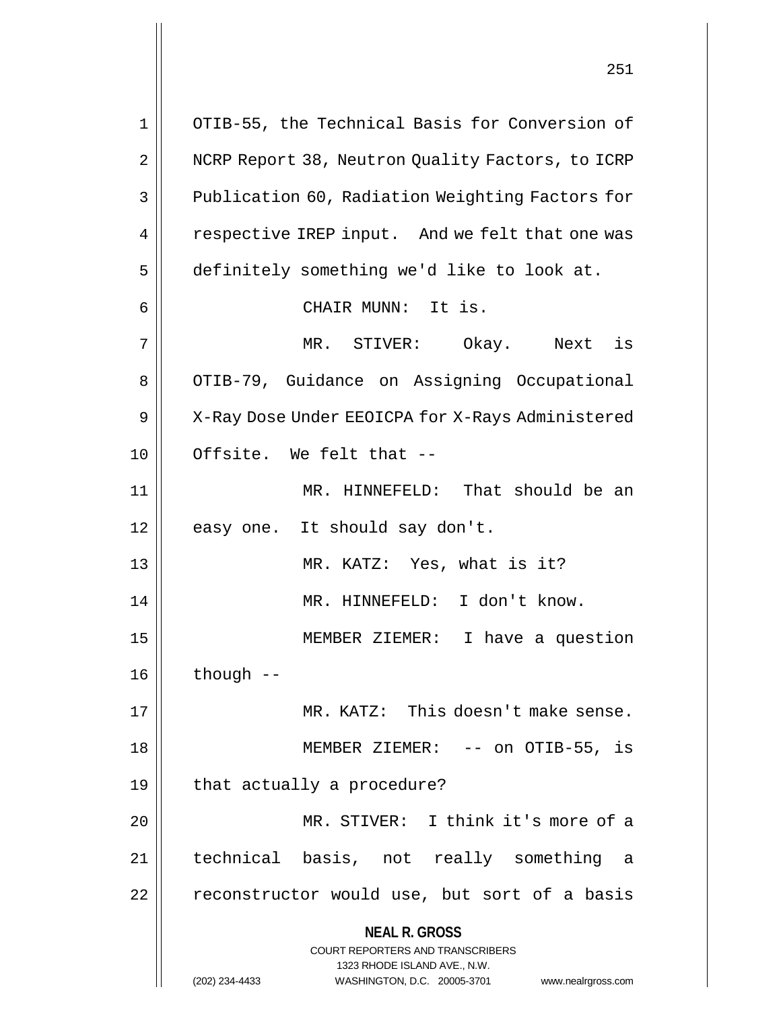**NEAL R. GROSS** COURT REPORTERS AND TRANSCRIBERS 1323 RHODE ISLAND AVE., N.W. (202) 234-4433 WASHINGTON, D.C. 20005-3701 www.nealrgross.com 1 || OTIB-55, the Technical Basis for Conversion of 2 | NCRP Report 38, Neutron Quality Factors, to ICRP 3 **Publication 60, Radiation Weighting Factors for** 4 | respective IREP input. And we felt that one was 5 definitely something we'd like to look at. 6 || CHAIR MUNN: It is. 7 MR. STIVER: Okay. Next is 8 | OTIB-79, Guidance on Assigning Occupational 9 | X-Ray Dose Under EEOICPA for X-Rays Administered  $10$   $\parallel$  Offsite. We felt that  $-$ 11 || MR. HINNEFELD: That should be an 12 || easy one. It should say don't. 13 || MR. KATZ: Yes, what is it? 14 MR. HINNEFELD: I don't know. 15 MEMBER ZIEMER: I have a question  $16$  | though  $-$ 17 MR. KATZ: This doesn't make sense. 18 MEMBER ZIEMER: -- on OTIB-55, is  $19 \parallel$  that actually a procedure? 20 MR. STIVER: I think it's more of a 21 technical basis, not really something a  $22$  | reconstructor would use, but sort of a basis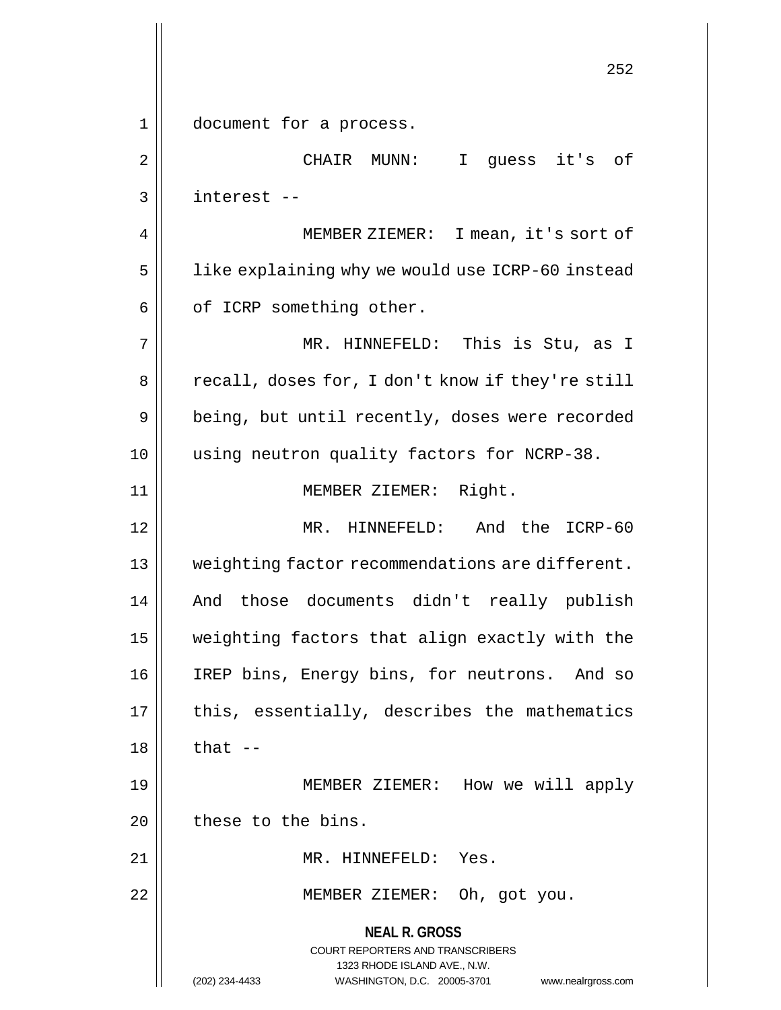**NEAL R. GROSS** COURT REPORTERS AND TRANSCRIBERS 1323 RHODE ISLAND AVE., N.W. (202) 234-4433 WASHINGTON, D.C. 20005-3701 www.nealrgross.com 252 1 || document for a process. 2 || CHAIR MUNN: I guess it's of 3 interest -- 4 MEMBER ZIEMER: I mean, it's sort of 5 | like explaining why we would use ICRP-60 instead  $6 \parallel$  of ICRP something other. 7 MR. HINNEFELD: This is Stu, as I 8 | recall, doses for, I don't know if they're still 9 | being, but until recently, doses were recorded 10 || using neutron quality factors for NCRP-38. 11 || **MEMBER ZIEMER:** Right. 12 MR. HINNEFELD: And the ICRP-60 13 || weighting factor recommendations are different. 14 And those documents didn't really publish 15 weighting factors that align exactly with the 16 || IREP bins, Energy bins, for neutrons. And so  $17$  || this, essentially, describes the mathematics  $18$  || that  $-$ 19 MEMBER ZIEMER: How we will apply  $20$  | these to the bins. 21 || MR. HINNEFELD: Yes. 22 || MEMBER ZIEMER: Oh, got you.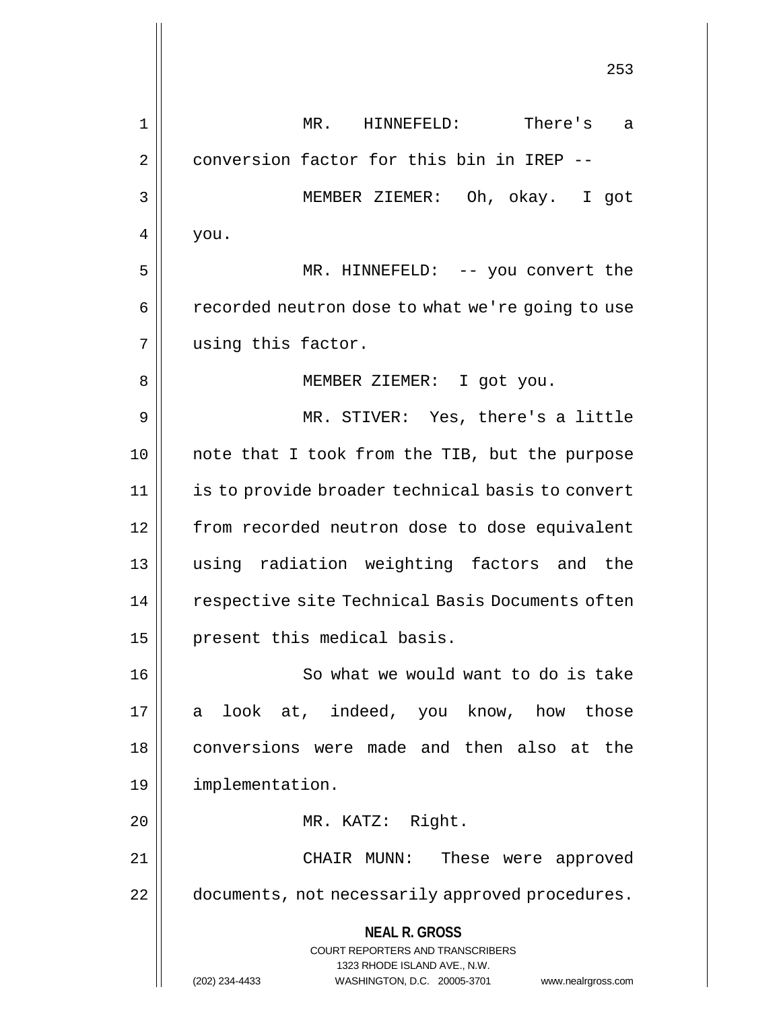**NEAL R. GROSS** COURT REPORTERS AND TRANSCRIBERS 1323 RHODE ISLAND AVE., N.W. (202) 234-4433 WASHINGTON, D.C. 20005-3701 www.nealrgross.com 253 1 MR. HINNEFELD: There's a 2 | conversion factor for this bin in IREP --3 MEMBER ZIEMER: Oh, okay. I got  $4 \mid$  you. 5 MR. HINNEFELD: -- you convert the 6 | recorded neutron dose to what we're going to use 7 || using this factor. 8 || MEMBER ZIEMER: I got you. 9 MR. STIVER: Yes, there's a little 10 || note that I took from the TIB, but the purpose 11 | is to provide broader technical basis to convert 12 || from recorded neutron dose to dose equivalent 13 using radiation weighting factors and the 14 | respective site Technical Basis Documents often 15 || present this medical basis. 16 || So what we would want to do is take 17 a look at, indeed, you know, how those 18 conversions were made and then also at the 19 implementation. 20 || MR. KATZ: Right. 21 CHAIR MUNN: These were approved 22 | documents, not necessarily approved procedures.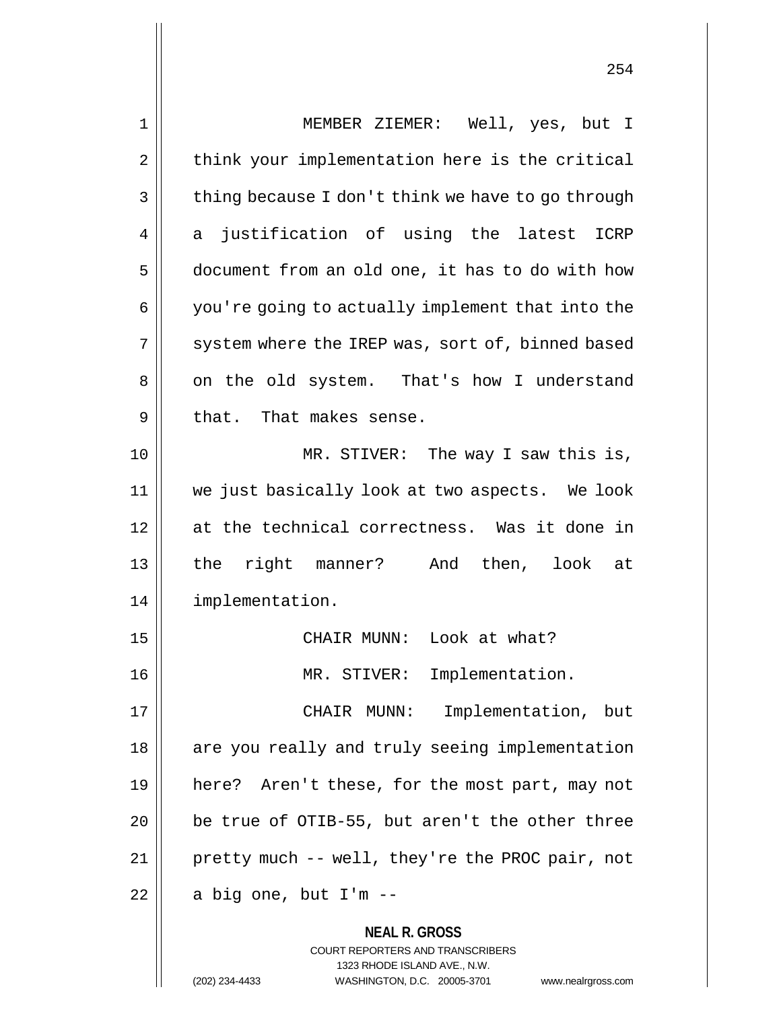| 1  | MEMBER ZIEMER: Well, yes, but I                                         |
|----|-------------------------------------------------------------------------|
| 2  | think your implementation here is the critical                          |
| 3  | thing because I don't think we have to go through                       |
| 4  | justification of using the latest<br>ICRP<br>a                          |
| 5  | document from an old one, it has to do with how                         |
| 6  | you're going to actually implement that into the                        |
| 7  | system where the IREP was, sort of, binned based                        |
| 8  | on the old system. That's how I understand                              |
| 9  | that. That makes sense.                                                 |
| 10 | MR. STIVER: The way I saw this is,                                      |
| 11 | we just basically look at two aspects. We look                          |
| 12 | at the technical correctness. Was it done in                            |
| 13 | the right manner? And then, look at                                     |
| 14 | implementation.                                                         |
| 15 | CHAIR MUNN: Look at what?                                               |
| 16 | MR. STIVER: Implementation.                                             |
| 17 | Implementation, but<br>CHAIR MUNN:                                      |
| 18 | are you really and truly seeing implementation                          |
| 19 | here? Aren't these, for the most part, may not                          |
| 20 | be true of OTIB-55, but aren't the other three                          |
| 21 | pretty much -- well, they're the PROC pair, not                         |
| 22 | a big one, but I'm --                                                   |
|    | <b>NEAL R. GROSS</b>                                                    |
|    | <b>COURT REPORTERS AND TRANSCRIBERS</b><br>1323 RHODE ISLAND AVE., N.W. |
|    | WASHINGTON, D.C. 20005-3701<br>(202) 234-4433<br>www.nealrgross.com     |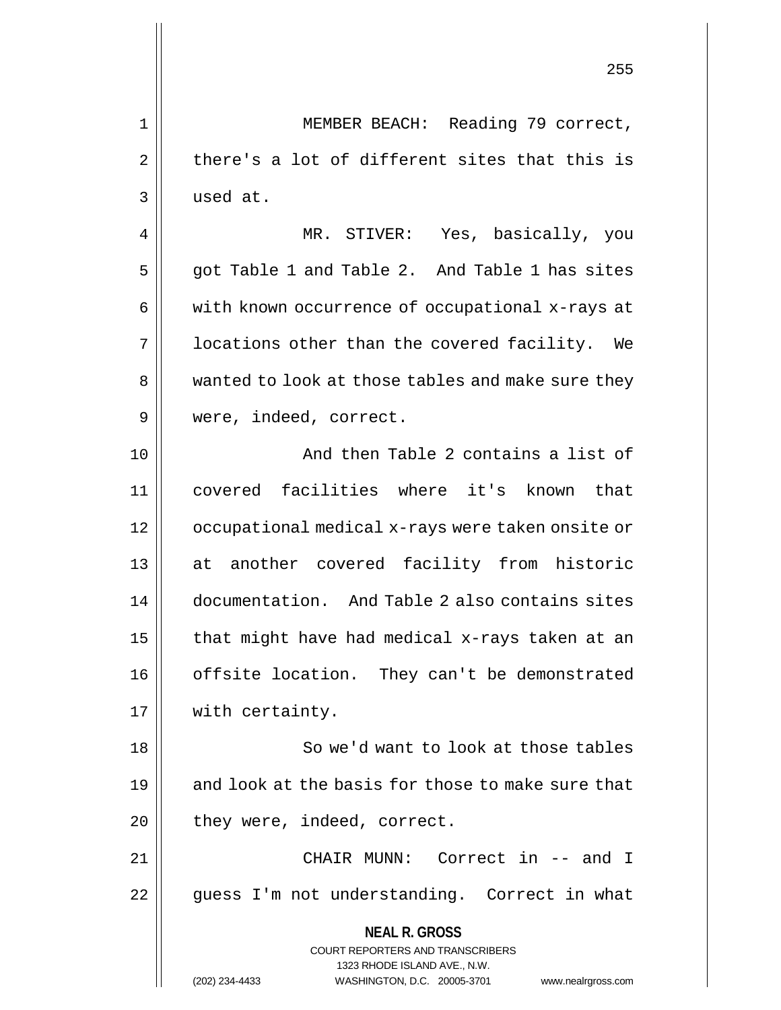**NEAL R. GROSS** COURT REPORTERS AND TRANSCRIBERS 1323 RHODE ISLAND AVE., N.W. 255 1 || MEMBER BEACH: Reading 79 correct,  $2 \parallel$  there's a lot of different sites that this is 3 used at. 4 MR. STIVER: Yes, basically, you  $5 \parallel$  got Table 1 and Table 2. And Table 1 has sites 6 | with known occurrence of occupational x-rays at  $7 \parallel$  1 ocations other than the covered facility. We 8 | wanted to look at those tables and make sure they 9 were, indeed, correct. 10 and then Table 2 contains a list of 11 covered facilities where it's known that 12 occupational medical x-rays were taken onsite or 13 || at another covered facility from historic 14 documentation. And Table 2 also contains sites 15  $\parallel$  that might have had medical x-rays taken at an 16 | offsite location. They can't be demonstrated 17 || with certainty. 18 || So we'd want to look at those tables 19  $\parallel$  and look at the basis for those to make sure that  $20$  || they were, indeed, correct. 21 || CHAIR MUNN: Correct in -- and I 22 || guess I'm not understanding. Correct in what

(202) 234-4433 WASHINGTON, D.C. 20005-3701 www.nealrgross.com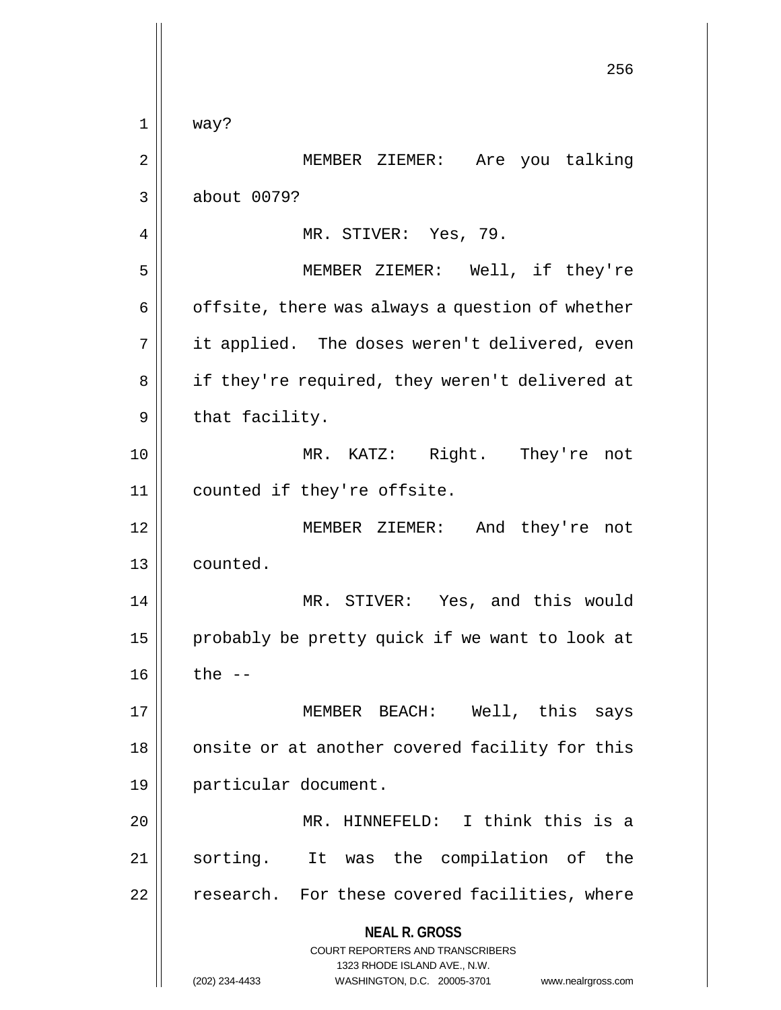**NEAL R. GROSS** COURT REPORTERS AND TRANSCRIBERS 1323 RHODE ISLAND AVE., N.W. (202) 234-4433 WASHINGTON, D.C. 20005-3701 www.nealrgross.com 256  $1 \parallel$  way? 2 || MEMBER ZIEMER: Are you talking 3 about 0079? 4 | MR. STIVER: Yes, 79. 5 MEMBER ZIEMER: Well, if they're  $6 \parallel$  offsite, there was always a question of whether 7 || it applied. The doses weren't delivered, even 8 || if they're required, they weren't delivered at  $9 \parallel$  that facility. 10 MR. KATZ: Right. They're not 11 || counted if they're offsite. 12 || MEMBER ZIEMER: And they're not 13 counted. 14 MR. STIVER: Yes, and this would 15 || probably be pretty quick if we want to look at  $16$  || the  $-$ 17 MEMBER BEACH: Well, this says 18 || onsite or at another covered facility for this 19 particular document. 20 MR. HINNEFELD: I think this is a 21 || sorting. It was the compilation of the 22 | research. For these covered facilities, where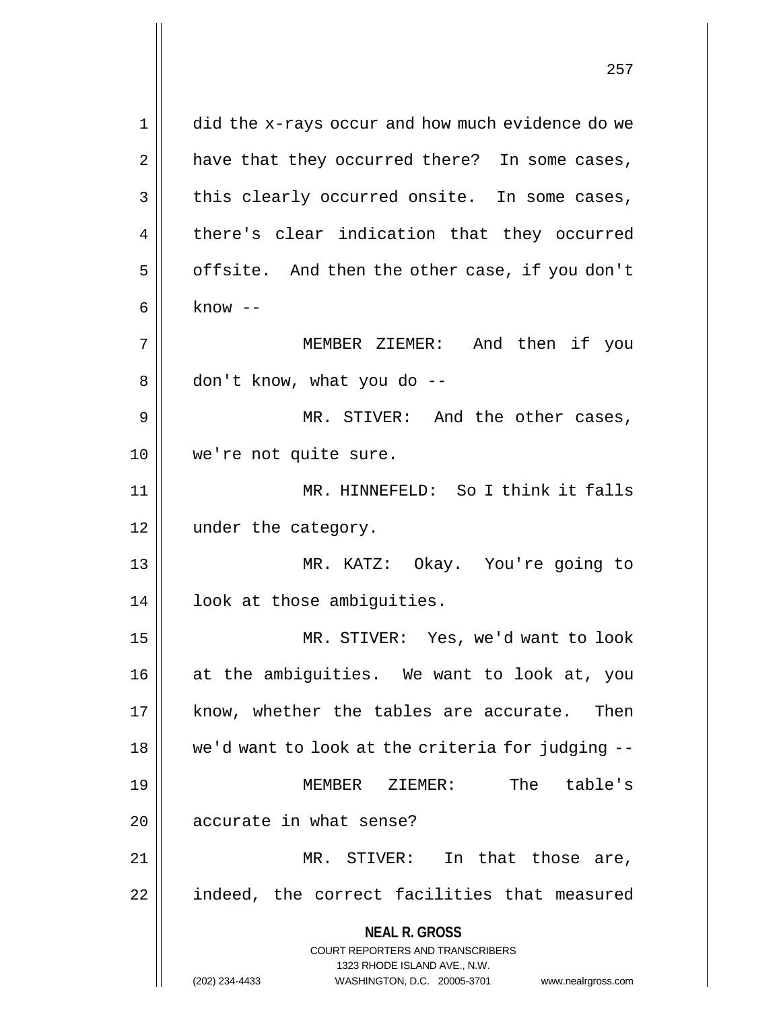**NEAL R. GROSS** COURT REPORTERS AND TRANSCRIBERS 1323 RHODE ISLAND AVE., N.W. (202) 234-4433 WASHINGTON, D.C. 20005-3701 www.nealrgross.com 1 | did the x-rays occur and how much evidence do we  $2 \parallel$  have that they occurred there? In some cases,  $3 \parallel$  this clearly occurred onsite. In some cases, 4 || there's clear indication that they occurred  $5 \parallel$  offsite. And then the other case, if you don't  $6 \parallel$  know  $-$ 7 MEMBER ZIEMER: And then if you  $8 \parallel$  don't know, what you do --9 MR. STIVER: And the other cases, 10 || we're not quite sure. 11 MR. HINNEFELD: So I think it falls 12 || under the category. 13 MR. KATZ: Okay. You're going to 14 || look at those ambiguities. 15 MR. STIVER: Yes, we'd want to look 16 || at the ambiguities. We want to look at, you 17 || know, whether the tables are accurate. Then 18 || we'd want to look at the criteria for judging --19 MEMBER ZIEMER: The table's 20 || accurate in what sense? 21 || MR. STIVER: In that those are, 22 | indeed, the correct facilities that measured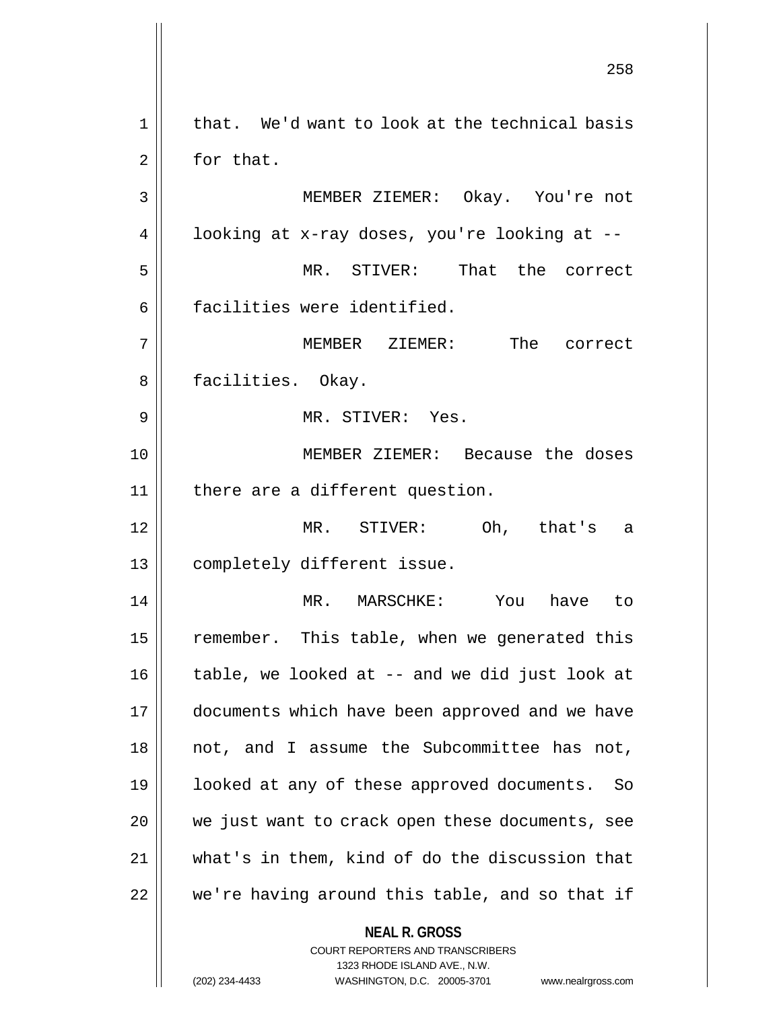**NEAL R. GROSS** COURT REPORTERS AND TRANSCRIBERS 1323 RHODE ISLAND AVE., N.W. 258  $1 \parallel$  that. We'd want to look at the technical basis  $2 \parallel$  for that. 3 MEMBER ZIEMER: Okay. You're not 4 |  $\vert$  looking at x-ray doses, you're looking at --5 MR. STIVER: That the correct 6 | facilities were identified. 7 MEMBER ZIEMER: The correct 8 || facilities. Okay. 9 MR. STIVER: Yes. 10 MEMBER ZIEMER: Because the doses  $11$  | there are a different question. 12 MR. STIVER: Oh, that's a 13 || completely different issue. 14 MR. MARSCHKE: You have to 15 | remember. This table, when we generated this  $16$  | table, we looked at  $-$  and we did just look at 17 | documents which have been approved and we have 18 || not, and I assume the Subcommittee has not, 19 looked at any of these approved documents. So 20 we just want to crack open these documents, see 21 what's in them, kind of do the discussion that 22 || we're having around this table, and so that if

(202) 234-4433 WASHINGTON, D.C. 20005-3701 www.nealrgross.com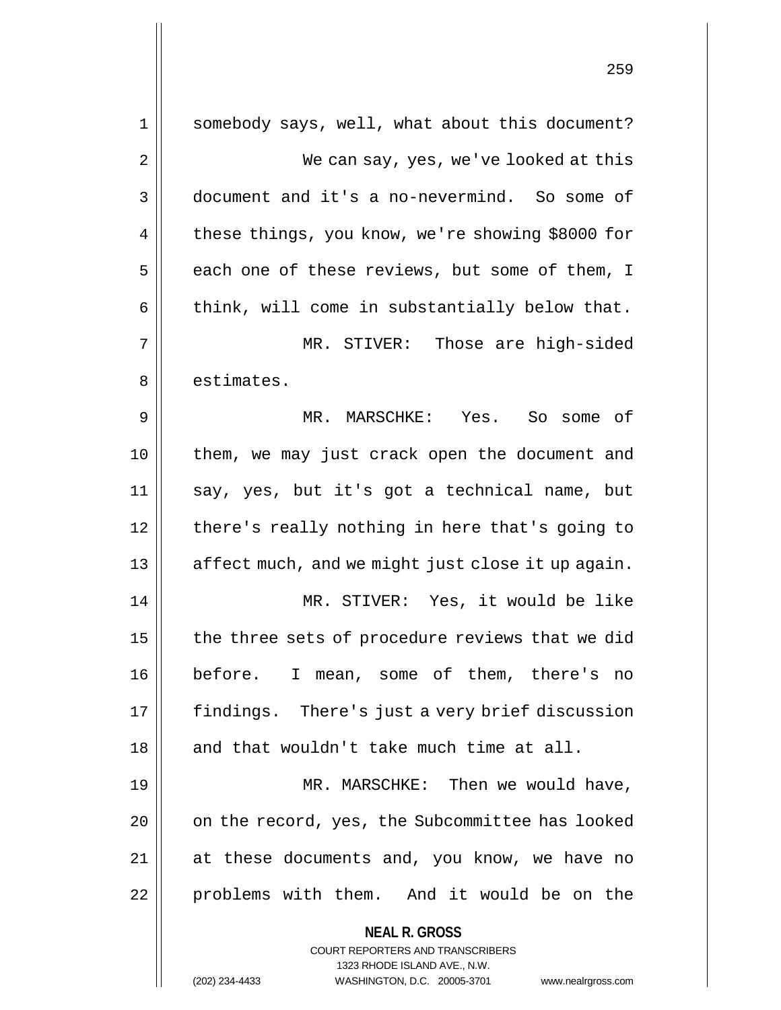| 1  | somebody says, well, what about this document?                      |
|----|---------------------------------------------------------------------|
| 2  | We can say, yes, we've looked at this                               |
| 3  | document and it's a no-nevermind. So some of                        |
| 4  | these things, you know, we're showing \$8000 for                    |
| 5  | each one of these reviews, but some of them, I                      |
| 6  | think, will come in substantially below that.                       |
| 7  | MR. STIVER: Those are high-sided                                    |
| 8  | estimates.                                                          |
| 9  | MR. MARSCHKE: Yes. So some of                                       |
| 10 | them, we may just crack open the document and                       |
| 11 | say, yes, but it's got a technical name, but                        |
| 12 | there's really nothing in here that's going to                      |
| 13 | affect much, and we might just close it up again.                   |
| 14 | MR. STIVER: Yes, it would be like                                   |
| 15 | the three sets of procedure reviews that we did                     |
| 16 | before. I mean, some of them, there's no                            |
| 17 | findings. There's just a very brief discussion                      |
| 18 | and that wouldn't take much time at all.                            |
| 19 | MR. MARSCHKE: Then we would have,                                   |
| 20 | on the record, yes, the Subcommittee has looked                     |
| 21 | at these documents and, you know, we have no                        |
| 22 | problems with them. And it would be on the                          |
|    | <b>NEAL R. GROSS</b>                                                |
|    | <b>COURT REPORTERS AND TRANSCRIBERS</b>                             |
|    | 1323 RHODE ISLAND AVE., N.W.                                        |
|    | (202) 234-4433<br>WASHINGTON, D.C. 20005-3701<br>www.nealrgross.com |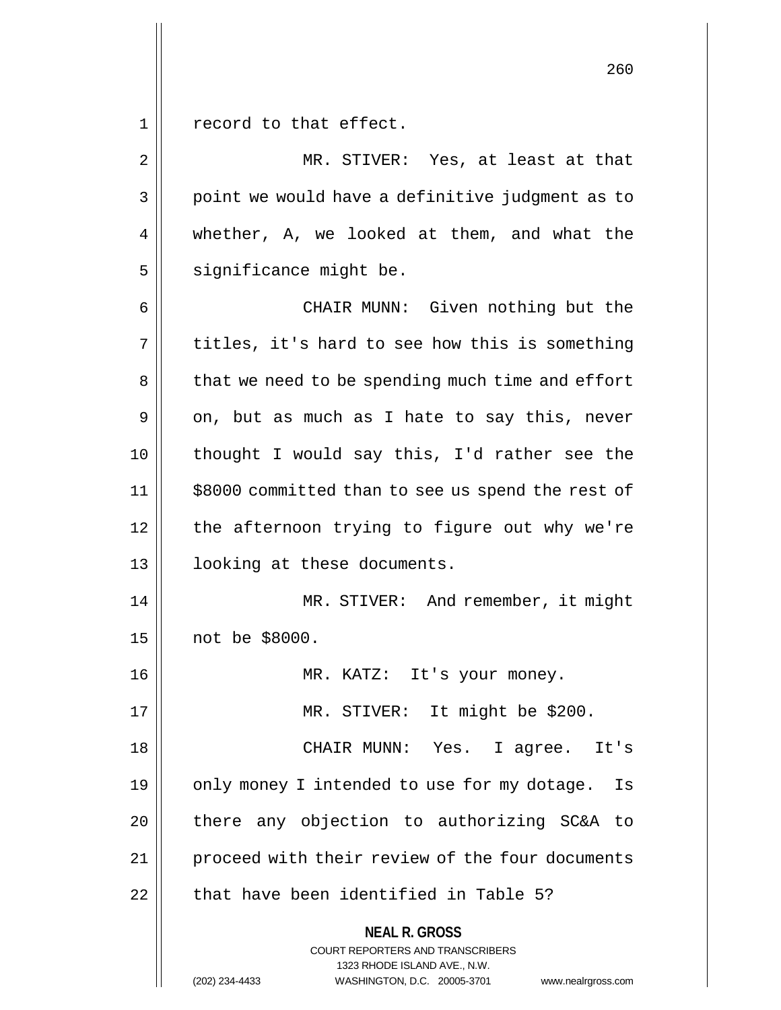1 || record to that effect.

**NEAL R. GROSS** COURT REPORTERS AND TRANSCRIBERS 1323 RHODE ISLAND AVE., N.W. 2 || MR. STIVER: Yes, at least at that 3 || point we would have a definitive judgment as to 4 || whether, A, we looked at them, and what the  $5$  significance might be. 6 CHAIR MUNN: Given nothing but the  $7 \parallel$  titles, it's hard to see how this is something 8 | that we need to be spending much time and effort  $9 \parallel$  on, but as much as I hate to say this, never 10 || thought I would say this, I'd rather see the 11 \$8000 committed than to see us spend the rest of  $12$  | the afternoon trying to figure out why we're 13 looking at these documents. 14 || MR. STIVER: And remember, it might 15 not be \$8000. 16 MR. KATZ: It's your money. 17 || MR. STIVER: It might be \$200. 18 CHAIR MUNN: Yes. I agree. It's 19  $\parallel$  only money I intended to use for my dotage. Is  $20$  | there any objection to authorizing SC&A to 21 | proceed with their review of the four documents  $22$   $\parallel$  that have been identified in Table 5?

(202) 234-4433 WASHINGTON, D.C. 20005-3701 www.nealrgross.com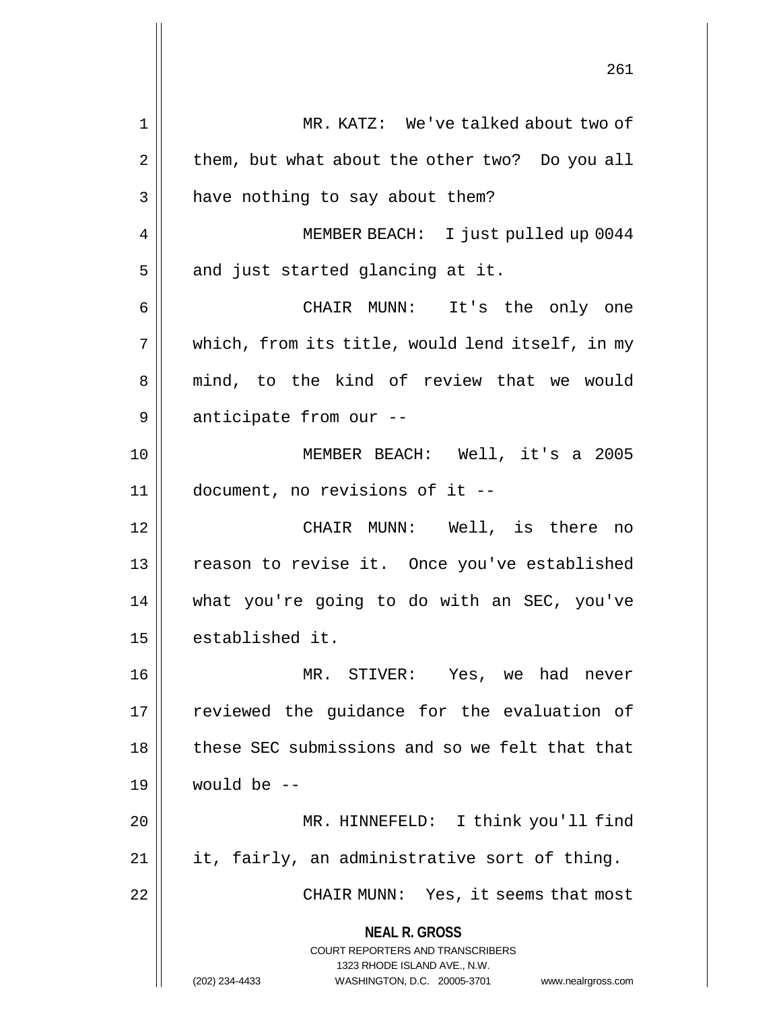|                | 261                                                                                      |
|----------------|------------------------------------------------------------------------------------------|
| 1              | MR. KATZ: We've talked about two of                                                      |
| $\overline{2}$ | them, but what about the other two? Do you all                                           |
| 3              | have nothing to say about them?                                                          |
| 4              | MEMBER BEACH: I just pulled up 0044                                                      |
| 5              | and just started glancing at it.                                                         |
| 6              | CHAIR MUNN: It's the only one                                                            |
| 7              | which, from its title, would lend itself, in my                                          |
| 8              | mind, to the kind of review that we would                                                |
| 9              | anticipate from our --                                                                   |
| 10             | MEMBER BEACH: Well, it's a 2005                                                          |
| 11             | document, no revisions of it --                                                          |
| 12             | CHAIR MUNN: Well, is there no                                                            |
| 13             | reason to revise it. Once you've established                                             |
| 14             | what you're going to do with an SEC, you've                                              |
| 15             | established it.                                                                          |
| 16             | MR. STIVER: Yes, we had never                                                            |
| 17             | reviewed the guidance for the evaluation of                                              |
| 18             | these SEC submissions and so we felt that that                                           |
| 19             | would be $-$                                                                             |
| 20             | MR. HINNEFELD: I think you'll find                                                       |
| 21             | it, fairly, an administrative sort of thing.                                             |
| 22             | CHAIR MUNN: Yes, it seems that most                                                      |
|                | <b>NEAL R. GROSS</b><br>COURT REPORTERS AND TRANSCRIBERS<br>1323 RHODE ISLAND AVE., N.W. |
|                | (202) 234-4433<br>WASHINGTON, D.C. 20005-3701 www.nealrgross.com                         |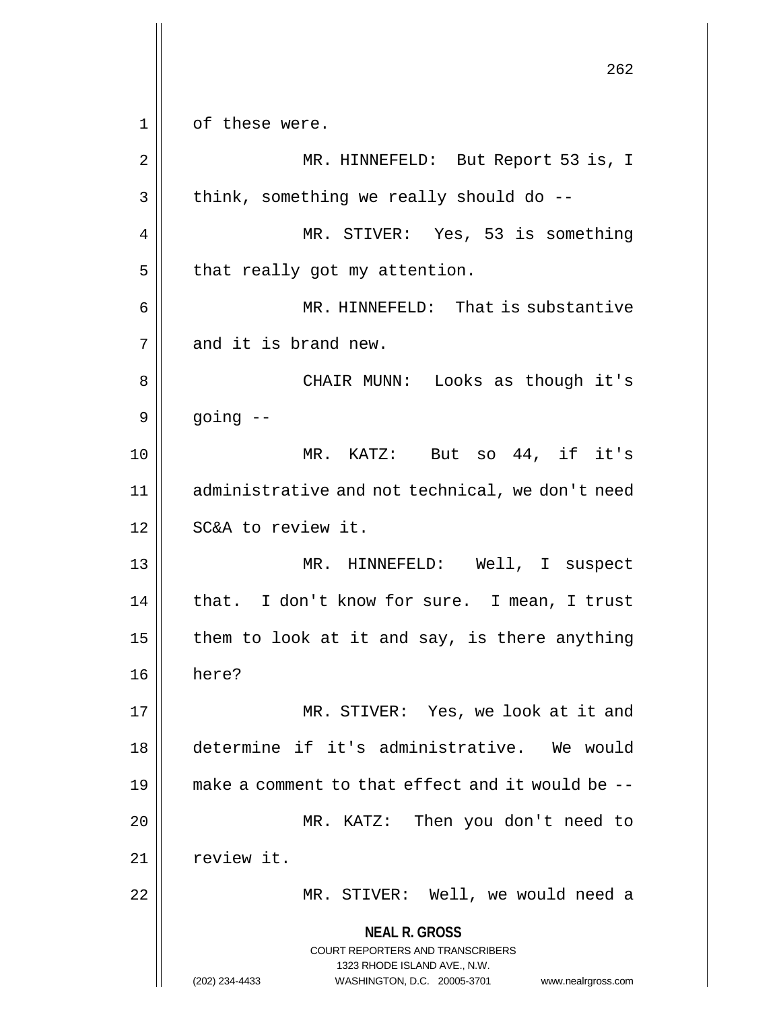**NEAL R. GROSS** COURT REPORTERS AND TRANSCRIBERS 1323 RHODE ISLAND AVE., N.W. (202) 234-4433 WASHINGTON, D.C. 20005-3701 www.nealrgross.com 262 1 || of these were. 2 || MR. HINNEFELD: But Report 53 is, I  $3 \parallel$  think, something we really should do --4 MR. STIVER: Yes, 53 is something  $5$  | that really got my attention. 6 MR. HINNEFELD: That is substantive  $7 \parallel$  and it is brand new. 8 CHAIR MUNN: Looks as though it's  $9 \parallel$  going  $-$ 10 MR. KATZ: But so 44, if it's 11 administrative and not technical, we don't need 12 || SC&A to review it. 13 || MR. HINNEFELD: Well, I suspect  $14$  | that. I don't know for sure. I mean, I trust 15  $\parallel$  them to look at it and say, is there anything 16 here? 17 MR. STIVER: Yes, we look at it and 18 determine if it's administrative. We would 19 make a comment to that effect and it would be -- 20 MR. KATZ: Then you don't need to  $21$  | review it. 22 MR. STIVER: Well, we would need a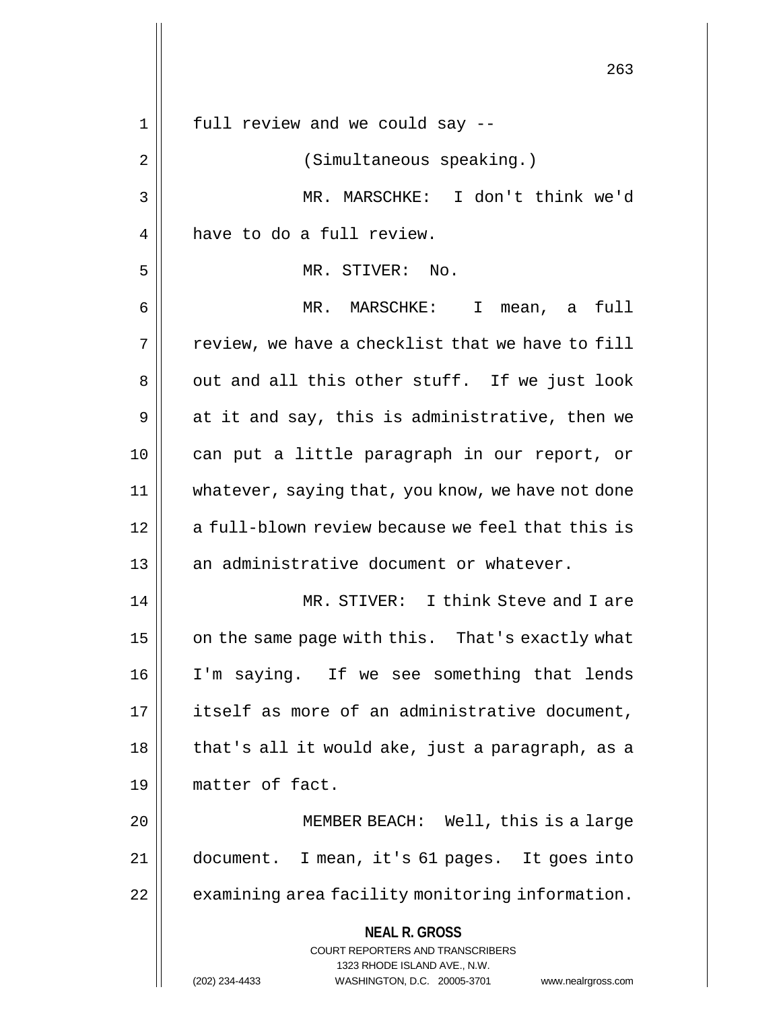|    | 263                                                                                                                                                                    |
|----|------------------------------------------------------------------------------------------------------------------------------------------------------------------------|
| 1  | full review and we could say --                                                                                                                                        |
| 2  | (Simultaneous speaking.)                                                                                                                                               |
| 3  | MR. MARSCHKE: I don't think we'd                                                                                                                                       |
| 4  | have to do a full review.                                                                                                                                              |
| 5  | MR. STIVER: No.                                                                                                                                                        |
| 6  | MR. MARSCHKE: I<br>full<br>mean, a                                                                                                                                     |
| 7  | review, we have a checklist that we have to fill                                                                                                                       |
| 8  | out and all this other stuff. If we just look                                                                                                                          |
| 9  | at it and say, this is administrative, then we                                                                                                                         |
| 10 | can put a little paragraph in our report, or                                                                                                                           |
| 11 | whatever, saying that, you know, we have not done                                                                                                                      |
| 12 | a full-blown review because we feel that this is                                                                                                                       |
| 13 | an administrative document or whatever.                                                                                                                                |
| 14 | MR. STIVER: I think Steve and I are                                                                                                                                    |
| 15 | on the same page with this. That's exactly what                                                                                                                        |
| 16 | I'm saying. If we see something that lends                                                                                                                             |
| 17 | itself as more of an administrative document,                                                                                                                          |
| 18 | that's all it would ake, just a paragraph, as a                                                                                                                        |
| 19 | matter of fact.                                                                                                                                                        |
| 20 | MEMBER BEACH: Well, this is a large                                                                                                                                    |
| 21 | document. I mean, it's 61 pages. It goes into                                                                                                                          |
| 22 | examining area facility monitoring information.                                                                                                                        |
|    | <b>NEAL R. GROSS</b><br><b>COURT REPORTERS AND TRANSCRIBERS</b><br>1323 RHODE ISLAND AVE., N.W.<br>(202) 234-4433<br>WASHINGTON, D.C. 20005-3701<br>www.nealrgross.com |

 $\mathsf{I}$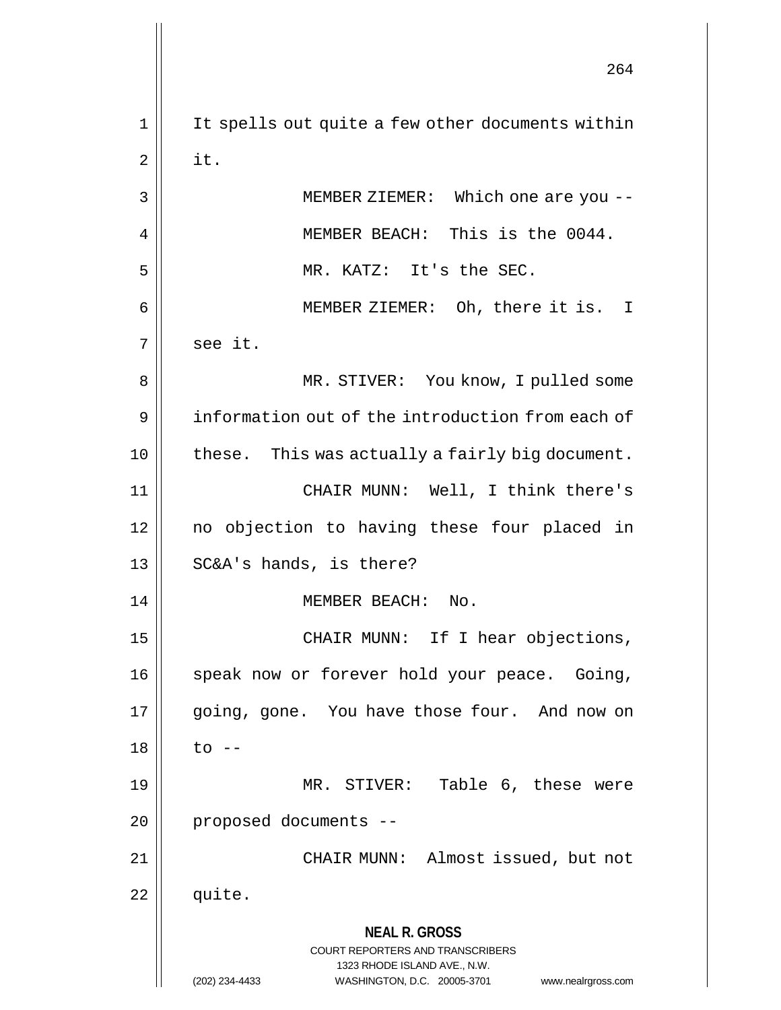**NEAL R. GROSS** COURT REPORTERS AND TRANSCRIBERS 1323 RHODE ISLAND AVE., N.W. (202) 234-4433 WASHINGTON, D.C. 20005-3701 www.nealrgross.com 264 1 || It spells out quite a few other documents within  $2 \parallel$  it. 3 MEMBER ZIEMER: Which one are you -- 4 || MEMBER BEACH: This is the 0044. 5 MR. KATZ: It's the SEC. 6 MEMBER ZIEMER: Oh, there it is. I  $7 \parallel$  see it. 8 MR. STIVER: You know, I pulled some 9 information out of the introduction from each of 10 these. This was actually a fairly big document. 11 CHAIR MUNN: Well, I think there's 12 no objection to having these four placed in 13 || SC&A's hands, is there? 14 || MEMBER BEACH: No. 15 || CHAIR MUNN: If I hear objections, 16 || speak now or forever hold your peace. Going, 17 || going, gone. You have those four. And now on  $18 \parallel$  to  $-$ 19 MR. STIVER: Table 6, these were 20 | proposed documents --21 || CHAIR MUNN: Almost issued, but not  $22 \parallel$  quite.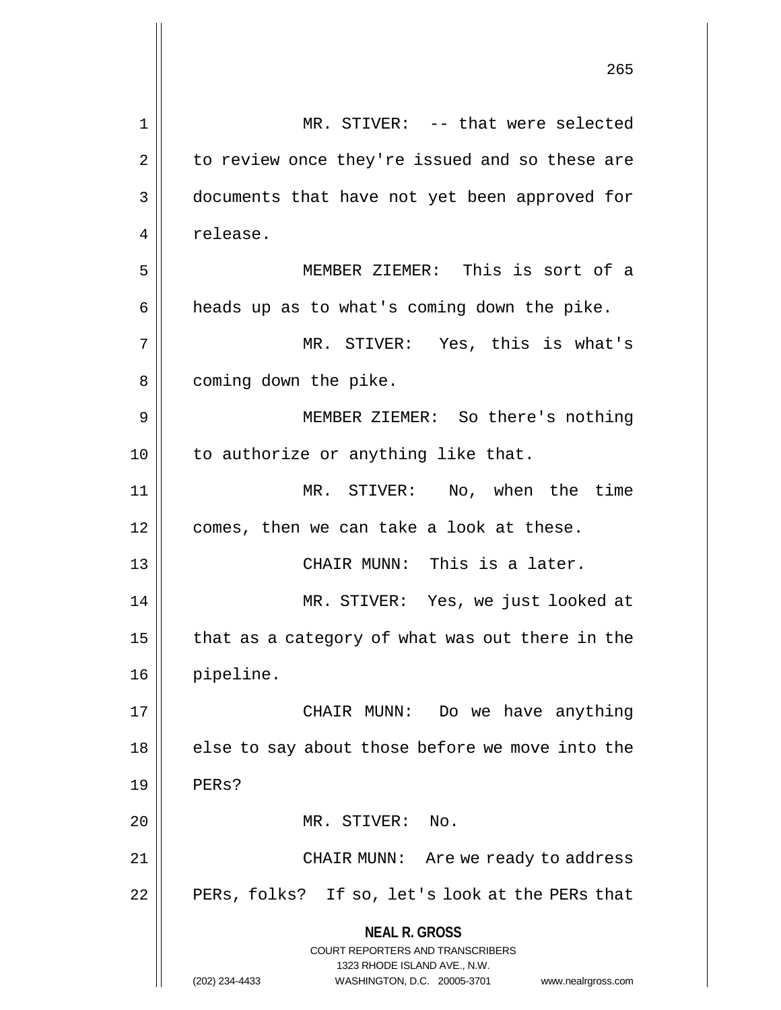|             | 265                                                                 |
|-------------|---------------------------------------------------------------------|
| $\mathbf 1$ | MR. STIVER: -- that were selected                                   |
| $\mathbf 2$ | to review once they're issued and so these are                      |
| 3           | documents that have not yet been approved for                       |
| 4           | release.                                                            |
| 5           | MEMBER ZIEMER: This is sort of a                                    |
| 6           | heads up as to what's coming down the pike.                         |
| 7           | MR. STIVER: Yes, this is what's                                     |
| 8           | coming down the pike.                                               |
| 9           | MEMBER ZIEMER: So there's nothing                                   |
| 10          | to authorize or anything like that.                                 |
| 11          | MR. STIVER: No, when the time                                       |
| 12          | comes, then we can take a look at these.                            |
| 13          | CHAIR MUNN: This is a later.                                        |
| 14          | MR. STIVER: Yes, we just looked at                                  |
| 15          | that as a category of what was out there in the                     |
| 16          | pipeline.                                                           |
| 17          | CHAIR MUNN: Do we have anything                                     |
| 18          | else to say about those before we move into the                     |
| 19          | PERs?                                                               |
| 20          | MR. STIVER:<br>No.                                                  |
| 21          | CHAIR MUNN: Are we ready to address                                 |
| 22          | PERs, folks? If so, let's look at the PERs that                     |
|             | <b>NEAL R. GROSS</b><br>COURT REPORTERS AND TRANSCRIBERS            |
|             | 1323 RHODE ISLAND AVE., N.W.                                        |
|             | (202) 234-4433<br>WASHINGTON, D.C. 20005-3701<br>www.nealrgross.com |

 $\mathsf{I}$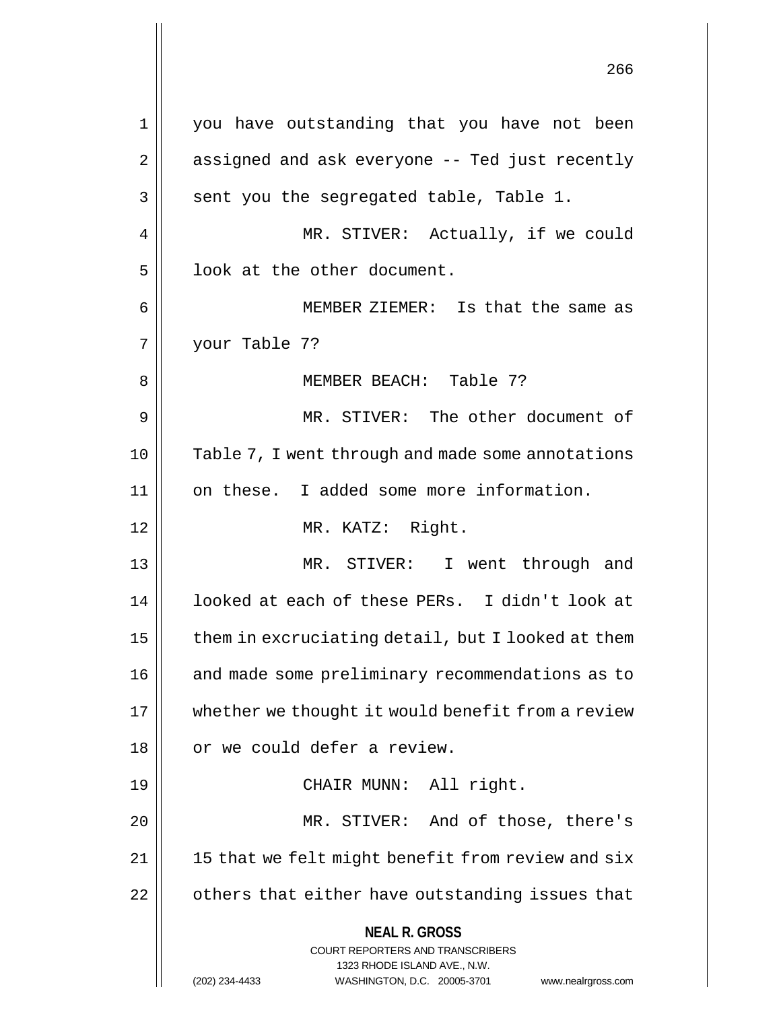**NEAL R. GROSS** COURT REPORTERS AND TRANSCRIBERS 1323 RHODE ISLAND AVE., N.W. (202) 234-4433 WASHINGTON, D.C. 20005-3701 www.nealrgross.com 1 you have outstanding that you have not been  $2 \parallel$  assigned and ask everyone -- Ted just recently  $3 \parallel$  sent you the segregated table, Table 1. 4 || MR. STIVER: Actually, if we could  $5$  ||  $1$  look at the other document. 6 MEMBER ZIEMER: Is that the same as 7 your Table 7? 8 MEMBER BEACH: Table 7? 9 || MR. STIVER: The other document of 10 || Table 7, I went through and made some annotations 11 on these. I added some more information. 12 MR. KATZ: Right. 13 MR. STIVER: I went through and 14 || looked at each of these PERs. I didn't look at  $15$  | them in excruciating detail, but I looked at them 16 | and made some preliminary recommendations as to 17 | whether we thought it would benefit from a review 18 || or we could defer a review. 19 || CHAIR MUNN: All right. 20 MR. STIVER: And of those, there's  $21$  | 15 that we felt might benefit from review and six  $22$  |  $\sigma$  others that either have outstanding issues that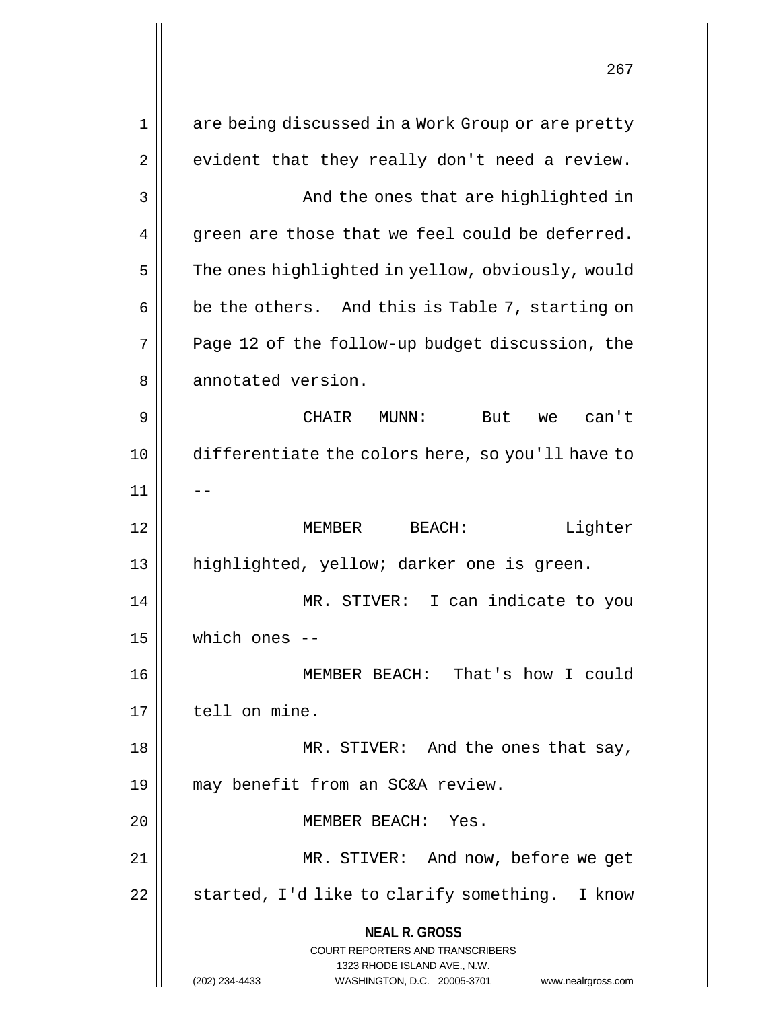**NEAL R. GROSS** COURT REPORTERS AND TRANSCRIBERS 1323 RHODE ISLAND AVE., N.W. (202) 234-4433 WASHINGTON, D.C. 20005-3701 www.nealrgross.com 1 || are being discussed in a Work Group or are pretty  $2 \parallel$  evident that they really don't need a review. 3 || And the ones that are highlighted in  $4 \parallel$  green are those that we feel could be deferred. 5 | The ones highlighted in yellow, obviously, would  $6 \parallel$  be the others. And this is Table 7, starting on  $7 \parallel$  Page 12 of the follow-up budget discussion, the 8 || annotated version. 9 CHAIR MUNN: But we can't 10 differentiate the colors here, so you'll have to  $11$ 12 MEMBER BEACH: Lighter 13 || highlighted, yellow; darker one is green. 14 MR. STIVER: I can indicate to you 15 which ones -- 16 MEMBER BEACH: That's how I could 17 | tell on mine. 18 || MR. STIVER: And the ones that say, 19 may benefit from an SC&A review. 20 MEMBER BEACH: Yes. 21 || MR. STIVER: And now, before we get 22  $\parallel$  started, I'd like to clarify something. I know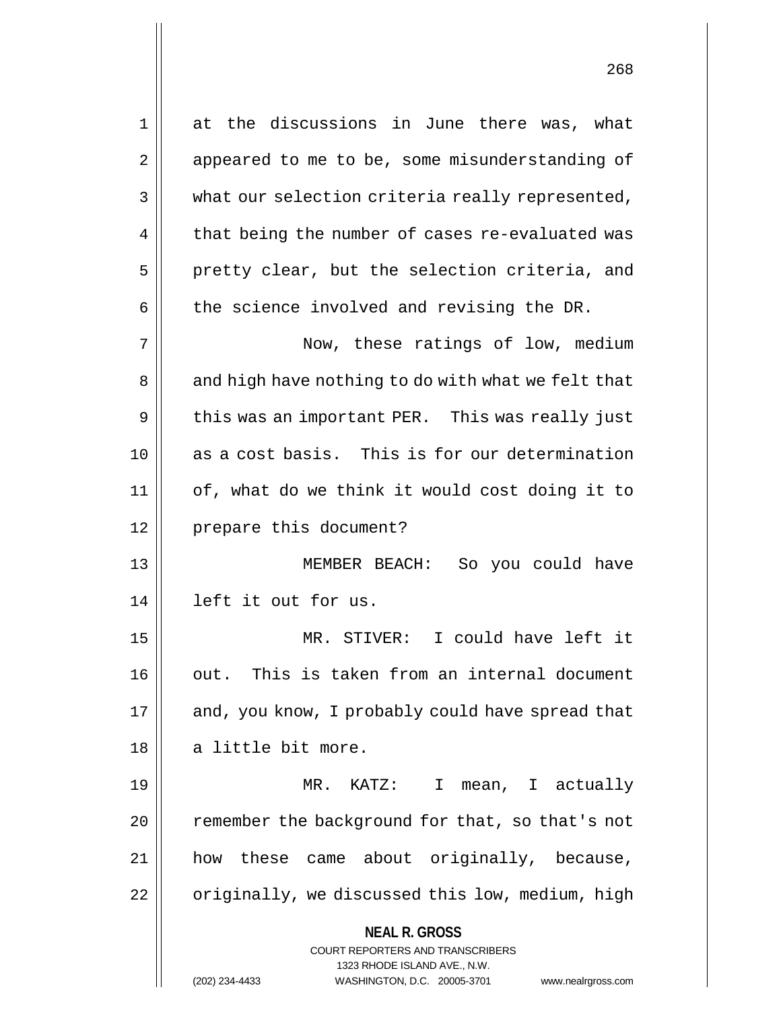**NEAL R. GROSS** COURT REPORTERS AND TRANSCRIBERS 1323 RHODE ISLAND AVE., N.W. 1 at the discussions in June there was, what 2 | appeared to me to be, some misunderstanding of  $3 \parallel$  what our selection criteria really represented,  $4 \parallel$  that being the number of cases re-evaluated was  $5$  || pretty clear, but the selection criteria, and  $6 \parallel$  the science involved and revising the DR. 7 Now, these ratings of low, medium 8 || and high have nothing to do with what we felt that 9 || this was an important PER. This was really just 10 as a cost basis. This is for our determination 11 of, what do we think it would cost doing it to 12 || prepare this document? 13 MEMBER BEACH: So you could have 14 left it out for us. 15 MR. STIVER: I could have left it 16 || out. This is taken from an internal document 17 || and, you know, I probably could have spread that 18 || a little bit more. 19 MR. KATZ: I mean, I actually 20  $\parallel$  remember the background for that, so that's not 21 how these came about originally, because,  $22$  |  $\sigma$ riginally, we discussed this low, medium, high

(202) 234-4433 WASHINGTON, D.C. 20005-3701 www.nealrgross.com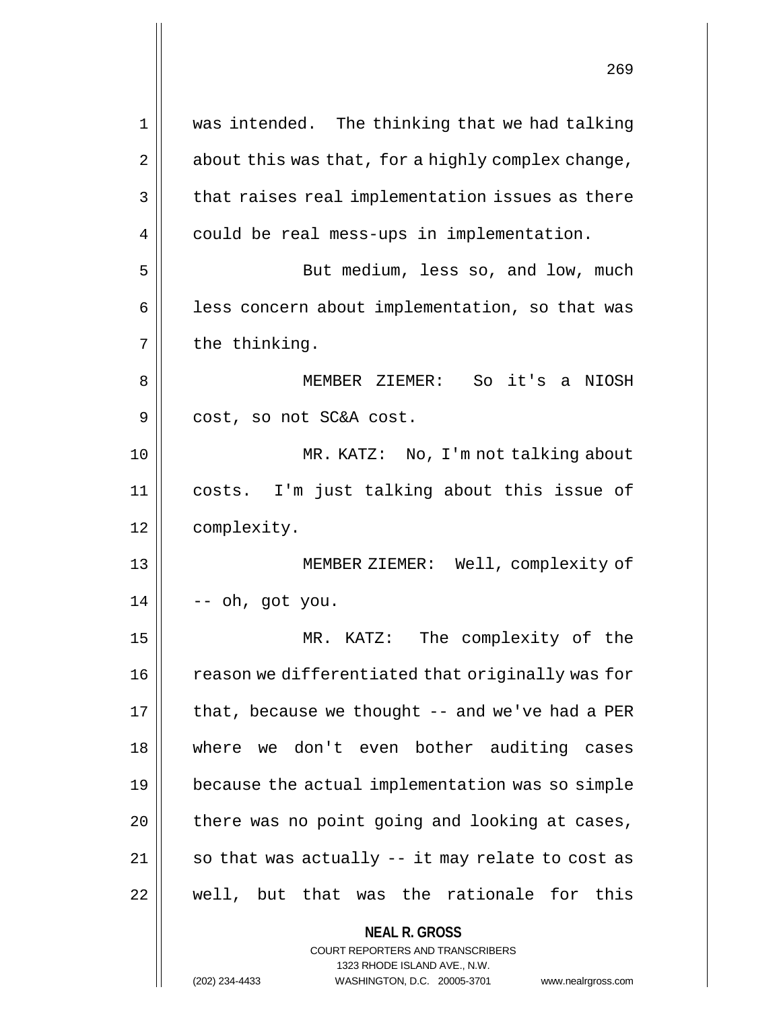| $\mathbf 1$ | was intended. The thinking that we had talking                                                      |
|-------------|-----------------------------------------------------------------------------------------------------|
| 2           | about this was that, for a highly complex change,                                                   |
| 3           | that raises real implementation issues as there                                                     |
| 4           | could be real mess-ups in implementation.                                                           |
| 5           | But medium, less so, and low, much                                                                  |
| 6           | less concern about implementation, so that was                                                      |
| 7           | the thinking.                                                                                       |
| 8           | MEMBER ZIEMER: So it's a NIOSH                                                                      |
| 9           | cost, so not SC&A cost.                                                                             |
| 10          | MR. KATZ: No, I'm not talking about                                                                 |
| 11          | costs. I'm just talking about this issue of                                                         |
| 12          | complexity.                                                                                         |
| 13          | MEMBER ZIEMER: Well, complexity of                                                                  |
| 14          | -- oh, got you.                                                                                     |
| 15          | The complexity of the<br>MR. KATZ:                                                                  |
| 16          | reason we differentiated that originally was for                                                    |
| 17          | that, because we thought -- and we've had a PER                                                     |
| 18          | where we don't even bother auditing cases                                                           |
| 19          | because the actual implementation was so simple                                                     |
| 20          | there was no point going and looking at cases,                                                      |
| 21          | so that was actually -- it may relate to cost as                                                    |
| 22          | well, but that was the rationale for this                                                           |
|             | <b>NEAL R. GROSS</b>                                                                                |
|             | <b>COURT REPORTERS AND TRANSCRIBERS</b>                                                             |
|             | 1323 RHODE ISLAND AVE., N.W.<br>(202) 234-4433<br>WASHINGTON, D.C. 20005-3701<br>www.nealrgross.com |
|             |                                                                                                     |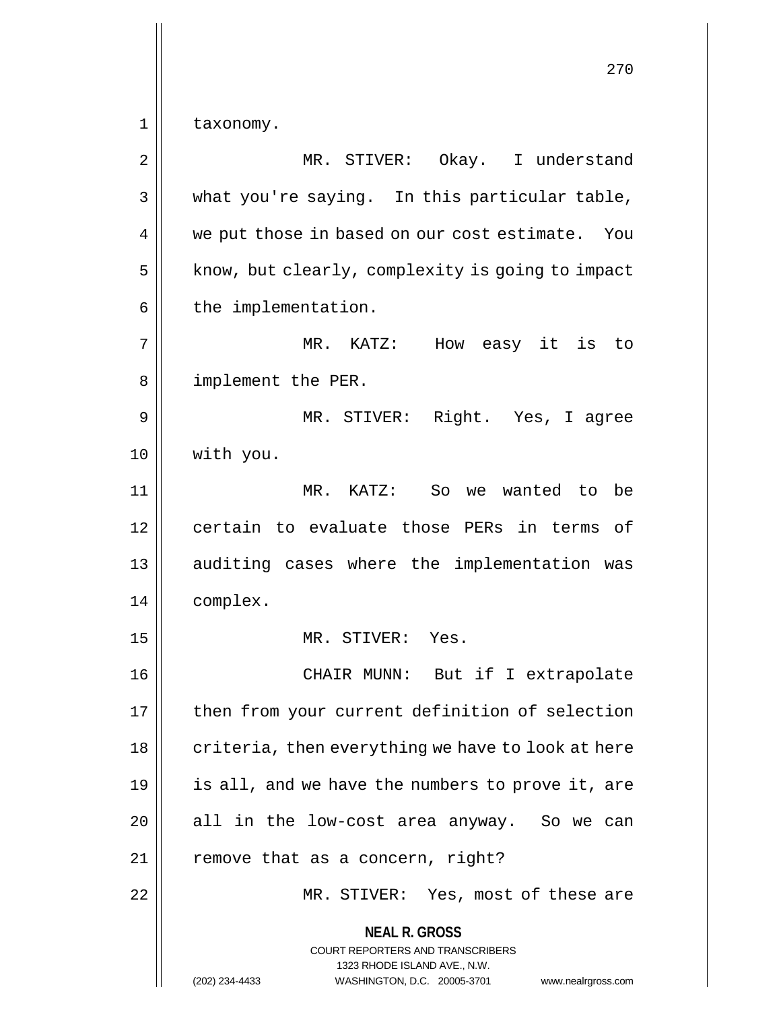**NEAL R. GROSS** COURT REPORTERS AND TRANSCRIBERS 270 1 | taxonomy. 2 || MR. STIVER: Okay. I understand  $3 \parallel$  what you're saying. In this particular table, 4 || we put those in based on our cost estimate. You  $5$  | know, but clearly, complexity is going to impact  $6 \parallel$  the implementation. 7 MR. KATZ: How easy it is to 8 || implement the PER. 9 MR. STIVER: Right. Yes, I agree 10 with you. 11 || MR. KATZ: So we wanted to be 12 certain to evaluate those PERs in terms of 13 || auditing cases where the implementation was 14 complex. 15 MR. STIVER: Yes. 16 CHAIR MUNN: But if I extrapolate 17 || then from your current definition of selection  $18$  | criteria, then everything we have to look at here 19 is all, and we have the numbers to prove it, are  $20$  || all in the low-cost area anyway. So we can  $21$  || remove that as a concern, right? 22 MR. STIVER: Yes, most of these are

1323 RHODE ISLAND AVE., N.W.

(202) 234-4433 WASHINGTON, D.C. 20005-3701 www.nealrgross.com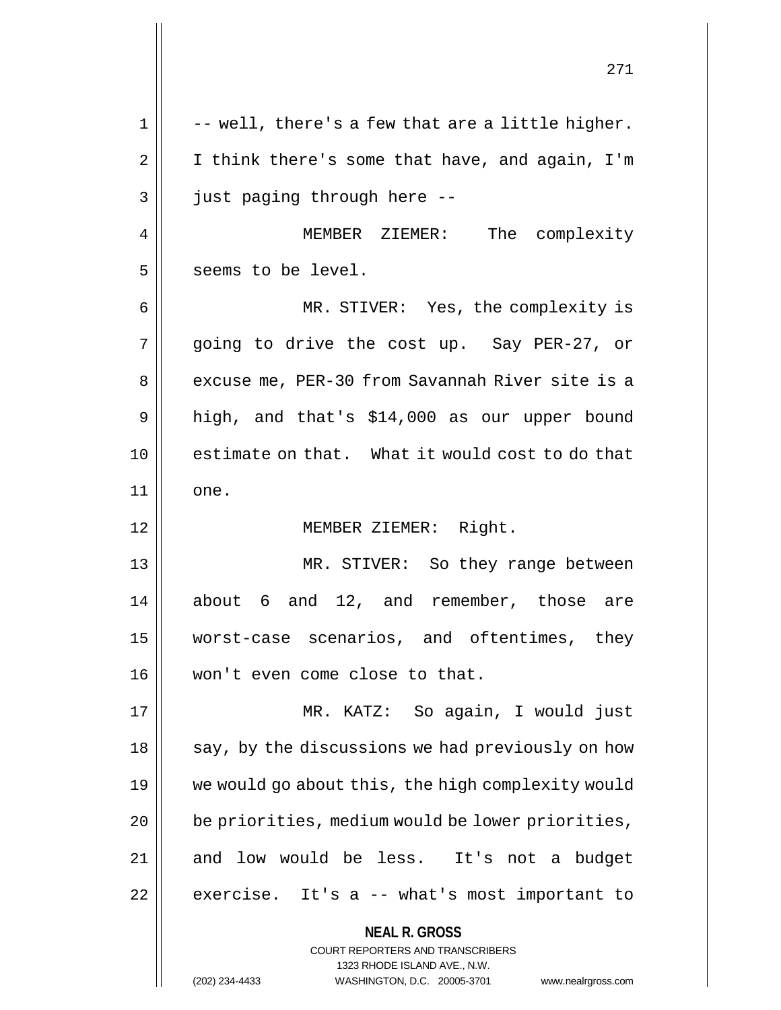**NEAL R. GROSS** COURT REPORTERS AND TRANSCRIBERS 1323 RHODE ISLAND AVE., N.W. (202) 234-4433 WASHINGTON, D.C. 20005-3701 www.nealrgross.com 271  $1 \parallel$  -- well, there's a few that are a little higher.  $2 \parallel$  I think there's some that have, and again, I'm 3 || just paging through here --4 | MEMBER ZIEMER: The complexity 5 || seems to be level. 6 MR. STIVER: Yes, the complexity is 7 || going to drive the cost up. Say PER-27, or 8 | excuse me, PER-30 from Savannah River site is a 9 || high, and that's \$14,000 as our upper bound 10 estimate on that. What it would cost to do that 11 || one. 12 || MEMBER ZIEMER: Right. 13 MR. STIVER: So they range between 14 || about 6 and 12, and remember, those are 15 worst-case scenarios, and oftentimes, they 16 won't even come close to that. 17 MR. KATZ: So again, I would just  $18 \parallel$  say, by the discussions we had previously on how 19 we would go about this, the high complexity would  $20$  | be priorities, medium would be lower priorities, 21 and low would be less. It's not a budget  $22$  | exercise. It's a  $-$  what's most important to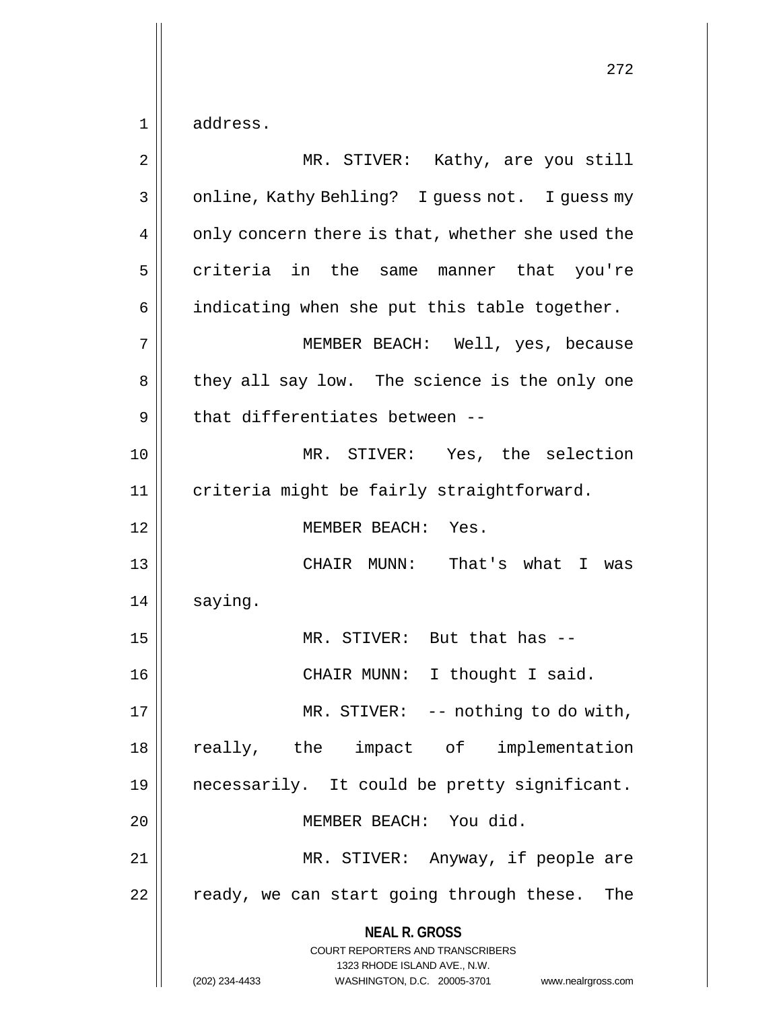$1 \parallel$  address.

| 2  | MR. STIVER: Kathy, are you still                                                                                                                                    |
|----|---------------------------------------------------------------------------------------------------------------------------------------------------------------------|
| 3  | online, Kathy Behling? I guess not. I guess my                                                                                                                      |
| 4  | only concern there is that, whether she used the                                                                                                                    |
| 5  | criteria in the same manner that you're                                                                                                                             |
| 6  | indicating when she put this table together.                                                                                                                        |
| 7  | MEMBER BEACH: Well, yes, because                                                                                                                                    |
| 8  | they all say low. The science is the only one                                                                                                                       |
| 9  | that differentiates between --                                                                                                                                      |
| 10 | MR. STIVER: Yes, the selection                                                                                                                                      |
| 11 | criteria might be fairly straightforward.                                                                                                                           |
| 12 | MEMBER BEACH: Yes.                                                                                                                                                  |
| 13 | CHAIR MUNN: That's what I was                                                                                                                                       |
| 14 | saying.                                                                                                                                                             |
| 15 | MR. STIVER: But that has --                                                                                                                                         |
| 16 | CHAIR MUNN: I thought I said.                                                                                                                                       |
| 17 | MR. STIVER: -- nothing to do with,                                                                                                                                  |
| 18 | really, the impact of implementation                                                                                                                                |
| 19 | necessarily. It could be pretty significant.                                                                                                                        |
| 20 | MEMBER BEACH: You did.                                                                                                                                              |
| 21 | MR. STIVER: Anyway, if people are                                                                                                                                   |
| 22 | ready, we can start going through these. The                                                                                                                        |
|    | <b>NEAL R. GROSS</b><br><b>COURT REPORTERS AND TRANSCRIBERS</b><br>1323 RHODE ISLAND AVE., N.W.<br>(202) 234-4433<br>WASHINGTON, D.C. 20005-3701 www.nealrgross.com |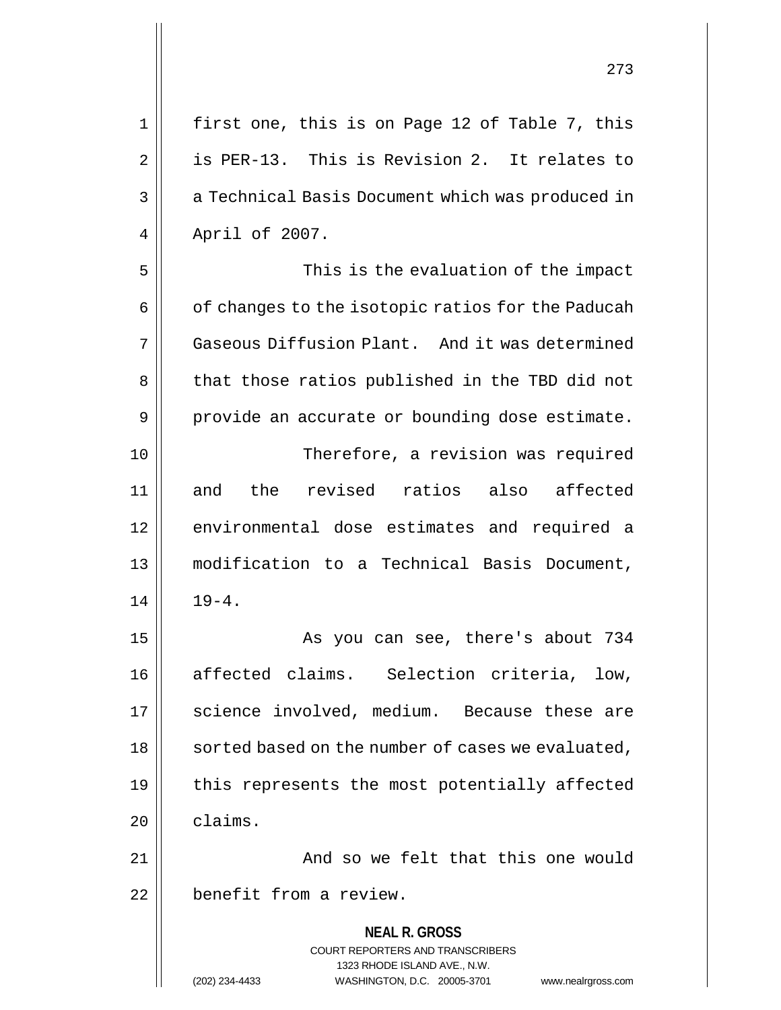**NEAL R. GROSS** COURT REPORTERS AND TRANSCRIBERS 1323 RHODE ISLAND AVE., N.W. (202) 234-4433 WASHINGTON, D.C. 20005-3701 www.nealrgross.com 2 is PER-13. This is Revision 2. It relates to 3 | a Technical Basis Document which was produced in 4 | April of 2007. 5 || This is the evaluation of the impact  $6 \parallel$  of changes to the isotopic ratios for the Paducah 7 Gaseous Diffusion Plant. And it was determined 8 || that those ratios published in the TBD did not  $9 \parallel$  provide an accurate or bounding dose estimate. 10 Therefore, a revision was required 11 and the revised ratios also affected 12 || environmental dose estimates and required a 13 modification to a Technical Basis Document,  $14$   $19-4$ . 15 || As you can see, there's about 734 16 || affected claims. Selection criteria, low, 17 || science involved, medium. Because these are 18 | sorted based on the number of cases we evaluated, 19  $\parallel$  this represents the most potentially affected 20 claims. 21 || And so we felt that this one would 22 | benefit from a review.

1 || first one, this is on Page 12 of Table 7, this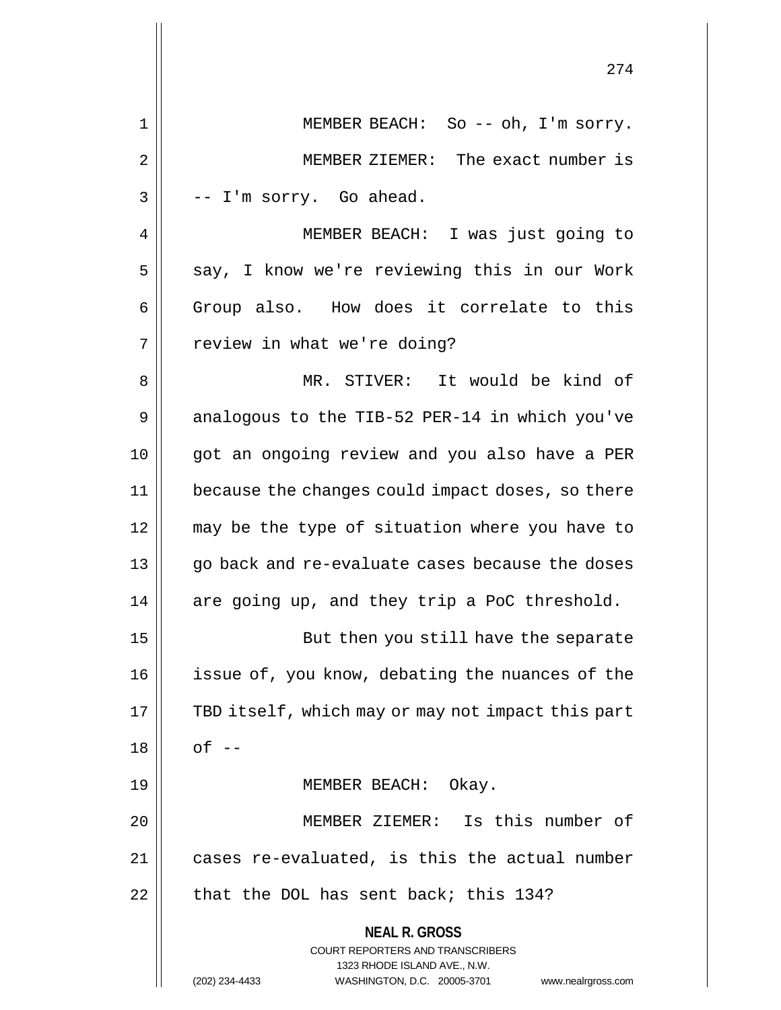|                | 274                                                                                                 |
|----------------|-----------------------------------------------------------------------------------------------------|
| 1              | MEMBER BEACH: So -- oh, I'm sorry.                                                                  |
| $\overline{2}$ | MEMBER ZIEMER: The exact number is                                                                  |
| 3              | -- I'm sorry. Go ahead.                                                                             |
| 4              | MEMBER BEACH: I was just going to                                                                   |
| 5              | say, I know we're reviewing this in our Work                                                        |
| 6              | Group also. How does it correlate to this                                                           |
| 7              | review in what we're doing?                                                                         |
| 8              | MR. STIVER: It would be kind of                                                                     |
| 9              | analogous to the TIB-52 PER-14 in which you've                                                      |
| 10             | got an ongoing review and you also have a PER                                                       |
| 11             | because the changes could impact doses, so there                                                    |
| 12             | may be the type of situation where you have to                                                      |
| 13             | go back and re-evaluate cases because the doses                                                     |
| 14             | are going up, and they trip a PoC threshold.                                                        |
| 15             | But then you still have the separate                                                                |
| 16             | issue of, you know, debating the nuances of the                                                     |
| 17             | TBD itself, which may or may not impact this part                                                   |
| 18             | $of --$                                                                                             |
| 19             | MEMBER BEACH: Okay.                                                                                 |
| 20             | MEMBER ZIEMER: Is this number of                                                                    |
| 21             | cases re-evaluated, is this the actual number                                                       |
| 22             | that the DOL has sent back; this 134?                                                               |
|                | <b>NEAL R. GROSS</b>                                                                                |
|                | COURT REPORTERS AND TRANSCRIBERS                                                                    |
|                | 1323 RHODE ISLAND AVE., N.W.<br>(202) 234-4433<br>WASHINGTON, D.C. 20005-3701<br>www.nealrgross.com |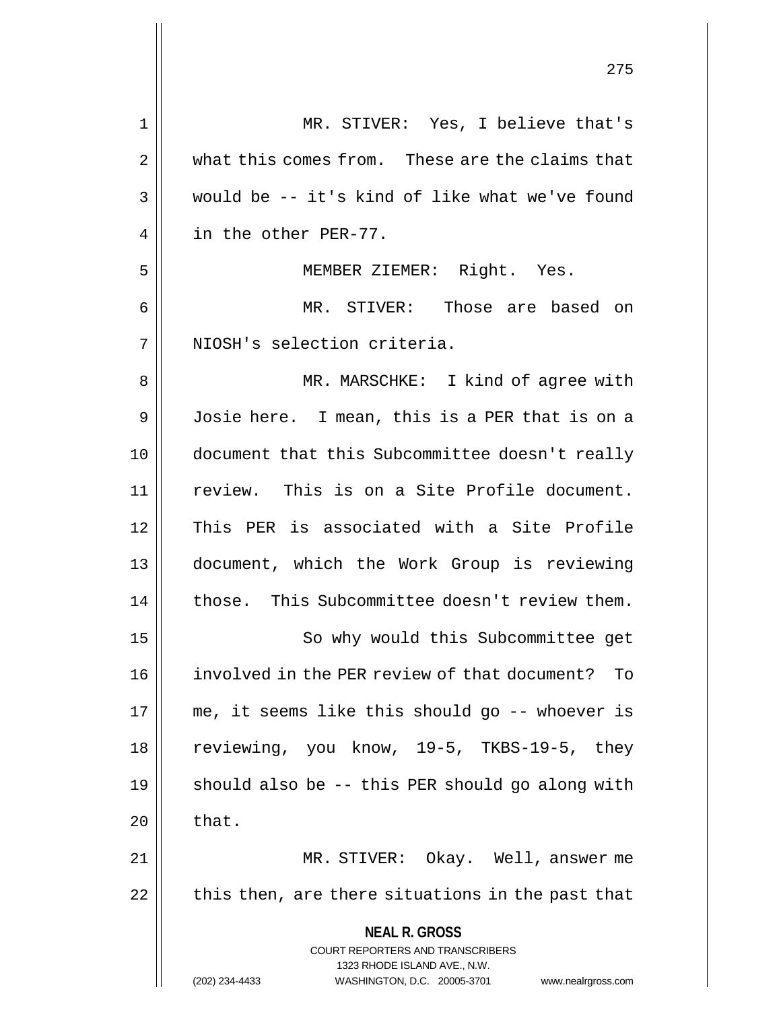| $\mathbf 1$ | MR. STIVER: Yes, I believe that's                                       |
|-------------|-------------------------------------------------------------------------|
| 2           | what this comes from. These are the claims that                         |
| 3           | would be -- it's kind of like what we've found                          |
| 4           | in the other PER-77.                                                    |
| 5           | MEMBER ZIEMER: Right. Yes.                                              |
| 6           | MR. STIVER: Those are based on                                          |
| 7           | NIOSH's selection criteria.                                             |
| 8           | MR. MARSCHKE: I kind of agree with                                      |
| 9           | Josie here. I mean, this is a PER that is on a                          |
| 10          | document that this Subcommittee doesn't really                          |
| 11          | review. This is on a Site Profile document.                             |
| 12          | This PER is associated with a Site Profile                              |
| 13          | document, which the Work Group is reviewing                             |
| 14          | those. This Subcommittee doesn't review them.                           |
| 15          | So why would this Subcommittee get                                      |
| 16          | involved in the PER review of that document? To                         |
| 17          | me, it seems like this should go -- whoever is                          |
| 18          | reviewing, you know, 19-5, TKBS-19-5, they                              |
| 19          | should also be -- this PER should go along with                         |
| 20          | that.                                                                   |
| 21          | MR. STIVER: Okay. Well, answer me                                       |
| 22          | this then, are there situations in the past that                        |
|             | <b>NEAL R. GROSS</b>                                                    |
|             | <b>COURT REPORTERS AND TRANSCRIBERS</b><br>1323 RHODE ISLAND AVE., N.W. |
|             | (202) 234-4433<br>WASHINGTON, D.C. 20005-3701<br>www.nealrgross.com     |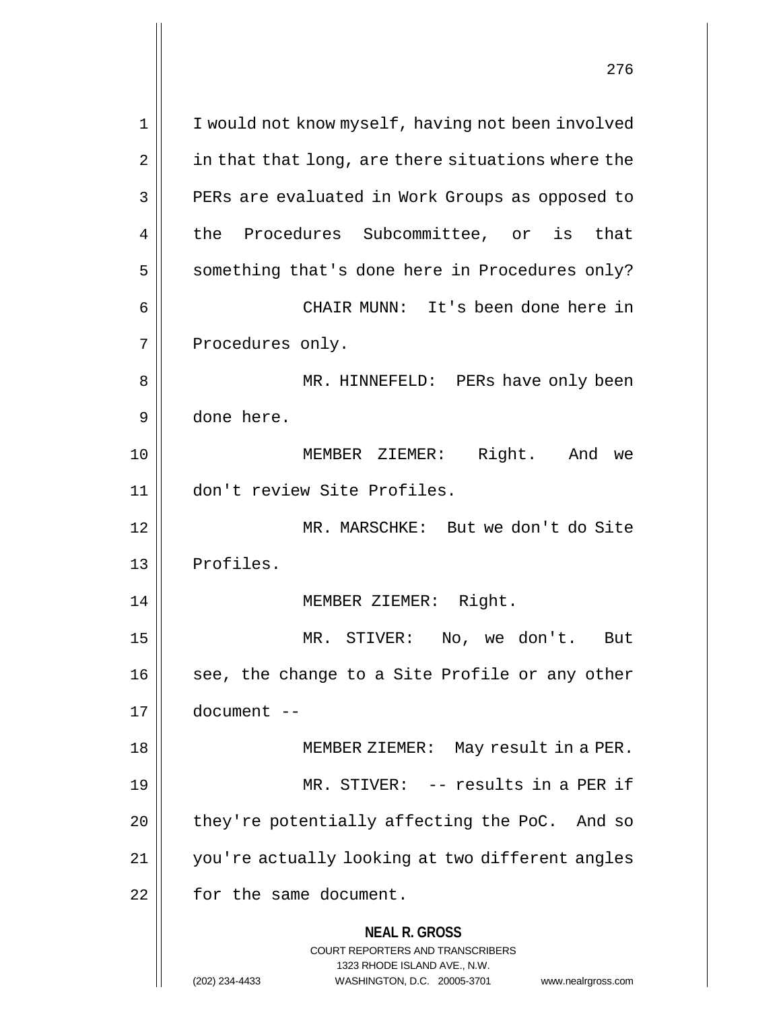| $\mathbf 1$ | I would not know myself, having not been involved               |
|-------------|-----------------------------------------------------------------|
| 2           | in that that long, are there situations where the               |
| 3           | PERs are evaluated in Work Groups as opposed to                 |
| 4           | the Procedures Subcommittee, or is that                         |
| 5           | something that's done here in Procedures only?                  |
| 6           | CHAIR MUNN: It's been done here in                              |
| 7           | Procedures only.                                                |
| 8           | MR. HINNEFELD: PERs have only been                              |
| 9           | done here.                                                      |
| 10          | Right. And<br>MEMBER ZIEMER:<br>we                              |
| 11          | don't review Site Profiles.                                     |
| 12          | MR. MARSCHKE: But we don't do Site                              |
| 13          | Profiles.                                                       |
| 14          | MEMBER ZIEMER: Right.                                           |
| 15          | MR. STIVER:<br>No, we don't. But                                |
| 16          | see, the change to a Site Profile or any other                  |
| 17          | $document --$                                                   |
| 18          | MEMBER ZIEMER: May result in a PER.                             |
| 19          | MR. STIVER: -- results in a PER if                              |
| 20          | they're potentially affecting the PoC. And so                   |
| 21          | you're actually looking at two different angles                 |
| 22          | for the same document.                                          |
|             | <b>NEAL R. GROSS</b><br><b>COURT REPORTERS AND TRANSCRIBERS</b> |
|             | 1323 RHODE ISLAND AVE., N.W.                                    |

 $\overline{1}$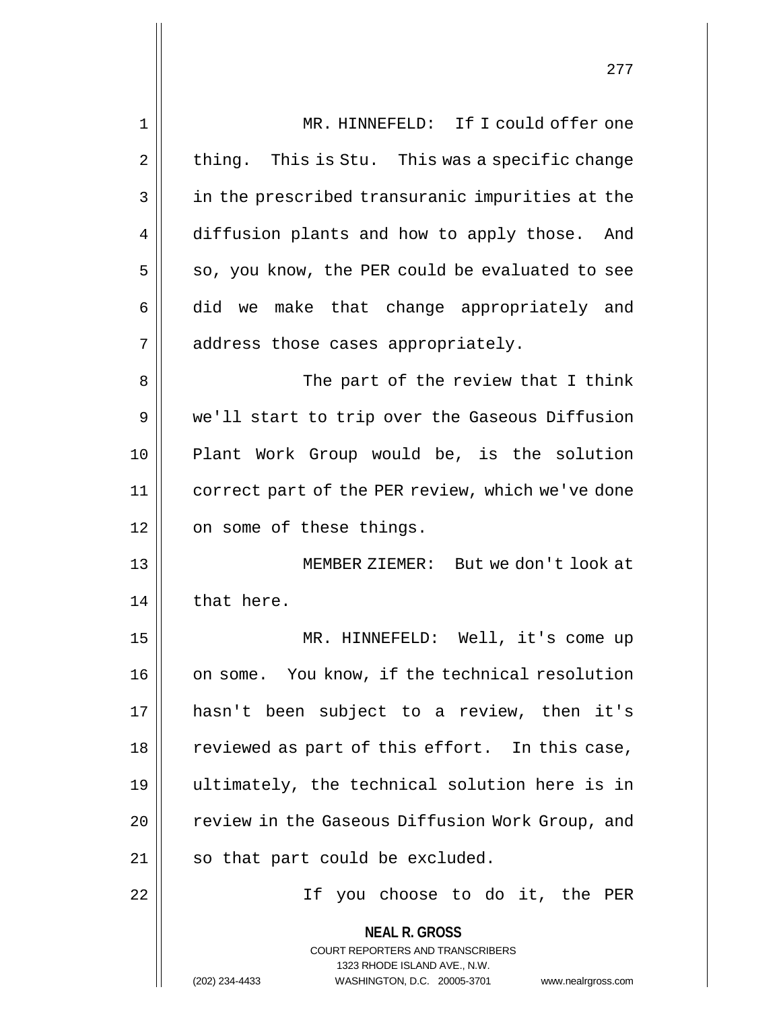| $\mathbf{1}$ | MR. HINNEFELD: If I could offer one                                 |
|--------------|---------------------------------------------------------------------|
| 2            | thing. This is Stu. This was a specific change                      |
| 3            | in the prescribed transuranic impurities at the                     |
| 4            | diffusion plants and how to apply those. And                        |
| 5            | so, you know, the PER could be evaluated to see                     |
| 6            | did we make that change appropriately and                           |
| 7            | address those cases appropriately.                                  |
| 8            | The part of the review that I think                                 |
| 9            | we'll start to trip over the Gaseous Diffusion                      |
| 10           | Plant Work Group would be, is the solution                          |
| 11           | correct part of the PER review, which we've done                    |
| 12           | on some of these things.                                            |
| 13           | MEMBER ZIEMER: But we don't look at                                 |
| 14           | that here.                                                          |
| 15           | MR. HINNEFELD: Well, it's come up                                   |
| 16           | on some. You know, if the technical resolution                      |
| 17           | hasn't been subject to a review, then it's                          |
| 18           | reviewed as part of this effort. In this case,                      |
| 19           | ultimately, the technical solution here is in                       |
| 20           | review in the Gaseous Diffusion Work Group, and                     |
| 21           | so that part could be excluded.                                     |
| 22           | If you choose to do it, the PER                                     |
|              | <b>NEAL R. GROSS</b>                                                |
|              | <b>COURT REPORTERS AND TRANSCRIBERS</b>                             |
|              | 1323 RHODE ISLAND AVE., N.W.                                        |
|              | (202) 234-4433<br>WASHINGTON, D.C. 20005-3701<br>www.nealrgross.com |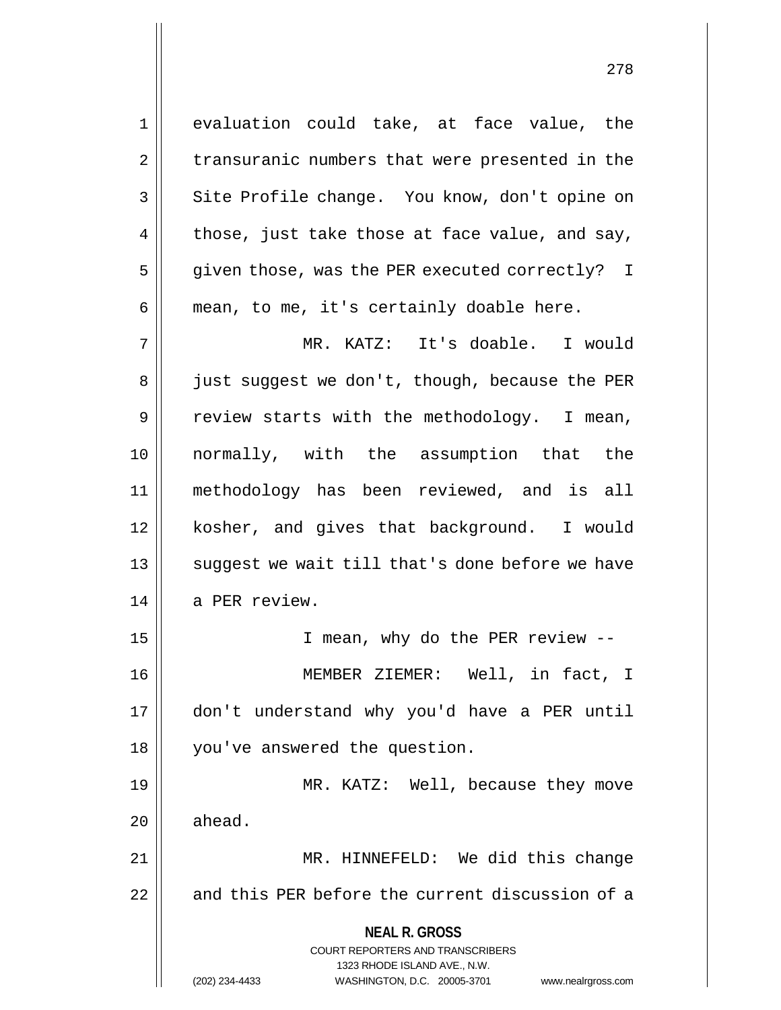**NEAL R. GROSS** COURT REPORTERS AND TRANSCRIBERS 1323 RHODE ISLAND AVE., N.W. (202) 234-4433 WASHINGTON, D.C. 20005-3701 www.nealrgross.com 1 evaluation could take, at face value, the 2 | transuranic numbers that were presented in the 3 || Site Profile change. You know, don't opine on 4  $\parallel$  those, just take those at face value, and say, 5 || given those, was the PER executed correctly? I  $6 \parallel$  mean, to me, it's certainly doable here. 7 MR. KATZ: It's doable. I would 8 | just suggest we don't, though, because the PER  $9 \parallel$  review starts with the methodology. I mean, 10 normally, with the assumption that the 11 methodology has been reviewed, and is all 12 kosher, and gives that background. I would 13 || suggest we wait till that's done before we have 14 a PER review. 15 || T mean, why do the PER review --16 MEMBER ZIEMER: Well, in fact, I 17 don't understand why you'd have a PER until 18 you've answered the question. 19 MR. KATZ: Well, because they move  $20$   $\parallel$  ahead. 21 || MR. HINNEFELD: We did this change 22 || and this PER before the current discussion of a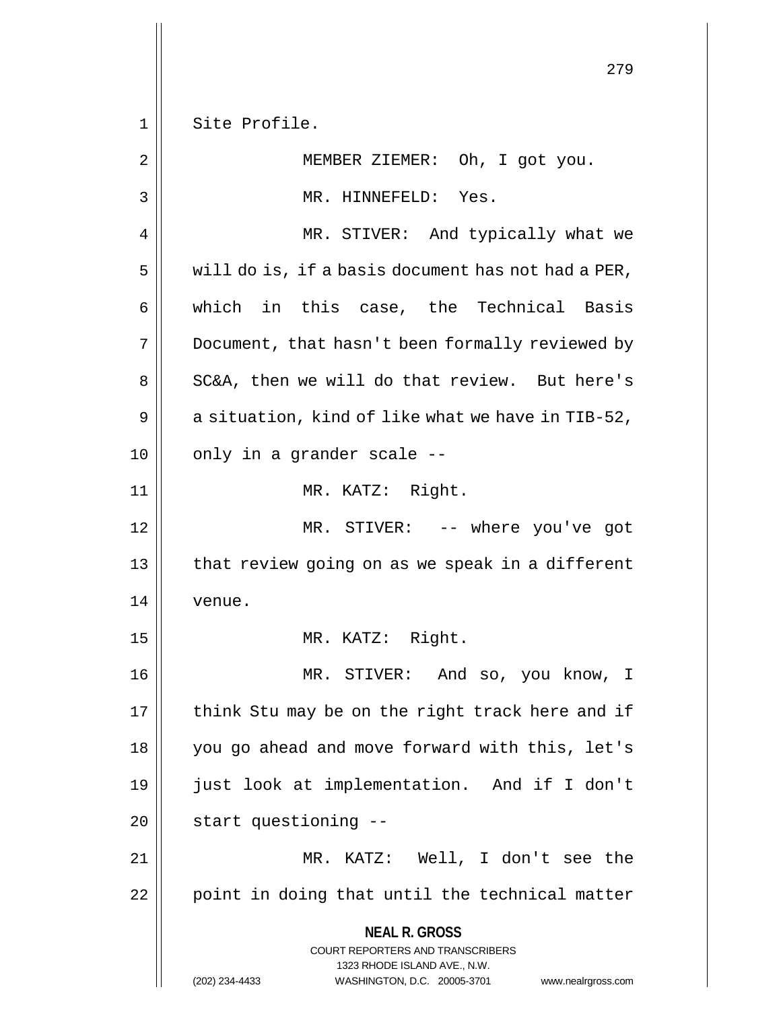1 Site Profile.

| $\overline{2}$ | MEMBER ZIEMER: Oh, I got you.                                                                                                                                   |
|----------------|-----------------------------------------------------------------------------------------------------------------------------------------------------------------|
| 3              | MR. HINNEFELD: Yes.                                                                                                                                             |
| 4              | MR. STIVER: And typically what we                                                                                                                               |
| 5              | will do is, if a basis document has not had a PER,                                                                                                              |
| 6              | which in this case, the Technical Basis                                                                                                                         |
| 7              | Document, that hasn't been formally reviewed by                                                                                                                 |
| 8              | SC&A, then we will do that review. But here's                                                                                                                   |
| 9              | a situation, kind of like what we have in TIB-52,                                                                                                               |
| 10             | only in a grander scale --                                                                                                                                      |
| 11             | MR. KATZ: Right.                                                                                                                                                |
| 12             | MR. STIVER: -- where you've got                                                                                                                                 |
| 13             | that review going on as we speak in a different                                                                                                                 |
| 14             | venue.                                                                                                                                                          |
| 15             | MR. KATZ: Right.                                                                                                                                                |
| 16             | MR. STIVER: And so, you know, I                                                                                                                                 |
| $17\,$         | think Stu may be on the right track here and if                                                                                                                 |
| 18             | you go ahead and move forward with this, let's                                                                                                                  |
| 19             | just look at implementation. And if I don't                                                                                                                     |
| 20             | start questioning --                                                                                                                                            |
| 21             | MR. KATZ: Well, I don't see the                                                                                                                                 |
| 22             | point in doing that until the technical matter                                                                                                                  |
|                | <b>NEAL R. GROSS</b><br>COURT REPORTERS AND TRANSCRIBERS<br>1323 RHODE ISLAND AVE., N.W.<br>(202) 234-4433<br>WASHINGTON, D.C. 20005-3701<br>www.nealrgross.com |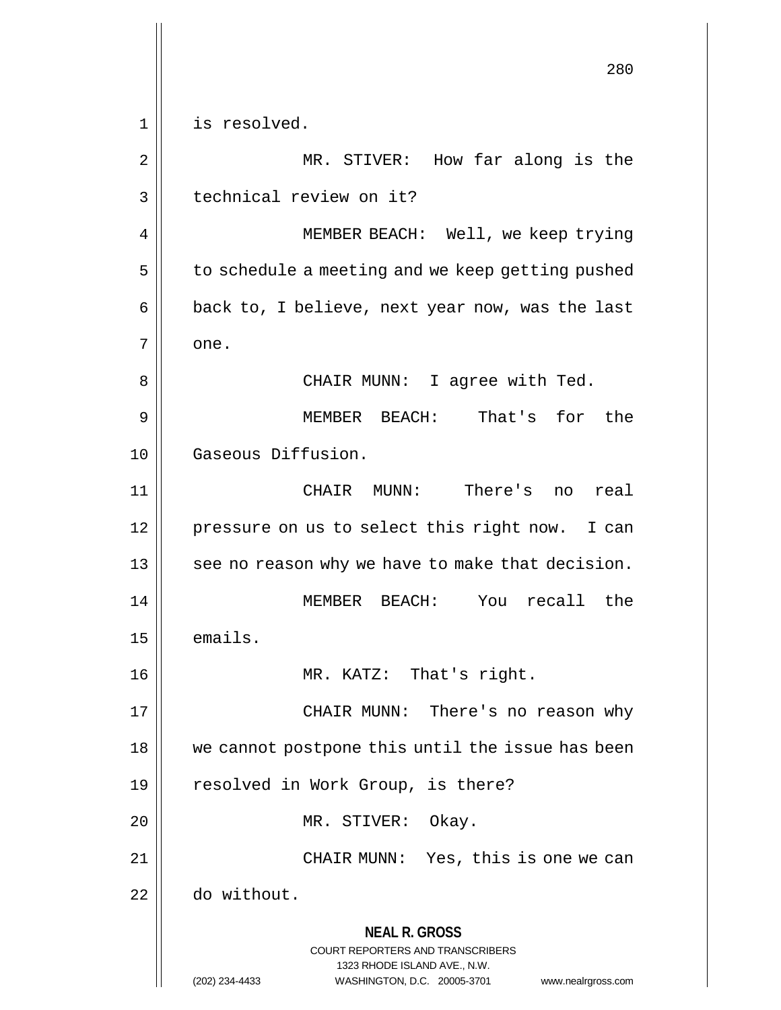**NEAL R. GROSS** COURT REPORTERS AND TRANSCRIBERS 1323 RHODE ISLAND AVE., N.W. (202) 234-4433 WASHINGTON, D.C. 20005-3701 www.nealrgross.com 280 1 | is resolved. 2 || MR. STIVER: How far along is the 3 | technical review on it? 4 || MEMBER BEACH: Well, we keep trying  $5 \parallel$  to schedule a meeting and we keep getting pushed 6  $\parallel$  back to, I believe, next year now, was the last  $7 \parallel$  one. 8 CHAIR MUNN: I agree with Ted. 9 MEMBER BEACH: That's for the 10 Gaseous Diffusion. 11 CHAIR MUNN: There's no real 12 || pressure on us to select this right now. I can  $13$  || see no reason why we have to make that decision. 14 MEMBER BEACH: You recall the 15 emails. 16 MR. KATZ: That's right. 17 CHAIR MUNN: There's no reason why 18 || we cannot postpone this until the issue has been 19 || resolved in Work Group, is there? 20 || MR. STIVER: Okay. 21 || CHAIR MUNN: Yes, this is one we can 22 do without.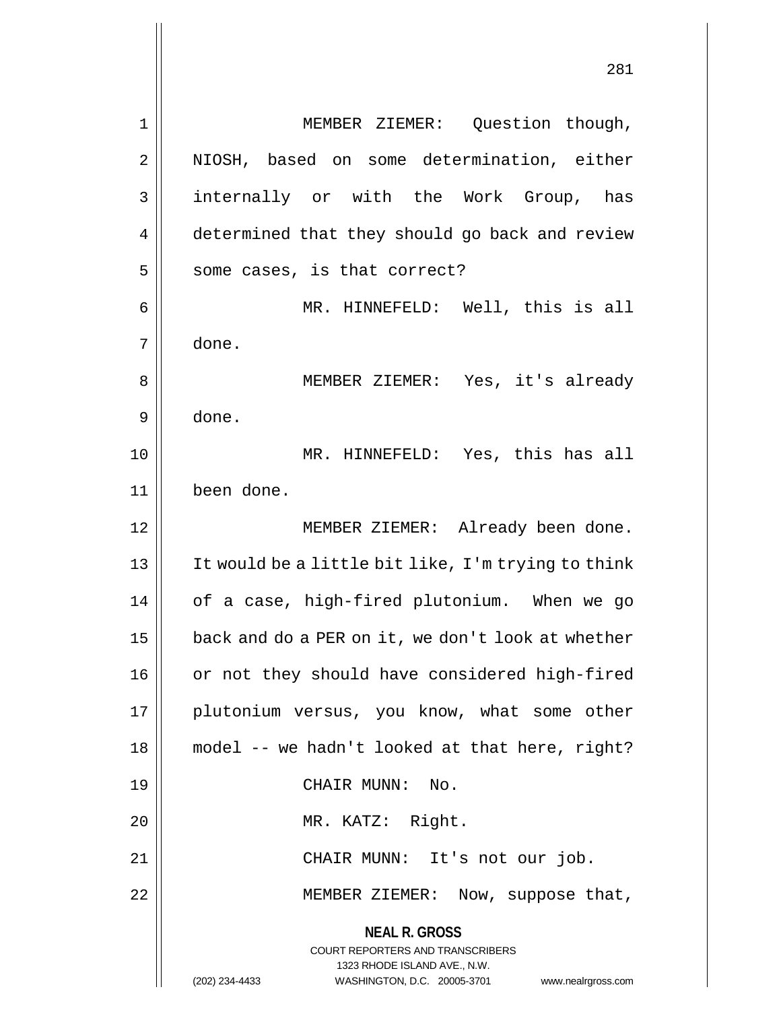**NEAL R. GROSS** COURT REPORTERS AND TRANSCRIBERS 1323 RHODE ISLAND AVE., N.W. (202) 234-4433 WASHINGTON, D.C. 20005-3701 www.nealrgross.com 1 | MEMBER ZIEMER: Question though, 2 || NIOSH, based on some determination, either 3 internally or with the Work Group, has 4 | determined that they should go back and review  $5 \parallel$  some cases, is that correct? 6 MR. HINNEFELD: Well, this is all 7 done. 8 || MEMBER ZIEMER: Yes, it's already 9 done. 10 MR. HINNEFELD: Yes, this has all 11 been done. 12 || MEMBER ZIEMER: Already been done. 13 It would be a little bit like, I'm trying to think 14 of a case, high-fired plutonium. When we go 15 | back and do a PER on it, we don't look at whether 16 || or not they should have considered high-fired 17 || plutonium versus, you know, what some other 18 model -- we hadn't looked at that here, right? 19 || CHAIR MUNN: No. 20 || MR. KATZ: Right. 21 CHAIR MUNN: It's not our job. 22 || MEMBER ZIEMER: Now, suppose that,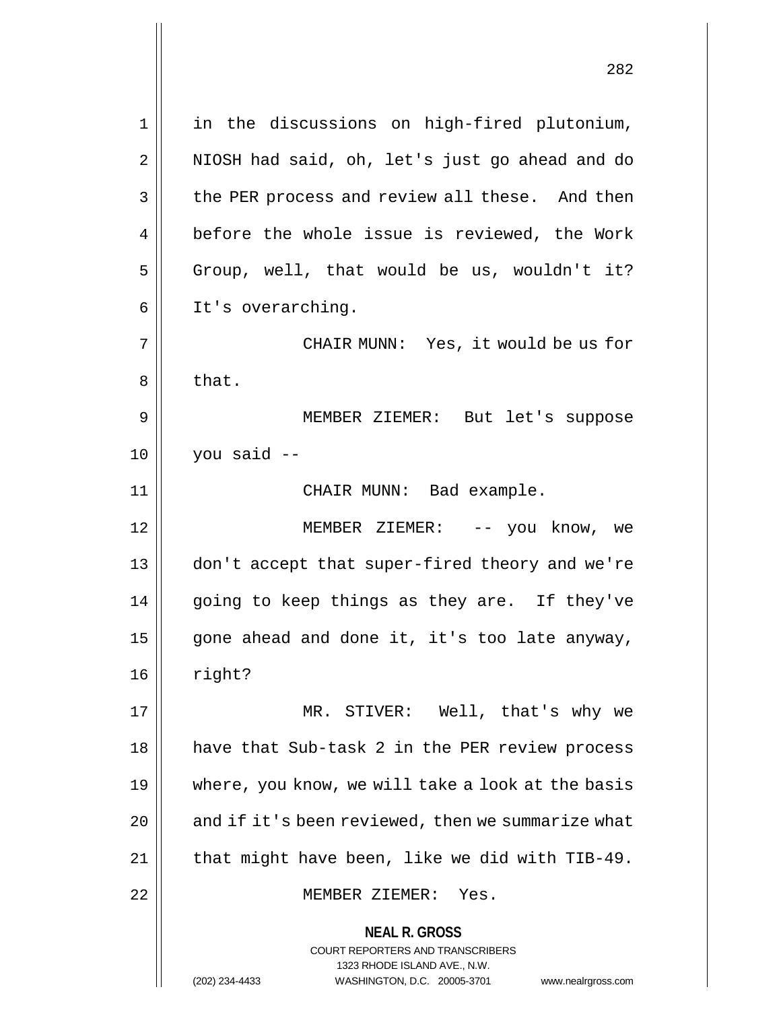**NEAL R. GROSS** COURT REPORTERS AND TRANSCRIBERS 1323 RHODE ISLAND AVE., N.W. 1 || in the discussions on high-fired plutonium, 2 || NIOSH had said, oh, let's just go ahead and do 3 | the PER process and review all these. And then 4 | before the whole issue is reviewed, the Work  $5 \parallel$  Group, well, that would be us, wouldn't it? 6 | It's overarching. 7 CHAIR MUNN: Yes, it would be us for  $8 \parallel$  that. 9 MEMBER ZIEMER: But let's suppose  $10$  | vou said  $-$ 11 || CHAIR MUNN: Bad example. 12 MEMBER ZIEMER: -- you know, we 13 don't accept that super-fired theory and we're 14 || going to keep things as they are. If they've 15  $\parallel$  gone ahead and done it, it's too late anyway, 16 | right? 17 MR. STIVER: Well, that's why we 18 || have that Sub-task 2 in the PER review process 19 where, you know, we will take a look at the basis 20  $\parallel$  and if it's been reviewed, then we summarize what  $21$  | that might have been, like we did with TIB-49. 22 MEMBER ZIEMER: Yes.

(202) 234-4433 WASHINGTON, D.C. 20005-3701 www.nealrgross.com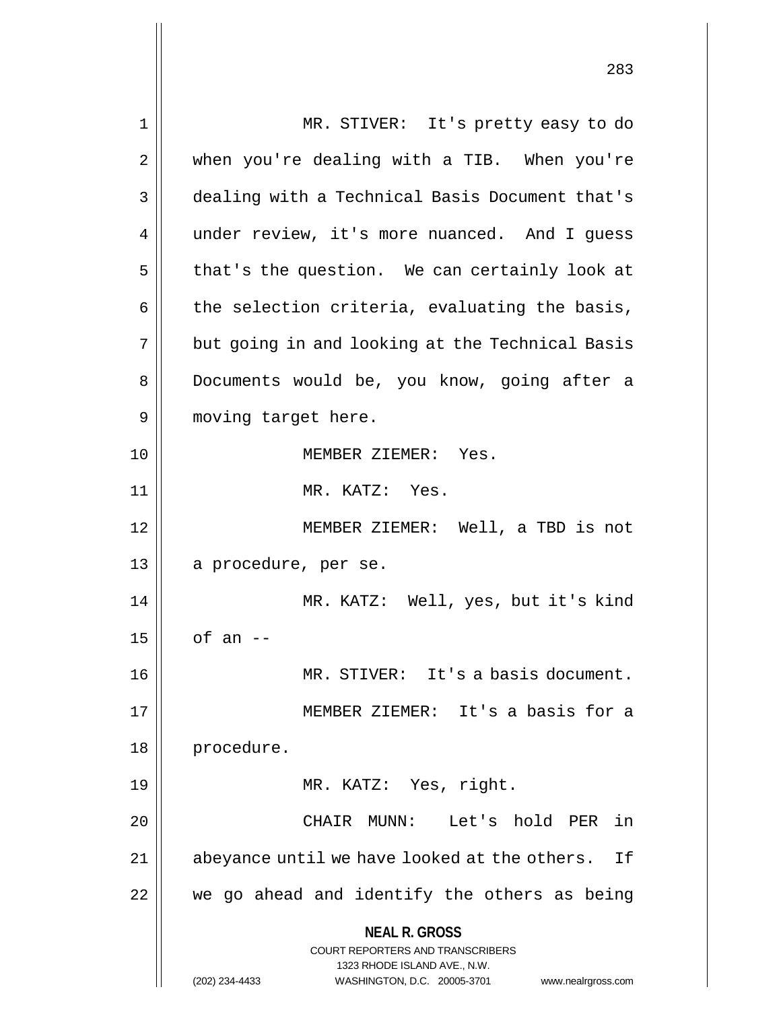**NEAL R. GROSS** COURT REPORTERS AND TRANSCRIBERS 1323 RHODE ISLAND AVE., N.W. (202) 234-4433 WASHINGTON, D.C. 20005-3701 www.nealrgross.com 1 MR. STIVER: It's pretty easy to do 2 when you're dealing with a TIB. When you're 3 dealing with a Technical Basis Document that's 4 | under review, it's more nuanced. And I guess  $5 \parallel$  that's the question. We can certainly look at  $6 \parallel$  the selection criteria, evaluating the basis,  $7 \parallel$  but going in and looking at the Technical Basis 8 || Documents would be, you know, going after a 9 || moving target here. 10 MEMBER ZIEMER: Yes. 11 MR. KATZ: Yes. 12 MEMBER ZIEMER: Well, a TBD is not 13 || a procedure, per se. 14 MR. KATZ: Well, yes, but it's kind  $15$  of an  $-$ 16 MR. STIVER: It's a basis document. 17 MEMBER ZIEMER: It's a basis for a 18 | procedure. 19 || MR. KATZ: Yes, right. 20 CHAIR MUNN: Let's hold PER in 21 || abeyance until we have looked at the others. If 22 we go ahead and identify the others as being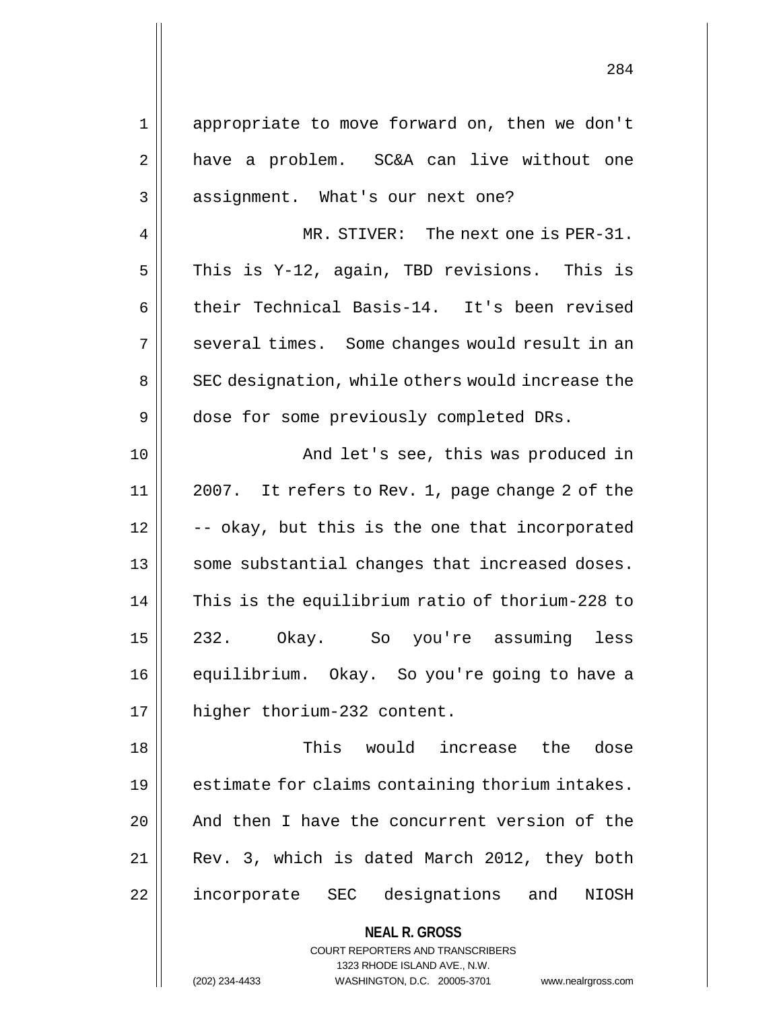1 appropriate to move forward on, then we don't 2 || have a problem. SC&A can live without one 3 || assignment. What's our next one? 4 MR. STIVER: The next one is PER-31.  $5$  This is Y-12, again, TBD revisions. This is 6 | their Technical Basis-14. It's been revised 7 || several times. Some changes would result in an 8 || SEC designation, while others would increase the 9 | dose for some previously completed DRs. 10 And let's see, this was produced in 11 2007. It refers to Rev. 1, page change 2 of the  $12 \parallel$  -- okay, but this is the one that incorporated 13 || some substantial changes that increased doses. 14 | This is the equilibrium ratio of thorium-228 to 15 232. Okay. So you're assuming less 16 | equilibrium. Okay. So you're going to have a 17 || higher thorium-232 content. 18 This would increase the dose 19 || estimate for claims containing thorium intakes.

20 || And then I have the concurrent version of the 21 Rev. 3, which is dated March 2012, they both 22 || incorporate SEC designations and NIOSH

> **NEAL R. GROSS** COURT REPORTERS AND TRANSCRIBERS 1323 RHODE ISLAND AVE., N.W.

(202) 234-4433 WASHINGTON, D.C. 20005-3701 www.nealrgross.com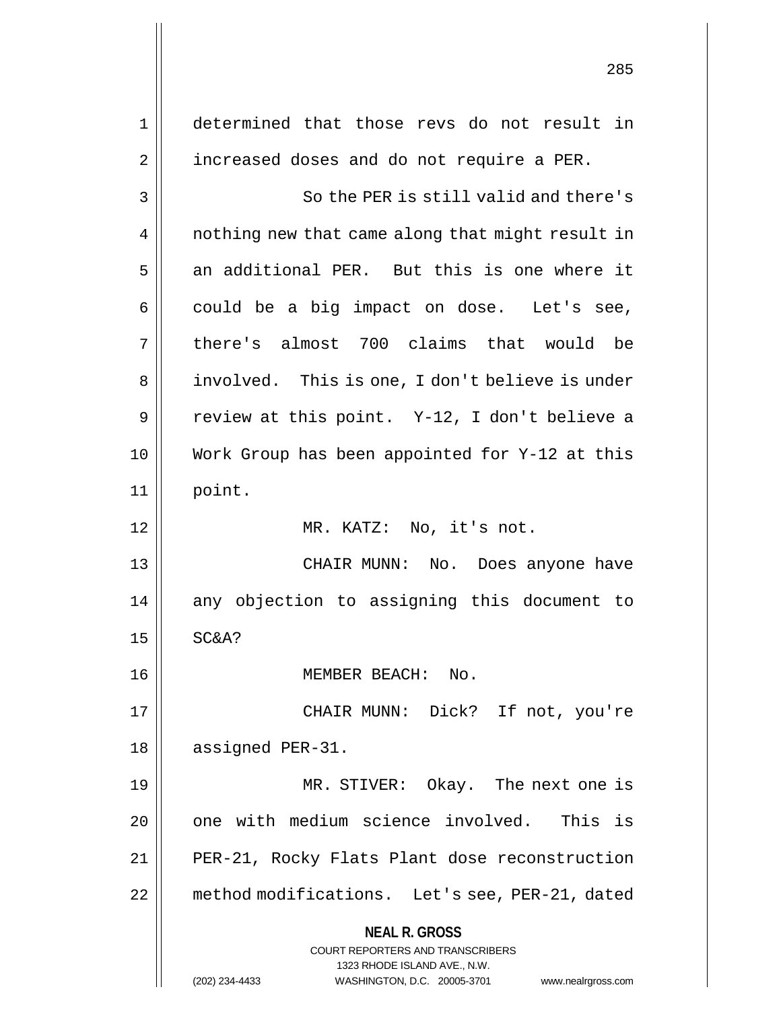**NEAL R. GROSS** COURT REPORTERS AND TRANSCRIBERS 1323 RHODE ISLAND AVE., N.W. (202) 234-4433 WASHINGTON, D.C. 20005-3701 www.nealrgross.com 1 determined that those revs do not result in 2 | increased doses and do not require a PER. 3 || So the PER is still valid and there's 4 || nothing new that came along that might result in  $5 \parallel$  an additional PER. But this is one where it  $6 \parallel$  could be a big impact on dose. Let's see, 7 || there's almost 700 claims that would be 8 || involved. This is one, I don't believe is under 9 || review at this point. Y-12, I don't believe a 10 Work Group has been appointed for Y-12 at this 11 point. 12 || MR. KATZ: No, it's not. 13 CHAIR MUNN: No. Does anyone have 14 any objection to assigning this document to  $15$  SC&A? 16 MEMBER BEACH: No. 17 CHAIR MUNN: Dick? If not, you're 18 | assigned PER-31. 19 MR. STIVER: Okay. The next one is 20 | one with medium science involved. This is 21 || PER-21, Rocky Flats Plant dose reconstruction 22 method modifications. Let's see, PER-21, dated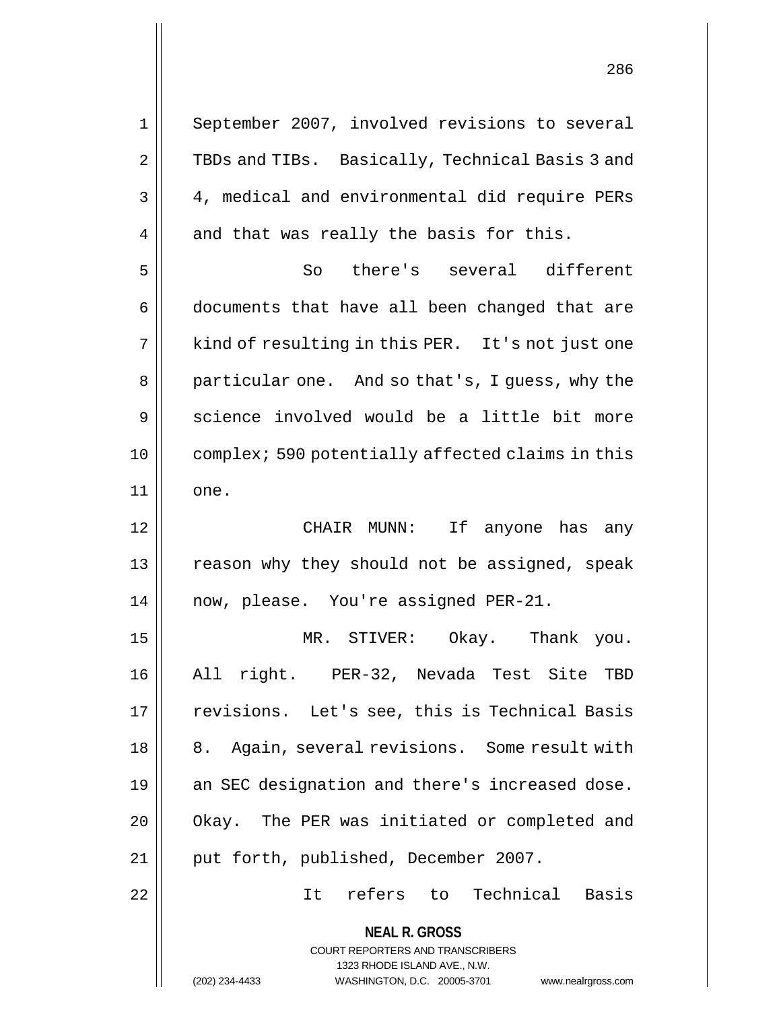**NEAL R. GROSS** COURT REPORTERS AND TRANSCRIBERS 1323 RHODE ISLAND AVE., N.W. 1 || September 2007, involved revisions to several 2 || TBDs and TIBs. Basically, Technical Basis 3 and 3 4, medical and environmental did require PERs  $4 \parallel$  and that was really the basis for this. 5 So there's several different 6 | documents that have all been changed that are  $7 \parallel$  kind of resulting in this PER. It's not just one 8 || particular one. And so that's, I guess, why the 9 Science involved would be a little bit more 10 complex; 590 potentially affected claims in this 11 || one. 12 CHAIR MUNN: If anyone has any 13 || reason why they should not be assigned, speak 14 now, please. You're assigned PER-21. 15 MR. STIVER: Okay. Thank you. 16 All right. PER-32, Nevada Test Site TBD 17 || revisions. Let's see, this is Technical Basis 18 || 8. Again, several revisions. Some result with 19 || an SEC designation and there's increased dose. 20 | Okay. The PER was initiated or completed and 21 || put forth, published, December 2007. 22 It refers to Technical Basis

(202) 234-4433 WASHINGTON, D.C. 20005-3701 www.nealrgross.com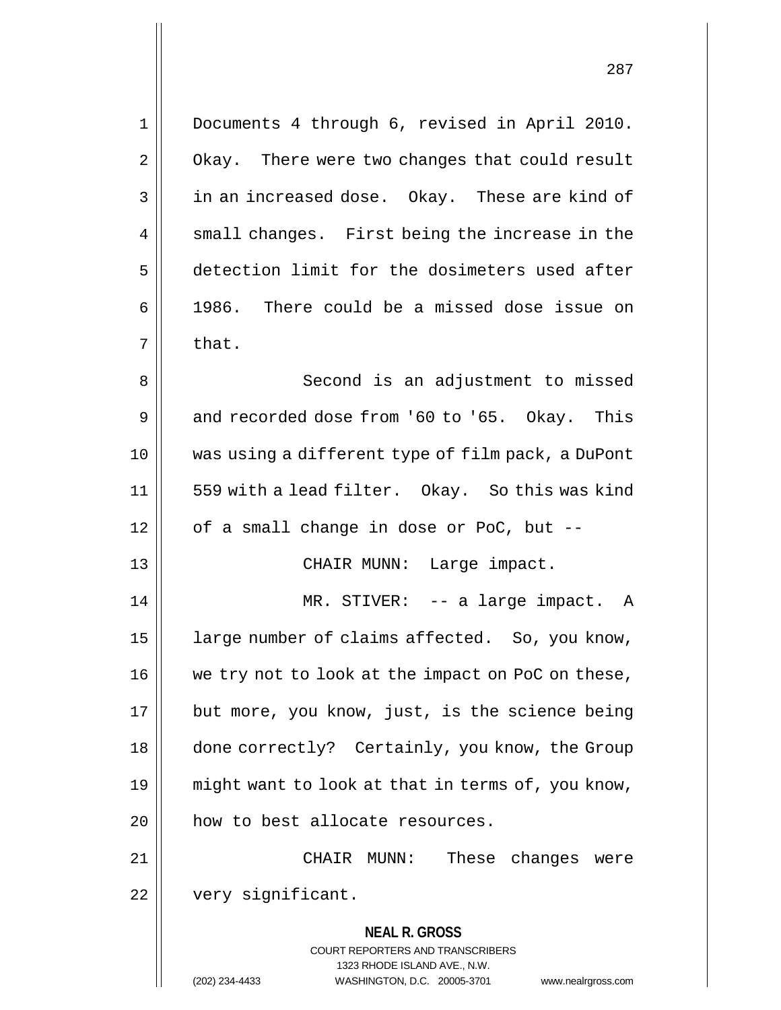| $\mathbf 1$    | Documents 4 through 6, revised in April 2010.                       |
|----------------|---------------------------------------------------------------------|
| $\overline{2}$ | Okay. There were two changes that could result                      |
| 3              | in an increased dose. Okay. These are kind of                       |
| 4              | small changes. First being the increase in the                      |
| 5              | detection limit for the dosimeters used after                       |
| 6              | 1986. There could be a missed dose issue on                         |
| 7              | that.                                                               |
| 8              | Second is an adjustment to missed                                   |
| 9              | and recorded dose from '60 to '65. Okay. This                       |
| 10             | was using a different type of film pack, a DuPont                   |
| 11             | 559 with a lead filter. Okay. So this was kind                      |
| 12             | of a small change in dose or PoC, but --                            |
| 13             | CHAIR MUNN: Large impact.                                           |
| 14             | MR. STIVER: -- a large impact. A                                    |
| 15             | large number of claims affected. So, you know,                      |
| 16             | we try not to look at the impact on PoC on these,                   |
| 17             | but more, you know, just, is the science being                      |
| 18             | done correctly? Certainly, you know, the Group                      |
| 19             | might want to look at that in terms of, you know,                   |
| 20             | how to best allocate resources.                                     |
| 21             | CHAIR MUNN:<br>These changes<br>were                                |
| 22             | very significant.                                                   |
|                | <b>NEAL R. GROSS</b>                                                |
|                | <b>COURT REPORTERS AND TRANSCRIBERS</b>                             |
|                | 1323 RHODE ISLAND AVE., N.W.                                        |
|                | (202) 234-4433<br>WASHINGTON, D.C. 20005-3701<br>www.nealrgross.com |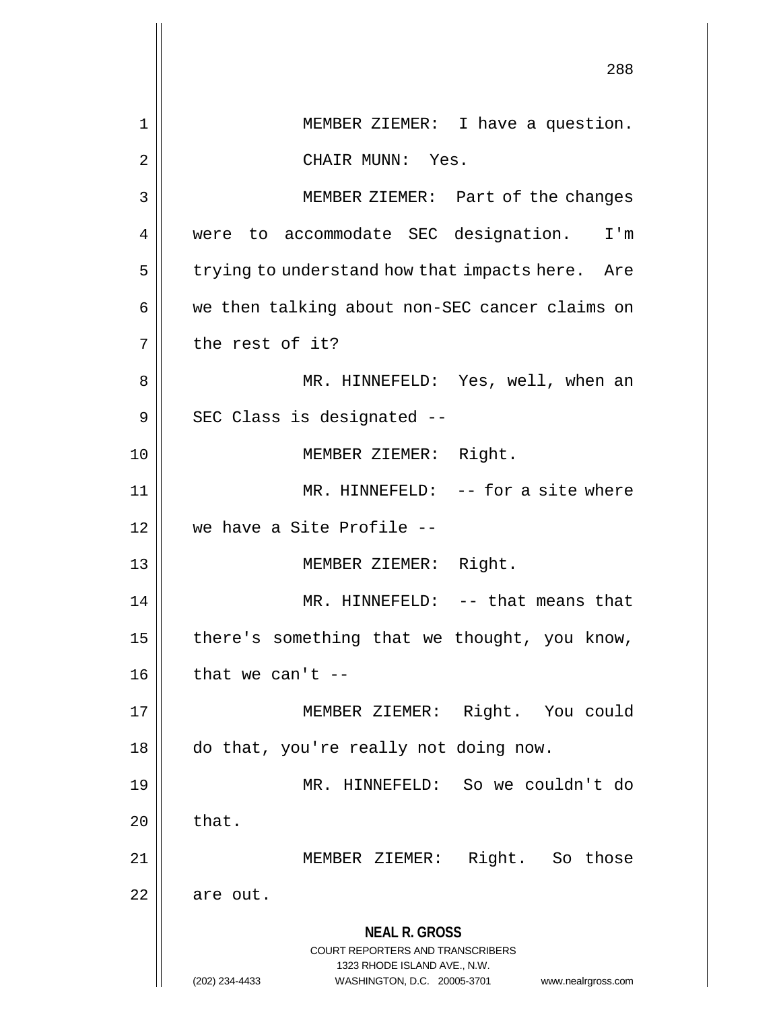|    | 288                                                                                                                                                             |
|----|-----------------------------------------------------------------------------------------------------------------------------------------------------------------|
| 1  | MEMBER ZIEMER: I have a question.                                                                                                                               |
| 2  | CHAIR MUNN: Yes.                                                                                                                                                |
| 3  | MEMBER ZIEMER: Part of the changes                                                                                                                              |
| 4  | were to accommodate SEC designation. I'm                                                                                                                        |
| 5  | trying to understand how that impacts here. Are                                                                                                                 |
| 6  | we then talking about non-SEC cancer claims on                                                                                                                  |
| 7  | the rest of it?                                                                                                                                                 |
| 8  | MR. HINNEFELD: Yes, well, when an                                                                                                                               |
| 9  | SEC Class is designated --                                                                                                                                      |
| 10 | MEMBER ZIEMER: Right.                                                                                                                                           |
| 11 | MR. HINNEFELD: -- for a site where                                                                                                                              |
| 12 | we have a Site Profile --                                                                                                                                       |
| 13 | MEMBER ZIEMER: Right.                                                                                                                                           |
| 14 | MR. HINNEFELD: -- that means that                                                                                                                               |
| 15 | there's something that we thought, you know,                                                                                                                    |
| 16 | that we can't $-$                                                                                                                                               |
| 17 | MEMBER ZIEMER: Right. You could                                                                                                                                 |
| 18 | do that, you're really not doing now.                                                                                                                           |
| 19 | MR. HINNEFELD: So we couldn't do                                                                                                                                |
| 20 | that.                                                                                                                                                           |
| 21 | MEMBER ZIEMER: Right. So those                                                                                                                                  |
| 22 | are out.                                                                                                                                                        |
|    | <b>NEAL R. GROSS</b><br>COURT REPORTERS AND TRANSCRIBERS<br>1323 RHODE ISLAND AVE., N.W.<br>(202) 234-4433<br>WASHINGTON, D.C. 20005-3701<br>www.nealrgross.com |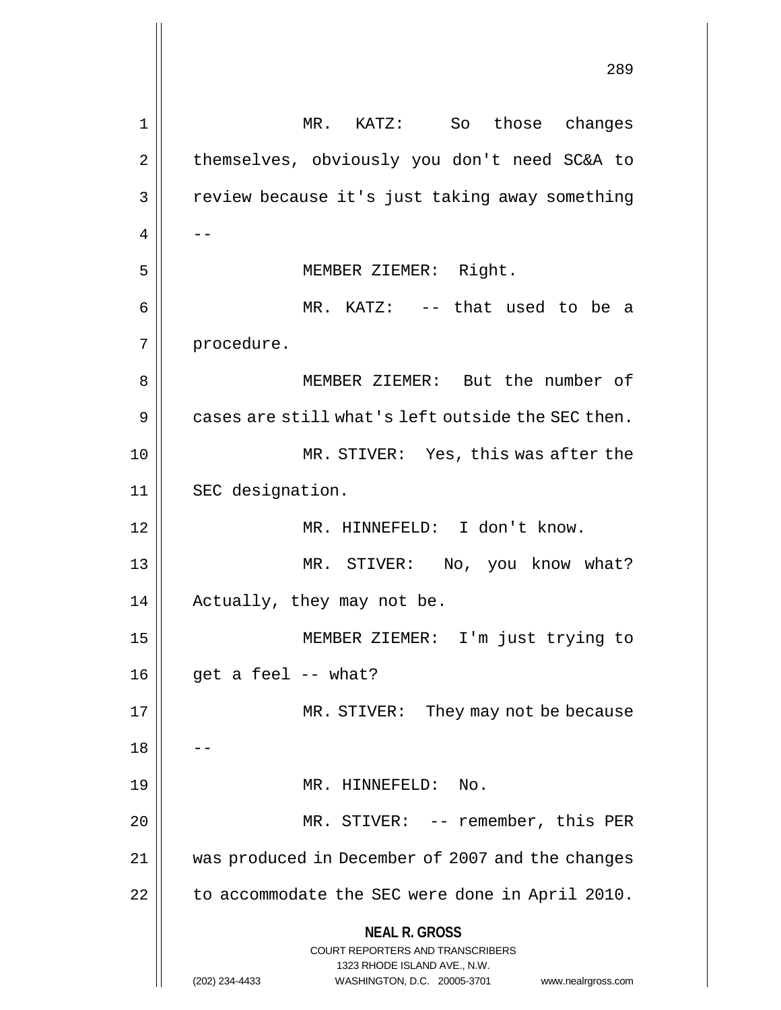**NEAL R. GROSS** COURT REPORTERS AND TRANSCRIBERS 1323 RHODE ISLAND AVE., N.W. (202) 234-4433 WASHINGTON, D.C. 20005-3701 www.nealrgross.com 289 1 MR. KATZ: So those changes 2 | themselves, obviously you don't need SC&A to 3 | review because it's just taking away something  $4 \parallel - -$ 5 || MEMBER ZIEMER: Right. 6 MR. KATZ: -- that used to be a 7 | procedure. 8 MEMBER ZIEMER: But the number of  $9 \parallel$  cases are still what's left outside the SEC then. 10 || MR. STIVER: Yes, this was after the 11 || SEC designation. 12 MR. HINNEFELD: I don't know. 13 MR. STIVER: No, you know what? 14 || Actually, they may not be. 15 MEMBER ZIEMER: I'm just trying to  $16 \parallel$  get a feel -- what? 17 || MR. STIVER: They may not be because  $18$ 19 || MR. HINNEFELD: No. 20 || MR. STIVER: -- remember, this PER 21 was produced in December of 2007 and the changes  $22$  | to accommodate the SEC were done in April 2010.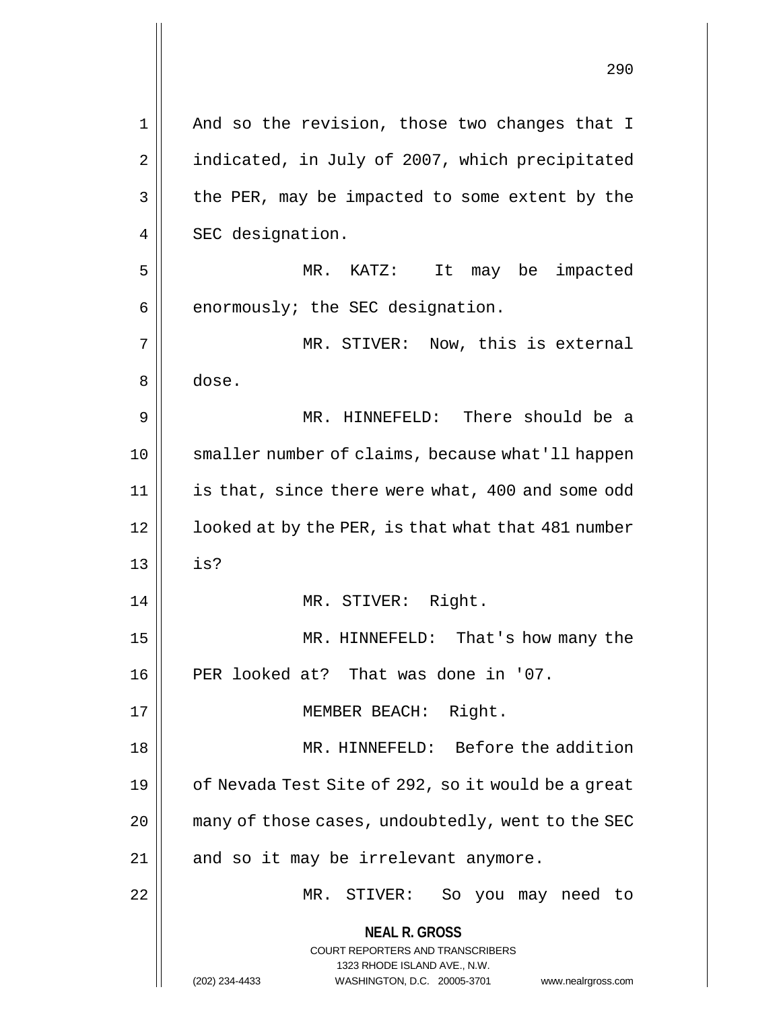|    | 290                                                                                                                                                                    |
|----|------------------------------------------------------------------------------------------------------------------------------------------------------------------------|
| 1  | And so the revision, those two changes that I                                                                                                                          |
| 2  | indicated, in July of 2007, which precipitated                                                                                                                         |
| 3  | the PER, may be impacted to some extent by the                                                                                                                         |
| 4  | SEC designation.                                                                                                                                                       |
| 5  | $MR$ .<br>KATZ:<br>It<br>may be impacted                                                                                                                               |
| 6  | enormously; the SEC designation.                                                                                                                                       |
| 7  | MR. STIVER: Now, this is external                                                                                                                                      |
| 8  | dose.                                                                                                                                                                  |
| 9  | MR. HINNEFELD: There should be a                                                                                                                                       |
| 10 | smaller number of claims, because what'll happen                                                                                                                       |
| 11 | is that, since there were what, 400 and some odd                                                                                                                       |
| 12 | looked at by the PER, is that what that 481 number                                                                                                                     |
| 13 | is?                                                                                                                                                                    |
| 14 | MR. STIVER: Right.                                                                                                                                                     |
| 15 | MR. HINNEFELD: That's how many the                                                                                                                                     |
| 16 | PER looked at? That was done in '07.                                                                                                                                   |
| 17 | MEMBER BEACH: Right.                                                                                                                                                   |
| 18 | MR. HINNEFELD: Before the addition                                                                                                                                     |
| 19 | of Nevada Test Site of 292, so it would be a great                                                                                                                     |
| 20 | many of those cases, undoubtedly, went to the SEC                                                                                                                      |
| 21 | and so it may be irrelevant anymore.                                                                                                                                   |
| 22 | MR. STIVER:<br>So you may need to                                                                                                                                      |
|    | <b>NEAL R. GROSS</b><br><b>COURT REPORTERS AND TRANSCRIBERS</b><br>1323 RHODE ISLAND AVE., N.W.<br>(202) 234-4433<br>WASHINGTON, D.C. 20005-3701<br>www.nealrgross.com |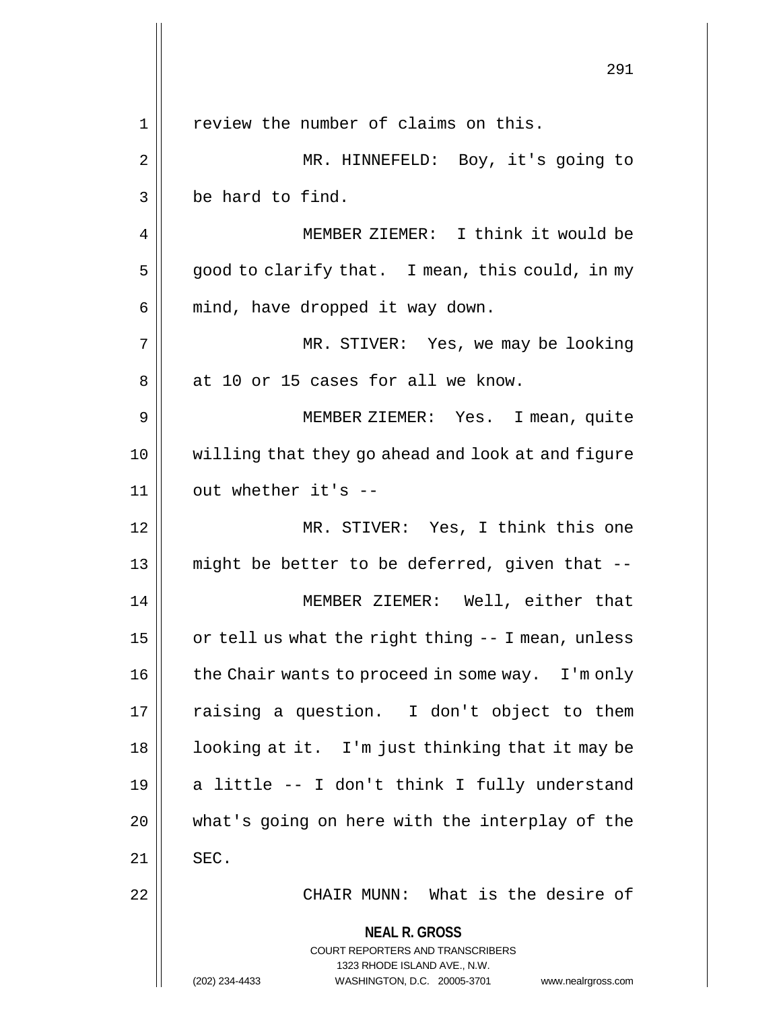**NEAL R. GROSS** COURT REPORTERS AND TRANSCRIBERS 1323 RHODE ISLAND AVE., N.W. (202) 234-4433 WASHINGTON, D.C. 20005-3701 www.nealrgross.com 291 1 || review the number of claims on this. 2 || MR. HINNEFELD: Boy, it's going to  $3 \parallel$  be hard to find. 4 MEMBER ZIEMER: I think it would be  $5 \parallel$  good to clarify that. I mean, this could, in my  $6 \parallel$  mind, have dropped it way down. 7 MR. STIVER: Yes, we may be looking 8 at 10 or 15 cases for all we know. 9 MEMBER ZIEMER: Yes. I mean, quite 10 willing that they go ahead and look at and figure  $11$  | out whether it's  $-$ 12 MR. STIVER: Yes, I think this one 13  $\parallel$  might be better to be deferred, given that --14 MEMBER ZIEMER: Well, either that 15  $\vert$  or tell us what the right thing  $-$  I mean, unless  $16$  | the Chair wants to proceed in some way. I'm only 17 || raising a question. I don't object to them 18 || looking at it. I'm just thinking that it may be 19  $\parallel$  a little -- I don't think I fully understand 20 what's going on here with the interplay of the  $21$   $\parallel$  SEC. 22 || CHAIR MUNN: What is the desire of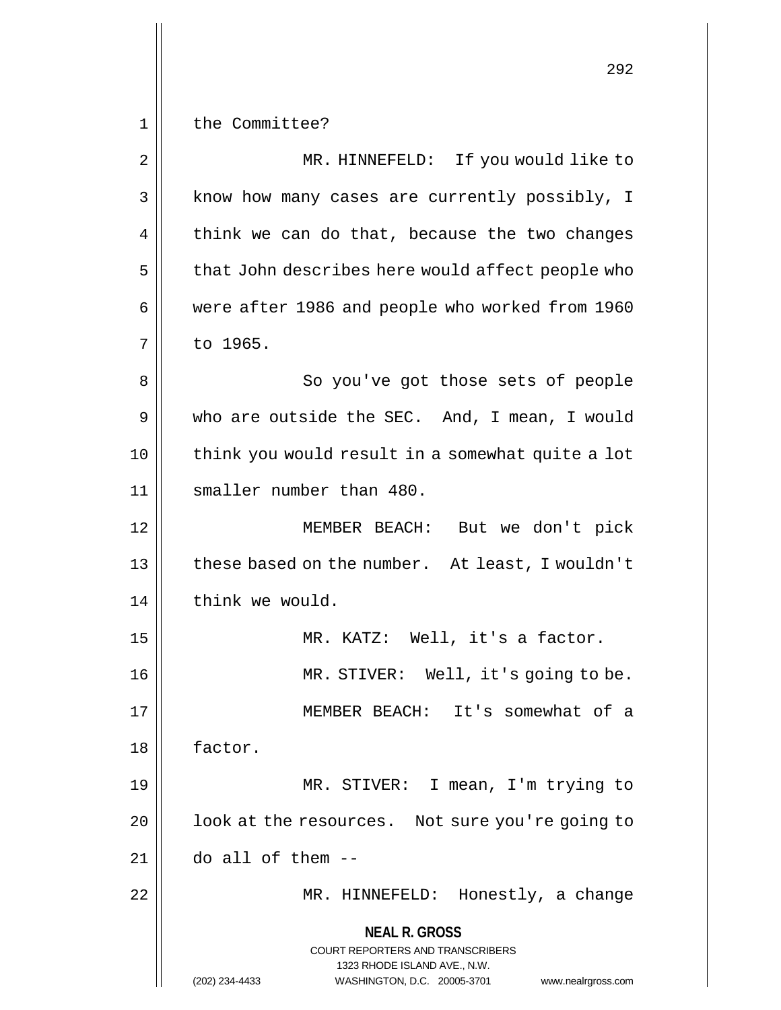**NEAL R. GROSS** COURT REPORTERS AND TRANSCRIBERS 1323 RHODE ISLAND AVE., N.W. 292 1 || the Committee? 2 || MR. HINNEFELD: If you would like to 3 || know how many cases are currently possibly, I  $4 \parallel$  think we can do that, because the two changes  $5 \parallel$  that John describes here would affect people who 6 were after 1986 and people who worked from 1960 7 to 1965. 8 || So you've got those sets of people 9 who are outside the SEC. And, I mean, I would 10 || think you would result in a somewhat quite a lot 11 || smaller number than 480. 12 MEMBER BEACH: But we don't pick 13 || these based on the number. At least, I wouldn't 14 | think we would. 15 || MR. KATZ: Well, it's a factor. 16 || MR. STIVER: Well, it's going to be. 17 MEMBER BEACH: It's somewhat of a 18 | factor. 19 MR. STIVER: I mean, I'm trying to 20 | look at the resources. Not sure you're going to  $21$  || do all of them  $-$ 22 MR. HINNEFELD: Honestly, a change

(202) 234-4433 WASHINGTON, D.C. 20005-3701 www.nealrgross.com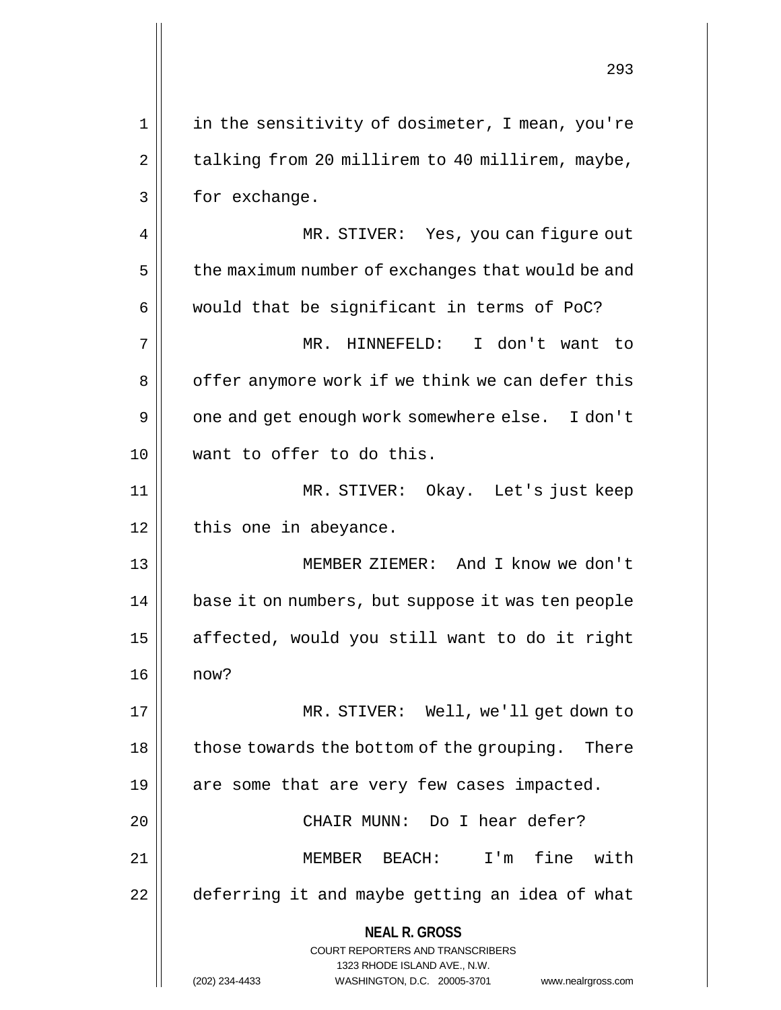| $\mathbf 1$<br>2<br>3<br>for exchange.<br>4<br>5<br>6<br>would that be significant in terms of PoC?<br>7<br>MR. HINNEFELD:<br>8<br>9<br>want to offer to do this.<br>10<br>11<br>12<br>this one in abeyance.<br>13<br>14<br>15<br>16<br>now?<br>17<br>those towards the bottom of the grouping.<br>18<br>are some that are very few cases impacted.<br>19<br>CHAIR MUNN: Do I hear defer?<br>20<br>fine<br>21<br>$MEMBER$ BEACH:<br>$I'$ m<br>22<br><b>NEAL R. GROSS</b><br><b>COURT REPORTERS AND TRANSCRIBERS</b><br>1323 RHODE ISLAND AVE., N.W. | ムシコ                                               |
|-----------------------------------------------------------------------------------------------------------------------------------------------------------------------------------------------------------------------------------------------------------------------------------------------------------------------------------------------------------------------------------------------------------------------------------------------------------------------------------------------------------------------------------------------------|---------------------------------------------------|
|                                                                                                                                                                                                                                                                                                                                                                                                                                                                                                                                                     | in the sensitivity of dosimeter, I mean, you're   |
|                                                                                                                                                                                                                                                                                                                                                                                                                                                                                                                                                     | talking from 20 millirem to 40 millirem, maybe,   |
|                                                                                                                                                                                                                                                                                                                                                                                                                                                                                                                                                     |                                                   |
|                                                                                                                                                                                                                                                                                                                                                                                                                                                                                                                                                     | MR. STIVER: Yes, you can figure out               |
|                                                                                                                                                                                                                                                                                                                                                                                                                                                                                                                                                     | the maximum number of exchanges that would be and |
|                                                                                                                                                                                                                                                                                                                                                                                                                                                                                                                                                     |                                                   |
|                                                                                                                                                                                                                                                                                                                                                                                                                                                                                                                                                     | I don't want to                                   |
|                                                                                                                                                                                                                                                                                                                                                                                                                                                                                                                                                     | offer anymore work if we think we can defer this  |
|                                                                                                                                                                                                                                                                                                                                                                                                                                                                                                                                                     | one and get enough work somewhere else. I don't   |
|                                                                                                                                                                                                                                                                                                                                                                                                                                                                                                                                                     |                                                   |
|                                                                                                                                                                                                                                                                                                                                                                                                                                                                                                                                                     | MR. STIVER: Okay. Let's just keep                 |
|                                                                                                                                                                                                                                                                                                                                                                                                                                                                                                                                                     |                                                   |
|                                                                                                                                                                                                                                                                                                                                                                                                                                                                                                                                                     | MEMBER ZIEMER: And I know we don't                |
|                                                                                                                                                                                                                                                                                                                                                                                                                                                                                                                                                     | base it on numbers, but suppose it was ten people |
|                                                                                                                                                                                                                                                                                                                                                                                                                                                                                                                                                     | affected, would you still want to do it right     |
|                                                                                                                                                                                                                                                                                                                                                                                                                                                                                                                                                     |                                                   |
|                                                                                                                                                                                                                                                                                                                                                                                                                                                                                                                                                     | MR. STIVER: Well, we'll get down to               |
|                                                                                                                                                                                                                                                                                                                                                                                                                                                                                                                                                     | There                                             |
|                                                                                                                                                                                                                                                                                                                                                                                                                                                                                                                                                     |                                                   |
|                                                                                                                                                                                                                                                                                                                                                                                                                                                                                                                                                     |                                                   |
|                                                                                                                                                                                                                                                                                                                                                                                                                                                                                                                                                     | with                                              |
|                                                                                                                                                                                                                                                                                                                                                                                                                                                                                                                                                     | deferring it and maybe getting an idea of what    |
| (202) 234-4433<br>WASHINGTON, D.C. 20005-3701                                                                                                                                                                                                                                                                                                                                                                                                                                                                                                       | www.nealrgross.com                                |

 $\mathsf{I}$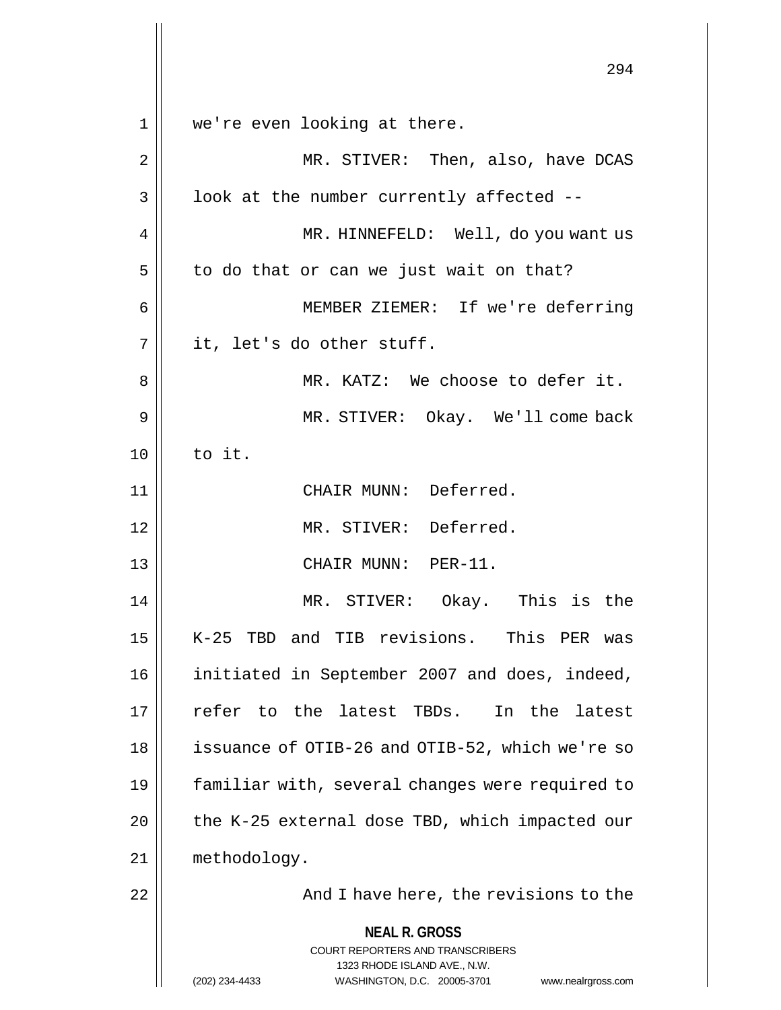**NEAL R. GROSS** COURT REPORTERS AND TRANSCRIBERS 1323 RHODE ISLAND AVE., N.W. (202) 234-4433 WASHINGTON, D.C. 20005-3701 www.nealrgross.com 294 1 we're even looking at there. 2 MR. STIVER: Then, also, have DCAS  $3 \parallel$  look at the number currently affected --4 | MR. HINNEFELD: Well, do you want us  $5 \parallel$  to do that or can we just wait on that? 6 MEMBER ZIEMER: If we're deferring  $7 \parallel$  it, let's do other stuff. 8 MR. KATZ: We choose to defer it. 9 MR. STIVER: Okay. We'll come back  $10 \parallel$  to it. 11 || CHAIR MUNN: Deferred. 12 MR. STIVER: Deferred. 13 || CHAIR MUNN: PER-11. 14 MR. STIVER: Okay. This is the 15 K-25 TBD and TIB revisions. This PER was 16 initiated in September 2007 and does, indeed, 17 refer to the latest TBDs. In the latest 18 | issuance of OTIB-26 and OTIB-52, which we're so 19 familiar with, several changes were required to 20  $\parallel$  the K-25 external dose TBD, which impacted our 21 methodology. 22 || **And I have here, the revisions to the**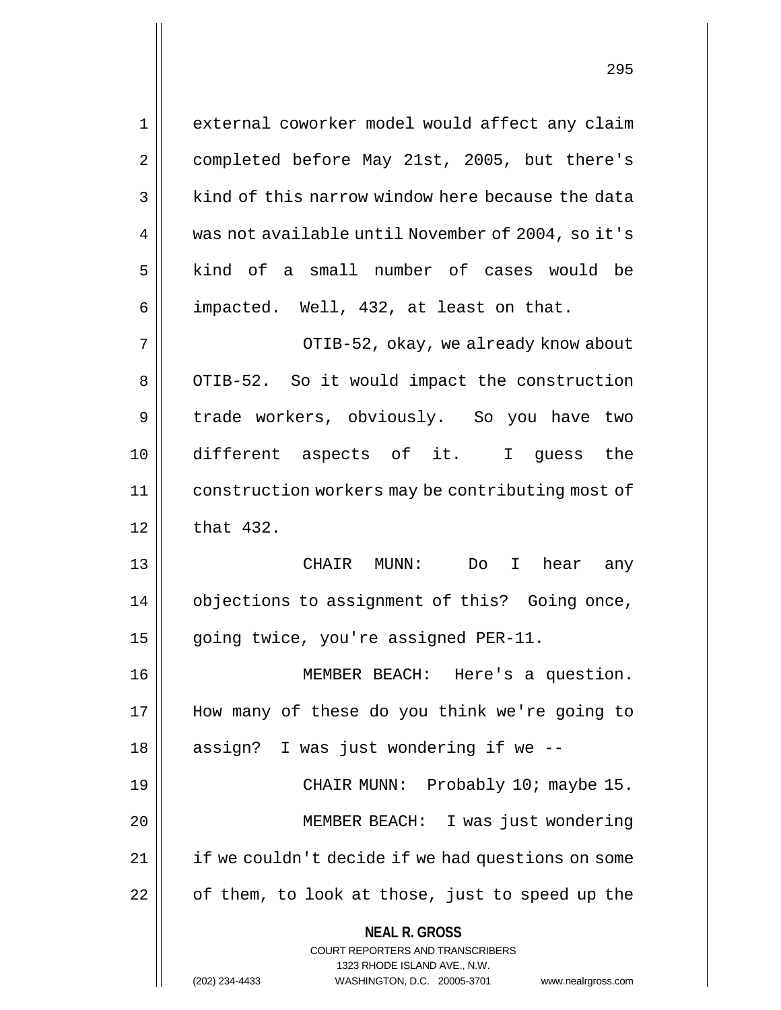**NEAL R. GROSS** COURT REPORTERS AND TRANSCRIBERS 1323 RHODE ISLAND AVE., N.W. 1 external coworker model would affect any claim 2 | completed before May 21st, 2005, but there's  $3 \parallel$  kind of this narrow window here because the data 4 | was not available until November of 2004, so it's 5 | kind of a small number of cases would be 6 | impacted. Well, 432, at least on that. 7 OTIB-52, okay, we already know about 8 || OTIB-52. So it would impact the construction 9 | trade workers, obviously. So you have two 10 different aspects of it. I guess the 11 construction workers may be contributing most of  $12 \parallel$  that 432. 13 CHAIR MUNN: Do I hear any 14 | objections to assignment of this? Going once, 15 | going twice, you're assigned PER-11. 16 MEMBER BEACH: Here's a question. 17 How many of these do you think we're going to 18 || assign? I was just wondering if we --19 CHAIR MUNN: Probably 10; maybe 15. 20 MEMBER BEACH: I was just wondering  $21$  | if we couldn't decide if we had questions on some  $22$  |  $\sigma$  of them, to look at those, just to speed up the

(202) 234-4433 WASHINGTON, D.C. 20005-3701 www.nealrgross.com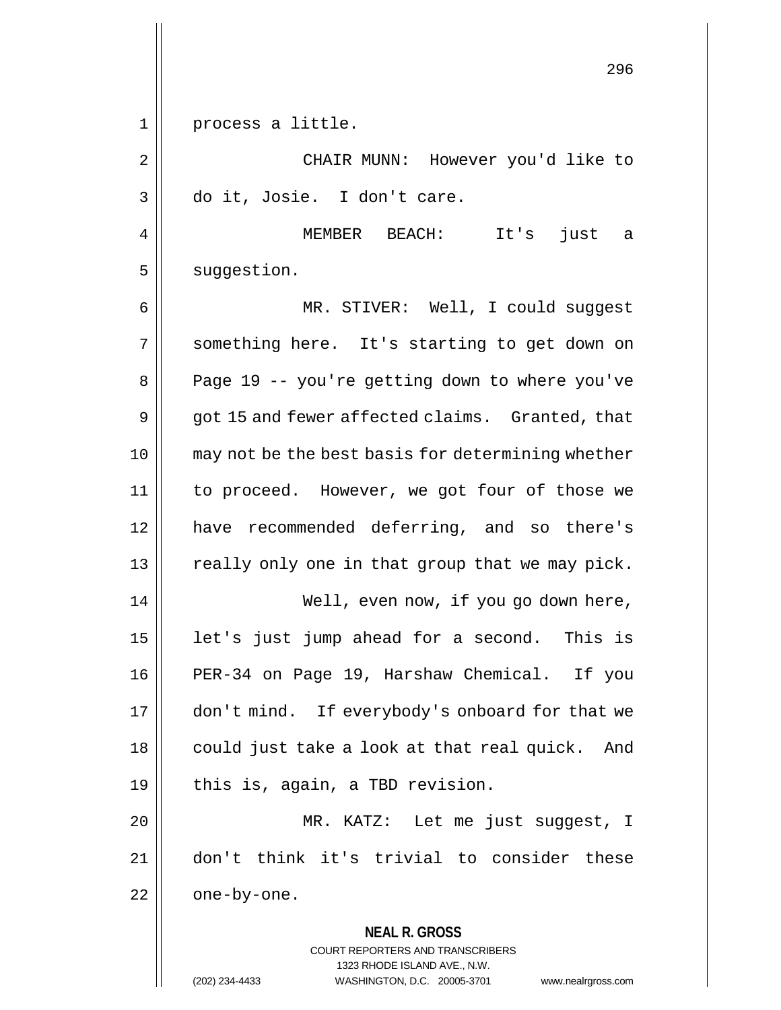1 || process a little.

2 CHAIR MUNN: However you'd like to 3 do it, Josie. I don't care.

4 MEMBER BEACH: It's just a  $5$  suggestion.

6 MR. STIVER: Well, I could suggest 7 || something here. It's starting to get down on 8 | Page 19 -- you're getting down to where you've  $9 \parallel$  got 15 and fewer affected claims. Granted, that 10 may not be the best basis for determining whether 11 to proceed. However, we got four of those we 12 have recommended deferring, and so there's 13 || really only one in that group that we may pick. 14 Well, even now, if you go down here, 15  $\parallel$  1et's just jump ahead for a second. This is 16 PER-34 on Page 19, Harshaw Chemical. If you

17 | don't mind. If everybody's onboard for that we 18 || could just take a look at that real quick. And  $19 \parallel$  this is, again, a TBD revision.

20 MR. KATZ: Let me just suggest, I 21 don't think it's trivial to consider these  $22 \parallel$  one-by-one.

> **NEAL R. GROSS** COURT REPORTERS AND TRANSCRIBERS 1323 RHODE ISLAND AVE., N.W.

(202) 234-4433 WASHINGTON, D.C. 20005-3701 www.nealrgross.com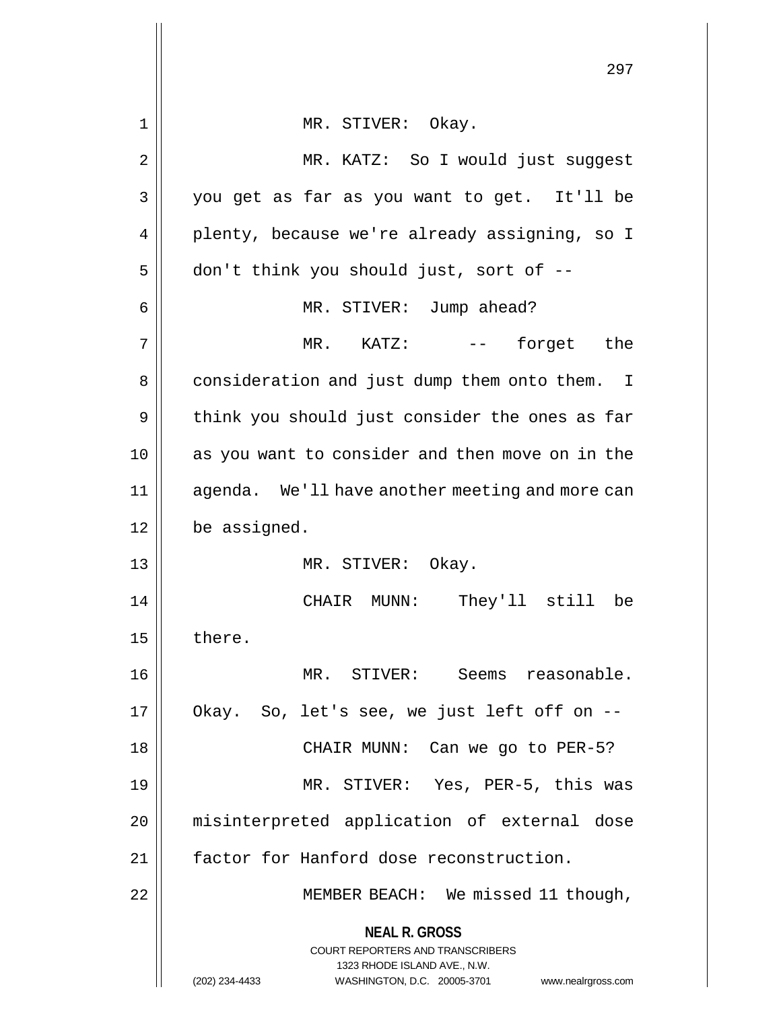|    | 297                                                                                                                                                                    |
|----|------------------------------------------------------------------------------------------------------------------------------------------------------------------------|
| 1  | MR. STIVER: Okay.                                                                                                                                                      |
| 2  | MR. KATZ: So I would just suggest                                                                                                                                      |
| 3  | you get as far as you want to get. It'll be                                                                                                                            |
| 4  | plenty, because we're already assigning, so I                                                                                                                          |
| 5  | don't think you should just, sort of --                                                                                                                                |
| 6  | MR. STIVER: Jump ahead?                                                                                                                                                |
| 7  | -- forget the<br>$MR.$ KATZ:                                                                                                                                           |
| 8  | consideration and just dump them onto them. I                                                                                                                          |
| 9  | think you should just consider the ones as far                                                                                                                         |
| 10 | as you want to consider and then move on in the                                                                                                                        |
| 11 | agenda. We'll have another meeting and more can                                                                                                                        |
| 12 | be assigned.                                                                                                                                                           |
| 13 | MR. STIVER: Okay.                                                                                                                                                      |
| 14 | CHAIR MUNN: They'll still<br>be                                                                                                                                        |
| 15 | there.                                                                                                                                                                 |
| 16 | MR. STIVER: Seems reasonable.                                                                                                                                          |
| 17 | Okay. So, let's see, we just left off on --                                                                                                                            |
| 18 | CHAIR MUNN: Can we go to PER-5?                                                                                                                                        |
| 19 | MR. STIVER: Yes, PER-5, this was                                                                                                                                       |
| 20 | misinterpreted application of external dose                                                                                                                            |
| 21 | factor for Hanford dose reconstruction.                                                                                                                                |
| 22 | MEMBER BEACH: We missed 11 though,                                                                                                                                     |
|    | <b>NEAL R. GROSS</b><br><b>COURT REPORTERS AND TRANSCRIBERS</b><br>1323 RHODE ISLAND AVE., N.W.<br>(202) 234-4433<br>WASHINGTON, D.C. 20005-3701<br>www.nealrgross.com |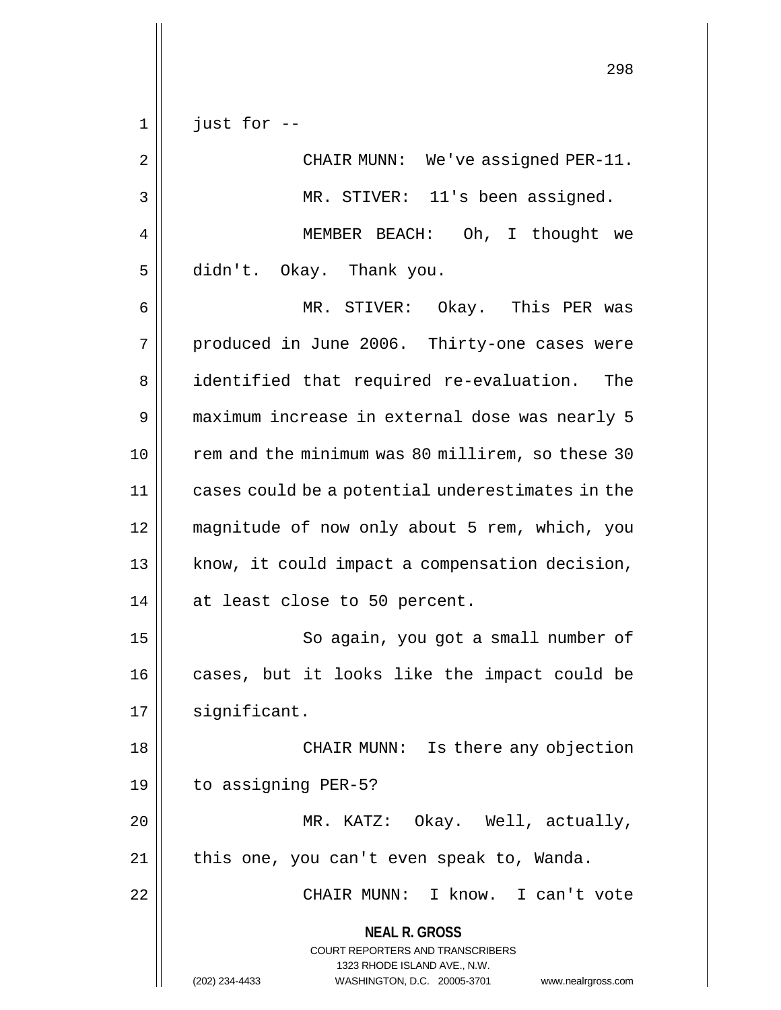**NEAL R. GROSS** COURT REPORTERS AND TRANSCRIBERS 1323 RHODE ISLAND AVE., N.W. 298  $1 ||$  just for  $-$ 2 || CHAIR MUNN: We've assigned PER-11. 3 || MR. STIVER: 11's been assigned. 4 || MEMBER BEACH: Oh, I thought we 5 didn't. Okay. Thank you. 6 MR. STIVER: Okay. This PER was 7 || produced in June 2006. Thirty-one cases were 8 || identified that required re-evaluation. The 9 maximum increase in external dose was nearly 5 10 || rem and the minimum was 80 millirem, so these 30 11 cases could be a potential underestimates in the 12 magnitude of now only about 5 rem, which, you 13 || know, it could impact a compensation decision, 14 || at least close to 50 percent. 15 || So again, you got a small number of 16 || cases, but it looks like the impact could be 17 | significant. 18 CHAIR MUNN: Is there any objection 19 to assigning PER-5? 20 MR. KATZ: Okay. Well, actually, 21 || this one, you can't even speak to, Wanda. 22 CHAIR MUNN: I know. I can't vote

(202) 234-4433 WASHINGTON, D.C. 20005-3701 www.nealrgross.com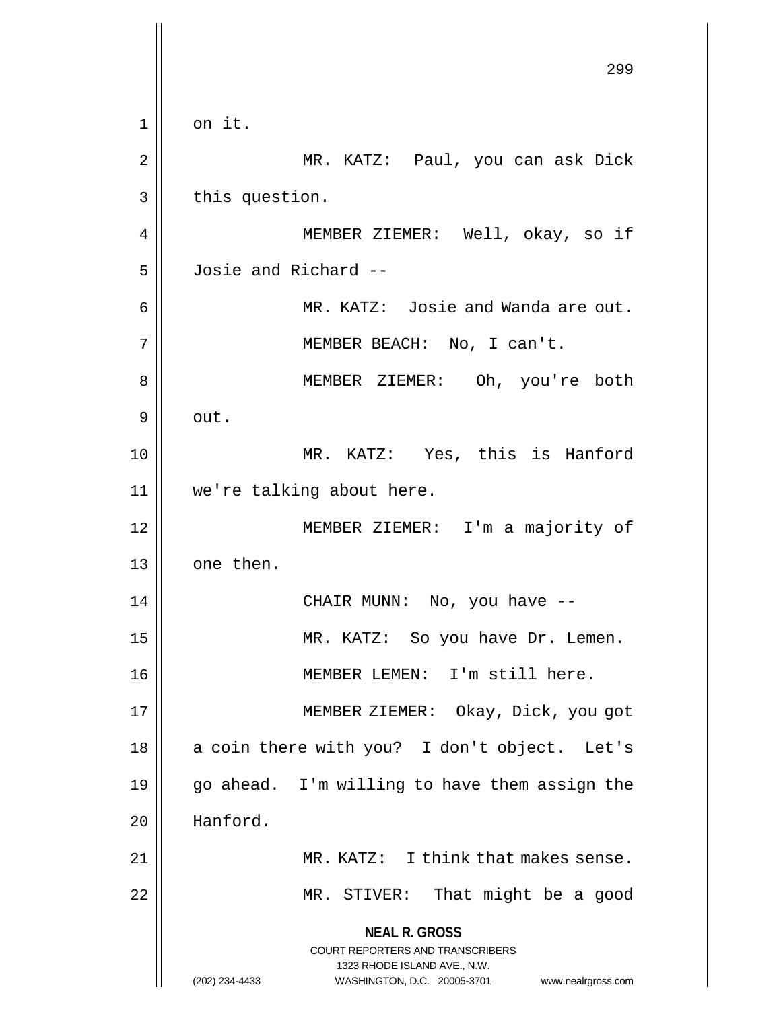**NEAL R. GROSS** COURT REPORTERS AND TRANSCRIBERS 1323 RHODE ISLAND AVE., N.W. (202) 234-4433 WASHINGTON, D.C. 20005-3701 www.nealrgross.com 299  $1 \parallel$  on it. 2 || MR. KATZ: Paul, you can ask Dick  $3 \parallel$  this question. 4 || MEMBER ZIEMER: Well, okay, so if 5 Josie and Richard -- 6 MR. KATZ: Josie and Wanda are out. 7 MEMBER BEACH: No, I can't. 8 || MEMBER ZIEMER: Oh, you're both 9 out. 10 MR. KATZ: Yes, this is Hanford 11 we're talking about here. 12 MEMBER ZIEMER: I'm a majority of 13 | one then. 14 || CHAIR MUNN: No, you have --15 MR. KATZ: So you have Dr. Lemen. 16 || MEMBER LEMEN: I'm still here. 17 || **MEMBER ZIEMER:** Okay, Dick, you got  $18$  || a coin there with you? I don't object. Let's 19 go ahead. I'm willing to have them assign the 20 Hanford. 21 || MR. KATZ: I think that makes sense. 22 || MR. STIVER: That might be a good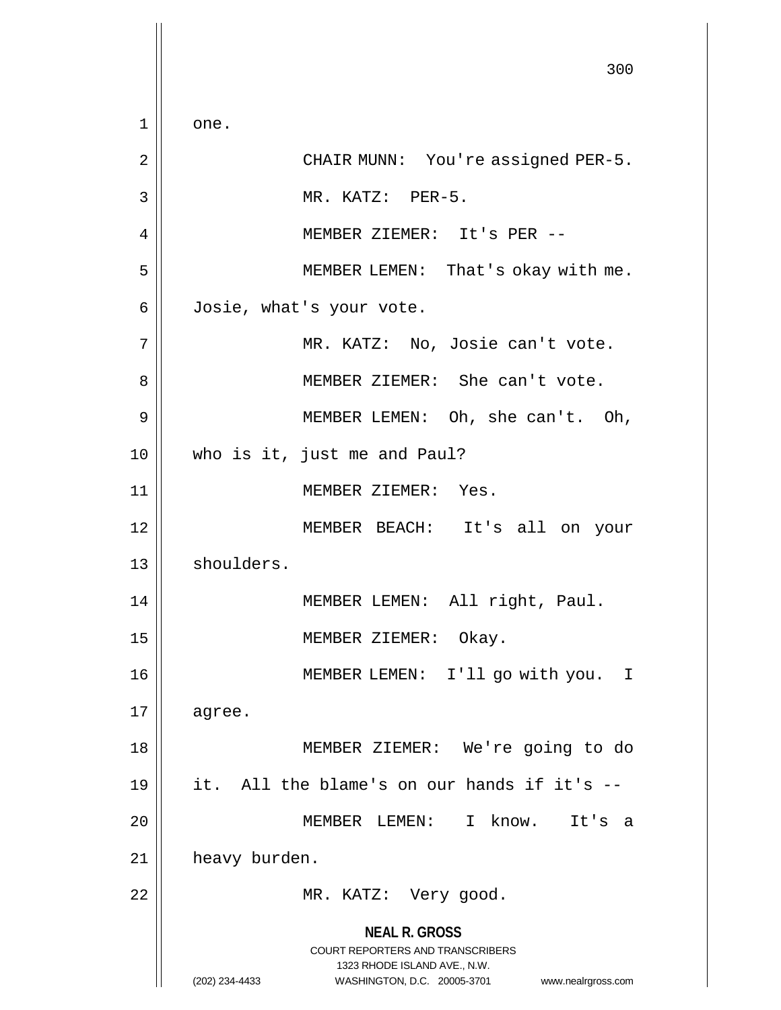**NEAL R. GROSS** COURT REPORTERS AND TRANSCRIBERS 1323 RHODE ISLAND AVE., N.W. (202) 234-4433 WASHINGTON, D.C. 20005-3701 www.nealrgross.com 300  $1 \parallel$  one. 2 || CHAIR MUNN: You're assigned PER-5.  $\begin{array}{ccc} 3 & \parallel & \text{MR. KATZ: } & \text{PER-5.} \end{array}$ 4 MEMBER ZIEMER: It's PER -- 5 || MEMBER LEMEN: That's okay with me. 6 Josie, what's your vote. 7 | MR. KATZ: No, Josie can't vote. 8 || MEMBER ZIEMER: She can't vote. 9 || MEMBER LEMEN: Oh, she can't. Oh, 10 who is it, just me and Paul? 11 || MEMBER ZIEMER: Yes. 12 MEMBER BEACH: It's all on your 13 | shoulders. 14 || MEMBER LEMEN: All right, Paul. 15 || MEMBER ZIEMER: Okay. 16 MEMBER LEMEN: I'll go with you. I  $17 \parallel$  agree. 18 MEMBER ZIEMER: We're going to do 19 it. All the blame's on our hands if it's -- 20 MEMBER LEMEN: I know. It's a 21 | heavy burden. 22 || MR. KATZ: Very good.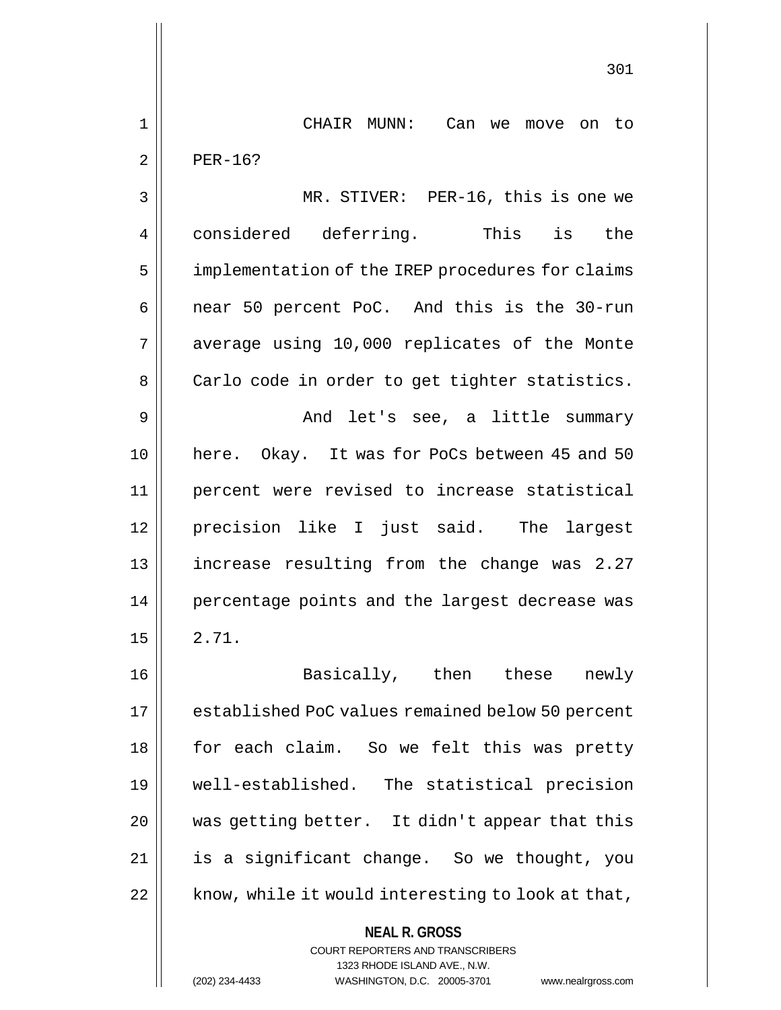1 CHAIR MUNN: Can we move on to  $2 \parallel$  PER-16?

3 || MR. STIVER: PER-16, this is one we 4 considered deferring. This is the 5 | implementation of the IREP procedures for claims 6 || near 50 percent PoC. And this is the 30-run 7 || average using 10,000 replicates of the Monte 8 | Carlo code in order to get tighter statistics. 9 And let's see, a little summary 10 here. Okay. It was for PoCs between 45 and 50 11 percent were revised to increase statistical 12 precision like I just said. The largest 13 increase resulting from the change was 2.27 14 || percentage points and the largest decrease was  $15 \parallel 2.71$ .

16 || Basically, then these newly 17 | established PoC values remained below 50 percent 18 || for each claim. So we felt this was pretty 19 well-established. The statistical precision  $20$  | was getting better. It didn't appear that this 21 is a significant change. So we thought, you  $22$  | know, while it would interesting to look at that,

COURT REPORTERS AND TRANSCRIBERS

**NEAL R. GROSS**

1323 RHODE ISLAND AVE., N.W.

(202) 234-4433 WASHINGTON, D.C. 20005-3701 www.nealrgross.com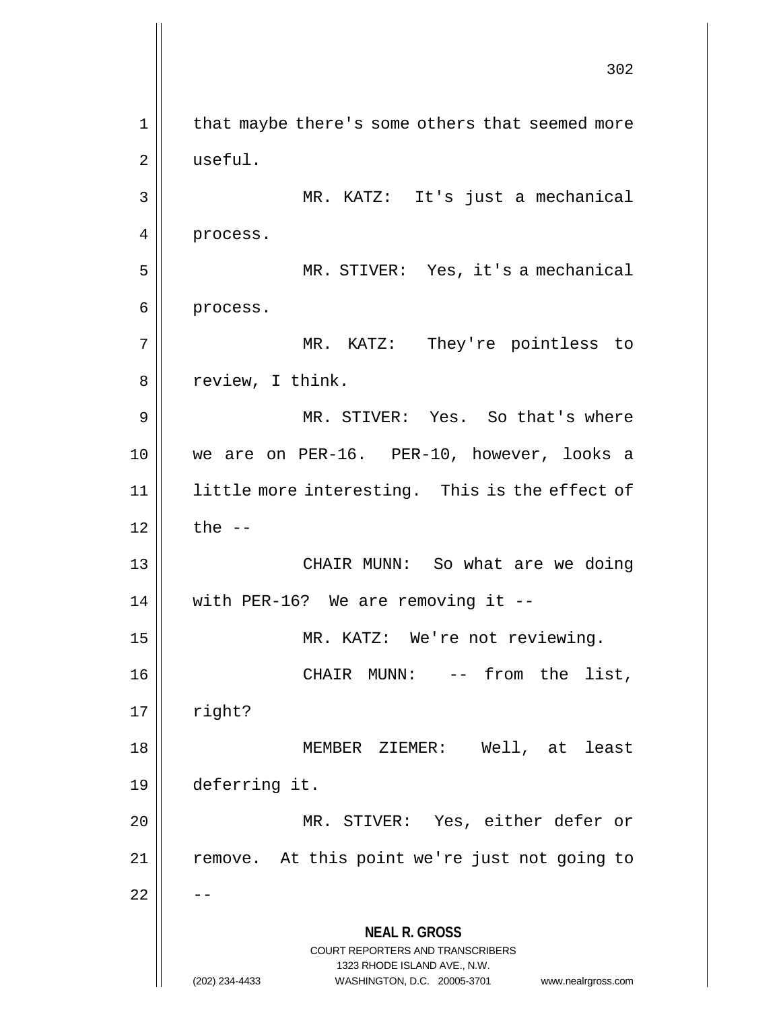**NEAL R. GROSS** COURT REPORTERS AND TRANSCRIBERS 1323 RHODE ISLAND AVE., N.W. (202) 234-4433 WASHINGTON, D.C. 20005-3701 www.nealrgross.com 302 1 || that maybe there's some others that seemed more 2 | useful. 3 MR. KATZ: It's just a mechanical 4 | process. 5 MR. STIVER: Yes, it's a mechanical 6 | process. 7 || MR. KATZ: They're pointless to 8 | review, I think. 9 MR. STIVER: Yes. So that's where 10 we are on PER-16. PER-10, however, looks a 11 || little more interesting. This is the effect of  $12 \parallel$  the  $-$ 13 CHAIR MUNN: So what are we doing 14  $\parallel$  with PER-16? We are removing it --15 || MR. KATZ: We're not reviewing. 16 CHAIR MUNN: -- from the list,  $17 \parallel$  right? 18 MEMBER ZIEMER: Well, at least 19 deferring it. 20 MR. STIVER: Yes, either defer or 21 || remove. At this point we're just not going to  $22$   $\parallel$   $-$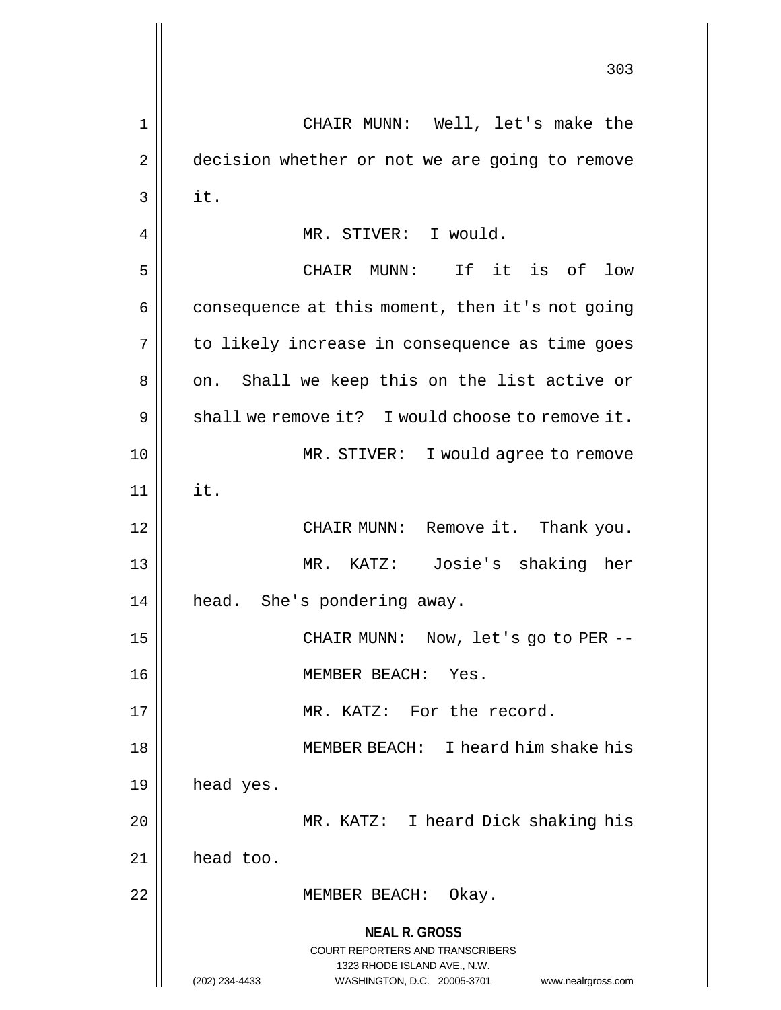**NEAL R. GROSS** COURT REPORTERS AND TRANSCRIBERS 1323 RHODE ISLAND AVE., N.W. (202) 234-4433 WASHINGTON, D.C. 20005-3701 www.nealrgross.com 303 1 CHAIR MUNN: Well, let's make the 2 | decision whether or not we are going to remove  $3$  it. 4 | MR. STIVER: I would. 5 CHAIR MUNN: If it is of low  $6 \parallel$  consequence at this moment, then it's not going 7 || to likely increase in consequence as time goes 8 || on. Shall we keep this on the list active or 9  $\parallel$  shall we remove it? I would choose to remove it. 10 MR. STIVER: I would agree to remove  $11$   $\parallel$  it. 12 CHAIR MUNN: Remove it. Thank you. 13 MR. KATZ: Josie's shaking her 14 || head. She's pondering away. 15 CHAIR MUNN: Now, let's go to PER -- 16 MEMBER BEACH: Yes. 17 || MR. KATZ: For the record. 18 MEMBER BEACH: I heard him shake his  $19$  | head yes. 20 MR. KATZ: I heard Dick shaking his 21 head too. 22 || MEMBER BEACH: Okay.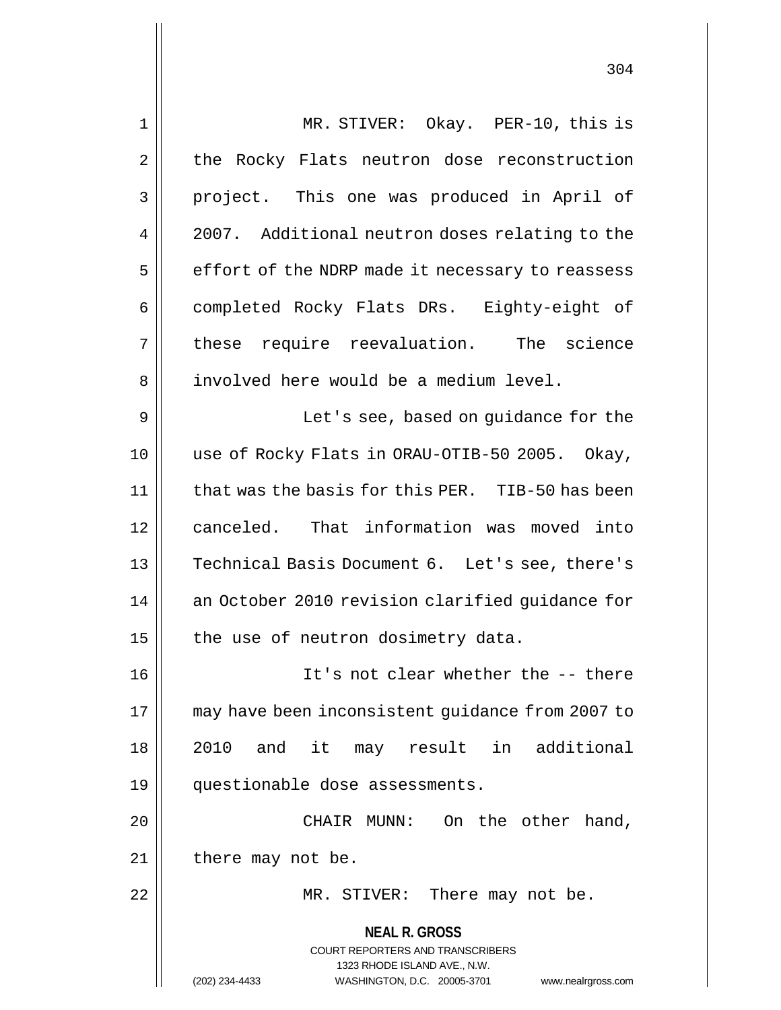| $\mathbf 1$ | MR. STIVER: Okay. PER-10, this is                                                                   |
|-------------|-----------------------------------------------------------------------------------------------------|
| 2           | the Rocky Flats neutron dose reconstruction                                                         |
| 3           | project. This one was produced in April of                                                          |
| 4           | 2007. Additional neutron doses relating to the                                                      |
| 5           | effort of the NDRP made it necessary to reassess                                                    |
| 6           | completed Rocky Flats DRs. Eighty-eight of                                                          |
| 7           | these require reevaluation. The science                                                             |
| 8           | involved here would be a medium level.                                                              |
| 9           | Let's see, based on guidance for the                                                                |
| 10          | use of Rocky Flats in ORAU-OTIB-50 2005. Okay,                                                      |
| 11          | that was the basis for this PER. TIB-50 has been                                                    |
| 12          | canceled. That information was moved into                                                           |
| 13          | Technical Basis Document 6. Let's see, there's                                                      |
| 14          | an October 2010 revision clarified guidance for                                                     |
| 15          | the use of neutron dosimetry data.                                                                  |
| 16          | It's not clear whether the -- there                                                                 |
| 17          | may have been inconsistent guidance from 2007 to                                                    |
| 18          | and it may result in additional<br>2010                                                             |
| 19          | questionable dose assessments.                                                                      |
| 20          | CHAIR MUNN:<br>On the other hand,                                                                   |
| 21          | there may not be.                                                                                   |
| 22          | There may not be.<br>MR. STIVER:                                                                    |
|             | <b>NEAL R. GROSS</b>                                                                                |
|             | <b>COURT REPORTERS AND TRANSCRIBERS</b>                                                             |
|             | 1323 RHODE ISLAND AVE., N.W.<br>(202) 234-4433<br>WASHINGTON, D.C. 20005-3701<br>www.nealrgross.com |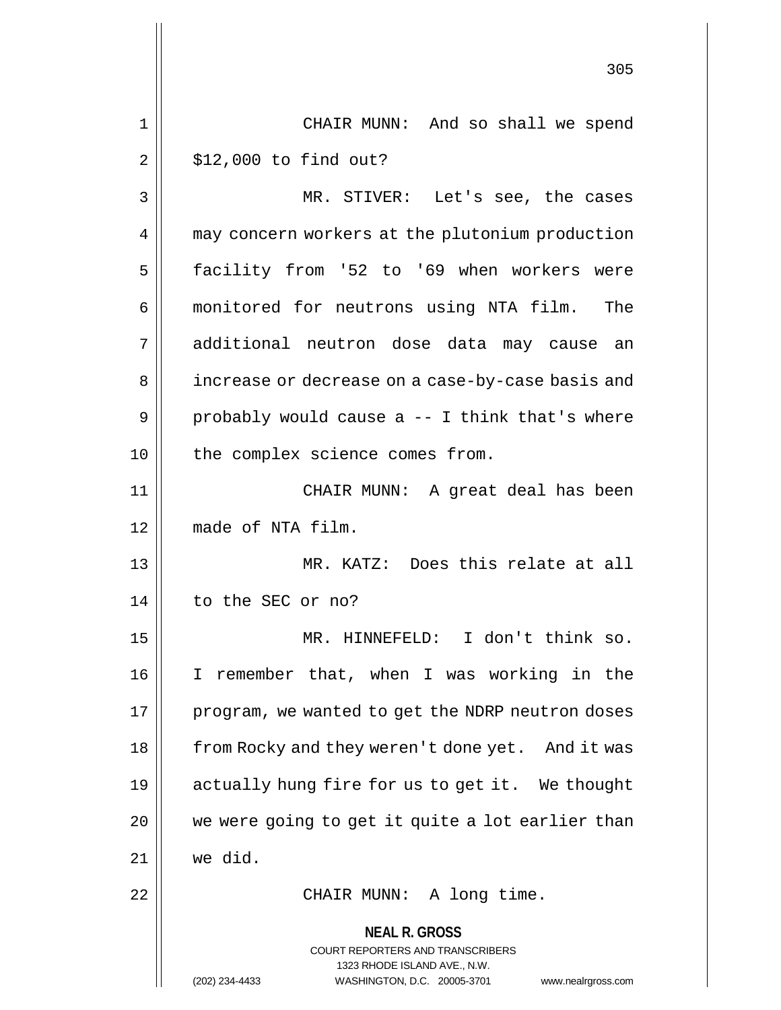**NEAL R. GROSS** COURT REPORTERS AND TRANSCRIBERS 1323 RHODE ISLAND AVE., N.W. 305 1 CHAIR MUNN: And so shall we spend  $2 \parallel$  \$12,000 to find out? 3 || MR. STIVER: Let's see, the cases 4 | may concern workers at the plutonium production 5 | facility from '52 to '69 when workers were 6 monitored for neutrons using NTA film. The 7 additional neutron dose data may cause an 8 | increase or decrease on a case-by-case basis and  $9 \parallel$  probably would cause a -- I think that's where 10 || the complex science comes from. 11 CHAIR MUNN: A great deal has been 12 made of NTA film. 13 || MR. KATZ: Does this relate at all 14 || to the SEC or no? 15 MR. HINNEFELD: I don't think so. 16 I remember that, when I was working in the 17 | program, we wanted to get the NDRP neutron doses 18 || from Rocky and they weren't done yet. And it was 19 actually hung fire for us to get it. We thought  $20$  | we were going to get it quite a lot earlier than 21 we did. 22 || CHAIR MUNN: A long time.

(202) 234-4433 WASHINGTON, D.C. 20005-3701 www.nealrgross.com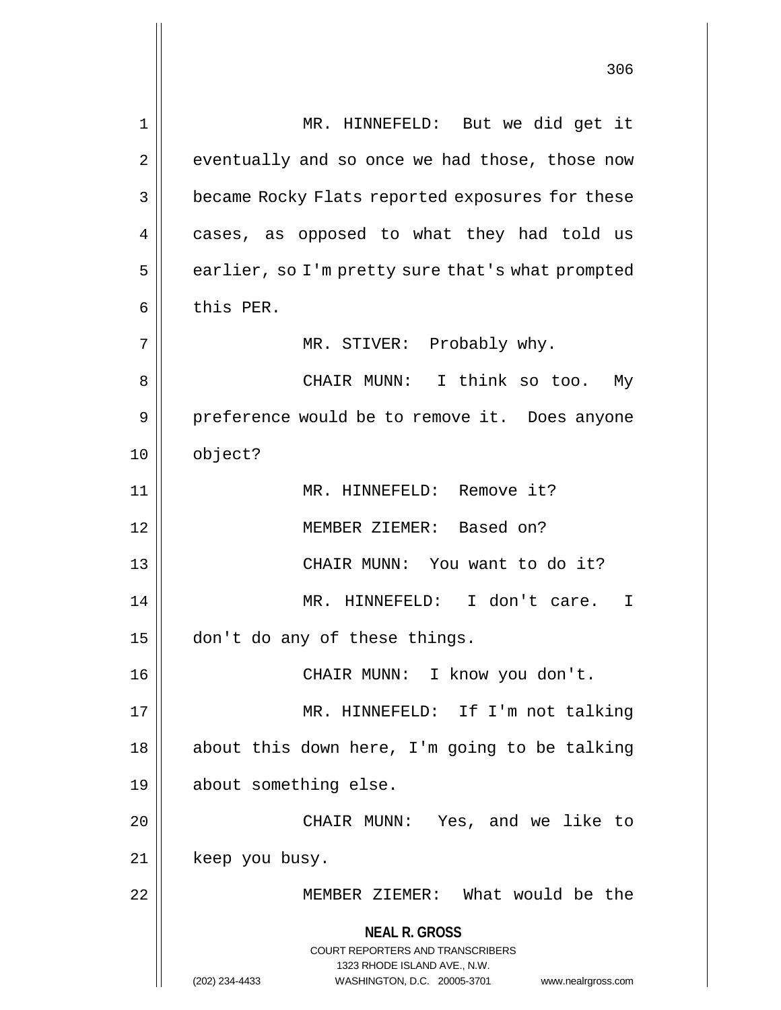**NEAL R. GROSS** COURT REPORTERS AND TRANSCRIBERS 1323 RHODE ISLAND AVE., N.W. (202) 234-4433 WASHINGTON, D.C. 20005-3701 www.nealrgross.com 1 || MR. HINNEFELD: But we did get it  $2 \parallel$  eventually and so once we had those, those now 3 | became Rocky Flats reported exposures for these 4 || cases, as opposed to what they had told us  $5 \parallel$  earlier, so I'm pretty sure that's what prompted  $6$  | this PER. 7 || MR. STIVER: Probably why. 8 CHAIR MUNN: I think so too. My 9 | preference would be to remove it. Does anyone 10 object? 11 MR. HINNEFELD: Remove it? 12 MEMBER ZIEMER: Based on? 13 || CHAIR MUNN: You want to do it? 14 MR. HINNEFELD: I don't care. I 15 don't do any of these things. 16 CHAIR MUNN: I know you don't. 17 MR. HINNEFELD: If I'm not talking 18 || about this down here, I'm going to be talking 19 || about something else. 20 CHAIR MUNN: Yes, and we like to 21 || keep you busy. 22 MEMBER ZIEMER: What would be the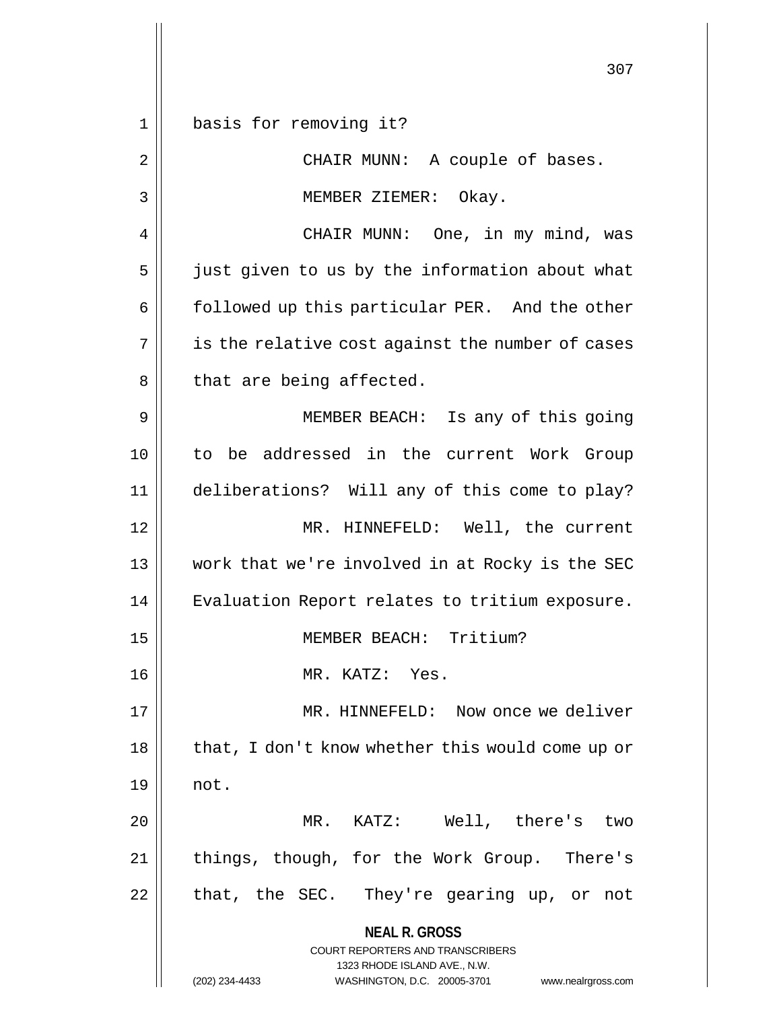**NEAL R. GROSS** COURT REPORTERS AND TRANSCRIBERS 1323 RHODE ISLAND AVE., N.W. (202) 234-4433 WASHINGTON, D.C. 20005-3701 www.nealrgross.com 1 basis for removing it? 2 || CHAIR MUNN: A couple of bases. 3 || MEMBER ZIEMER: Okay. 4 CHAIR MUNN: One, in my mind, was 5 || just given to us by the information about what 6 | followed up this particular PER. And the other  $7 \parallel$  is the relative cost against the number of cases  $8 \parallel$  that are being affected. 9 || MEMBER BEACH: Is any of this going 10 to be addressed in the current Work Group 11 deliberations? Will any of this come to play? 12 MR. HINNEFELD: Well, the current 13 work that we're involved in at Rocky is the SEC 14 || Evaluation Report relates to tritium exposure. 15 MEMBER BEACH: Tritium? 16 MR. KATZ: Yes. 17 || MR. HINNEFELD: Now once we deliver 18 || that, I don't know whether this would come up or  $19 \parallel \quad not.$ 20 MR. KATZ: Well, there's two 21 || things, though, for the Work Group. There's  $22$  || that, the SEC. They're gearing up, or not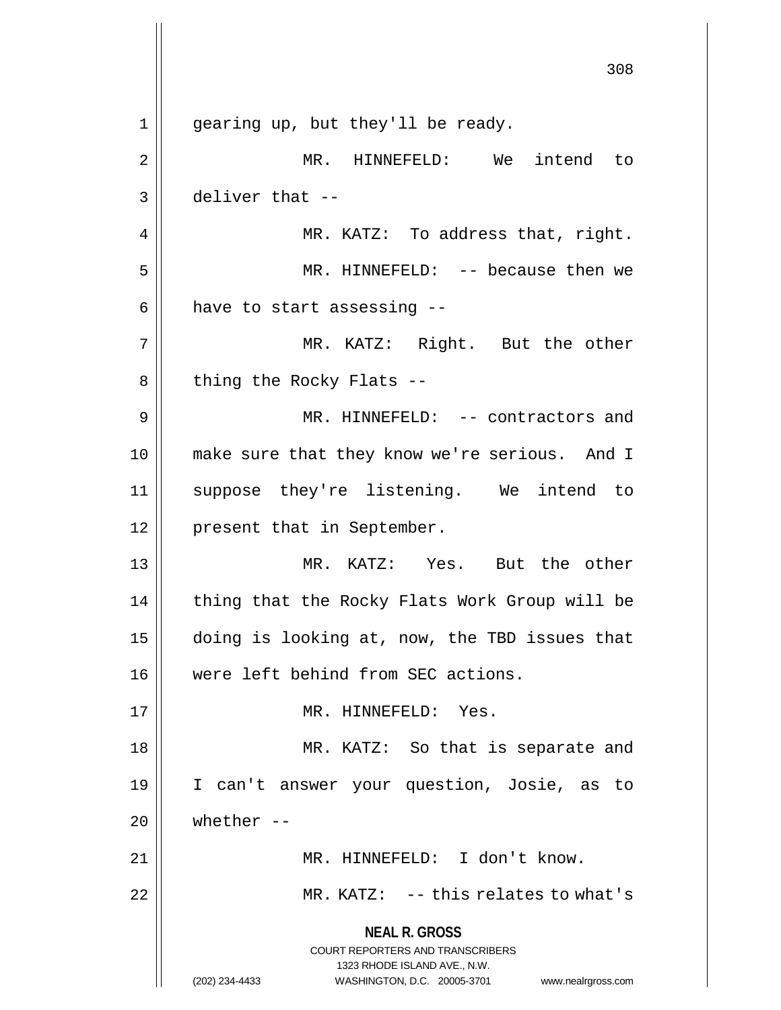**NEAL R. GROSS** COURT REPORTERS AND TRANSCRIBERS 1323 RHODE ISLAND AVE., N.W. (202) 234-4433 WASHINGTON, D.C. 20005-3701 www.nealrgross.com 308 1 || gearing up, but they'll be ready. 2 MR. HINNEFELD: We intend to  $3 \parallel$  deliver that --4 || MR. KATZ: To address that, right. 5 MR. HINNEFELD: -- because then we  $6$  || have to start assessing  $-$ -7 MR. KATZ: Right. But the other  $8 \parallel$  thing the Rocky Flats --9 MR. HINNEFELD: -- contractors and 10 make sure that they know we're serious. And I 11 suppose they're listening. We intend to 12 || present that in September. 13 MR. KATZ: Yes. But the other 14 || thing that the Rocky Flats Work Group will be 15 doing is looking at, now, the TBD issues that 16 Were left behind from SEC actions. 17 || MR. HINNEFELD: Yes. 18 MR. KATZ: So that is separate and 19 I can't answer your question, Josie, as to  $20$   $\parallel$  whether --21 || MR. HINNEFELD: I don't know. 22 MR. KATZ: -- this relates to what's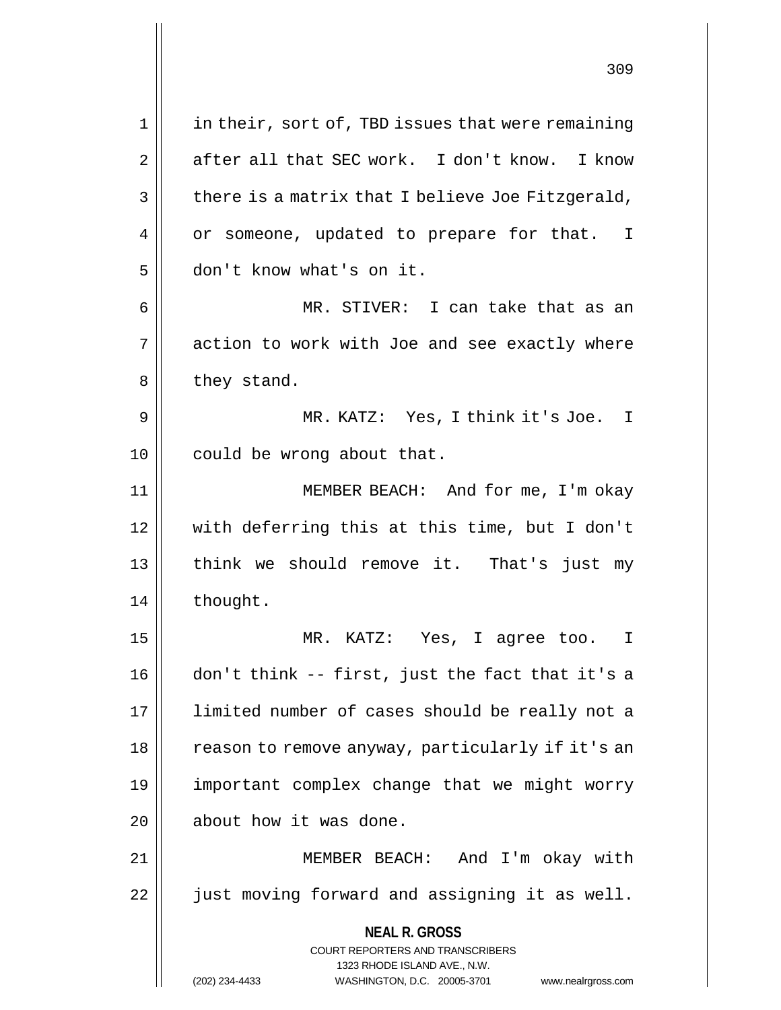**NEAL R. GROSS** COURT REPORTERS AND TRANSCRIBERS 1323 RHODE ISLAND AVE., N.W. (202) 234-4433 WASHINGTON, D.C. 20005-3701 www.nealrgross.com 1 || in their, sort of, TBD issues that were remaining  $2 \parallel$  after all that SEC work. I don't know. I know  $3 \parallel$  there is a matrix that I believe Joe Fitzgerald, 4 | or someone, updated to prepare for that. I 5 don't know what's on it. 6 MR. STIVER: I can take that as an  $7 \parallel$  action to work with Joe and see exactly where  $8 \parallel$  they stand. 9 MR. KATZ: Yes, I think it's Joe. I 10 || could be wrong about that. 11 MEMBER BEACH: And for me, I'm okay 12 with deferring this at this time, but I don't 13 || think we should remove it. That's just my 14 | thought. 15 MR. KATZ: Yes, I agree too. I 16 don't think -- first, just the fact that it's a 17 || limited number of cases should be really not a 18 || reason to remove anyway, particularly if it's an 19 important complex change that we might worry 20 | about how it was done. 21 MEMBER BEACH: And I'm okay with 22 || just moving forward and assigning it as well.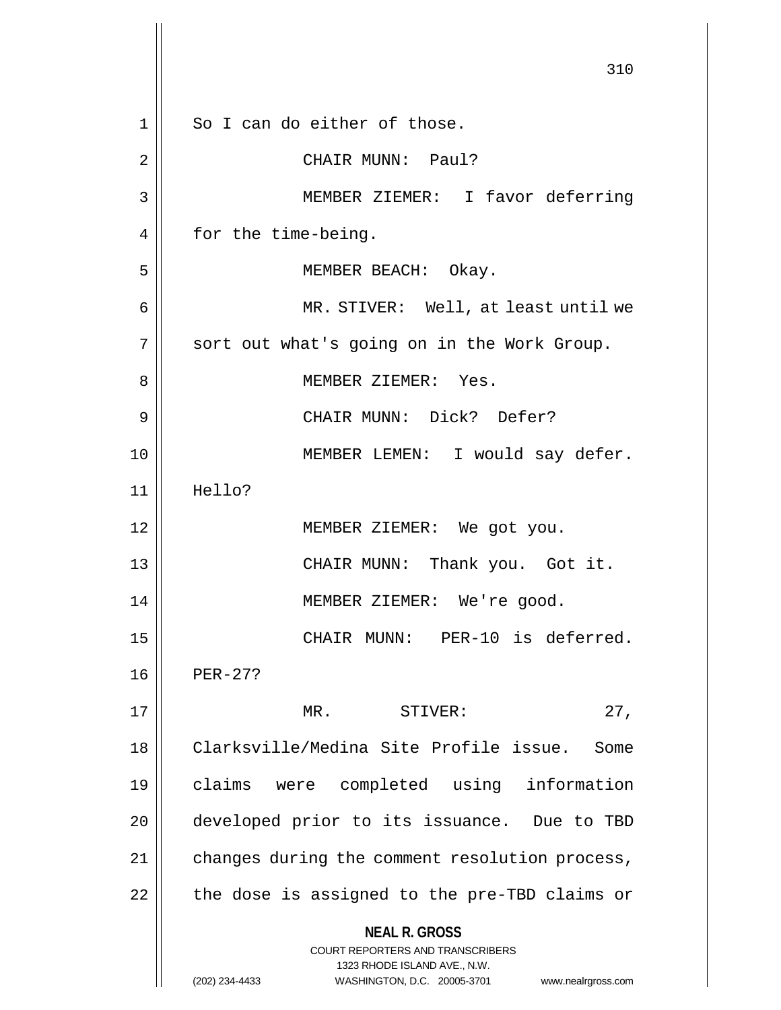**NEAL R. GROSS** COURT REPORTERS AND TRANSCRIBERS 1323 RHODE ISLAND AVE., N.W. (202) 234-4433 WASHINGTON, D.C. 20005-3701 www.nealrgross.com 310 1 So I can do either of those. 2 | CHAIR MUNN: Paul? 3 MEMBER ZIEMER: I favor deferring 4 | for the time-being. 5 || MEMBER BEACH: Okay. 6 MR. STIVER: Well, at least until we 7 || sort out what's going on in the Work Group. 8 MEMBER ZIEMER: Yes. 9 CHAIR MUNN: Dick? Defer? 10 || MEMBER LEMEN: I would say defer. 11 Hello? 12 || MEMBER ZIEMER: We got you. 13 CHAIR MUNN: Thank you. Got it. 14 || MEMBER ZIEMER: We're good. 15 || CHAIR MUNN: PER-10 is deferred. 16 PER-27? 17 MR. STIVER: 27, 18 Clarksville/Medina Site Profile issue. Some 19 claims were completed using information 20  $\parallel$  developed prior to its issuance. Due to TBD  $21$  | changes during the comment resolution process,  $22$  | the dose is assigned to the pre-TBD claims or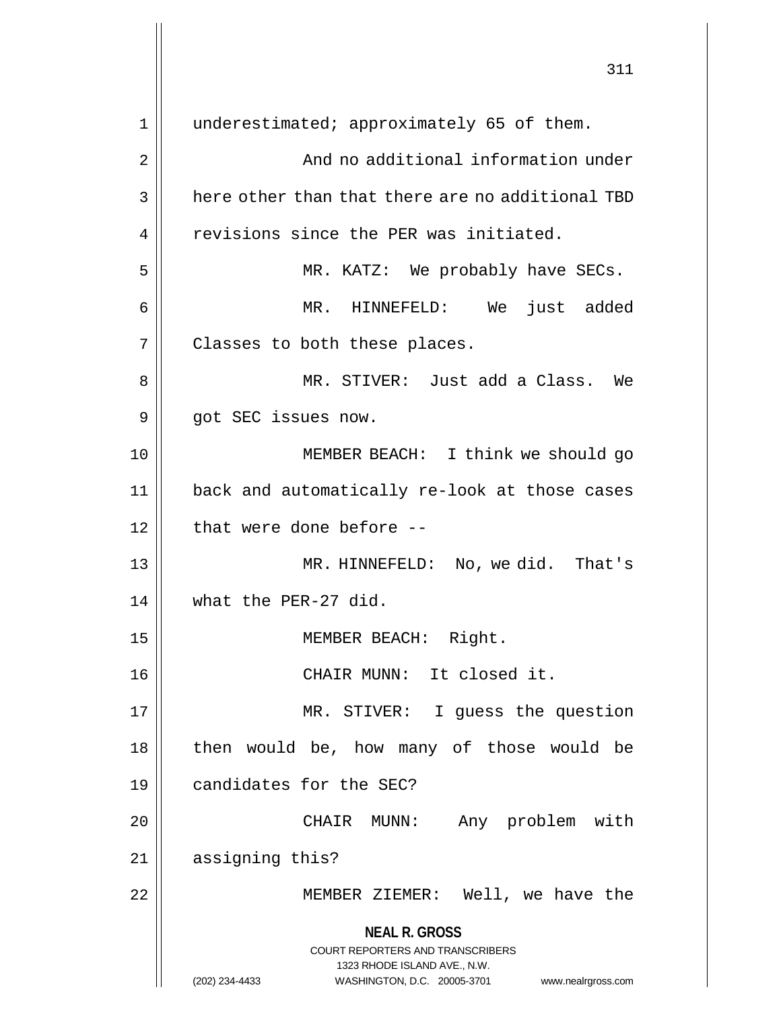**NEAL R. GROSS** COURT REPORTERS AND TRANSCRIBERS 1323 RHODE ISLAND AVE., N.W. (202) 234-4433 WASHINGTON, D.C. 20005-3701 www.nealrgross.com 311 1 | underestimated; approximately 65 of them. 2 | Research Mand no additional information under  $3 \parallel$  here other than that there are no additional TBD 4 Tevisions since the PER was initiated. 5 MR. KATZ: We probably have SECs. 6 MR. HINNEFELD: We just added  $7$  || Classes to both these places. 8 MR. STIVER: Just add a Class. We  $9 \parallel$  got SEC issues now. 10 || **MEMBER BEACH:** I think we should go 11 back and automatically re-look at those cases  $12$  | that were done before  $-$ 13 || MR. HINNEFELD: No, we did. That's 14 what the PER-27 did. 15 || MEMBER BEACH: Right. 16 CHAIR MUNN: It closed it. 17 || MR. STIVER: I guess the question 18 || then would be, how many of those would be 19 candidates for the SEC? 20 CHAIR MUNN: Any problem with 21 || assigning this? 22 MEMBER ZIEMER: Well, we have the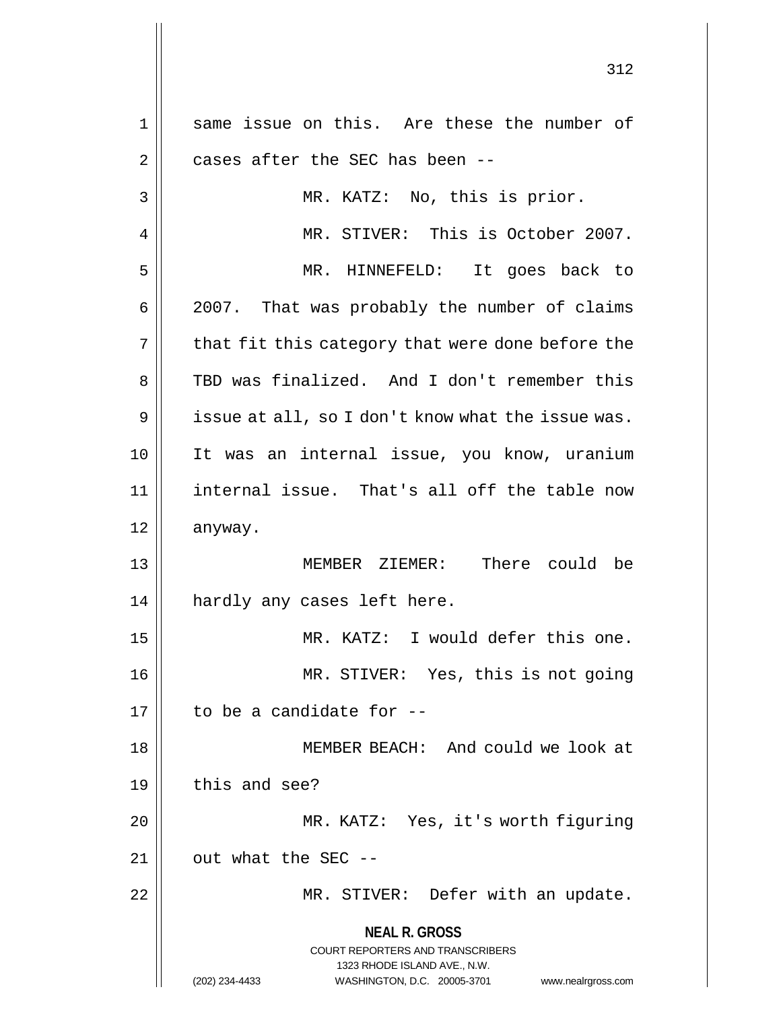**NEAL R. GROSS** COURT REPORTERS AND TRANSCRIBERS 1323 RHODE ISLAND AVE., N.W. (202) 234-4433 WASHINGTON, D.C. 20005-3701 www.nealrgross.com 1 || same issue on this. Are these the number of  $2 \parallel$  cases after the SEC has been --3 || MR. KATZ: No, this is prior. 4 MR. STIVER: This is October 2007. 5 MR. HINNEFELD: It goes back to 6 2007. That was probably the number of claims  $7 \parallel$  that fit this category that were done before the 8 TBD was finalized. And I don't remember this  $9 \parallel$  issue at all, so I don't know what the issue was. 10 It was an internal issue, you know, uranium 11 || internal issue. That's all off the table now 12 anyway. 13 MEMBER ZIEMER: There could be 14 || hardly any cases left here. 15 MR. KATZ: I would defer this one. 16 || MR. STIVER: Yes, this is not going  $17$  | to be a candidate for  $-$ 18 || MEMBER BEACH: And could we look at  $19$   $\parallel$  this and see? 20 MR. KATZ: Yes, it's worth figuring  $21$  | out what the SEC --22 || MR. STIVER: Defer with an update.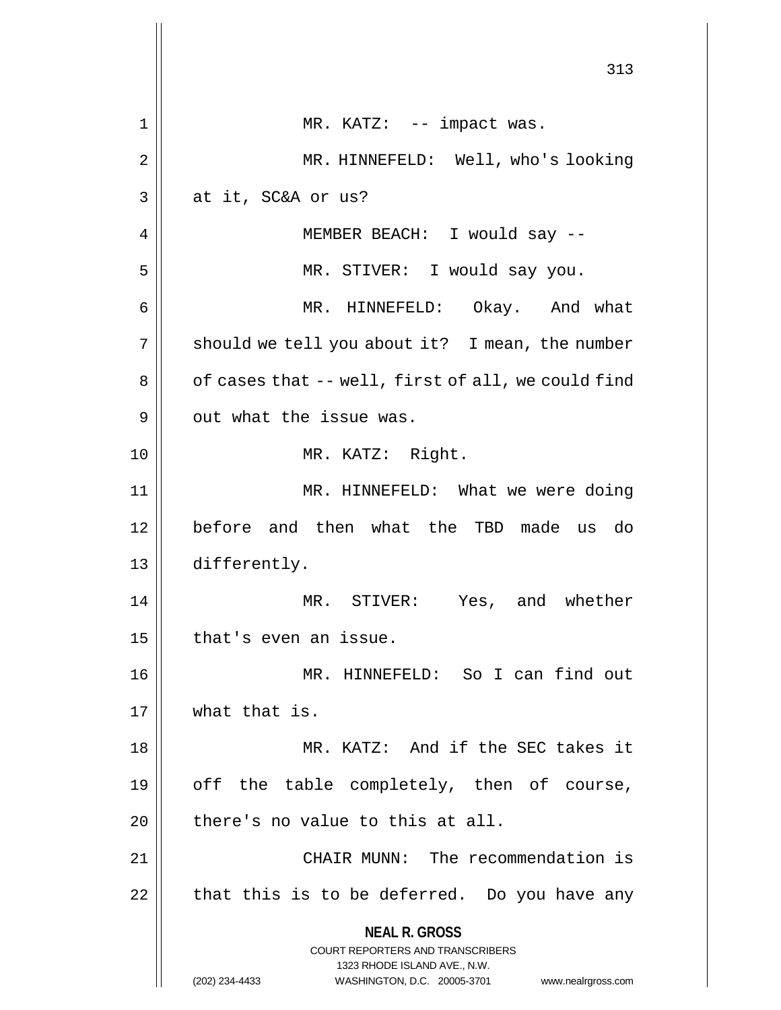|    | 313                                                                                                                                                                    |
|----|------------------------------------------------------------------------------------------------------------------------------------------------------------------------|
| 1  | MR. KATZ: -- impact was.                                                                                                                                               |
| 2  | MR. HINNEFELD: Well, who's looking                                                                                                                                     |
| 3  | at it, SC&A or us?                                                                                                                                                     |
| 4  | MEMBER BEACH: I would say --                                                                                                                                           |
| 5  | MR. STIVER: I would say you.                                                                                                                                           |
| 6  | MR. HINNEFELD: Okay. And what                                                                                                                                          |
| 7  | should we tell you about it? I mean, the number                                                                                                                        |
| 8  | of cases that -- well, first of all, we could find                                                                                                                     |
| 9  | out what the issue was.                                                                                                                                                |
| 10 | MR. KATZ: Right.                                                                                                                                                       |
| 11 | MR. HINNEFELD: What we were doing                                                                                                                                      |
| 12 | before and then what the TBD made us do                                                                                                                                |
| 13 | differently.                                                                                                                                                           |
| 14 | MR. STIVER: Yes, and whether                                                                                                                                           |
| 15 | that's even an issue.                                                                                                                                                  |
| 16 | MR. HINNEFELD: So I can find out                                                                                                                                       |
| 17 | what that is.                                                                                                                                                          |
| 18 | MR. KATZ: And if the SEC takes it                                                                                                                                      |
| 19 | off the table completely, then of course,                                                                                                                              |
| 20 | there's no value to this at all.                                                                                                                                       |
| 21 | CHAIR MUNN: The recommendation is                                                                                                                                      |
| 22 | that this is to be deferred. Do you have any                                                                                                                           |
|    | <b>NEAL R. GROSS</b><br><b>COURT REPORTERS AND TRANSCRIBERS</b><br>1323 RHODE ISLAND AVE., N.W.<br>(202) 234-4433<br>WASHINGTON, D.C. 20005-3701<br>www.nealrgross.com |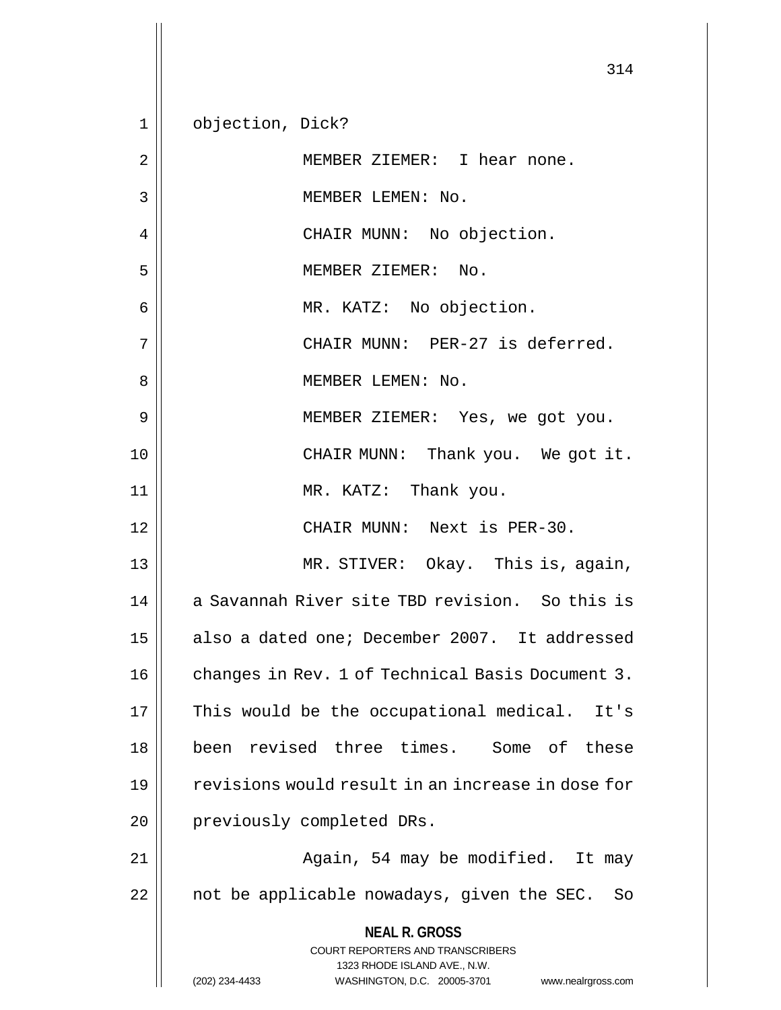**NEAL R. GROSS** COURT REPORTERS AND TRANSCRIBERS 1323 RHODE ISLAND AVE., N.W. (202) 234-4433 WASHINGTON, D.C. 20005-3701 www.nealrgross.com 314 1 | objection, Dick? 2 | | MEMBER ZIEMER: I hear none. 3 || MEMBER LEMEN: No. 4 | CHAIR MUNN: No objection. 5 MEMBER ZIEMER: No. 6 MR. KATZ: No objection. 7 || CHAIR MUNN: PER-27 is deferred. 8 MEMBER LEMEN: No. 9 MEMBER ZIEMER: Yes, we got you. 10 CHAIR MUNN: Thank you. We got it. 11 || MR. KATZ: Thank you. 12 CHAIR MUNN: Next is PER-30. 13 MR. STIVER: Okay. This is, again, 14 a Savannah River site TBD revision. So this is 15 | also a dated one; December 2007. It addressed 16 | changes in Rev. 1 of Technical Basis Document 3.  $17$  | This would be the occupational medical. It's 18 || been revised three times. Some of these 19 || revisions would result in an increase in dose for 20 || previously completed DRs. 21 || Again, 54 may be modified. It may  $22$  || not be applicable nowadays, given the SEC. So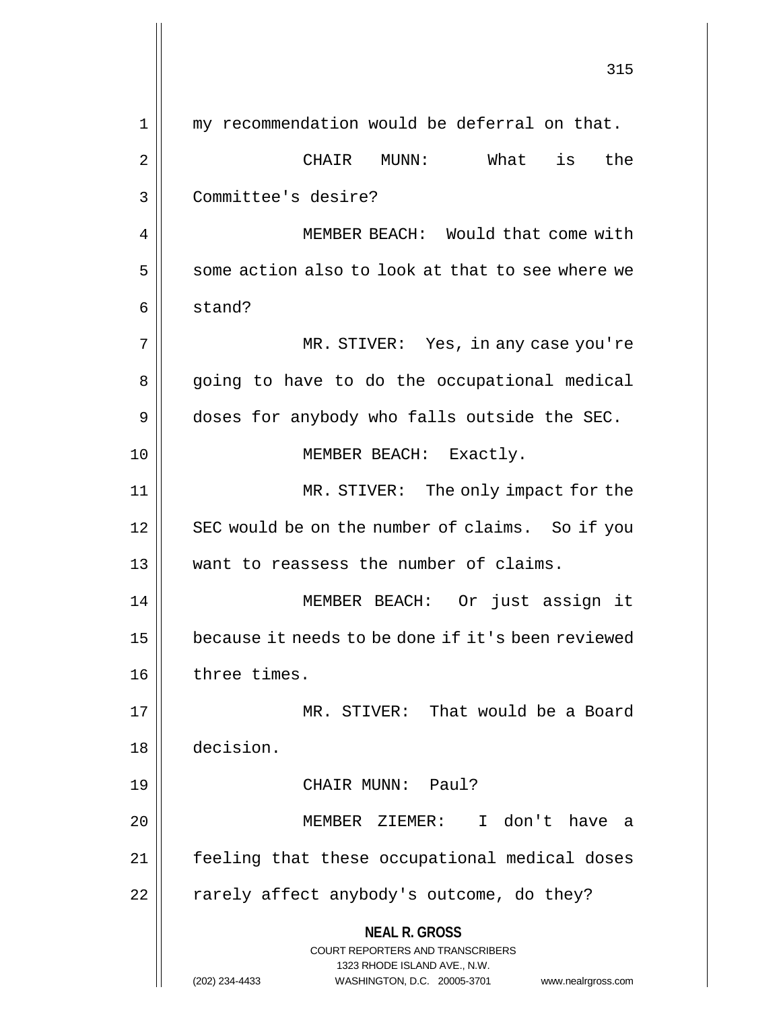**NEAL R. GROSS** COURT REPORTERS AND TRANSCRIBERS 1323 RHODE ISLAND AVE., N.W. (202) 234-4433 WASHINGTON, D.C. 20005-3701 www.nealrgross.com 315 1 || my recommendation would be deferral on that. 2 CHAIR MUNN: What is the 3 Committee's desire? 4 | MEMBER BEACH: Would that come with  $5 \parallel$  some action also to look at that to see where we  $6 \parallel$  stand? 7 MR. STIVER: Yes, in any case you're 8 || going to have to do the occupational medical 9 doses for anybody who falls outside the SEC. 10 || **MEMBER BEACH:** Exactly. 11 || MR. STIVER: The only impact for the 12 || SEC would be on the number of claims. So if you 13 || want to reassess the number of claims. 14 MEMBER BEACH: Or just assign it 15 because it needs to be done if it's been reviewed 16 | three times. 17 MR. STIVER: That would be a Board 18 decision. 19 CHAIR MUNN: Paul? 20 MEMBER ZIEMER: I don't have a 21 || feeling that these occupational medical doses  $22$  | rarely affect anybody's outcome, do they?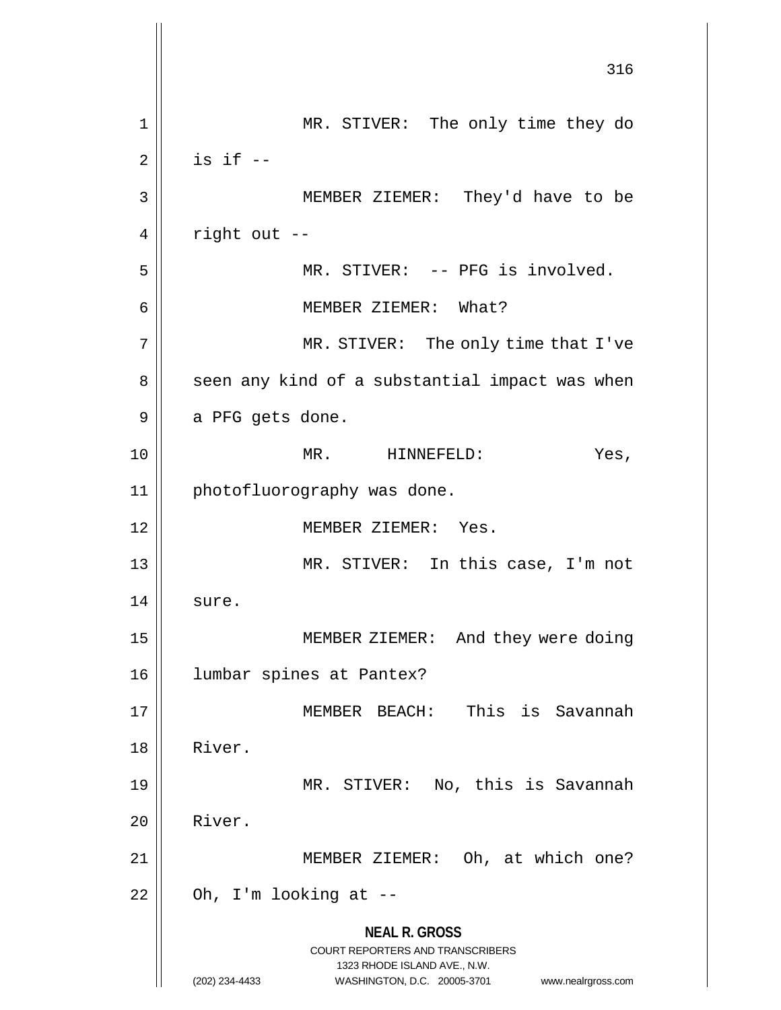**NEAL R. GROSS** COURT REPORTERS AND TRANSCRIBERS 1323 RHODE ISLAND AVE., N.W. (202) 234-4433 WASHINGTON, D.C. 20005-3701 www.nealrgross.com 316 1 || MR. STIVER: The only time they do  $2 \parallel$  is if  $-$ 3 || MEMBER ZIEMER: They'd have to be  $4 \parallel$  right out --5 || MR. STIVER: -- PFG is involved. 6 MEMBER ZIEMER: What? 7 || MR. STIVER: The only time that I've 8 || seen any kind of a substantial impact was when  $9 \parallel$  a PFG gets done. 10 MR. HINNEFELD: Yes, 11 || photofluorography was done. 12 MEMBER ZIEMER: Yes. 13 MR. STIVER: In this case, I'm not  $14$  sure. 15 || MEMBER ZIEMER: And they were doing 16 lumbar spines at Pantex? 17 MEMBER BEACH: This is Savannah 18 || River. 19 MR. STIVER: No, this is Savannah 20 River. 21 MEMBER ZIEMER: Oh, at which one?  $22$  | Oh, I'm looking at  $-$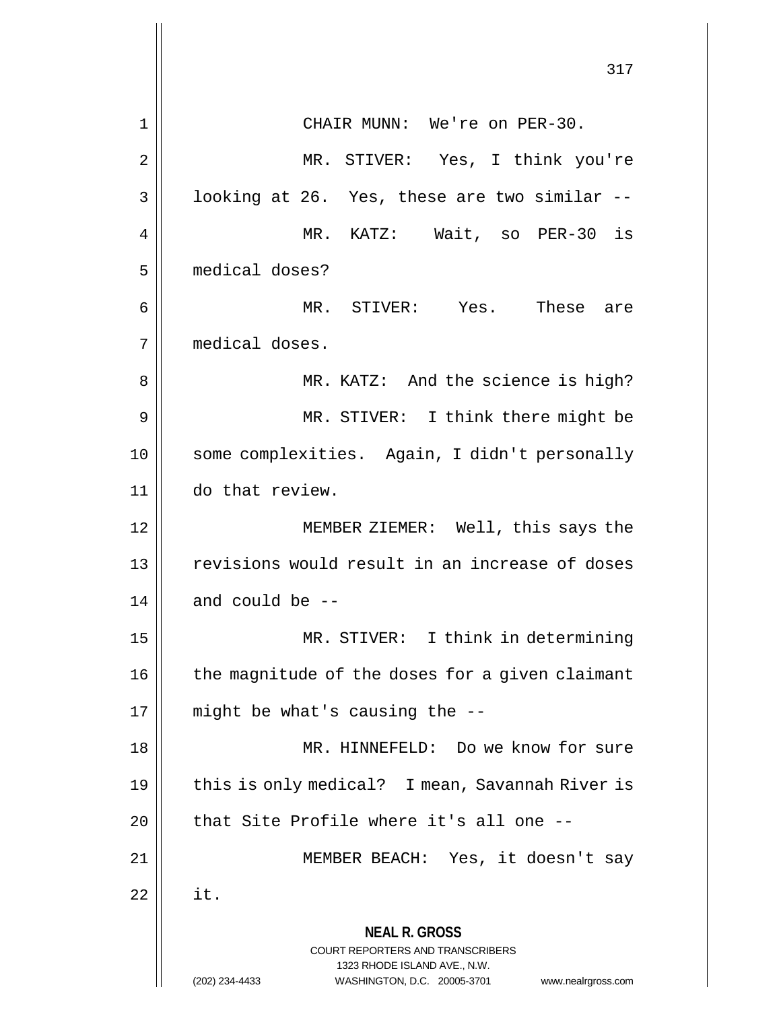**NEAL R. GROSS** COURT REPORTERS AND TRANSCRIBERS 1323 RHODE ISLAND AVE., N.W. (202) 234-4433 WASHINGTON, D.C. 20005-3701 www.nealrgross.com 317 1 CHAIR MUNN: We're on PER-30. 2 MR. STIVER: Yes, I think you're  $3 \parallel$  looking at 26. Yes, these are two similar  $-$ 4 MR. KATZ: Wait, so PER-30 is 5 medical doses? 6 MR. STIVER: Yes. These are 7 medical doses. 8 MR. KATZ: And the science is high? 9 || MR. STIVER: I think there might be 10 || some complexities. Again, I didn't personally 11 do that review. 12 MEMBER ZIEMER: Well, this says the 13 || revisions would result in an increase of doses  $14$  || and could be  $-$ 15 MR. STIVER: I think in determining  $16$  | the magnitude of the doses for a given claimant  $17$  | might be what's causing the  $-$ -18 || MR. HINNEFELD: Do we know for sure 19 || this is only medical? I mean, Savannah River is  $20$  || that Site Profile where it's all one --21 || MEMBER BEACH: Yes, it doesn't say  $22 \parallel$  it.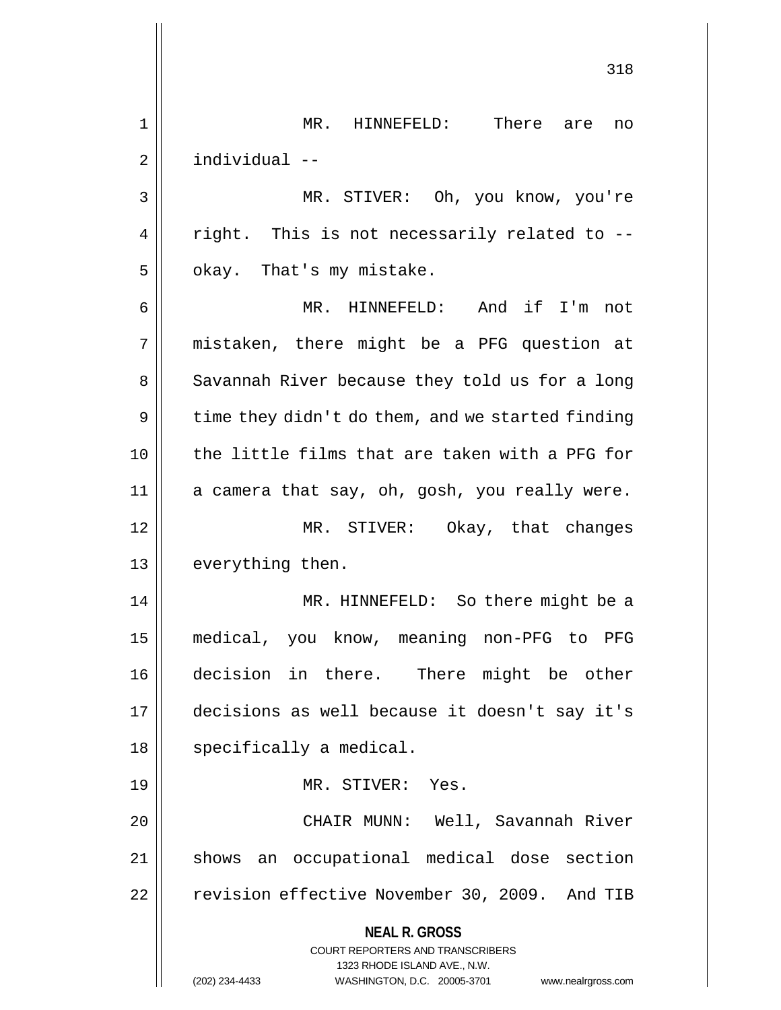**NEAL R. GROSS** COURT REPORTERS AND TRANSCRIBERS 1323 RHODE ISLAND AVE., N.W. (202) 234-4433 WASHINGTON, D.C. 20005-3701 www.nealrgross.com 318 1 MR. HINNEFELD: There are no 2 individual -- 3 MR. STIVER: Oh, you know, you're  $4 \parallel$  right. This is not necessarily related to -- $5 \parallel$  okay. That's my mistake. 6 MR. HINNEFELD: And if I'm not 7 mistaken, there might be a PFG question at 8 || Savannah River because they told us for a long  $9 \parallel$  time they didn't do them, and we started finding 10 the little films that are taken with a PFG for  $11$  a camera that say, oh, gosh, you really were. 12 MR. STIVER: Okay, that changes 13 || everything then. 14 || MR. HINNEFELD: So there might be a 15 medical, you know, meaning non-PFG to PFG 16 decision in there. There might be other 17 decisions as well because it doesn't say it's 18 | specifically a medical. 19 MR. STIVER: Yes. 20 CHAIR MUNN: Well, Savannah River 21 || shows an occupational medical dose section 22 | revision effective November 30, 2009. And TIB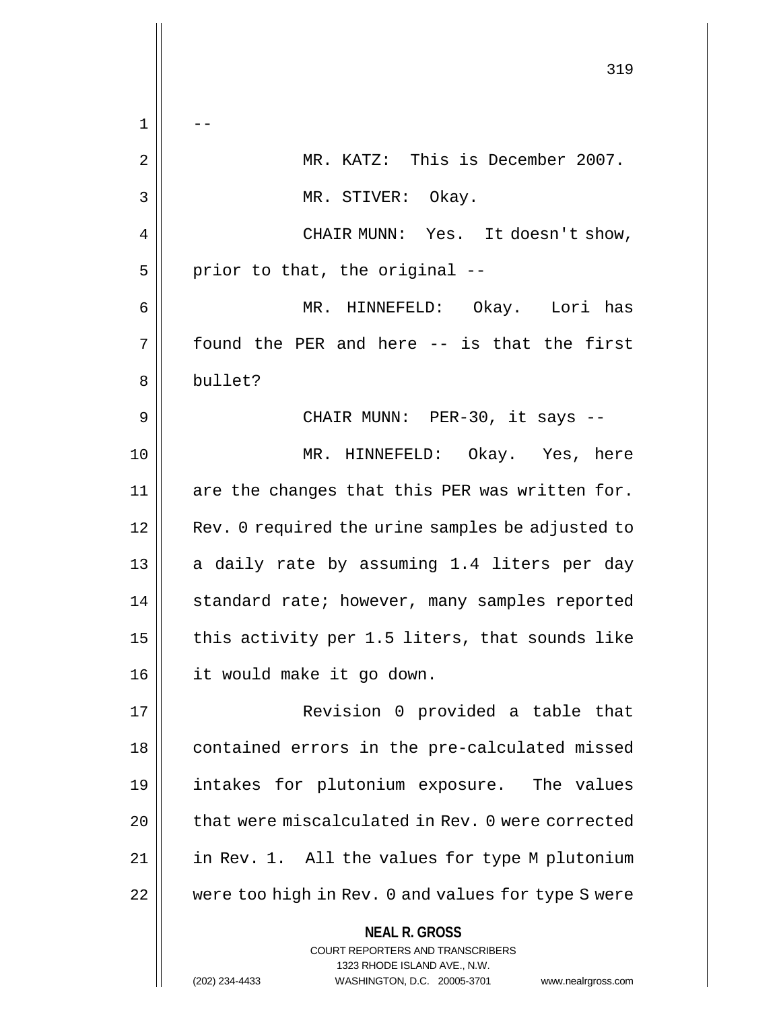**NEAL R. GROSS** COURT REPORTERS AND TRANSCRIBERS 1323 RHODE ISLAND AVE., N.W. 319  $1 \parallel - -$ 2 MR. KATZ: This is December 2007. 3 || MR. STIVER: Okay. 4 | CHAIR MUNN: Yes. It doesn't show,  $5$  | prior to that, the original  $-$ 6 MR. HINNEFELD: Okay. Lori has  $7 \parallel$  found the PER and here -- is that the first 8 bullet? 9 CHAIR MUNN: PER-30, it says -- 10 MR. HINNEFELD: Okay. Yes, here 11  $\parallel$  are the changes that this PER was written for. 12 || Rev. 0 required the urine samples be adjusted to 13 || a daily rate by assuming 1.4 liters per day 14 | standard rate; however, many samples reported 15  $\parallel$  this activity per 1.5 liters, that sounds like 16 it would make it go down. 17 || Revision 0 provided a table that 18 || contained errors in the pre-calculated missed 19 intakes for plutonium exposure. The values 20 | that were miscalculated in Rev. 0 were corrected 21 | in Rev. 1. All the values for type M plutonium 22 | were too high in Rev. 0 and values for type S were

(202) 234-4433 WASHINGTON, D.C. 20005-3701 www.nealrgross.com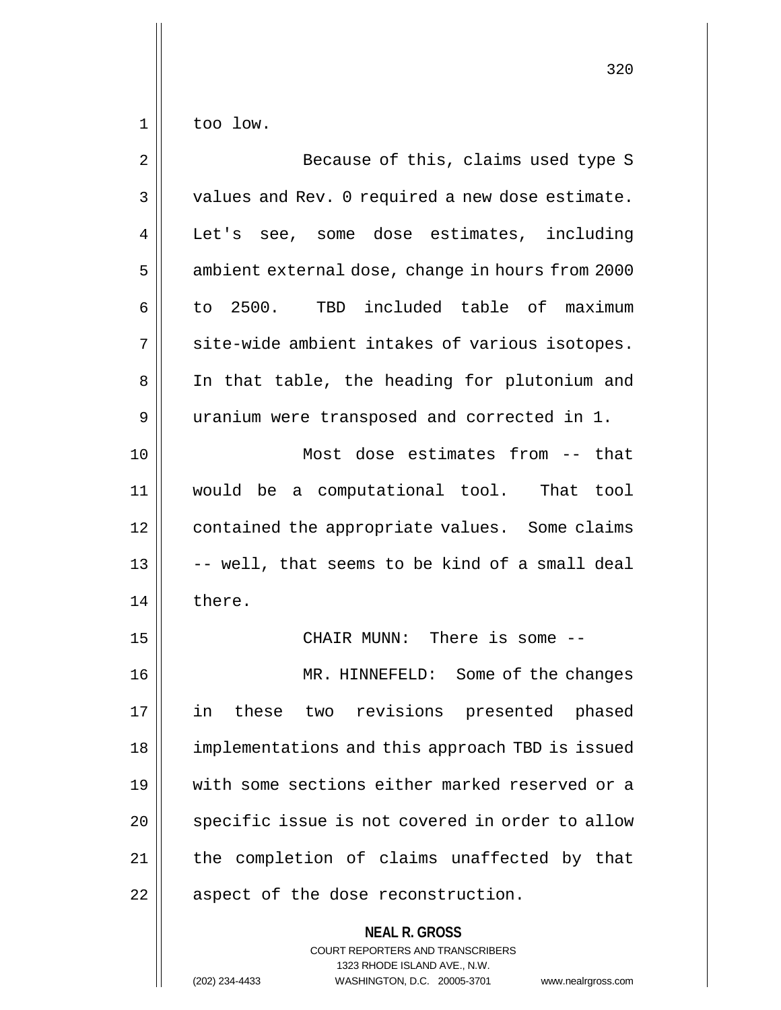$1 \parallel$  too low.

| $\overline{2}$ | Because of this, claims used type S              |
|----------------|--------------------------------------------------|
| $\mathfrak{Z}$ | values and Rev. 0 required a new dose estimate.  |
| 4              | Let's see, some dose estimates, including        |
| 5              | ambient external dose, change in hours from 2000 |
| 6              | to 2500. TBD included table of maximum           |
| 7              | site-wide ambient intakes of various isotopes.   |
| 8              | In that table, the heading for plutonium and     |
| 9              | uranium were transposed and corrected in 1.      |
| 10             | Most dose estimates from -- that                 |
| 11             | would be a computational tool. That tool         |
| 12             | contained the appropriate values. Some claims    |
| 13             | -- well, that seems to be kind of a small deal   |
| 14             | there.                                           |
| 15             | CHAIR MUNN: There is some --                     |
| 16             | MR. HINNEFELD: Some of the changes               |
| 17             | two revisions presented phased<br>in<br>these    |
| 18             | implementations and this approach TBD is issued  |
| 19             | with some sections either marked reserved or a   |
| 20             | specific issue is not covered in order to allow  |
| 21             | the completion of claims unaffected by that      |
| 22             | aspect of the dose reconstruction.               |
|                | <b>NEAL R. GROSS</b>                             |

COURT REPORTERS AND TRANSCRIBERS 1323 RHODE ISLAND AVE., N.W.

(202) 234-4433 WASHINGTON, D.C. 20005-3701 www.nealrgross.com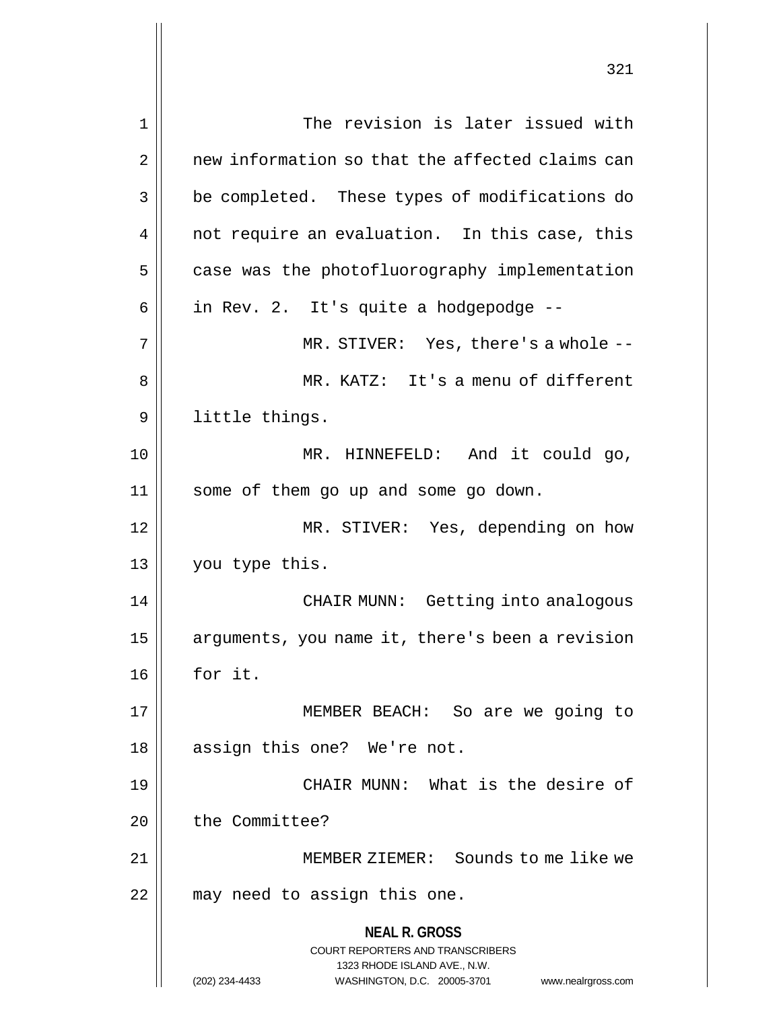**NEAL R. GROSS** COURT REPORTERS AND TRANSCRIBERS 1323 RHODE ISLAND AVE., N.W. 1 | The revision is later issued with 2 | new information so that the affected claims can 3 | be completed. These types of modifications do 4 || not require an evaluation. In this case, this  $5$  | case was the photofluorography implementation  $6 \parallel$  in Rev. 2. It's quite a hodgepodge --7 MR. STIVER: Yes, there's a whole -- 8 MR. KATZ: It's a menu of different 9 | little things. 10 MR. HINNEFELD: And it could go, 11 some of them go up and some go down. 12 MR. STIVER: Yes, depending on how 13 you type this. 14 CHAIR MUNN: Getting into analogous 15 | arguments, you name it, there's been a revision 16 for it. 17 MEMBER BEACH: So are we going to 18 || assign this one? We're not. 19 CHAIR MUNN: What is the desire of 20 | the Committee? 21 MEMBER ZIEMER: Sounds to me like we 22 || may need to assign this one.

(202) 234-4433 WASHINGTON, D.C. 20005-3701 www.nealrgross.com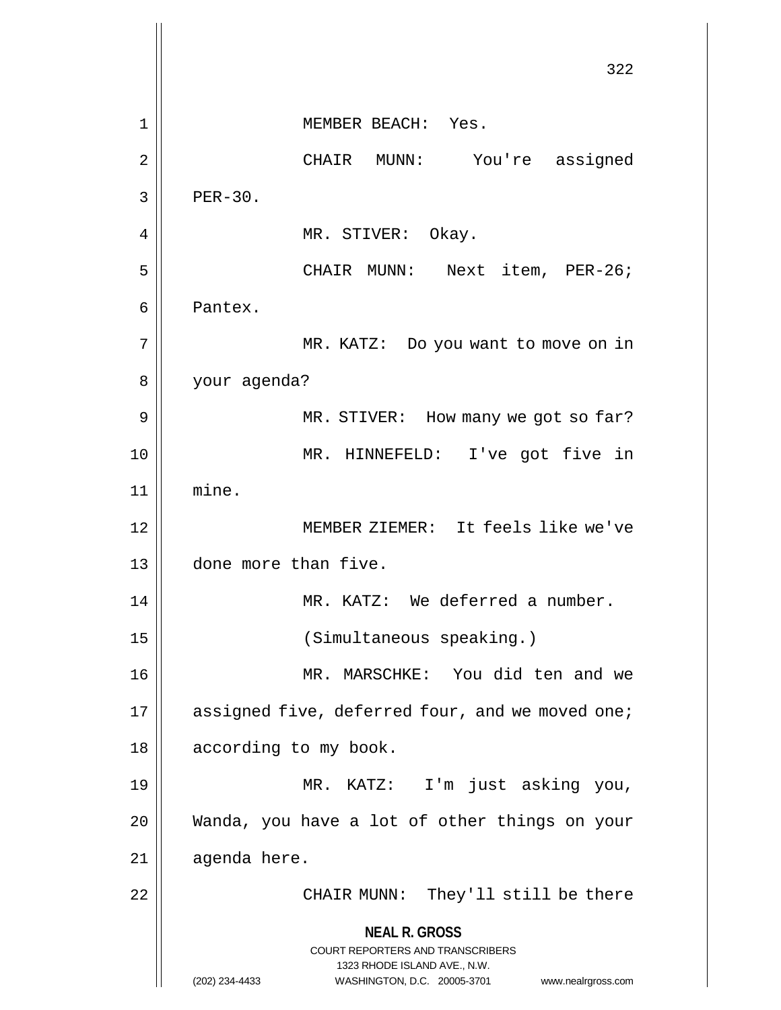**NEAL R. GROSS** COURT REPORTERS AND TRANSCRIBERS 1323 RHODE ISLAND AVE., N.W. (202) 234-4433 WASHINGTON, D.C. 20005-3701 www.nealrgross.com 322 1 || MEMBER BEACH: Yes. 2 CHAIR MUNN: You're assigned  $3 \parallel$  PER-30. 4 || MR. STIVER: Okay. 5 || CHAIR MUNN: Next item, PER-26; 6 Pantex. 7 || MR. KATZ: Do you want to move on in 8 your agenda? 9 || MR. STIVER: How many we got so far? 10 MR. HINNEFELD: I've got five in 11 mine. 12 MEMBER ZIEMER: It feels like we've 13 done more than five. 14 | MR. KATZ: We deferred a number. 15 (Simultaneous speaking.) 16 MR. MARSCHKE: You did ten and we 17 | assigned five, deferred four, and we moved one; 18 || according to my book. 19 MR. KATZ: I'm just asking you, 20 Wanda, you have a lot of other things on your  $21$  || agenda here. 22 || CHAIR MUNN: They'll still be there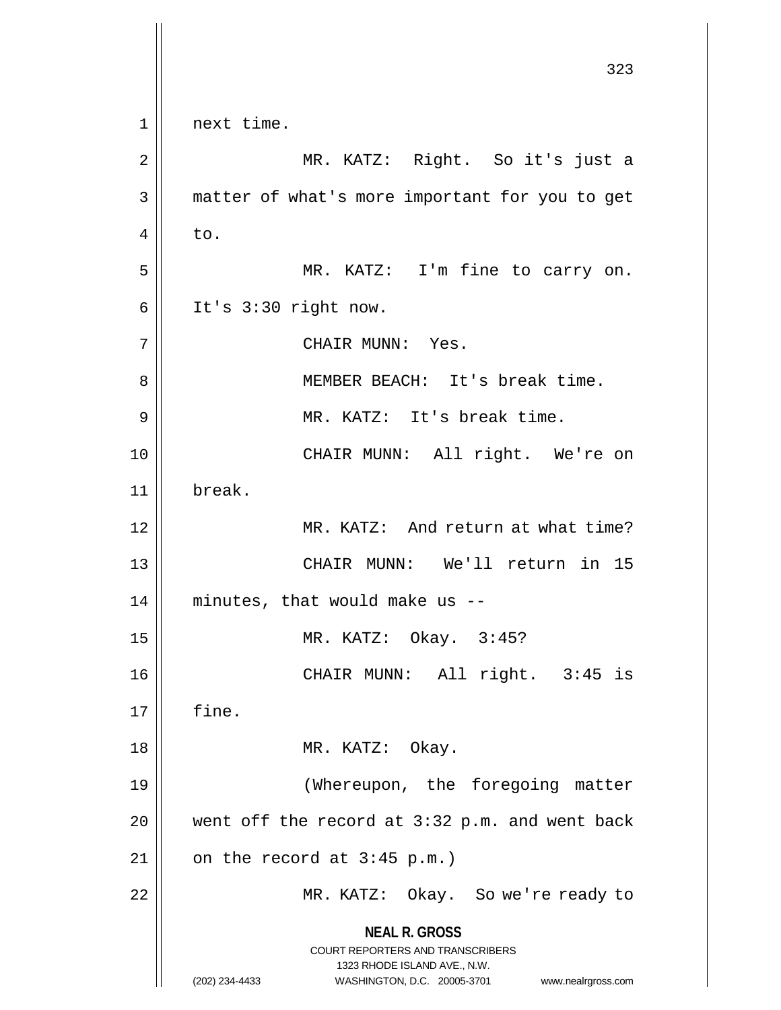**NEAL R. GROSS** COURT REPORTERS AND TRANSCRIBERS 1323 RHODE ISLAND AVE., N.W. (202) 234-4433 WASHINGTON, D.C. 20005-3701 www.nealrgross.com 323  $1 \parallel$  next time. 2 MR. KATZ: Right. So it's just a 3 || matter of what's more important for you to get  $4 \parallel$  to. 5 || MR. KATZ: I'm fine to carry on.  $6 \parallel$  It's 3:30 right now. 7 || CHAIR MUNN: Yes. 8 || MEMBER BEACH: It's break time. 9 || MR. KATZ: It's break time. 10 || CHAIR MUNN: All right. We're on 11 break. 12 MR. KATZ: And return at what time? 13 CHAIR MUNN: We'll return in 15  $14$  | minutes, that would make us  $-$ 15 MR. KATZ: Okay. 3:45? 16 CHAIR MUNN: All right. 3:45 is  $17 \parallel$  fine. 18 || MR. KATZ: Okay. 19 (Whereupon, the foregoing matter 20  $\parallel$  went off the record at 3:32 p.m. and went back  $21 \parallel$  on the record at 3:45 p.m.) 22 | MR. KATZ: Okay. So we're ready to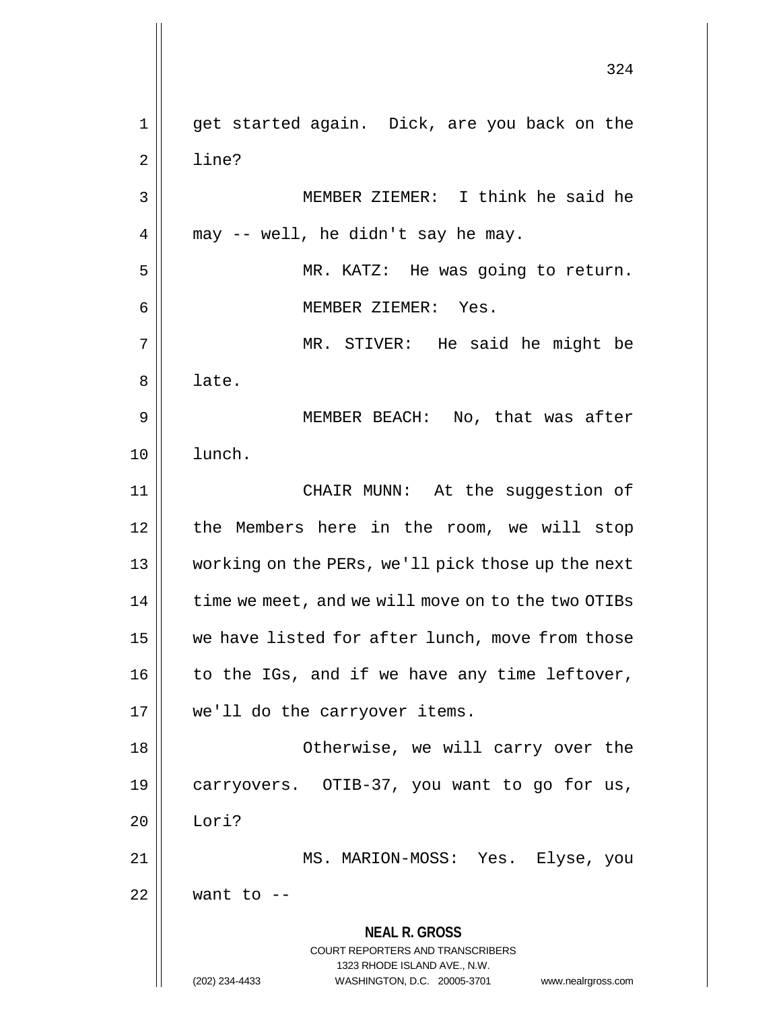**NEAL R. GROSS** COURT REPORTERS AND TRANSCRIBERS 1323 RHODE ISLAND AVE., N.W. (202) 234-4433 WASHINGTON, D.C. 20005-3701 www.nealrgross.com 324 1 get started again. Dick, are you back on the 2 l line? 3 MEMBER ZIEMER: I think he said he  $4 \parallel$  may -- well, he didn't say he may. 5 MR. KATZ: He was going to return. 6 MEMBER ZIEMER: Yes. 7 MR. STIVER: He said he might be  $8 \parallel$  late. 9 MEMBER BEACH: No, that was after 10 lunch. 11 CHAIR MUNN: At the suggestion of 12 || the Members here in the room, we will stop 13 working on the PERs, we'll pick those up the next 14 | time we meet, and we will move on to the two OTIBs 15 | we have listed for after lunch, move from those  $16$  | to the IGs, and if we have any time leftover, 17 || we'll do the carryover items. 18 Otherwise, we will carry over the 19 carryovers. OTIB-37, you want to go for us, 20 Lori? 21 MS. MARION-MOSS: Yes. Elyse, you  $22$  | want to  $-$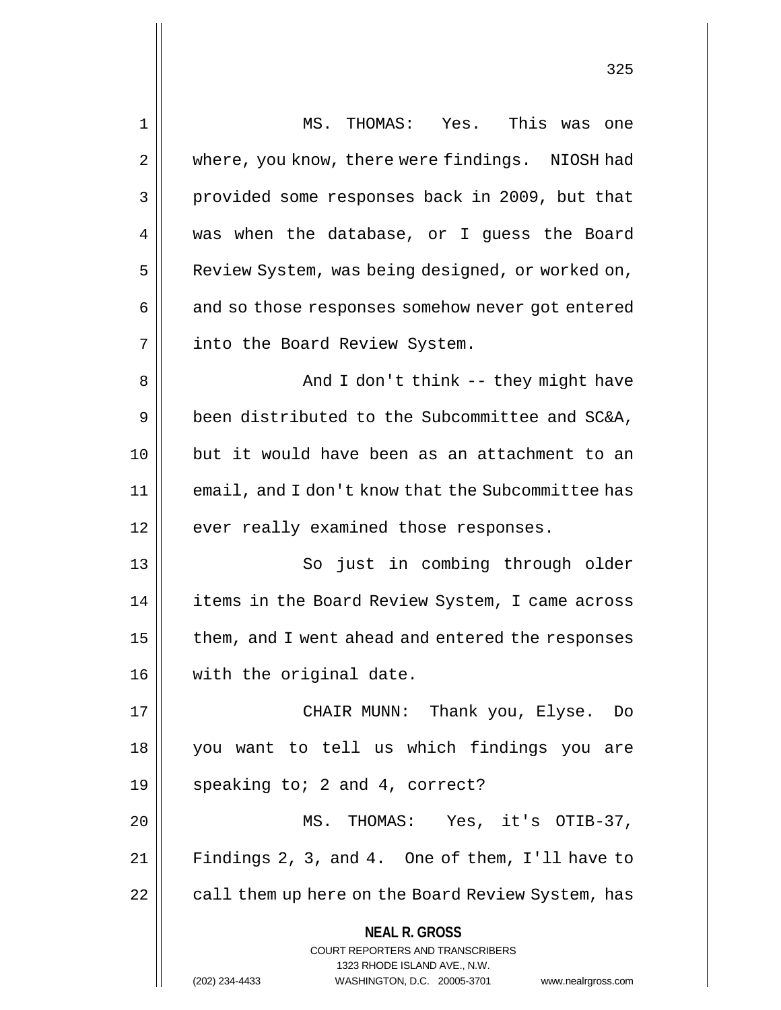| 1  | MS. THOMAS: Yes. This was one                                           |
|----|-------------------------------------------------------------------------|
| 2  | where, you know, there were findings. NIOSH had                         |
| 3  | provided some responses back in 2009, but that                          |
| 4  | was when the database, or I guess the Board                             |
| 5  | Review System, was being designed, or worked on,                        |
| 6  | and so those responses somehow never got entered                        |
| 7  | into the Board Review System.                                           |
| 8  | And I don't think -- they might have                                    |
| 9  | been distributed to the Subcommittee and SC&A,                          |
| 10 | but it would have been as an attachment to an                           |
| 11 | email, and I don't know that the Subcommittee has                       |
| 12 | ever really examined those responses.                                   |
| 13 | So just in combing through older                                        |
| 14 | items in the Board Review System, I came across                         |
| 15 | them, and I went ahead and entered the responses                        |
| 16 | with the original date.                                                 |
| 17 | CHAIR MUNN: Thank you, Elyse. Do                                        |
| 18 | you want to tell us which findings you are                              |
| 19 | speaking to; 2 and 4, correct?                                          |
| 20 | MS. THOMAS: Yes, it's OTIB-37,                                          |
| 21 | Findings 2, 3, and 4. One of them, I'll have to                         |
| 22 | call them up here on the Board Review System, has                       |
|    | <b>NEAL R. GROSS</b>                                                    |
|    | <b>COURT REPORTERS AND TRANSCRIBERS</b><br>1323 RHODE ISLAND AVE., N.W. |
|    | (202) 234-4433<br>WASHINGTON, D.C. 20005-3701<br>www.nealrgross.com     |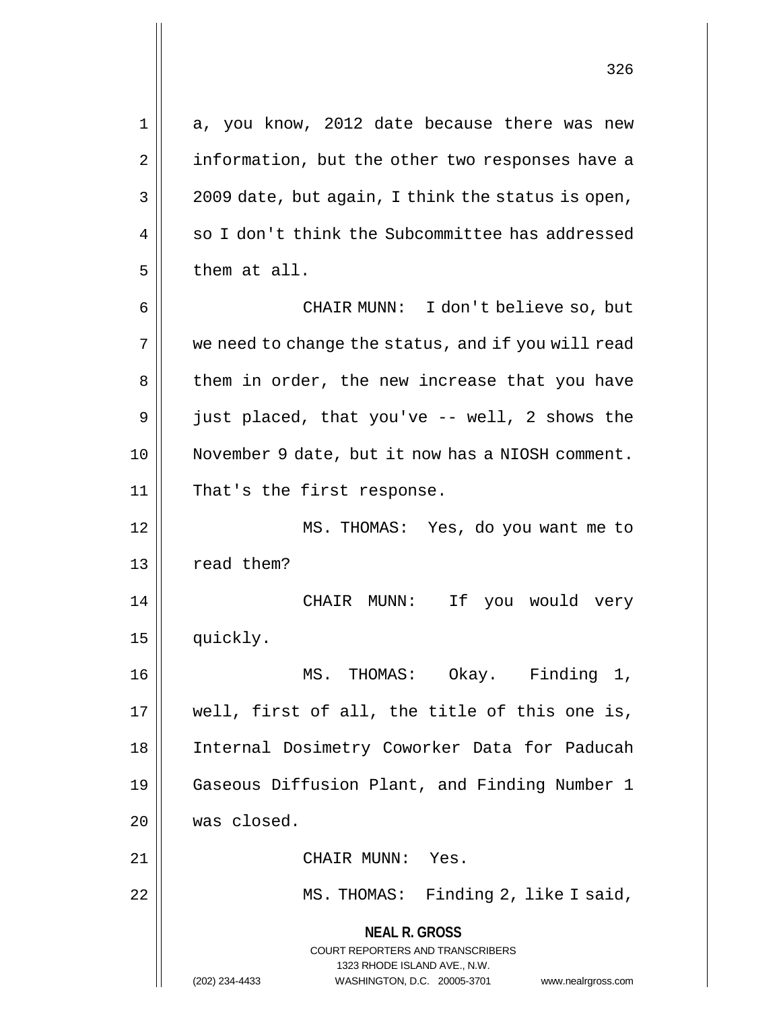| 1  | a, you know, 2012 date because there was new                                                                          |
|----|-----------------------------------------------------------------------------------------------------------------------|
| 2  | information, but the other two responses have a                                                                       |
| 3  | 2009 date, but again, I think the status is open,                                                                     |
| 4  | so I don't think the Subcommittee has addressed                                                                       |
| 5  | them at all.                                                                                                          |
| 6  | CHAIR MUNN: I don't believe so, but                                                                                   |
| 7  | we need to change the status, and if you will read                                                                    |
| 8  | them in order, the new increase that you have                                                                         |
| 9  | just placed, that you've -- well, 2 shows the                                                                         |
| 10 | November 9 date, but it now has a NIOSH comment.                                                                      |
| 11 | That's the first response.                                                                                            |
| 12 | MS. THOMAS: Yes, do you want me to                                                                                    |
| 13 | read them?                                                                                                            |
| 14 | CHAIR MUNN: If<br>you would very                                                                                      |
| 15 | quickly.                                                                                                              |
| 16 | MS. THOMAS: Okay. Finding 1,                                                                                          |
| 17 | well, first of all, the title of this one is,                                                                         |
| 18 | Internal Dosimetry Coworker Data for Paducah                                                                          |
| 19 | Gaseous Diffusion Plant, and Finding Number 1                                                                         |
| 20 | was closed.                                                                                                           |
| 21 | CHAIR MUNN: Yes.                                                                                                      |
| 22 | MS. THOMAS: Finding 2, like I said,                                                                                   |
|    | <b>NEAL R. GROSS</b><br><b>COURT REPORTERS AND TRANSCRIBERS</b><br>1323 RHODE ISLAND AVE., N.W.<br>www.nealrgross.com |
|    | (202) 234-4433<br>WASHINGTON, D.C. 20005-3701                                                                         |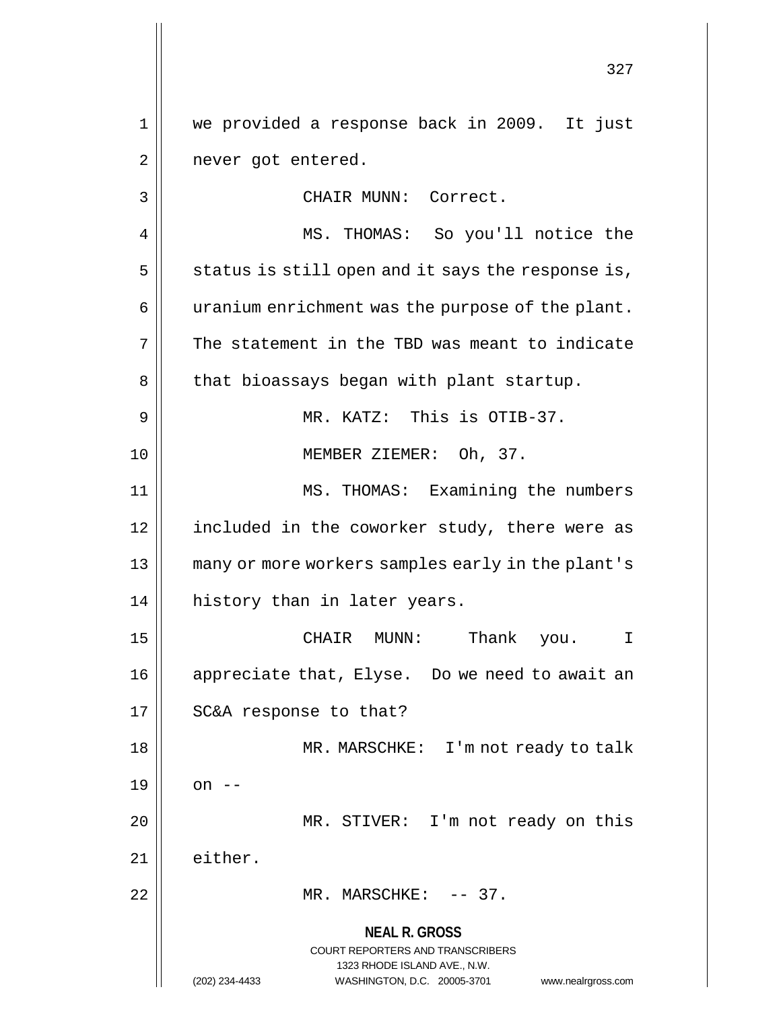**NEAL R. GROSS** COURT REPORTERS AND TRANSCRIBERS 1323 RHODE ISLAND AVE., N.W. (202) 234-4433 WASHINGTON, D.C. 20005-3701 www.nealrgross.com 327 1 we provided a response back in 2009. It just 2 | never got entered. 3 || CHAIR MUNN: Correct. 4 || MS. THOMAS: So you'll notice the  $5 \parallel$  status is still open and it says the response is,  $6 \parallel$  uranium enrichment was the purpose of the plant.  $7 \parallel$  The statement in the TBD was meant to indicate 8 | that bioassays began with plant startup. 9 || MR. KATZ: This is OTIB-37. 10 MEMBER ZIEMER: Oh, 37. 11 MS. THOMAS: Examining the numbers 12 || included in the coworker study, there were as 13 many or more workers samples early in the plant's 14 || history than in later years. 15 CHAIR MUNN: Thank you. I 16 appreciate that, Elyse. Do we need to await an 17 || SC&A response to that? 18 MR. MARSCHKE: I'm not ready to talk  $19 \parallel \quad$  on --20 || MR. STIVER: I'm not ready on this 21 || either. 22 MR. MARSCHKE: -- 37.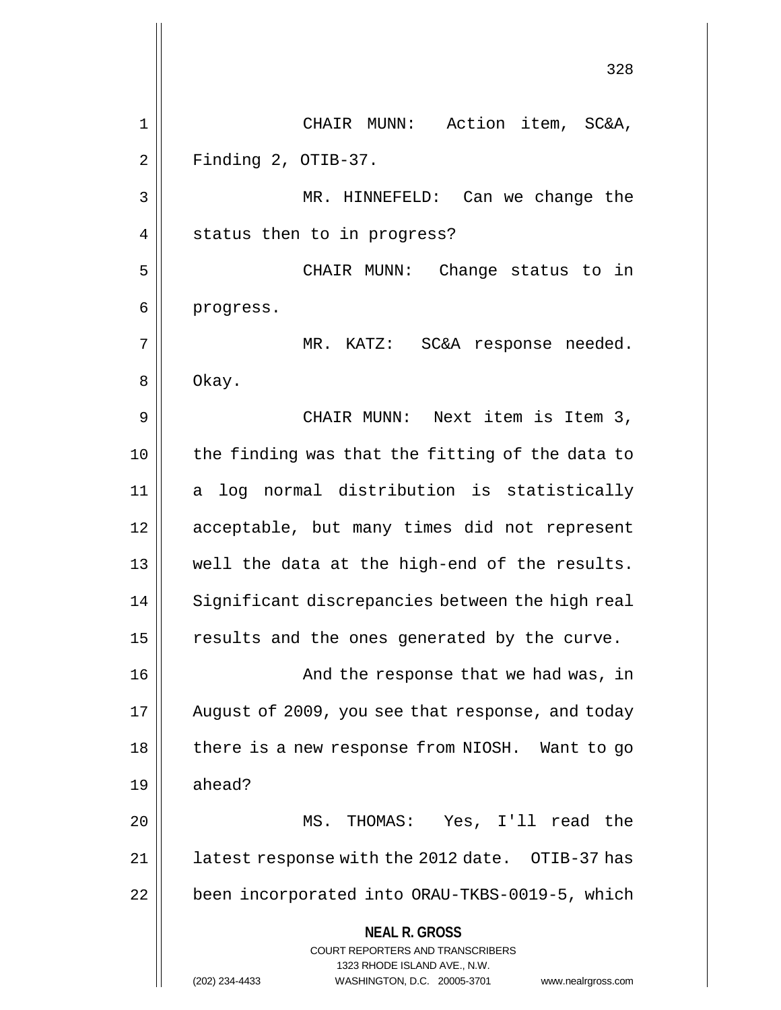**NEAL R. GROSS** COURT REPORTERS AND TRANSCRIBERS 1323 RHODE ISLAND AVE., N.W. (202) 234-4433 WASHINGTON, D.C. 20005-3701 www.nealrgross.com 328 1 CHAIR MUNN: Action item, SC&A,  $2 \parallel$  Finding 2, OTIB-37. 3 MR. HINNEFELD: Can we change the 4 || status then to in progress? 5 CHAIR MUNN: Change status to in 6 | progress. 7 MR. KATZ: SC&A response needed. 8 | Okay. 9 CHAIR MUNN: Next item is Item 3,  $10$  | the finding was that the fitting of the data to 11 a log normal distribution is statistically 12 acceptable, but many times did not represent 13 || well the data at the high-end of the results.  $14$   $\parallel$  Significant discrepancies between the high real  $15$  results and the ones generated by the curve. 16 And the response that we had was, in 17 || August of 2009, you see that response, and today 18 || there is a new response from NIOSH. Want to go 19 ahead? 20 MS. THOMAS: Yes, I'll read the 21 || latest response with the 2012 date. OTIB-37 has 22 | been incorporated into ORAU-TKBS-0019-5, which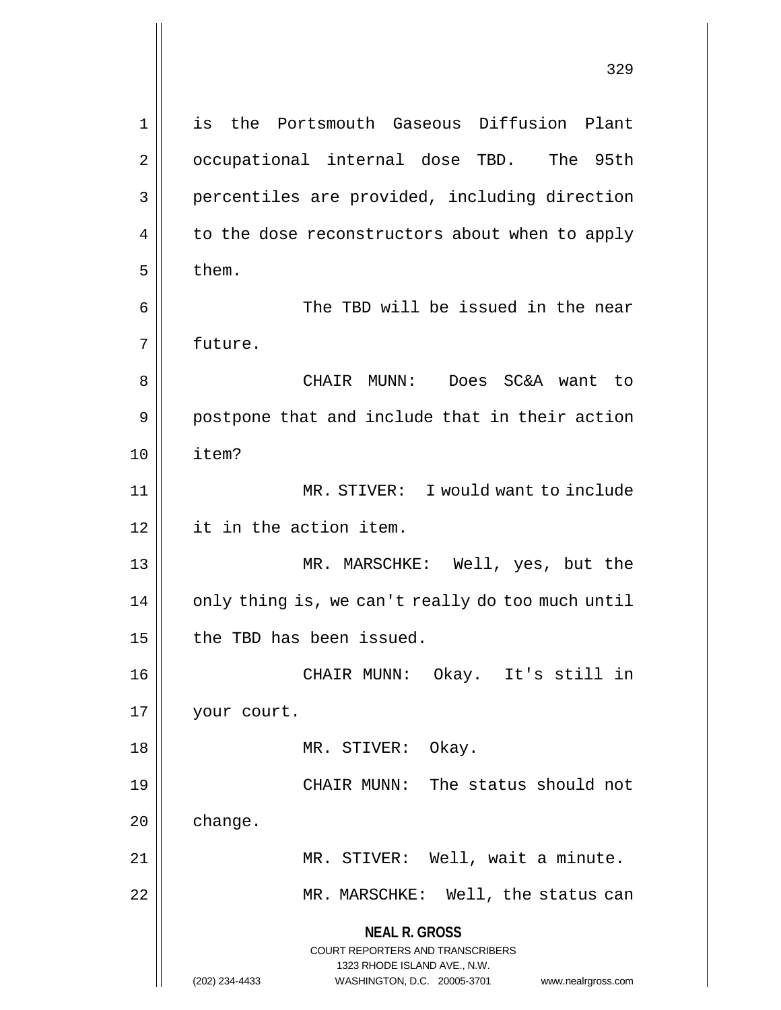**NEAL R. GROSS** COURT REPORTERS AND TRANSCRIBERS 1323 RHODE ISLAND AVE., N.W. (202) 234-4433 WASHINGTON, D.C. 20005-3701 www.nealrgross.com 1 is the Portsmouth Gaseous Diffusion Plant 2 | occupational internal dose TBD. The 95th 3 || percentiles are provided, including direction 4 | to the dose reconstructors about when to apply  $5 \parallel$  them. 6 The TBD will be issued in the near 7 future. 8 CHAIR MUNN: Does SC&A want to 9 || postpone that and include that in their action 10 item? 11 || MR. STIVER: I would want to include 12 it in the action item. 13 MR. MARSCHKE: Well, yes, but the 14 || only thing is, we can't really do too much until  $15$  | the TBD has been issued. 16 CHAIR MUNN: Okay. It's still in 17 | your court. 18 MR. STIVER: Okay. 19 CHAIR MUNN: The status should not 20 change. 21 || MR. STIVER: Well, wait a minute. 22 || MR. MARSCHKE: Well, the status can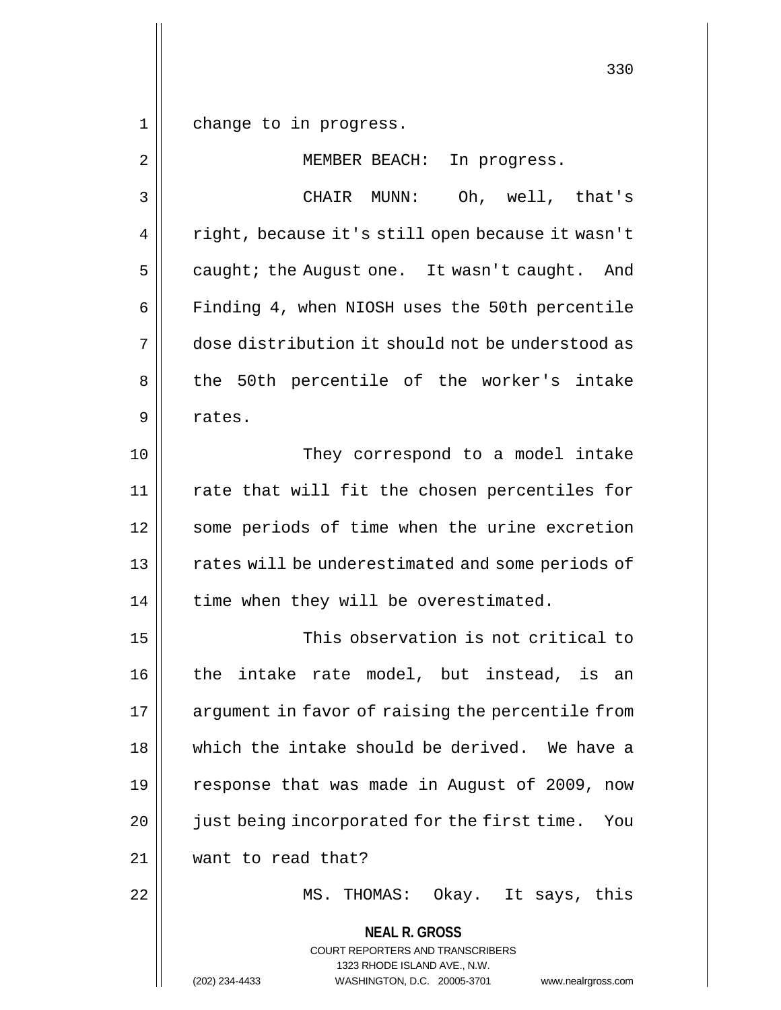$1 \parallel$  change to in progress.

| $\overline{2}$ | MEMBER BEACH:<br>In progress.                                                                                                                                          |
|----------------|------------------------------------------------------------------------------------------------------------------------------------------------------------------------|
| 3              | Oh, well, that's<br>CHAIR MUNN:                                                                                                                                        |
| 4              | right, because it's still open because it wasn't                                                                                                                       |
| 5              | caught; the August one. It wasn't caught. And                                                                                                                          |
| 6              | Finding 4, when NIOSH uses the 50th percentile                                                                                                                         |
| 7              | dose distribution it should not be understood as                                                                                                                       |
| 8              | the 50th percentile of the worker's intake                                                                                                                             |
| 9              | rates.                                                                                                                                                                 |
| 10             | They correspond to a model intake                                                                                                                                      |
| 11             | rate that will fit the chosen percentiles for                                                                                                                          |
| 12             | some periods of time when the urine excretion                                                                                                                          |
| 13             | rates will be underestimated and some periods of                                                                                                                       |
| 14             | time when they will be overestimated.                                                                                                                                  |
| 15             | This observation is not critical to                                                                                                                                    |
| 16             | the intake rate model, but instead, is an                                                                                                                              |
| 17             | argument in favor of raising the percentile from                                                                                                                       |
| 18             | which the intake should be derived. We have a                                                                                                                          |
| 19             | response that was made in August of 2009, now                                                                                                                          |
| 20             | just being incorporated for the first time.<br>You                                                                                                                     |
| 21             | want to read that?                                                                                                                                                     |
| 22             | MS. THOMAS: Okay. It says, this                                                                                                                                        |
|                | <b>NEAL R. GROSS</b><br><b>COURT REPORTERS AND TRANSCRIBERS</b><br>1323 RHODE ISLAND AVE., N.W.<br>(202) 234-4433<br>WASHINGTON, D.C. 20005-3701<br>www.nealrgross.com |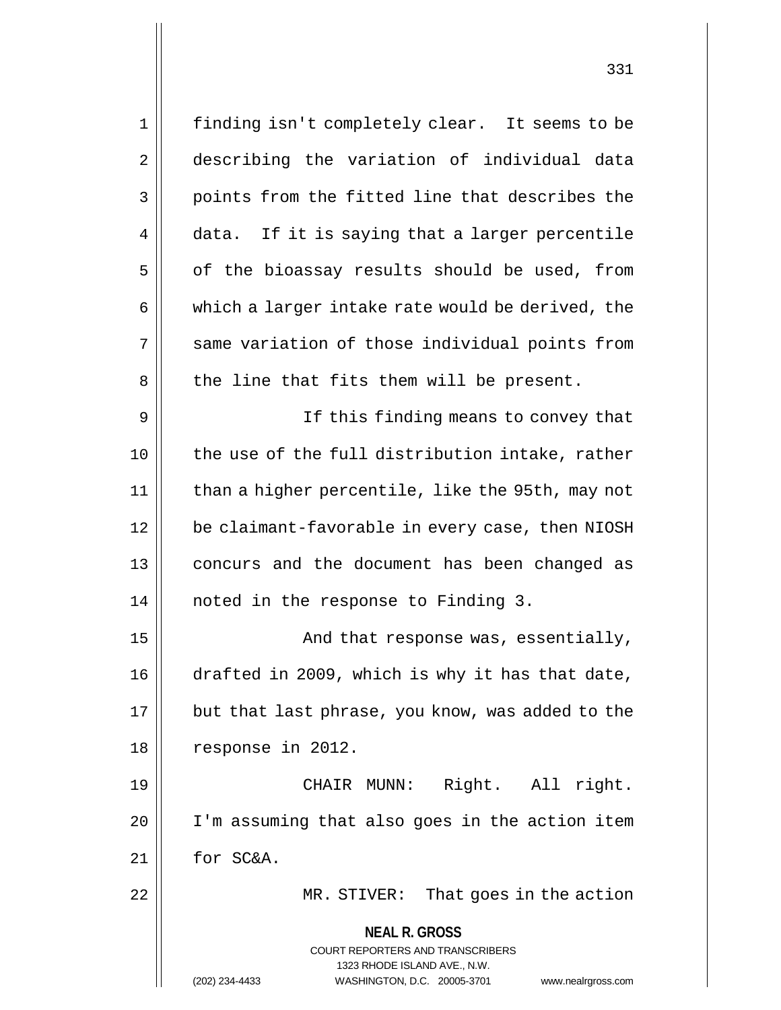**NEAL R. GROSS** COURT REPORTERS AND TRANSCRIBERS 1323 RHODE ISLAND AVE., N.W. (202) 234-4433 WASHINGTON, D.C. 20005-3701 www.nealrgross.com 1 finding isn't completely clear. It seems to be 2 describing the variation of individual data 3 || points from the fitted line that describes the  $4 \parallel$  data. If it is saying that a larger percentile  $5 \parallel$  of the bioassay results should be used, from  $6 \parallel$  which a larger intake rate would be derived, the 7 || same variation of those individual points from  $8 \parallel$  the line that fits them will be present. 9 || If this finding means to convey that 10 the use of the full distribution intake, rather 11 than a higher percentile, like the 95th, may not 12 be claimant-favorable in every case, then NIOSH 13 || concurs and the document has been changed as 14 noted in the response to Finding 3. 15 || And that response was, essentially, 16 | drafted in 2009, which is why it has that date, 17 || but that last phrase, you know, was added to the 18 response in 2012. 19 CHAIR MUNN: Right. All right. 20 | I'm assuming that also goes in the action item 21 for SC&A. 22 MR. STIVER: That goes in the action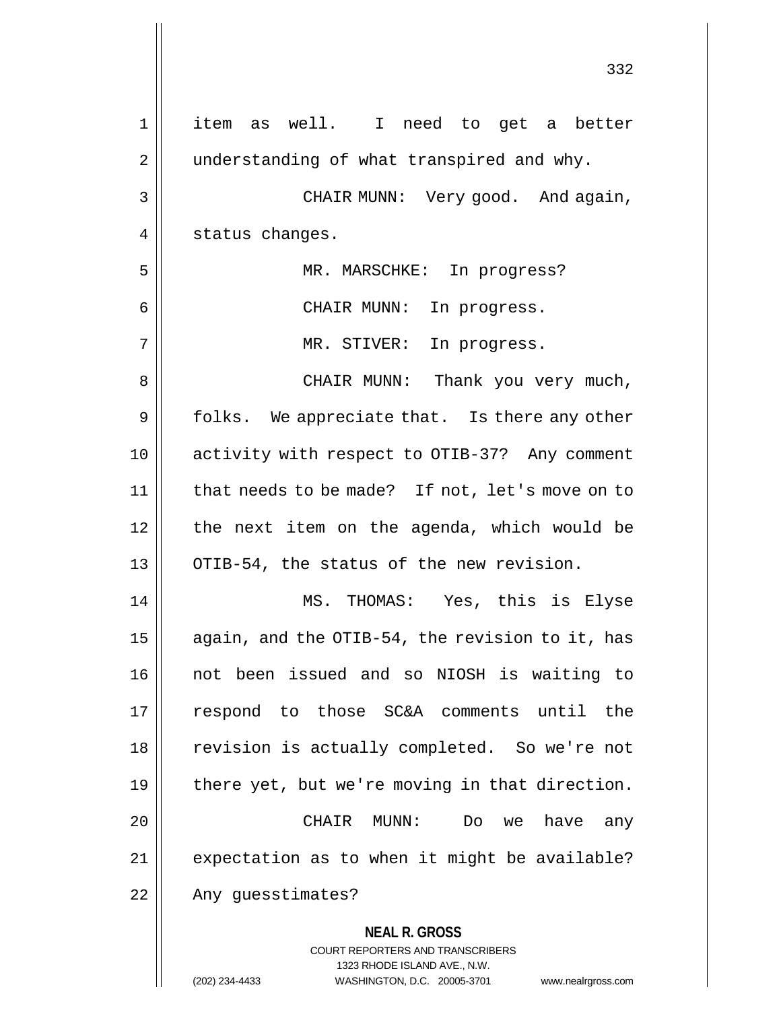| $\mathbf 1$ | item as well. I need to get a better                                                                                                                                   |
|-------------|------------------------------------------------------------------------------------------------------------------------------------------------------------------------|
| 2           | understanding of what transpired and why.                                                                                                                              |
| 3           | CHAIR MUNN: Very good. And again,                                                                                                                                      |
| 4           | status changes.                                                                                                                                                        |
| 5           | MR. MARSCHKE: In progress?                                                                                                                                             |
| 6           | CHAIR MUNN:<br>In progress.                                                                                                                                            |
| 7           | MR. STIVER: In progress.                                                                                                                                               |
| 8           | CHAIR MUNN: Thank you very much,                                                                                                                                       |
| 9           | folks. We appreciate that. Is there any other                                                                                                                          |
| 10          | activity with respect to OTIB-37? Any comment                                                                                                                          |
| 11          | that needs to be made? If not, let's move on to                                                                                                                        |
| 12          | the next item on the agenda, which would be                                                                                                                            |
| 13          | OTIB-54, the status of the new revision.                                                                                                                               |
| 14          | MS. THOMAS: Yes, this is Elyse                                                                                                                                         |
| 15          | again, and the OTIB-54, the revision to it, has                                                                                                                        |
| 16          | not been issued and so NIOSH is waiting to                                                                                                                             |
| 17          | respond to those SC&A comments until<br>the                                                                                                                            |
| 18          | revision is actually completed. So we're not                                                                                                                           |
| 19          | there yet, but we're moving in that direction.                                                                                                                         |
| 20          | CHAIR MUNN:<br>have<br>Do.<br>we<br>any                                                                                                                                |
| 21          | expectation as to when it might be available?                                                                                                                          |
| 22          | Any guesstimates?                                                                                                                                                      |
|             | <b>NEAL R. GROSS</b><br><b>COURT REPORTERS AND TRANSCRIBERS</b><br>1323 RHODE ISLAND AVE., N.W.<br>(202) 234-4433<br>WASHINGTON, D.C. 20005-3701<br>www.nealrgross.com |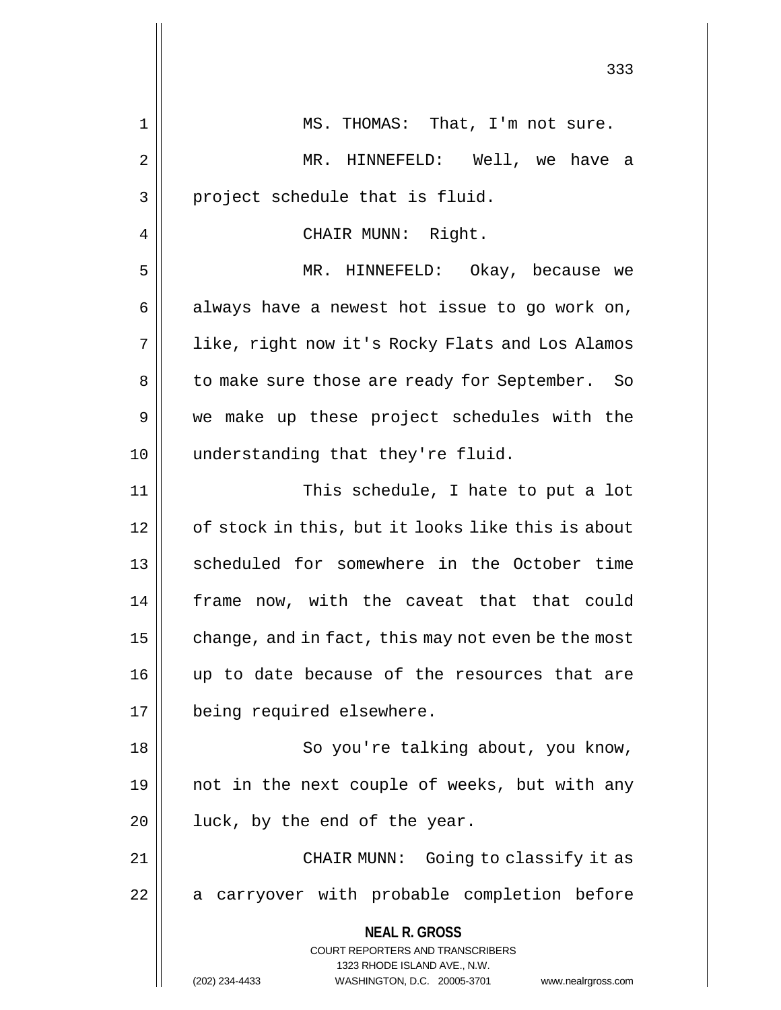|    | 333                                                                                                                                                                    |
|----|------------------------------------------------------------------------------------------------------------------------------------------------------------------------|
| 1  | MS. THOMAS: That, I'm not sure.                                                                                                                                        |
| 2  | MR. HINNEFELD: Well, we have a                                                                                                                                         |
| 3  | project schedule that is fluid.                                                                                                                                        |
| 4  | CHAIR MUNN: Right.                                                                                                                                                     |
| 5  | MR. HINNEFELD: Okay, because we                                                                                                                                        |
| 6  | always have a newest hot issue to go work on,                                                                                                                          |
| 7  | like, right now it's Rocky Flats and Los Alamos                                                                                                                        |
| 8  | to make sure those are ready for September.<br>- So                                                                                                                    |
| 9  | we make up these project schedules with the                                                                                                                            |
| 10 | understanding that they're fluid.                                                                                                                                      |
| 11 | This schedule, I hate to put a lot                                                                                                                                     |
| 12 | of stock in this, but it looks like this is about                                                                                                                      |
| 13 | scheduled for somewhere in the October time                                                                                                                            |
| 14 | frame now, with the caveat that that could                                                                                                                             |
| 15 | change, and in fact, this may not even be the most                                                                                                                     |
| 16 | up to date because of the resources that are                                                                                                                           |
| 17 | being required elsewhere.                                                                                                                                              |
| 18 | So you're talking about, you know,                                                                                                                                     |
| 19 | not in the next couple of weeks, but with any                                                                                                                          |
| 20 | luck, by the end of the year.                                                                                                                                          |
| 21 | CHAIR MUNN: Going to classify it as                                                                                                                                    |
| 22 | a carryover with probable completion before                                                                                                                            |
|    | <b>NEAL R. GROSS</b><br><b>COURT REPORTERS AND TRANSCRIBERS</b><br>1323 RHODE ISLAND AVE., N.W.<br>WASHINGTON, D.C. 20005-3701<br>(202) 234-4433<br>www.nealrgross.com |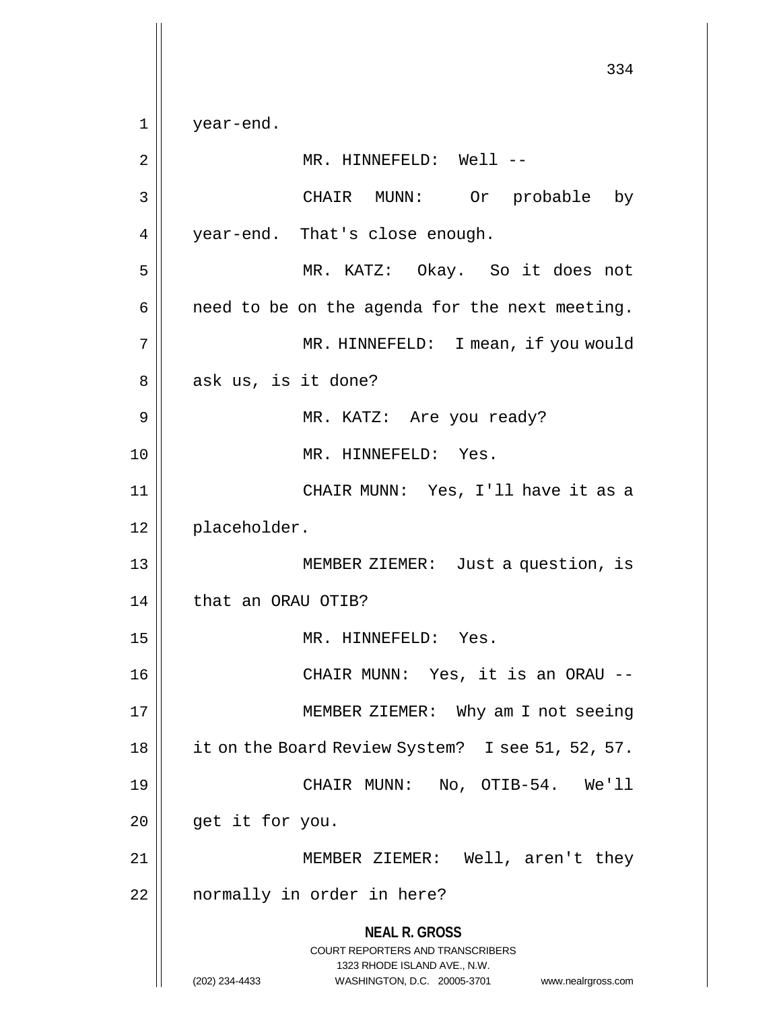**NEAL R. GROSS** COURT REPORTERS AND TRANSCRIBERS 1323 RHODE ISLAND AVE., N.W. (202) 234-4433 WASHINGTON, D.C. 20005-3701 www.nealrgross.com 334 1 year-end. 2 || MR. HINNEFELD: Well --3 CHAIR MUNN: Or probable by 4 | year-end. That's close enough. 5 MR. KATZ: Okay. So it does not  $6 \parallel$  need to be on the agenda for the next meeting. 7 || MR. HINNEFELD: I mean, if you would  $8 \parallel$  ask us, is it done? 9 MR. KATZ: Are you ready? 10 || MR. HINNEFELD: Yes. 11 CHAIR MUNN: Yes, I'll have it as a 12 placeholder. 13 MEMBER ZIEMER: Just a question, is 14 | that an ORAU OTIB? 15 MR. HINNEFELD: Yes. 16 CHAIR MUNN: Yes, it is an ORAU -- 17 || MEMBER ZIEMER: Why am I not seeing 18 | it on the Board Review System? I see 51, 52, 57. 19 CHAIR MUNN: No, OTIB-54. We'll  $20$  | get it for you. 21 || MEMBER ZIEMER: Well, aren't they 22 || normally in order in here?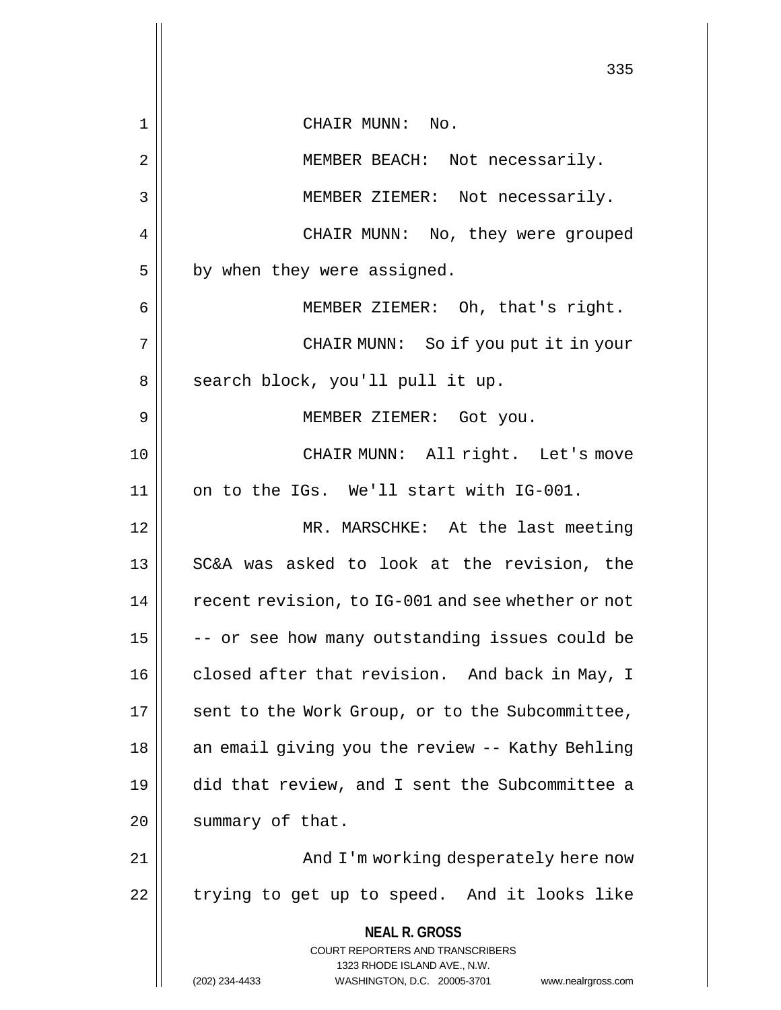|                | 335                                                                                                                                                             |
|----------------|-----------------------------------------------------------------------------------------------------------------------------------------------------------------|
| $\mathbf 1$    | CHAIR MUNN: No.                                                                                                                                                 |
| $\overline{2}$ | MEMBER BEACH: Not necessarily.                                                                                                                                  |
| 3              | MEMBER ZIEMER: Not necessarily.                                                                                                                                 |
| 4              | CHAIR MUNN: No, they were grouped                                                                                                                               |
| 5              | by when they were assigned.                                                                                                                                     |
| 6              | MEMBER ZIEMER: Oh, that's right.                                                                                                                                |
| 7              | CHAIR MUNN: So if you put it in your                                                                                                                            |
| 8              | search block, you'll pull it up.                                                                                                                                |
| 9              | MEMBER ZIEMER: Got you.                                                                                                                                         |
| 10             | CHAIR MUNN: All right. Let's move                                                                                                                               |
| 11             | on to the IGs. We'll start with IG-001.                                                                                                                         |
| 12             | MR. MARSCHKE: At the last meeting                                                                                                                               |
| 13             | SC&A was asked to look at the revision, the                                                                                                                     |
| 14             | recent revision, to IG-001 and see whether or not                                                                                                               |
| 15             | -- or see how many outstanding issues could be                                                                                                                  |
| 16             | closed after that revision. And back in May, I                                                                                                                  |
| 17             | sent to the Work Group, or to the Subcommittee,                                                                                                                 |
| 18             | an email giving you the review -- Kathy Behling                                                                                                                 |
| 19             | did that review, and I sent the Subcommittee a                                                                                                                  |
| 20             | summary of that.                                                                                                                                                |
| 21             | And I'm working desperately here now                                                                                                                            |
| 22             | trying to get up to speed. And it looks like                                                                                                                    |
|                | <b>NEAL R. GROSS</b><br>COURT REPORTERS AND TRANSCRIBERS<br>1323 RHODE ISLAND AVE., N.W.<br>(202) 234-4433<br>WASHINGTON, D.C. 20005-3701<br>www.nealrgross.com |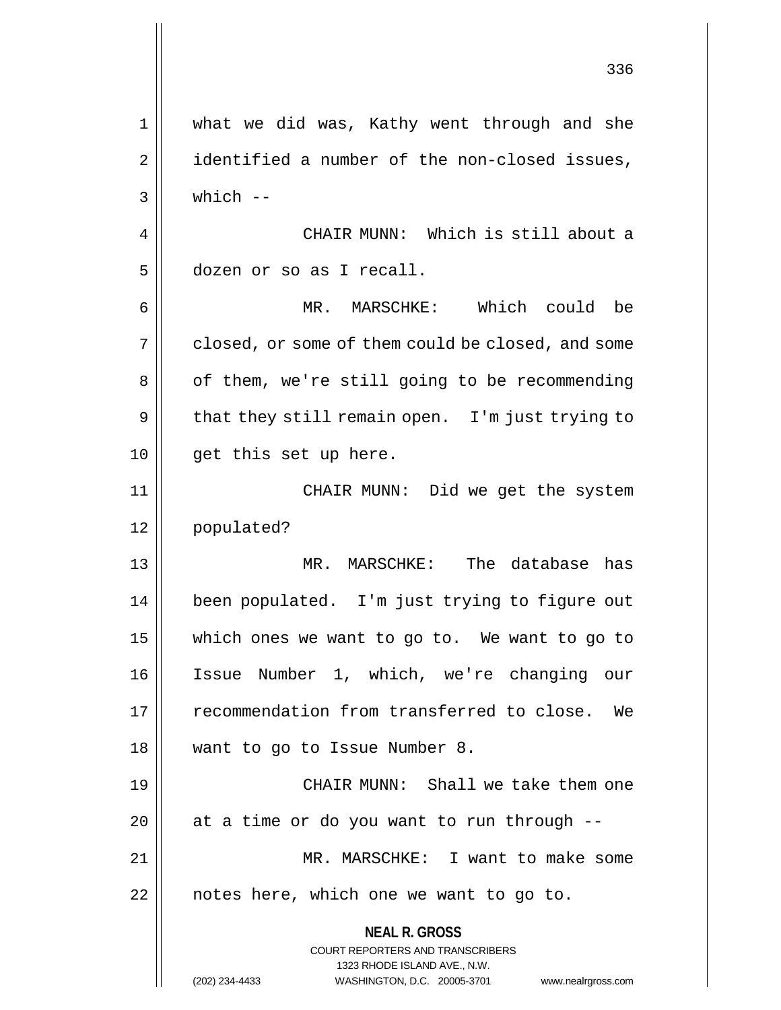**NEAL R. GROSS** COURT REPORTERS AND TRANSCRIBERS 1323 RHODE ISLAND AVE., N.W. (202) 234-4433 WASHINGTON, D.C. 20005-3701 www.nealrgross.com 1 what we did was, Kathy went through and she 2 | identified a number of the non-closed issues,  $3 \parallel$  which  $-$ 4 || CHAIR MUNN: Which is still about a 5 dozen or so as I recall. 6 MR. MARSCHKE: Which could be  $7 \parallel$  closed, or some of them could be closed, and some 8 | of them, we're still going to be recommending  $9 \parallel$  that they still remain open. I'm just trying to 10 || get this set up here. 11 CHAIR MUNN: Did we get the system 12 populated? 13 MR. MARSCHKE: The database has 14 been populated. I'm just trying to figure out 15 which ones we want to go to. We want to go to 16 Issue Number 1, which, we're changing our 17 recommendation from transferred to close. We 18 want to go to Issue Number 8. 19 CHAIR MUNN: Shall we take them one  $20$  || at a time or do you want to run through  $-$ 21 MR. MARSCHKE: I want to make some  $22$  | notes here, which one we want to go to.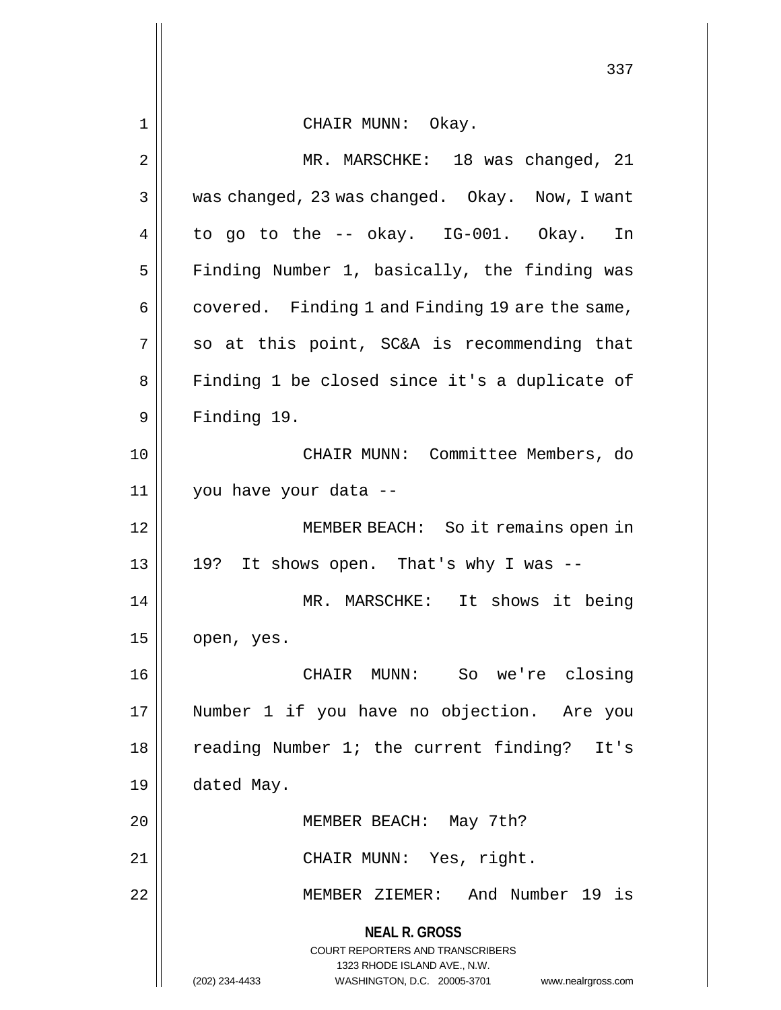**NEAL R. GROSS** COURT REPORTERS AND TRANSCRIBERS 1323 RHODE ISLAND AVE., N.W. (202) 234-4433 WASHINGTON, D.C. 20005-3701 www.nealrgross.com 337 1 CHAIR MUNN: Okay. 2 || MR. MARSCHKE: 18 was changed, 21 3 Was changed, 23 was changed. Okay. Now, I want  $4 \parallel$  to go to the -- okay. IG-001. Okay. In 5 | Finding Number 1, basically, the finding was  $6 \parallel$  covered. Finding 1 and Finding 19 are the same,  $7 \parallel$  so at this point, SC&A is recommending that 8 || Finding 1 be closed since it's a duplicate of 9 | Finding 19. 10 CHAIR MUNN: Committee Members, do 11 you have your data -- 12 MEMBER BEACH: So it remains open in  $13 \parallel 19$ ? It shows open. That's why I was --14 MR. MARSCHKE: It shows it being  $15$  | open, yes. 16 CHAIR MUNN: So we're closing 17 Number 1 if you have no objection. Are you 18 || reading Number 1; the current finding? It's 19 dated May. 20 MEMBER BEACH: May 7th? 21 || CHAIR MUNN: Yes, right. 22 MEMBER ZIEMER: And Number 19 is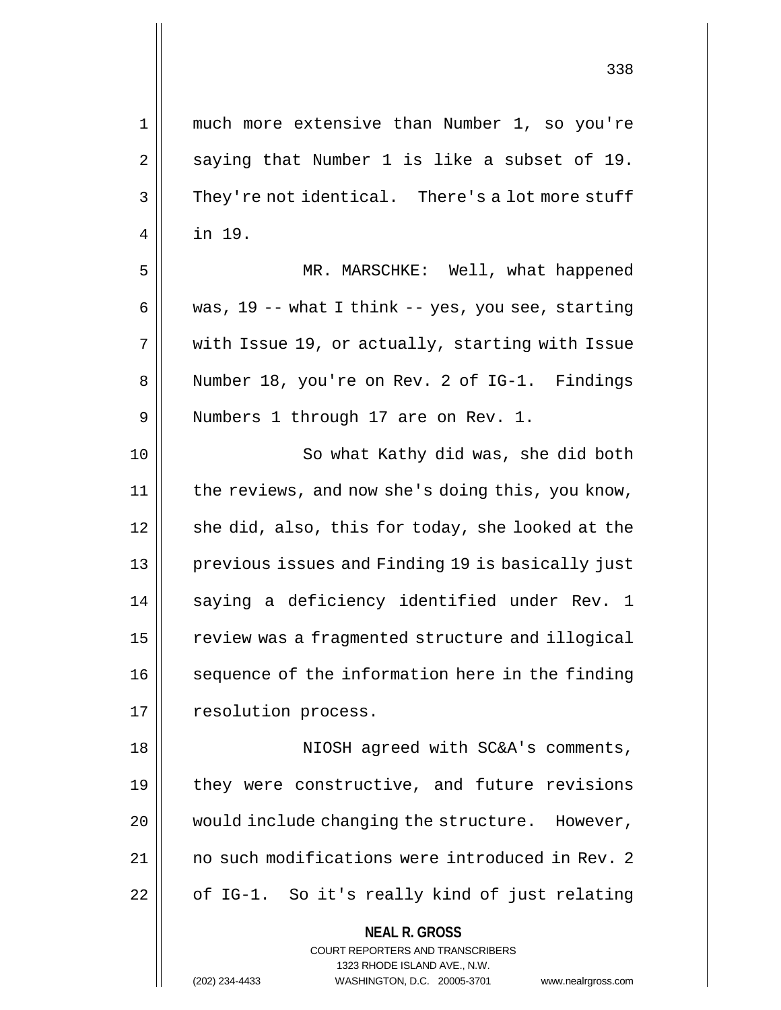| 1  | much more extensive than Number 1, so you're        |
|----|-----------------------------------------------------|
| 2  | saying that Number 1 is like a subset of 19.        |
| 3  | They're not identical. There's a lot more stuff     |
| 4  | in 19.                                              |
| 5  | MR. MARSCHKE: Well, what happened                   |
| 6  | was, $19$ -- what I think -- yes, you see, starting |
| 7  | with Issue 19, or actually, starting with Issue     |
| 8  | Number 18, you're on Rev. 2 of IG-1. Findings       |
| 9  | Numbers 1 through 17 are on Rev. 1.                 |
| 10 | So what Kathy did was, she did both                 |
| 11 | the reviews, and now she's doing this, you know,    |
| 12 | she did, also, this for today, she looked at the    |
| 13 | previous issues and Finding 19 is basically just    |
| 14 | saying a deficiency identified under Rev. 1         |
| 15 | review was a fragmented structure and illogical     |
| 16 | sequence of the information here in the finding     |
| 17 | resolution process.                                 |
| 18 | NIOSH agreed with SC&A's comments,                  |
| 19 | they were constructive, and future revisions        |
| 20 | would include changing the structure. However,      |
| 21 | no such modifications were introduced in Rev. 2     |
| 22 | of IG-1. So it's really kind of just relating       |
|    | <b>NEAL R. GROSS</b>                                |

COURT REPORTERS AND TRANSCRIBERS 1323 RHODE ISLAND AVE., N.W.

(202) 234-4433 WASHINGTON, D.C. 20005-3701 www.nealrgross.com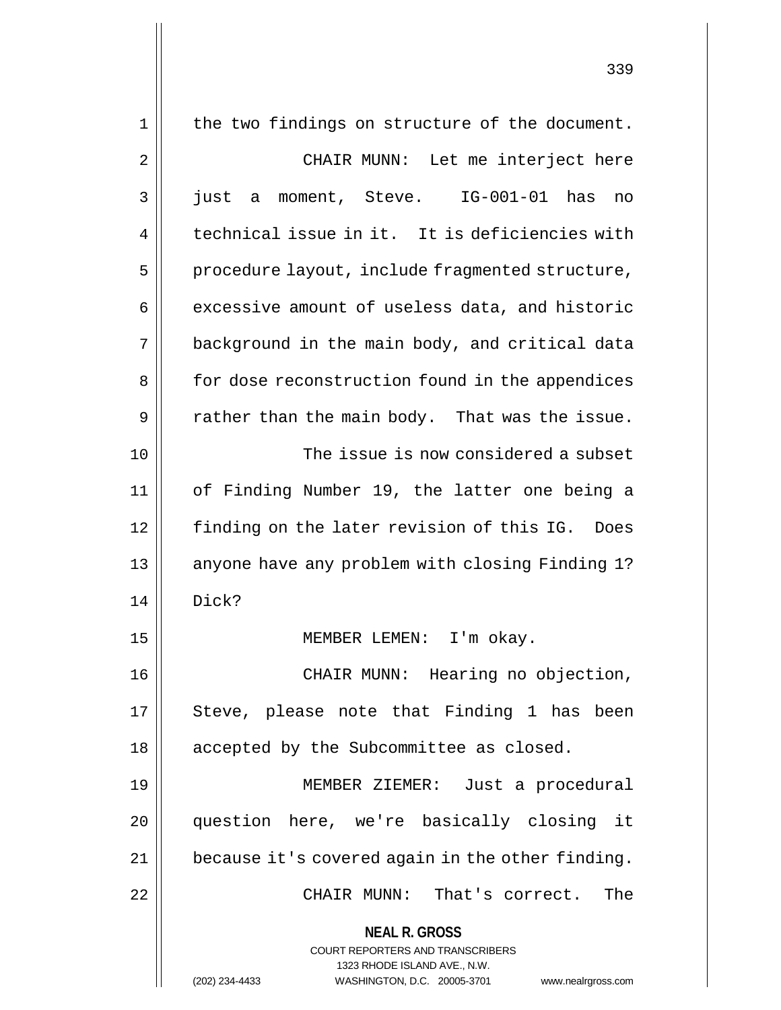| 1  | the two findings on structure of the document.              |
|----|-------------------------------------------------------------|
| 2  | CHAIR MUNN: Let me interject here                           |
| 3  | a moment, Steve. IG-001-01 has<br>just<br>no                |
| 4  | technical issue in it. It is deficiencies with              |
| 5  | procedure layout, include fragmented structure,             |
| 6  | excessive amount of useless data, and historic              |
| 7  | background in the main body, and critical data              |
| 8  | for dose reconstruction found in the appendices             |
| 9  | rather than the main body. That was the issue.              |
| 10 | The issue is now considered a subset                        |
| 11 | of Finding Number 19, the latter one being a                |
| 12 | finding on the later revision of this IG. Does              |
| 13 | anyone have any problem with closing Finding 1?             |
| 14 | Dick?                                                       |
| 15 | MEMBER LEMEN: I'm okay.                                     |
| 16 | CHAIR MUNN: Hearing no objection,                           |
| 17 | Steve, please note that Finding 1 has been                  |
| 18 | accepted by the Subcommittee as closed.                     |
| 19 | MEMBER ZIEMER: Just a procedural                            |
| 20 | question here, we're basically closing it                   |
| 21 | because it's covered again in the other finding.            |
| 22 | CHAIR MUNN: That's correct.<br>The                          |
|    | <b>NEAL R. GROSS</b>                                        |
|    | COURT REPORTERS AND TRANSCRIBERS                            |
|    | 1323 RHODE ISLAND AVE., N.W.<br>WASHINGTON, D.C. 20005-3701 |
|    | (202) 234-4433<br>www.nealrgross.com                        |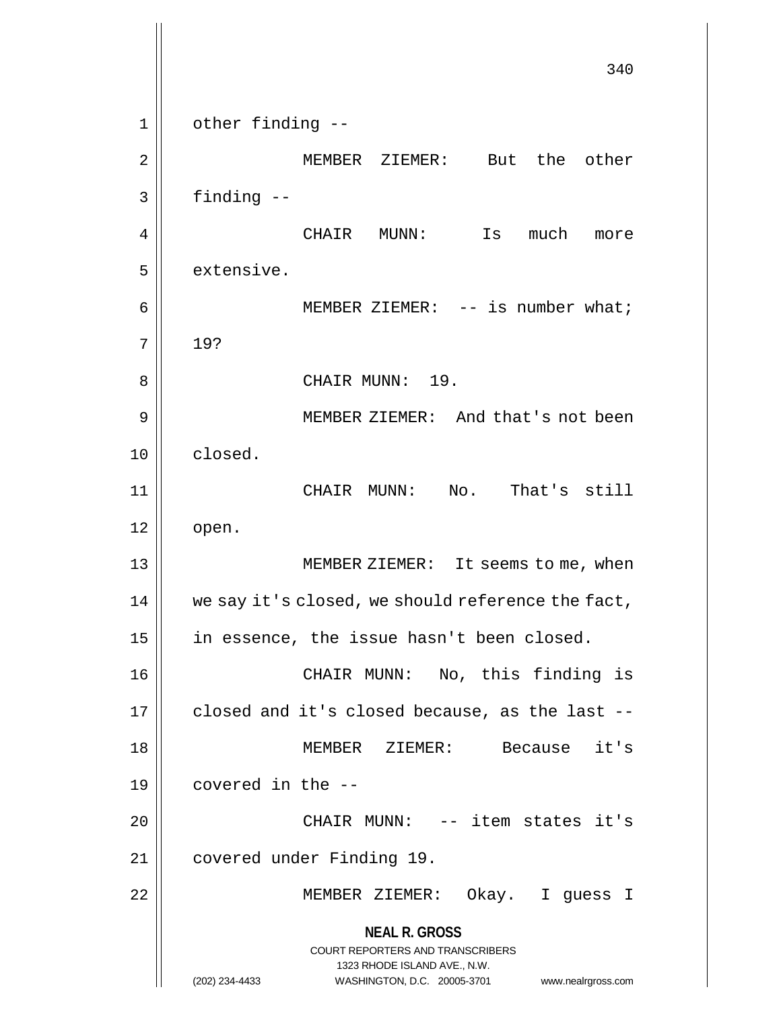**NEAL R. GROSS** COURT REPORTERS AND TRANSCRIBERS 1323 RHODE ISLAND AVE., N.W. (202) 234-4433 WASHINGTON, D.C. 20005-3701 www.nealrgross.com 340 1 || other finding --2 MEMBER ZIEMER: But the other  $3 \parallel$  finding  $-$ 4 CHAIR MUNN: Is much more  $5$  | extensive. 6 || MEMBER ZIEMER: -- is number what;  $7 \parallel 19?$ 8 CHAIR MUNN: 19. 9 || MEMBER ZIEMER: And that's not been 10 closed. 11 CHAIR MUNN: No. That's still  $12 \parallel$  open. 13 || MEMBER ZIEMER: It seems to me, when  $14$  we say it's closed, we should reference the fact, 15 || in essence, the issue hasn't been closed. 16 || CHAIR MUNN: No, this finding is  $17$  | closed and it's closed because, as the last --18 MEMBER ZIEMER: Because it's  $19 \parallel$  covered in the  $-$ 20 CHAIR MUNN: -- item states it's 21 | covered under Finding 19. 22 MEMBER ZIEMER: Okay. I guess I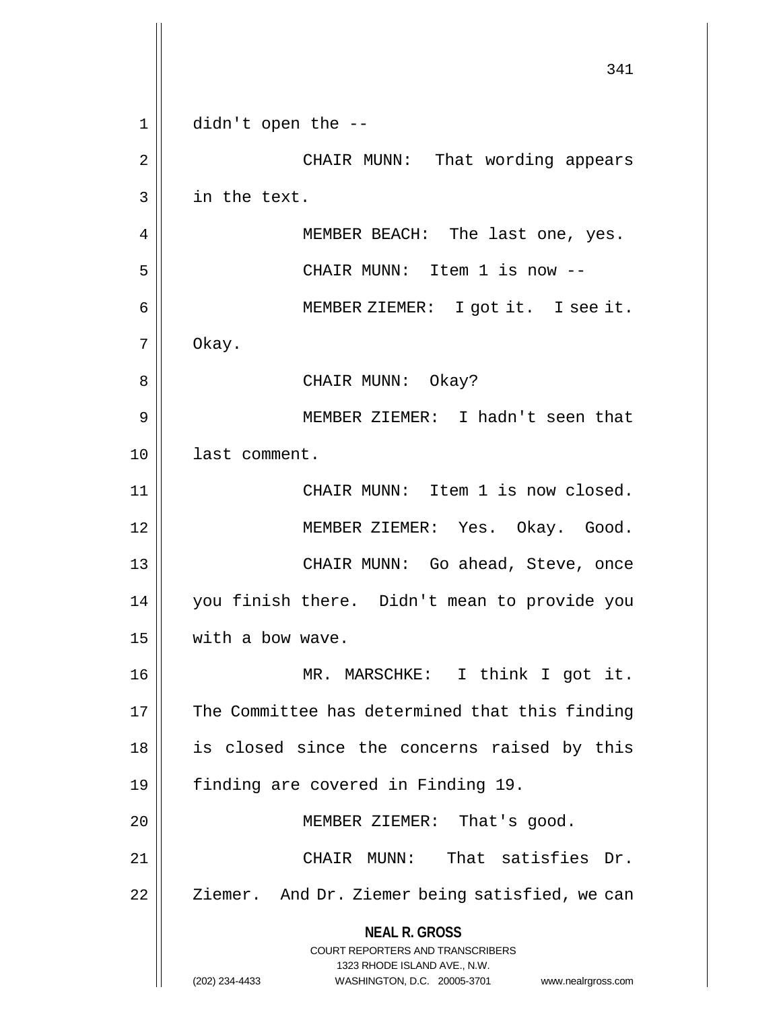**NEAL R. GROSS** COURT REPORTERS AND TRANSCRIBERS 1323 RHODE ISLAND AVE., N.W. (202) 234-4433 WASHINGTON, D.C. 20005-3701 www.nealrgross.com 341  $1 ||$  didn't open the  $-$ 2 CHAIR MUNN: That wording appears 3 in the text. 4 MEMBER BEACH: The last one, yes. 5 CHAIR MUNN: Item 1 is now -- 6 MEMBER ZIEMER: I got it. I see it. 7 Okay. 8 CHAIR MUNN: Okay? 9 MEMBER ZIEMER: I hadn't seen that 10 last comment. 11 || CHAIR MUNN: Item 1 is now closed. 12 MEMBER ZIEMER: Yes. Okay. Good. 13 CHAIR MUNN: Go ahead, Steve, once 14 you finish there. Didn't mean to provide you 15 | with a bow wave. 16 MR. MARSCHKE: I think I got it. 17 || The Committee has determined that this finding 18 || is closed since the concerns raised by this 19 finding are covered in Finding 19. 20 || MEMBER ZIEMER: That's good. 21 CHAIR MUNN: That satisfies Dr. 22 || Ziemer. And Dr. Ziemer being satisfied, we can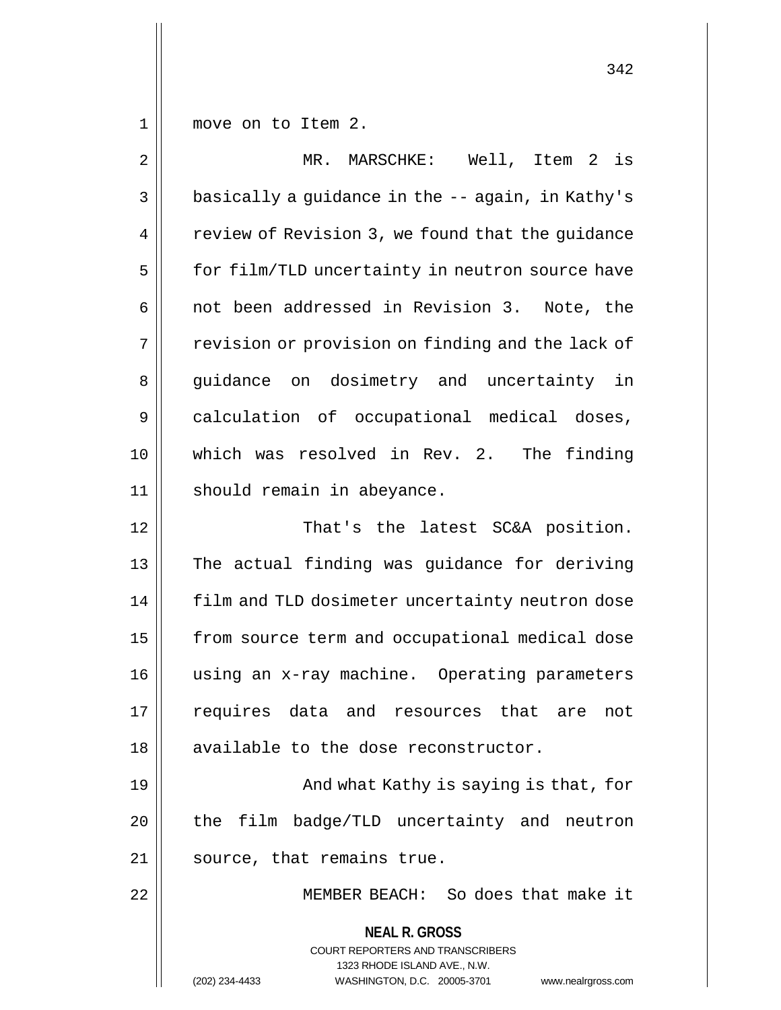$1 \parallel$  move on to Item 2.

| $\overline{2}$ | MR. MARSCHKE: Well, Item 2 is                                       |
|----------------|---------------------------------------------------------------------|
| $\mathbf{3}$   | basically a guidance in the -- again, in Kathy's                    |
| 4              | review of Revision 3, we found that the guidance                    |
| 5              | for film/TLD uncertainty in neutron source have                     |
| 6              | not been addressed in Revision 3. Note, the                         |
| 7              | revision or provision on finding and the lack of                    |
| 8              | guidance on dosimetry and uncertainty in                            |
| 9              | calculation of occupational medical doses,                          |
| 10             | which was resolved in Rev. 2. The finding                           |
| 11             | should remain in abeyance.                                          |
| 12             | That's the latest SC&A position.                                    |
| 13             | The actual finding was guidance for deriving                        |
| 14             | film and TLD dosimeter uncertainty neutron dose                     |
| 15             | from source term and occupational medical dose                      |
| 16             | using an x-ray machine. Operating parameters                        |
| 17             | requires<br>data<br>and resources<br>that<br>not<br>are             |
| 18             | available to the dose reconstructor.                                |
| 19             | And what Kathy is saying is that, for                               |
| 20             | the film badge/TLD uncertainty and neutron                          |
| 21             | source, that remains true.                                          |
| 22             | MEMBER BEACH: So does that make it                                  |
|                |                                                                     |
|                | <b>NEAL R. GROSS</b><br><b>COURT REPORTERS AND TRANSCRIBERS</b>     |
|                | 1323 RHODE ISLAND AVE., N.W.                                        |
|                | (202) 234-4433<br>WASHINGTON, D.C. 20005-3701<br>www.nealrgross.com |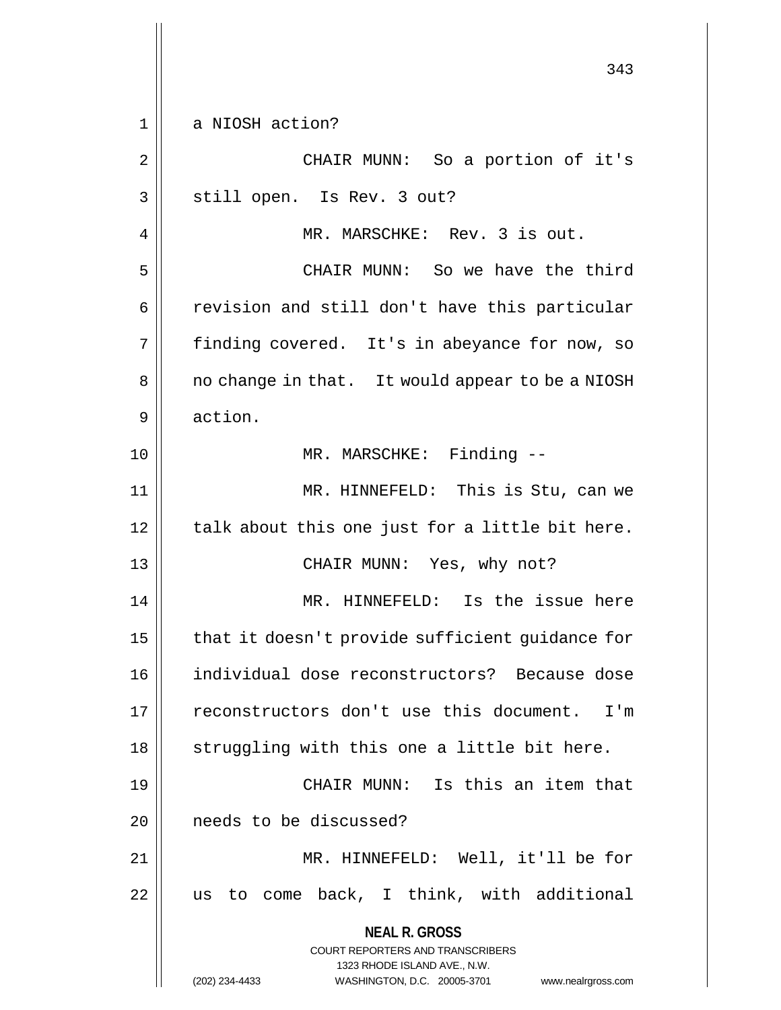**NEAL R. GROSS** COURT REPORTERS AND TRANSCRIBERS 1323 RHODE ISLAND AVE., N.W. (202) 234-4433 WASHINGTON, D.C. 20005-3701 www.nealrgross.com 343 1 || a NIOSH action? 2 || CHAIR MUNN: So a portion of it's 3 || still open. Is Rev. 3 out? 4 MR. MARSCHKE: Rev. 3 is out. 5 CHAIR MUNN: So we have the third 6 || revision and still don't have this particular 7 || finding covered. It's in abeyance for now, so 8 | | no change in that. It would appear to be a NIOSH 9 || action. 10 || MR. MARSCHKE: Finding --11 MR. HINNEFELD: This is Stu, can we  $12$  | talk about this one just for a little bit here. 13 CHAIR MUNN: Yes, why not? 14 || MR. HINNEFELD: Is the issue here 15  $\parallel$  that it doesn't provide sufficient guidance for 16 individual dose reconstructors? Because dose 17 || reconstructors don't use this document. I'm  $18$   $\parallel$  struggling with this one a little bit here. 19 CHAIR MUNN: Is this an item that 20 **l** needs to be discussed? 21 || MR. HINNEFELD: Well, it'll be for  $22$  || us to come back, I think, with additional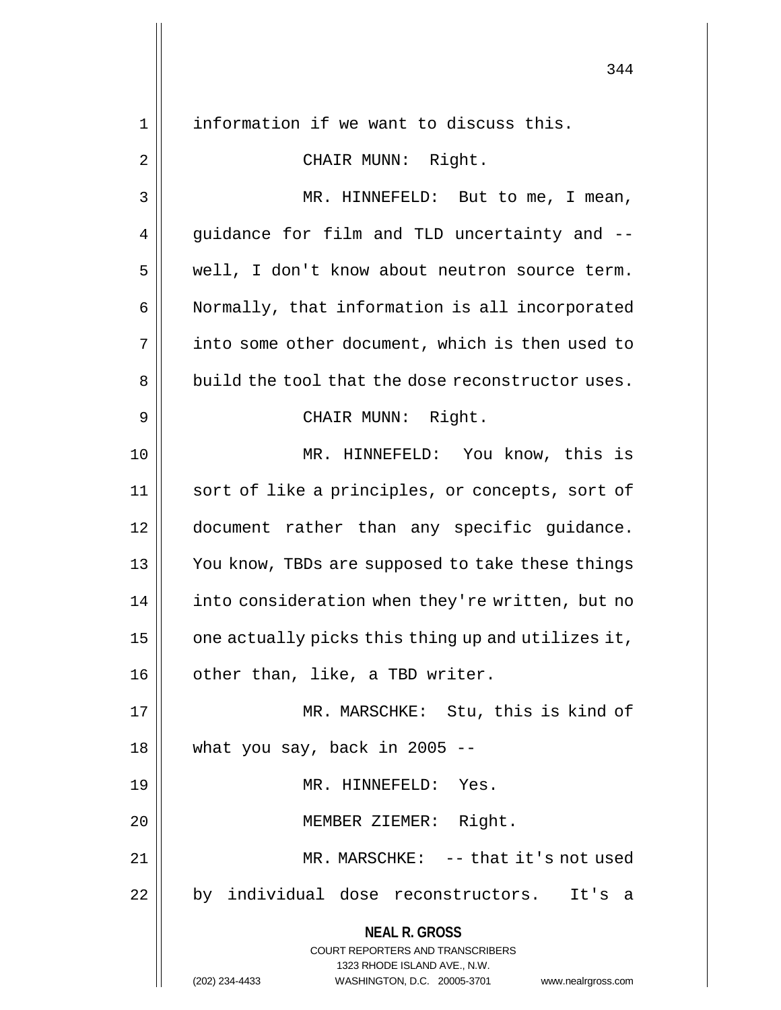**NEAL R. GROSS** COURT REPORTERS AND TRANSCRIBERS 1323 RHODE ISLAND AVE., N.W. (202) 234-4433 WASHINGTON, D.C. 20005-3701 www.nealrgross.com 1 || information if we want to discuss this. 2 || CHAIR MUNN: Right. 3 || MR. HINNEFELD: But to me, I mean, 4 || guidance for film and TLD uncertainty and --5 | well, I don't know about neutron source term. 6 Normally, that information is all incorporated 7 | into some other document, which is then used to  $8 \parallel$  build the tool that the dose reconstructor uses. 9 || CHAIR MUNN: Right. 10 || MR. HINNEFELD: You know, this is 11 || sort of like a principles, or concepts, sort of 12 document rather than any specific guidance. 13 || You know, TBDs are supposed to take these things 14 | into consideration when they're written, but no 15  $\parallel$  one actually picks this thing up and utilizes it, 16 || other than, like, a TBD writer. 17 MR. MARSCHKE: Stu, this is kind of  $18$  | what you say, back in 2005 --19 MR. HINNEFELD: Yes. 20 || MEMBER ZIEMER: Right. 21 || MR. MARSCHKE: -- that it's not used 22 || by individual dose reconstructors. It's a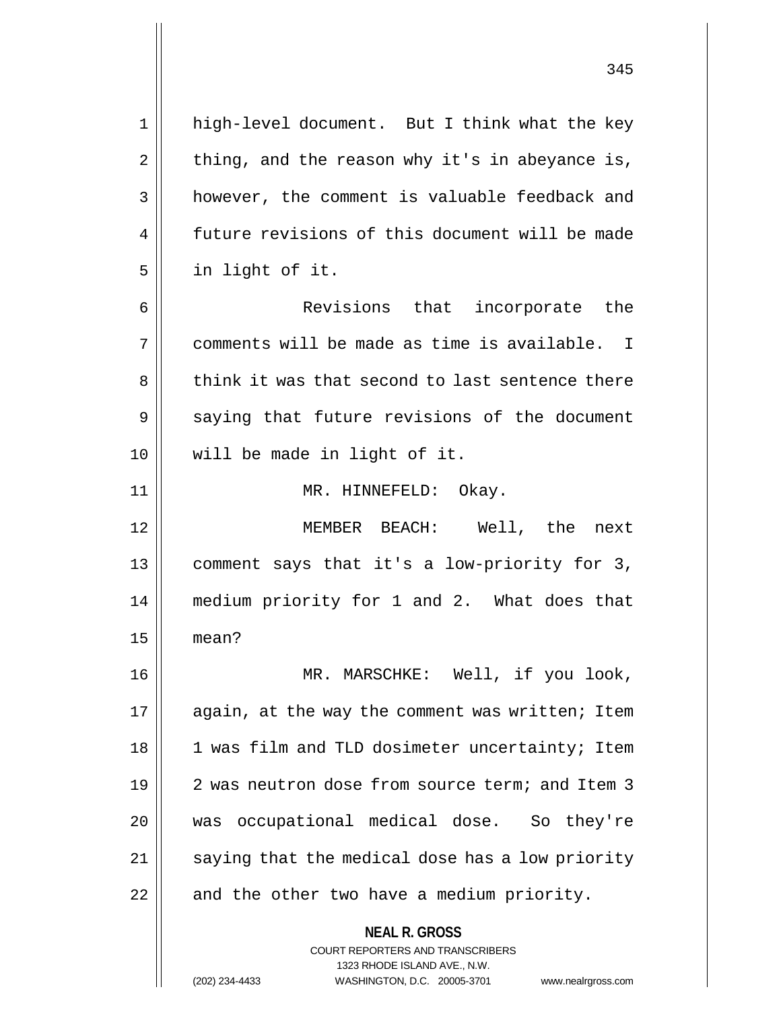**NEAL R. GROSS** COURT REPORTERS AND TRANSCRIBERS 1 high-level document. But I think what the key  $2 \parallel$  thing, and the reason why it's in abeyance is, 3 | however, the comment is valuable feedback and 4 future revisions of this document will be made  $5 \parallel$  in light of it. 6 Revisions that incorporate the 7 comments will be made as time is available. I 8 || think it was that second to last sentence there 9 Saying that future revisions of the document 10 will be made in light of it. 11 || MR. HINNEFELD: Okay. 12 MEMBER BEACH: Well, the next 13 comment says that it's a low-priority for 3, 14 medium priority for 1 and 2. What does that  $15$  mean? 16 MR. MARSCHKE: Well, if you look,  $17$  | again, at the way the comment was written; Item 18 || 1 was film and TLD dosimeter uncertainty; Item 19 || 2 was neutron dose from source term; and Item 3 20 || was occupational medical dose. So they're  $21$  | saying that the medical dose has a low priority  $22$  | and the other two have a medium priority.

1323 RHODE ISLAND AVE., N.W.

345

(202) 234-4433 WASHINGTON, D.C. 20005-3701 www.nealrgross.com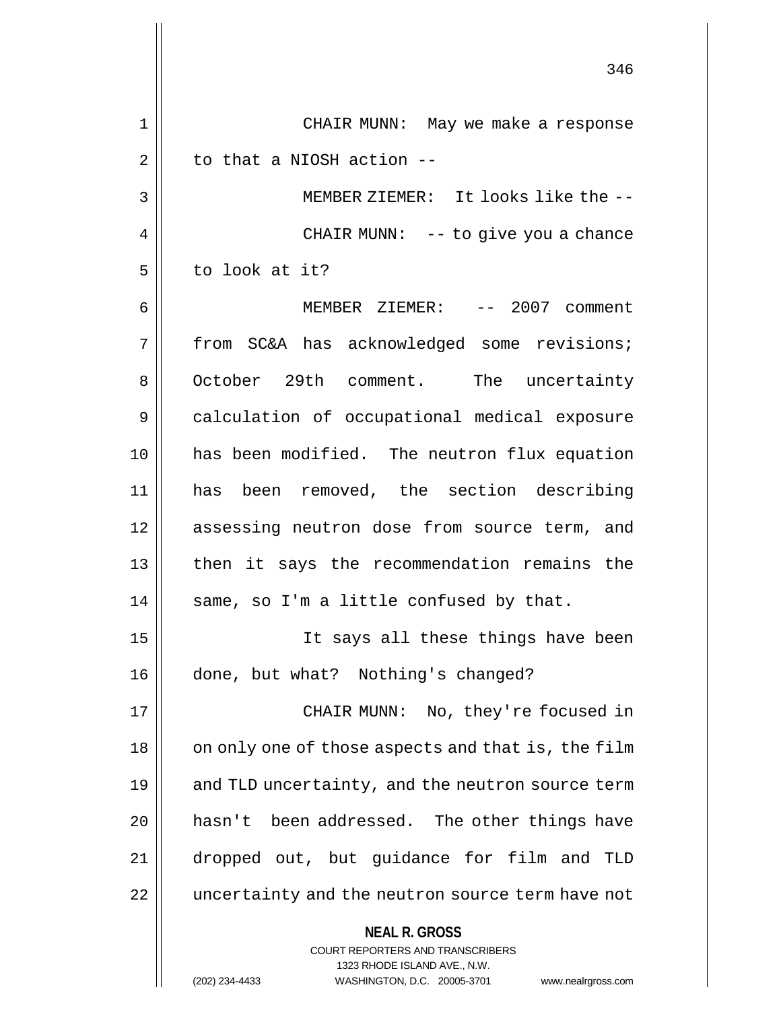**NEAL R. GROSS** COURT REPORTERS AND TRANSCRIBERS 1323 RHODE ISLAND AVE., N.W. 346 1 CHAIR MUNN: May we make a response  $2 \parallel$  to that a NIOSH action --3 || MEMBER ZIEMER: It looks like the --4 || CHAIR MUNN: -- to give you a chance 5 l to look at it? 6 MEMBER ZIEMER: -- 2007 comment 7 from SC&A has acknowledged some revisions; 8 | October 29th comment. The uncertainty 9 calculation of occupational medical exposure 10 has been modified. The neutron flux equation 11 has been removed, the section describing 12 || assessing neutron dose from source term, and 13 then it says the recommendation remains the  $14$  | same, so I'm a little confused by that. 15 It says all these things have been 16 | done, but what? Nothing's changed? 17 CHAIR MUNN: No, they're focused in 18 || on only one of those aspects and that is, the film 19 || and TLD uncertainty, and the neutron source term  $20$  | hasn't been addressed. The other things have 21 dropped out, but guidance for film and TLD 22 || uncertainty and the neutron source term have not

(202) 234-4433 WASHINGTON, D.C. 20005-3701 www.nealrgross.com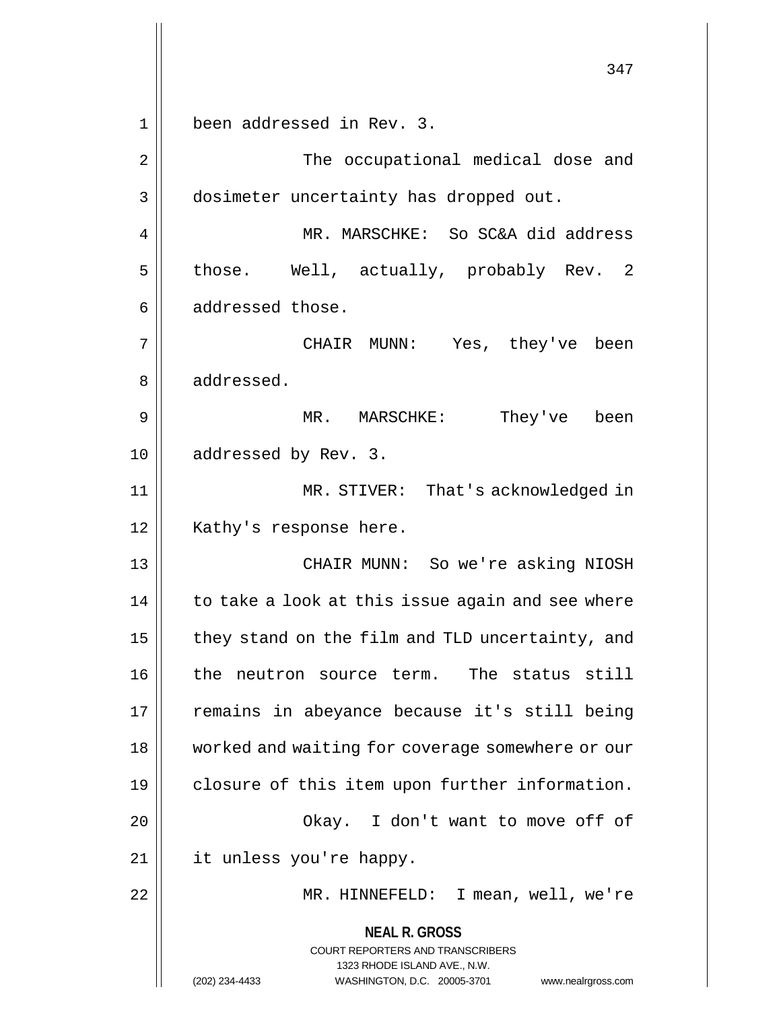**NEAL R. GROSS** COURT REPORTERS AND TRANSCRIBERS 1323 RHODE ISLAND AVE., N.W. (202) 234-4433 WASHINGTON, D.C. 20005-3701 www.nealrgross.com 347 1 been addressed in Rev. 3. 2 || The occupational medical dose and 3 | dosimeter uncertainty has dropped out. 4 MR. MARSCHKE: So SC&A did address  $5 \parallel$  those. Well, actually, probably Rev. 2  $6 \parallel$  addressed those. 7 CHAIR MUNN: Yes, they've been 8 addressed. 9 MR. MARSCHKE: They've been 10 || addressed by Rev. 3. 11 MR. STIVER: That's acknowledged in 12 || Kathy's response here. 13 CHAIR MUNN: So we're asking NIOSH  $14$  | to take a look at this issue again and see where  $15$  | they stand on the film and TLD uncertainty, and 16 || the neutron source term. The status still 17 || remains in abeyance because it's still being 18 || worked and waiting for coverage somewhere or our 19 || closure of this item upon further information. 20 Okay. I don't want to move off of 21 it unless you're happy. 22 MR. HINNEFELD: I mean, well, we're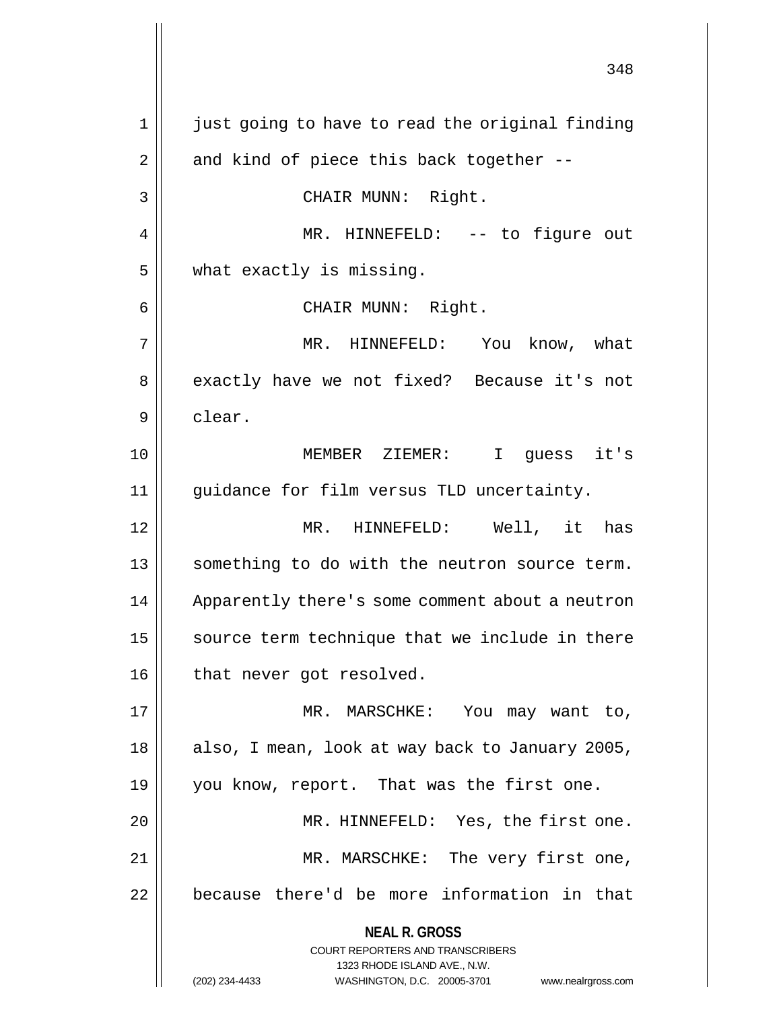**NEAL R. GROSS** COURT REPORTERS AND TRANSCRIBERS 1323 RHODE ISLAND AVE., N.W. (202) 234-4433 WASHINGTON, D.C. 20005-3701 www.nealrgross.com 1 just going to have to read the original finding  $2 \parallel$  and kind of piece this back together --3 || CHAIR MUNN: Right. 4 || MR. HINNEFELD: -- to figure out 5 | what exactly is missing. 6 || CHAIR MUNN: Right. 7 MR. HINNEFELD: You know, what 8 || exactly have we not fixed? Because it's not 9 | clear. 10 MEMBER ZIEMER: I guess it's 11 guidance for film versus TLD uncertainty. 12 MR. HINNEFELD: Well, it has 13 || something to do with the neutron source term. 14 | Apparently there's some comment about a neutron  $15$  source term technique that we include in there 16 | that never got resolved. 17 || MR. MARSCHKE: You may want to, 18 || also, I mean, look at way back to January 2005, 19 || you know, report. That was the first one. 20 || MR. HINNEFELD: Yes, the first one. 21 || MR. MARSCHKE: The very first one, 22 | because there'd be more information in that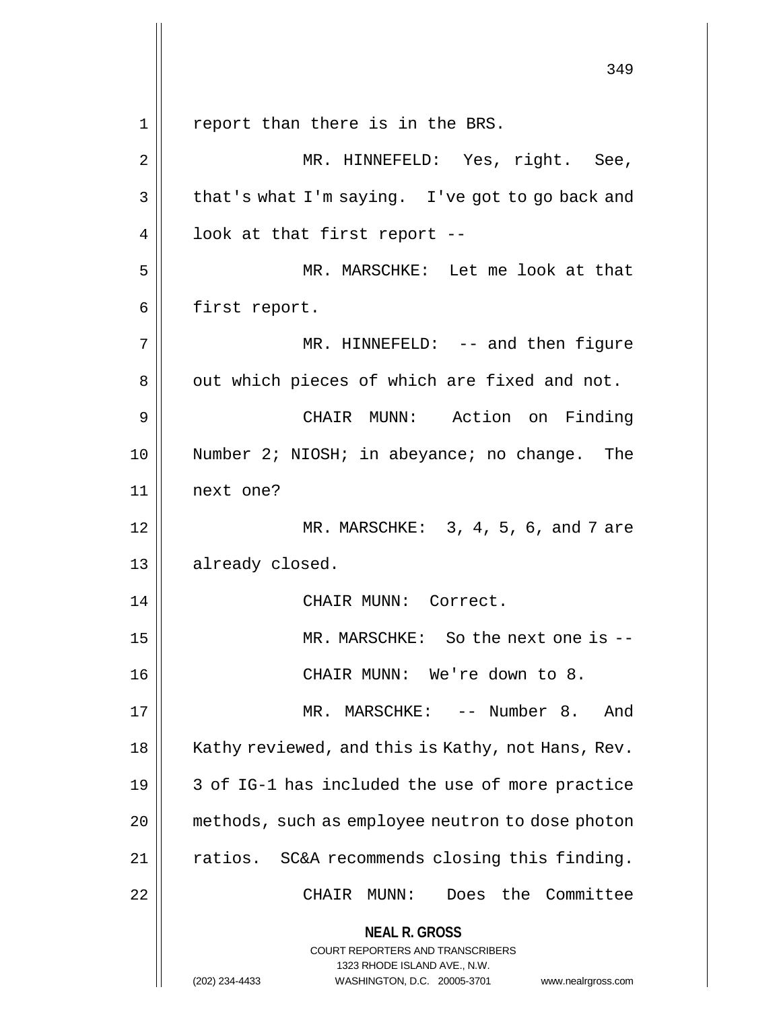**NEAL R. GROSS** COURT REPORTERS AND TRANSCRIBERS 1323 RHODE ISLAND AVE., N.W. (202) 234-4433 WASHINGTON, D.C. 20005-3701 www.nealrgross.com 349 1 || report than there is in the BRS. 2 || MR. HINNEFELD: Yes, right. See,  $3 \parallel$  that's what I'm saying. I've got to go back and  $4 \parallel$  look at that first report --5 MR. MARSCHKE: Let me look at that 6 | first report. 7 MR. HINNEFELD: -- and then figure 8 || out which pieces of which are fixed and not. 9 CHAIR MUNN: Action on Finding 10 || Number 2; NIOSH; in abeyance; no change. The 11 next one? 12 MR. MARSCHKE: 3, 4, 5, 6, and 7 are 13 || already closed. 14 || CHAIR MUNN: Correct. 15 MR. MARSCHKE: So the next one is -- 16 CHAIR MUNN: We're down to 8. 17 MR. MARSCHKE: -- Number 8. And 18 | Kathy reviewed, and this is Kathy, not Hans, Rev.  $19 \parallel 3$  of IG-1 has included the use of more practice 20 methods, such as employee neutron to dose photon 21 | ratios. SC&A recommends closing this finding. 22 | CHAIR MUNN: Does the Committee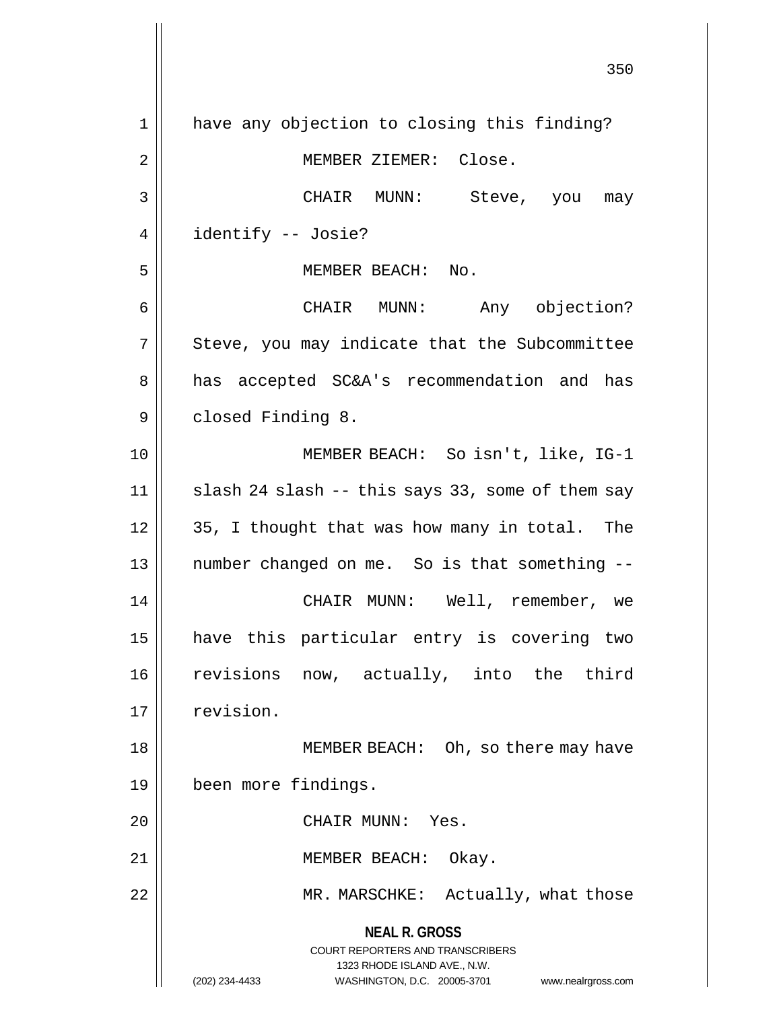**NEAL R. GROSS** COURT REPORTERS AND TRANSCRIBERS 1323 RHODE ISLAND AVE., N.W. (202) 234-4433 WASHINGTON, D.C. 20005-3701 www.nealrgross.com 350 1 || have any objection to closing this finding? 2 | MEMBER ZIEMER: Close. 3 CHAIR MUNN: Steve, you may 4 | identify -- Josie? 5 MEMBER BEACH: No. 6 CHAIR MUNN: Any objection?  $7 \parallel$  Steve, you may indicate that the Subcommittee 8 || has accepted SC&A's recommendation and has 9 | closed Finding 8. 10 MEMBER BEACH: So isn't, like, IG-1  $11$  | slash 24 slash -- this says 33, some of them say  $12 \parallel 35$ , I thought that was how many in total. The  $13$  || number changed on me. So is that something  $-$ 14 CHAIR MUNN: Well, remember, we 15 have this particular entry is covering two 16 revisions now, actually, into the third 17 | revision. 18 MEMBER BEACH: Oh, so there may have 19 been more findings. 20 || CHAIR MUNN: Yes. 21 || MEMBER BEACH: Okay. 22 MR. MARSCHKE: Actually, what those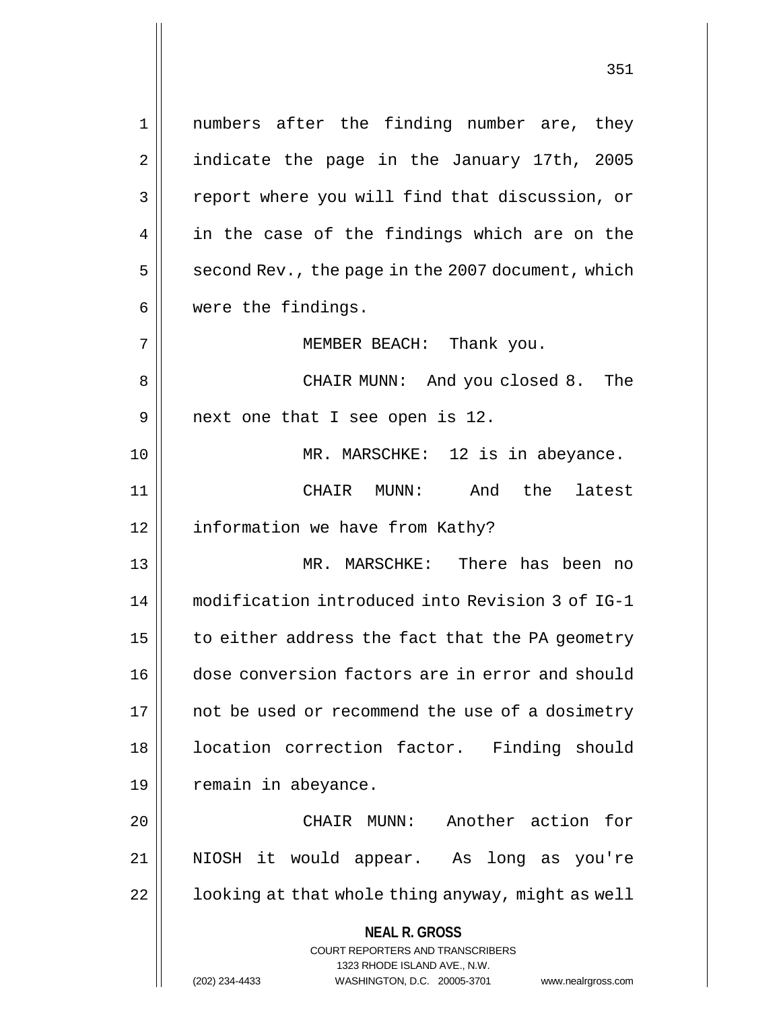**NEAL R. GROSS** COURT REPORTERS AND TRANSCRIBERS 1323 RHODE ISLAND AVE., N.W. (202) 234-4433 WASHINGTON, D.C. 20005-3701 www.nealrgross.com 1 numbers after the finding number are, they 2 | indicate the page in the January 17th, 2005 3 | report where you will find that discussion, or 4 || in the case of the findings which are on the  $5 \parallel$  second Rev., the page in the 2007 document, which 6 were the findings. 7 MEMBER BEACH: Thank you. 8 CHAIR MUNN: And you closed 8. The  $9 \parallel$  next one that I see open is 12. 10 MR. MARSCHKE: 12 is in abeyance. 11 CHAIR MUNN: And the latest 12 | information we have from Kathy? 13 MR. MARSCHKE: There has been no 14 modification introduced into Revision 3 of IG-1 15  $\parallel$  to either address the fact that the PA geometry 16 dose conversion factors are in error and should 17 || not be used or recommend the use of a dosimetry 18 | location correction factor. Finding should 19 | remain in abeyance. 20 CHAIR MUNN: Another action for 21 NIOSH it would appear. As long as you're  $22$  |  $\vert$  100king at that whole thing anyway, might as well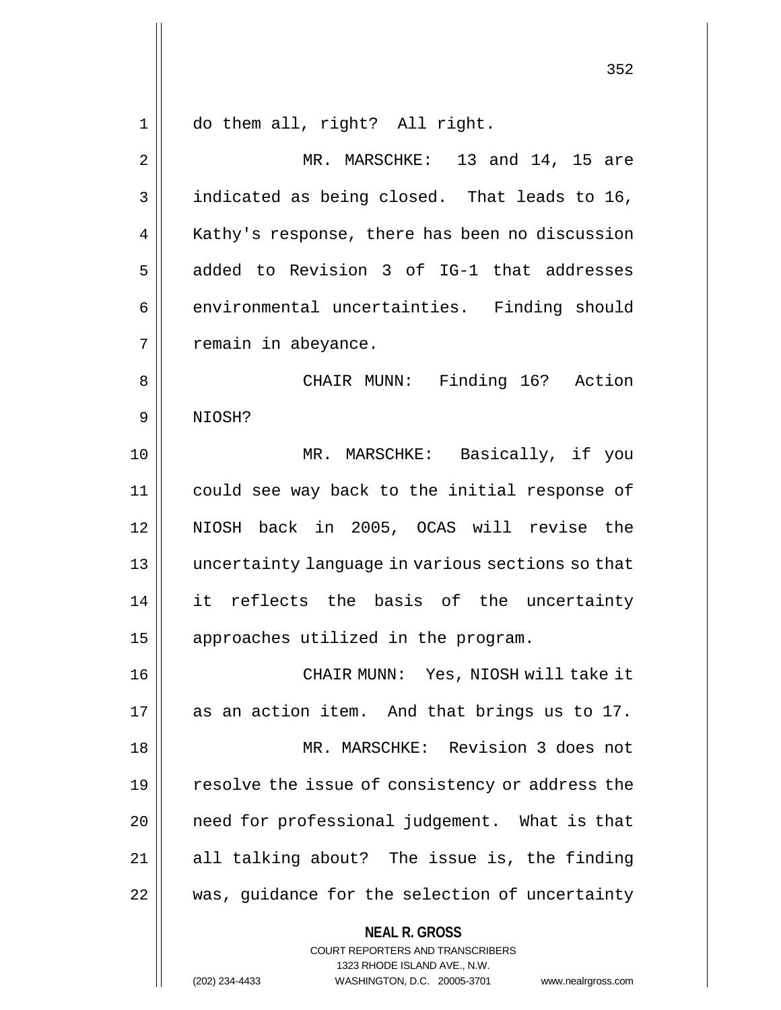1 do them all, right? All right.

2 || MR. MARSCHKE: 13 and 14, 15 are 3 | indicated as being closed. That leads to 16, 4 | Kathy's response, there has been no discussion  $5 \parallel$  added to Revision 3 of IG-1 that addresses 6 | environmental uncertainties. Finding should  $7 \parallel$  remain in abeyance. 8 CHAIR MUNN: Finding 16? Action 9 NIOSH? 10 || MR. MARSCHKE: Basically, if you 11 could see way back to the initial response of 12 NIOSH back in 2005, OCAS will revise the 13 uncertainty language in various sections so that 14 it reflects the basis of the uncertainty 15 | approaches utilized in the program. 16 CHAIR MUNN: Yes, NIOSH will take it 17 || as an action item. And that brings us to 17. 18 MR. MARSCHKE: Revision 3 does not 19 || resolve the issue of consistency or address the 20 || need for professional judgement. What is that  $21$  || all talking about? The issue is, the finding

22 || was, guidance for the selection of uncertainty

**NEAL R. GROSS**

COURT REPORTERS AND TRANSCRIBERS 1323 RHODE ISLAND AVE., N.W. (202) 234-4433 WASHINGTON, D.C. 20005-3701 www.nealrgross.com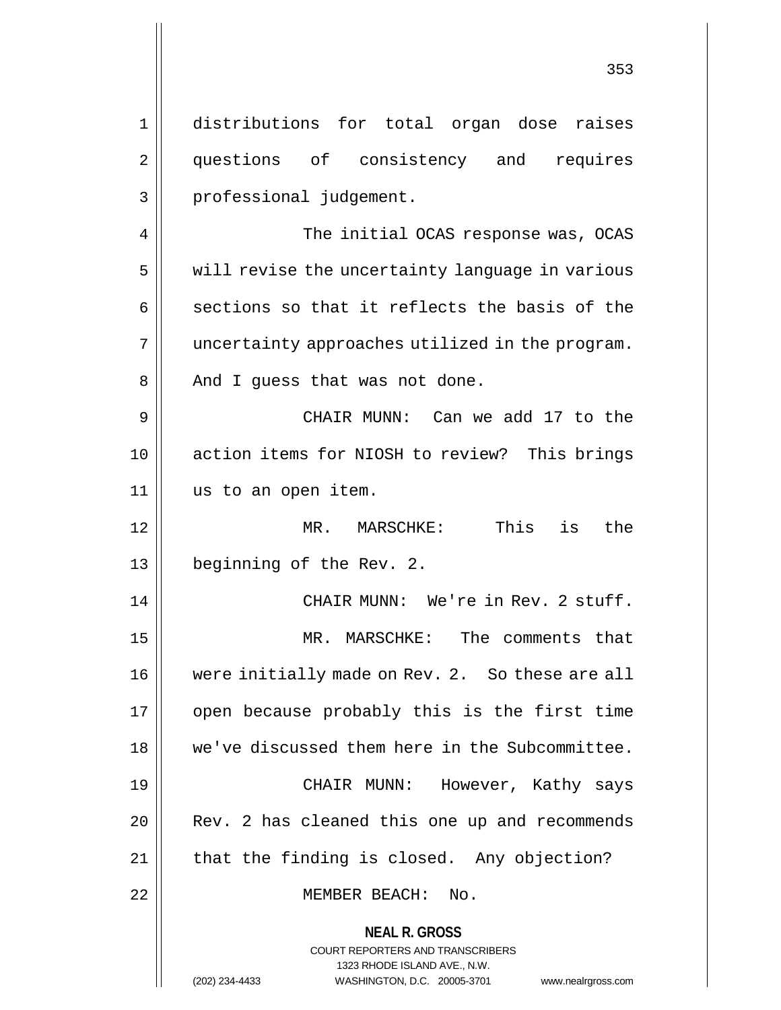**NEAL R. GROSS** COURT REPORTERS AND TRANSCRIBERS 1323 RHODE ISLAND AVE., N.W. 1 distributions for total organ dose raises 2 || questions of consistency and requires 3 || professional judgement. 4 || The initial OCAS response was, OCAS 5 | will revise the uncertainty language in various  $6 \parallel$  sections so that it reflects the basis of the 7 || uncertainty approaches utilized in the program. 8 || And I guess that was not done. 9 CHAIR MUNN: Can we add 17 to the 10 action items for NIOSH to review? This brings 11 us to an open item. 12 MR. MARSCHKE: This is the 13 beginning of the Rev. 2. 14 || CHAIR MUNN: We're in Rev. 2 stuff. 15 MR. MARSCHKE: The comments that 16 | were initially made on Rev. 2. So these are all 17 || open because probably this is the first time 18 we've discussed them here in the Subcommittee. 19 CHAIR MUNN: However, Kathy says 20 || Rev. 2 has cleaned this one up and recommends  $21$  | that the finding is closed. Any objection? 22 MEMBER BEACH: No.

(202) 234-4433 WASHINGTON, D.C. 20005-3701 www.nealrgross.com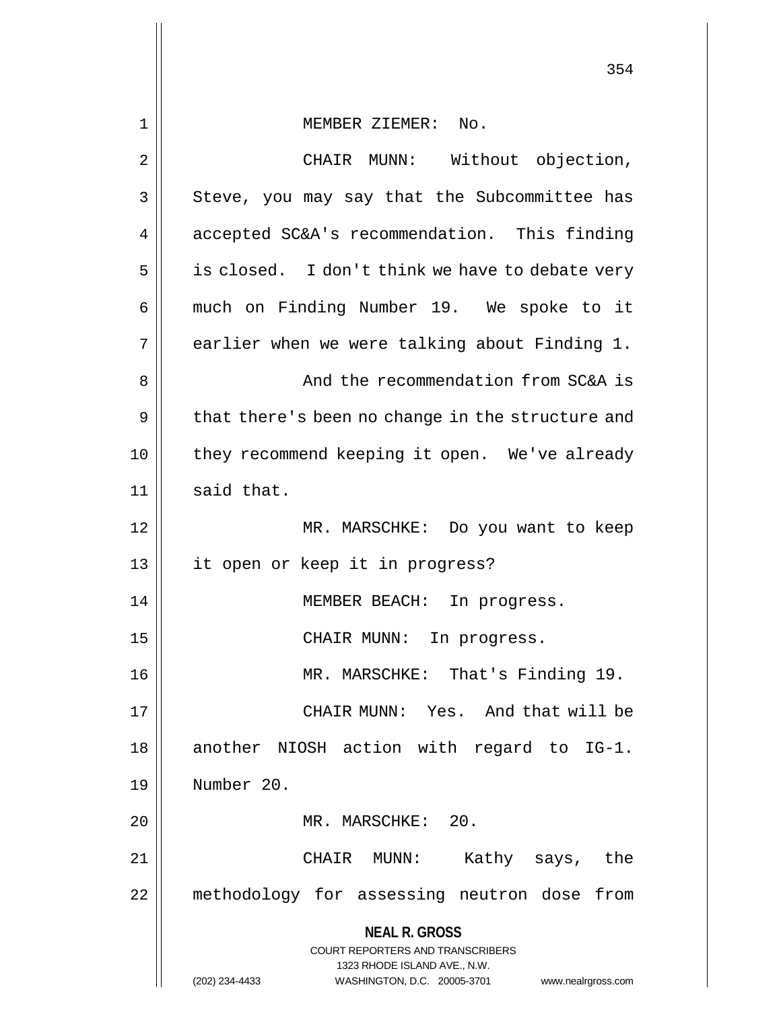**NEAL R. GROSS** COURT REPORTERS AND TRANSCRIBERS 1323 RHODE ISLAND AVE., N.W. 1 MEMBER ZIEMER: No. 2 || CHAIR MUNN: Without objection, 3 || Steve, you may say that the Subcommittee has 4 | accepted SC&A's recommendation. This finding  $5 \parallel$  is closed. I don't think we have to debate very 6 || much on Finding Number 19. We spoke to it  $7 \parallel$  earlier when we were talking about Finding 1. 8 And the recommendation from SC&A is 9 || that there's been no change in the structure and 10 || they recommend keeping it open. We've already  $11$  said that. 12 MR. MARSCHKE: Do you want to keep 13 || it open or keep it in progress? 14 || MEMBER BEACH: In progress. 15 || CHAIR MUNN: In progress. 16 MR. MARSCHKE: That's Finding 19. 17 CHAIR MUNN: Yes. And that will be 18 || another NIOSH action with regard to IG-1. 19 Number 20. 20 || MR. MARSCHKE: 20. 21 CHAIR MUNN: Kathy says, the 22 methodology for assessing neutron dose from

(202) 234-4433 WASHINGTON, D.C. 20005-3701 www.nealrgross.com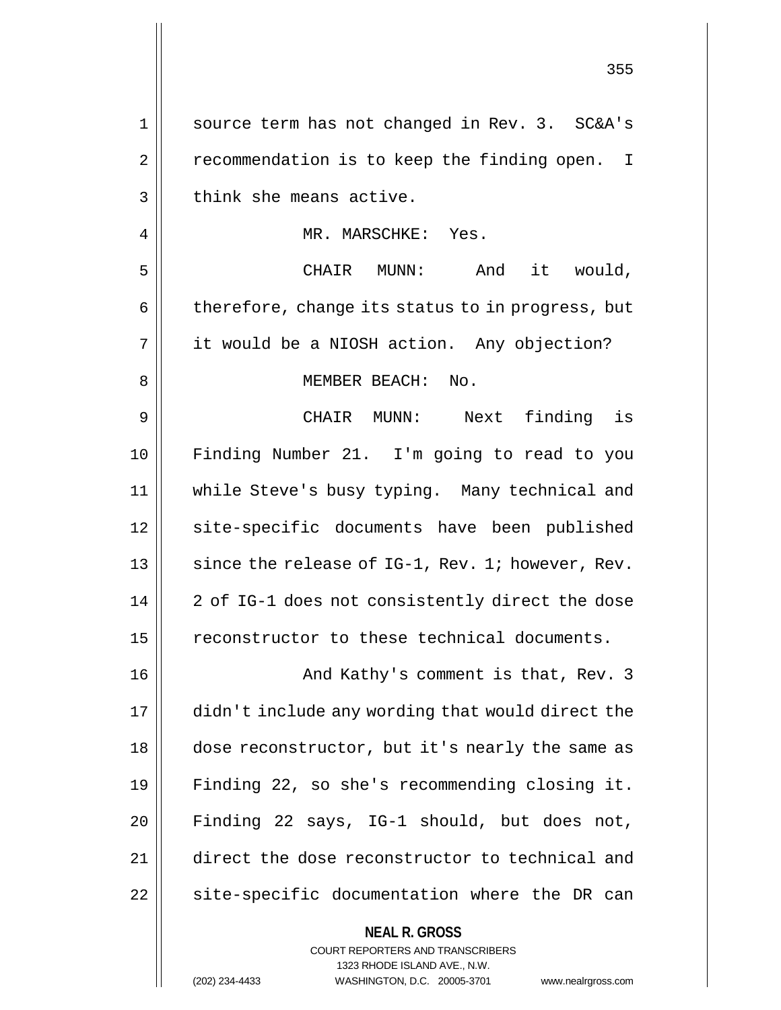| 1  | source term has not changed in Rev. 3. SC&A's            |
|----|----------------------------------------------------------|
| 2  | recommendation is to keep the finding open. I            |
| 3  | think she means active.                                  |
| 4  | MR. MARSCHKE: Yes.                                       |
| 5  | And it would,<br>CHAIR MUNN:                             |
| 6  | therefore, change its status to in progress, but         |
| 7  | it would be a NIOSH action. Any objection?               |
| 8  | MEMBER BEACH: No.                                        |
| 9  | CHAIR MUNN: Next finding is                              |
| 10 | Finding Number 21. I'm going to read to you              |
| 11 | while Steve's busy typing. Many technical and            |
| 12 | site-specific documents have been published              |
| 13 | since the release of IG-1, Rev. 1; however, Rev.         |
| 14 | 2 of IG-1 does not consistently direct the dose          |
| 15 | reconstructor to these technical documents.              |
| 16 | And Kathy's comment is that, Rev. 3                      |
| 17 | didn't include any wording that would direct the         |
| 18 | dose reconstructor, but it's nearly the same as          |
| 19 | Finding 22, so she's recommending closing it.            |
| 20 | Finding 22 says, IG-1 should, but does not,              |
| 21 | direct the dose reconstructor to technical and           |
| 22 | site-specific documentation where the DR can             |
|    | <b>NEAL R. GROSS</b><br>COURT REPORTERS AND TRANSCRIBERS |

1323 RHODE ISLAND AVE., N.W.

 $\prod$ 

(202) 234-4433 WASHINGTON, D.C. 20005-3701 www.nealrgross.com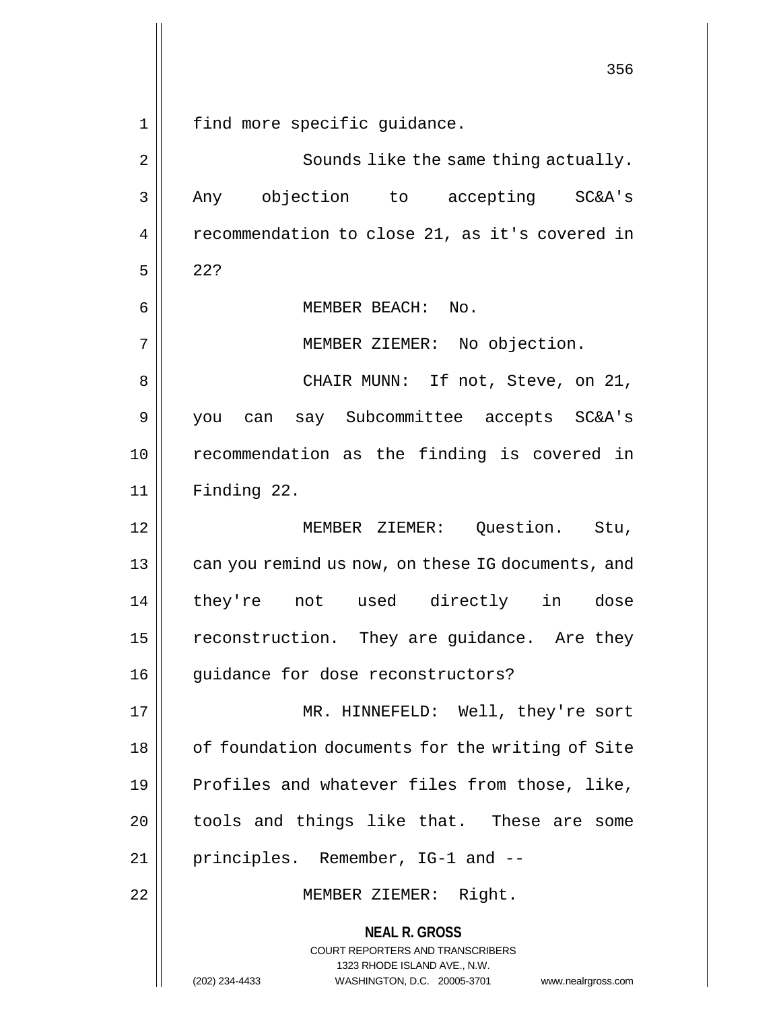**NEAL R. GROSS** COURT REPORTERS AND TRANSCRIBERS 1323 RHODE ISLAND AVE., N.W. (202) 234-4433 WASHINGTON, D.C. 20005-3701 www.nealrgross.com 356 1 || find more specific guidance. 2 || Sounds like the same thing actually. 3 Any objection to accepting SC&A's 4 | recommendation to close 21, as it's covered in  $5 \parallel 22?$ 6 || MEMBER BEACH: No. 7 | MEMBER ZIEMER: No objection. 8 CHAIR MUNN: If not, Steve, on 21, 9 you can say Subcommittee accepts SC&A's 10 recommendation as the finding is covered in 11 Finding 22. 12 MEMBER ZIEMER: Question. Stu, 13 || can you remind us now, on these IG documents, and 14 they're not used directly in dose 15 | reconstruction. They are guidance. Are they 16 || guidance for dose reconstructors? 17 MR. HINNEFELD: Well, they're sort 18 || of foundation documents for the writing of Site  $19$  | Profiles and whatever files from those, like, 20 || tools and things like that. These are some 21 || principles. Remember, IG-1 and --22 || MEMBER ZIEMER: Right.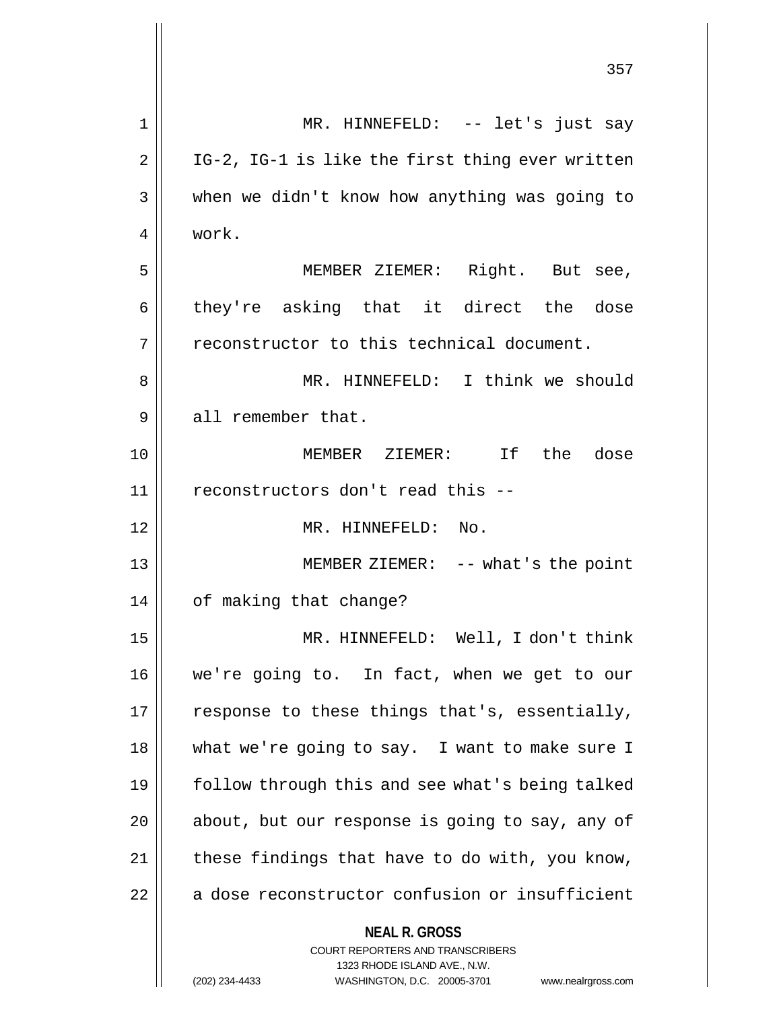|                | 357                                                                                                                                                                    |
|----------------|------------------------------------------------------------------------------------------------------------------------------------------------------------------------|
| 1              | MR. HINNEFELD: -- let's just say                                                                                                                                       |
| $\overline{2}$ | IG-2, IG-1 is like the first thing ever written                                                                                                                        |
| 3              | when we didn't know how anything was going to                                                                                                                          |
| 4              | work.                                                                                                                                                                  |
| 5              | MEMBER ZIEMER: Right. But see,                                                                                                                                         |
| 6              | they're asking that it direct the dose                                                                                                                                 |
| 7              | reconstructor to this technical document.                                                                                                                              |
| 8              | MR. HINNEFELD: I think we should                                                                                                                                       |
| 9              | all remember that.                                                                                                                                                     |
| 10             | MEMBER ZIEMER: If the dose                                                                                                                                             |
| 11             | reconstructors don't read this --                                                                                                                                      |
| 12             | MR. HINNEFELD: No.                                                                                                                                                     |
| 13             | MEMBER ZIEMER: -- what's the point                                                                                                                                     |
| 14             | of making that change?                                                                                                                                                 |
| 15             | MR. HINNEFELD: Well, I don't think                                                                                                                                     |
| 16             | we're going to. In fact, when we get to our                                                                                                                            |
| 17             | response to these things that's, essentially,                                                                                                                          |
| 18             | what we're going to say. I want to make sure I                                                                                                                         |
| 19             | follow through this and see what's being talked                                                                                                                        |
| 20             | about, but our response is going to say, any of                                                                                                                        |
| 21             | these findings that have to do with, you know,                                                                                                                         |
| 22             | a dose reconstructor confusion or insufficient                                                                                                                         |
|                | <b>NEAL R. GROSS</b><br><b>COURT REPORTERS AND TRANSCRIBERS</b><br>1323 RHODE ISLAND AVE., N.W.<br>(202) 234-4433<br>WASHINGTON, D.C. 20005-3701<br>www.nealrgross.com |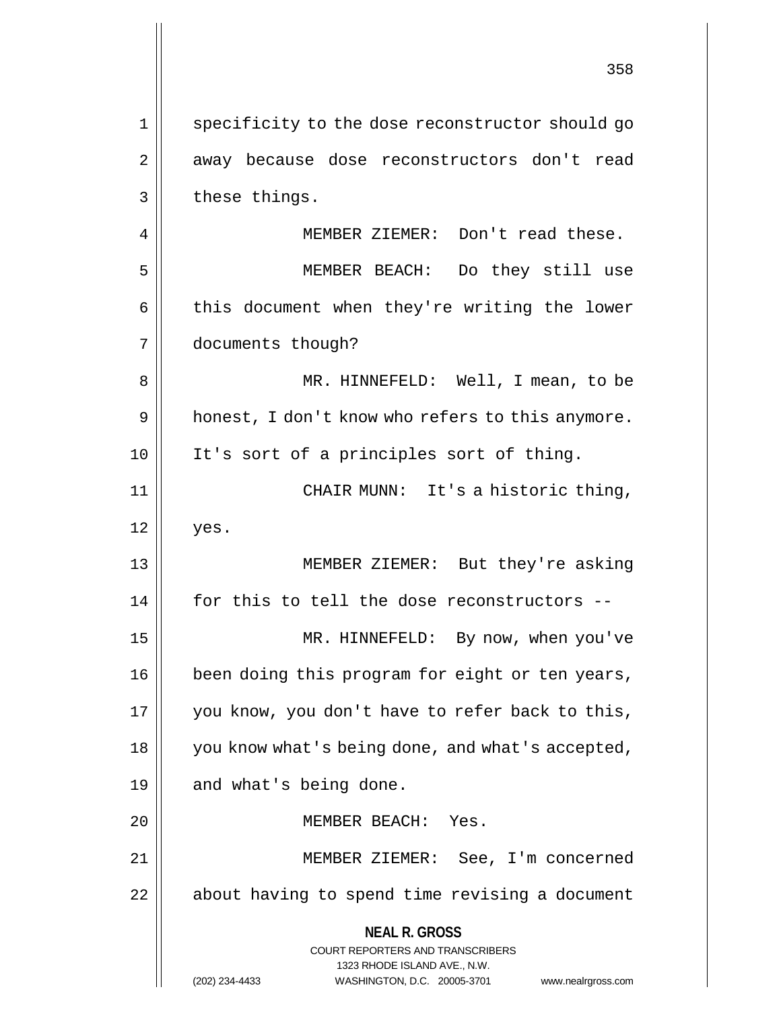**NEAL R. GROSS** COURT REPORTERS AND TRANSCRIBERS 1323 RHODE ISLAND AVE., N.W. (202) 234-4433 WASHINGTON, D.C. 20005-3701 www.nealrgross.com 1 || specificity to the dose reconstructor should go 2 || away because dose reconstructors don't read  $3 \parallel$  these things. 4 MEMBER ZIEMER: Don't read these. 5 MEMBER BEACH: Do they still use 6 | this document when they're writing the lower 7 documents though? 8 MR. HINNEFELD: Well, I mean, to be  $9 \parallel$  honest, I don't know who refers to this anymore. 10 It's sort of a principles sort of thing. 11 CHAIR MUNN: It's a historic thing,  $12 \parallel$  yes. 13 MEMBER ZIEMER: But they're asking 14 || for this to tell the dose reconstructors --15 MR. HINNEFELD: By now, when you've 16 | been doing this program for eight or ten years, 17 || you know, you don't have to refer back to this, 18 || you know what's being done, and what's accepted, 19 || and what's being done. 20 MEMBER BEACH: Yes. 21 MEMBER ZIEMER: See, I'm concerned 22 | about having to spend time revising a document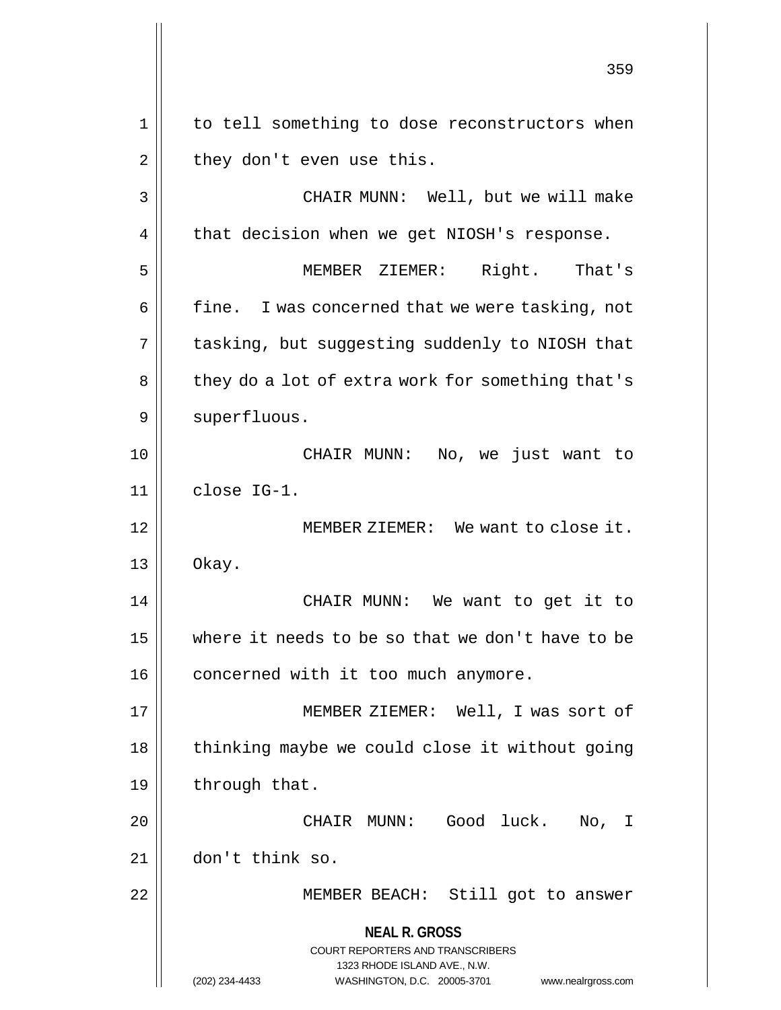**NEAL R. GROSS** COURT REPORTERS AND TRANSCRIBERS 1323 RHODE ISLAND AVE., N.W. (202) 234-4433 WASHINGTON, D.C. 20005-3701 www.nealrgross.com 359 1 || to tell something to dose reconstructors when  $2 \parallel$  they don't even use this. 3 CHAIR MUNN: Well, but we will make  $4 \parallel$  that decision when we get NIOSH's response. 5 MEMBER ZIEMER: Right. That's  $6 \parallel$  fine. I was concerned that we were tasking, not 7 | tasking, but suggesting suddenly to NIOSH that 8 || they do a lot of extra work for something that's 9 | superfluous. 10 CHAIR MUNN: No, we just want to  $11$  close IG-1. 12 MEMBER ZIEMER: We want to close it.  $13 \parallel$  Okay. 14 CHAIR MUNN: We want to get it to 15 where it needs to be so that we don't have to be 16 | concerned with it too much anymore. 17 || MEMBER ZIEMER: Well, I was sort of  $18$  | thinking maybe we could close it without going 19  $\parallel$  through that. 20 CHAIR MUNN: Good luck. No, I 21 don't think so. 22 || MEMBER BEACH: Still got to answer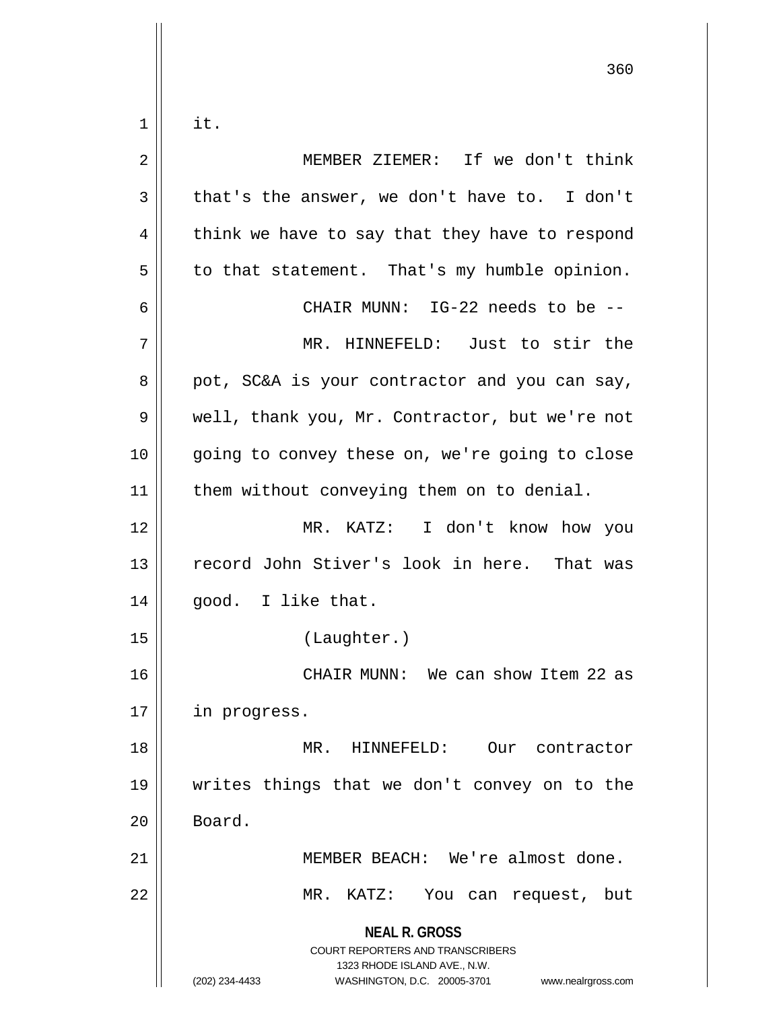$1 \parallel$  it.

| 2  | MEMBER ZIEMER: If we don't think                                                                                                                                       |
|----|------------------------------------------------------------------------------------------------------------------------------------------------------------------------|
| 3  | that's the answer, we don't have to. I don't                                                                                                                           |
| 4  | think we have to say that they have to respond                                                                                                                         |
| 5  | to that statement. That's my humble opinion.                                                                                                                           |
| 6  | CHAIR MUNN: IG-22 needs to be --                                                                                                                                       |
| 7  | MR. HINNEFELD: Just to stir the                                                                                                                                        |
| 8  | pot, SC&A is your contractor and you can say,                                                                                                                          |
| 9  | well, thank you, Mr. Contractor, but we're not                                                                                                                         |
| 10 | going to convey these on, we're going to close                                                                                                                         |
| 11 | them without conveying them on to denial.                                                                                                                              |
| 12 | MR. KATZ: I don't know how you                                                                                                                                         |
| 13 | record John Stiver's look in here. That was                                                                                                                            |
| 14 | good. I like that.                                                                                                                                                     |
| 15 | (Laughter.)                                                                                                                                                            |
| 16 | CHAIR MUNN: We can show Item 22 as                                                                                                                                     |
| 17 | in progress.                                                                                                                                                           |
| 18 | MR.<br>HINNEFELD:<br>Our contractor                                                                                                                                    |
| 19 | writes things that we don't convey on to the                                                                                                                           |
| 20 | Board.                                                                                                                                                                 |
| 21 | MEMBER BEACH: We're almost done.                                                                                                                                       |
| 22 | MR.<br>KATZ:<br>You can request, but                                                                                                                                   |
|    | <b>NEAL R. GROSS</b><br><b>COURT REPORTERS AND TRANSCRIBERS</b><br>1323 RHODE ISLAND AVE., N.W.<br>WASHINGTON, D.C. 20005-3701<br>(202) 234-4433<br>www.nealrgross.com |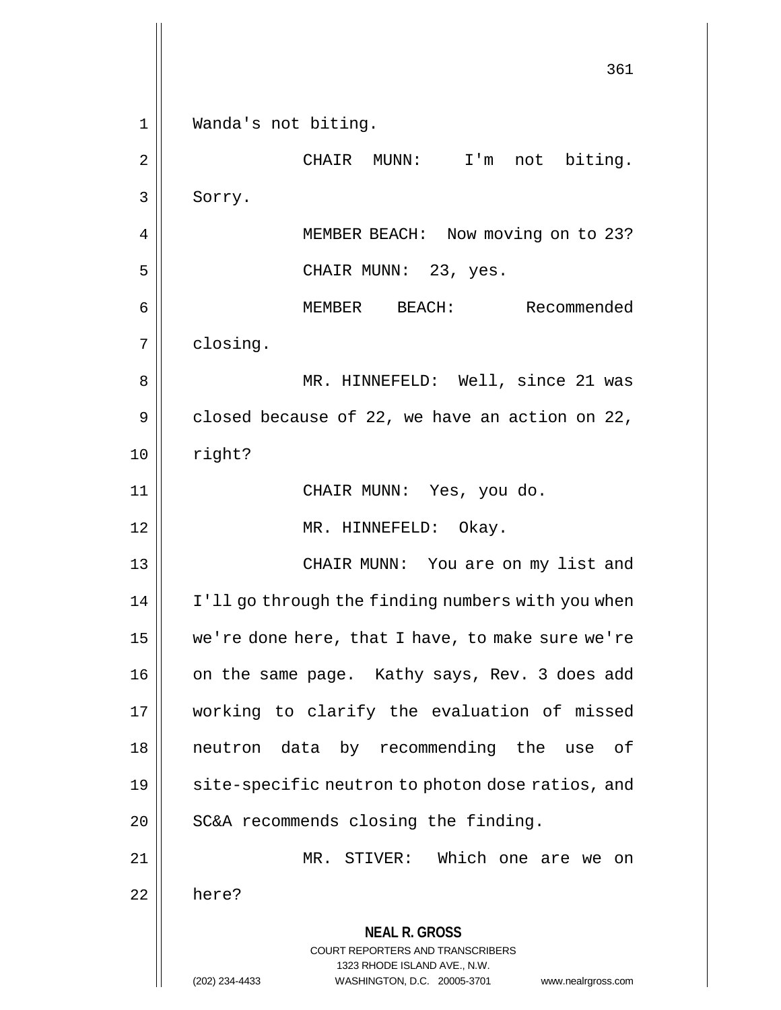**NEAL R. GROSS** COURT REPORTERS AND TRANSCRIBERS 1323 RHODE ISLAND AVE., N.W. (202) 234-4433 WASHINGTON, D.C. 20005-3701 www.nealrgross.com 361 1 Wanda's not biting. 2 || CHAIR MUNN: I'm not biting. 3 | Sorry. 4 | MEMBER BEACH: Now moving on to 23? 5 CHAIR MUNN: 23, yes. 6 MEMBER BEACH: Recommended 7 | closing. 8 MR. HINNEFELD: Well, since 21 was  $9 \parallel$  closed because of 22, we have an action on 22,  $10 \parallel$  right? 11 CHAIR MUNN: Yes, you do. 12 || MR. HINNEFELD: Okay. 13 CHAIR MUNN: You are on my list and 14 | I'll go through the finding numbers with you when 15 we're done here, that I have, to make sure we're 16 || on the same page. Kathy says, Rev. 3 does add 17 working to clarify the evaluation of missed 18 neutron data by recommending the use of 19 || site-specific neutron to photon dose ratios, and  $20$  | SC&A recommends closing the finding. 21 MR. STIVER: Which one are we on 22 here?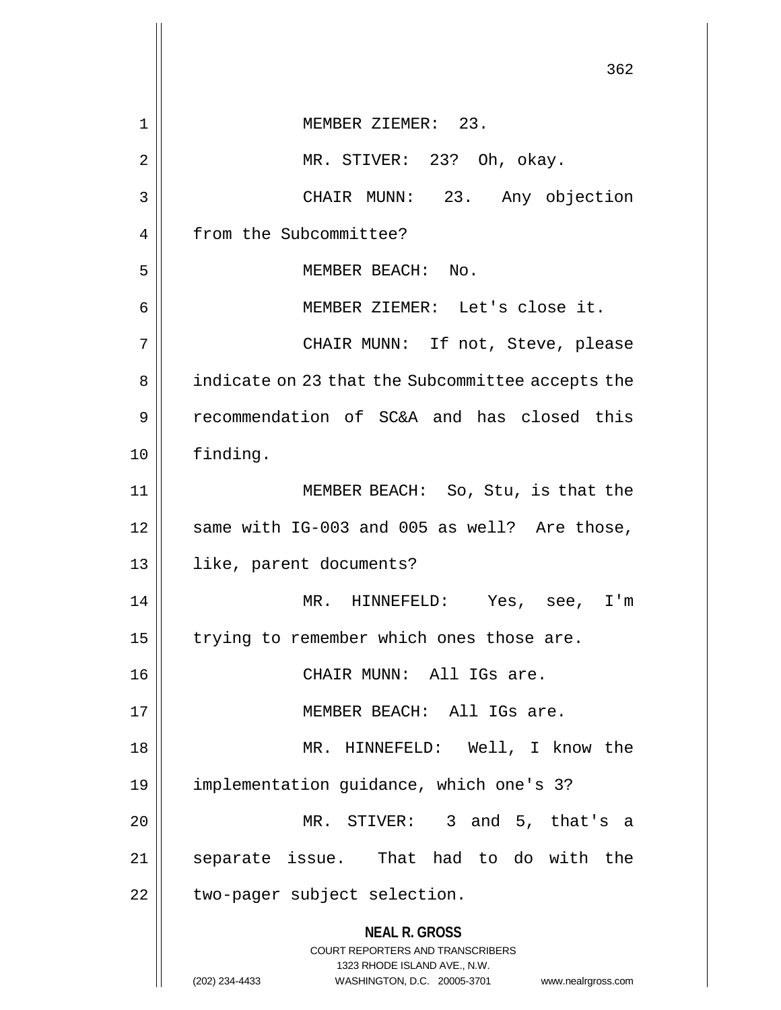|    | 362                                                              |  |  |  |  |  |  |  |
|----|------------------------------------------------------------------|--|--|--|--|--|--|--|
| 1  | MEMBER ZIEMER: 23.                                               |  |  |  |  |  |  |  |
| 2  | MR. STIVER: 23? Oh, okay.                                        |  |  |  |  |  |  |  |
| 3  | CHAIR MUNN: 23. Any objection                                    |  |  |  |  |  |  |  |
| 4  | from the Subcommittee?                                           |  |  |  |  |  |  |  |
| 5  | MEMBER BEACH: No.                                                |  |  |  |  |  |  |  |
| 6  | MEMBER ZIEMER: Let's close it.                                   |  |  |  |  |  |  |  |
| 7  | CHAIR MUNN: If not, Steve, please                                |  |  |  |  |  |  |  |
| 8  | indicate on 23 that the Subcommittee accepts the                 |  |  |  |  |  |  |  |
| 9  | recommendation of SC&A and has closed this                       |  |  |  |  |  |  |  |
| 10 | finding.                                                         |  |  |  |  |  |  |  |
| 11 | MEMBER BEACH: So, Stu, is that the                               |  |  |  |  |  |  |  |
| 12 | same with IG-003 and 005 as well? Are those,                     |  |  |  |  |  |  |  |
| 13 | like, parent documents?                                          |  |  |  |  |  |  |  |
| 14 | MR. HINNEFELD: Yes, see, I'm                                     |  |  |  |  |  |  |  |
| 15 | trying to remember which ones those are.                         |  |  |  |  |  |  |  |
| 16 | CHAIR MUNN: All IGs are.                                         |  |  |  |  |  |  |  |
| 17 | MEMBER BEACH: All IGs are.                                       |  |  |  |  |  |  |  |
| 18 | MR. HINNEFELD: Well, I know the                                  |  |  |  |  |  |  |  |
| 19 | implementation guidance, which one's 3?                          |  |  |  |  |  |  |  |
| 20 | MR. STIVER: 3 and 5, that's a                                    |  |  |  |  |  |  |  |
| 21 | separate issue. That had to do with the                          |  |  |  |  |  |  |  |
| 22 | two-pager subject selection.                                     |  |  |  |  |  |  |  |
|    | <b>NEAL R. GROSS</b><br>COURT REPORTERS AND TRANSCRIBERS         |  |  |  |  |  |  |  |
|    | 1323 RHODE ISLAND AVE., N.W.                                     |  |  |  |  |  |  |  |
|    | (202) 234-4433<br>WASHINGTON, D.C. 20005-3701 www.nealrgross.com |  |  |  |  |  |  |  |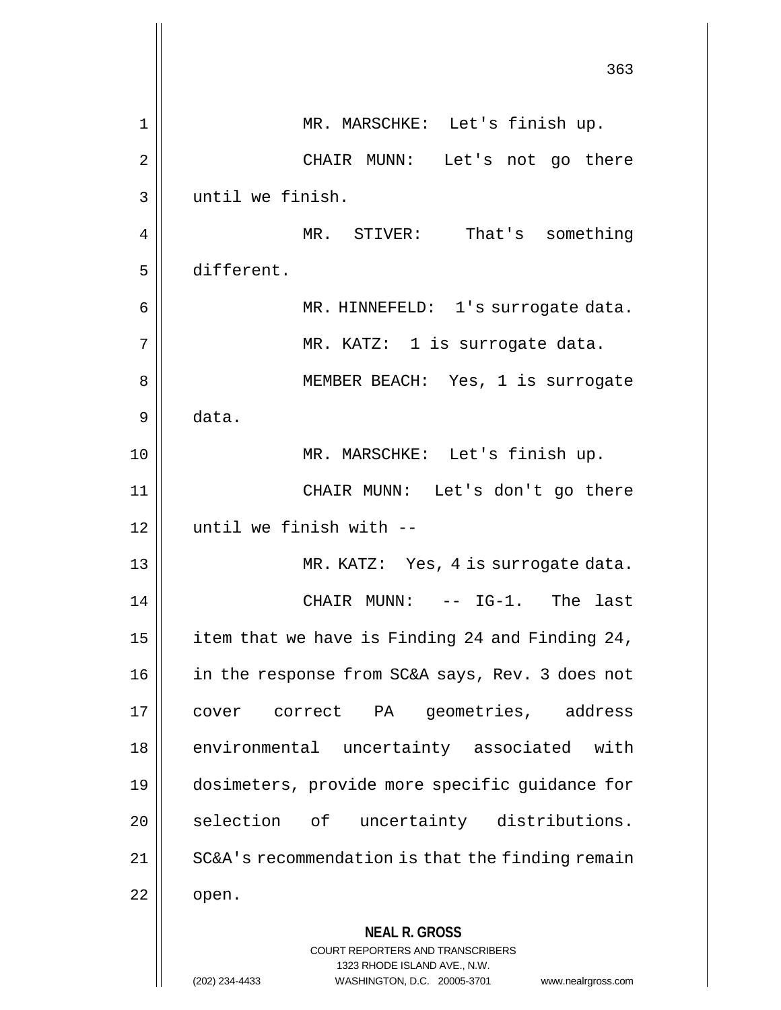|    | 363                                                                                                                                                                    |  |  |  |  |  |  |
|----|------------------------------------------------------------------------------------------------------------------------------------------------------------------------|--|--|--|--|--|--|
| 1  | MR. MARSCHKE: Let's finish up.                                                                                                                                         |  |  |  |  |  |  |
| 2  | CHAIR MUNN: Let's not go there                                                                                                                                         |  |  |  |  |  |  |
| 3  | until we finish.                                                                                                                                                       |  |  |  |  |  |  |
| 4  | MR. STIVER: That's something                                                                                                                                           |  |  |  |  |  |  |
| 5  | different.                                                                                                                                                             |  |  |  |  |  |  |
| 6  | MR. HINNEFELD: 1's surrogate data.                                                                                                                                     |  |  |  |  |  |  |
| 7  | MR. KATZ: 1 is surrogate data.                                                                                                                                         |  |  |  |  |  |  |
| 8  | MEMBER BEACH: Yes, 1 is surrogate                                                                                                                                      |  |  |  |  |  |  |
| 9  | data.                                                                                                                                                                  |  |  |  |  |  |  |
| 10 | MR. MARSCHKE: Let's finish up.                                                                                                                                         |  |  |  |  |  |  |
| 11 | CHAIR MUNN: Let's don't go there                                                                                                                                       |  |  |  |  |  |  |
| 12 | until we finish with --                                                                                                                                                |  |  |  |  |  |  |
| 13 | MR. KATZ: Yes, 4 is surrogate data.                                                                                                                                    |  |  |  |  |  |  |
| 14 | CHAIR MUNN:<br>-- IG-1. The last                                                                                                                                       |  |  |  |  |  |  |
| 15 | item that we have is Finding 24 and Finding 24,                                                                                                                        |  |  |  |  |  |  |
| 16 | in the response from SC&A says, Rev. 3 does not                                                                                                                        |  |  |  |  |  |  |
| 17 | geometries, address<br>cover correct PA                                                                                                                                |  |  |  |  |  |  |
| 18 | environmental uncertainty associated with                                                                                                                              |  |  |  |  |  |  |
| 19 | dosimeters, provide more specific guidance for                                                                                                                         |  |  |  |  |  |  |
| 20 | selection of uncertainty distributions.                                                                                                                                |  |  |  |  |  |  |
| 21 | SC&A's recommendation is that the finding remain                                                                                                                       |  |  |  |  |  |  |
| 22 | open.                                                                                                                                                                  |  |  |  |  |  |  |
|    | <b>NEAL R. GROSS</b><br><b>COURT REPORTERS AND TRANSCRIBERS</b><br>1323 RHODE ISLAND AVE., N.W.<br>(202) 234-4433<br>WASHINGTON, D.C. 20005-3701<br>www.nealrgross.com |  |  |  |  |  |  |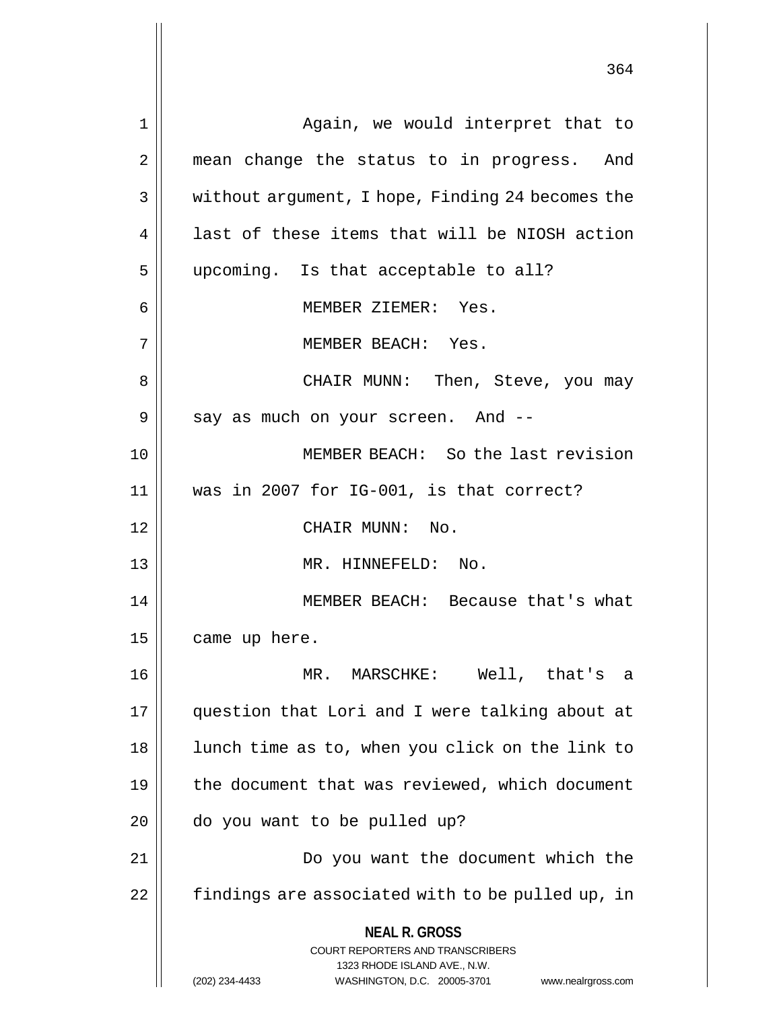| 1  | Again, we would interpret that to                                                        |  |  |  |  |  |  |
|----|------------------------------------------------------------------------------------------|--|--|--|--|--|--|
| 2  | mean change the status to in progress. And                                               |  |  |  |  |  |  |
| 3  | without argument, I hope, Finding 24 becomes the                                         |  |  |  |  |  |  |
| 4  | last of these items that will be NIOSH action                                            |  |  |  |  |  |  |
| 5  | upcoming. Is that acceptable to all?                                                     |  |  |  |  |  |  |
| 6  | MEMBER ZIEMER: Yes.                                                                      |  |  |  |  |  |  |
| 7  | MEMBER BEACH: Yes.                                                                       |  |  |  |  |  |  |
| 8  | CHAIR MUNN: Then, Steve, you may                                                         |  |  |  |  |  |  |
| 9  | say as much on your screen. And --                                                       |  |  |  |  |  |  |
| 10 | MEMBER BEACH: So the last revision                                                       |  |  |  |  |  |  |
| 11 | was in 2007 for IG-001, is that correct?                                                 |  |  |  |  |  |  |
| 12 | CHAIR MUNN: No.                                                                          |  |  |  |  |  |  |
| 13 | MR. HINNEFELD: No.                                                                       |  |  |  |  |  |  |
| 14 | MEMBER BEACH: Because that's what                                                        |  |  |  |  |  |  |
| 15 | came up here.                                                                            |  |  |  |  |  |  |
| 16 | Well, that's a<br>MR. MARSCHKE:                                                          |  |  |  |  |  |  |
| 17 | question that Lori and I were talking about at                                           |  |  |  |  |  |  |
| 18 | lunch time as to, when you click on the link to                                          |  |  |  |  |  |  |
| 19 | the document that was reviewed, which document                                           |  |  |  |  |  |  |
| 20 | do you want to be pulled up?                                                             |  |  |  |  |  |  |
| 21 | Do you want the document which the                                                       |  |  |  |  |  |  |
| 22 | findings are associated with to be pulled up, in                                         |  |  |  |  |  |  |
|    | <b>NEAL R. GROSS</b><br>COURT REPORTERS AND TRANSCRIBERS<br>1323 RHODE ISLAND AVE., N.W. |  |  |  |  |  |  |
|    | WASHINGTON, D.C. 20005-3701<br>(202) 234-4433<br>www.nealrgross.com                      |  |  |  |  |  |  |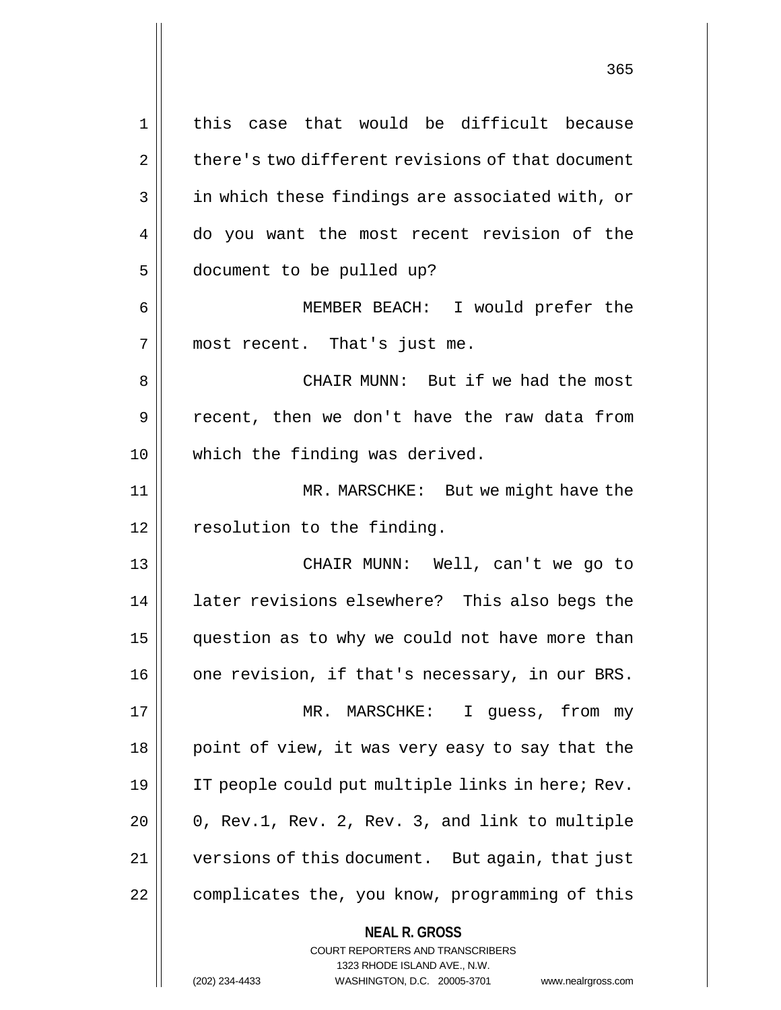**NEAL R. GROSS** COURT REPORTERS AND TRANSCRIBERS 1 || this case that would be difficult because  $2 \parallel$  there's two different revisions of that document 3 || in which these findings are associated with, or 4 do you want the most recent revision of the 5 document to be pulled up? 6 MEMBER BEACH: I would prefer the 7 || most recent. That's just me. 8 CHAIR MUNN: But if we had the most 9 || recent, then we don't have the raw data from 10 || which the finding was derived. 11 MR. MARSCHKE: But we might have the 12 | resolution to the finding. 13 CHAIR MUNN: Well, can't we go to 14 || later revisions elsewhere? This also begs the 15 | question as to why we could not have more than  $16$  | one revision, if that's necessary, in our BRS. 17 || MR. MARSCHKE: I guess, from my 18 || point of view, it was very easy to say that the 19 IT people could put multiple links in here; Rev.  $20$  | 0, Rev.1, Rev. 2, Rev. 3, and link to multiple 21 versions of this document. But again, that just 22 | complicates the, you know, programming of this

1323 RHODE ISLAND AVE., N.W.

(202) 234-4433 WASHINGTON, D.C. 20005-3701 www.nealrgross.com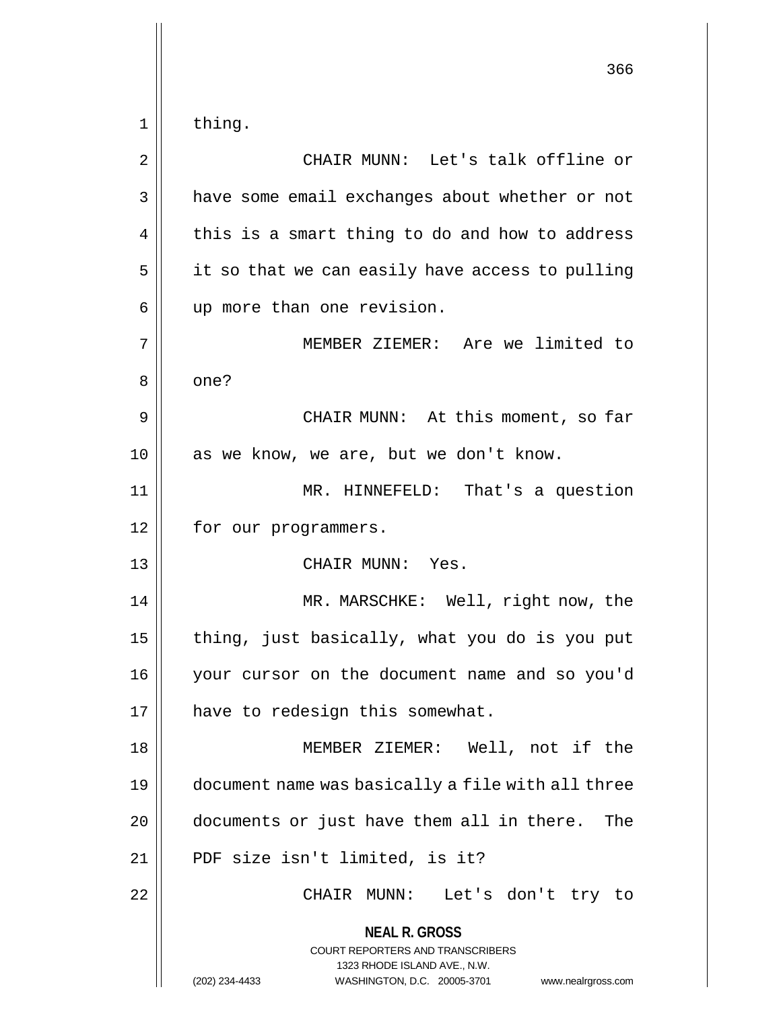**NEAL R. GROSS** COURT REPORTERS AND TRANSCRIBERS 1323 RHODE ISLAND AVE., N.W. (202) 234-4433 WASHINGTON, D.C. 20005-3701 www.nealrgross.com 366  $1 \parallel$  thing. 2 CHAIR MUNN: Let's talk offline or 3 | have some email exchanges about whether or not  $4 \parallel$  this is a smart thing to do and how to address  $5 \parallel$  it so that we can easily have access to pulling 6 || up more than one revision. 7 MEMBER ZIEMER: Are we limited to 8 | one? 9 CHAIR MUNN: At this moment, so far 10 || as we know, we are, but we don't know. 11 MR. HINNEFELD: That's a question 12 | for our programmers. 13 CHAIR MUNN: Yes. 14 || MR. MARSCHKE: Well, right now, the 15  $\parallel$  thing, just basically, what you do is you put 16 your cursor on the document name and so you'd 17 | have to redesign this somewhat. 18 MEMBER ZIEMER: Well, not if the 19 document name was basically a file with all three 20 | documents or just have them all in there. The 21 || PDF size isn't limited, is it? 22 CHAIR MUNN: Let's don't try to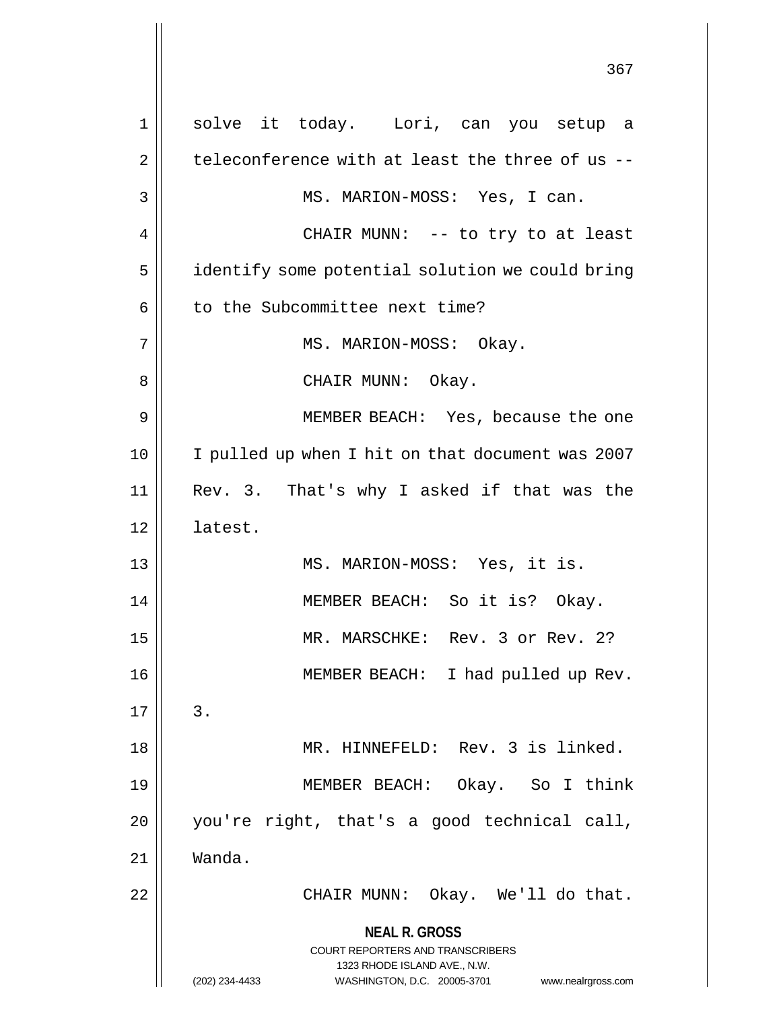**NEAL R. GROSS** COURT REPORTERS AND TRANSCRIBERS 1323 RHODE ISLAND AVE., N.W. (202) 234-4433 WASHINGTON, D.C. 20005-3701 www.nealrgross.com 1 solve it today. Lori, can you setup a  $2 \parallel$  teleconference with at least the three of us --3 || MS. MARION-MOSS: Yes, I can. 4 CHAIR MUNN: -- to try to at least 5 | identify some potential solution we could bring  $6$  || to the Subcommittee next time? 7 || MS. MARION-MOSS: Okay. 8 || CHAIR MUNN: Okay. 9 MEMBER BEACH: Yes, because the one 10 I pulled up when I hit on that document was 2007 11 Rev. 3. That's why I asked if that was the 12 latest. 13 MS. MARION-MOSS: Yes, it is. 14 || MEMBER BEACH: So it is? Okay. 15 || MR. MARSCHKE: Rev. 3 or Rev. 2? 16 MEMBER BEACH: I had pulled up Rev.  $17 \parallel 3$ . 18 MR. HINNEFELD: Rev. 3 is linked. 19 MEMBER BEACH: Okay. So I think 20 you're right, that's a good technical call, 21 Wanda. 22 CHAIR MUNN: Okay. We'll do that.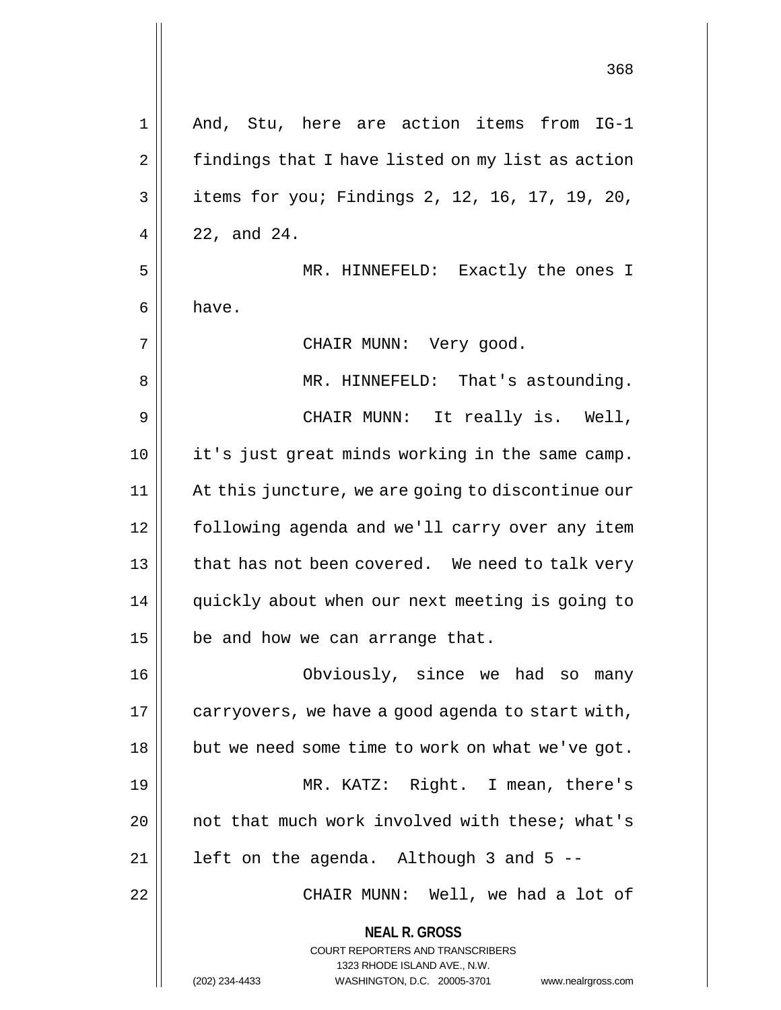| $\mathbf 1$    | And, Stu, here are action items from IG-1                               |  |  |  |  |  |  |
|----------------|-------------------------------------------------------------------------|--|--|--|--|--|--|
| $\overline{2}$ | findings that I have listed on my list as action                        |  |  |  |  |  |  |
| 3              | items for you; Findings 2, 12, 16, 17, 19, 20,                          |  |  |  |  |  |  |
| 4              | 22, and 24.                                                             |  |  |  |  |  |  |
| 5              | MR. HINNEFELD: Exactly the ones I                                       |  |  |  |  |  |  |
| 6              | have.                                                                   |  |  |  |  |  |  |
| 7              | CHAIR MUNN: Very good.                                                  |  |  |  |  |  |  |
| 8              | MR. HINNEFELD: That's astounding.                                       |  |  |  |  |  |  |
| 9              | CHAIR MUNN: It really is. Well,                                         |  |  |  |  |  |  |
| 10             | it's just great minds working in the same camp.                         |  |  |  |  |  |  |
| 11             | At this juncture, we are going to discontinue our                       |  |  |  |  |  |  |
| 12             | following agenda and we'll carry over any item                          |  |  |  |  |  |  |
| 13             | that has not been covered. We need to talk very                         |  |  |  |  |  |  |
| 14             | quickly about when our next meeting is going to                         |  |  |  |  |  |  |
| 15             | be and how we can arrange that.                                         |  |  |  |  |  |  |
| 16             | Obviously, since we had so many                                         |  |  |  |  |  |  |
| 17             | carryovers, we have a good agenda to start with,                        |  |  |  |  |  |  |
| 18             | but we need some time to work on what we've got.                        |  |  |  |  |  |  |
| 19             | MR. KATZ: Right. I mean, there's                                        |  |  |  |  |  |  |
| 20             | not that much work involved with these; what's                          |  |  |  |  |  |  |
| 21             | left on the agenda. Although 3 and 5 --                                 |  |  |  |  |  |  |
| 22             | CHAIR MUNN: Well, we had a lot of                                       |  |  |  |  |  |  |
|                | <b>NEAL R. GROSS</b>                                                    |  |  |  |  |  |  |
|                | <b>COURT REPORTERS AND TRANSCRIBERS</b><br>1323 RHODE ISLAND AVE., N.W. |  |  |  |  |  |  |
|                | (202) 234-4433<br>WASHINGTON, D.C. 20005-3701<br>www.nealrgross.com     |  |  |  |  |  |  |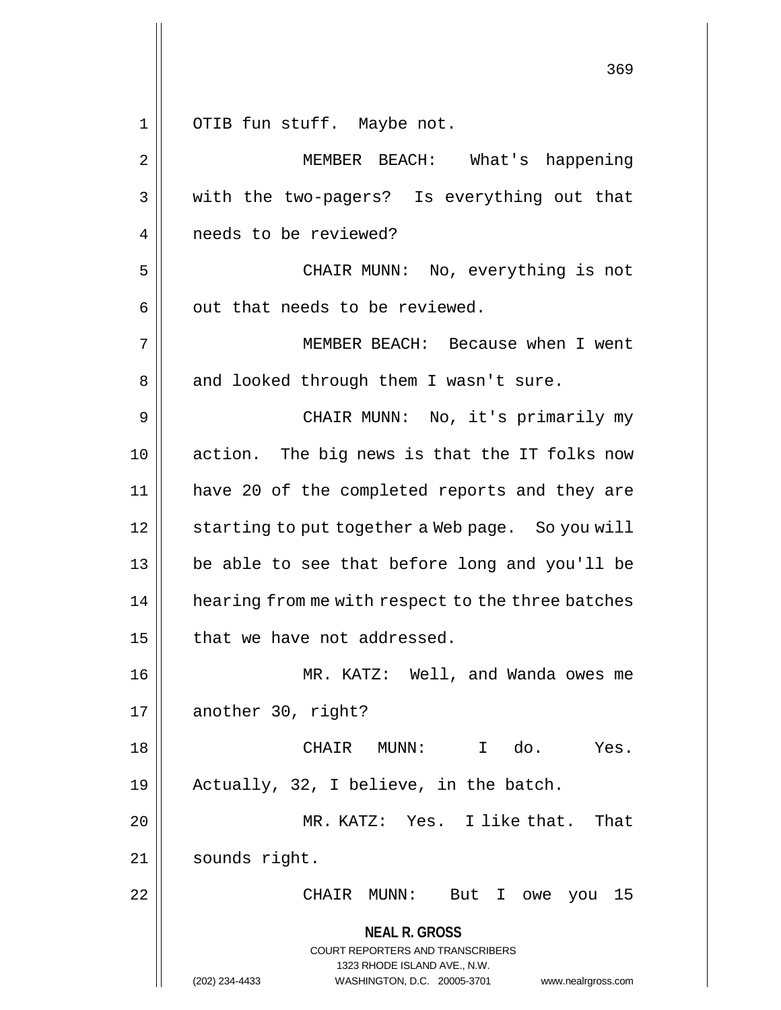**NEAL R. GROSS** COURT REPORTERS AND TRANSCRIBERS 1323 RHODE ISLAND AVE., N.W. (202) 234-4433 WASHINGTON, D.C. 20005-3701 www.nealrgross.com 369 1 || OTIB fun stuff. Maybe not. 2 || MEMBER BEACH: What's happening 3 || with the two-pagers? Is everything out that 4 | needs to be reviewed? 5 CHAIR MUNN: No, everything is not  $6 \parallel$  out that needs to be reviewed. 7 MEMBER BEACH: Because when I went 8 || and looked through them I wasn't sure. 9 CHAIR MUNN: No, it's primarily my 10 || action. The big news is that the IT folks now 11 have 20 of the completed reports and they are 12 | starting to put together a Web page. So you will 13 || be able to see that before long and you'll be 14 || hearing from me with respect to the three batches  $15$  | that we have not addressed. 16 MR. KATZ: Well, and Wanda owes me  $17 \parallel$  another 30, right? 18 CHAIR MUNN: I do. Yes. 19 Actually, 32, I believe, in the batch. 20 MR. KATZ: Yes. I like that. That 21 | sounds right. 22 CHAIR MUNN: But I owe you 15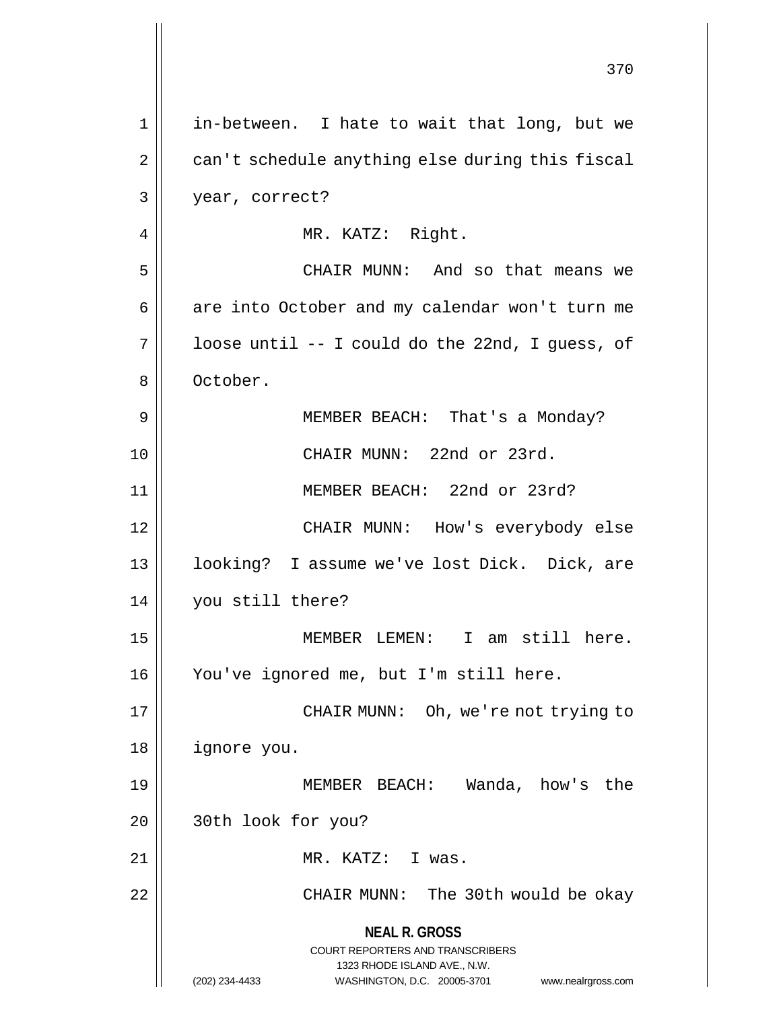**NEAL R. GROSS** COURT REPORTERS AND TRANSCRIBERS 1323 RHODE ISLAND AVE., N.W. (202) 234-4433 WASHINGTON, D.C. 20005-3701 www.nealrgross.com 370 1 in-between. I hate to wait that long, but we 2 | can't schedule anything else during this fiscal 3 year, correct? 4 || MR. KATZ: Right. 5 CHAIR MUNN: And so that means we 6 | are into October and my calendar won't turn me  $7 \parallel$  loose until -- I could do the 22nd, I guess, of 8 | October. 9 || MEMBER BEACH: That's a Monday? 10 CHAIR MUNN: 22nd or 23rd. 11 MEMBER BEACH: 22nd or 23rd? 12 CHAIR MUNN: How's everybody else 13 || looking? I assume we've lost Dick. Dick, are 14 you still there? 15 MEMBER LEMEN: I am still here. 16 You've ignored me, but I'm still here. 17 || CHAIR MUNN: Oh, we're not trying to 18 ignore you. 19 MEMBER BEACH: Wanda, how's the 20 || 30th look for you? 21 || MR. KATZ: I was. 22 CHAIR MUNN: The 30th would be okay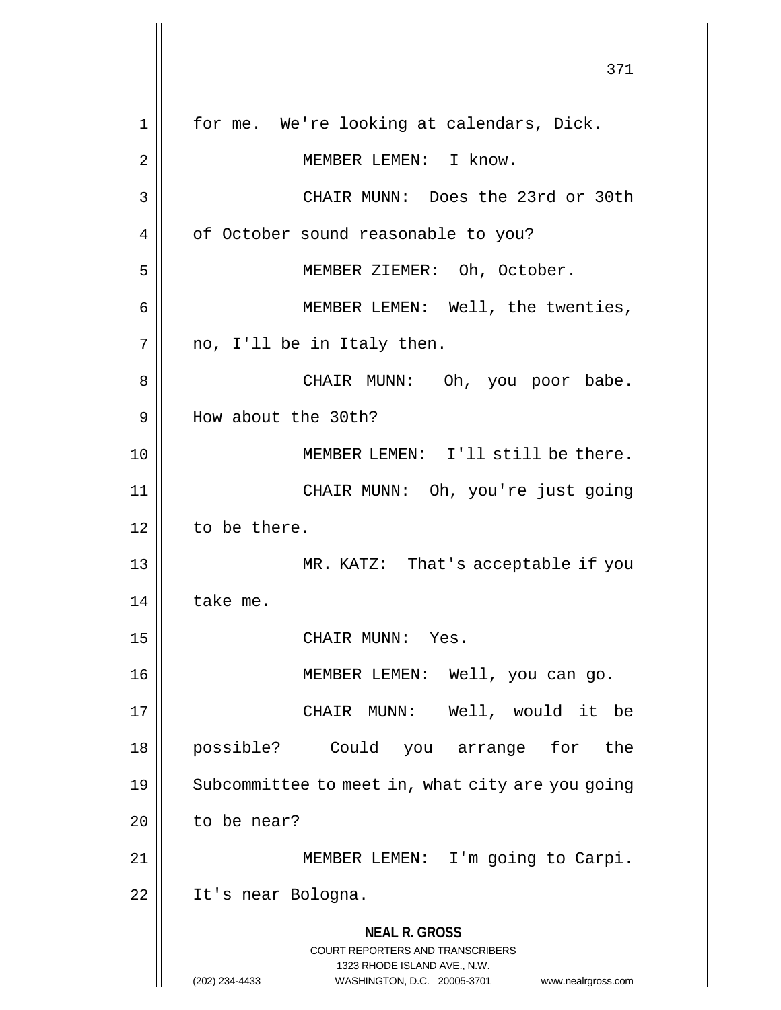**NEAL R. GROSS** COURT REPORTERS AND TRANSCRIBERS 1323 RHODE ISLAND AVE., N.W. (202) 234-4433 WASHINGTON, D.C. 20005-3701 www.nealrgross.com 371 1 | for me. We're looking at calendars, Dick. 2 | MEMBER LEMEN: I know. 3 CHAIR MUNN: Does the 23rd or 30th 4 | of October sound reasonable to you? 5 || MEMBER ZIEMER: Oh, October. 6 || MEMBER LEMEN: Well, the twenties,  $7 \parallel$  no, I'll be in Italy then. 8 CHAIR MUNN: Oh, you poor babe. 9 How about the 30th? 10 || MEMBER LEMEN: I'll still be there. 11 CHAIR MUNN: Oh, you're just going 12 | to be there. 13 MR. KATZ: That's acceptable if you  $14$  take me. 15 || CHAIR MUNN: Yes. 16 MEMBER LEMEN: Well, you can go. 17 CHAIR MUNN: Well, would it be 18 possible? Could you arrange for the 19 || Subcommittee to meet in, what city are you going  $20$  | to be near? 21 || MEMBER LEMEN: I'm going to Carpi. 22 || It's near Bologna.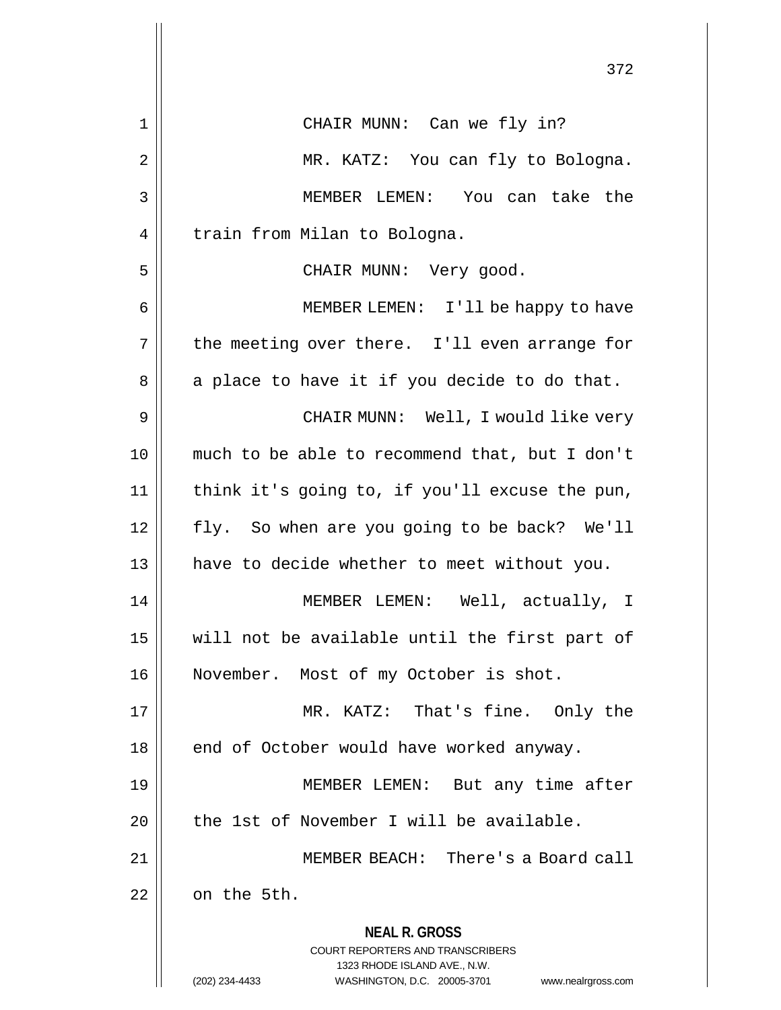|    | 372                                                                                                                                                                    |  |  |  |  |  |  |
|----|------------------------------------------------------------------------------------------------------------------------------------------------------------------------|--|--|--|--|--|--|
| 1  | CHAIR MUNN: Can we fly in?                                                                                                                                             |  |  |  |  |  |  |
| 2  | MR. KATZ: You can fly to Bologna.                                                                                                                                      |  |  |  |  |  |  |
| 3  | MEMBER LEMEN: You can take the                                                                                                                                         |  |  |  |  |  |  |
| 4  | train from Milan to Bologna.                                                                                                                                           |  |  |  |  |  |  |
| 5  | CHAIR MUNN: Very good.                                                                                                                                                 |  |  |  |  |  |  |
| 6  | MEMBER LEMEN: I'll be happy to have                                                                                                                                    |  |  |  |  |  |  |
| 7  | the meeting over there. I'll even arrange for                                                                                                                          |  |  |  |  |  |  |
| 8  | a place to have it if you decide to do that.                                                                                                                           |  |  |  |  |  |  |
| 9  | CHAIR MUNN: Well, I would like very                                                                                                                                    |  |  |  |  |  |  |
| 10 | much to be able to recommend that, but I don't                                                                                                                         |  |  |  |  |  |  |
| 11 | think it's going to, if you'll excuse the pun,                                                                                                                         |  |  |  |  |  |  |
| 12 | fly. So when are you going to be back? We'll                                                                                                                           |  |  |  |  |  |  |
| 13 | have to decide whether to meet without you.                                                                                                                            |  |  |  |  |  |  |
| 14 | MEMBER LEMEN: Well, actually, I                                                                                                                                        |  |  |  |  |  |  |
| 15 | will not be available until the first part of                                                                                                                          |  |  |  |  |  |  |
| 16 | November. Most of my October is shot.                                                                                                                                  |  |  |  |  |  |  |
| 17 | MR. KATZ: That's fine. Only the                                                                                                                                        |  |  |  |  |  |  |
| 18 | end of October would have worked anyway.                                                                                                                               |  |  |  |  |  |  |
| 19 | MEMBER LEMEN: But any time after                                                                                                                                       |  |  |  |  |  |  |
| 20 | the 1st of November I will be available.                                                                                                                               |  |  |  |  |  |  |
| 21 | MEMBER BEACH: There's a Board call                                                                                                                                     |  |  |  |  |  |  |
| 22 | on the 5th.                                                                                                                                                            |  |  |  |  |  |  |
|    | <b>NEAL R. GROSS</b><br><b>COURT REPORTERS AND TRANSCRIBERS</b><br>1323 RHODE ISLAND AVE., N.W.<br>(202) 234-4433<br>WASHINGTON, D.C. 20005-3701<br>www.nealrgross.com |  |  |  |  |  |  |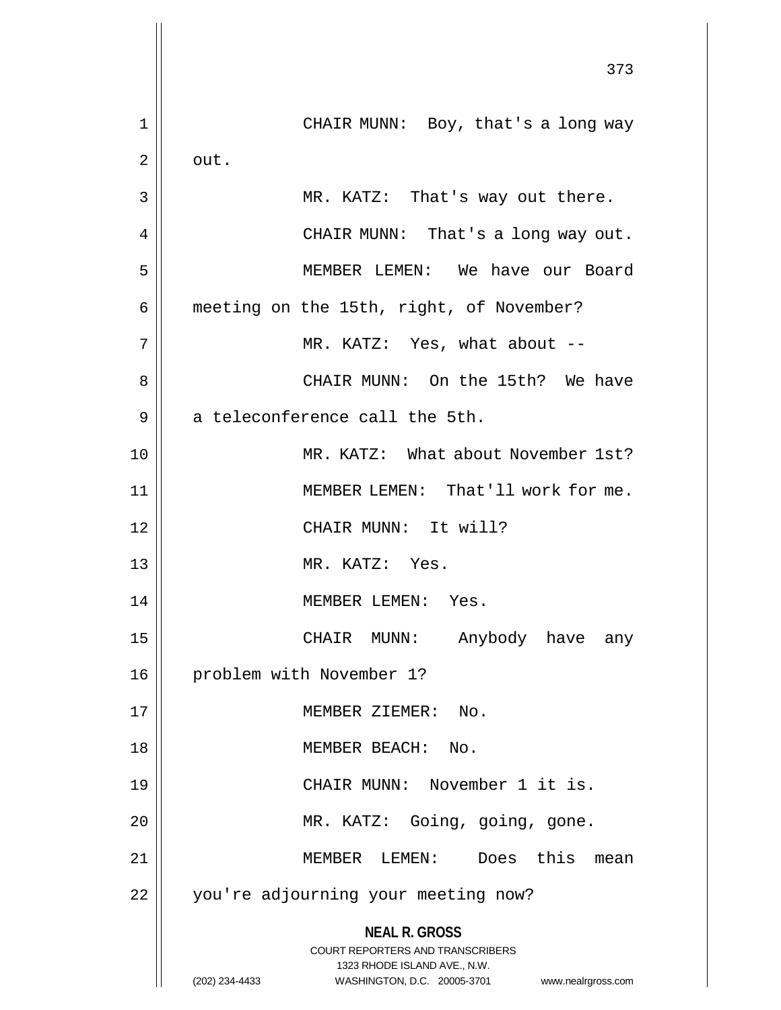|             | 373                                                                 |  |  |  |  |  |  |  |  |
|-------------|---------------------------------------------------------------------|--|--|--|--|--|--|--|--|
| $\mathbf 1$ | CHAIR MUNN: Boy, that's a long way                                  |  |  |  |  |  |  |  |  |
| 2           | out.                                                                |  |  |  |  |  |  |  |  |
| 3           | MR. KATZ: That's way out there.                                     |  |  |  |  |  |  |  |  |
| 4           | CHAIR MUNN: That's a long way out.                                  |  |  |  |  |  |  |  |  |
| 5           | MEMBER LEMEN: We have our Board                                     |  |  |  |  |  |  |  |  |
| 6           | meeting on the 15th, right, of November?                            |  |  |  |  |  |  |  |  |
| 7           | MR. KATZ: Yes, what about --                                        |  |  |  |  |  |  |  |  |
| 8           | CHAIR MUNN: On the 15th? We have                                    |  |  |  |  |  |  |  |  |
| 9           | a teleconference call the 5th.                                      |  |  |  |  |  |  |  |  |
| 10          | MR. KATZ: What about November 1st?                                  |  |  |  |  |  |  |  |  |
| 11          | MEMBER LEMEN: That'll work for me.                                  |  |  |  |  |  |  |  |  |
| 12          | CHAIR MUNN: It will?                                                |  |  |  |  |  |  |  |  |
| 13          | MR. KATZ: Yes.                                                      |  |  |  |  |  |  |  |  |
| 14          | MEMBER LEMEN:<br>Yes.                                               |  |  |  |  |  |  |  |  |
| 15          | Anybody have any<br>CHAIR MUNN:                                     |  |  |  |  |  |  |  |  |
| 16          | problem with November 1?                                            |  |  |  |  |  |  |  |  |
| 17          | MEMBER ZIEMER:<br>No.                                               |  |  |  |  |  |  |  |  |
| 18          | MEMBER BEACH:<br>No.                                                |  |  |  |  |  |  |  |  |
| 19          | CHAIR MUNN: November 1 it is.                                       |  |  |  |  |  |  |  |  |
| 20          | MR. KATZ: Going, going, gone.                                       |  |  |  |  |  |  |  |  |
| 21          | this<br>MEMBER LEMEN:<br>Does<br>mean                               |  |  |  |  |  |  |  |  |
| 22          | you're adjourning your meeting now?                                 |  |  |  |  |  |  |  |  |
|             | <b>NEAL R. GROSS</b><br><b>COURT REPORTERS AND TRANSCRIBERS</b>     |  |  |  |  |  |  |  |  |
|             | 1323 RHODE ISLAND AVE., N.W.                                        |  |  |  |  |  |  |  |  |
|             | (202) 234-4433<br>WASHINGTON, D.C. 20005-3701<br>www.nealrgross.com |  |  |  |  |  |  |  |  |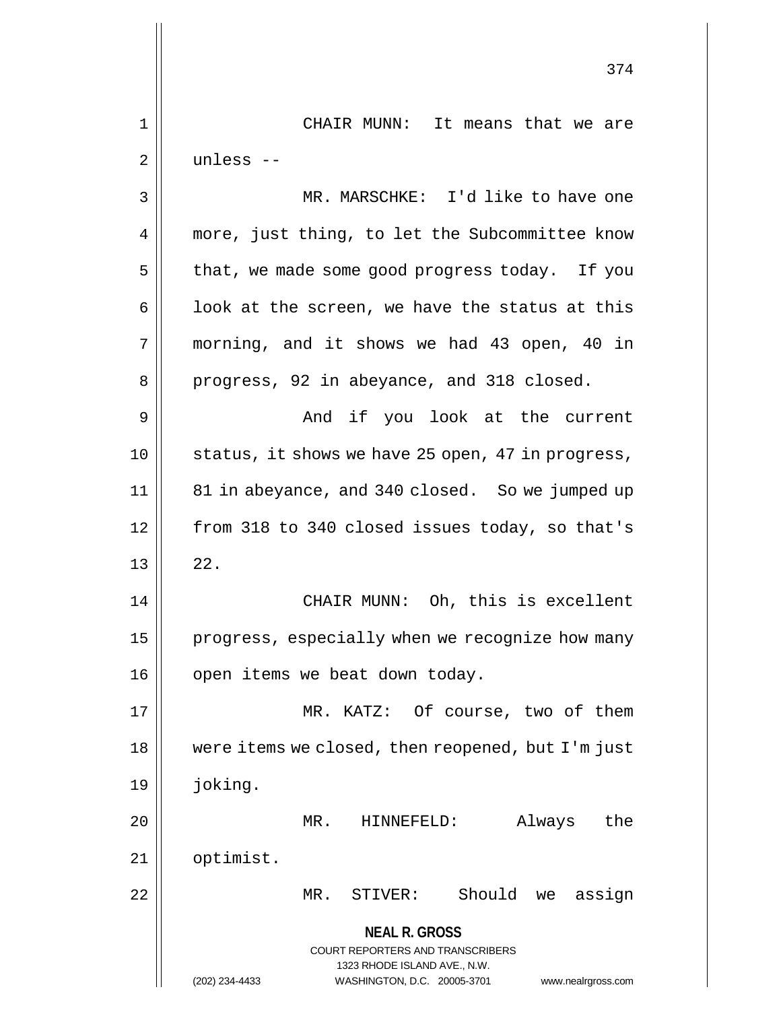**NEAL R. GROSS** COURT REPORTERS AND TRANSCRIBERS 1323 RHODE ISLAND AVE., N.W. (202) 234-4433 WASHINGTON, D.C. 20005-3701 www.nealrgross.com 374 1 CHAIR MUNN: It means that we are 2 unless -- 3 MR. MARSCHKE: I'd like to have one 4 || more, just thing, to let the Subcommittee know  $5 \parallel$  that, we made some good progress today. If you  $6 \parallel$  look at the screen, we have the status at this 7 morning, and it shows we had 43 open, 40 in 8 || progress, 92 in abeyance, and 318 closed. 9 And if you look at the current 10 || status, it shows we have 25 open, 47 in progress, 11 81 in abeyance, and 340 closed. So we jumped up 12 | from 318 to 340 closed issues today, so that's  $13 \parallel 22$ . 14 CHAIR MUNN: Oh, this is excellent 15 | progress, especially when we recognize how many 16 | open items we beat down today. 17 || MR. KATZ: Of course, two of them 18 were items we closed, then reopened, but I'm just 19 joking. 20 MR. HINNEFELD: Always the 21 | optimist. 22 MR. STIVER: Should we assign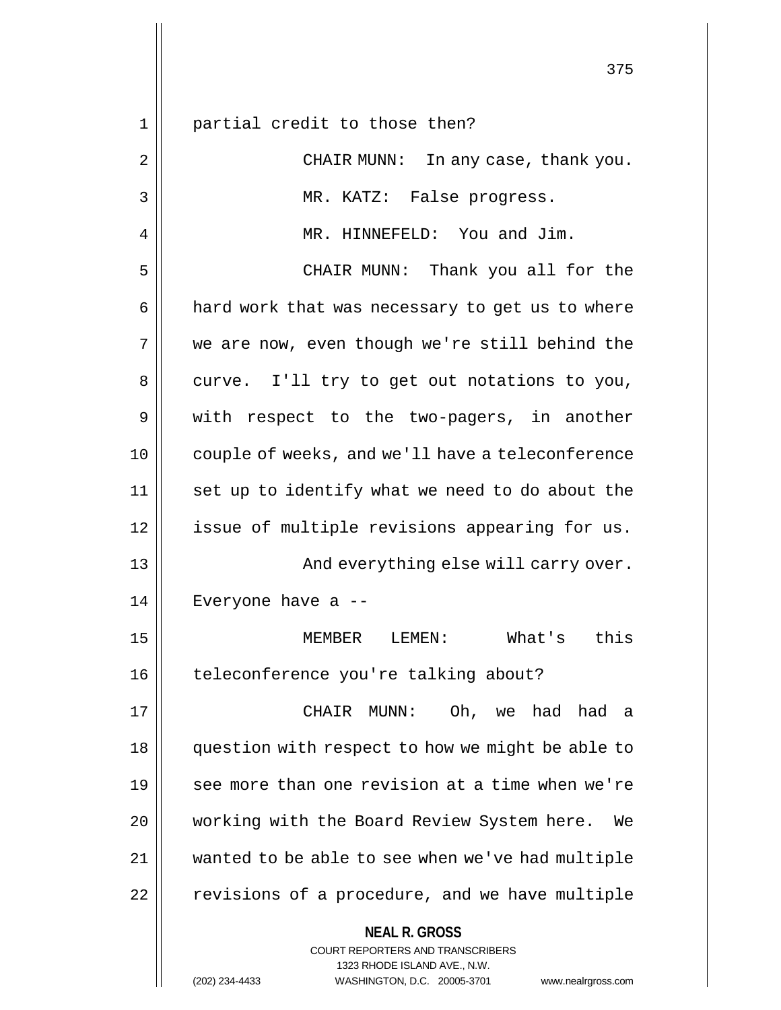**NEAL R. GROSS** COURT REPORTERS AND TRANSCRIBERS 1323 RHODE ISLAND AVE., N.W. 1 || partial credit to those then? 2 || CHAIR MUNN: In any case, thank you. 3 MR. KATZ: False progress. 4 | MR. HINNEFELD: You and Jim. 5 CHAIR MUNN: Thank you all for the  $6 \parallel$  hard work that was necessary to get us to where 7 we are now, even though we're still behind the  $8 \parallel$  curve. I'll try to get out notations to you, 9 || with respect to the two-pagers, in another 10 couple of weeks, and we'll have a teleconference 11 || set up to identify what we need to do about the 12 || issue of multiple revisions appearing for us. 13 || And everything else will carry over. 14 Everyone have a -- 15 MEMBER LEMEN: What's this 16 | teleconference you're talking about? 17 CHAIR MUNN: Oh, we had had a 18 question with respect to how we might be able to 19 see more than one revision at a time when we're 20 || working with the Board Review System here. We 21 wanted to be able to see when we've had multiple  $22$  | revisions of a procedure, and we have multiple

(202) 234-4433 WASHINGTON, D.C. 20005-3701 www.nealrgross.com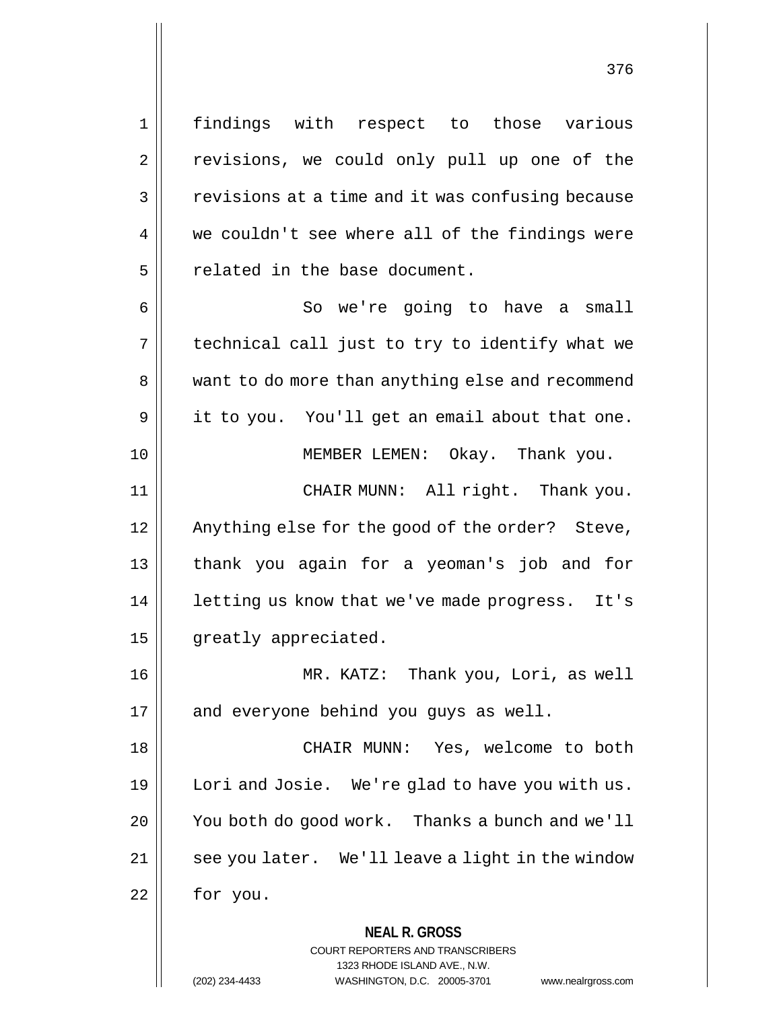1 findings with respect to those various

2 || revisions, we could only pull up one of the  $3 \parallel$  revisions at a time and it was confusing because 4 we couldn't see where all of the findings were 5 | related in the base document. 6 || So we're going to have a small

 $7 \parallel$  technical call just to try to identify what we 8 || want to do more than anything else and recommend  $9 \parallel$  it to you. You'll get an email about that one. 10 MEMBER LEMEN: Okay. Thank you.

11 CHAIR MUNN: All right. Thank you. 12 || Anything else for the good of the order? Steve, 13 || thank you again for a yeoman's job and for 14 || letting us know that we've made progress. It's 15 | greatly appreciated.

16 MR. KATZ: Thank you, Lori, as well  $17$  || and everyone behind you guys as well.

18 CHAIR MUNN: Yes, welcome to both 19 || Lori and Josie. We're glad to have you with us. 20 You both do good work. Thanks a bunch and we'll 21 | see you later. We'll leave a light in the window 22 for you.

**NEAL R. GROSS**

COURT REPORTERS AND TRANSCRIBERS 1323 RHODE ISLAND AVE., N.W. (202) 234-4433 WASHINGTON, D.C. 20005-3701 www.nealrgross.com